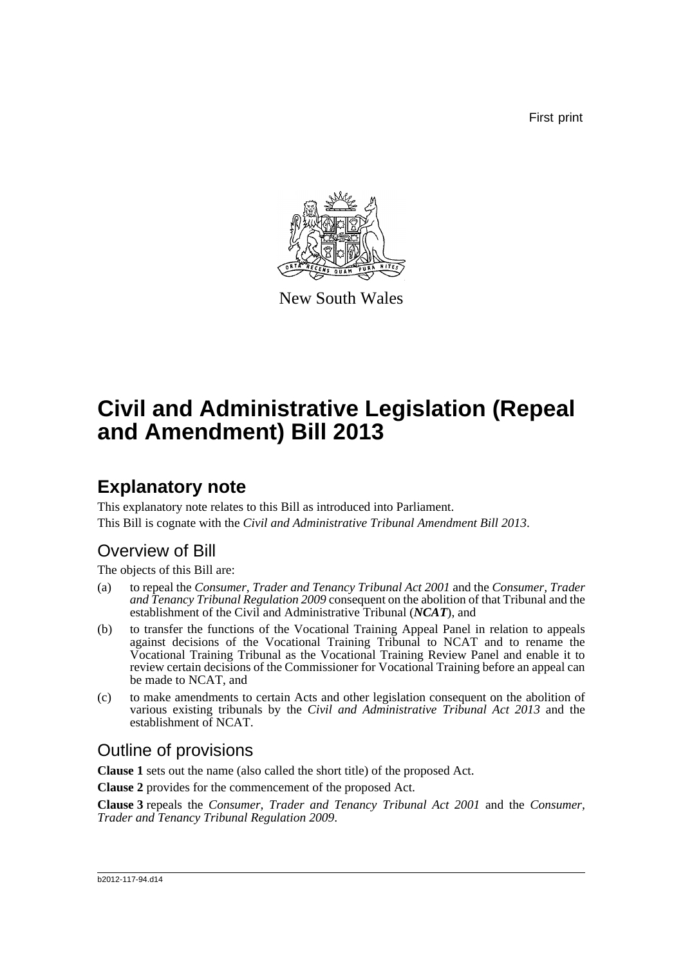First print



New South Wales

# **Civil and Administrative Legislation (Repeal and Amendment) Bill 2013**

# **Explanatory note**

This explanatory note relates to this Bill as introduced into Parliament. This Bill is cognate with the *Civil and Administrative Tribunal Amendment Bill 2013*.

## Overview of Bill

The objects of this Bill are:

- (a) to repeal the *Consumer, Trader and Tenancy Tribunal Act 2001* and the *Consumer, Trader and Tenancy Tribunal Regulation 2009* consequent on the abolition of that Tribunal and the establishment of the Civil and Administrative Tribunal (*NCAT*), and
- (b) to transfer the functions of the Vocational Training Appeal Panel in relation to appeals against decisions of the Vocational Training Tribunal to NCAT and to rename the Vocational Training Tribunal as the Vocational Training Review Panel and enable it to review certain decisions of the Commissioner for Vocational Training before an appeal can be made to NCAT, and
- (c) to make amendments to certain Acts and other legislation consequent on the abolition of various existing tribunals by the *Civil and Administrative Tribunal Act 2013* and the establishment of NCAT.

## Outline of provisions

**Clause 1** sets out the name (also called the short title) of the proposed Act.

**Clause 2** provides for the commencement of the proposed Act.

**Clause 3** repeals the *Consumer, Trader and Tenancy Tribunal Act 2001* and the *Consumer, Trader and Tenancy Tribunal Regulation 2009*.

#### b2012-117-94.d14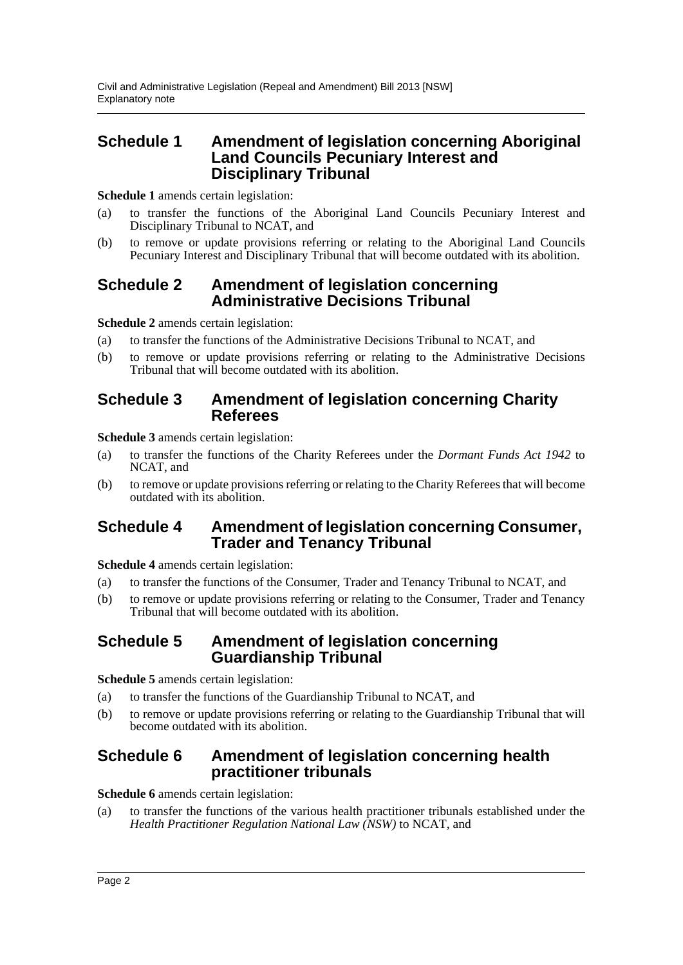### **Schedule 1 Amendment of legislation concerning Aboriginal Land Councils Pecuniary Interest and Disciplinary Tribunal**

**Schedule 1** amends certain legislation:

- (a) to transfer the functions of the Aboriginal Land Councils Pecuniary Interest and Disciplinary Tribunal to NCAT, and
- (b) to remove or update provisions referring or relating to the Aboriginal Land Councils Pecuniary Interest and Disciplinary Tribunal that will become outdated with its abolition.

#### **Schedule 2 Amendment of legislation concerning Administrative Decisions Tribunal**

**Schedule 2** amends certain legislation:

- (a) to transfer the functions of the Administrative Decisions Tribunal to NCAT, and
- (b) to remove or update provisions referring or relating to the Administrative Decisions Tribunal that will become outdated with its abolition.

#### **Schedule 3 Amendment of legislation concerning Charity Referees**

**Schedule 3** amends certain legislation:

- (a) to transfer the functions of the Charity Referees under the *Dormant Funds Act 1942* to NCAT, and
- (b) to remove or update provisions referring or relating to the Charity Referees that will become outdated with its abolition.

### **Schedule 4 Amendment of legislation concerning Consumer, Trader and Tenancy Tribunal**

**Schedule 4** amends certain legislation:

- (a) to transfer the functions of the Consumer, Trader and Tenancy Tribunal to NCAT, and
- (b) to remove or update provisions referring or relating to the Consumer, Trader and Tenancy Tribunal that will become outdated with its abolition.

#### **Schedule 5 Amendment of legislation concerning Guardianship Tribunal**

**Schedule 5** amends certain legislation:

- (a) to transfer the functions of the Guardianship Tribunal to NCAT, and
- (b) to remove or update provisions referring or relating to the Guardianship Tribunal that will become outdated with its abolition.

### **Schedule 6 Amendment of legislation concerning health practitioner tribunals**

**Schedule 6** amends certain legislation:

(a) to transfer the functions of the various health practitioner tribunals established under the *Health Practitioner Regulation National Law (NSW)* to NCAT, and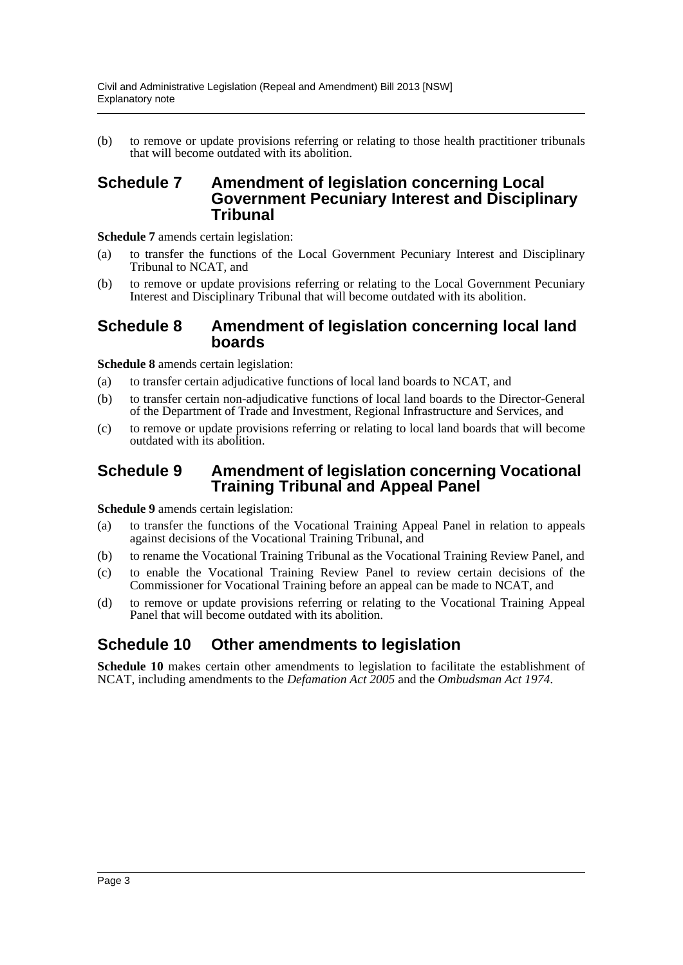(b) to remove or update provisions referring or relating to those health practitioner tribunals that will become outdated with its abolition.

#### **Schedule 7 Amendment of legislation concerning Local Government Pecuniary Interest and Disciplinary Tribunal**

**Schedule 7** amends certain legislation:

- (a) to transfer the functions of the Local Government Pecuniary Interest and Disciplinary Tribunal to NCAT, and
- (b) to remove or update provisions referring or relating to the Local Government Pecuniary Interest and Disciplinary Tribunal that will become outdated with its abolition.

#### **Schedule 8 Amendment of legislation concerning local land boards**

**Schedule 8** amends certain legislation:

- (a) to transfer certain adjudicative functions of local land boards to NCAT, and
- (b) to transfer certain non-adjudicative functions of local land boards to the Director-General of the Department of Trade and Investment, Regional Infrastructure and Services, and
- (c) to remove or update provisions referring or relating to local land boards that will become outdated with its abolition.

#### **Schedule 9 Amendment of legislation concerning Vocational Training Tribunal and Appeal Panel**

**Schedule 9** amends certain legislation:

- (a) to transfer the functions of the Vocational Training Appeal Panel in relation to appeals against decisions of the Vocational Training Tribunal, and
- (b) to rename the Vocational Training Tribunal as the Vocational Training Review Panel, and
- (c) to enable the Vocational Training Review Panel to review certain decisions of the Commissioner for Vocational Training before an appeal can be made to NCAT, and
- (d) to remove or update provisions referring or relating to the Vocational Training Appeal Panel that will become outdated with its abolition.

### **Schedule 10 Other amendments to legislation**

**Schedule 10** makes certain other amendments to legislation to facilitate the establishment of NCAT, including amendments to the *Defamation Act 2005* and the *Ombudsman Act 1974*.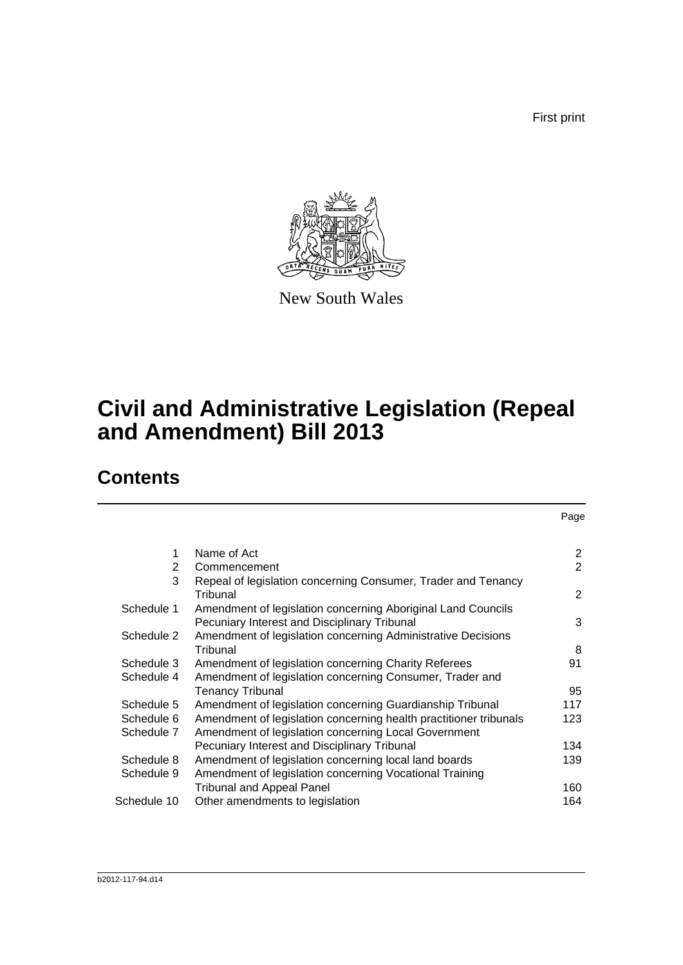First print

Page



New South Wales

# **Civil and Administrative Legislation (Repeal and Amendment) Bill 2013**

## **Contents**

| 1              | Name of Act                                                       | 2              |
|----------------|-------------------------------------------------------------------|----------------|
| $\overline{2}$ | Commencement                                                      | $\overline{2}$ |
| 3              | Repeal of legislation concerning Consumer, Trader and Tenancy     |                |
|                | Tribunal                                                          | 2              |
| Schedule 1     | Amendment of legislation concerning Aboriginal Land Councils      |                |
|                | Pecuniary Interest and Disciplinary Tribunal                      | 3              |
| Schedule 2     | Amendment of legislation concerning Administrative Decisions      |                |
|                | Tribunal                                                          | 8              |
| Schedule 3     | Amendment of legislation concerning Charity Referees              | 91             |
| Schedule 4     | Amendment of legislation concerning Consumer, Trader and          |                |
|                | Tenancy Tribunal                                                  | 95             |
| Schedule 5     | Amendment of legislation concerning Guardianship Tribunal         | 117            |
| Schedule 6     | Amendment of legislation concerning health practitioner tribunals | 123            |
| Schedule 7     | Amendment of legislation concerning Local Government              |                |
|                | Pecuniary Interest and Disciplinary Tribunal                      | 134            |
| Schedule 8     | Amendment of legislation concerning local land boards             | 139            |
| Schedule 9     | Amendment of legislation concerning Vocational Training           |                |
|                | <b>Tribunal and Appeal Panel</b>                                  | 160            |
| Schedule 10    | Other amendments to legislation                                   | 164            |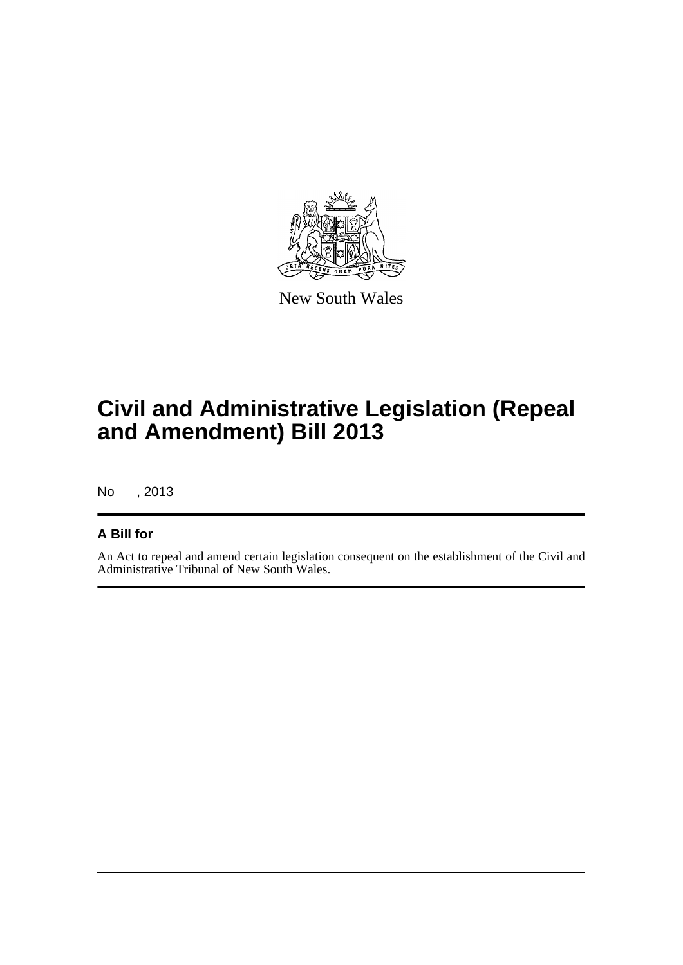

New South Wales

# **Civil and Administrative Legislation (Repeal and Amendment) Bill 2013**

No , 2013

#### **A Bill for**

An Act to repeal and amend certain legislation consequent on the establishment of the Civil and Administrative Tribunal of New South Wales.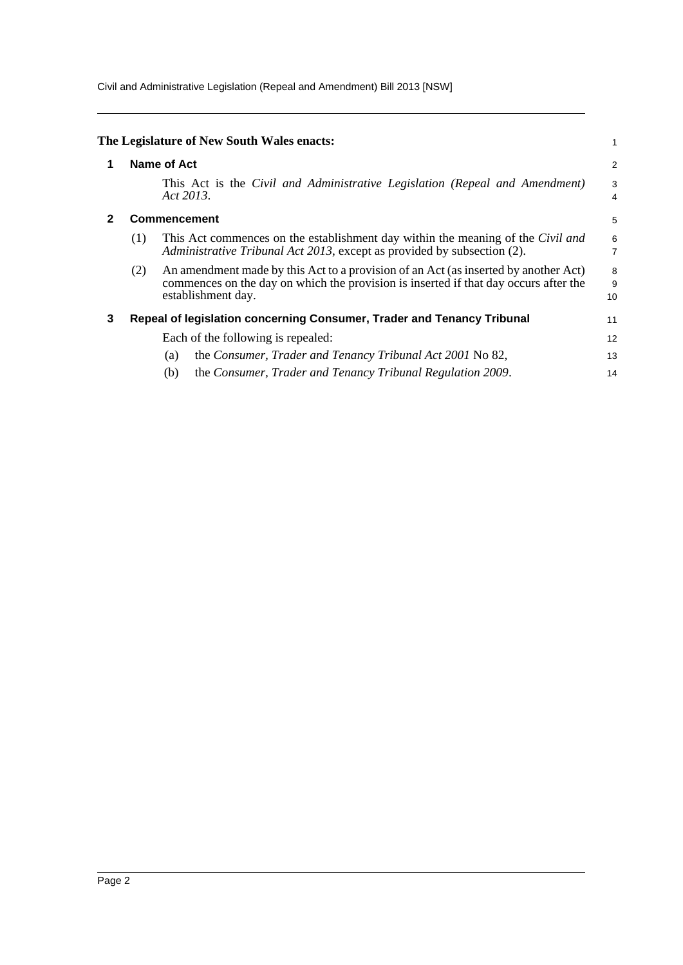Civil and Administrative Legislation (Repeal and Amendment) Bill 2013 [NSW]

<span id="page-5-2"></span><span id="page-5-1"></span><span id="page-5-0"></span>

|   |     | The Legislature of New South Wales enacts:                                                                                                                                                        |                |
|---|-----|---------------------------------------------------------------------------------------------------------------------------------------------------------------------------------------------------|----------------|
|   |     | <b>Name of Act</b>                                                                                                                                                                                | $\overline{c}$ |
|   |     | This Act is the Civil and Administrative Legislation (Repeal and Amendment)<br>Act 2013.                                                                                                          | 3<br>4         |
|   |     | <b>Commencement</b>                                                                                                                                                                               | 5              |
|   | (1) | This Act commences on the establishment day within the meaning of the Civil and<br>Administrative Tribunal Act 2013, except as provided by subsection (2).                                        | 6<br>7         |
|   | (2) | An amendment made by this Act to a provision of an Act (as inserted by another Act)<br>commences on the day on which the provision is inserted if that day occurs after the<br>establishment day. | 8<br>9<br>10   |
| 3 |     | Repeal of legislation concerning Consumer, Trader and Tenancy Tribunal                                                                                                                            | 11             |
|   |     | Each of the following is repealed:                                                                                                                                                                | 12             |
|   |     | the Consumer, Trader and Tenancy Tribunal Act 2001 No 82,<br>(a)                                                                                                                                  | 13             |
|   |     | the Consumer, Trader and Tenancy Tribunal Regulation 2009.<br>(b)                                                                                                                                 | 14             |
|   |     |                                                                                                                                                                                                   |                |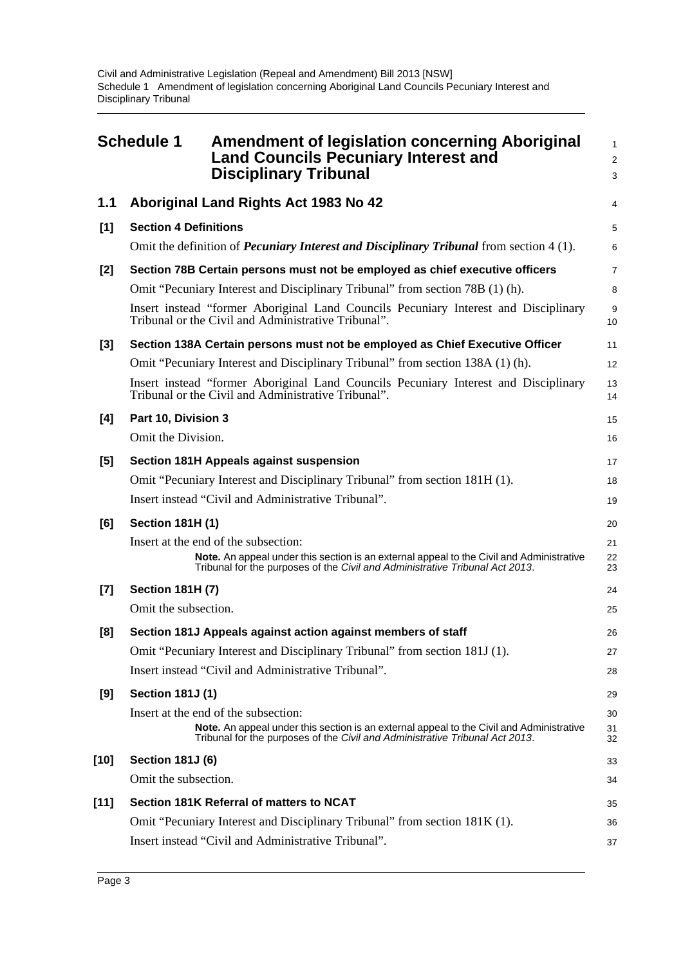<span id="page-6-0"></span>

|        | <b>Schedule 1</b>            | <b>Amendment of legislation concerning Aboriginal</b><br><b>Land Councils Pecuniary Interest and</b><br><b>Disciplinary Tribunal</b>                                                                             | $\mathbf{1}$<br>$\overline{2}$<br>3 |
|--------|------------------------------|------------------------------------------------------------------------------------------------------------------------------------------------------------------------------------------------------------------|-------------------------------------|
| 1.1    |                              | Aboriginal Land Rights Act 1983 No 42                                                                                                                                                                            | 4                                   |
| [1]    | <b>Section 4 Definitions</b> |                                                                                                                                                                                                                  | 5                                   |
|        |                              | Omit the definition of <i>Pecuniary Interest and Disciplinary Tribunal</i> from section 4 (1).                                                                                                                   | 6                                   |
| [2]    |                              | Section 78B Certain persons must not be employed as chief executive officers                                                                                                                                     | 7                                   |
|        |                              | Omit "Pecuniary Interest and Disciplinary Tribunal" from section 78B (1) (h).                                                                                                                                    | 8                                   |
|        |                              | Insert instead "former Aboriginal Land Councils Pecuniary Interest and Disciplinary<br>Tribunal or the Civil and Administrative Tribunal".                                                                       | 9<br>10                             |
| $[3]$  |                              | Section 138A Certain persons must not be employed as Chief Executive Officer                                                                                                                                     | 11                                  |
|        |                              | Omit "Pecuniary Interest and Disciplinary Tribunal" from section 138A (1) (h).                                                                                                                                   | 12                                  |
|        |                              | Insert instead "former Aboriginal Land Councils Pecuniary Interest and Disciplinary<br>Tribunal or the Civil and Administrative Tribunal".                                                                       | 13<br>14                            |
| [4]    | Part 10, Division 3          |                                                                                                                                                                                                                  | 15                                  |
|        | Omit the Division.           |                                                                                                                                                                                                                  | 16                                  |
| [5]    |                              | Section 181H Appeals against suspension                                                                                                                                                                          | 17                                  |
|        |                              | Omit "Pecuniary Interest and Disciplinary Tribunal" from section 181H (1).                                                                                                                                       | 18                                  |
|        |                              | Insert instead "Civil and Administrative Tribunal".                                                                                                                                                              | 19                                  |
| [6]    | <b>Section 181H (1)</b>      |                                                                                                                                                                                                                  | 20                                  |
|        |                              | Insert at the end of the subsection:<br>Note. An appeal under this section is an external appeal to the Civil and Administrative<br>Tribunal for the purposes of the Civil and Administrative Tribunal Act 2013. | 21<br>22<br>23                      |
| $[7]$  | <b>Section 181H (7)</b>      |                                                                                                                                                                                                                  | 24                                  |
|        | Omit the subsection.         |                                                                                                                                                                                                                  | 25                                  |
| [8]    |                              | Section 181J Appeals against action against members of staff                                                                                                                                                     | 26                                  |
|        |                              | Omit "Pecuniary Interest and Disciplinary Tribunal" from section 181J (1).                                                                                                                                       | 27                                  |
|        |                              | Insert instead "Civil and Administrative Tribunal".                                                                                                                                                              | 28                                  |
| [9]    | <b>Section 181J (1)</b>      |                                                                                                                                                                                                                  | 29                                  |
|        |                              | Insert at the end of the subsection:                                                                                                                                                                             | 30                                  |
|        |                              | Note. An appeal under this section is an external appeal to the Civil and Administrative<br>Tribunal for the purposes of the Civil and Administrative Tribunal Act 2013.                                         | 31<br>32                            |
| $[10]$ | <b>Section 181J (6)</b>      |                                                                                                                                                                                                                  | 33                                  |
|        | Omit the subsection.         |                                                                                                                                                                                                                  | 34                                  |
| $[11]$ |                              | Section 181K Referral of matters to NCAT                                                                                                                                                                         | 35                                  |
|        |                              | Omit "Pecuniary Interest and Disciplinary Tribunal" from section 181K (1).                                                                                                                                       | 36                                  |
|        |                              | Insert instead "Civil and Administrative Tribunal".                                                                                                                                                              | 37                                  |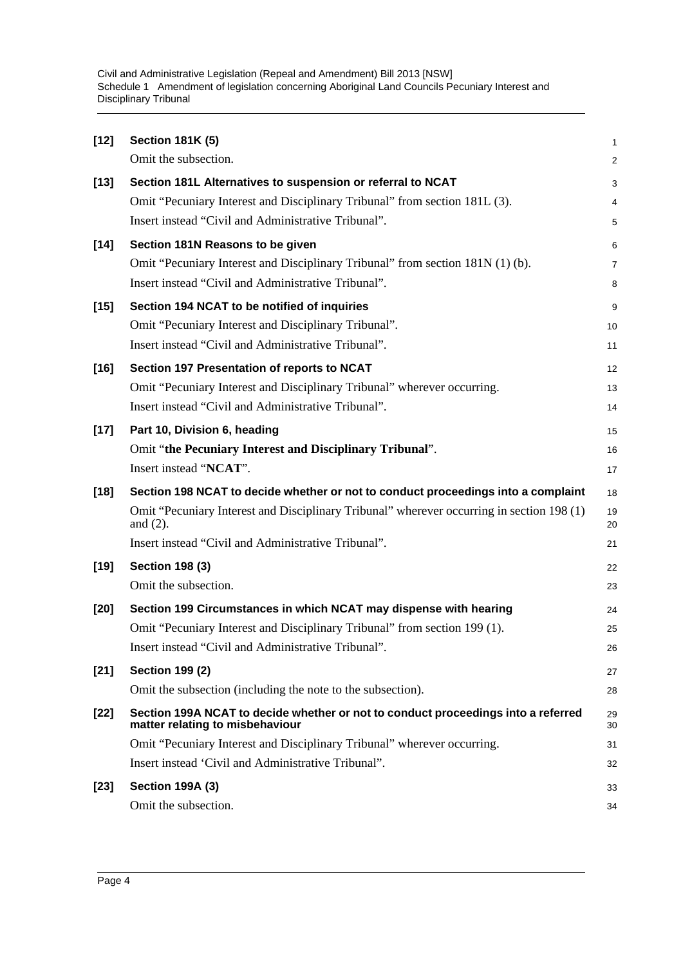Civil and Administrative Legislation (Repeal and Amendment) Bill 2013 [NSW] Schedule 1 Amendment of legislation concerning Aboriginal Land Councils Pecuniary Interest and Disciplinary Tribunal

| $[12]$ | <b>Section 181K (5)</b>                                                                                              | 1              |
|--------|----------------------------------------------------------------------------------------------------------------------|----------------|
|        | Omit the subsection.                                                                                                 | $\overline{c}$ |
| $[13]$ | Section 181L Alternatives to suspension or referral to NCAT                                                          | 3              |
|        | Omit "Pecuniary Interest and Disciplinary Tribunal" from section 181L (3).                                           | 4              |
|        | Insert instead "Civil and Administrative Tribunal".                                                                  | 5              |
| $[14]$ | Section 181N Reasons to be given                                                                                     | 6              |
|        | Omit "Pecuniary Interest and Disciplinary Tribunal" from section 181N (1) (b).                                       | $\overline{7}$ |
|        | Insert instead "Civil and Administrative Tribunal".                                                                  | 8              |
| $[15]$ | Section 194 NCAT to be notified of inquiries                                                                         | 9              |
|        | Omit "Pecuniary Interest and Disciplinary Tribunal".                                                                 | 10             |
|        | Insert instead "Civil and Administrative Tribunal".                                                                  | 11             |
| $[16]$ | Section 197 Presentation of reports to NCAT                                                                          | 12             |
|        | Omit "Pecuniary Interest and Disciplinary Tribunal" wherever occurring.                                              | 13             |
|        | Insert instead "Civil and Administrative Tribunal".                                                                  | 14             |
| $[17]$ | Part 10, Division 6, heading                                                                                         | 15             |
|        | Omit "the Pecuniary Interest and Disciplinary Tribunal".                                                             | 16             |
|        | Insert instead "NCAT".                                                                                               | 17             |
| $[18]$ | Section 198 NCAT to decide whether or not to conduct proceedings into a complaint                                    | 18             |
|        | Omit "Pecuniary Interest and Disciplinary Tribunal" wherever occurring in section 198 (1)<br>and $(2)$ .             | 19<br>20       |
|        | Insert instead "Civil and Administrative Tribunal".                                                                  | 21             |
| $[19]$ | <b>Section 198 (3)</b>                                                                                               | 22             |
|        | Omit the subsection.                                                                                                 | 23             |
| $[20]$ | Section 199 Circumstances in which NCAT may dispense with hearing                                                    | 24             |
|        | Omit "Pecuniary Interest and Disciplinary Tribunal" from section 199 (1).                                            | 25             |
|        | Insert instead "Civil and Administrative Tribunal".                                                                  | 26             |
| $[21]$ | <b>Section 199 (2)</b>                                                                                               | 27             |
|        | Omit the subsection (including the note to the subsection).                                                          | 28             |
| $[22]$ | Section 199A NCAT to decide whether or not to conduct proceedings into a referred<br>matter relating to misbehaviour | 29<br>30       |
|        | Omit "Pecuniary Interest and Disciplinary Tribunal" wherever occurring.                                              | 31             |
|        | Insert instead 'Civil and Administrative Tribunal".                                                                  | 32             |
| $[23]$ | <b>Section 199A (3)</b>                                                                                              | 33             |
|        | Omit the subsection.                                                                                                 | 34             |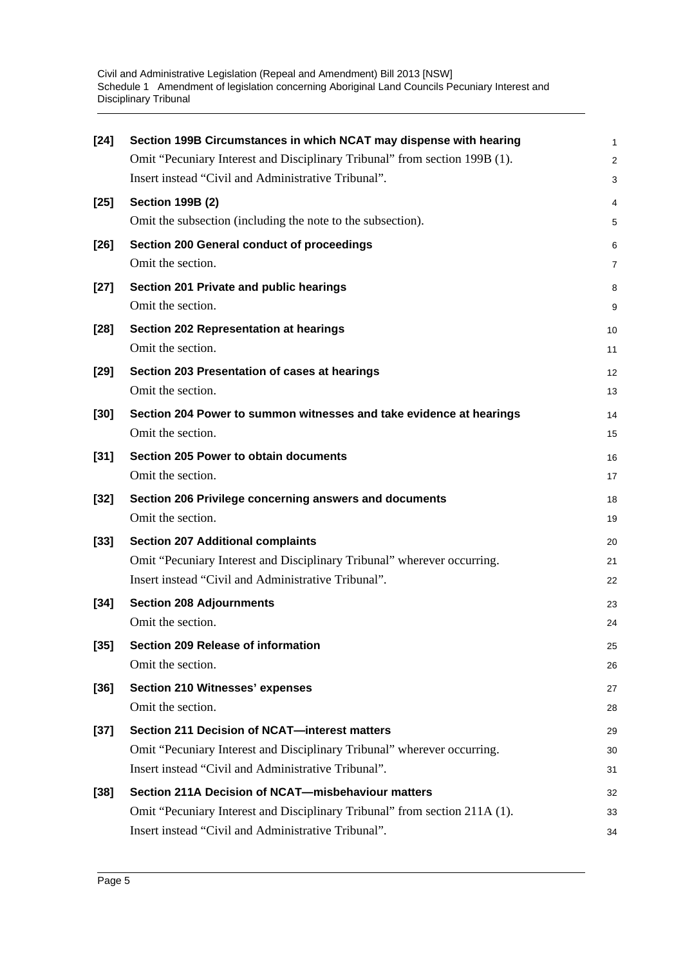| $[24]$ | Section 199B Circumstances in which NCAT may dispense with hearing         | 1              |
|--------|----------------------------------------------------------------------------|----------------|
|        | Omit "Pecuniary Interest and Disciplinary Tribunal" from section 199B (1). | $\overline{c}$ |
|        | Insert instead "Civil and Administrative Tribunal".                        | 3              |
| $[25]$ | <b>Section 199B (2)</b>                                                    | 4              |
|        | Omit the subsection (including the note to the subsection).                | 5              |
| $[26]$ | Section 200 General conduct of proceedings                                 | 6              |
|        | Omit the section.                                                          | 7              |
| $[27]$ | Section 201 Private and public hearings                                    | 8              |
|        | Omit the section.                                                          | 9              |
| $[28]$ | <b>Section 202 Representation at hearings</b>                              | 10             |
|        | Omit the section.                                                          | 11             |
| $[29]$ | Section 203 Presentation of cases at hearings                              | 12             |
|        | Omit the section.                                                          | 13             |
| $[30]$ | Section 204 Power to summon witnesses and take evidence at hearings        | 14             |
|        | Omit the section.                                                          | 15             |
| $[31]$ | <b>Section 205 Power to obtain documents</b>                               | 16             |
|        | Omit the section.                                                          | 17             |
| $[32]$ | Section 206 Privilege concerning answers and documents                     | 18             |
|        | Omit the section.                                                          | 19             |
| $[33]$ | <b>Section 207 Additional complaints</b>                                   | 20             |
|        | Omit "Pecuniary Interest and Disciplinary Tribunal" wherever occurring.    | 21             |
|        | Insert instead "Civil and Administrative Tribunal".                        | 22             |
| $[34]$ | <b>Section 208 Adjournments</b>                                            | 23             |
|        | Omit the section.                                                          | 24             |
| $[35]$ | Section 209 Release of information                                         | 25             |
|        | Omit the section.                                                          | 26             |
| $[36]$ | <b>Section 210 Witnesses' expenses</b>                                     | 27             |
|        | Omit the section.                                                          | 28             |
| $[37]$ | Section 211 Decision of NCAT-interest matters                              | 29             |
|        | Omit "Pecuniary Interest and Disciplinary Tribunal" wherever occurring.    | 30             |
|        | Insert instead "Civil and Administrative Tribunal".                        | 31             |
| $[38]$ | Section 211A Decision of NCAT-misbehaviour matters                         | 32             |
|        | Omit "Pecuniary Interest and Disciplinary Tribunal" from section 211A (1). | 33             |
|        | Insert instead "Civil and Administrative Tribunal".                        | 34             |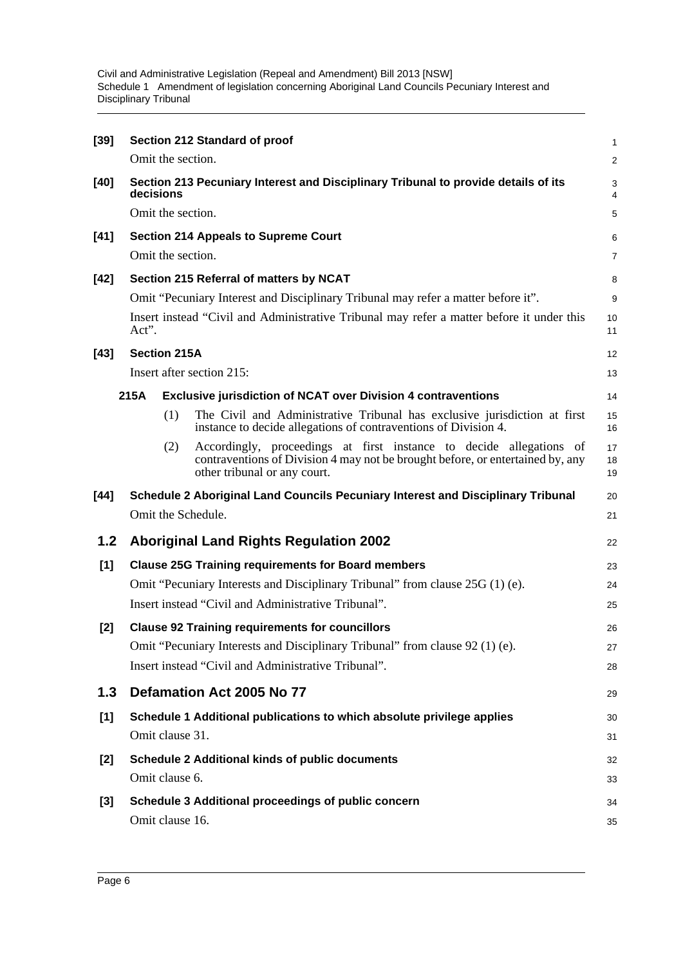Civil and Administrative Legislation (Repeal and Amendment) Bill 2013 [NSW] Schedule 1 Amendment of legislation concerning Aboriginal Land Councils Pecuniary Interest and Disciplinary Tribunal

| $[39]$ |       |                     | Section 212 Standard of proof                                                                                                                                                         | 1              |
|--------|-------|---------------------|---------------------------------------------------------------------------------------------------------------------------------------------------------------------------------------|----------------|
|        |       | Omit the section.   |                                                                                                                                                                                       | 2              |
| $[40]$ |       | decisions           | Section 213 Pecuniary Interest and Disciplinary Tribunal to provide details of its                                                                                                    | 3<br>4         |
|        |       | Omit the section.   |                                                                                                                                                                                       | 5              |
| $[41]$ |       |                     | <b>Section 214 Appeals to Supreme Court</b>                                                                                                                                           | 6              |
|        |       | Omit the section.   |                                                                                                                                                                                       | $\overline{7}$ |
| $[42]$ |       |                     | Section 215 Referral of matters by NCAT                                                                                                                                               | 8              |
|        |       |                     | Omit "Pecuniary Interest and Disciplinary Tribunal may refer a matter before it".                                                                                                     | 9              |
|        | Act". |                     | Insert instead "Civil and Administrative Tribunal may refer a matter before it under this                                                                                             | 10<br>11       |
| $[43]$ |       | <b>Section 215A</b> |                                                                                                                                                                                       | 12             |
|        |       |                     | Insert after section 215:                                                                                                                                                             | 13             |
|        | 215A  |                     | <b>Exclusive jurisdiction of NCAT over Division 4 contraventions</b>                                                                                                                  | 14             |
|        |       | (1)                 | The Civil and Administrative Tribunal has exclusive jurisdiction at first<br>instance to decide allegations of contraventions of Division 4.                                          | 15<br>16       |
|        |       | (2)                 | Accordingly, proceedings at first instance to decide allegations of<br>contraventions of Division 4 may not be brought before, or entertained by, any<br>other tribunal or any court. | 17<br>18<br>19 |
| $[44]$ |       |                     | Schedule 2 Aboriginal Land Councils Pecuniary Interest and Disciplinary Tribunal                                                                                                      | 20             |
|        |       |                     | Omit the Schedule.                                                                                                                                                                    | 21             |
| 1.2    |       |                     | <b>Aboriginal Land Rights Regulation 2002</b>                                                                                                                                         | 22             |
| [1]    |       |                     | <b>Clause 25G Training requirements for Board members</b>                                                                                                                             | 23             |
|        |       |                     | Omit "Pecuniary Interests and Disciplinary Tribunal" from clause 25G (1) (e).                                                                                                         | 24             |
|        |       |                     | Insert instead "Civil and Administrative Tribunal".                                                                                                                                   | 25             |
| $[2]$  |       |                     | <b>Clause 92 Training requirements for councillors</b>                                                                                                                                | 26             |
|        |       |                     | Omit "Pecuniary Interests and Disciplinary Tribunal" from clause 92 (1) (e).                                                                                                          | 27             |
|        |       |                     | Insert instead "Civil and Administrative Tribunal".                                                                                                                                   | 28             |
| 1.3    |       |                     | Defamation Act 2005 No 77                                                                                                                                                             | 29             |
| [1]    |       |                     | Schedule 1 Additional publications to which absolute privilege applies                                                                                                                | 30             |
|        |       | Omit clause 31.     |                                                                                                                                                                                       | 31             |
| $[2]$  |       |                     | <b>Schedule 2 Additional kinds of public documents</b>                                                                                                                                | 32             |
|        |       | Omit clause 6.      |                                                                                                                                                                                       | 33             |
| $[3]$  |       |                     | Schedule 3 Additional proceedings of public concern                                                                                                                                   | 34             |
|        |       |                     |                                                                                                                                                                                       |                |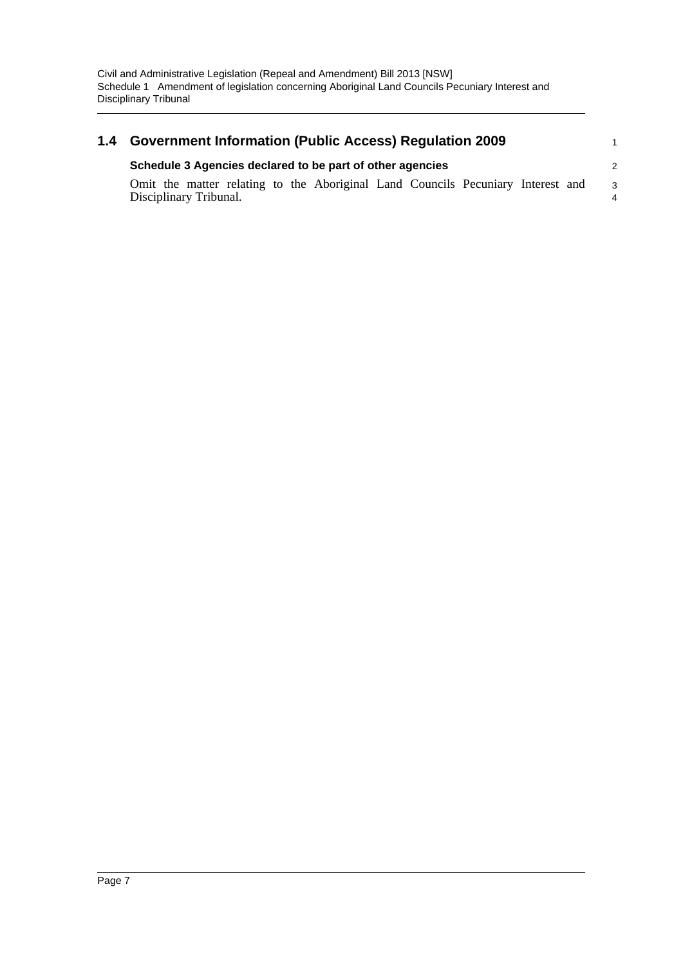#### **1.4 Government Information (Public Access) Regulation 2009 Schedule 3 Agencies declared to be part of other agencies** Omit the matter relating to the Aboriginal Land Councils Pecuniary Interest and Disciplinary Tribunal. 1 2 3 4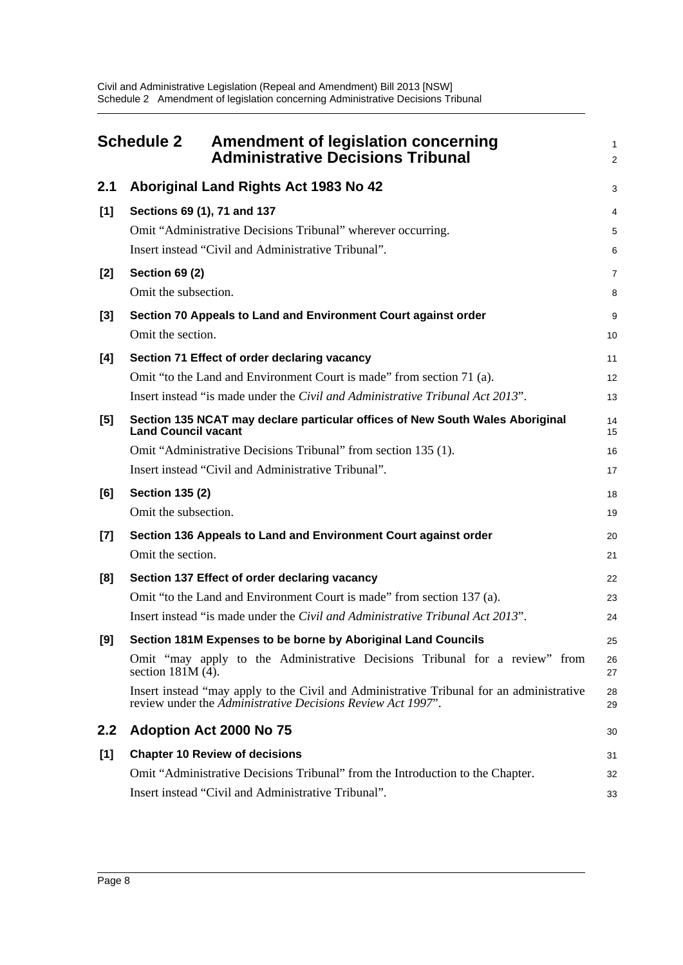<span id="page-11-0"></span>

|       | <b>Schedule 2</b><br><b>Amendment of legislation concerning</b><br><b>Administrative Decisions Tribunal</b>                                             | 1<br>$\overline{a}$ |
|-------|---------------------------------------------------------------------------------------------------------------------------------------------------------|---------------------|
| 2.1   | Aboriginal Land Rights Act 1983 No 42                                                                                                                   | 3                   |
| [1]   | Sections 69 (1), 71 and 137                                                                                                                             | 4                   |
|       | Omit "Administrative Decisions Tribunal" wherever occurring.                                                                                            | 5                   |
|       | Insert instead "Civil and Administrative Tribunal".                                                                                                     | 6                   |
| $[2]$ | <b>Section 69 (2)</b>                                                                                                                                   | 7                   |
|       | Omit the subsection.                                                                                                                                    | 8                   |
| $[3]$ | Section 70 Appeals to Land and Environment Court against order                                                                                          | 9                   |
|       | Omit the section.                                                                                                                                       | 10                  |
| [4]   | Section 71 Effect of order declaring vacancy                                                                                                            | 11                  |
|       | Omit "to the Land and Environment Court is made" from section 71 (a).                                                                                   | 12                  |
|       | Insert instead "is made under the <i>Civil and Administrative Tribunal Act 2013</i> ".                                                                  | 13                  |
| [5]   | Section 135 NCAT may declare particular offices of New South Wales Aboriginal<br><b>Land Council vacant</b>                                             | 14<br>15            |
|       | Omit "Administrative Decisions Tribunal" from section 135 (1).                                                                                          | 16                  |
|       | Insert instead "Civil and Administrative Tribunal".                                                                                                     | 17                  |
| [6]   | <b>Section 135 (2)</b>                                                                                                                                  | 18                  |
|       | Omit the subsection.                                                                                                                                    | 19                  |
| $[7]$ | Section 136 Appeals to Land and Environment Court against order                                                                                         | 20                  |
|       | Omit the section.                                                                                                                                       | 21                  |
| [8]   | Section 137 Effect of order declaring vacancy                                                                                                           | 22                  |
|       | Omit "to the Land and Environment Court is made" from section 137 (a).                                                                                  | 23                  |
|       | Insert instead "is made under the Civil and Administrative Tribunal Act 2013".                                                                          | 24                  |
| [9]   | Section 181M Expenses to be borne by Aboriginal Land Councils                                                                                           | 25                  |
|       | Omit "may apply to the Administrative Decisions Tribunal for a review" from<br>section $181M(4)$ .                                                      | 26<br>27            |
|       | Insert instead "may apply to the Civil and Administrative Tribunal for an administrative<br>review under the Administrative Decisions Review Act 1997". | 28<br>29            |
| 2.2   | <b>Adoption Act 2000 No 75</b>                                                                                                                          | 30                  |
| [1]   | <b>Chapter 10 Review of decisions</b>                                                                                                                   | 31                  |
|       | Omit "Administrative Decisions Tribunal" from the Introduction to the Chapter.                                                                          | 32                  |
|       | Insert instead "Civil and Administrative Tribunal".                                                                                                     | 33                  |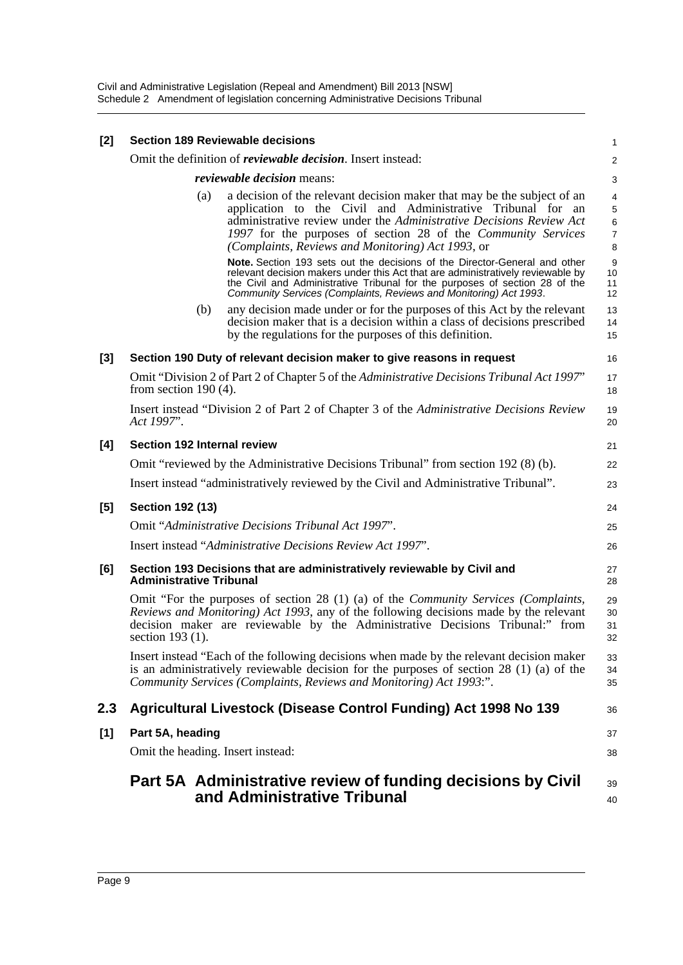| [2] | <b>Section 189 Reviewable decisions</b>                                                                                                                                                                                                                                                                                                    | 1                                  |
|-----|--------------------------------------------------------------------------------------------------------------------------------------------------------------------------------------------------------------------------------------------------------------------------------------------------------------------------------------------|------------------------------------|
|     | Omit the definition of <i>reviewable decision</i> . Insert instead:                                                                                                                                                                                                                                                                        | $\overline{c}$                     |
|     | <i>reviewable decision</i> means:                                                                                                                                                                                                                                                                                                          | 3                                  |
|     | a decision of the relevant decision maker that may be the subject of an<br>(a)<br>application to the Civil and Administrative Tribunal for an<br>administrative review under the Administrative Decisions Review Act<br>1997 for the purposes of section 28 of the Community Services<br>(Complaints, Reviews and Monitoring) Act 1993, or | $\overline{4}$<br>5<br>6<br>7<br>8 |
|     | Note. Section 193 sets out the decisions of the Director-General and other<br>relevant decision makers under this Act that are administratively reviewable by<br>the Civil and Administrative Tribunal for the purposes of section 28 of the<br>Community Services (Complaints, Reviews and Monitoring) Act 1993.                          | 9<br>10<br>11<br>12                |
|     | any decision made under or for the purposes of this Act by the relevant<br>(b)<br>decision maker that is a decision within a class of decisions prescribed<br>by the regulations for the purposes of this definition.                                                                                                                      | 13<br>14<br>15                     |
| [3] | Section 190 Duty of relevant decision maker to give reasons in request                                                                                                                                                                                                                                                                     | 16                                 |
|     | Omit "Division 2 of Part 2 of Chapter 5 of the Administrative Decisions Tribunal Act 1997"<br>from section $190(4)$ .                                                                                                                                                                                                                      | 17<br>18                           |
|     | Insert instead "Division 2 of Part 2 of Chapter 3 of the Administrative Decisions Review<br>Act 1997".                                                                                                                                                                                                                                     | 19<br>20                           |
| [4] | Section 192 Internal review                                                                                                                                                                                                                                                                                                                | 21                                 |
|     | Omit "reviewed by the Administrative Decisions Tribunal" from section 192 (8) (b).                                                                                                                                                                                                                                                         | 22                                 |
|     | Insert instead "administratively reviewed by the Civil and Administrative Tribunal".                                                                                                                                                                                                                                                       | 23                                 |
| [5] | <b>Section 192 (13)</b>                                                                                                                                                                                                                                                                                                                    | 24                                 |
|     | Omit "Administrative Decisions Tribunal Act 1997".                                                                                                                                                                                                                                                                                         | 25                                 |
|     | Insert instead "Administrative Decisions Review Act 1997".                                                                                                                                                                                                                                                                                 | 26                                 |
| [6] | Section 193 Decisions that are administratively reviewable by Civil and<br><b>Administrative Tribunal</b>                                                                                                                                                                                                                                  | 27<br>28                           |
|     | Omit "For the purposes of section 28 $(1)$ (a) of the <i>Community Services (Complaints,</i><br>Reviews and Monitoring) Act 1993, any of the following decisions made by the relevant<br>decision maker are reviewable by the Administrative Decisions Tribunal:" from<br>section 193 (1).                                                 | 29<br>30<br>31<br>32               |
|     | Insert instead "Each of the following decisions when made by the relevant decision maker<br>is an administratively reviewable decision for the purposes of section $28(1)(a)$ of the<br>Community Services (Complaints, Reviews and Monitoring) Act 1993:".                                                                                | 33<br>34<br>35                     |
| 2.3 | Agricultural Livestock (Disease Control Funding) Act 1998 No 139                                                                                                                                                                                                                                                                           | 36                                 |
| [1] | Part 5A, heading                                                                                                                                                                                                                                                                                                                           | 37                                 |
|     | Omit the heading. Insert instead:                                                                                                                                                                                                                                                                                                          | 38                                 |
|     | Part 5A Administrative review of funding decisions by Civil<br>and Administrative Tribunal                                                                                                                                                                                                                                                 | 39<br>40                           |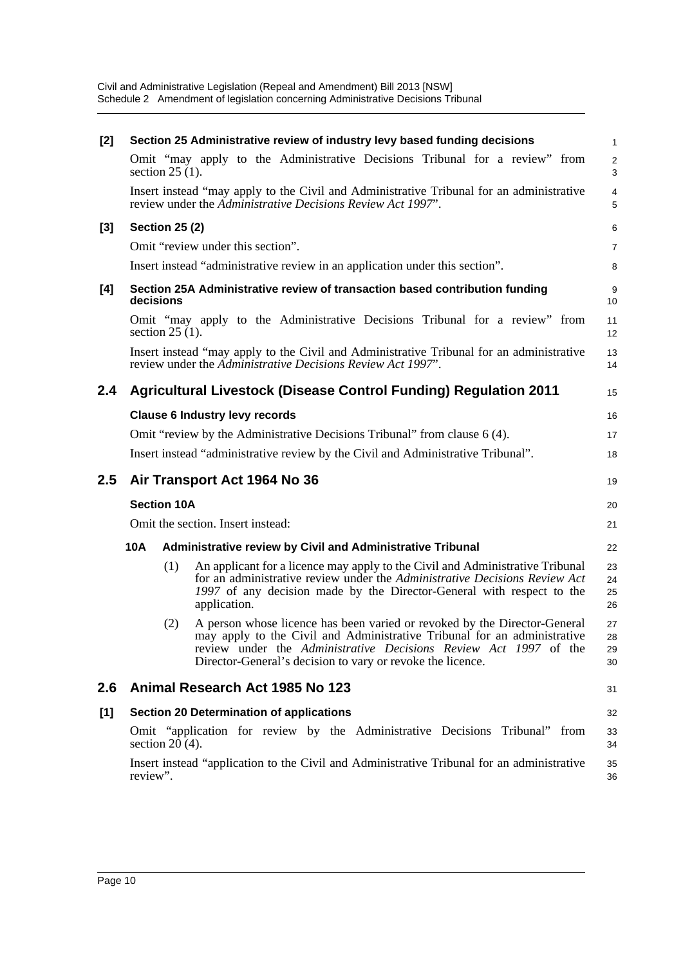| [2]   |                                                                                  |                       | Section 25 Administrative review of industry levy based funding decisions                                                                                                                                                                                                               | 1                    |  |
|-------|----------------------------------------------------------------------------------|-----------------------|-----------------------------------------------------------------------------------------------------------------------------------------------------------------------------------------------------------------------------------------------------------------------------------------|----------------------|--|
|       |                                                                                  | section $25(1)$ .     | Omit "may apply to the Administrative Decisions Tribunal for a review" from                                                                                                                                                                                                             | $\overline{a}$<br>3  |  |
|       |                                                                                  |                       | Insert instead "may apply to the Civil and Administrative Tribunal for an administrative<br>review under the Administrative Decisions Review Act 1997".                                                                                                                                 | 4<br>5               |  |
| $[3]$ |                                                                                  | <b>Section 25 (2)</b> |                                                                                                                                                                                                                                                                                         | 6                    |  |
|       |                                                                                  |                       | Omit "review under this section".                                                                                                                                                                                                                                                       | 7                    |  |
|       |                                                                                  |                       | Insert instead "administrative review in an application under this section".                                                                                                                                                                                                            | 8                    |  |
| [4]   |                                                                                  | decisions             | Section 25A Administrative review of transaction based contribution funding                                                                                                                                                                                                             | 9<br>10              |  |
|       |                                                                                  | section $25(1)$ .     | Omit "may apply to the Administrative Decisions Tribunal for a review" from                                                                                                                                                                                                             | 11<br>12             |  |
|       |                                                                                  |                       | Insert instead "may apply to the Civil and Administrative Tribunal for an administrative<br>review under the Administrative Decisions Review Act 1997".                                                                                                                                 | 13<br>14             |  |
| 2.4   |                                                                                  |                       | <b>Agricultural Livestock (Disease Control Funding) Regulation 2011</b>                                                                                                                                                                                                                 | 15                   |  |
|       |                                                                                  |                       | <b>Clause 6 Industry levy records</b>                                                                                                                                                                                                                                                   | 16                   |  |
|       |                                                                                  |                       | Omit "review by the Administrative Decisions Tribunal" from clause 6 (4).                                                                                                                                                                                                               | 17                   |  |
|       | Insert instead "administrative review by the Civil and Administrative Tribunal". |                       |                                                                                                                                                                                                                                                                                         |                      |  |
| 2.5   |                                                                                  |                       | Air Transport Act 1964 No 36                                                                                                                                                                                                                                                            | 19                   |  |
|       |                                                                                  | <b>Section 10A</b>    |                                                                                                                                                                                                                                                                                         | 20                   |  |
|       |                                                                                  |                       | Omit the section. Insert instead:                                                                                                                                                                                                                                                       | 21                   |  |
|       | 10A                                                                              |                       | <b>Administrative review by Civil and Administrative Tribunal</b>                                                                                                                                                                                                                       | 22                   |  |
|       |                                                                                  | (1)                   | An applicant for a licence may apply to the Civil and Administrative Tribunal<br>for an administrative review under the Administrative Decisions Review Act<br>1997 of any decision made by the Director-General with respect to the<br>application.                                    | 23<br>24<br>25<br>26 |  |
|       |                                                                                  | (2)                   | A person whose licence has been varied or revoked by the Director-General<br>may apply to the Civil and Administrative Tribunal for an administrative<br>review under the Administrative Decisions Review Act 1997 of the<br>Director-General's decision to vary or revoke the licence. | 27<br>28<br>29<br>30 |  |
| 2.6   |                                                                                  |                       | Animal Research Act 1985 No 123                                                                                                                                                                                                                                                         | 31                   |  |
| [1]   |                                                                                  |                       | <b>Section 20 Determination of applications</b>                                                                                                                                                                                                                                         | 32                   |  |
|       |                                                                                  | section $20(4)$ .     | Omit "application for review by the Administrative Decisions Tribunal"<br>from                                                                                                                                                                                                          | 33<br>34             |  |
|       | review".                                                                         |                       | Insert instead "application to the Civil and Administrative Tribunal for an administrative                                                                                                                                                                                              | 35<br>36             |  |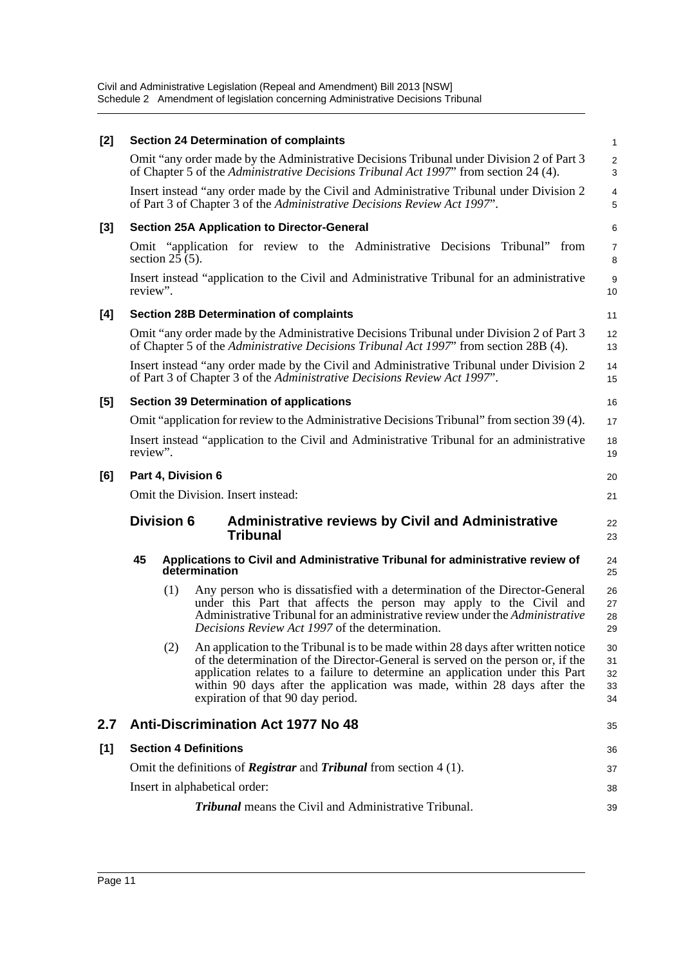| [2]   |          |                   | <b>Section 24 Determination of complaints</b>                                                                                                                                                                                                                                                                                                                           | 1                          |
|-------|----------|-------------------|-------------------------------------------------------------------------------------------------------------------------------------------------------------------------------------------------------------------------------------------------------------------------------------------------------------------------------------------------------------------------|----------------------------|
|       |          |                   | Omit "any order made by the Administrative Decisions Tribunal under Division 2 of Part 3<br>of Chapter 5 of the Administrative Decisions Tribunal Act 1997" from section 24 (4).                                                                                                                                                                                        | $\overline{2}$<br>3        |
|       |          |                   | Insert instead "any order made by the Civil and Administrative Tribunal under Division 2<br>of Part 3 of Chapter 3 of the Administrative Decisions Review Act 1997".                                                                                                                                                                                                    | 4<br>5                     |
| $[3]$ |          |                   | <b>Section 25A Application to Director-General</b>                                                                                                                                                                                                                                                                                                                      | 6                          |
|       |          | section $25(5)$ . | Omit "application for review to the Administrative Decisions"<br>Tribunal"<br>from                                                                                                                                                                                                                                                                                      | 7<br>8                     |
|       | review". |                   | Insert instead "application to the Civil and Administrative Tribunal for an administrative                                                                                                                                                                                                                                                                              | 9<br>10                    |
| [4]   |          |                   | <b>Section 28B Determination of complaints</b>                                                                                                                                                                                                                                                                                                                          | 11                         |
|       |          |                   | Omit "any order made by the Administrative Decisions Tribunal under Division 2 of Part 3<br>of Chapter 5 of the Administrative Decisions Tribunal Act 1997' from section 28B (4).                                                                                                                                                                                       | 12<br>13                   |
|       |          |                   | Insert instead "any order made by the Civil and Administrative Tribunal under Division 2<br>of Part 3 of Chapter 3 of the Administrative Decisions Review Act 1997".                                                                                                                                                                                                    | 14<br>15                   |
| [5]   |          |                   | <b>Section 39 Determination of applications</b>                                                                                                                                                                                                                                                                                                                         | 16                         |
|       |          |                   | Omit "application for review to the Administrative Decisions Tribunal" from section 39 (4).                                                                                                                                                                                                                                                                             | 17                         |
|       | review". |                   | Insert instead "application to the Civil and Administrative Tribunal for an administrative                                                                                                                                                                                                                                                                              | 18<br>19                   |
| [6]   |          |                   | Part 4, Division 6                                                                                                                                                                                                                                                                                                                                                      | 20                         |
|       |          |                   | Omit the Division. Insert instead:                                                                                                                                                                                                                                                                                                                                      | 21                         |
|       |          | <b>Division 6</b> | <b>Administrative reviews by Civil and Administrative</b><br><b>Tribunal</b>                                                                                                                                                                                                                                                                                            | 22<br>23                   |
|       | 45       |                   | Applications to Civil and Administrative Tribunal for administrative review of<br>determination                                                                                                                                                                                                                                                                         | 24<br>25                   |
|       |          | (1)               | Any person who is dissatisfied with a determination of the Director-General<br>under this Part that affects the person may apply to the Civil and<br>Administrative Tribunal for an administrative review under the Administrative<br>Decisions Review Act 1997 of the determination.                                                                                   | 26<br>27<br>28<br>29       |
|       |          |                   | (2) An application to the Tribunal is to be made within 28 days after written notice<br>of the determination of the Director-General is served on the person or, if the<br>application relates to a failure to determine an application under this Part<br>within 90 days after the application was made, within 28 days after the<br>expiration of that 90 day period. | 30<br>31<br>32<br>33<br>34 |
| 2.7   |          |                   | <b>Anti-Discrimination Act 1977 No 48</b>                                                                                                                                                                                                                                                                                                                               | 35                         |
| [1]   |          |                   | <b>Section 4 Definitions</b>                                                                                                                                                                                                                                                                                                                                            | 36                         |
|       |          |                   |                                                                                                                                                                                                                                                                                                                                                                         |                            |
|       |          |                   | Omit the definitions of <b>Registrar</b> and <b>Tribunal</b> from section $4(1)$ .                                                                                                                                                                                                                                                                                      | 37                         |
|       |          |                   | Insert in alphabetical order:                                                                                                                                                                                                                                                                                                                                           | 38                         |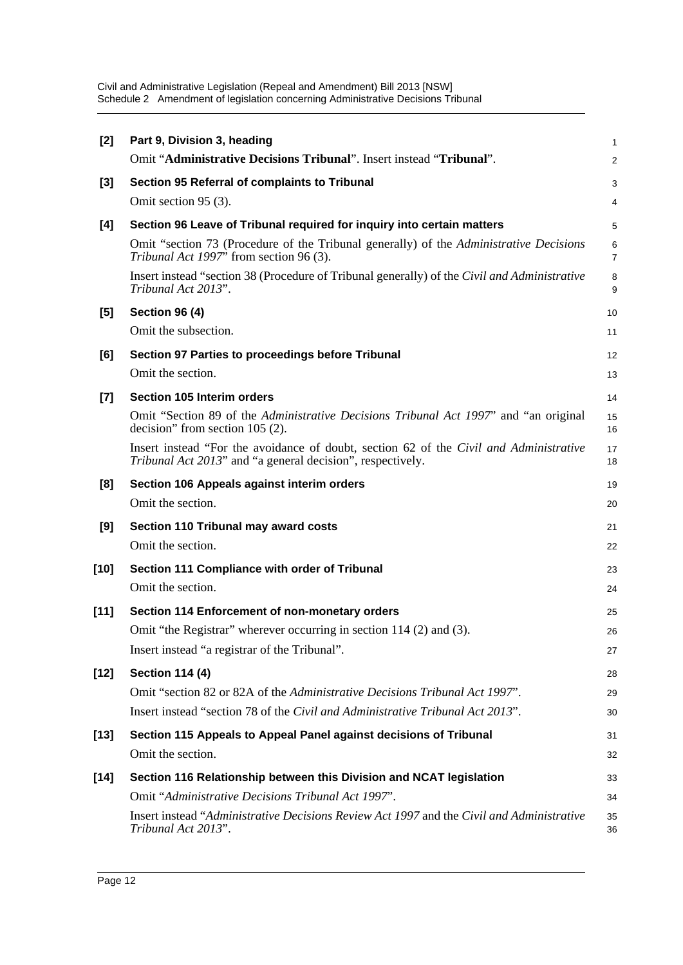| $[2]$  | Part 9, Division 3, heading                                                                                                                          | $\mathbf{1}$        |
|--------|------------------------------------------------------------------------------------------------------------------------------------------------------|---------------------|
|        | Omit "Administrative Decisions Tribunal". Insert instead "Tribunal".                                                                                 | 2                   |
| $[3]$  | Section 95 Referral of complaints to Tribunal                                                                                                        | 3                   |
|        | Omit section 95 (3).                                                                                                                                 | 4                   |
| [4]    | Section 96 Leave of Tribunal required for inquiry into certain matters                                                                               | 5                   |
|        | Omit "section 73 (Procedure of the Tribunal generally) of the Administrative Decisions<br>Tribunal Act 1997" from section 96 (3).                    | 6<br>$\overline{7}$ |
|        | Insert instead "section 38 (Procedure of Tribunal generally) of the Civil and Administrative<br>Tribunal Act 2013".                                  | 8<br>9              |
| [5]    | <b>Section 96 (4)</b>                                                                                                                                | 10                  |
|        | Omit the subsection.                                                                                                                                 | 11                  |
| [6]    | Section 97 Parties to proceedings before Tribunal                                                                                                    | 12                  |
|        | Omit the section.                                                                                                                                    | 13                  |
| $[7]$  | <b>Section 105 Interim orders</b>                                                                                                                    | 14                  |
|        | Omit "Section 89 of the Administrative Decisions Tribunal Act 1997" and "an original<br>decision" from section $105(2)$ .                            | 15<br>16            |
|        | Insert instead "For the avoidance of doubt, section 62 of the Civil and Administrative<br>Tribunal Act 2013" and "a general decision", respectively. | 17<br>18            |
| [8]    | Section 106 Appeals against interim orders                                                                                                           | 19                  |
|        | Omit the section.                                                                                                                                    | 20                  |
| [9]    | Section 110 Tribunal may award costs                                                                                                                 | 21                  |
|        | Omit the section.                                                                                                                                    | 22                  |
| [10]   | Section 111 Compliance with order of Tribunal                                                                                                        | 23                  |
|        | Omit the section.                                                                                                                                    | 24                  |
| $[11]$ | Section 114 Enforcement of non-monetary orders                                                                                                       | 25                  |
|        | Omit "the Registrar" wherever occurring in section 114 (2) and (3).                                                                                  | 26                  |
|        | Insert instead "a registrar of the Tribunal".                                                                                                        | 27                  |
| $[12]$ | <b>Section 114 (4)</b>                                                                                                                               | 28                  |
|        | Omit "section 82 or 82A of the Administrative Decisions Tribunal Act 1997".                                                                          | 29                  |
|        | Insert instead "section 78 of the Civil and Administrative Tribunal Act 2013".                                                                       | 30                  |
| [13]   | Section 115 Appeals to Appeal Panel against decisions of Tribunal                                                                                    | 31                  |
|        | Omit the section.                                                                                                                                    | 32                  |
| $[14]$ | Section 116 Relationship between this Division and NCAT legislation                                                                                  | 33                  |
|        | Omit "Administrative Decisions Tribunal Act 1997".                                                                                                   | 34                  |
|        | Insert instead "Administrative Decisions Review Act 1997 and the Civil and Administrative<br>Tribunal Act 2013".                                     | 35<br>36            |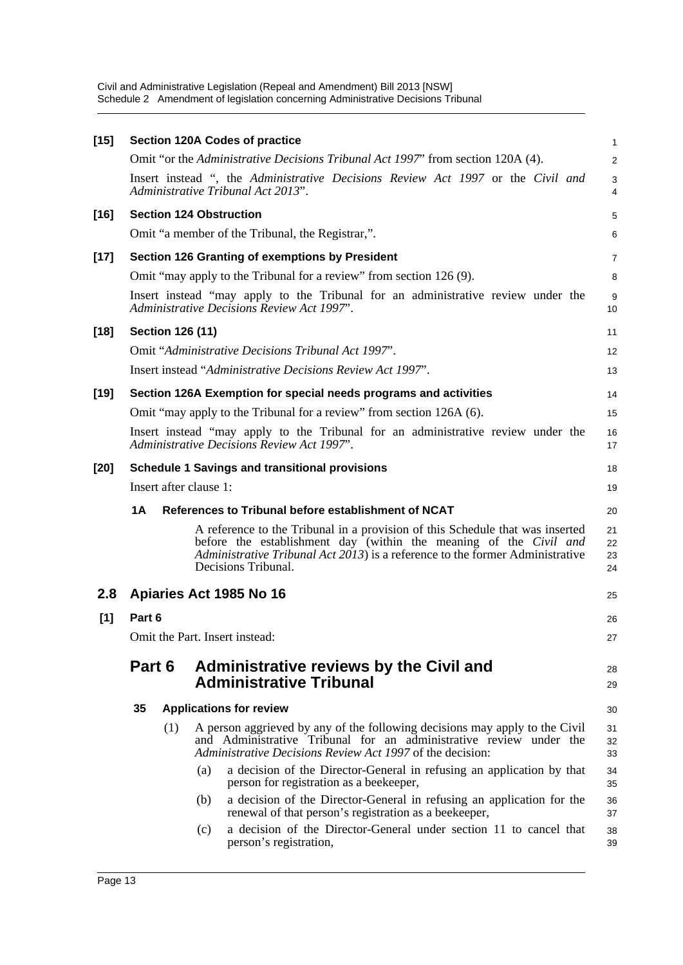| $[15]$ |           | <b>Section 120A Codes of practice</b>                                                                                                                                                                                                                      | $\mathbf{1}$         |
|--------|-----------|------------------------------------------------------------------------------------------------------------------------------------------------------------------------------------------------------------------------------------------------------------|----------------------|
|        |           | Omit "or the Administrative Decisions Tribunal Act 1997" from section 120A (4).                                                                                                                                                                            | 2                    |
|        |           | Insert instead ", the Administrative Decisions Review Act 1997 or the Civil and<br>Administrative Tribunal Act 2013".                                                                                                                                      | $\mathsf 3$<br>4     |
| $[16]$ |           | <b>Section 124 Obstruction</b>                                                                                                                                                                                                                             | 5                    |
|        |           | Omit "a member of the Tribunal, the Registrar,".                                                                                                                                                                                                           | 6                    |
| $[17]$ |           | Section 126 Granting of exemptions by President                                                                                                                                                                                                            | $\overline{7}$       |
|        |           | Omit "may apply to the Tribunal for a review" from section 126 (9).                                                                                                                                                                                        | 8                    |
|        |           | Insert instead "may apply to the Tribunal for an administrative review under the<br>Administrative Decisions Review Act 1997".                                                                                                                             | 9<br>10              |
| $[18]$ |           | <b>Section 126 (11)</b>                                                                                                                                                                                                                                    | 11                   |
|        |           | Omit "Administrative Decisions Tribunal Act 1997".                                                                                                                                                                                                         | 12                   |
|        |           | Insert instead "Administrative Decisions Review Act 1997".                                                                                                                                                                                                 | 13                   |
| $[19]$ |           | Section 126A Exemption for special needs programs and activities                                                                                                                                                                                           | 14                   |
|        |           | Omit "may apply to the Tribunal for a review" from section 126A (6).                                                                                                                                                                                       | 15                   |
|        |           | Insert instead "may apply to the Tribunal for an administrative review under the<br>Administrative Decisions Review Act 1997".                                                                                                                             | 16<br>17             |
| $[20]$ |           | <b>Schedule 1 Savings and transitional provisions</b>                                                                                                                                                                                                      | 18                   |
|        |           | Insert after clause 1:                                                                                                                                                                                                                                     | 19                   |
|        | <b>1A</b> | References to Tribunal before establishment of NCAT                                                                                                                                                                                                        | 20                   |
|        |           | A reference to the Tribunal in a provision of this Schedule that was inserted<br>before the establishment day (within the meaning of the Civil and<br>Administrative Tribunal Act 2013) is a reference to the former Administrative<br>Decisions Tribunal. | 21<br>22<br>23<br>24 |
| 2.8    |           | Apiaries Act 1985 No 16                                                                                                                                                                                                                                    | 25                   |
| [1]    | Part 6    |                                                                                                                                                                                                                                                            | 26                   |
|        |           | Omit the Part. Insert instead:                                                                                                                                                                                                                             | 27                   |
|        |           |                                                                                                                                                                                                                                                            |                      |
|        | Part 6    | Administrative reviews by the Civil and<br><b>Administrative Tribunal</b>                                                                                                                                                                                  | 28<br>29             |
|        | 35        | <b>Applications for review</b>                                                                                                                                                                                                                             | 30                   |
|        |           | A person aggrieved by any of the following decisions may apply to the Civil<br>(1)<br>and Administrative Tribunal for an administrative review under the<br>Administrative Decisions Review Act 1997 of the decision:                                      | 31<br>32<br>33       |
|        |           | a decision of the Director-General in refusing an application by that<br>(a)<br>person for registration as a beekeeper,                                                                                                                                    | 34<br>35             |
|        |           | a decision of the Director-General in refusing an application for the<br>(b)<br>renewal of that person's registration as a beekeeper,                                                                                                                      | 36<br>37             |
|        |           | a decision of the Director-General under section 11 to cancel that<br>(c)<br>person's registration,                                                                                                                                                        | 38<br>39             |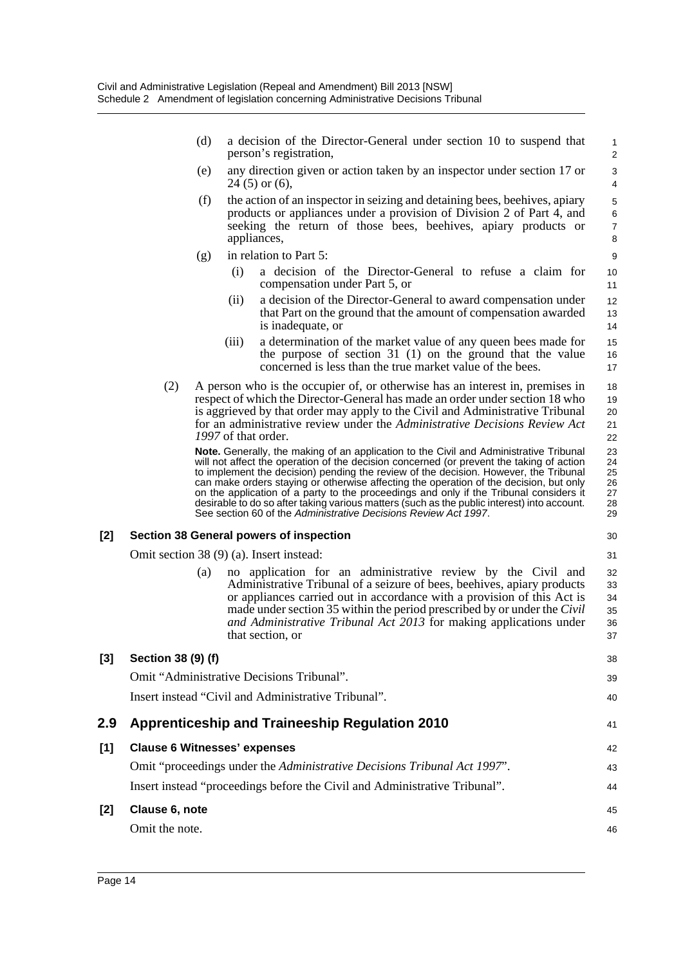(d) a decision of the Director-General under section 10 to suspend that person's registration,

- (e) any direction given or action taken by an inspector under section 17 or  $24(5)$  or  $(6)$ ,
- (f) the action of an inspector in seizing and detaining bees, beehives, apiary products or appliances under a provision of Division 2 of Part 4, and seeking the return of those bees, beehives, apiary products or appliances,
- (g) in relation to Part 5:
	- (i) a decision of the Director-General to refuse a claim for compensation under Part 5, or
	- (ii) a decision of the Director-General to award compensation under that Part on the ground that the amount of compensation awarded is inadequate, or
	- (iii) a determination of the market value of any queen bees made for the purpose of section 31 (1) on the ground that the value concerned is less than the true market value of the bees.
- (2) A person who is the occupier of, or otherwise has an interest in, premises in respect of which the Director-General has made an order under section 18 who is aggrieved by that order may apply to the Civil and Administrative Tribunal for an administrative review under the *Administrative Decisions Review Act 1997* of that order. 18 19 20 21 22

**Note.** Generally, the making of an application to the Civil and Administrative Tribunal will not affect the operation of the decision concerned (or prevent the taking of action to implement the decision) pending the review of the decision. However, the Tribunal can make orders staying or otherwise affecting the operation of the decision, but only on the application of a party to the proceedings and only if the Tribunal considers it desirable to do so after taking various matters (such as the public interest) into account. See section 60 of the *Administrative Decisions Review Act 1997*.

#### **[2] Section 38 General powers of inspection**

Omit section 38 (9) (a). Insert instead:

(a) no application for an administrative review by the Civil and Administrative Tribunal of a seizure of bees, beehives, apiary products or appliances carried out in accordance with a provision of this Act is made under section 35 within the period prescribed by or under the *Civil and Administrative Tribunal Act 2013* for making applications under that section, or 32 33 34 35 36 37

| Section 38 (9) (f)                                                         | 38 |
|----------------------------------------------------------------------------|----|
| Omit "Administrative Decisions Tribunal".                                  | 39 |
| Insert instead "Civil and Administrative Tribunal".                        | 40 |
| Apprenticeship and Traineeship Regulation 2010                             | 41 |
| <b>Clause 6 Witnesses' expenses</b>                                        | 42 |
| Omit "proceedings under the Administrative Decisions Tribunal Act 1997".   | 43 |
| Insert instead "proceedings before the Civil and Administrative Tribunal". | 44 |
| Clause 6, note                                                             | 45 |
| Omit the note.                                                             | 46 |
|                                                                            |    |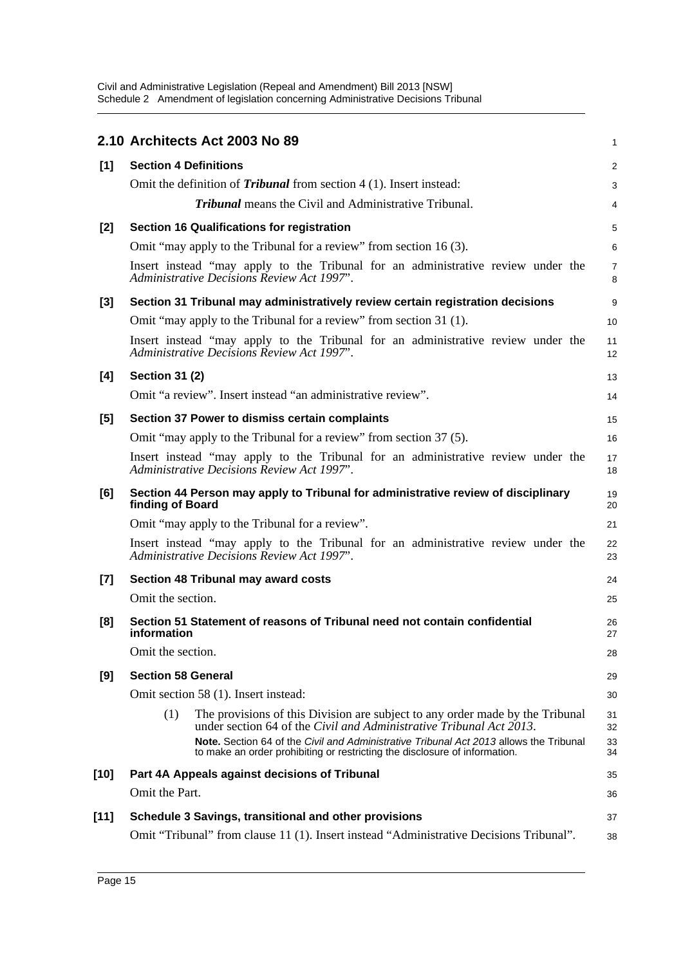|        | 2.10 Architects Act 2003 No 89                                                                                                                                       | 1              |
|--------|----------------------------------------------------------------------------------------------------------------------------------------------------------------------|----------------|
| [1]    | <b>Section 4 Definitions</b>                                                                                                                                         | $\overline{a}$ |
|        | Omit the definition of <i>Tribunal</i> from section $4(1)$ . Insert instead:                                                                                         | 3              |
|        | <b>Tribunal</b> means the Civil and Administrative Tribunal.                                                                                                         | 4              |
| [2]    | <b>Section 16 Qualifications for registration</b>                                                                                                                    | 5              |
|        | Omit "may apply to the Tribunal for a review" from section 16 (3).                                                                                                   | 6              |
|        | Insert instead "may apply to the Tribunal for an administrative review under the<br>Administrative Decisions Review Act 1997".                                       | 7<br>8         |
| $[3]$  | Section 31 Tribunal may administratively review certain registration decisions                                                                                       | 9              |
|        | Omit "may apply to the Tribunal for a review" from section 31 (1).                                                                                                   | 10             |
|        | Insert instead "may apply to the Tribunal for an administrative review under the<br><b>Administrative Decisions Review Act 1997".</b>                                | 11<br>12       |
| [4]    | <b>Section 31 (2)</b>                                                                                                                                                | 13             |
|        | Omit "a review". Insert instead "an administrative review".                                                                                                          | 14             |
| [5]    | Section 37 Power to dismiss certain complaints                                                                                                                       | 15             |
|        | Omit "may apply to the Tribunal for a review" from section 37 (5).                                                                                                   | 16             |
|        | Insert instead "may apply to the Tribunal for an administrative review under the<br><b>Administrative Decisions Review Act 1997'.</b>                                | 17<br>18       |
| [6]    | Section 44 Person may apply to Tribunal for administrative review of disciplinary<br>finding of Board                                                                | 19<br>20       |
|        | Omit "may apply to the Tribunal for a review".                                                                                                                       | 21             |
|        | Insert instead "may apply to the Tribunal for an administrative review under the<br>Administrative Decisions Review Act 1997".                                       | 22<br>23       |
| $[7]$  | Section 48 Tribunal may award costs                                                                                                                                  | 24             |
|        | Omit the section.                                                                                                                                                    | 25             |
| [8]    | Section 51 Statement of reasons of Tribunal need not contain confidential<br>information                                                                             | 26<br>27       |
|        | Omit the section.                                                                                                                                                    | 28             |
| [9]    | <b>Section 58 General</b>                                                                                                                                            | 29             |
|        | Omit section 58 (1). Insert instead:                                                                                                                                 | 30             |
|        | The provisions of this Division are subject to any order made by the Tribunal<br>(1)<br>under section 64 of the Civil and Administrative Tribunal Act 2013.          | 31<br>32       |
|        | Note. Section 64 of the Civil and Administrative Tribunal Act 2013 allows the Tribunal<br>to make an order prohibiting or restricting the disclosure of information. | 33<br>34       |
| [10]   | Part 4A Appeals against decisions of Tribunal                                                                                                                        | 35             |
|        | Omit the Part.                                                                                                                                                       | 36             |
| $[11]$ | Schedule 3 Savings, transitional and other provisions                                                                                                                | 37             |
|        | Omit "Tribunal" from clause 11 (1). Insert instead "Administrative Decisions Tribunal".                                                                              | 38             |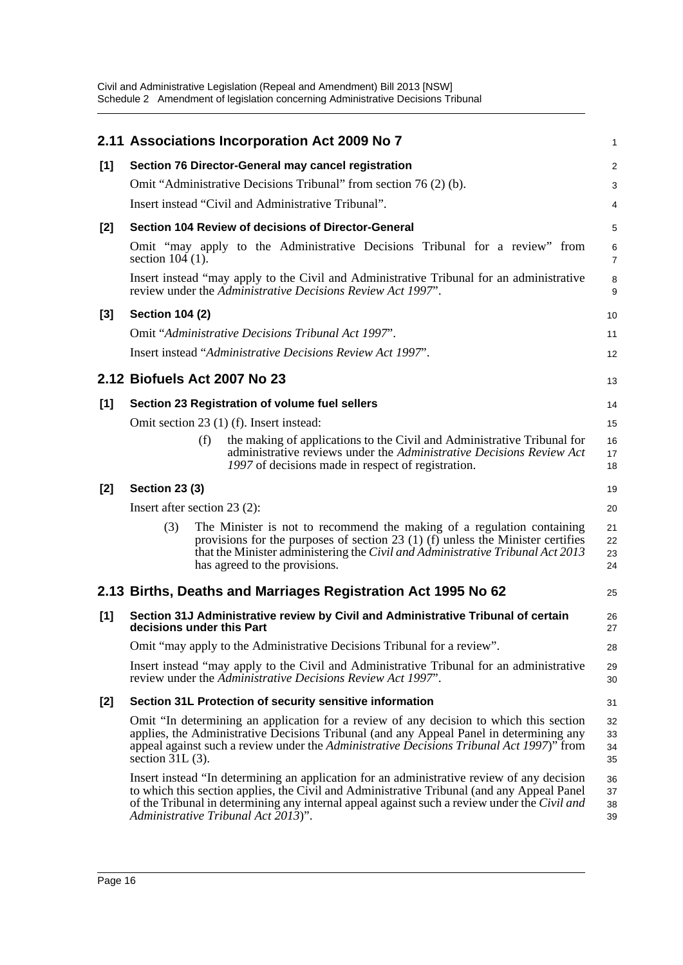|       | 2.11 Associations Incorporation Act 2009 No 7                                                                                                                                                                                                                                                                                   | 1                    |
|-------|---------------------------------------------------------------------------------------------------------------------------------------------------------------------------------------------------------------------------------------------------------------------------------------------------------------------------------|----------------------|
| [1]   | Section 76 Director-General may cancel registration                                                                                                                                                                                                                                                                             | 2                    |
|       | Omit "Administrative Decisions Tribunal" from section 76(2)(b).                                                                                                                                                                                                                                                                 | 3                    |
|       | Insert instead "Civil and Administrative Tribunal".                                                                                                                                                                                                                                                                             | 4                    |
| $[2]$ | Section 104 Review of decisions of Director-General                                                                                                                                                                                                                                                                             | 5                    |
|       | Omit "may apply to the Administrative Decisions Tribunal for a review" from<br>section $104$ (1).                                                                                                                                                                                                                               | 6<br>$\overline{7}$  |
|       | Insert instead "may apply to the Civil and Administrative Tribunal for an administrative<br>review under the Administrative Decisions Review Act 1997".                                                                                                                                                                         | 8<br>9               |
| $[3]$ | <b>Section 104 (2)</b>                                                                                                                                                                                                                                                                                                          | 10                   |
|       | Omit "Administrative Decisions Tribunal Act 1997".                                                                                                                                                                                                                                                                              | 11                   |
|       | Insert instead "Administrative Decisions Review Act 1997".                                                                                                                                                                                                                                                                      | 12                   |
|       | 2.12 Biofuels Act 2007 No 23                                                                                                                                                                                                                                                                                                    | 13                   |
| [1]   | Section 23 Registration of volume fuel sellers                                                                                                                                                                                                                                                                                  | 14                   |
|       | Omit section 23 (1) (f). Insert instead:                                                                                                                                                                                                                                                                                        | 15                   |
|       | (f)<br>the making of applications to the Civil and Administrative Tribunal for<br>administrative reviews under the Administrative Decisions Review Act<br>1997 of decisions made in respect of registration.                                                                                                                    | 16<br>17<br>18       |
| [2]   | <b>Section 23 (3)</b>                                                                                                                                                                                                                                                                                                           | 19                   |
|       | Insert after section $23(2)$ :                                                                                                                                                                                                                                                                                                  | 20                   |
|       | The Minister is not to recommend the making of a regulation containing<br>(3)<br>provisions for the purposes of section 23 (1) (f) unless the Minister certifies<br>that the Minister administering the Civil and Administrative Tribunal Act 2013<br>has agreed to the provisions.                                             | 21<br>22<br>23<br>24 |
|       | 2.13 Births, Deaths and Marriages Registration Act 1995 No 62                                                                                                                                                                                                                                                                   | 25                   |
| [1]   | Section 31J Administrative review by Civil and Administrative Tribunal of certain<br>decisions under this Part                                                                                                                                                                                                                  | 26<br>27             |
|       | Omit "may apply to the Administrative Decisions Tribunal for a review".                                                                                                                                                                                                                                                         | 28                   |
|       | Insert instead "may apply to the Civil and Administrative Tribunal for an administrative<br>review under the Administrative Decisions Review Act 1997".                                                                                                                                                                         | 29<br>30             |
| $[2]$ | Section 31L Protection of security sensitive information                                                                                                                                                                                                                                                                        | 31                   |
|       | Omit "In determining an application for a review of any decision to which this section<br>applies, the Administrative Decisions Tribunal (and any Appeal Panel in determining any<br>appeal against such a review under the Administrative Decisions Tribunal Act 1997)" from<br>section $31L(3)$ .                             | 32<br>33<br>34<br>35 |
|       | Insert instead "In determining an application for an administrative review of any decision<br>to which this section applies, the Civil and Administrative Tribunal (and any Appeal Panel<br>of the Tribunal in determining any internal appeal against such a review under the Civil and<br>Administrative Tribunal Act 2013)". | 36<br>37<br>38<br>39 |
|       |                                                                                                                                                                                                                                                                                                                                 |                      |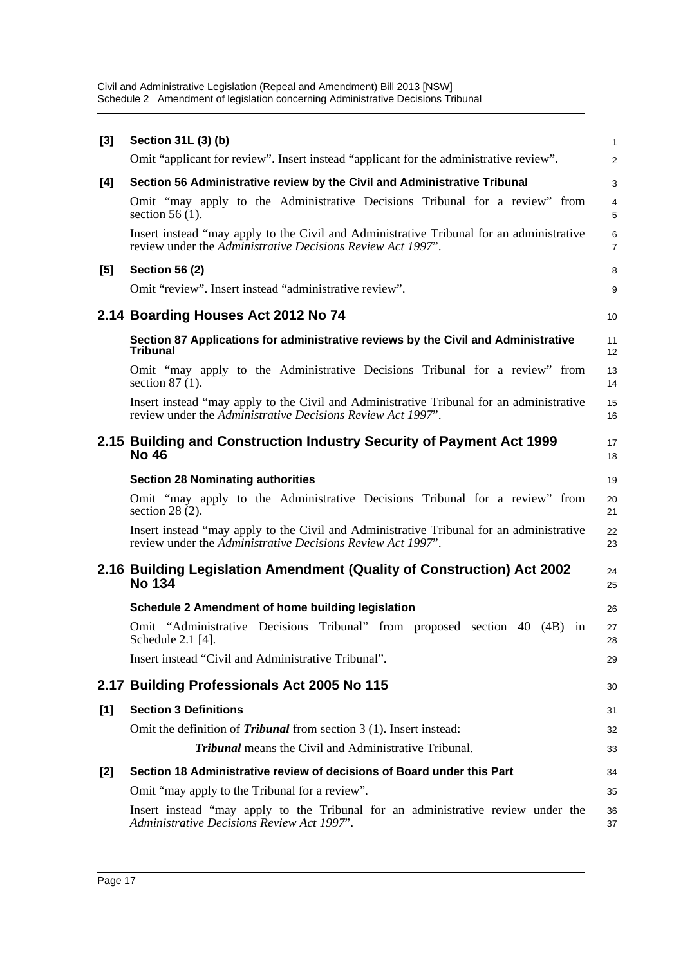| $[3]$ | Section 31L (3) (b)                                                                                                                                     | $\mathbf{1}$        |
|-------|---------------------------------------------------------------------------------------------------------------------------------------------------------|---------------------|
|       | Omit "applicant for review". Insert instead "applicant for the administrative review".                                                                  | $\overline{2}$      |
| [4]   | Section 56 Administrative review by the Civil and Administrative Tribunal                                                                               | 3                   |
|       | Omit "may apply to the Administrative Decisions Tribunal for a review" from<br>section $56(1)$ .                                                        | 4<br>5              |
|       | Insert instead "may apply to the Civil and Administrative Tribunal for an administrative<br>review under the Administrative Decisions Review Act 1997". | 6<br>$\overline{7}$ |
| $[5]$ | <b>Section 56 (2)</b>                                                                                                                                   | 8                   |
|       | Omit "review". Insert instead "administrative review".                                                                                                  | 9                   |
|       | 2.14 Boarding Houses Act 2012 No 74                                                                                                                     | 10                  |
|       | Section 87 Applications for administrative reviews by the Civil and Administrative<br><b>Tribunal</b>                                                   | 11<br>12            |
|       | Omit "may apply to the Administrative Decisions Tribunal for a review" from<br>section $87(1)$ .                                                        | 13<br>14            |
|       | Insert instead "may apply to the Civil and Administrative Tribunal for an administrative<br>review under the Administrative Decisions Review Act 1997". | 15<br>16            |
|       | 2.15 Building and Construction Industry Security of Payment Act 1999<br><b>No 46</b>                                                                    | 17<br>18            |
|       | <b>Section 28 Nominating authorities</b>                                                                                                                | 19                  |
|       | Omit "may apply to the Administrative Decisions Tribunal for a review" from<br>section $28(2)$ .                                                        | 20<br>21            |
|       | Insert instead "may apply to the Civil and Administrative Tribunal for an administrative<br>review under the Administrative Decisions Review Act 1997". | 22<br>23            |
|       | 2.16 Building Legislation Amendment (Quality of Construction) Act 2002<br><b>No 134</b>                                                                 | 24<br>25            |
|       | Schedule 2 Amendment of home building legislation                                                                                                       | 26                  |
|       | Omit "Administrative Decisions Tribunal" from proposed section 40 (4B) in<br>Schedule 2.1 [4].                                                          | 27<br>28            |
|       | Insert instead "Civil and Administrative Tribunal".                                                                                                     | 29                  |
|       | 2.17 Building Professionals Act 2005 No 115                                                                                                             | 30                  |
| [1]   | <b>Section 3 Definitions</b>                                                                                                                            | 31                  |
|       | Omit the definition of <i>Tribunal</i> from section 3 (1). Insert instead:                                                                              | 32                  |
|       | <b>Tribunal</b> means the Civil and Administrative Tribunal.                                                                                            | 33                  |
| $[2]$ | Section 18 Administrative review of decisions of Board under this Part                                                                                  | 34                  |
|       | Omit "may apply to the Tribunal for a review".                                                                                                          | 35                  |
|       | Insert instead "may apply to the Tribunal for an administrative review under the<br>Administrative Decisions Review Act 1997".                          | 36<br>37            |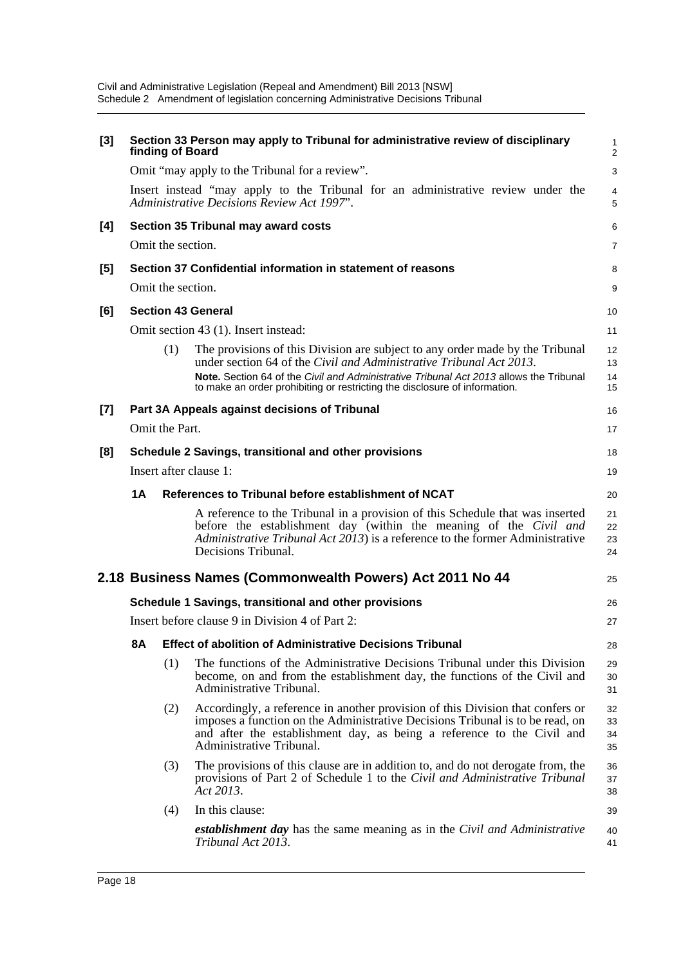| [3] |    | finding of Board             | Section 33 Person may apply to Tribunal for administrative review of disciplinary                                                                                                                                                                                                                                            | 1<br>2               |
|-----|----|------------------------------|------------------------------------------------------------------------------------------------------------------------------------------------------------------------------------------------------------------------------------------------------------------------------------------------------------------------------|----------------------|
|     |    |                              | Omit "may apply to the Tribunal for a review".                                                                                                                                                                                                                                                                               | 3                    |
|     |    |                              | Insert instead "may apply to the Tribunal for an administrative review under the<br>Administrative Decisions Review Act 1997".                                                                                                                                                                                               | 4<br>5               |
| [4] |    |                              | Section 35 Tribunal may award costs                                                                                                                                                                                                                                                                                          | 6                    |
|     |    | Omit the section.            |                                                                                                                                                                                                                                                                                                                              | 7                    |
| [5] |    |                              | Section 37 Confidential information in statement of reasons                                                                                                                                                                                                                                                                  | 8                    |
|     |    | Omit the section.            |                                                                                                                                                                                                                                                                                                                              | 9                    |
| [6] |    |                              | <b>Section 43 General</b>                                                                                                                                                                                                                                                                                                    | 10                   |
|     |    |                              | Omit section 43 (1). Insert instead:                                                                                                                                                                                                                                                                                         | 11                   |
|     |    | (1)                          | The provisions of this Division are subject to any order made by the Tribunal<br>under section 64 of the Civil and Administrative Tribunal Act 2013.<br>Note. Section 64 of the Civil and Administrative Tribunal Act 2013 allows the Tribunal<br>to make an order prohibiting or restricting the disclosure of information. | 12<br>13<br>14<br>15 |
| [7] |    |                              | Part 3A Appeals against decisions of Tribunal                                                                                                                                                                                                                                                                                | 16                   |
|     |    | Omit the Part.               |                                                                                                                                                                                                                                                                                                                              | 17                   |
| [8] |    |                              | Schedule 2 Savings, transitional and other provisions                                                                                                                                                                                                                                                                        | 18                   |
|     |    | Insert after clause 1:<br>19 |                                                                                                                                                                                                                                                                                                                              |                      |
|     | 1Α |                              | References to Tribunal before establishment of NCAT                                                                                                                                                                                                                                                                          | 20                   |
|     |    |                              | A reference to the Tribunal in a provision of this Schedule that was inserted<br>before the establishment day (within the meaning of the <i>Civil and</i><br>Administrative Tribunal Act 2013) is a reference to the former Administrative<br>Decisions Tribunal.                                                            | 21<br>22<br>23<br>24 |
|     |    |                              | 2.18 Business Names (Commonwealth Powers) Act 2011 No 44                                                                                                                                                                                                                                                                     | 25                   |
|     |    |                              | Schedule 1 Savings, transitional and other provisions                                                                                                                                                                                                                                                                        | 26                   |
|     |    |                              | Insert before clause 9 in Division 4 of Part 2:                                                                                                                                                                                                                                                                              | 27                   |
|     |    |                              | 8A Effect of abolition of Administrative Decisions Tribunal                                                                                                                                                                                                                                                                  | 28                   |
|     |    | (1)                          | The functions of the Administrative Decisions Tribunal under this Division<br>become, on and from the establishment day, the functions of the Civil and<br>Administrative Tribunal.                                                                                                                                          | 29<br>30<br>31       |
|     |    | (2)                          | Accordingly, a reference in another provision of this Division that confers or<br>imposes a function on the Administrative Decisions Tribunal is to be read, on<br>and after the establishment day, as being a reference to the Civil and<br>Administrative Tribunal.                                                        | 32<br>33<br>34<br>35 |
|     |    | (3)                          | The provisions of this clause are in addition to, and do not derogate from, the<br>provisions of Part 2 of Schedule 1 to the Civil and Administrative Tribunal<br>Act 2013.                                                                                                                                                  | 36<br>37<br>38       |
|     |    | (4)                          | In this clause:                                                                                                                                                                                                                                                                                                              | 39                   |
|     |    |                              | establishment day has the same meaning as in the Civil and Administrative<br>Tribunal Act 2013.                                                                                                                                                                                                                              | 40<br>41             |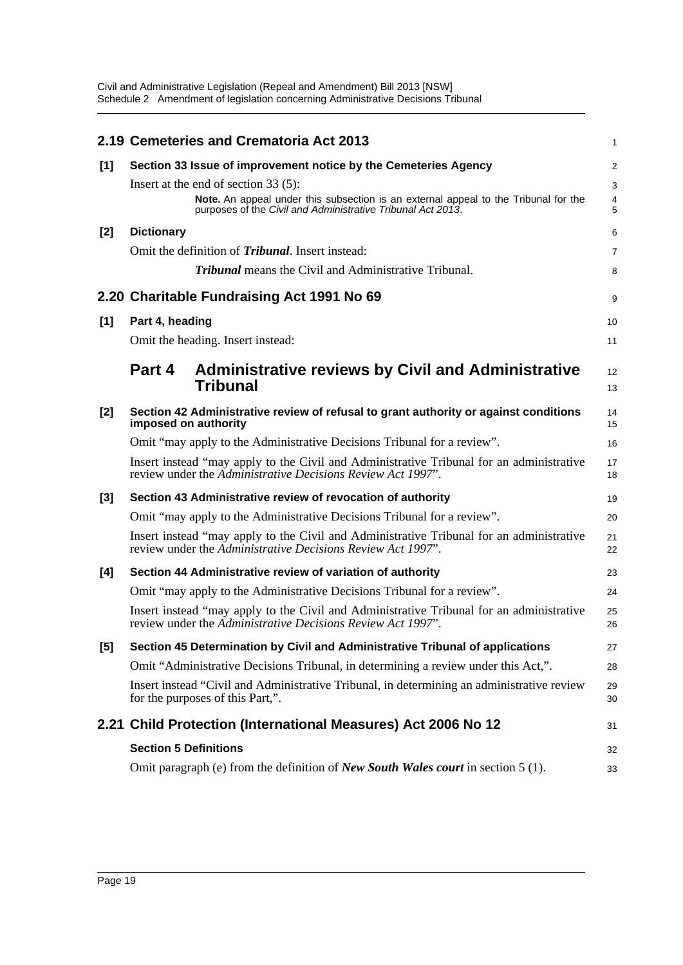|       |                                        | 2.19 Cemeteries and Crematoria Act 2013                                                                                                                 | 1              |
|-------|----------------------------------------|---------------------------------------------------------------------------------------------------------------------------------------------------------|----------------|
| [1]   |                                        | Section 33 Issue of improvement notice by the Cemeteries Agency                                                                                         | $\overline{c}$ |
|       | Insert at the end of section $33(5)$ : |                                                                                                                                                         | 3              |
|       |                                        | Note. An appeal under this subsection is an external appeal to the Tribunal for the<br>purposes of the Civil and Administrative Tribunal Act 2013.      | 4<br>5         |
| $[2]$ | <b>Dictionary</b>                      |                                                                                                                                                         | 6              |
|       |                                        | Omit the definition of <i>Tribunal</i> . Insert instead:                                                                                                | 7              |
|       |                                        | <b>Tribunal</b> means the Civil and Administrative Tribunal.                                                                                            | 8              |
|       |                                        | 2.20 Charitable Fundraising Act 1991 No 69                                                                                                              | 9              |
| [1]   | Part 4, heading                        |                                                                                                                                                         | 10             |
|       | Omit the heading. Insert instead:      |                                                                                                                                                         | 11             |
|       | Part 4                                 | <b>Administrative reviews by Civil and Administrative</b>                                                                                               | 12             |
|       |                                        | <b>Tribunal</b>                                                                                                                                         | 13             |
| [2]   | imposed on authority                   | Section 42 Administrative review of refusal to grant authority or against conditions                                                                    | 14<br>15       |
|       |                                        | Omit "may apply to the Administrative Decisions Tribunal for a review".                                                                                 | 16             |
|       |                                        | Insert instead "may apply to the Civil and Administrative Tribunal for an administrative<br>review under the Administrative Decisions Review Act 1997". | 17<br>18       |
| [3]   |                                        | Section 43 Administrative review of revocation of authority                                                                                             | 19             |
|       |                                        | Omit "may apply to the Administrative Decisions Tribunal for a review".                                                                                 | 20             |
|       |                                        | Insert instead "may apply to the Civil and Administrative Tribunal for an administrative<br>review under the Administrative Decisions Review Act 1997". | 21<br>22       |
| [4]   |                                        | Section 44 Administrative review of variation of authority                                                                                              | 23             |
|       |                                        | Omit "may apply to the Administrative Decisions Tribunal for a review".                                                                                 | 24             |
|       |                                        | Insert instead "may apply to the Civil and Administrative Tribunal for an administrative<br>review under the Administrative Decisions Review Act 1997". | 25<br>26       |
| [5]   |                                        | Section 45 Determination by Civil and Administrative Tribunal of applications                                                                           | 27             |
|       |                                        | Omit "Administrative Decisions Tribunal, in determining a review under this Act,".                                                                      | 28             |
|       | for the purposes of this Part,".       | Insert instead "Civil and Administrative Tribunal, in determining an administrative review                                                              | 29<br>30       |
|       |                                        | 2.21 Child Protection (International Measures) Act 2006 No 12                                                                                           | 31             |
|       | <b>Section 5 Definitions</b>           |                                                                                                                                                         | 32             |
|       |                                        | Omit paragraph (e) from the definition of <i>New South Wales court</i> in section 5 (1).                                                                | 33             |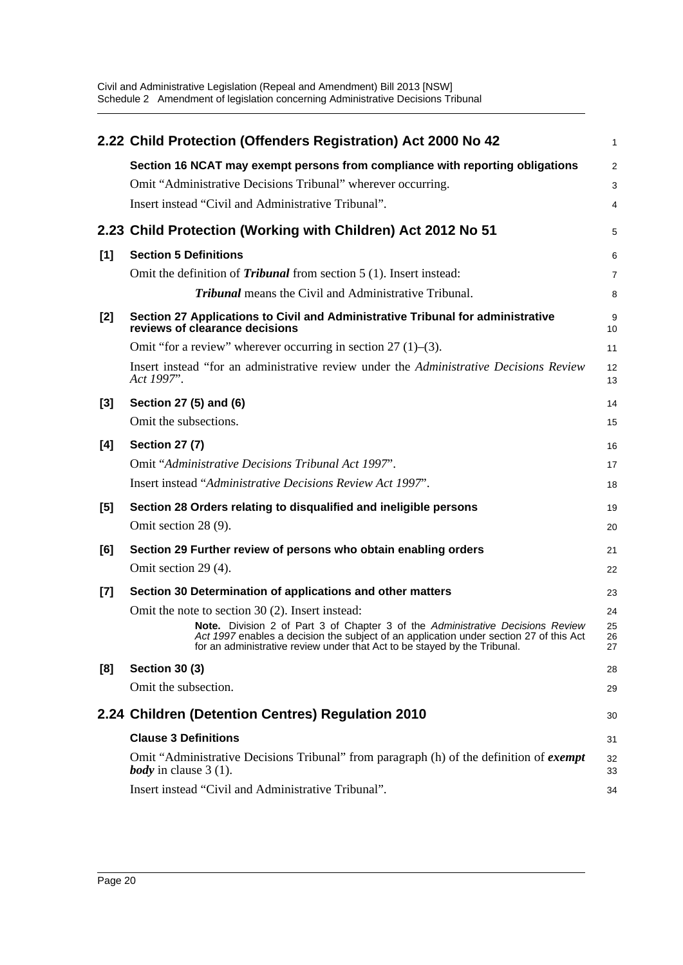|       | 2.22 Child Protection (Offenders Registration) Act 2000 No 42                                                                                                                                                                                         | $\mathbf{1}$   |
|-------|-------------------------------------------------------------------------------------------------------------------------------------------------------------------------------------------------------------------------------------------------------|----------------|
|       | Section 16 NCAT may exempt persons from compliance with reporting obligations                                                                                                                                                                         | $\overline{2}$ |
|       | Omit "Administrative Decisions Tribunal" wherever occurring.                                                                                                                                                                                          | 3              |
|       | Insert instead "Civil and Administrative Tribunal".                                                                                                                                                                                                   | 4              |
|       | 2.23 Child Protection (Working with Children) Act 2012 No 51                                                                                                                                                                                          | 5              |
| [1]   | <b>Section 5 Definitions</b>                                                                                                                                                                                                                          | 6              |
|       | Omit the definition of <i>Tribunal</i> from section $5(1)$ . Insert instead:                                                                                                                                                                          | 7              |
|       | <b>Tribunal</b> means the Civil and Administrative Tribunal.                                                                                                                                                                                          | 8              |
| $[2]$ | Section 27 Applications to Civil and Administrative Tribunal for administrative<br>reviews of clearance decisions                                                                                                                                     | 9<br>10        |
|       | Omit "for a review" wherever occurring in section $27(1)$ –(3).                                                                                                                                                                                       | 11             |
|       | Insert instead "for an administrative review under the Administrative Decisions Review<br>Act 1997".                                                                                                                                                  | 12<br>13       |
| [3]   | Section 27 (5) and (6)                                                                                                                                                                                                                                | 14             |
|       | Omit the subsections.                                                                                                                                                                                                                                 | 15             |
| [4]   | <b>Section 27 (7)</b>                                                                                                                                                                                                                                 | 16             |
|       | Omit "Administrative Decisions Tribunal Act 1997".                                                                                                                                                                                                    | 17             |
|       | Insert instead "Administrative Decisions Review Act 1997".                                                                                                                                                                                            | 18             |
| $[5]$ | Section 28 Orders relating to disqualified and ineligible persons                                                                                                                                                                                     | 19             |
|       | Omit section 28 (9).                                                                                                                                                                                                                                  | 20             |
| [6]   | Section 29 Further review of persons who obtain enabling orders                                                                                                                                                                                       | 21             |
|       | Omit section 29 (4).                                                                                                                                                                                                                                  | 22             |
| $[7]$ | Section 30 Determination of applications and other matters                                                                                                                                                                                            | 23             |
|       | Omit the note to section 30 (2). Insert instead:                                                                                                                                                                                                      | 24             |
|       | Note. Division 2 of Part 3 of Chapter 3 of the Administrative Decisions Review<br>Act 1997 enables a decision the subject of an application under section 27 of this Act<br>for an administrative review under that Act to be stayed by the Tribunal. | 25<br>26<br>27 |
| [8]   | <b>Section 30 (3)</b>                                                                                                                                                                                                                                 | 28             |
|       | Omit the subsection.                                                                                                                                                                                                                                  | 29             |
|       | 2.24 Children (Detention Centres) Regulation 2010                                                                                                                                                                                                     | 30             |
|       | <b>Clause 3 Definitions</b>                                                                                                                                                                                                                           | 31             |
|       | Omit "Administrative Decisions Tribunal" from paragraph (h) of the definition of <i>exempt</i><br><i>body</i> in clause $3(1)$ .                                                                                                                      | 32<br>33       |
|       | Insert instead "Civil and Administrative Tribunal".                                                                                                                                                                                                   | 34             |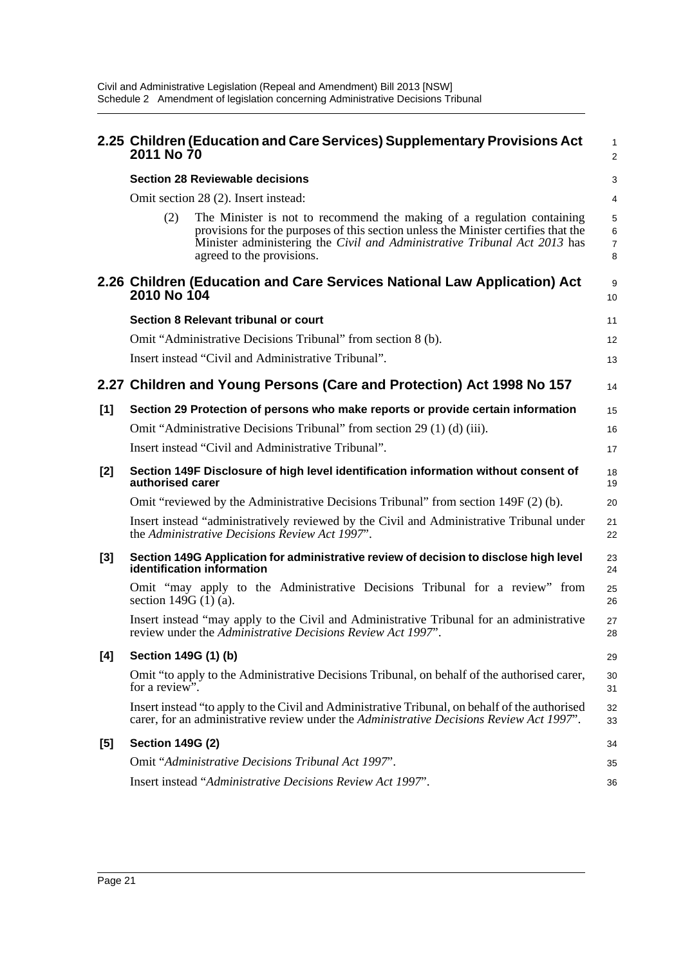|     | 2011 No 70                    | 2.25 Children (Education and Care Services) Supplementary Provisions Act                                                                                                                                                                                               | 1<br>$\overline{a}$ |
|-----|-------------------------------|------------------------------------------------------------------------------------------------------------------------------------------------------------------------------------------------------------------------------------------------------------------------|---------------------|
|     |                               | <b>Section 28 Reviewable decisions</b>                                                                                                                                                                                                                                 | 3                   |
|     |                               | Omit section 28 (2). Insert instead:                                                                                                                                                                                                                                   | 4                   |
|     | (2)                           | The Minister is not to recommend the making of a regulation containing<br>provisions for the purposes of this section unless the Minister certifies that the<br>Minister administering the Civil and Administrative Tribunal Act 2013 has<br>agreed to the provisions. | 5<br>6<br>7<br>8    |
|     | 2010 No 104                   | 2.26 Children (Education and Care Services National Law Application) Act                                                                                                                                                                                               | 9<br>10             |
|     |                               | Section 8 Relevant tribunal or court                                                                                                                                                                                                                                   | 11                  |
|     |                               | Omit "Administrative Decisions Tribunal" from section 8 (b).                                                                                                                                                                                                           | 12                  |
|     |                               | Insert instead "Civil and Administrative Tribunal".                                                                                                                                                                                                                    | 13                  |
|     |                               | 2.27 Children and Young Persons (Care and Protection) Act 1998 No 157                                                                                                                                                                                                  | 14                  |
| [1] |                               | Section 29 Protection of persons who make reports or provide certain information                                                                                                                                                                                       | 15                  |
|     |                               | Omit "Administrative Decisions Tribunal" from section 29 (1) (d) (iii).                                                                                                                                                                                                | 16                  |
|     |                               | Insert instead "Civil and Administrative Tribunal".                                                                                                                                                                                                                    | 17                  |
| [2] | authorised carer              | Section 149F Disclosure of high level identification information without consent of                                                                                                                                                                                    | 18<br>19            |
|     |                               | Omit "reviewed by the Administrative Decisions Tribunal" from section $149F(2)$ (b).                                                                                                                                                                                   | 20                  |
|     |                               | Insert instead "administratively reviewed by the Civil and Administrative Tribunal under<br>the Administrative Decisions Review Act 1997".                                                                                                                             | 21<br>22            |
| [3] |                               | Section 149G Application for administrative review of decision to disclose high level<br>identification information                                                                                                                                                    | 23<br>24            |
|     | section 149G $(\hat{1})$ (a). | Omit "may apply to the Administrative Decisions Tribunal for a review" from                                                                                                                                                                                            | 25<br>26            |
|     |                               | Insert instead "may apply to the Civil and Administrative Tribunal for an administrative<br>review under the Administrative Decisions Review Act 1997".                                                                                                                | 27<br>28            |
| [4] | Section 149G (1) (b)          |                                                                                                                                                                                                                                                                        | 29                  |
|     | for a review".                | Omit "to apply to the Administrative Decisions Tribunal, on behalf of the authorised carer,                                                                                                                                                                            | 30<br>31            |
|     |                               | Insert instead "to apply to the Civil and Administrative Tribunal, on behalf of the authorised<br>carer, for an administrative review under the Administrative Decisions Review Act 1997".                                                                             | 32<br>33            |
| [5] | <b>Section 149G (2)</b>       |                                                                                                                                                                                                                                                                        | 34                  |
|     |                               | Omit "Administrative Decisions Tribunal Act 1997".                                                                                                                                                                                                                     | 35                  |
|     |                               | Insert instead "Administrative Decisions Review Act 1997".                                                                                                                                                                                                             | 36                  |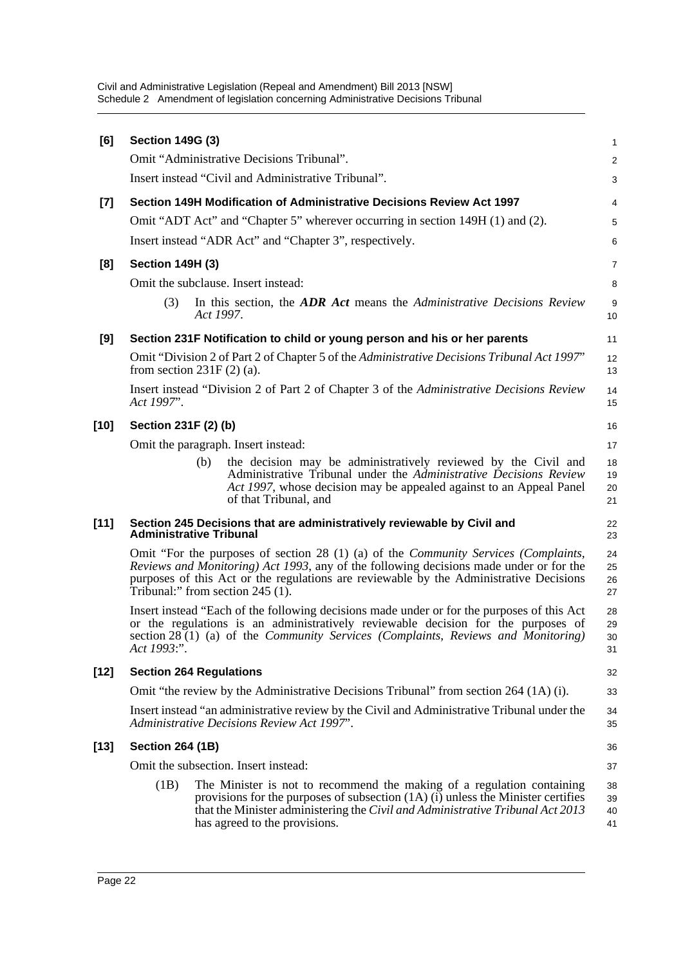| [6]    | <b>Section 149G (3)</b> |                                                                                                                                                                                                                                                                                                                     | 1                    |
|--------|-------------------------|---------------------------------------------------------------------------------------------------------------------------------------------------------------------------------------------------------------------------------------------------------------------------------------------------------------------|----------------------|
|        |                         | Omit "Administrative Decisions Tribunal".                                                                                                                                                                                                                                                                           | $\overline{a}$       |
|        |                         | Insert instead "Civil and Administrative Tribunal".                                                                                                                                                                                                                                                                 | 3                    |
| $[7]$  |                         | Section 149H Modification of Administrative Decisions Review Act 1997                                                                                                                                                                                                                                               | 4                    |
|        |                         | Omit "ADT Act" and "Chapter 5" wherever occurring in section 149H (1) and (2).                                                                                                                                                                                                                                      | 5                    |
|        |                         | Insert instead "ADR Act" and "Chapter 3", respectively.                                                                                                                                                                                                                                                             | 6                    |
| [8]    | <b>Section 149H (3)</b> |                                                                                                                                                                                                                                                                                                                     | 7                    |
|        |                         | Omit the subclause. Insert instead:                                                                                                                                                                                                                                                                                 | 8                    |
|        | (3)                     | In this section, the <b>ADR</b> Act means the <i>Administrative Decisions Review</i><br>Act 1997.                                                                                                                                                                                                                   | 9<br>10              |
| [9]    |                         | Section 231F Notification to child or young person and his or her parents                                                                                                                                                                                                                                           | 11                   |
|        |                         | Omit "Division 2 of Part 2 of Chapter 5 of the Administrative Decisions Tribunal Act 1997"<br>from section $231F(2)(a)$ .                                                                                                                                                                                           | 12<br>13             |
|        | Act 1997".              | Insert instead "Division 2 of Part 2 of Chapter 3 of the Administrative Decisions Review                                                                                                                                                                                                                            | 14<br>15             |
| $[10]$ | Section 231F (2) (b)    |                                                                                                                                                                                                                                                                                                                     | 16                   |
|        |                         | Omit the paragraph. Insert instead:                                                                                                                                                                                                                                                                                 | 17                   |
|        |                         | the decision may be administratively reviewed by the Civil and<br>(b)<br>Administrative Tribunal under the Administrative Decisions Review<br>Act 1997, whose decision may be appealed against to an Appeal Panel<br>of that Tribunal, and                                                                          | 18<br>19<br>20<br>21 |
| $[11]$ |                         | Section 245 Decisions that are administratively reviewable by Civil and<br><b>Administrative Tribunal</b>                                                                                                                                                                                                           | 22<br>23             |
|        |                         | Omit "For the purposes of section 28 (1) (a) of the <i>Community Services (Complaints</i> ,<br>Reviews and Monitoring) Act 1993, any of the following decisions made under or for the<br>purposes of this Act or the regulations are reviewable by the Administrative Decisions<br>Tribunal:" from section 245 (1). | 24<br>25<br>26<br>27 |
|        | Act 1993:".             | Insert instead "Each of the following decisions made under or for the purposes of this Act<br>or the regulations is an administratively reviewable decision for the purposes of<br>section 28 (1) (a) of the Community Services (Complaints, Reviews and Monitoring)                                                | 28<br>29<br>30<br>31 |
| $[12]$ |                         | <b>Section 264 Regulations</b>                                                                                                                                                                                                                                                                                      | 32                   |
|        |                         | Omit "the review by the Administrative Decisions Tribunal" from section 264 (1A) (i).                                                                                                                                                                                                                               | 33                   |
|        |                         | Insert instead "an administrative review by the Civil and Administrative Tribunal under the<br>Administrative Decisions Review Act 1997".                                                                                                                                                                           | 34<br>35             |
| $[13]$ | <b>Section 264 (1B)</b> |                                                                                                                                                                                                                                                                                                                     | 36                   |
|        |                         | Omit the subsection. Insert instead:                                                                                                                                                                                                                                                                                | 37                   |
|        | (1B)                    | The Minister is not to recommend the making of a regulation containing<br>provisions for the purposes of subsection $(1A)$ (i) unless the Minister certifies<br>that the Minister administering the Civil and Administrative Tribunal Act 2013<br>has agreed to the provisions.                                     | 38<br>39<br>40<br>41 |
|        |                         |                                                                                                                                                                                                                                                                                                                     |                      |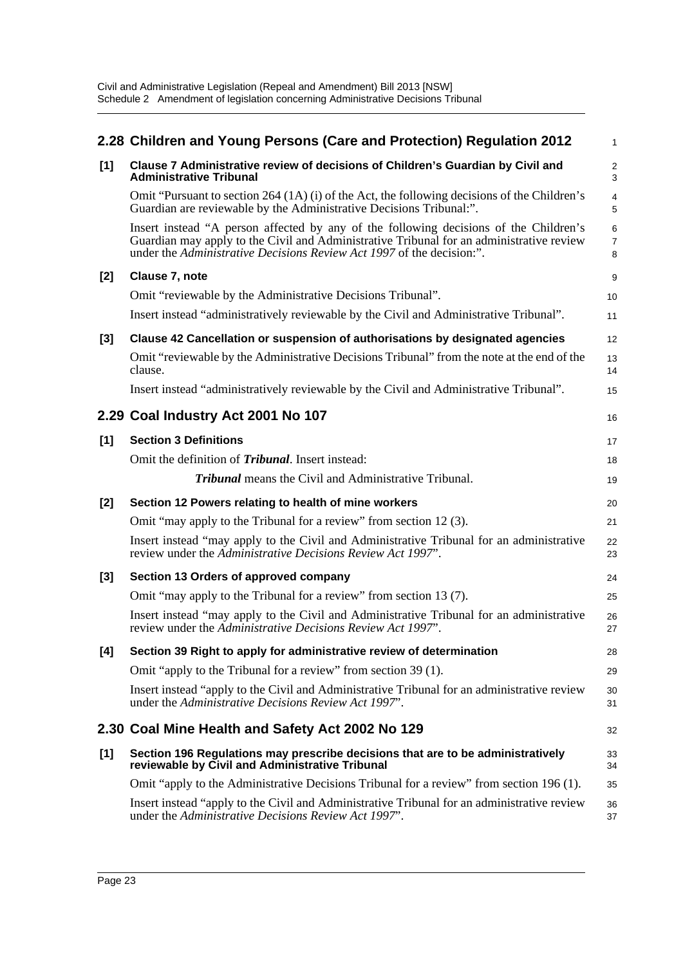|       | 2.28 Children and Young Persons (Care and Protection) Regulation 2012                                                                                                                                                                                      | 1                            |
|-------|------------------------------------------------------------------------------------------------------------------------------------------------------------------------------------------------------------------------------------------------------------|------------------------------|
| [1]   | Clause 7 Administrative review of decisions of Children's Guardian by Civil and<br><b>Administrative Tribunal</b>                                                                                                                                          | $\overline{\mathbf{c}}$<br>3 |
|       | Omit "Pursuant to section $264 (1A)$ (i) of the Act, the following decisions of the Children's<br>Guardian are reviewable by the Administrative Decisions Tribunal:".                                                                                      | 4<br>5                       |
|       | Insert instead "A person affected by any of the following decisions of the Children's<br>Guardian may apply to the Civil and Administrative Tribunal for an administrative review<br>under the Administrative Decisions Review Act 1997 of the decision:". | 6<br>7<br>8                  |
| [2]   | Clause 7, note                                                                                                                                                                                                                                             | 9                            |
|       | Omit "reviewable by the Administrative Decisions Tribunal".                                                                                                                                                                                                | 10                           |
|       | Insert instead "administratively reviewable by the Civil and Administrative Tribunal".                                                                                                                                                                     | 11                           |
| [3]   | Clause 42 Cancellation or suspension of authorisations by designated agencies                                                                                                                                                                              | 12                           |
|       | Omit "reviewable by the Administrative Decisions Tribunal" from the note at the end of the<br>clause.                                                                                                                                                      | 13<br>14                     |
|       | Insert instead "administratively reviewable by the Civil and Administrative Tribunal".                                                                                                                                                                     | 15                           |
|       | 2.29 Coal Industry Act 2001 No 107                                                                                                                                                                                                                         | 16                           |
| [1]   | <b>Section 3 Definitions</b>                                                                                                                                                                                                                               | 17                           |
|       | Omit the definition of <i>Tribunal</i> . Insert instead:                                                                                                                                                                                                   | 18                           |
|       | <b>Tribunal</b> means the Civil and Administrative Tribunal.                                                                                                                                                                                               | 19                           |
| $[2]$ | Section 12 Powers relating to health of mine workers                                                                                                                                                                                                       | 20                           |
|       | Omit "may apply to the Tribunal for a review" from section 12 (3).                                                                                                                                                                                         | 21                           |
|       | Insert instead "may apply to the Civil and Administrative Tribunal for an administrative<br>review under the Administrative Decisions Review Act 1997".                                                                                                    | 22<br>23                     |
| [3]   | Section 13 Orders of approved company                                                                                                                                                                                                                      | 24                           |
|       | Omit "may apply to the Tribunal for a review" from section 13 (7).                                                                                                                                                                                         | 25                           |
|       | Insert instead "may apply to the Civil and Administrative Tribunal for an administrative<br>review under the Administrative Decisions Review Act 1997".                                                                                                    | 26<br>27                     |
| [4]   | Section 39 Right to apply for administrative review of determination                                                                                                                                                                                       | 28                           |
|       | Omit "apply to the Tribunal for a review" from section 39 (1).                                                                                                                                                                                             | 29                           |
|       | Insert instead "apply to the Civil and Administrative Tribunal for an administrative review<br>under the Administrative Decisions Review Act 1997".                                                                                                        | 30<br>31                     |
|       | 2.30 Coal Mine Health and Safety Act 2002 No 129                                                                                                                                                                                                           | 32                           |
| $[1]$ | Section 196 Regulations may prescribe decisions that are to be administratively<br>reviewable by Civil and Administrative Tribunal                                                                                                                         | 33<br>34                     |
|       | Omit "apply to the Administrative Decisions Tribunal for a review" from section 196 (1).                                                                                                                                                                   | 35                           |
|       | Insert instead "apply to the Civil and Administrative Tribunal for an administrative review<br>under the Administrative Decisions Review Act 1997".                                                                                                        | 36<br>37                     |
|       |                                                                                                                                                                                                                                                            |                              |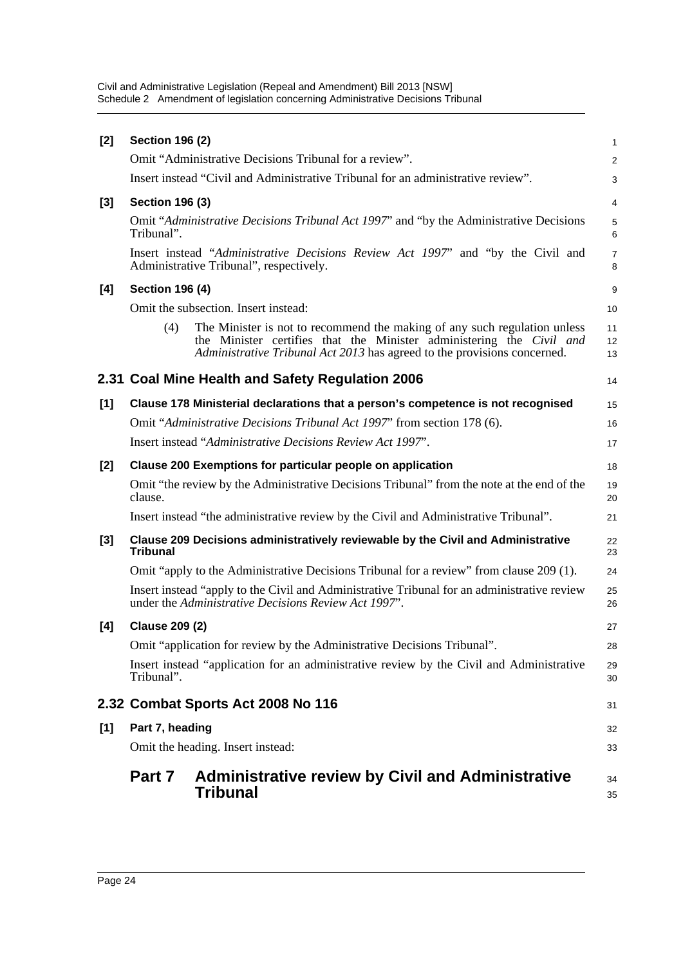|       | Part 7                 | <b>Administrative review by Civil and Administrative</b><br>Tribunal                                                                                                                                                          | 34<br>35            |
|-------|------------------------|-------------------------------------------------------------------------------------------------------------------------------------------------------------------------------------------------------------------------------|---------------------|
|       |                        | Omit the heading. Insert instead:                                                                                                                                                                                             | 33                  |
| [1]   | Part 7, heading        |                                                                                                                                                                                                                               | 32                  |
|       |                        | 2.32 Combat Sports Act 2008 No 116                                                                                                                                                                                            | 31                  |
|       | Tribunal".             | Insert instead "application for an administrative review by the Civil and Administrative                                                                                                                                      | 29<br>30            |
|       |                        | Omit "application for review by the Administrative Decisions Tribunal".                                                                                                                                                       | 28                  |
| [4]   | <b>Clause 209 (2)</b>  |                                                                                                                                                                                                                               | 27                  |
|       |                        | Insert instead "apply to the Civil and Administrative Tribunal for an administrative review<br>under the Administrative Decisions Review Act 1997".                                                                           | 25<br>26            |
|       |                        | Omit "apply to the Administrative Decisions Tribunal for a review" from clause 209 (1).                                                                                                                                       | 24                  |
| $[3]$ | <b>Tribunal</b>        | Clause 209 Decisions administratively reviewable by the Civil and Administrative                                                                                                                                              | 22<br>23            |
|       |                        | Insert instead "the administrative review by the Civil and Administrative Tribunal".                                                                                                                                          | 21                  |
|       | clause.                | Omit "the review by the Administrative Decisions Tribunal" from the note at the end of the                                                                                                                                    | 19<br>20            |
| $[2]$ |                        | Clause 200 Exemptions for particular people on application                                                                                                                                                                    | 18                  |
|       |                        | Insert instead "Administrative Decisions Review Act 1997".                                                                                                                                                                    | 17                  |
|       |                        | Omit "Administrative Decisions Tribunal Act 1997" from section 178 (6).                                                                                                                                                       | 16                  |
| [1]   |                        | Clause 178 Ministerial declarations that a person's competence is not recognised                                                                                                                                              | 15                  |
|       |                        | 2.31 Coal Mine Health and Safety Regulation 2006                                                                                                                                                                              | 14                  |
|       | (4)                    | The Minister is not to recommend the making of any such regulation unless<br>the Minister certifies that the Minister administering the Civil and<br>Administrative Tribunal Act 2013 has agreed to the provisions concerned. | 11<br>12<br>13      |
|       |                        | Omit the subsection. Insert instead:                                                                                                                                                                                          | 10                  |
| [4]   | <b>Section 196 (4)</b> |                                                                                                                                                                                                                               | 9                   |
|       |                        | Insert instead "Administrative Decisions Review Act 1997" and "by the Civil and<br>Administrative Tribunal", respectively.                                                                                                    | $\overline{7}$<br>8 |
|       | Tribunal".             | Omit "Administrative Decisions Tribunal Act 1997" and "by the Administrative Decisions"                                                                                                                                       | 5<br>6              |
| [3]   | <b>Section 196 (3)</b> |                                                                                                                                                                                                                               | 4                   |
|       |                        | Insert instead "Civil and Administrative Tribunal for an administrative review".                                                                                                                                              | 3                   |
|       |                        | Omit "Administrative Decisions Tribunal for a review".                                                                                                                                                                        | $\overline{2}$      |
| $[2]$ | <b>Section 196 (2)</b> |                                                                                                                                                                                                                               | 1                   |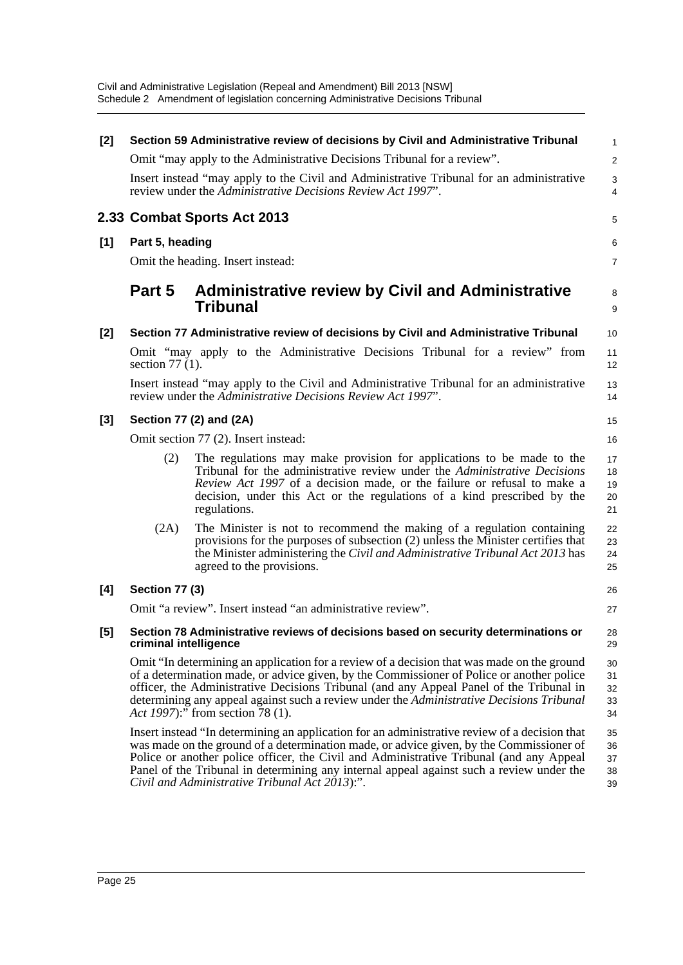| [2]   |                       | Section 59 Administrative review of decisions by Civil and Administrative Tribunal                                                                                                                                                                                                                                                                                                                                                | $\mathbf{1}$               |
|-------|-----------------------|-----------------------------------------------------------------------------------------------------------------------------------------------------------------------------------------------------------------------------------------------------------------------------------------------------------------------------------------------------------------------------------------------------------------------------------|----------------------------|
|       |                       | Omit "may apply to the Administrative Decisions Tribunal for a review".                                                                                                                                                                                                                                                                                                                                                           | $\overline{2}$             |
|       |                       | Insert instead "may apply to the Civil and Administrative Tribunal for an administrative<br>review under the Administrative Decisions Review Act 1997".                                                                                                                                                                                                                                                                           | 3<br>4                     |
|       |                       | 2.33 Combat Sports Act 2013                                                                                                                                                                                                                                                                                                                                                                                                       | 5                          |
| $[1]$ | Part 5, heading       |                                                                                                                                                                                                                                                                                                                                                                                                                                   | 6                          |
|       |                       | Omit the heading. Insert instead:                                                                                                                                                                                                                                                                                                                                                                                                 | 7                          |
|       | Part 5                | <b>Administrative review by Civil and Administrative</b><br><b>Tribunal</b>                                                                                                                                                                                                                                                                                                                                                       | 8<br>9                     |
| [2]   |                       | Section 77 Administrative review of decisions by Civil and Administrative Tribunal                                                                                                                                                                                                                                                                                                                                                | 10                         |
|       | section $77(1)$ .     | Omit "may apply to the Administrative Decisions Tribunal for a review" from                                                                                                                                                                                                                                                                                                                                                       | 11<br>12                   |
|       |                       | Insert instead "may apply to the Civil and Administrative Tribunal for an administrative<br>review under the Administrative Decisions Review Act 1997".                                                                                                                                                                                                                                                                           | 13<br>14                   |
| $[3]$ |                       | Section 77 (2) and (2A)                                                                                                                                                                                                                                                                                                                                                                                                           | 15                         |
|       |                       | Omit section 77 (2). Insert instead:                                                                                                                                                                                                                                                                                                                                                                                              | 16                         |
|       | (2)                   | The regulations may make provision for applications to be made to the<br>Tribunal for the administrative review under the <i>Administrative Decisions</i><br>Review Act 1997 of a decision made, or the failure or refusal to make a<br>decision, under this Act or the regulations of a kind prescribed by the<br>regulations.                                                                                                   | 17<br>18<br>19<br>20<br>21 |
|       | (2A)                  | The Minister is not to recommend the making of a regulation containing<br>provisions for the purposes of subsection (2) unless the Minister certifies that<br>the Minister administering the Civil and Administrative Tribunal Act 2013 has<br>agreed to the provisions.                                                                                                                                                          | 22<br>23<br>24<br>25       |
| [4]   | <b>Section 77 (3)</b> |                                                                                                                                                                                                                                                                                                                                                                                                                                   | 26                         |
|       |                       | Omit "a review". Insert instead "an administrative review".                                                                                                                                                                                                                                                                                                                                                                       | 27                         |
| [5]   | criminal intelligence | Section 78 Administrative reviews of decisions based on security determinations or                                                                                                                                                                                                                                                                                                                                                | 28<br>29                   |
|       |                       | Omit "In determining an application for a review of a decision that was made on the ground<br>of a determination made, or advice given, by the Commissioner of Police or another police<br>officer, the Administrative Decisions Tribunal (and any Appeal Panel of the Tribunal in<br>determining any appeal against such a review under the Administrative Decisions Tribunal<br>Act 1997):" from section 78 (1).                | 30<br>31<br>32<br>33<br>34 |
|       |                       | Insert instead "In determining an application for an administrative review of a decision that<br>was made on the ground of a determination made, or advice given, by the Commissioner of<br>Police or another police officer, the Civil and Administrative Tribunal (and any Appeal<br>Panel of the Tribunal in determining any internal appeal against such a review under the<br>Civil and Administrative Tribunal Act 2013):". | 35<br>36<br>37<br>38<br>39 |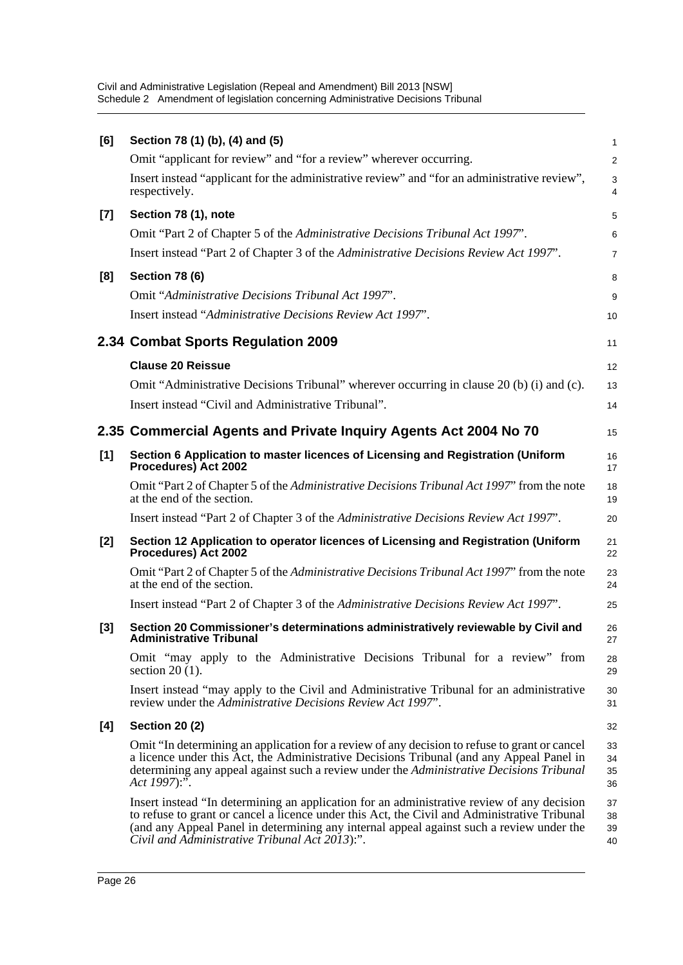| [6]   | Section 78 (1) (b), (4) and (5)                                                                                                                                                                                                                                                                                                          | 1                    |
|-------|------------------------------------------------------------------------------------------------------------------------------------------------------------------------------------------------------------------------------------------------------------------------------------------------------------------------------------------|----------------------|
|       | Omit "applicant for review" and "for a review" wherever occurring.                                                                                                                                                                                                                                                                       | $\overline{2}$       |
|       | Insert instead "applicant for the administrative review" and "for an administrative review",<br>respectively.                                                                                                                                                                                                                            | $\sqrt{3}$<br>4      |
| $[7]$ | Section 78 (1), note                                                                                                                                                                                                                                                                                                                     | 5                    |
|       | Omit "Part 2 of Chapter 5 of the Administrative Decisions Tribunal Act 1997".                                                                                                                                                                                                                                                            | 6                    |
|       | Insert instead "Part 2 of Chapter 3 of the Administrative Decisions Review Act 1997".                                                                                                                                                                                                                                                    | $\overline{7}$       |
| [8]   | <b>Section 78 (6)</b>                                                                                                                                                                                                                                                                                                                    | 8                    |
|       | Omit "Administrative Decisions Tribunal Act 1997".                                                                                                                                                                                                                                                                                       | 9                    |
|       | Insert instead "Administrative Decisions Review Act 1997".                                                                                                                                                                                                                                                                               | 10                   |
|       | 2.34 Combat Sports Regulation 2009                                                                                                                                                                                                                                                                                                       | 11                   |
|       | <b>Clause 20 Reissue</b>                                                                                                                                                                                                                                                                                                                 | 12                   |
|       | Omit "Administrative Decisions Tribunal" wherever occurring in clause 20 (b) (i) and (c).                                                                                                                                                                                                                                                | 13                   |
|       | Insert instead "Civil and Administrative Tribunal".                                                                                                                                                                                                                                                                                      | 14                   |
|       | 2.35 Commercial Agents and Private Inquiry Agents Act 2004 No 70                                                                                                                                                                                                                                                                         | 15                   |
| [1]   | Section 6 Application to master licences of Licensing and Registration (Uniform<br>Procedures) Act 2002                                                                                                                                                                                                                                  | 16<br>17             |
|       | Omit "Part 2 of Chapter 5 of the Administrative Decisions Tribunal Act 1997" from the note<br>at the end of the section.                                                                                                                                                                                                                 | 18<br>19             |
|       | Insert instead "Part 2 of Chapter 3 of the Administrative Decisions Review Act 1997".                                                                                                                                                                                                                                                    | 20                   |
| $[2]$ | Section 12 Application to operator licences of Licensing and Registration (Uniform<br>Procedures) Act 2002                                                                                                                                                                                                                               | 21<br>22             |
|       | Omit "Part 2 of Chapter 5 of the Administrative Decisions Tribunal Act 1997" from the note<br>at the end of the section.                                                                                                                                                                                                                 | 23<br>24             |
|       | Insert instead "Part 2 of Chapter 3 of the Administrative Decisions Review Act 1997".                                                                                                                                                                                                                                                    | 25                   |
| $[3]$ | Section 20 Commissioner's determinations administratively reviewable by Civil and<br><b>Administrative Tribunal</b>                                                                                                                                                                                                                      | 26<br>27             |
|       | Omit "may apply to the Administrative Decisions Tribunal for a review" from<br>section $20(1)$ .                                                                                                                                                                                                                                         | 28<br>29             |
|       | Insert instead "may apply to the Civil and Administrative Tribunal for an administrative<br>review under the Administrative Decisions Review Act 1997".                                                                                                                                                                                  | 30<br>31             |
| [4]   | <b>Section 20 (2)</b>                                                                                                                                                                                                                                                                                                                    | 32                   |
|       | Omit "In determining an application for a review of any decision to refuse to grant or cancel<br>a licence under this Act, the Administrative Decisions Tribunal (and any Appeal Panel in<br>determining any appeal against such a review under the Administrative Decisions Tribunal<br>Act 1997):".                                    | 33<br>34<br>35<br>36 |
|       | Insert instead "In determining an application for an administrative review of any decision<br>to refuse to grant or cancel a licence under this Act, the Civil and Administrative Tribunal<br>(and any Appeal Panel in determining any internal appeal against such a review under the<br>Civil and Administrative Tribunal Act 2013):". | 37<br>38<br>39<br>40 |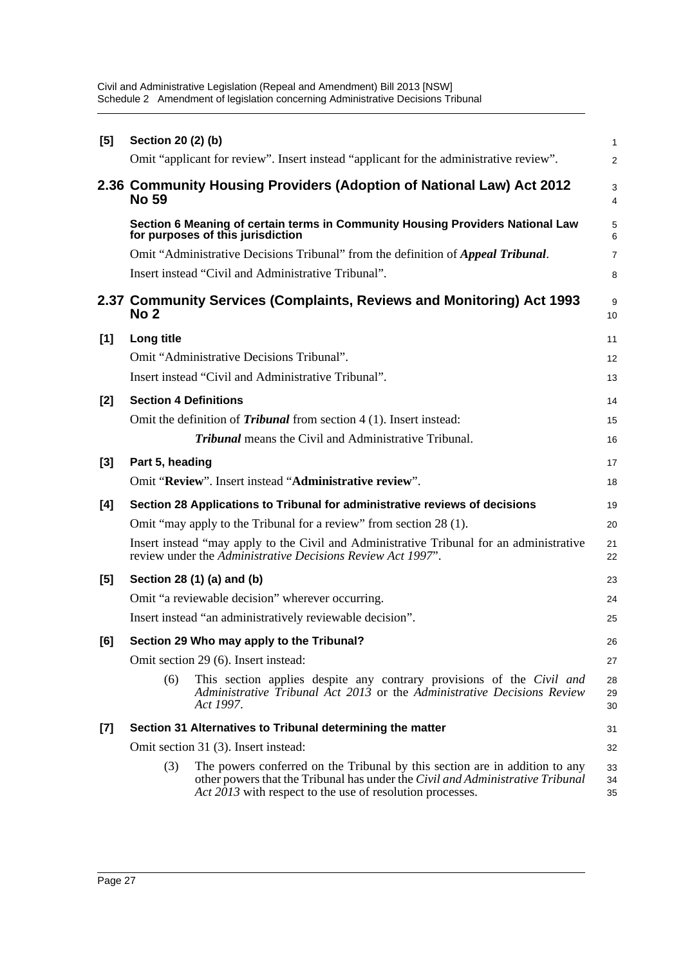| [5] | Section 20 (2) (b)                                                                   |                                                                                                                                                                                                                            |                |  |  |
|-----|--------------------------------------------------------------------------------------|----------------------------------------------------------------------------------------------------------------------------------------------------------------------------------------------------------------------------|----------------|--|--|
|     |                                                                                      | Omit "applicant for review". Insert instead "applicant for the administrative review".                                                                                                                                     | $\overline{2}$ |  |  |
|     | 2.36 Community Housing Providers (Adoption of National Law) Act 2012<br><b>No 59</b> |                                                                                                                                                                                                                            |                |  |  |
|     |                                                                                      | Section 6 Meaning of certain terms in Community Housing Providers National Law<br>for purposes of this jurisdiction                                                                                                        | 5<br>6         |  |  |
|     |                                                                                      | Omit "Administrative Decisions Tribunal" from the definition of <i>Appeal Tribunal</i> .                                                                                                                                   | $\overline{7}$ |  |  |
|     |                                                                                      | Insert instead "Civil and Administrative Tribunal".                                                                                                                                                                        | 8              |  |  |
|     | No <sub>2</sub>                                                                      | 2.37 Community Services (Complaints, Reviews and Monitoring) Act 1993                                                                                                                                                      | 9<br>10        |  |  |
| [1] | Long title                                                                           |                                                                                                                                                                                                                            | 11             |  |  |
|     |                                                                                      | Omit "Administrative Decisions Tribunal".                                                                                                                                                                                  | 12             |  |  |
|     |                                                                                      | Insert instead "Civil and Administrative Tribunal".                                                                                                                                                                        | 13             |  |  |
| [2] | <b>Section 4 Definitions</b>                                                         |                                                                                                                                                                                                                            | 14             |  |  |
|     |                                                                                      | Omit the definition of <i>Tribunal</i> from section 4 (1). Insert instead:                                                                                                                                                 | 15             |  |  |
|     |                                                                                      | <b>Tribunal</b> means the Civil and Administrative Tribunal.                                                                                                                                                               | 16             |  |  |
| [3] | Part 5, heading                                                                      |                                                                                                                                                                                                                            | 17             |  |  |
|     |                                                                                      | Omit "Review". Insert instead "Administrative review".                                                                                                                                                                     | 18             |  |  |
| [4] | Section 28 Applications to Tribunal for administrative reviews of decisions          |                                                                                                                                                                                                                            |                |  |  |
|     |                                                                                      | Omit "may apply to the Tribunal for a review" from section 28 (1).                                                                                                                                                         | 20             |  |  |
|     |                                                                                      | Insert instead "may apply to the Civil and Administrative Tribunal for an administrative<br>review under the Administrative Decisions Review Act 1997".                                                                    | 21<br>22       |  |  |
| [5] | Section 28 (1) (a) and (b)                                                           |                                                                                                                                                                                                                            |                |  |  |
|     | Omit "a reviewable decision" wherever occurring.                                     |                                                                                                                                                                                                                            |                |  |  |
|     | Insert instead "an administratively reviewable decision".                            |                                                                                                                                                                                                                            |                |  |  |
| [6] | Section 29 Who may apply to the Tribunal?                                            |                                                                                                                                                                                                                            |                |  |  |
|     | Omit section 29 (6). Insert instead:                                                 |                                                                                                                                                                                                                            |                |  |  |
|     | (6)                                                                                  | This section applies despite any contrary provisions of the Civil and<br>Administrative Tribunal Act 2013 or the Administrative Decisions Review<br>Act 1997.                                                              | 28<br>29<br>30 |  |  |
| [7] |                                                                                      | Section 31 Alternatives to Tribunal determining the matter                                                                                                                                                                 | 31             |  |  |
|     |                                                                                      | Omit section 31 (3). Insert instead:                                                                                                                                                                                       | 32             |  |  |
|     | (3)                                                                                  | The powers conferred on the Tribunal by this section are in addition to any<br>other powers that the Tribunal has under the Civil and Administrative Tribunal<br>Act 2013 with respect to the use of resolution processes. | 33<br>34<br>35 |  |  |
|     |                                                                                      |                                                                                                                                                                                                                            |                |  |  |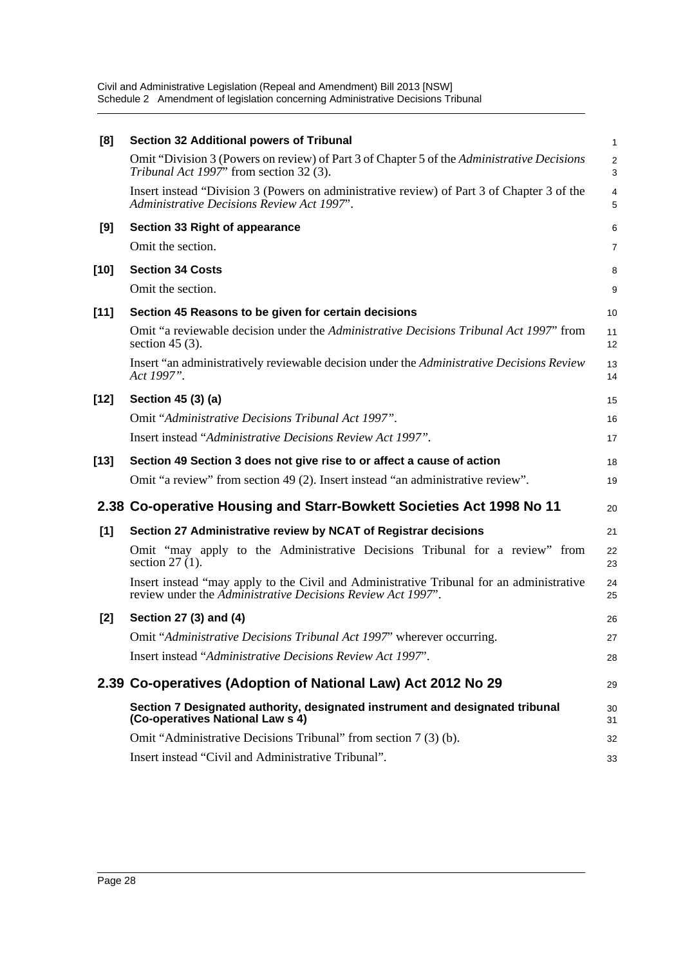| [8]    | <b>Section 32 Additional powers of Tribunal</b>                                                                                                         | $\mathbf{1}$        |
|--------|---------------------------------------------------------------------------------------------------------------------------------------------------------|---------------------|
|        | Omit "Division 3 (Powers on review) of Part 3 of Chapter 5 of the Administrative Decisions<br>Tribunal Act 1997" from section 32 (3).                   | $\overline{2}$<br>3 |
|        | Insert instead "Division 3 (Powers on administrative review) of Part 3 of Chapter 3 of the<br>Administrative Decisions Review Act 1997".                | 4<br>5              |
| [9]    | Section 33 Right of appearance                                                                                                                          | 6                   |
|        | Omit the section.                                                                                                                                       | 7                   |
| $[10]$ | <b>Section 34 Costs</b>                                                                                                                                 | 8                   |
|        | Omit the section.                                                                                                                                       | 9                   |
| $[11]$ | Section 45 Reasons to be given for certain decisions                                                                                                    | 10                  |
|        | Omit "a reviewable decision under the <i>Administrative Decisions Tribunal Act 1997</i> " from<br>section 45 $(3)$ .                                    | 11<br>12            |
|        | Insert "an administratively reviewable decision under the Administrative Decisions Review<br>Act 1997".                                                 | 13<br>14            |
| $[12]$ | Section 45 (3) (a)                                                                                                                                      | 15                  |
|        | Omit "Administrative Decisions Tribunal Act 1997".                                                                                                      | 16                  |
|        | Insert instead "Administrative Decisions Review Act 1997".                                                                                              | 17                  |
| $[13]$ | Section 49 Section 3 does not give rise to or affect a cause of action                                                                                  | 18                  |
|        | Omit "a review" from section 49 (2). Insert instead "an administrative review".                                                                         | 19                  |
|        | 2.38 Co-operative Housing and Starr-Bowkett Societies Act 1998 No 11                                                                                    | 20                  |
| [1]    | Section 27 Administrative review by NCAT of Registrar decisions                                                                                         | 21                  |
|        | Omit "may apply to the Administrative Decisions Tribunal for a review" from<br>section $27(1)$ .                                                        | 22<br>23            |
|        | Insert instead "may apply to the Civil and Administrative Tribunal for an administrative<br>review under the Administrative Decisions Review Act 1997". | 24<br>25            |
| $[2]$  | Section 27 (3) and (4)                                                                                                                                  | 26                  |
|        | Omit "Administrative Decisions Tribunal Act 1997" wherever occurring.                                                                                   | 27                  |
|        | Insert instead "Administrative Decisions Review Act 1997".                                                                                              | 28                  |
|        | 2.39 Co-operatives (Adoption of National Law) Act 2012 No 29                                                                                            | 29                  |
|        | Section 7 Designated authority, designated instrument and designated tribunal<br>(Co-operatives National Law s 4)                                       | 30<br>31            |
|        | Omit "Administrative Decisions Tribunal" from section 7 (3) (b).                                                                                        | 32                  |
|        | Insert instead "Civil and Administrative Tribunal".                                                                                                     | 33                  |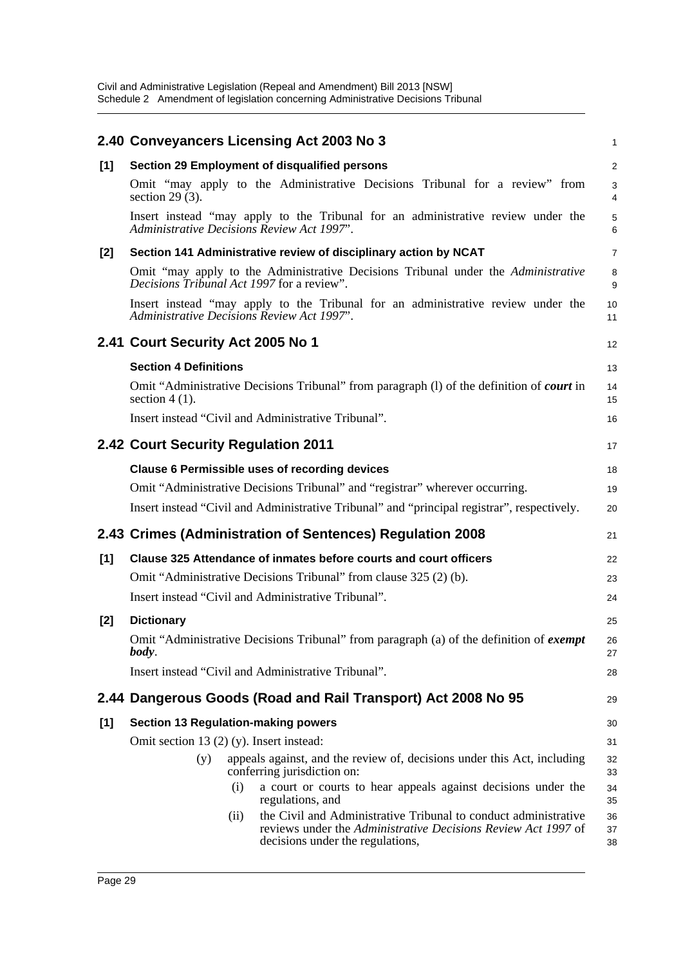|       | 2.40 Conveyancers Licensing Act 2003 No 3                                                                                                                                    | 1              |
|-------|------------------------------------------------------------------------------------------------------------------------------------------------------------------------------|----------------|
| [1]   | Section 29 Employment of disqualified persons                                                                                                                                | 2              |
|       | Omit "may apply to the Administrative Decisions Tribunal for a review" from<br>section $29(3)$ .                                                                             | 3<br>4         |
|       | Insert instead "may apply to the Tribunal for an administrative review under the<br>Administrative Decisions Review Act 1997".                                               | 5<br>6         |
| $[2]$ | Section 141 Administrative review of disciplinary action by NCAT                                                                                                             | $\overline{7}$ |
|       | Omit "may apply to the Administrative Decisions Tribunal under the Administrative<br>Decisions Tribunal Act 1997 for a review".                                              | 8<br>9         |
|       | Insert instead "may apply to the Tribunal for an administrative review under the<br>Administrative Decisions Review Act 1997".                                               | 10<br>11       |
|       | 2.41 Court Security Act 2005 No 1                                                                                                                                            | 12             |
|       | <b>Section 4 Definitions</b>                                                                                                                                                 | 13             |
|       | Omit "Administrative Decisions Tribunal" from paragraph (1) of the definition of <i>court</i> in<br>section $4(1)$ .                                                         | 14<br>15       |
|       | Insert instead "Civil and Administrative Tribunal".                                                                                                                          | 16             |
|       | 2.42 Court Security Regulation 2011                                                                                                                                          | 17             |
|       | <b>Clause 6 Permissible uses of recording devices</b>                                                                                                                        | 18             |
|       | Omit "Administrative Decisions Tribunal" and "registrar" wherever occurring.                                                                                                 | 19             |
|       | Insert instead "Civil and Administrative Tribunal" and "principal registrar", respectively.                                                                                  | 20             |
|       | 2.43 Crimes (Administration of Sentences) Regulation 2008                                                                                                                    | 21             |
| [1]   | Clause 325 Attendance of inmates before courts and court officers                                                                                                            | 22             |
|       | Omit "Administrative Decisions Tribunal" from clause 325 (2) (b).                                                                                                            | 23             |
|       | Insert instead "Civil and Administrative Tribunal".                                                                                                                          | 24             |
| $[2]$ | <b>Dictionary</b>                                                                                                                                                            | 25             |
|       | Omit "Administrative Decisions Tribunal" from paragraph (a) of the definition of exempt<br>body.                                                                             | 26<br>27       |
|       | Insert instead "Civil and Administrative Tribunal".                                                                                                                          | 28             |
|       | 2.44 Dangerous Goods (Road and Rail Transport) Act 2008 No 95                                                                                                                | 29             |
| [1]   | <b>Section 13 Regulation-making powers</b>                                                                                                                                   | 30             |
|       | Omit section 13 $(2)$ $(y)$ . Insert instead:                                                                                                                                | 31             |
|       | appeals against, and the review of, decisions under this Act, including<br>(y)<br>conferring jurisdiction on:                                                                | 32<br>33       |
|       | a court or courts to hear appeals against decisions under the<br>(i)<br>regulations, and                                                                                     | 34<br>35       |
|       | the Civil and Administrative Tribunal to conduct administrative<br>(ii)<br>reviews under the Administrative Decisions Review Act 1997 of<br>decisions under the regulations, | 36<br>37<br>38 |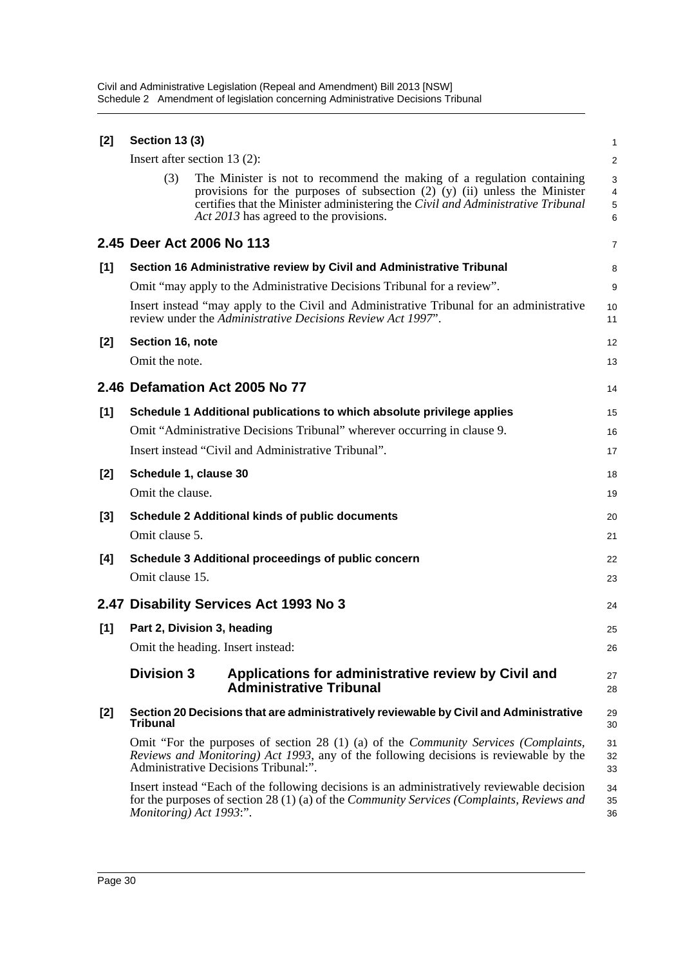| [2]   | <b>Section 13 (3)</b>                                                                                                                                                                                                         |                                                                                                                                                                                                                                                                                     |                               |  |  |
|-------|-------------------------------------------------------------------------------------------------------------------------------------------------------------------------------------------------------------------------------|-------------------------------------------------------------------------------------------------------------------------------------------------------------------------------------------------------------------------------------------------------------------------------------|-------------------------------|--|--|
|       | Insert after section 13 (2):                                                                                                                                                                                                  |                                                                                                                                                                                                                                                                                     |                               |  |  |
|       | (3)                                                                                                                                                                                                                           | The Minister is not to recommend the making of a regulation containing<br>provisions for the purposes of subsection $(2)$ (y) (ii) unless the Minister<br>certifies that the Minister administering the Civil and Administrative Tribunal<br>Act 2013 has agreed to the provisions. | 3<br>$\overline{4}$<br>5<br>6 |  |  |
|       |                                                                                                                                                                                                                               | 2.45 Deer Act 2006 No 113                                                                                                                                                                                                                                                           | 7                             |  |  |
| [1]   | Section 16 Administrative review by Civil and Administrative Tribunal                                                                                                                                                         |                                                                                                                                                                                                                                                                                     |                               |  |  |
|       | Omit "may apply to the Administrative Decisions Tribunal for a review".                                                                                                                                                       |                                                                                                                                                                                                                                                                                     |                               |  |  |
|       | Insert instead "may apply to the Civil and Administrative Tribunal for an administrative<br>review under the Administrative Decisions Review Act 1997".                                                                       |                                                                                                                                                                                                                                                                                     |                               |  |  |
| $[2]$ | Section 16, note                                                                                                                                                                                                              |                                                                                                                                                                                                                                                                                     | 12                            |  |  |
|       | Omit the note.                                                                                                                                                                                                                |                                                                                                                                                                                                                                                                                     | 13                            |  |  |
|       |                                                                                                                                                                                                                               | 2.46 Defamation Act 2005 No 77                                                                                                                                                                                                                                                      | 14                            |  |  |
| [1]   | Schedule 1 Additional publications to which absolute privilege applies                                                                                                                                                        |                                                                                                                                                                                                                                                                                     |                               |  |  |
|       |                                                                                                                                                                                                                               | Omit "Administrative Decisions Tribunal" wherever occurring in clause 9.                                                                                                                                                                                                            | 16                            |  |  |
|       |                                                                                                                                                                                                                               | Insert instead "Civil and Administrative Tribunal".                                                                                                                                                                                                                                 | 17                            |  |  |
| $[2]$ | Schedule 1, clause 30                                                                                                                                                                                                         |                                                                                                                                                                                                                                                                                     | 18                            |  |  |
|       | Omit the clause.                                                                                                                                                                                                              |                                                                                                                                                                                                                                                                                     | 19                            |  |  |
| $[3]$ |                                                                                                                                                                                                                               | <b>Schedule 2 Additional kinds of public documents</b>                                                                                                                                                                                                                              | 20                            |  |  |
|       | Omit clause 5.                                                                                                                                                                                                                |                                                                                                                                                                                                                                                                                     | 21                            |  |  |
| [4]   |                                                                                                                                                                                                                               | Schedule 3 Additional proceedings of public concern                                                                                                                                                                                                                                 | 22                            |  |  |
|       | Omit clause 15.                                                                                                                                                                                                               |                                                                                                                                                                                                                                                                                     | 23                            |  |  |
|       |                                                                                                                                                                                                                               | 2.47 Disability Services Act 1993 No 3                                                                                                                                                                                                                                              | 24                            |  |  |
| [1]   |                                                                                                                                                                                                                               | Part 2, Division 3, heading                                                                                                                                                                                                                                                         | 25                            |  |  |
|       | Omit the heading. Insert instead:                                                                                                                                                                                             |                                                                                                                                                                                                                                                                                     |                               |  |  |
|       | <b>Division 3</b>                                                                                                                                                                                                             | Applications for administrative review by Civil and<br><b>Administrative Tribunal</b>                                                                                                                                                                                               | 27<br>28                      |  |  |
| [2]   | Section 20 Decisions that are administratively reviewable by Civil and Administrative<br><b>Tribunal</b>                                                                                                                      |                                                                                                                                                                                                                                                                                     |                               |  |  |
|       | Omit "For the purposes of section 28 $(1)$ (a) of the <i>Community Services (Complaints,</i><br>Reviews and Monitoring) Act 1993, any of the following decisions is reviewable by the<br>Administrative Decisions Tribunal:". |                                                                                                                                                                                                                                                                                     |                               |  |  |
|       |                                                                                                                                                                                                                               | Insert instead "Each of the following decisions is an administratively reviewable decision<br>for the purposes of section 28 (1) (a) of the <i>Community Services (Complaints, Reviews and</i><br>Monitoring) Act 1993:".                                                           | 34<br>35<br>36                |  |  |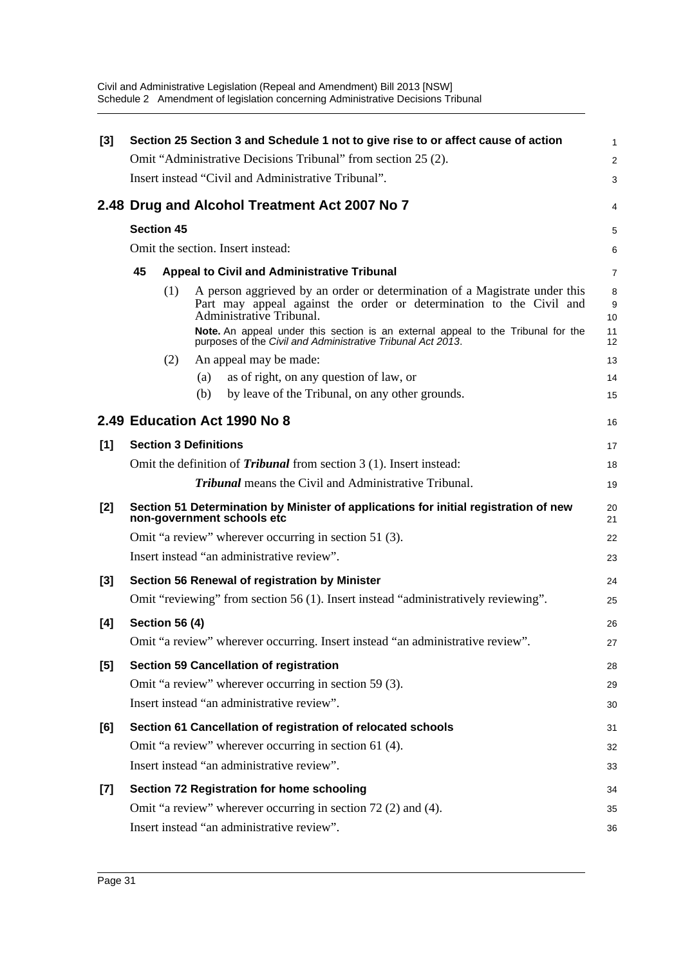| $[3]$ | Section 25 Section 3 and Schedule 1 not to give rise to or affect cause of action |     |                                                                                                                                                                               |                |
|-------|-----------------------------------------------------------------------------------|-----|-------------------------------------------------------------------------------------------------------------------------------------------------------------------------------|----------------|
|       |                                                                                   |     | Omit "Administrative Decisions Tribunal" from section 25 (2).                                                                                                                 | $\overline{a}$ |
|       |                                                                                   |     | Insert instead "Civil and Administrative Tribunal".                                                                                                                           | 3              |
|       |                                                                                   |     | 2.48 Drug and Alcohol Treatment Act 2007 No 7                                                                                                                                 | 4              |
|       | <b>Section 45</b>                                                                 |     |                                                                                                                                                                               | 5              |
|       |                                                                                   |     | Omit the section. Insert instead:                                                                                                                                             | 6              |
|       | 45                                                                                |     | <b>Appeal to Civil and Administrative Tribunal</b>                                                                                                                            | 7              |
|       |                                                                                   | (1) | A person aggrieved by an order or determination of a Magistrate under this<br>Part may appeal against the order or determination to the Civil and<br>Administrative Tribunal. | 8<br>9<br>10   |
|       |                                                                                   |     | Note. An appeal under this section is an external appeal to the Tribunal for the<br>purposes of the Civil and Administrative Tribunal Act 2013.                               | 11<br>12       |
|       |                                                                                   | (2) | An appeal may be made:                                                                                                                                                        | 13             |
|       |                                                                                   |     | as of right, on any question of law, or<br>(a)                                                                                                                                | 14             |
|       |                                                                                   |     | by leave of the Tribunal, on any other grounds.<br>(b)                                                                                                                        | 15             |
|       |                                                                                   |     | 2.49 Education Act 1990 No 8                                                                                                                                                  | 16             |
| [1]   |                                                                                   |     | <b>Section 3 Definitions</b>                                                                                                                                                  | 17             |
|       |                                                                                   |     | Omit the definition of <i>Tribunal</i> from section 3 (1). Insert instead:                                                                                                    | 18             |
|       |                                                                                   |     | <b>Tribunal</b> means the Civil and Administrative Tribunal.                                                                                                                  | 19             |
| $[2]$ |                                                                                   |     | Section 51 Determination by Minister of applications for initial registration of new<br>non-government schools etc                                                            | 20<br>21       |
|       |                                                                                   |     | Omit "a review" wherever occurring in section 51 (3).                                                                                                                         | 22             |
|       |                                                                                   |     | Insert instead "an administrative review".                                                                                                                                    | 23             |
| $[3]$ |                                                                                   |     | Section 56 Renewal of registration by Minister                                                                                                                                | 24             |
|       |                                                                                   |     | Omit "reviewing" from section 56 (1). Insert instead "administratively reviewing".                                                                                            | 25             |
| [4]   | <b>Section 56 (4)</b>                                                             |     |                                                                                                                                                                               | 26             |
|       |                                                                                   |     | Omit "a review" wherever occurring. Insert instead "an administrative review".                                                                                                | 27             |
| [5]   |                                                                                   |     | <b>Section 59 Cancellation of registration</b>                                                                                                                                | 28             |
|       |                                                                                   |     | Omit "a review" wherever occurring in section 59 (3).                                                                                                                         | 29             |
|       |                                                                                   |     | Insert instead "an administrative review".                                                                                                                                    | 30             |
| [6]   |                                                                                   |     | Section 61 Cancellation of registration of relocated schools                                                                                                                  | 31             |
|       |                                                                                   |     | Omit "a review" wherever occurring in section 61 (4).                                                                                                                         | 32             |
|       |                                                                                   |     | Insert instead "an administrative review".                                                                                                                                    | 33             |
| [7]   |                                                                                   |     | Section 72 Registration for home schooling                                                                                                                                    | 34             |
|       |                                                                                   |     | Omit "a review" wherever occurring in section 72 (2) and (4).                                                                                                                 | 35             |
|       |                                                                                   |     | Insert instead "an administrative review".                                                                                                                                    | 36             |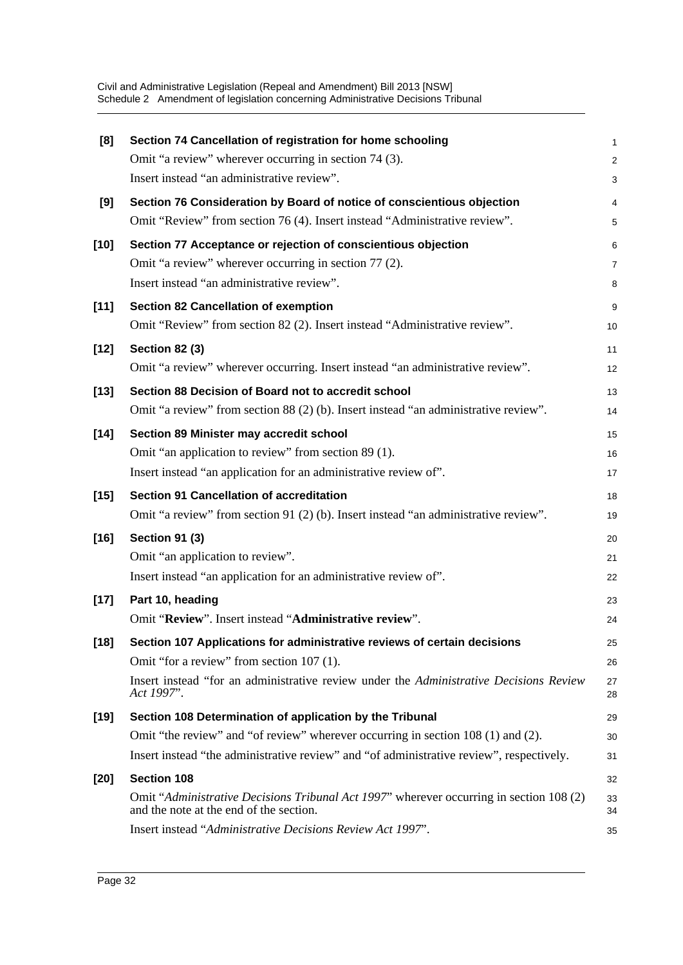| [8]    | Section 74 Cancellation of registration for home schooling                                                                         | $\mathbf{1}$   |
|--------|------------------------------------------------------------------------------------------------------------------------------------|----------------|
|        | Omit "a review" wherever occurring in section 74 (3).                                                                              | $\overline{2}$ |
|        | Insert instead "an administrative review".                                                                                         | 3              |
| [9]    | Section 76 Consideration by Board of notice of conscientious objection                                                             | 4              |
|        | Omit "Review" from section 76 (4). Insert instead "Administrative review".                                                         | $\mathbf 5$    |
| $[10]$ | Section 77 Acceptance or rejection of conscientious objection                                                                      | 6              |
|        | Omit "a review" wherever occurring in section 77 (2).                                                                              | $\overline{7}$ |
|        | Insert instead "an administrative review".                                                                                         | 8              |
| $[11]$ | <b>Section 82 Cancellation of exemption</b>                                                                                        | 9              |
|        | Omit "Review" from section 82 (2). Insert instead "Administrative review".                                                         | 10             |
| $[12]$ | <b>Section 82 (3)</b>                                                                                                              | 11             |
|        | Omit "a review" wherever occurring. Insert instead "an administrative review".                                                     | 12             |
| $[13]$ | Section 88 Decision of Board not to accredit school                                                                                | 13             |
|        | Omit "a review" from section 88 (2) (b). Insert instead "an administrative review".                                                | 14             |
| $[14]$ | Section 89 Minister may accredit school                                                                                            | 15             |
|        | Omit "an application to review" from section 89 (1).                                                                               | 16             |
|        | Insert instead "an application for an administrative review of".                                                                   | 17             |
| $[15]$ | <b>Section 91 Cancellation of accreditation</b>                                                                                    | 18             |
|        | Omit "a review" from section 91 (2) (b). Insert instead "an administrative review".                                                | 19             |
| $[16]$ | <b>Section 91 (3)</b>                                                                                                              | 20             |
|        | Omit "an application to review".                                                                                                   | 21             |
|        | Insert instead "an application for an administrative review of".                                                                   | 22             |
| $[17]$ | Part 10, heading                                                                                                                   | 23             |
|        | Omit "Review". Insert instead "Administrative review".                                                                             | 24             |
| $[18]$ | Section 107 Applications for administrative reviews of certain decisions                                                           | 25             |
|        | Omit "for a review" from section 107 (1).                                                                                          | 26             |
|        | Insert instead "for an administrative review under the Administrative Decisions Review<br>Act 1997".                               | 27<br>28       |
| $[19]$ | Section 108 Determination of application by the Tribunal                                                                           | 29             |
|        | Omit "the review" and "of review" wherever occurring in section 108 (1) and (2).                                                   | 30             |
|        | Insert instead "the administrative review" and "of administrative review", respectively.                                           | 31             |
| $[20]$ | <b>Section 108</b>                                                                                                                 | 32             |
|        | Omit "Administrative Decisions Tribunal Act 1997" wherever occurring in section 108 (2)<br>and the note at the end of the section. | 33<br>34       |
|        | Insert instead "Administrative Decisions Review Act 1997".                                                                         | 35             |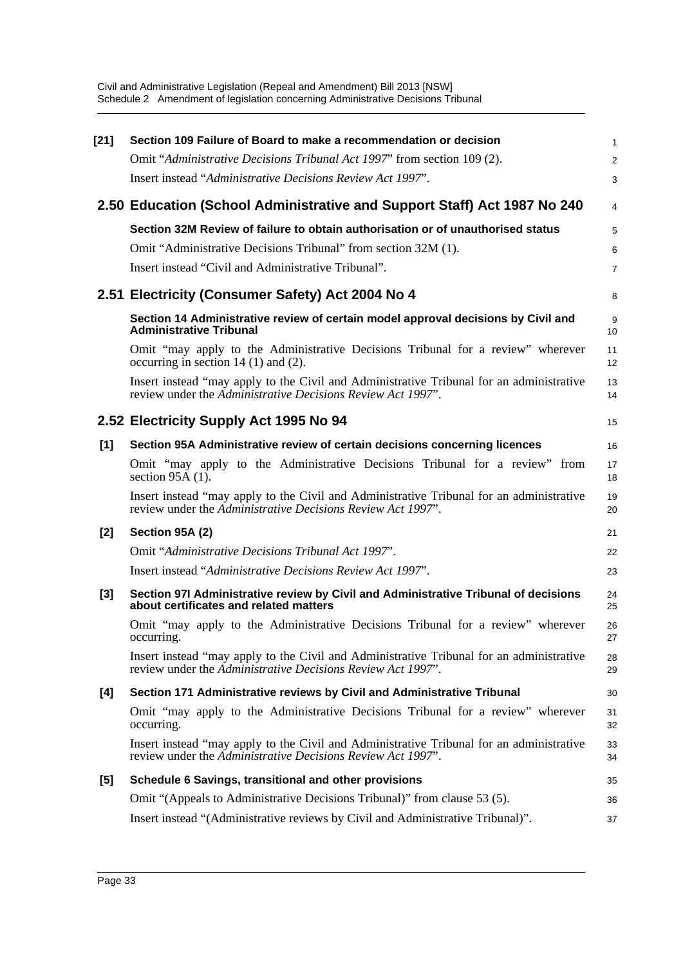| $[21]$ | Section 109 Failure of Board to make a recommendation or decision                                                                                       | 1              |
|--------|---------------------------------------------------------------------------------------------------------------------------------------------------------|----------------|
|        | Omit "Administrative Decisions Tribunal Act 1997" from section 109 (2).                                                                                 | $\overline{c}$ |
|        | Insert instead "Administrative Decisions Review Act 1997".                                                                                              | 3              |
|        | 2.50 Education (School Administrative and Support Staff) Act 1987 No 240                                                                                | 4              |
|        | Section 32M Review of failure to obtain authorisation or of unauthorised status                                                                         | 5              |
|        | Omit "Administrative Decisions Tribunal" from section 32M (1).                                                                                          | 6              |
|        | Insert instead "Civil and Administrative Tribunal".                                                                                                     | 7              |
|        | 2.51 Electricity (Consumer Safety) Act 2004 No 4                                                                                                        | 8              |
|        | Section 14 Administrative review of certain model approval decisions by Civil and<br><b>Administrative Tribunal</b>                                     | 9<br>10        |
|        | Omit "may apply to the Administrative Decisions Tribunal for a review" wherever<br>occurring in section $14(1)$ and $(2)$ .                             | 11<br>12       |
|        | Insert instead "may apply to the Civil and Administrative Tribunal for an administrative<br>review under the Administrative Decisions Review Act 1997". | 13<br>14       |
|        | 2.52 Electricity Supply Act 1995 No 94                                                                                                                  | 15             |
| [1]    | Section 95A Administrative review of certain decisions concerning licences                                                                              | 16             |
|        | Omit "may apply to the Administrative Decisions Tribunal for a review" from<br>section $95A(1)$ .                                                       | 17<br>18       |
|        | Insert instead "may apply to the Civil and Administrative Tribunal for an administrative<br>review under the Administrative Decisions Review Act 1997". | 19<br>20       |
| [2]    | Section 95A (2)                                                                                                                                         | 21             |
|        | Omit "Administrative Decisions Tribunal Act 1997".                                                                                                      | 22             |
|        | Insert instead "Administrative Decisions Review Act 1997".                                                                                              | 23             |
| $[3]$  | Section 97I Administrative review by Civil and Administrative Tribunal of decisions<br>about certificates and related matters                           | 24<br>25       |
|        | Omit "may apply to the Administrative Decisions Tribunal for a review" wherever<br>occurring.                                                           | 26<br>27       |
|        | Insert instead "may apply to the Civil and Administrative Tribunal for an administrative<br>review under the Administrative Decisions Review Act 1997". | 28<br>29       |
| [4]    | Section 171 Administrative reviews by Civil and Administrative Tribunal                                                                                 | 30             |
|        | Omit "may apply to the Administrative Decisions Tribunal for a review" wherever<br>occurring.                                                           | 31<br>32       |
|        | Insert instead "may apply to the Civil and Administrative Tribunal for an administrative<br>review under the Administrative Decisions Review Act 1997". | 33<br>34       |
| $[5]$  | Schedule 6 Savings, transitional and other provisions                                                                                                   | 35             |
|        | Omit "(Appeals to Administrative Decisions Tribunal)" from clause 53 (5).                                                                               | 36             |
|        | Insert instead "(Administrative reviews by Civil and Administrative Tribunal)".                                                                         | 37             |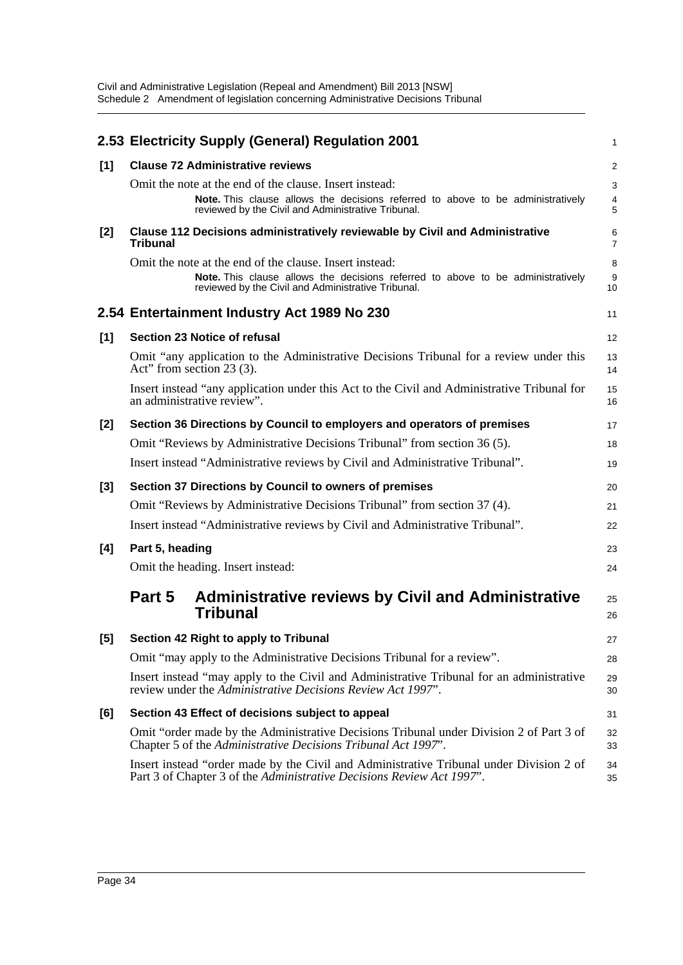|       | 2.53 Electricity Supply (General) Regulation 2001                                                                                                                | $\mathbf{1}$        |
|-------|------------------------------------------------------------------------------------------------------------------------------------------------------------------|---------------------|
| [1]   | <b>Clause 72 Administrative reviews</b>                                                                                                                          | 2                   |
|       | Omit the note at the end of the clause. Insert instead:                                                                                                          | 3                   |
|       | Note. This clause allows the decisions referred to above to be administratively<br>reviewed by the Civil and Administrative Tribunal.                            | $\overline{4}$<br>5 |
| [2]   | Clause 112 Decisions administratively reviewable by Civil and Administrative<br><b>Tribunal</b>                                                                  | 6<br>$\overline{7}$ |
|       | Omit the note at the end of the clause. Insert instead:                                                                                                          | 8                   |
|       | Note. This clause allows the decisions referred to above to be administratively<br>reviewed by the Civil and Administrative Tribunal.                            | 9<br>10             |
|       | 2.54 Entertainment Industry Act 1989 No 230                                                                                                                      | 11                  |
| [1]   | Section 23 Notice of refusal                                                                                                                                     | 12                  |
|       | Omit "any application to the Administrative Decisions Tribunal for a review under this<br>Act" from section $23(3)$ .                                            | 13<br>14            |
|       | Insert instead "any application under this Act to the Civil and Administrative Tribunal for<br>an administrative review".                                        | 15<br>16            |
| $[2]$ | Section 36 Directions by Council to employers and operators of premises                                                                                          | 17                  |
|       | Omit "Reviews by Administrative Decisions Tribunal" from section 36 (5).                                                                                         | 18                  |
|       | Insert instead "Administrative reviews by Civil and Administrative Tribunal".                                                                                    | 19                  |
| $[3]$ | Section 37 Directions by Council to owners of premises                                                                                                           | 20                  |
|       | Omit "Reviews by Administrative Decisions Tribunal" from section 37 (4).                                                                                         | 21                  |
|       | Insert instead "Administrative reviews by Civil and Administrative Tribunal".                                                                                    | 22                  |
| [4]   | Part 5, heading                                                                                                                                                  | 23                  |
|       | Omit the heading. Insert instead:                                                                                                                                | 24                  |
|       | <b>Administrative reviews by Civil and Administrative</b><br>Part 5<br><b>Tribunal</b>                                                                           | 25<br>26            |
| $[5]$ | Section 42 Right to apply to Tribunal                                                                                                                            | 27                  |
|       | Omit "may apply to the Administrative Decisions Tribunal for a review".                                                                                          | 28                  |
|       | Insert instead "may apply to the Civil and Administrative Tribunal for an administrative<br>review under the Administrative Decisions Review Act 1997".          | 29<br>30            |
| [6]   | Section 43 Effect of decisions subject to appeal                                                                                                                 | 31                  |
|       | Omit "order made by the Administrative Decisions Tribunal under Division 2 of Part 3 of<br>Chapter 5 of the Administrative Decisions Tribunal Act 1997".         | 32<br>33            |
|       | Insert instead "order made by the Civil and Administrative Tribunal under Division 2 of<br>Part 3 of Chapter 3 of the Administrative Decisions Review Act 1997". | 34<br>35            |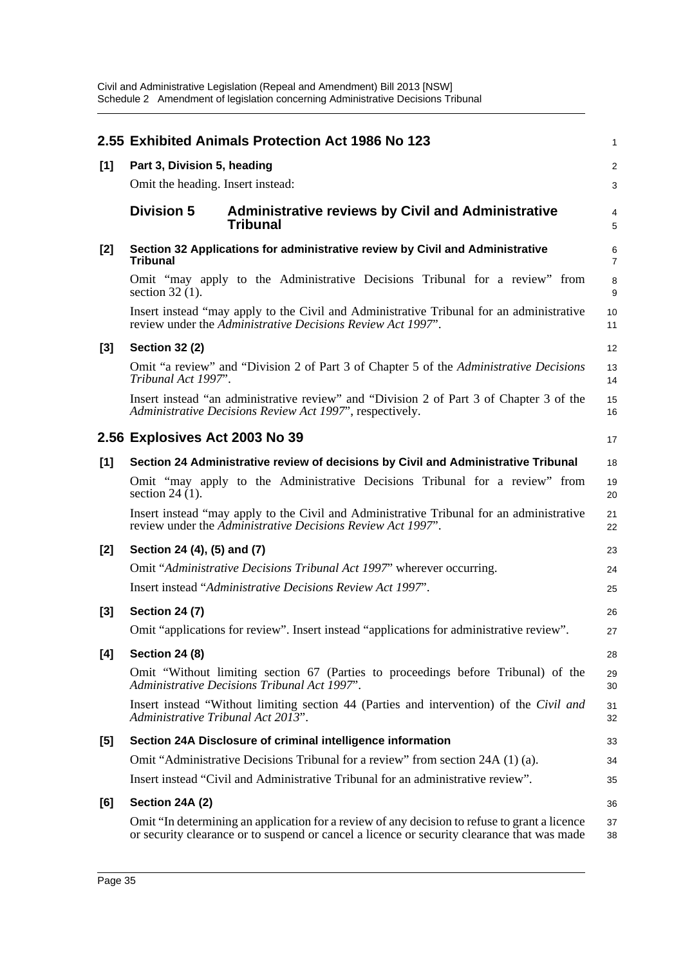|       | 2.55 Exhibited Animals Protection Act 1986 No 123                                                                                                                                            | $\mathbf{1}$        |
|-------|----------------------------------------------------------------------------------------------------------------------------------------------------------------------------------------------|---------------------|
| [1]   | Part 3, Division 5, heading                                                                                                                                                                  | 2                   |
|       | Omit the heading. Insert instead:                                                                                                                                                            | 3                   |
|       | <b>Division 5</b><br><b>Administrative reviews by Civil and Administrative</b><br><b>Tribunal</b>                                                                                            | $\overline{4}$<br>5 |
| $[2]$ | Section 32 Applications for administrative review by Civil and Administrative<br><b>Tribunal</b>                                                                                             | 6<br>$\overline{7}$ |
|       | Omit "may apply to the Administrative Decisions Tribunal for a review" from<br>section $32(1)$ .                                                                                             | 8<br>9              |
|       | Insert instead "may apply to the Civil and Administrative Tribunal for an administrative<br>review under the Administrative Decisions Review Act 1997".                                      | 10<br>11            |
| $[3]$ | <b>Section 32 (2)</b>                                                                                                                                                                        | 12                  |
|       | Omit "a review" and "Division 2 of Part 3 of Chapter 5 of the Administrative Decisions<br>Tribunal Act 1997".                                                                                | 13<br>14            |
|       | Insert instead "an administrative review" and "Division 2 of Part 3 of Chapter 3 of the<br>Administrative Decisions Review Act 1997", respectively.                                          | 15<br>16            |
|       | 2.56 Explosives Act 2003 No 39                                                                                                                                                               | 17                  |
| [1]   | Section 24 Administrative review of decisions by Civil and Administrative Tribunal                                                                                                           | 18                  |
|       | Omit "may apply to the Administrative Decisions Tribunal for a review" from<br>section $24(1)$ .                                                                                             | 19<br>20            |
|       | Insert instead "may apply to the Civil and Administrative Tribunal for an administrative<br>review under the Administrative Decisions Review Act 1997".                                      | 21<br>22            |
| $[2]$ | Section 24 (4), (5) and (7)                                                                                                                                                                  | 23                  |
|       | Omit "Administrative Decisions Tribunal Act 1997" wherever occurring.                                                                                                                        | 24                  |
|       | Insert instead "Administrative Decisions Review Act 1997".                                                                                                                                   | 25                  |
| $[3]$ | <b>Section 24 (7)</b>                                                                                                                                                                        | 26                  |
|       | Omit "applications for review". Insert instead "applications for administrative review".                                                                                                     | 27                  |
| [4]   | <b>Section 24 (8)</b>                                                                                                                                                                        | 28                  |
|       | Omit "Without limiting section 67 (Parties to proceedings before Tribunal) of the<br>Administrative Decisions Tribunal Act 1997".                                                            | 29<br>30            |
|       | Insert instead "Without limiting section 44 (Parties and intervention) of the Civil and<br>Administrative Tribunal Act 2013".                                                                | 31<br>32            |
| $[5]$ | Section 24A Disclosure of criminal intelligence information                                                                                                                                  | 33                  |
|       | Omit "Administrative Decisions Tribunal for a review" from section 24A (1) (a).                                                                                                              | 34                  |
|       | Insert instead "Civil and Administrative Tribunal for an administrative review".                                                                                                             | 35                  |
| [6]   | Section 24A (2)                                                                                                                                                                              | 36                  |
|       | Omit "In determining an application for a review of any decision to refuse to grant a licence<br>or security clearance or to suspend or cancel a licence or security clearance that was made | 37<br>38            |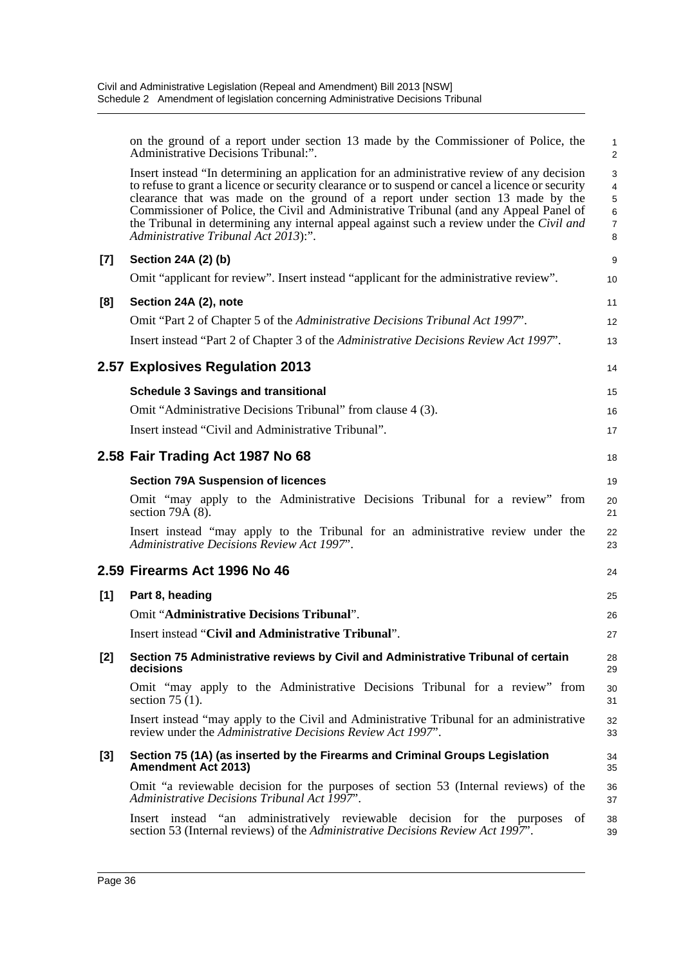|       | on the ground of a report under section 13 made by the Commissioner of Police, the<br>Administrative Decisions Tribunal:".                                                                                                                                                                                                                                                                                                                                                                                      | $\mathbf{1}$<br>$\overline{2}$                                                        |
|-------|-----------------------------------------------------------------------------------------------------------------------------------------------------------------------------------------------------------------------------------------------------------------------------------------------------------------------------------------------------------------------------------------------------------------------------------------------------------------------------------------------------------------|---------------------------------------------------------------------------------------|
|       | Insert instead "In determining an application for an administrative review of any decision<br>to refuse to grant a licence or security clearance or to suspend or cancel a licence or security<br>clearance that was made on the ground of a report under section 13 made by the<br>Commissioner of Police, the Civil and Administrative Tribunal (and any Appeal Panel of<br>the Tribunal in determining any internal appeal against such a review under the Civil and<br>Administrative Tribunal Act 2013):". | $\sqrt{3}$<br>$\overline{4}$<br>$\,$ 5 $\,$<br>$\,6\,$<br>$\boldsymbol{7}$<br>$\,8\,$ |
| [7]   | Section 24A (2) (b)                                                                                                                                                                                                                                                                                                                                                                                                                                                                                             | 9                                                                                     |
|       | Omit "applicant for review". Insert instead "applicant for the administrative review".                                                                                                                                                                                                                                                                                                                                                                                                                          | 10                                                                                    |
| [8]   | Section 24A (2), note                                                                                                                                                                                                                                                                                                                                                                                                                                                                                           | 11                                                                                    |
|       | Omit "Part 2 of Chapter 5 of the Administrative Decisions Tribunal Act 1997".                                                                                                                                                                                                                                                                                                                                                                                                                                   | 12                                                                                    |
|       | Insert instead "Part 2 of Chapter 3 of the Administrative Decisions Review Act 1997".                                                                                                                                                                                                                                                                                                                                                                                                                           | 13                                                                                    |
|       | 2.57 Explosives Regulation 2013                                                                                                                                                                                                                                                                                                                                                                                                                                                                                 | 14                                                                                    |
|       | <b>Schedule 3 Savings and transitional</b>                                                                                                                                                                                                                                                                                                                                                                                                                                                                      | 15                                                                                    |
|       | Omit "Administrative Decisions Tribunal" from clause 4 (3).                                                                                                                                                                                                                                                                                                                                                                                                                                                     | 16                                                                                    |
|       | Insert instead "Civil and Administrative Tribunal".                                                                                                                                                                                                                                                                                                                                                                                                                                                             | 17                                                                                    |
|       | 2.58 Fair Trading Act 1987 No 68                                                                                                                                                                                                                                                                                                                                                                                                                                                                                | 18                                                                                    |
|       | <b>Section 79A Suspension of licences</b>                                                                                                                                                                                                                                                                                                                                                                                                                                                                       | 19                                                                                    |
|       | Omit "may apply to the Administrative Decisions Tribunal for a review" from<br>section 79 $\overline{A(8)}$ .                                                                                                                                                                                                                                                                                                                                                                                                   | 20<br>21                                                                              |
|       | Insert instead "may apply to the Tribunal for an administrative review under the<br>Administrative Decisions Review Act 1997".                                                                                                                                                                                                                                                                                                                                                                                  | 22<br>23                                                                              |
|       | 2.59 Firearms Act 1996 No 46                                                                                                                                                                                                                                                                                                                                                                                                                                                                                    | 24                                                                                    |
| $[1]$ | Part 8, heading                                                                                                                                                                                                                                                                                                                                                                                                                                                                                                 | 25                                                                                    |
|       | Omit "Administrative Decisions Tribunal".                                                                                                                                                                                                                                                                                                                                                                                                                                                                       | 26                                                                                    |
|       | Insert instead "Civil and Administrative Tribunal".                                                                                                                                                                                                                                                                                                                                                                                                                                                             | 27                                                                                    |
| [2]   | Section 75 Administrative reviews by Civil and Administrative Tribunal of certain<br>decisions                                                                                                                                                                                                                                                                                                                                                                                                                  | 28<br>29                                                                              |
|       | Omit "may apply to the Administrative Decisions Tribunal for a review" from<br>section $75(1)$ .                                                                                                                                                                                                                                                                                                                                                                                                                | 30<br>31                                                                              |
|       | Insert instead "may apply to the Civil and Administrative Tribunal for an administrative<br>review under the Administrative Decisions Review Act 1997".                                                                                                                                                                                                                                                                                                                                                         | 32<br>33                                                                              |
| [3]   | Section 75 (1A) (as inserted by the Firearms and Criminal Groups Legislation<br><b>Amendment Act 2013)</b>                                                                                                                                                                                                                                                                                                                                                                                                      | 34<br>35                                                                              |
|       | Omit "a reviewable decision for the purposes of section 53 (Internal reviews) of the<br>Administrative Decisions Tribunal Act 1997".                                                                                                                                                                                                                                                                                                                                                                            | 36<br>37                                                                              |
|       | Insert instead "an administratively reviewable decision for the purposes<br>οf<br>section 53 (Internal reviews) of the Administrative Decisions Review Act 1997".                                                                                                                                                                                                                                                                                                                                               | 38<br>39                                                                              |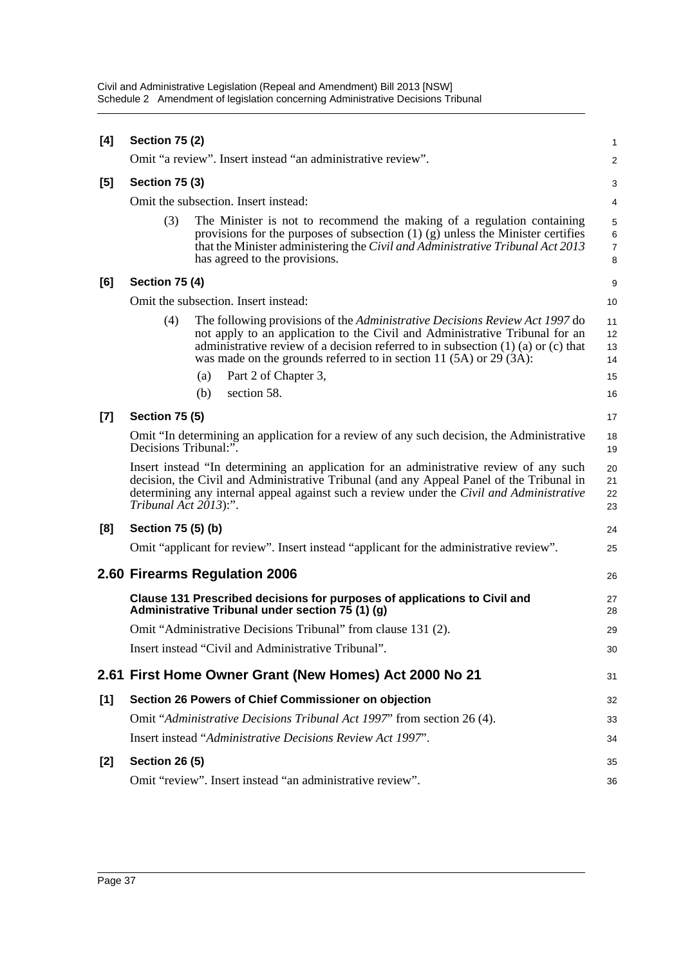| Civil and Administrative Legislation (Repeal and Amendment) Bill 2013 [NSW]      |
|----------------------------------------------------------------------------------|
| Schedule 2 Amendment of legislation concerning Administrative Decisions Tribunal |

|       | <b>Section 75 (2)</b> |                                                                                                                                                                                                                                                                                                                             |                                       |
|-------|-----------------------|-----------------------------------------------------------------------------------------------------------------------------------------------------------------------------------------------------------------------------------------------------------------------------------------------------------------------------|---------------------------------------|
| [4]   |                       |                                                                                                                                                                                                                                                                                                                             | 1                                     |
|       |                       | Omit "a review". Insert instead "an administrative review".                                                                                                                                                                                                                                                                 | 2                                     |
| [5]   | <b>Section 75 (3)</b> |                                                                                                                                                                                                                                                                                                                             | 3                                     |
|       |                       | Omit the subsection. Insert instead:                                                                                                                                                                                                                                                                                        | 4                                     |
|       | (3)                   | The Minister is not to recommend the making of a regulation containing<br>provisions for the purposes of subsection $(1)$ $(g)$ unless the Minister certifies<br>that the Minister administering the Civil and Administrative Tribunal Act 2013<br>has agreed to the provisions.                                            | 5<br>$\,6\,$<br>$\boldsymbol{7}$<br>8 |
| [6]   | <b>Section 75 (4)</b> |                                                                                                                                                                                                                                                                                                                             | 9                                     |
|       |                       | Omit the subsection. Insert instead:                                                                                                                                                                                                                                                                                        | 10                                    |
|       | (4)                   | The following provisions of the Administrative Decisions Review Act 1997 do<br>not apply to an application to the Civil and Administrative Tribunal for an<br>administrative review of a decision referred to in subsection $(1)$ $(a)$ or $(c)$ that<br>was made on the grounds referred to in section 11 (5A) or 29 (3A): | 11<br>12<br>13<br>14                  |
|       |                       | Part 2 of Chapter 3,<br>(a)                                                                                                                                                                                                                                                                                                 | 15                                    |
|       |                       | section 58.<br>(b)                                                                                                                                                                                                                                                                                                          | 16                                    |
| $[7]$ | <b>Section 75 (5)</b> |                                                                                                                                                                                                                                                                                                                             | 17                                    |
|       | Decisions Tribunal:". | Omit "In determining an application for a review of any such decision, the Administrative                                                                                                                                                                                                                                   | 18<br>19                              |
|       | Tribunal Act 2013):". | Insert instead "In determining an application for an administrative review of any such<br>decision, the Civil and Administrative Tribunal (and any Appeal Panel of the Tribunal in<br>determining any internal appeal against such a review under the Civil and Administrative                                              | 20<br>21<br>22<br>23                  |
| [8]   | Section 75 (5) (b)    |                                                                                                                                                                                                                                                                                                                             | 24                                    |
|       |                       | Omit "applicant for review". Insert instead "applicant for the administrative review".                                                                                                                                                                                                                                      | 25                                    |
|       |                       | 2.60 Firearms Regulation 2006                                                                                                                                                                                                                                                                                               | 26                                    |
|       |                       | Clause 131 Prescribed decisions for purposes of applications to Civil and<br>Administrative Tribunal under section 75 (1) (g)                                                                                                                                                                                               | 27<br>28                              |
|       |                       | Omit "Administrative Decisions Tribunal" from clause 131 (2).                                                                                                                                                                                                                                                               | 29                                    |
|       |                       | Insert instead "Civil and Administrative Tribunal".                                                                                                                                                                                                                                                                         | 30                                    |
|       |                       | 2.61 First Home Owner Grant (New Homes) Act 2000 No 21                                                                                                                                                                                                                                                                      | 31                                    |
| [1]   |                       | Section 26 Powers of Chief Commissioner on objection                                                                                                                                                                                                                                                                        | 32                                    |
|       |                       | Omit "Administrative Decisions Tribunal Act 1997" from section 26 (4).                                                                                                                                                                                                                                                      | 33                                    |
|       |                       | Insert instead "Administrative Decisions Review Act 1997".                                                                                                                                                                                                                                                                  | 34                                    |
| $[2]$ | <b>Section 26 (5)</b> |                                                                                                                                                                                                                                                                                                                             | 35                                    |
|       |                       | Omit "review". Insert instead "an administrative review".                                                                                                                                                                                                                                                                   | 36                                    |
|       |                       |                                                                                                                                                                                                                                                                                                                             |                                       |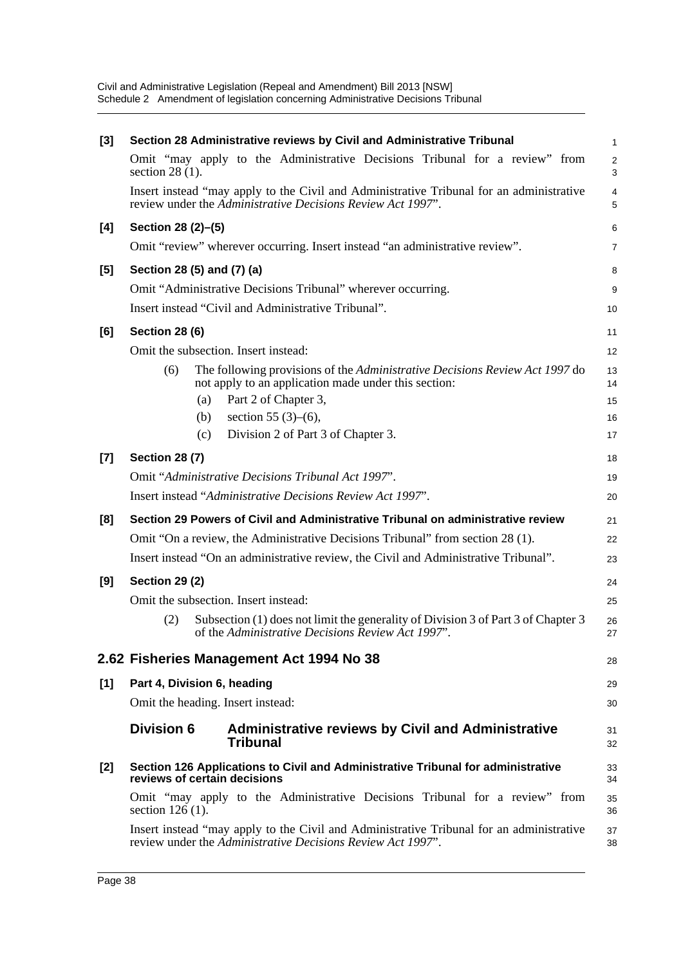| $[3]$ | Section 28 Administrative reviews by Civil and Administrative Tribunal                                                                                  | $\mathbf{1}$        |
|-------|---------------------------------------------------------------------------------------------------------------------------------------------------------|---------------------|
|       | Omit "may apply to the Administrative Decisions Tribunal for a review" from<br>section $28(1)$ .                                                        | 2<br>3              |
|       | Insert instead "may apply to the Civil and Administrative Tribunal for an administrative<br>review under the Administrative Decisions Review Act 1997". | $\overline{4}$<br>5 |
| [4]   | Section 28 (2)-(5)                                                                                                                                      | 6                   |
|       | Omit "review" wherever occurring. Insert instead "an administrative review".                                                                            | $\overline{7}$      |
| [5]   | Section 28 (5) and (7) (a)                                                                                                                              | 8                   |
|       | Omit "Administrative Decisions Tribunal" wherever occurring.                                                                                            | 9                   |
|       | Insert instead "Civil and Administrative Tribunal".                                                                                                     | 10                  |
| [6]   | <b>Section 28 (6)</b>                                                                                                                                   | 11                  |
|       | Omit the subsection. Insert instead:                                                                                                                    | 12                  |
|       | (6)<br>The following provisions of the <i>Administrative Decisions Review Act 1997</i> do<br>not apply to an application made under this section:       | 13<br>14            |
|       | Part 2 of Chapter 3,<br>(a)                                                                                                                             | 15                  |
|       | section 55 $(3)$ – $(6)$ ,<br>(b)                                                                                                                       | 16                  |
|       | Division 2 of Part 3 of Chapter 3.<br>(c)                                                                                                               | 17                  |
| $[7]$ | <b>Section 28 (7)</b>                                                                                                                                   | 18                  |
|       | Omit "Administrative Decisions Tribunal Act 1997".                                                                                                      | 19                  |
|       | Insert instead "Administrative Decisions Review Act 1997".                                                                                              | 20                  |
| [8]   | Section 29 Powers of Civil and Administrative Tribunal on administrative review                                                                         | 21                  |
|       | Omit "On a review, the Administrative Decisions Tribunal" from section 28 (1).                                                                          | 22                  |
|       | Insert instead "On an administrative review, the Civil and Administrative Tribunal".                                                                    | 23                  |
| [9]   | <b>Section 29 (2)</b>                                                                                                                                   | 24                  |
|       | Omit the subsection. Insert instead:                                                                                                                    | 25                  |
|       | Subsection (1) does not limit the generality of Division 3 of Part 3 of Chapter 3<br>(2)<br>of the Administrative Decisions Review Act 1997".           | 26<br>27            |
|       | 2.62 Fisheries Management Act 1994 No 38                                                                                                                | 28                  |
| [1]   | Part 4, Division 6, heading                                                                                                                             | 29                  |
|       | Omit the heading. Insert instead:                                                                                                                       | 30                  |
|       | <b>Division 6</b><br><b>Administrative reviews by Civil and Administrative</b><br><b>Tribunal</b>                                                       | 31<br>32            |
| [2]   | Section 126 Applications to Civil and Administrative Tribunal for administrative<br>reviews of certain decisions                                        | 33<br>34            |
|       | Omit "may apply to the Administrative Decisions Tribunal for a review" from<br>section $126(1)$ .                                                       | 35<br>36            |
|       | Insert instead "may apply to the Civil and Administrative Tribunal for an administrative<br>review under the Administrative Decisions Review Act 1997". | 37<br>38            |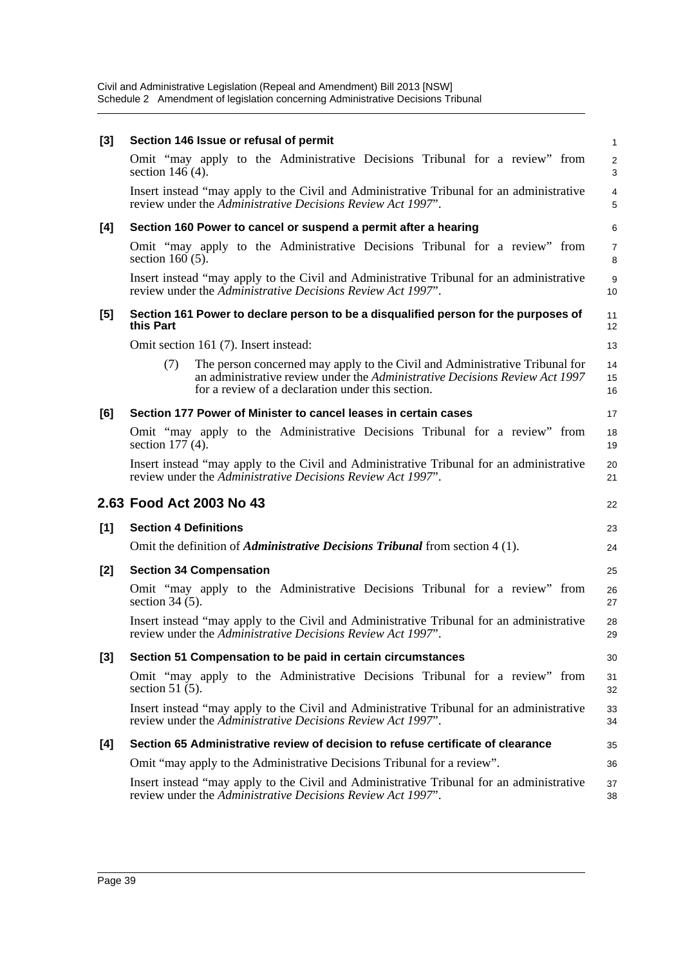| Section 146 Issue or refusal of permit                                                                                                                                                                                        | 1                            |
|-------------------------------------------------------------------------------------------------------------------------------------------------------------------------------------------------------------------------------|------------------------------|
| Omit "may apply to the Administrative Decisions Tribunal for a review" from<br>section $146(4)$ .                                                                                                                             | $\overline{\mathbf{c}}$<br>3 |
| Insert instead "may apply to the Civil and Administrative Tribunal for an administrative<br>review under the Administrative Decisions Review Act 1997".                                                                       | 4<br>5                       |
| Section 160 Power to cancel or suspend a permit after a hearing                                                                                                                                                               | 6                            |
| Omit "may apply to the Administrative Decisions Tribunal for a review" from<br>section $160(5)$ .                                                                                                                             | 7<br>8                       |
| Insert instead "may apply to the Civil and Administrative Tribunal for an administrative<br>review under the Administrative Decisions Review Act 1997".                                                                       | 9<br>10                      |
| Section 161 Power to declare person to be a disqualified person for the purposes of<br>this Part                                                                                                                              | 11<br>12                     |
| Omit section 161 (7). Insert instead:                                                                                                                                                                                         | 13                           |
| The person concerned may apply to the Civil and Administrative Tribunal for<br>(7)<br>an administrative review under the <i>Administrative Decisions Review Act 1997</i><br>for a review of a declaration under this section. | 14<br>15<br>16               |
| Section 177 Power of Minister to cancel leases in certain cases                                                                                                                                                               | 17                           |
| Omit "may apply to the Administrative Decisions Tribunal for a review" from<br>section $177(4)$ .                                                                                                                             | 18<br>19                     |
| Insert instead "may apply to the Civil and Administrative Tribunal for an administrative                                                                                                                                      | 20                           |
| review under the Administrative Decisions Review Act 1997".                                                                                                                                                                   | 21                           |
| 2.63 Food Act 2003 No 43                                                                                                                                                                                                      | 22                           |
| <b>Section 4 Definitions</b>                                                                                                                                                                                                  | 23                           |
| Omit the definition of <i>Administrative Decisions Tribunal</i> from section 4 (1).                                                                                                                                           | 24                           |
| <b>Section 34 Compensation</b>                                                                                                                                                                                                | 25                           |
| Omit "may apply to the Administrative Decisions Tribunal for a review" from<br>section $34(5)$ .                                                                                                                              | 26<br>27                     |
| Insert instead "may apply to the Civil and Administrative Tribunal for an administrative<br>review under the Administrative Decisions Review Act 1997".                                                                       | 28<br>29                     |
| Section 51 Compensation to be paid in certain circumstances                                                                                                                                                                   | 30                           |
| Omit "may apply to the Administrative Decisions Tribunal for a review" from<br>section 51 $(5)$ .                                                                                                                             | 31<br>32                     |
| Insert instead "may apply to the Civil and Administrative Tribunal for an administrative<br>review under the Administrative Decisions Review Act 1997".                                                                       | 33<br>34                     |
| Section 65 Administrative review of decision to refuse certificate of clearance                                                                                                                                               | 35                           |
| Omit "may apply to the Administrative Decisions Tribunal for a review".                                                                                                                                                       | 36                           |
|                                                                                                                                                                                                                               |                              |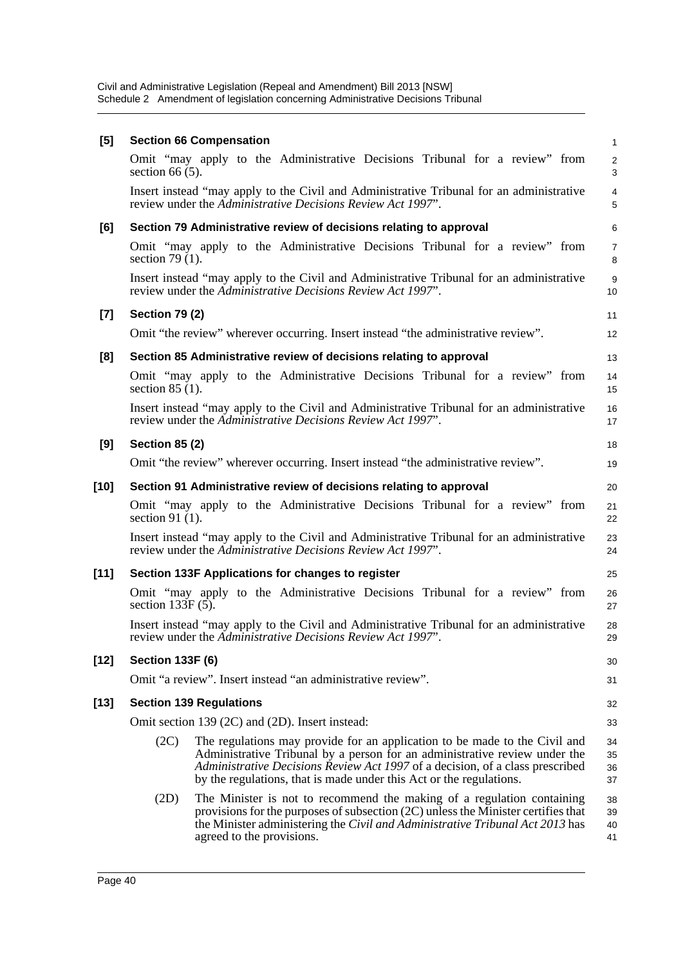| [5]    |                         | <b>Section 66 Compensation</b> |                                                                                                                                                                                                                                                                                                                  |  |  | $\mathbf{1}$         |
|--------|-------------------------|--------------------------------|------------------------------------------------------------------------------------------------------------------------------------------------------------------------------------------------------------------------------------------------------------------------------------------------------------------|--|--|----------------------|
|        | section 66 $(5)$ .      |                                | Omit "may apply to the Administrative Decisions Tribunal for a review" from                                                                                                                                                                                                                                      |  |  | $\overline{2}$<br>3  |
|        |                         |                                | Insert instead "may apply to the Civil and Administrative Tribunal for an administrative<br>review under the Administrative Decisions Review Act 1997".                                                                                                                                                          |  |  | 4<br>5               |
| [6]    |                         |                                | Section 79 Administrative review of decisions relating to approval                                                                                                                                                                                                                                               |  |  | 6                    |
|        | section 79 $(1)$ .      |                                | Omit "may apply to the Administrative Decisions Tribunal for a review" from                                                                                                                                                                                                                                      |  |  | $\overline{7}$<br>8  |
|        |                         |                                | Insert instead "may apply to the Civil and Administrative Tribunal for an administrative<br>review under the Administrative Decisions Review Act 1997".                                                                                                                                                          |  |  | 9<br>10              |
| $[7]$  | <b>Section 79 (2)</b>   |                                |                                                                                                                                                                                                                                                                                                                  |  |  | 11                   |
|        |                         |                                | Omit "the review" wherever occurring. Insert instead "the administrative review".                                                                                                                                                                                                                                |  |  | 12                   |
| [8]    |                         |                                | Section 85 Administrative review of decisions relating to approval                                                                                                                                                                                                                                               |  |  | 13                   |
|        | section $85(1)$ .       |                                | Omit "may apply to the Administrative Decisions Tribunal for a review" from                                                                                                                                                                                                                                      |  |  | 14<br>15             |
|        |                         |                                | Insert instead "may apply to the Civil and Administrative Tribunal for an administrative<br>review under the Administrative Decisions Review Act 1997".                                                                                                                                                          |  |  | 16<br>17             |
| [9]    | <b>Section 85 (2)</b>   |                                |                                                                                                                                                                                                                                                                                                                  |  |  | 18                   |
|        |                         |                                | Omit "the review" wherever occurring. Insert instead "the administrative review".                                                                                                                                                                                                                                |  |  | 19                   |
| [10]   |                         |                                | Section 91 Administrative review of decisions relating to approval                                                                                                                                                                                                                                               |  |  | 20                   |
|        | section 91 $(1)$ .      |                                | Omit "may apply to the Administrative Decisions Tribunal for a review" from                                                                                                                                                                                                                                      |  |  | 21<br>22             |
|        |                         |                                | Insert instead "may apply to the Civil and Administrative Tribunal for an administrative<br>review under the Administrative Decisions Review Act 1997".                                                                                                                                                          |  |  | 23<br>24             |
| $[11]$ |                         |                                | Section 133F Applications for changes to register                                                                                                                                                                                                                                                                |  |  | 25                   |
|        | section $133F(5)$ .     |                                | Omit "may apply to the Administrative Decisions Tribunal for a review" from                                                                                                                                                                                                                                      |  |  | 26<br>27             |
|        |                         |                                | Insert instead "may apply to the Civil and Administrative Tribunal for an administrative<br>review under the Administrative Decisions Review Act 1997".                                                                                                                                                          |  |  | 28<br>29             |
| $[12]$ | <b>Section 133F (6)</b> |                                |                                                                                                                                                                                                                                                                                                                  |  |  | 30                   |
|        |                         |                                | Omit "a review". Insert instead "an administrative review".                                                                                                                                                                                                                                                      |  |  | 31                   |
| $[13]$ |                         | <b>Section 139 Regulations</b> |                                                                                                                                                                                                                                                                                                                  |  |  | 32                   |
|        |                         |                                | Omit section 139 (2C) and (2D). Insert instead:                                                                                                                                                                                                                                                                  |  |  | 33                   |
|        | (2C)                    |                                | The regulations may provide for an application to be made to the Civil and<br>Administrative Tribunal by a person for an administrative review under the<br>Administrative Decisions Review Act 1997 of a decision, of a class prescribed<br>by the regulations, that is made under this Act or the regulations. |  |  | 34<br>35<br>36<br>37 |
|        | (2D)                    | agreed to the provisions.      | The Minister is not to recommend the making of a regulation containing<br>provisions for the purposes of subsection $(2C)$ unless the Minister certifies that<br>the Minister administering the Civil and Administrative Tribunal Act 2013 has                                                                   |  |  | 38<br>39<br>40<br>41 |
|        |                         |                                |                                                                                                                                                                                                                                                                                                                  |  |  |                      |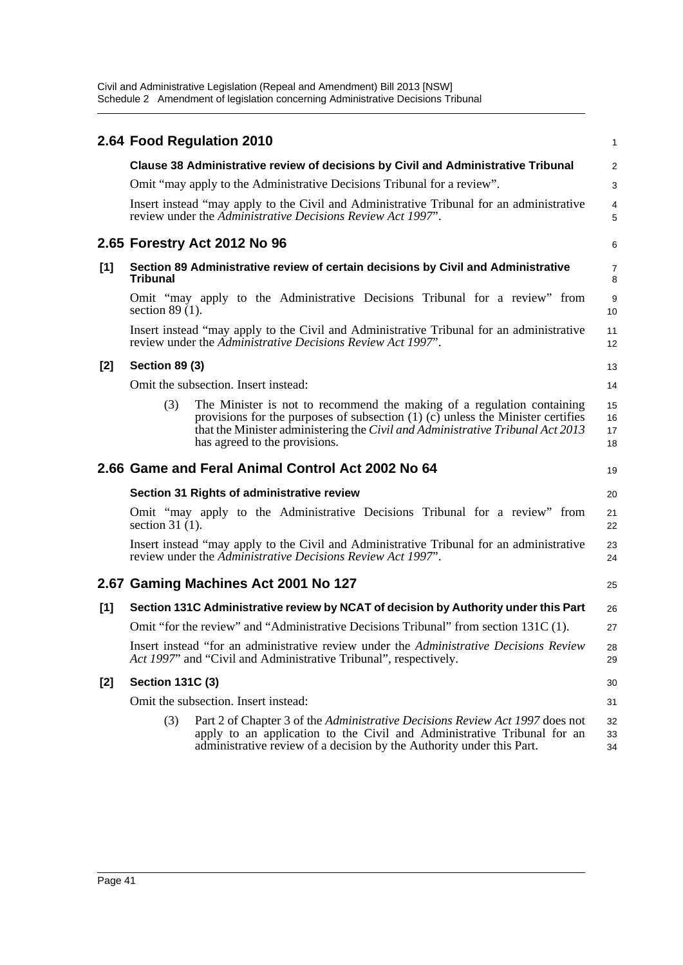|     |                         | 2.64 Food Regulation 2010                                                                                                                                                                                                                                                        | 1                    |
|-----|-------------------------|----------------------------------------------------------------------------------------------------------------------------------------------------------------------------------------------------------------------------------------------------------------------------------|----------------------|
|     |                         | Clause 38 Administrative review of decisions by Civil and Administrative Tribunal                                                                                                                                                                                                | $\overline{a}$       |
|     |                         | Omit "may apply to the Administrative Decisions Tribunal for a review".                                                                                                                                                                                                          | 3                    |
|     |                         | Insert instead "may apply to the Civil and Administrative Tribunal for an administrative<br>review under the Administrative Decisions Review Act 1997".                                                                                                                          | 4<br>5               |
|     |                         | 2.65 Forestry Act 2012 No 96                                                                                                                                                                                                                                                     | 6                    |
| [1] | <b>Tribunal</b>         | Section 89 Administrative review of certain decisions by Civil and Administrative                                                                                                                                                                                                | 7<br>8               |
|     | section $89(1)$ .       | Omit "may apply to the Administrative Decisions Tribunal for a review" from                                                                                                                                                                                                      | 9<br>10              |
|     |                         | Insert instead "may apply to the Civil and Administrative Tribunal for an administrative<br>review under the Administrative Decisions Review Act 1997".                                                                                                                          | 11<br>12             |
| [2] | <b>Section 89 (3)</b>   |                                                                                                                                                                                                                                                                                  | 13                   |
|     |                         | Omit the subsection. Insert instead:                                                                                                                                                                                                                                             | 14                   |
|     | (3)                     | The Minister is not to recommend the making of a regulation containing<br>provisions for the purposes of subsection $(1)$ $(c)$ unless the Minister certifies<br>that the Minister administering the Civil and Administrative Tribunal Act 2013<br>has agreed to the provisions. | 15<br>16<br>17<br>18 |
|     |                         | 2.66 Game and Feral Animal Control Act 2002 No 64                                                                                                                                                                                                                                | 19                   |
|     |                         | Section 31 Rights of administrative review                                                                                                                                                                                                                                       | 20                   |
|     | section 31 $(1)$ .      | Omit "may apply to the Administrative Decisions Tribunal for a review" from                                                                                                                                                                                                      | 21<br>22             |
|     |                         | Insert instead "may apply to the Civil and Administrative Tribunal for an administrative<br>review under the Administrative Decisions Review Act 1997".                                                                                                                          | 23<br>24             |
|     |                         | 2.67 Gaming Machines Act 2001 No 127                                                                                                                                                                                                                                             | 25                   |
| [1] |                         | Section 131C Administrative review by NCAT of decision by Authority under this Part                                                                                                                                                                                              | 26                   |
|     |                         | Omit "for the review" and "Administrative Decisions Tribunal" from section 131C (1).                                                                                                                                                                                             | 27                   |
|     |                         | Insert instead "for an administrative review under the Administrative Decisions Review<br>Act 1997" and "Civil and Administrative Tribunal", respectively.                                                                                                                       | 28<br>29             |
| [2] | <b>Section 131C (3)</b> |                                                                                                                                                                                                                                                                                  | 30                   |
|     |                         | Omit the subsection. Insert instead:                                                                                                                                                                                                                                             | 31                   |
|     | (3)                     | Part 2 of Chapter 3 of the Administrative Decisions Review Act 1997 does not<br>apply to an application to the Civil and Administrative Tribunal for an<br>administrative review of a decision by the Authority under this Part.                                                 | 32<br>33<br>34       |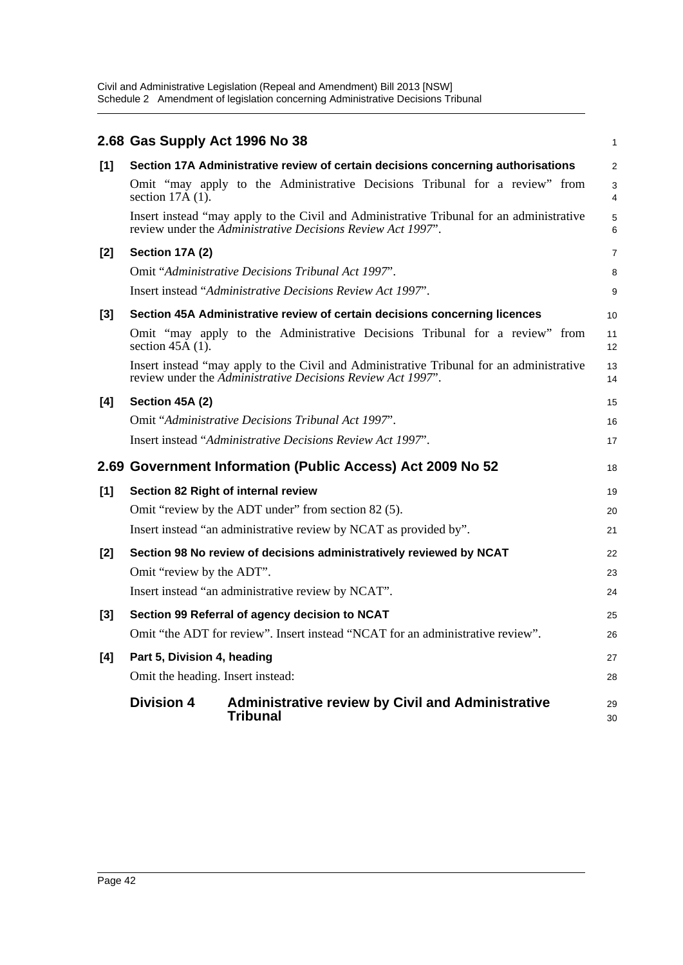|                  | 2.68 Gas Supply Act 1996 No 38                     |                                                                                                                                                         | 1              |  |
|------------------|----------------------------------------------------|---------------------------------------------------------------------------------------------------------------------------------------------------------|----------------|--|
| $[1]$            |                                                    | Section 17A Administrative review of certain decisions concerning authorisations                                                                        | $\overline{a}$ |  |
|                  | section $17\text{\AA}$ (1).                        | Omit "may apply to the Administrative Decisions Tribunal for a review" from                                                                             | 3<br>4         |  |
|                  |                                                    | Insert instead "may apply to the Civil and Administrative Tribunal for an administrative<br>review under the Administrative Decisions Review Act 1997". | 5<br>6         |  |
| $[2]$            | Section 17A (2)                                    |                                                                                                                                                         | 7              |  |
|                  |                                                    | Omit "Administrative Decisions Tribunal Act 1997".                                                                                                      | 8              |  |
|                  |                                                    | Insert instead "Administrative Decisions Review Act 1997".                                                                                              | 9              |  |
| $[3]$            |                                                    | Section 45A Administrative review of certain decisions concerning licences                                                                              | 10             |  |
|                  | section $45A(1)$ .                                 | Omit "may apply to the Administrative Decisions Tribunal for a review" from                                                                             | 11<br>12       |  |
|                  |                                                    | Insert instead "may apply to the Civil and Administrative Tribunal for an administrative<br>review under the Administrative Decisions Review Act 1997". | 13<br>14       |  |
| [4]              | Section 45A (2)                                    |                                                                                                                                                         | 15             |  |
|                  |                                                    | Omit "Administrative Decisions Tribunal Act 1997".                                                                                                      | 16             |  |
|                  |                                                    | Insert instead "Administrative Decisions Review Act 1997".                                                                                              | 17             |  |
|                  |                                                    | 2.69 Government Information (Public Access) Act 2009 No 52                                                                                              | 18             |  |
| [1]              |                                                    | Section 82 Right of internal review                                                                                                                     | 19             |  |
|                  |                                                    | Omit "review by the ADT under" from section 82 (5).                                                                                                     | 20             |  |
|                  |                                                    | Insert instead "an administrative review by NCAT as provided by".                                                                                       | 21             |  |
| $\mathsf{I2}$    |                                                    | Section 98 No review of decisions administratively reviewed by NCAT                                                                                     | 22             |  |
|                  | Omit "review by the ADT".                          |                                                                                                                                                         | 23             |  |
|                  | Insert instead "an administrative review by NCAT". |                                                                                                                                                         |                |  |
| $\left[3\right]$ |                                                    | Section 99 Referral of agency decision to NCAT                                                                                                          | 25             |  |
|                  |                                                    | Omit "the ADT for review". Insert instead "NCAT for an administrative review".                                                                          | 26             |  |
| [4]              | Part 5, Division 4, heading                        |                                                                                                                                                         | 27             |  |
|                  | Omit the heading. Insert instead:                  |                                                                                                                                                         | 28             |  |
|                  | <b>Division 4</b>                                  | <b>Administrative review by Civil and Administrative</b><br><b>Tribunal</b>                                                                             | 29<br>30       |  |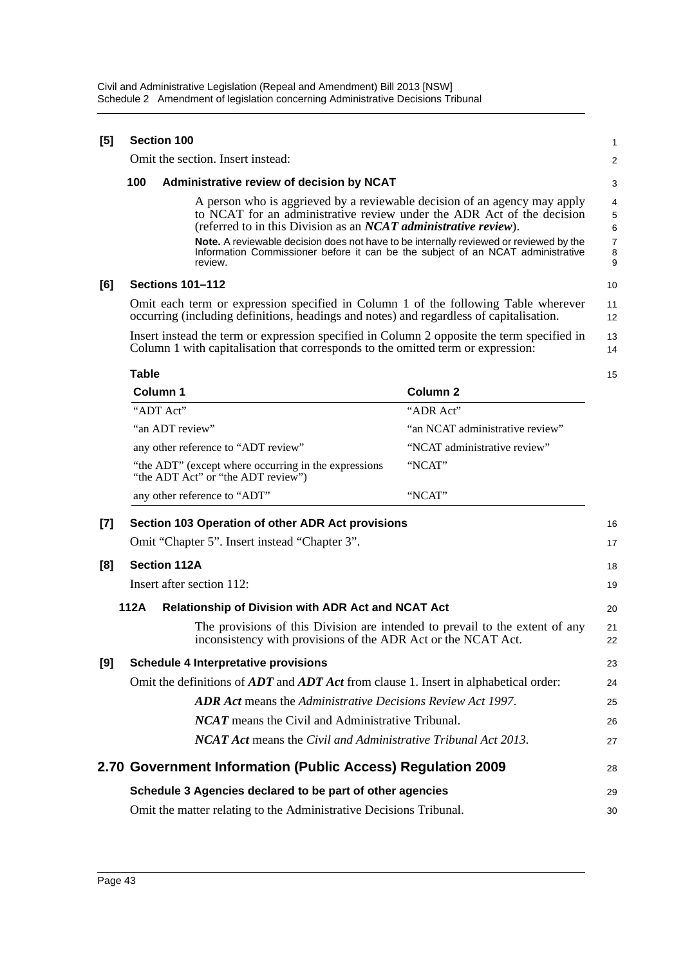| [5] | <b>Section 100</b>                                                                                                                                                                          | 1                                                                                                                                                                              |                                                                                                                                                     |                       |  |  |
|-----|---------------------------------------------------------------------------------------------------------------------------------------------------------------------------------------------|--------------------------------------------------------------------------------------------------------------------------------------------------------------------------------|-----------------------------------------------------------------------------------------------------------------------------------------------------|-----------------------|--|--|
|     |                                                                                                                                                                                             | Omit the section. Insert instead:                                                                                                                                              |                                                                                                                                                     | 2                     |  |  |
|     | 100                                                                                                                                                                                         | Administrative review of decision by NCAT                                                                                                                                      |                                                                                                                                                     | 3                     |  |  |
|     |                                                                                                                                                                                             | (referred to in this Division as an NCAT administrative review).                                                                                                               | A person who is aggrieved by a reviewable decision of an agency may apply<br>to NCAT for an administrative review under the ADR Act of the decision | 4<br>$\mathbf 5$<br>6 |  |  |
|     | <b>Note.</b> A reviewable decision does not have to be internally reviewed or reviewed by the<br>Information Commissioner before it can be the subject of an NCAT administrative<br>review. |                                                                                                                                                                                |                                                                                                                                                     |                       |  |  |
| [6] | <b>Sections 101-112</b>                                                                                                                                                                     |                                                                                                                                                                                |                                                                                                                                                     |                       |  |  |
|     | Omit each term or expression specified in Column 1 of the following Table wherever<br>occurring (including definitions, headings and notes) and regardless of capitalisation.               |                                                                                                                                                                                |                                                                                                                                                     |                       |  |  |
|     |                                                                                                                                                                                             | Insert instead the term or expression specified in Column 2 opposite the term specified in<br>Column 1 with capitalisation that corresponds to the omitted term or expression: |                                                                                                                                                     | 13<br>14              |  |  |
|     | Table                                                                                                                                                                                       |                                                                                                                                                                                |                                                                                                                                                     | 15                    |  |  |
|     | Column 1                                                                                                                                                                                    |                                                                                                                                                                                | <b>Column 2</b>                                                                                                                                     |                       |  |  |
|     | "ADT Act"                                                                                                                                                                                   |                                                                                                                                                                                | "ADR Act"                                                                                                                                           |                       |  |  |
|     | "an ADT review"                                                                                                                                                                             |                                                                                                                                                                                | "an NCAT administrative review"                                                                                                                     |                       |  |  |
|     |                                                                                                                                                                                             |                                                                                                                                                                                |                                                                                                                                                     |                       |  |  |

any other reference to "ADT review" "NCAT administrative review" "the ADT" (except where occurring in the expressions "the ADT Act" or "the ADT review") "NCAT" any other reference to "ADT" "NCAT"

| $[7]$ |      | Section 103 Operation of other ADR Act provisions                                                                                             | 16       |
|-------|------|-----------------------------------------------------------------------------------------------------------------------------------------------|----------|
|       |      | Omit "Chapter 5". Insert instead "Chapter 3".                                                                                                 | 17       |
| [8]   |      | <b>Section 112A</b>                                                                                                                           | 18       |
|       |      | Insert after section 112:                                                                                                                     | 19       |
|       | 112A | <b>Relationship of Division with ADR Act and NCAT Act</b>                                                                                     | 20       |
|       |      | The provisions of this Division are intended to prevail to the extent of any<br>inconsistency with provisions of the ADR Act or the NCAT Act. | 21<br>22 |
| [9]   |      | <b>Schedule 4 Interpretative provisions</b>                                                                                                   | 23       |
|       |      | Omit the definitions of $ADT$ and $ADT$ Act from clause 1. Insert in alphabetical order:                                                      | 24       |
|       |      | <b>ADR</b> Act means the Administrative Decisions Review Act 1997.                                                                            | 25       |
|       |      | <b>NCAT</b> means the Civil and Administrative Tribunal.                                                                                      | 26       |
|       |      | <b>NCAT Act</b> means the Civil and Administrative Tribunal Act 2013.                                                                         | 27       |
|       |      | 2.70 Government Information (Public Access) Regulation 2009                                                                                   | 28       |
|       |      | Schedule 3 Agencies declared to be part of other agencies                                                                                     | 29       |
|       |      | Omit the matter relating to the Administrative Decisions Tribunal.                                                                            | 30       |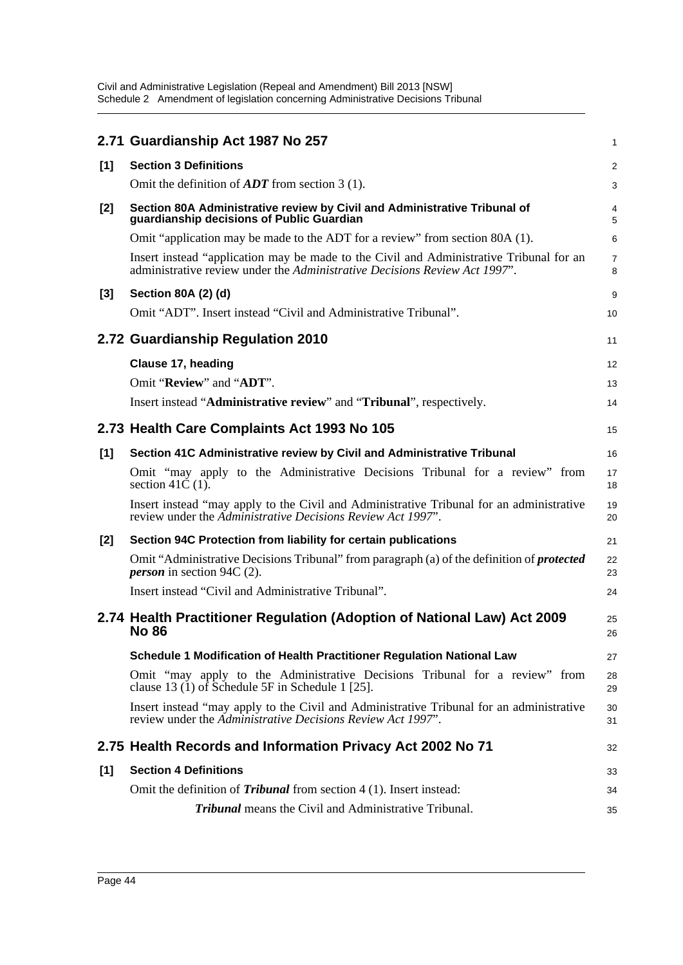|       | 2.71 Guardianship Act 1987 No 257                                                                                                                                     | 1              |
|-------|-----------------------------------------------------------------------------------------------------------------------------------------------------------------------|----------------|
| [1]   | <b>Section 3 Definitions</b>                                                                                                                                          | $\overline{c}$ |
|       | Omit the definition of $ADT$ from section 3 (1).                                                                                                                      | 3              |
| $[2]$ | Section 80A Administrative review by Civil and Administrative Tribunal of<br>guardianship decisions of Public Guardian                                                | 4<br>5         |
|       | Omit "application may be made to the ADT for a review" from section 80A (1).                                                                                          | 6              |
|       | Insert instead "application may be made to the Civil and Administrative Tribunal for an<br>administrative review under the Administrative Decisions Review Act 1997". | 7<br>8         |
| $[3]$ | Section 80A (2) (d)                                                                                                                                                   | 9              |
|       | Omit "ADT". Insert instead "Civil and Administrative Tribunal".                                                                                                       | 10             |
|       | 2.72 Guardianship Regulation 2010                                                                                                                                     | 11             |
|       | <b>Clause 17, heading</b>                                                                                                                                             | 12             |
|       | Omit "Review" and "ADT".                                                                                                                                              | 13             |
|       | Insert instead "Administrative review" and "Tribunal", respectively.                                                                                                  | 14             |
|       | 2.73 Health Care Complaints Act 1993 No 105                                                                                                                           | 15             |
| [1]   | Section 41C Administrative review by Civil and Administrative Tribunal                                                                                                | 16             |
|       | Omit "may apply to the Administrative Decisions Tribunal for a review" from<br>section 41 $\dot{C}$ (1).                                                              | 17<br>18       |
|       | Insert instead "may apply to the Civil and Administrative Tribunal for an administrative<br>review under the Administrative Decisions Review Act 1997".               | 19<br>20       |
| [2]   | Section 94C Protection from liability for certain publications                                                                                                        | 21             |
|       | Omit "Administrative Decisions Tribunal" from paragraph (a) of the definition of <b>protected</b><br><i>person</i> in section 94C $(2)$ .                             | 22<br>23       |
|       | Insert instead "Civil and Administrative Tribunal".                                                                                                                   | 24             |
|       | 2.74 Health Practitioner Regulation (Adoption of National Law) Act 2009<br><b>No 86</b>                                                                               | 25<br>26       |
|       | Schedule 1 Modification of Health Practitioner Regulation National Law                                                                                                | 27             |
|       | Omit "may apply to the Administrative Decisions Tribunal for a review" from<br>clause 13 (1) of Schedule 5F in Schedule 1 [25].                                       | 28<br>29       |
|       | Insert instead "may apply to the Civil and Administrative Tribunal for an administrative<br>review under the Administrative Decisions Review Act 1997".               | 30<br>31       |
|       | 2.75 Health Records and Information Privacy Act 2002 No 71                                                                                                            | 32             |
| [1]   | <b>Section 4 Definitions</b>                                                                                                                                          | 33             |
|       | Omit the definition of <i>Tribunal</i> from section $4(1)$ . Insert instead:                                                                                          | 34             |
|       | <b>Tribunal</b> means the Civil and Administrative Tribunal.                                                                                                          | 35             |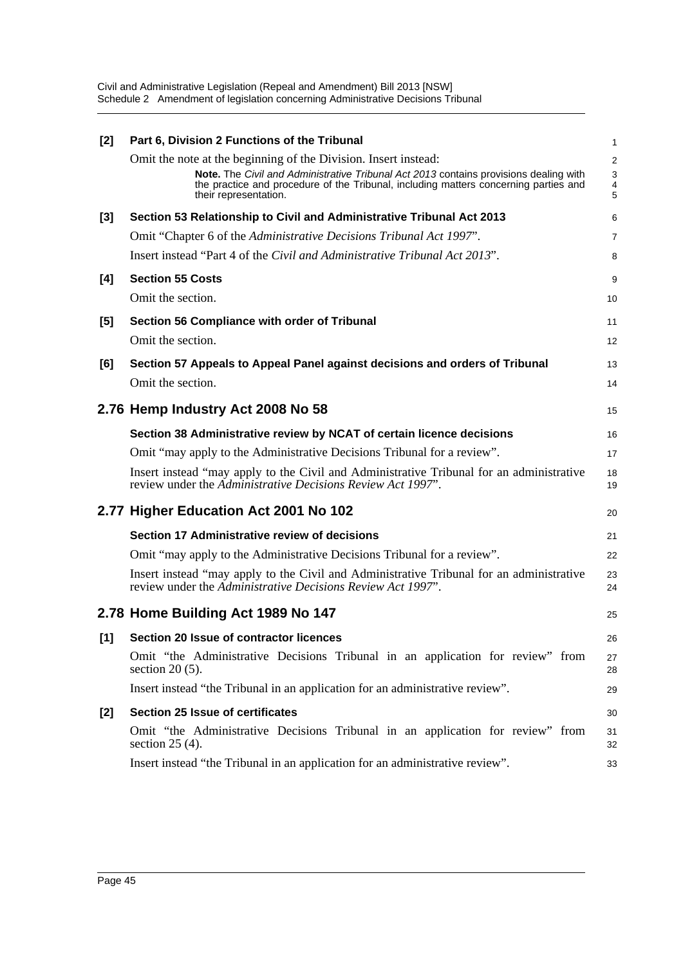| $[2]$ | Part 6, Division 2 Functions of the Tribunal                                                                                                                                  | 1              |
|-------|-------------------------------------------------------------------------------------------------------------------------------------------------------------------------------|----------------|
|       | Omit the note at the beginning of the Division. Insert instead:                                                                                                               | $\overline{a}$ |
|       | Note. The Civil and Administrative Tribunal Act 2013 contains provisions dealing with<br>the practice and procedure of the Tribunal, including matters concerning parties and | 3              |
|       | their representation.                                                                                                                                                         | $\frac{4}{5}$  |
| $[3]$ | Section 53 Relationship to Civil and Administrative Tribunal Act 2013                                                                                                         | 6              |
|       | Omit "Chapter 6 of the Administrative Decisions Tribunal Act 1997".                                                                                                           | 7              |
|       | Insert instead "Part 4 of the Civil and Administrative Tribunal Act 2013".                                                                                                    | 8              |
| [4]   | <b>Section 55 Costs</b>                                                                                                                                                       | 9              |
|       | Omit the section.                                                                                                                                                             | 10             |
| [5]   | Section 56 Compliance with order of Tribunal                                                                                                                                  | 11             |
|       | Omit the section.                                                                                                                                                             | 12             |
| [6]   | Section 57 Appeals to Appeal Panel against decisions and orders of Tribunal                                                                                                   | 13             |
|       | Omit the section.                                                                                                                                                             | 14             |
|       |                                                                                                                                                                               |                |
|       | 2.76 Hemp Industry Act 2008 No 58                                                                                                                                             | 15             |
|       | Section 38 Administrative review by NCAT of certain licence decisions                                                                                                         | 16             |
|       | Omit "may apply to the Administrative Decisions Tribunal for a review".                                                                                                       | 17             |
|       | Insert instead "may apply to the Civil and Administrative Tribunal for an administrative<br>review under the Administrative Decisions Review Act 1997".                       | 18<br>19       |
|       | 2.77 Higher Education Act 2001 No 102                                                                                                                                         | 20             |
|       | Section 17 Administrative review of decisions                                                                                                                                 | 21             |
|       | Omit "may apply to the Administrative Decisions Tribunal for a review".                                                                                                       | 22             |
|       | Insert instead "may apply to the Civil and Administrative Tribunal for an administrative<br>review under the Administrative Decisions Review Act 1997".                       | 23<br>24       |
|       | 2.78 Home Building Act 1989 No 147                                                                                                                                            | 25             |
|       | [1] Section 20 Issue of contractor licences                                                                                                                                   | 26             |
|       | Omit "the Administrative Decisions Tribunal in an application for review" from<br>section $20(5)$ .                                                                           | 27<br>28       |
|       | Insert instead "the Tribunal in an application for an administrative review".                                                                                                 | 29             |
| [2]   | <b>Section 25 Issue of certificates</b>                                                                                                                                       | 30             |
|       | Omit "the Administrative Decisions Tribunal in an application for review" from<br>section $25(4)$ .                                                                           | 31<br>32       |
|       | Insert instead "the Tribunal in an application for an administrative review".                                                                                                 | 33             |
|       |                                                                                                                                                                               |                |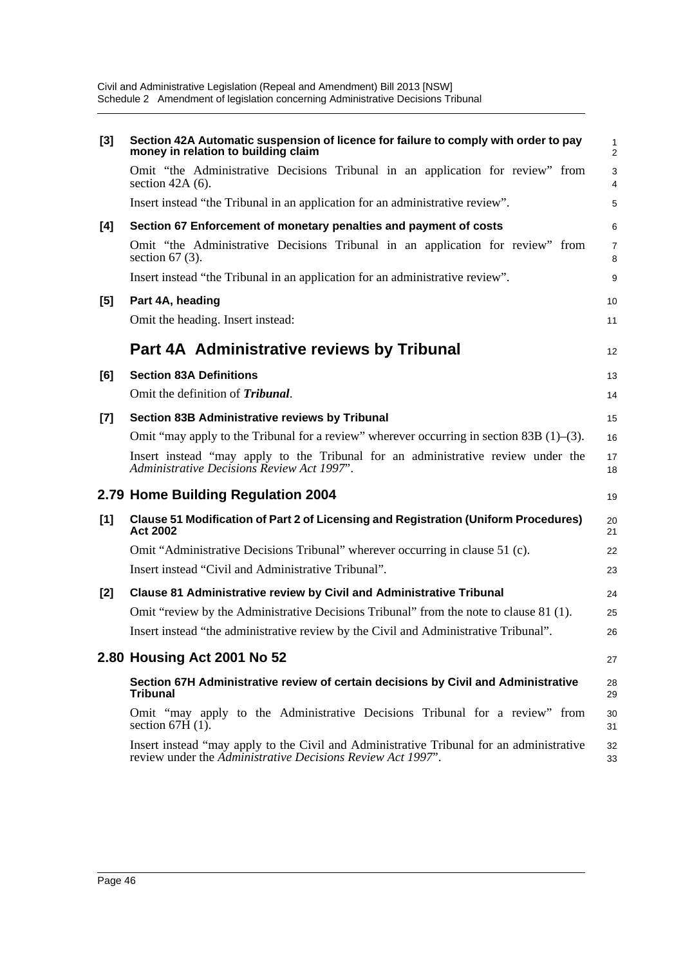| [3]   | Section 42A Automatic suspension of licence for failure to comply with order to pay<br>money in relation to building claim                              | 1<br>$\overline{c}$ |
|-------|---------------------------------------------------------------------------------------------------------------------------------------------------------|---------------------|
|       | Omit "the Administrative Decisions Tribunal in an application for review" from<br>section $42A(6)$ .                                                    | 3<br>4              |
|       | Insert instead "the Tribunal in an application for an administrative review".                                                                           | 5                   |
| [4]   | Section 67 Enforcement of monetary penalties and payment of costs                                                                                       | 6                   |
|       | Omit "the Administrative Decisions Tribunal in an application for review" from<br>section $67(3)$ .                                                     | 7<br>8              |
|       | Insert instead "the Tribunal in an application for an administrative review".                                                                           | 9                   |
| [5]   | Part 4A, heading                                                                                                                                        | 10                  |
|       | Omit the heading. Insert instead:                                                                                                                       | 11                  |
|       | Part 4A Administrative reviews by Tribunal                                                                                                              | 12                  |
| [6]   | <b>Section 83A Definitions</b>                                                                                                                          | 13                  |
|       | Omit the definition of Tribunal.                                                                                                                        | 14                  |
| $[7]$ | Section 83B Administrative reviews by Tribunal                                                                                                          | 15                  |
|       | Omit "may apply to the Tribunal for a review" wherever occurring in section 83B $(1)$ – $(3)$ .                                                         | 16                  |
|       | Insert instead "may apply to the Tribunal for an administrative review under the<br>Administrative Decisions Review Act 1997".                          | 17<br>18            |
|       | 2.79 Home Building Regulation 2004                                                                                                                      | 19                  |
| $[1]$ | <b>Clause 51 Modification of Part 2 of Licensing and Registration (Uniform Procedures)</b><br><b>Act 2002</b>                                           | 20<br>21            |
|       | Omit "Administrative Decisions Tribunal" wherever occurring in clause 51 (c).                                                                           | 22                  |
|       | Insert instead "Civil and Administrative Tribunal".                                                                                                     | 23                  |
| [2]   | <b>Clause 81 Administrative review by Civil and Administrative Tribunal</b>                                                                             | 24                  |
|       | Omit "review by the Administrative Decisions Tribunal" from the note to clause 81 (1).                                                                  | 25                  |
|       | Insert instead "the administrative review by the Civil and Administrative Tribunal".                                                                    | 26                  |
|       | 2.80 Housing Act 2001 No 52                                                                                                                             | 27                  |
|       | Section 67H Administrative review of certain decisions by Civil and Administrative<br><b>Tribunal</b>                                                   | 28<br>29            |
|       | Omit "may apply to the Administrative Decisions Tribunal for a review" from<br>section $67H(1)$ .                                                       | 30<br>31            |
|       | Insert instead "may apply to the Civil and Administrative Tribunal for an administrative<br>review under the Administrative Decisions Review Act 1997". | 32<br>33            |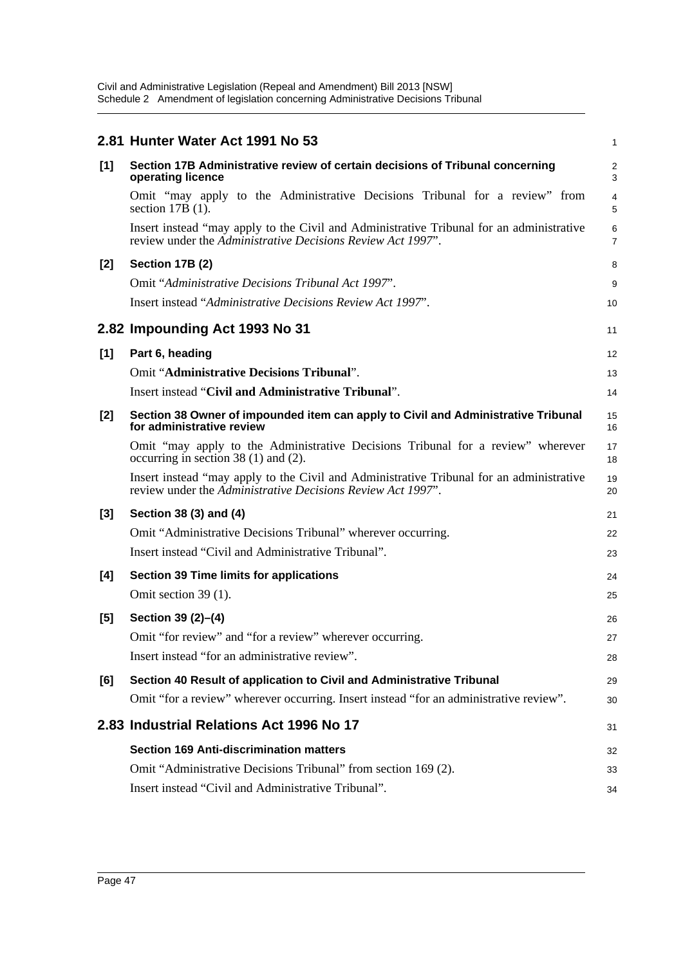|       | 2.81 Hunter Water Act 1991 No 53                                                                                                                        | 1        |
|-------|---------------------------------------------------------------------------------------------------------------------------------------------------------|----------|
| [1]   | Section 17B Administrative review of certain decisions of Tribunal concerning<br>operating licence                                                      | 2<br>3   |
|       | Omit "may apply to the Administrative Decisions Tribunal for a review" from<br>section $17B(1)$ .                                                       | 4<br>5   |
|       | Insert instead "may apply to the Civil and Administrative Tribunal for an administrative<br>review under the Administrative Decisions Review Act 1997". | 6<br>7   |
| [2]   | Section 17B (2)                                                                                                                                         | 8        |
|       | Omit "Administrative Decisions Tribunal Act 1997".                                                                                                      | 9        |
|       | Insert instead "Administrative Decisions Review Act 1997".                                                                                              | 10       |
|       | 2.82 Impounding Act 1993 No 31                                                                                                                          | 11       |
| [1]   | Part 6, heading                                                                                                                                         | 12       |
|       | <b>Omit "Administrative Decisions Tribunal".</b>                                                                                                        | 13       |
|       | Insert instead "Civil and Administrative Tribunal".                                                                                                     | 14       |
| [2]   | Section 38 Owner of impounded item can apply to Civil and Administrative Tribunal<br>for administrative review                                          | 15<br>16 |
|       | Omit "may apply to the Administrative Decisions Tribunal for a review" wherever<br>occurring in section 38 $(1)$ and $(2)$ .                            | 17<br>18 |
|       | Insert instead "may apply to the Civil and Administrative Tribunal for an administrative<br>review under the Administrative Decisions Review Act 1997". | 19<br>20 |
| $[3]$ | Section 38 (3) and (4)                                                                                                                                  | 21       |
|       | Omit "Administrative Decisions Tribunal" wherever occurring.                                                                                            | 22       |
|       | Insert instead "Civil and Administrative Tribunal".                                                                                                     | 23       |
| [4]   | <b>Section 39 Time limits for applications</b>                                                                                                          | 24       |
|       | Omit section 39 (1).                                                                                                                                    | 25       |
| $[5]$ | Section 39 (2)-(4)                                                                                                                                      | 26       |
|       | Omit "for review" and "for a review" wherever occurring.                                                                                                | 27       |
|       | Insert instead "for an administrative review".                                                                                                          | 28       |
| [6]   | Section 40 Result of application to Civil and Administrative Tribunal                                                                                   | 29       |
|       | Omit "for a review" wherever occurring. Insert instead "for an administrative review".                                                                  | 30       |
|       | 2.83 Industrial Relations Act 1996 No 17                                                                                                                | 31       |
|       | <b>Section 169 Anti-discrimination matters</b>                                                                                                          | 32       |
|       | Omit "Administrative Decisions Tribunal" from section 169 (2).                                                                                          | 33       |
|       | Insert instead "Civil and Administrative Tribunal".                                                                                                     | 34       |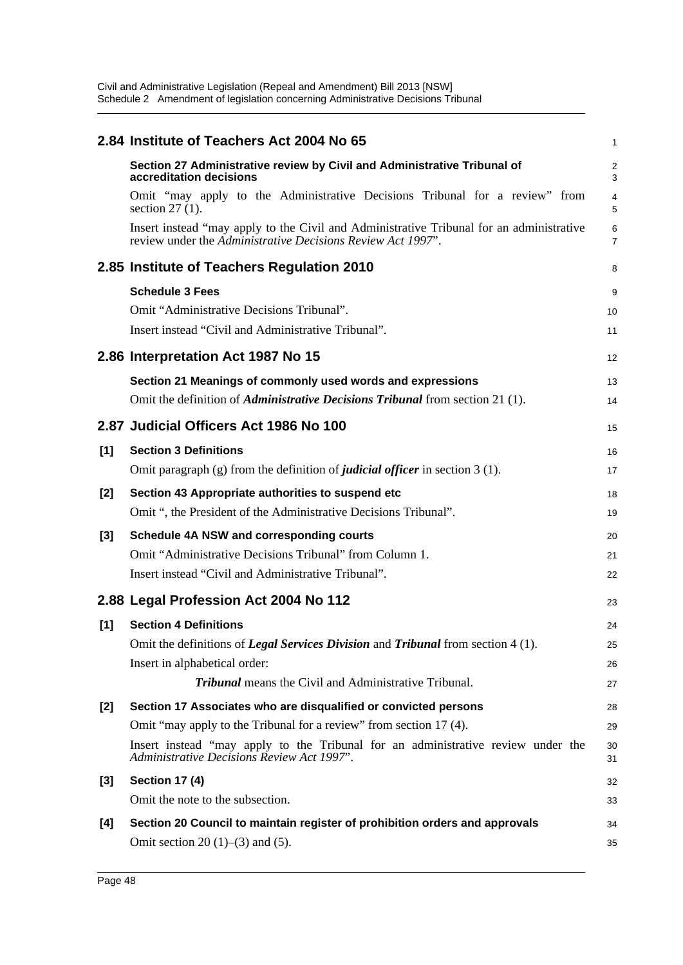|       | 2.84 Institute of Teachers Act 2004 No 65                                                                                                               | 1                   |
|-------|---------------------------------------------------------------------------------------------------------------------------------------------------------|---------------------|
|       | Section 27 Administrative review by Civil and Administrative Tribunal of<br>accreditation decisions                                                     | $\overline{a}$<br>3 |
|       | Omit "may apply to the Administrative Decisions Tribunal for a review" from<br>section $27(1)$ .                                                        | 4<br>5              |
|       | Insert instead "may apply to the Civil and Administrative Tribunal for an administrative<br>review under the Administrative Decisions Review Act 1997". | 6<br>7              |
|       | 2.85 Institute of Teachers Regulation 2010                                                                                                              | 8                   |
|       | <b>Schedule 3 Fees</b>                                                                                                                                  | 9                   |
|       | Omit "Administrative Decisions Tribunal".                                                                                                               | 10                  |
|       | Insert instead "Civil and Administrative Tribunal".                                                                                                     | 11                  |
|       | 2.86 Interpretation Act 1987 No 15                                                                                                                      | 12                  |
|       | Section 21 Meanings of commonly used words and expressions                                                                                              | 13                  |
|       | Omit the definition of <i>Administrative Decisions Tribunal</i> from section 21 (1).                                                                    | 14                  |
|       | 2.87 Judicial Officers Act 1986 No 100                                                                                                                  | 15                  |
| [1]   | <b>Section 3 Definitions</b>                                                                                                                            | 16                  |
|       | Omit paragraph $(g)$ from the definition of <i>judicial officer</i> in section 3 (1).                                                                   | 17                  |
| [2]   | Section 43 Appropriate authorities to suspend etc                                                                                                       | 18                  |
|       | Omit ", the President of the Administrative Decisions Tribunal".                                                                                        | 19                  |
| [3]   | Schedule 4A NSW and corresponding courts                                                                                                                | 20                  |
|       | Omit "Administrative Decisions Tribunal" from Column 1.                                                                                                 | 21                  |
|       | Insert instead "Civil and Administrative Tribunal".                                                                                                     | 22                  |
|       | 2.88 Legal Profession Act 2004 No 112                                                                                                                   | 23                  |
| [1]   | <b>Section 4 Definitions</b>                                                                                                                            | 24                  |
|       | Omit the definitions of Legal Services Division and Tribunal from section 4 (1).                                                                        | 25                  |
|       | Insert in alphabetical order:                                                                                                                           | 26                  |
|       | <b>Tribunal</b> means the Civil and Administrative Tribunal.                                                                                            | 27                  |
| [2]   | Section 17 Associates who are disqualified or convicted persons                                                                                         | 28                  |
|       | Omit "may apply to the Tribunal for a review" from section 17 (4).                                                                                      | 29                  |
|       | Insert instead "may apply to the Tribunal for an administrative review under the<br>Administrative Decisions Review Act 1997".                          | 30<br>31            |
| $[3]$ | <b>Section 17 (4)</b>                                                                                                                                   | 32                  |
|       | Omit the note to the subsection.                                                                                                                        | 33                  |
| [4]   | Section 20 Council to maintain register of prohibition orders and approvals                                                                             | 34                  |
|       | Omit section 20 $(1)$ – $(3)$ and $(5)$ .                                                                                                               | 35                  |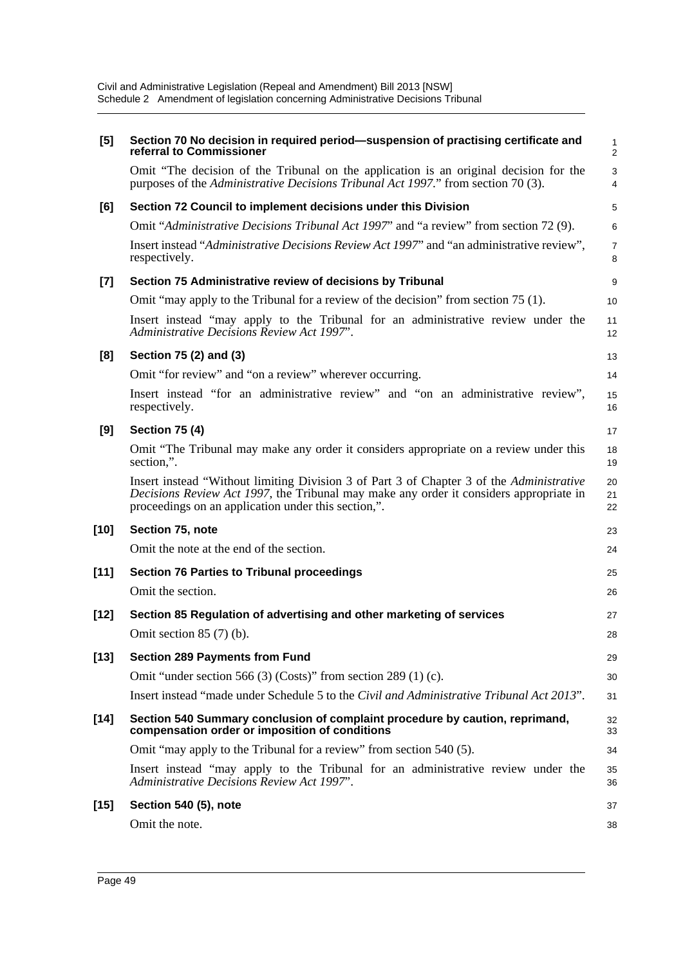| [5]    | Section 70 No decision in required period—suspension of practising certificate and<br>referral to Commissioner                                                                                                                            | $\mathbf{1}$<br>$\overline{2}$ |
|--------|-------------------------------------------------------------------------------------------------------------------------------------------------------------------------------------------------------------------------------------------|--------------------------------|
|        | Omit "The decision of the Tribunal on the application is an original decision for the<br>purposes of the Administrative Decisions Tribunal Act 1997." from section 70 (3).                                                                | 3<br>$\overline{4}$            |
| [6]    | Section 72 Council to implement decisions under this Division                                                                                                                                                                             | 5                              |
|        | Omit "Administrative Decisions Tribunal Act 1997" and "a review" from section 72 (9).                                                                                                                                                     | $6\phantom{1}6$                |
|        | Insert instead "Administrative Decisions Review Act 1997" and "an administrative review",<br>respectively.                                                                                                                                | $\overline{7}$<br>8            |
| $[7]$  | Section 75 Administrative review of decisions by Tribunal                                                                                                                                                                                 | 9                              |
|        | Omit "may apply to the Tribunal for a review of the decision" from section 75 (1).                                                                                                                                                        | 10                             |
|        | Insert instead "may apply to the Tribunal for an administrative review under the<br>Administrative Decisions Review Act 1997".                                                                                                            | 11<br>12                       |
| [8]    | Section 75 (2) and (3)                                                                                                                                                                                                                    | 13                             |
|        | Omit "for review" and "on a review" wherever occurring.                                                                                                                                                                                   | 14                             |
|        | Insert instead "for an administrative review" and "on an administrative review",<br>respectively.                                                                                                                                         | 15<br>16                       |
| [9]    | <b>Section 75 (4)</b>                                                                                                                                                                                                                     | 17                             |
|        | Omit "The Tribunal may make any order it considers appropriate on a review under this<br>section,".                                                                                                                                       | 18<br>19                       |
|        | Insert instead "Without limiting Division 3 of Part 3 of Chapter 3 of the Administrative<br>Decisions Review Act 1997, the Tribunal may make any order it considers appropriate in<br>proceedings on an application under this section,". | 20<br>21<br>22                 |
| $[10]$ | Section 75, note                                                                                                                                                                                                                          | 23                             |
|        | Omit the note at the end of the section.                                                                                                                                                                                                  | 24                             |
| $[11]$ | <b>Section 76 Parties to Tribunal proceedings</b>                                                                                                                                                                                         | 25                             |
|        | Omit the section.                                                                                                                                                                                                                         | 26                             |
| $[12]$ | Section 85 Regulation of advertising and other marketing of services                                                                                                                                                                      | 27                             |
|        | Omit section $85(7)$ (b).                                                                                                                                                                                                                 | 28                             |
| $[13]$ | <b>Section 289 Payments from Fund</b>                                                                                                                                                                                                     | 29                             |
|        | Omit "under section 566 (3) (Costs)" from section 289 (1) (c).                                                                                                                                                                            | 30                             |
|        | Insert instead "made under Schedule 5 to the Civil and Administrative Tribunal Act 2013".                                                                                                                                                 | 31                             |
| $[14]$ | Section 540 Summary conclusion of complaint procedure by caution, reprimand,<br>compensation order or imposition of conditions                                                                                                            | 32<br>33                       |
|        | Omit "may apply to the Tribunal for a review" from section 540 (5).                                                                                                                                                                       | 34                             |
|        | Insert instead "may apply to the Tribunal for an administrative review under the<br>Administrative Decisions Review Act 1997".                                                                                                            | 35<br>36                       |
| $[15]$ | Section 540 (5), note                                                                                                                                                                                                                     | 37                             |
|        | Omit the note.                                                                                                                                                                                                                            | 38                             |
|        |                                                                                                                                                                                                                                           |                                |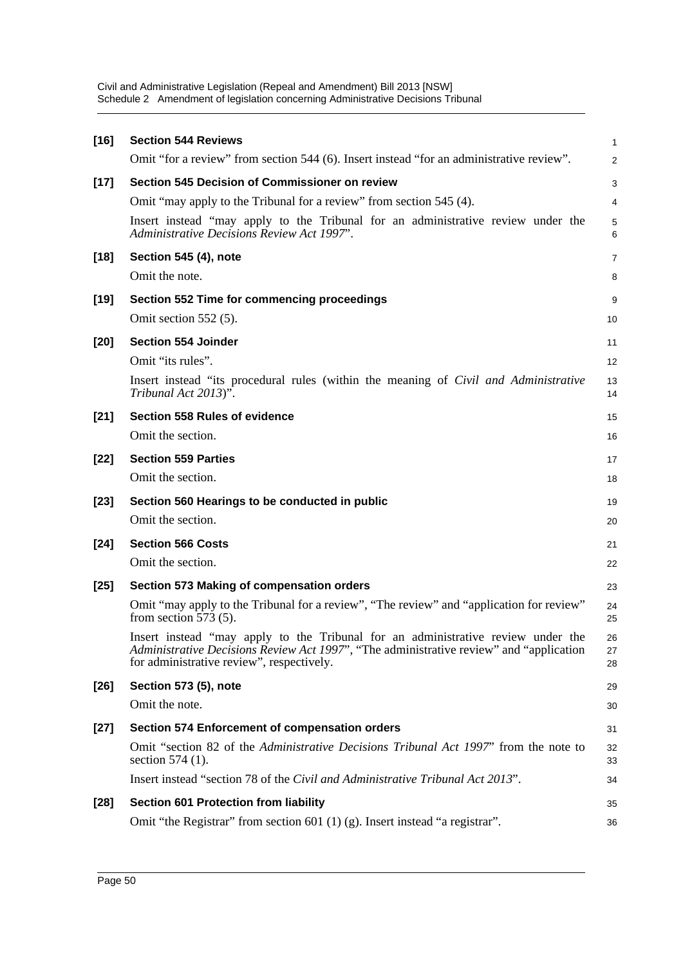| $[16]$ | <b>Section 544 Reviews</b>                                                                                                                                                                                               | $\mathbf{1}$   |
|--------|--------------------------------------------------------------------------------------------------------------------------------------------------------------------------------------------------------------------------|----------------|
|        | Omit "for a review" from section 544 (6). Insert instead "for an administrative review".                                                                                                                                 | $\overline{2}$ |
| $[17]$ | Section 545 Decision of Commissioner on review                                                                                                                                                                           | 3              |
|        | Omit "may apply to the Tribunal for a review" from section 545 (4).                                                                                                                                                      | 4              |
|        | Insert instead "may apply to the Tribunal for an administrative review under the<br><b>Administrative Decisions Review Act 1997'.</b>                                                                                    | 5<br>6         |
| $[18]$ | Section 545 (4), note                                                                                                                                                                                                    | 7              |
|        | Omit the note.                                                                                                                                                                                                           | 8              |
| $[19]$ | <b>Section 552 Time for commencing proceedings</b>                                                                                                                                                                       | 9              |
|        | Omit section 552 (5).                                                                                                                                                                                                    | 10             |
| $[20]$ | <b>Section 554 Joinder</b>                                                                                                                                                                                               | 11             |
|        | Omit "its rules".                                                                                                                                                                                                        | 12             |
|        | Insert instead "its procedural rules (within the meaning of Civil and Administrative<br>Tribunal Act 2013)".                                                                                                             | 13<br>14       |
| $[21]$ | <b>Section 558 Rules of evidence</b>                                                                                                                                                                                     | 15             |
|        | Omit the section.                                                                                                                                                                                                        | 16             |
| $[22]$ | <b>Section 559 Parties</b>                                                                                                                                                                                               | 17             |
|        | Omit the section.                                                                                                                                                                                                        | 18             |
| $[23]$ | Section 560 Hearings to be conducted in public                                                                                                                                                                           | 19             |
|        | Omit the section.                                                                                                                                                                                                        | 20             |
| $[24]$ | <b>Section 566 Costs</b>                                                                                                                                                                                                 | 21             |
|        | Omit the section.                                                                                                                                                                                                        | 22             |
| $[25]$ | Section 573 Making of compensation orders                                                                                                                                                                                | 23             |
|        | Omit "may apply to the Tribunal for a review", "The review" and "application for review"<br>from section $573(5)$ .                                                                                                      | 24<br>25       |
|        | Insert instead "may apply to the Tribunal for an administrative review under the<br>Administrative Decisions Review Act 1997', "The administrative review" and "application<br>for administrative review", respectively. | 26<br>27<br>28 |
| $[26]$ | Section 573 (5), note                                                                                                                                                                                                    | 29             |
|        | Omit the note.                                                                                                                                                                                                           | 30             |
| $[27]$ | <b>Section 574 Enforcement of compensation orders</b>                                                                                                                                                                    | 31             |
|        | Omit "section 82 of the <i>Administrative Decisions Tribunal Act 1997</i> " from the note to<br>section 574 (1).                                                                                                         | 32<br>33       |
|        | Insert instead "section 78 of the Civil and Administrative Tribunal Act 2013".                                                                                                                                           | 34             |
| $[28]$ | Section 601 Protection from liability                                                                                                                                                                                    | 35             |
|        | Omit "the Registrar" from section 601 (1) (g). Insert instead "a registrar".                                                                                                                                             | 36             |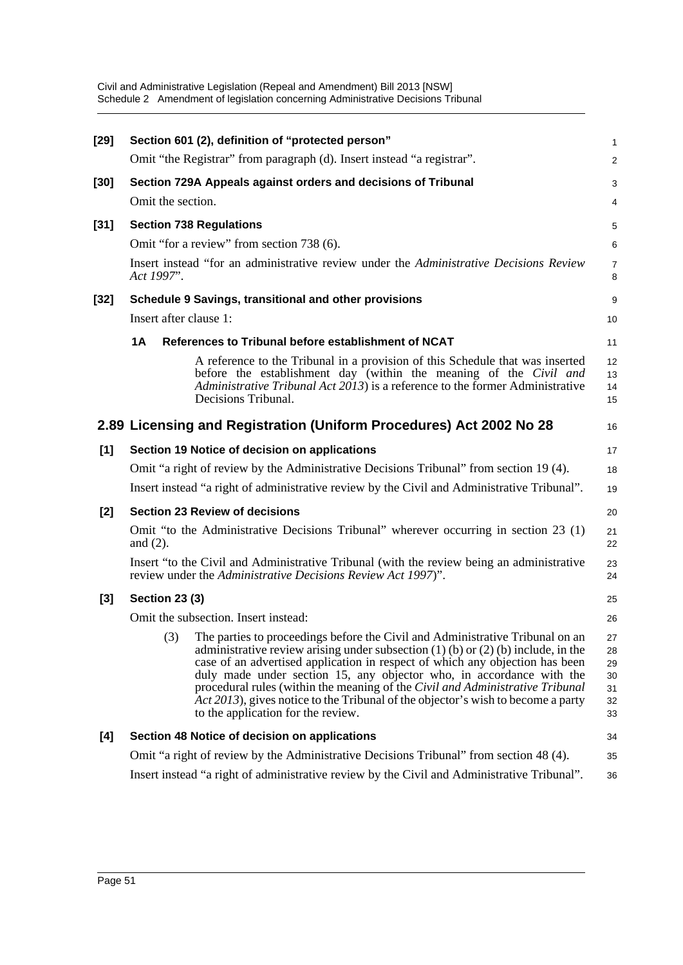| $[29]$ |                                               | Section 601 (2), definition of "protected person"                                                                                                                                                                                                                                                                                                                                                                                                                                                                                         | $\mathbf{1}$                           |  |  |  |
|--------|-----------------------------------------------|-------------------------------------------------------------------------------------------------------------------------------------------------------------------------------------------------------------------------------------------------------------------------------------------------------------------------------------------------------------------------------------------------------------------------------------------------------------------------------------------------------------------------------------------|----------------------------------------|--|--|--|
|        |                                               | Omit "the Registrar" from paragraph (d). Insert instead "a registrar".                                                                                                                                                                                                                                                                                                                                                                                                                                                                    | 2                                      |  |  |  |
| [30]   |                                               | Section 729A Appeals against orders and decisions of Tribunal                                                                                                                                                                                                                                                                                                                                                                                                                                                                             | 3                                      |  |  |  |
|        | Omit the section.                             |                                                                                                                                                                                                                                                                                                                                                                                                                                                                                                                                           | 4                                      |  |  |  |
| $[31]$ | <b>Section 738 Regulations</b>                |                                                                                                                                                                                                                                                                                                                                                                                                                                                                                                                                           |                                        |  |  |  |
|        |                                               | Omit "for a review" from section 738 (6).                                                                                                                                                                                                                                                                                                                                                                                                                                                                                                 | 6                                      |  |  |  |
|        | Act 1997".                                    | Insert instead "for an administrative review under the Administrative Decisions Review                                                                                                                                                                                                                                                                                                                                                                                                                                                    | $\overline{7}$<br>8                    |  |  |  |
| [32]   |                                               | Schedule 9 Savings, transitional and other provisions                                                                                                                                                                                                                                                                                                                                                                                                                                                                                     | 9                                      |  |  |  |
|        | Insert after clause 1:                        |                                                                                                                                                                                                                                                                                                                                                                                                                                                                                                                                           | 10                                     |  |  |  |
|        | 1A                                            | References to Tribunal before establishment of NCAT                                                                                                                                                                                                                                                                                                                                                                                                                                                                                       | 11                                     |  |  |  |
|        |                                               | A reference to the Tribunal in a provision of this Schedule that was inserted<br>before the establishment day (within the meaning of the Civil and<br>Administrative Tribunal Act 2013) is a reference to the former Administrative<br>Decisions Tribunal.                                                                                                                                                                                                                                                                                | 12<br>13<br>14<br>15                   |  |  |  |
|        |                                               | 2.89 Licensing and Registration (Uniform Procedures) Act 2002 No 28                                                                                                                                                                                                                                                                                                                                                                                                                                                                       | 16                                     |  |  |  |
| [1]    | Section 19 Notice of decision on applications |                                                                                                                                                                                                                                                                                                                                                                                                                                                                                                                                           |                                        |  |  |  |
|        |                                               | Omit "a right of review by the Administrative Decisions Tribunal" from section 19 (4).                                                                                                                                                                                                                                                                                                                                                                                                                                                    | 18                                     |  |  |  |
|        |                                               | Insert instead "a right of administrative review by the Civil and Administrative Tribunal".                                                                                                                                                                                                                                                                                                                                                                                                                                               | 19                                     |  |  |  |
| [2]    |                                               | <b>Section 23 Review of decisions</b>                                                                                                                                                                                                                                                                                                                                                                                                                                                                                                     | 20                                     |  |  |  |
|        | and $(2)$ .                                   | Omit "to the Administrative Decisions Tribunal" wherever occurring in section 23 (1)                                                                                                                                                                                                                                                                                                                                                                                                                                                      | 21<br>22                               |  |  |  |
|        |                                               | Insert "to the Civil and Administrative Tribunal (with the review being an administrative<br>review under the Administrative Decisions Review Act 1997)".                                                                                                                                                                                                                                                                                                                                                                                 | 23<br>24                               |  |  |  |
| $[3]$  | <b>Section 23 (3)</b>                         |                                                                                                                                                                                                                                                                                                                                                                                                                                                                                                                                           | 25                                     |  |  |  |
|        |                                               | Omit the subsection. Insert instead:                                                                                                                                                                                                                                                                                                                                                                                                                                                                                                      | 26                                     |  |  |  |
|        | (3)                                           | The parties to proceedings before the Civil and Administrative Tribunal on an<br>administrative review arising under subsection $(1)$ (b) or $(2)$ (b) include, in the<br>case of an advertised application in respect of which any objection has been<br>duly made under section 15, any objector who, in accordance with the<br>procedural rules (within the meaning of the Civil and Administrative Tribunal<br>Act 2013), gives notice to the Tribunal of the objector's wish to become a party<br>to the application for the review. | 27<br>28<br>29<br>30<br>31<br>32<br>33 |  |  |  |
| [4]    |                                               | Section 48 Notice of decision on applications                                                                                                                                                                                                                                                                                                                                                                                                                                                                                             | 34                                     |  |  |  |
|        |                                               | Omit "a right of review by the Administrative Decisions Tribunal" from section 48 (4).                                                                                                                                                                                                                                                                                                                                                                                                                                                    | 35                                     |  |  |  |
|        |                                               | Insert instead "a right of administrative review by the Civil and Administrative Tribunal".                                                                                                                                                                                                                                                                                                                                                                                                                                               | 36                                     |  |  |  |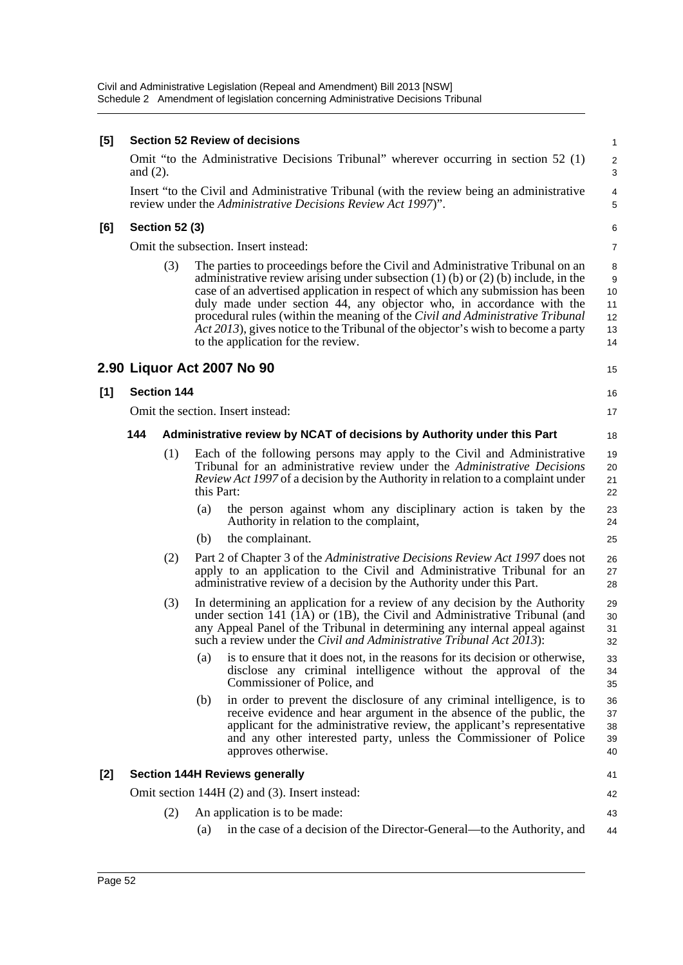| [5] |             |                       |            | <b>Section 52 Review of decisions</b>                                                                                                                                                                                                                                                                                                                                                                                                                                                                                                      | 1                                    |
|-----|-------------|-----------------------|------------|--------------------------------------------------------------------------------------------------------------------------------------------------------------------------------------------------------------------------------------------------------------------------------------------------------------------------------------------------------------------------------------------------------------------------------------------------------------------------------------------------------------------------------------------|--------------------------------------|
|     | and $(2)$ . |                       |            | Omit "to the Administrative Decisions Tribunal" wherever occurring in section 52 (1)                                                                                                                                                                                                                                                                                                                                                                                                                                                       | $\overline{\mathbf{c}}$<br>3         |
|     |             |                       |            | Insert "to the Civil and Administrative Tribunal (with the review being an administrative<br>review under the Administrative Decisions Review Act 1997)".                                                                                                                                                                                                                                                                                                                                                                                  | $\overline{\mathcal{L}}$<br>5        |
| [6] |             | <b>Section 52 (3)</b> |            |                                                                                                                                                                                                                                                                                                                                                                                                                                                                                                                                            | 6                                    |
|     |             |                       |            | Omit the subsection. Insert instead:                                                                                                                                                                                                                                                                                                                                                                                                                                                                                                       | 7                                    |
|     |             | (3)                   |            | The parties to proceedings before the Civil and Administrative Tribunal on an<br>administrative review arising under subsection $(1)$ (b) or $(2)$ (b) include, in the<br>case of an advertised application in respect of which any submission has been<br>duly made under section 44, any objector who, in accordance with the<br>procedural rules (within the meaning of the Civil and Administrative Tribunal<br>Act 2013), gives notice to the Tribunal of the objector's wish to become a party<br>to the application for the review. | 8<br>9<br>10<br>11<br>12<br>13<br>14 |
|     |             |                       |            | 2.90 Liquor Act 2007 No 90                                                                                                                                                                                                                                                                                                                                                                                                                                                                                                                 | 15                                   |
| [1] |             | <b>Section 144</b>    |            |                                                                                                                                                                                                                                                                                                                                                                                                                                                                                                                                            | 16                                   |
|     |             |                       |            | Omit the section. Insert instead:                                                                                                                                                                                                                                                                                                                                                                                                                                                                                                          | 17                                   |
|     | 144         |                       |            | Administrative review by NCAT of decisions by Authority under this Part                                                                                                                                                                                                                                                                                                                                                                                                                                                                    | 18                                   |
|     |             | (1)                   | this Part: | Each of the following persons may apply to the Civil and Administrative<br>Tribunal for an administrative review under the Administrative Decisions<br><i>Review Act 1997</i> of a decision by the Authority in relation to a complaint under                                                                                                                                                                                                                                                                                              | 19<br>20<br>21<br>22                 |
|     |             |                       | (a)        | the person against whom any disciplinary action is taken by the<br>Authority in relation to the complaint,                                                                                                                                                                                                                                                                                                                                                                                                                                 | 23<br>24                             |
|     |             |                       | (b)        | the complainant.                                                                                                                                                                                                                                                                                                                                                                                                                                                                                                                           | 25                                   |
|     |             | (2)                   |            | Part 2 of Chapter 3 of the Administrative Decisions Review Act 1997 does not<br>apply to an application to the Civil and Administrative Tribunal for an<br>administrative review of a decision by the Authority under this Part.                                                                                                                                                                                                                                                                                                           | 26<br>27<br>28                       |
|     |             | (3)                   |            | In determining an application for a review of any decision by the Authority<br>under section 141 (1A) or (1B), the Civil and Administrative Tribunal (and<br>any Appeal Panel of the Tribunal in determining any internal appeal against<br>such a review under the Civil and Administrative Tribunal Act 2013):                                                                                                                                                                                                                           | 29<br>30<br>31<br>32                 |
|     |             |                       | (a)        | is to ensure that it does not, in the reasons for its decision or otherwise,<br>disclose any criminal intelligence without the approval of the<br>Commissioner of Police, and                                                                                                                                                                                                                                                                                                                                                              | 33<br>34<br>35                       |
|     |             |                       | (b)        | in order to prevent the disclosure of any criminal intelligence, is to<br>receive evidence and hear argument in the absence of the public, the<br>applicant for the administrative review, the applicant's representative<br>and any other interested party, unless the Commissioner of Police<br>approves otherwise.                                                                                                                                                                                                                      | 36<br>37<br>38<br>39<br>40           |
| [2] |             |                       |            | <b>Section 144H Reviews generally</b>                                                                                                                                                                                                                                                                                                                                                                                                                                                                                                      | 41                                   |
|     |             |                       |            | Omit section 144H (2) and (3). Insert instead:                                                                                                                                                                                                                                                                                                                                                                                                                                                                                             | 42                                   |
|     |             | (2)                   |            | An application is to be made:                                                                                                                                                                                                                                                                                                                                                                                                                                                                                                              | 43                                   |
|     |             |                       | (a)        | in the case of a decision of the Director-General—to the Authority, and                                                                                                                                                                                                                                                                                                                                                                                                                                                                    | 44                                   |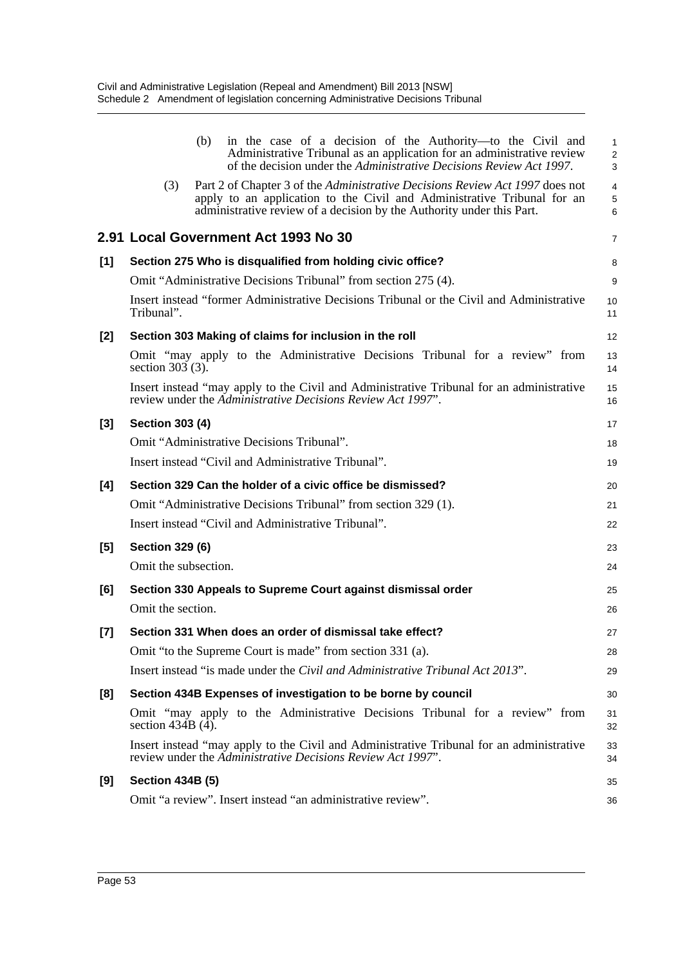|       | (b)<br>in the case of a decision of the Authority—to the Civil and<br>Administrative Tribunal as an application for an administrative review                                                                                            | 1<br>$\overline{\mathbf{c}}$ |
|-------|-----------------------------------------------------------------------------------------------------------------------------------------------------------------------------------------------------------------------------------------|------------------------------|
|       | of the decision under the Administrative Decisions Review Act 1997.                                                                                                                                                                     | 3                            |
|       | Part 2 of Chapter 3 of the Administrative Decisions Review Act 1997 does not<br>(3)<br>apply to an application to the Civil and Administrative Tribunal for an<br>administrative review of a decision by the Authority under this Part. | $\overline{4}$<br>5<br>6     |
|       | 2.91 Local Government Act 1993 No 30                                                                                                                                                                                                    | $\overline{7}$               |
| $[1]$ | Section 275 Who is disqualified from holding civic office?                                                                                                                                                                              | 8                            |
|       | Omit "Administrative Decisions Tribunal" from section 275 (4).                                                                                                                                                                          | 9                            |
|       | Insert instead "former Administrative Decisions Tribunal or the Civil and Administrative<br>Tribunal".                                                                                                                                  | 10<br>11                     |
| [2]   | Section 303 Making of claims for inclusion in the roll                                                                                                                                                                                  | 12                           |
|       | Omit "may apply to the Administrative Decisions Tribunal for a review" from<br>section $303(3)$ .                                                                                                                                       | 13<br>14                     |
|       | Insert instead "may apply to the Civil and Administrative Tribunal for an administrative<br>review under the Administrative Decisions Review Act 1997".                                                                                 | 15<br>16                     |
| [3]   | <b>Section 303 (4)</b>                                                                                                                                                                                                                  | 17                           |
|       | Omit "Administrative Decisions Tribunal".                                                                                                                                                                                               | 18                           |
|       | Insert instead "Civil and Administrative Tribunal".                                                                                                                                                                                     | 19                           |
| [4]   | Section 329 Can the holder of a civic office be dismissed?                                                                                                                                                                              | 20                           |
|       | Omit "Administrative Decisions Tribunal" from section 329 (1).                                                                                                                                                                          | 21                           |
|       | Insert instead "Civil and Administrative Tribunal".                                                                                                                                                                                     | 22                           |
| [5]   | <b>Section 329 (6)</b>                                                                                                                                                                                                                  | 23                           |
|       | Omit the subsection.                                                                                                                                                                                                                    | 24                           |
| [6]   | Section 330 Appeals to Supreme Court against dismissal order                                                                                                                                                                            | 25                           |
|       | Omit the section.                                                                                                                                                                                                                       | 26                           |
| [7]   | Section 331 When does an order of dismissal take effect?                                                                                                                                                                                | 27                           |
|       | Omit "to the Supreme Court is made" from section 331 (a).                                                                                                                                                                               | 28                           |
|       | Insert instead "is made under the <i>Civil and Administrative Tribunal Act 2013</i> ".                                                                                                                                                  | 29                           |
| [8]   | Section 434B Expenses of investigation to be borne by council                                                                                                                                                                           | 30                           |
|       | Omit "may apply to the Administrative Decisions Tribunal for a review" from<br>section $434B(4)$ .                                                                                                                                      | 31<br>32                     |
|       | Insert instead "may apply to the Civil and Administrative Tribunal for an administrative<br>review under the Administrative Decisions Review Act 1997".                                                                                 | 33<br>34                     |
| [9]   | <b>Section 434B (5)</b>                                                                                                                                                                                                                 | 35                           |
|       | Omit "a review". Insert instead "an administrative review".                                                                                                                                                                             | 36                           |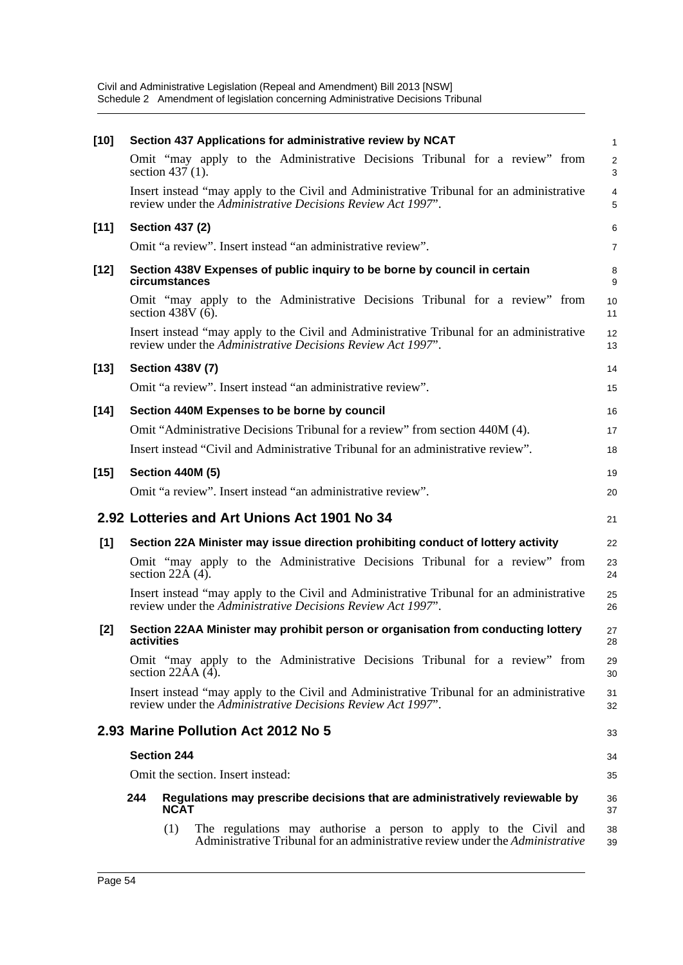| $[10]$ | Section 437 Applications for administrative review by NCAT                                                                                               | $\mathbf{1}$        |
|--------|----------------------------------------------------------------------------------------------------------------------------------------------------------|---------------------|
|        | Omit "may apply to the Administrative Decisions Tribunal for a review" from<br>section $437(1)$ .                                                        | $\overline{2}$<br>3 |
|        | Insert instead "may apply to the Civil and Administrative Tribunal for an administrative<br>review under the Administrative Decisions Review Act 1997".  | $\overline{4}$<br>5 |
| $[11]$ | <b>Section 437 (2)</b>                                                                                                                                   | 6                   |
|        | Omit "a review". Insert instead "an administrative review".                                                                                              | $\overline{7}$      |
| $[12]$ | Section 438V Expenses of public inquiry to be borne by council in certain<br>circumstances                                                               | 8<br>9              |
|        | Omit "may apply to the Administrative Decisions Tribunal for a review" from<br>section 438V $(\overline{6})$ .                                           | 10<br>11            |
|        | Insert instead "may apply to the Civil and Administrative Tribunal for an administrative<br>review under the Administrative Decisions Review Act 1997".  | 12<br>13            |
| $[13]$ | <b>Section 438V (7)</b>                                                                                                                                  | 14                  |
|        | Omit "a review". Insert instead "an administrative review".                                                                                              | 15                  |
| $[14]$ | Section 440M Expenses to be borne by council                                                                                                             | 16                  |
|        | Omit "Administrative Decisions Tribunal for a review" from section 440M (4).                                                                             | 17                  |
|        | Insert instead "Civil and Administrative Tribunal for an administrative review".                                                                         | 18                  |
| $[15]$ | <b>Section 440M (5)</b>                                                                                                                                  | 19                  |
|        | Omit "a review". Insert instead "an administrative review".                                                                                              | 20                  |
|        | 2.92 Lotteries and Art Unions Act 1901 No 34                                                                                                             | 21                  |
| [1]    | Section 22A Minister may issue direction prohibiting conduct of lottery activity                                                                         | 22                  |
|        | Omit "may apply to the Administrative Decisions Tribunal for a review" from<br>section $22\overline{A(4)}$ .                                             | 23<br>24            |
|        | Insert instead "may apply to the Civil and Administrative Tribunal for an administrative<br>review under the Administrative Decisions Review Act 1997".  | 25<br>26            |
| $[2]$  | Section 22AA Minister may prohibit person or organisation from conducting lottery<br>activities                                                          | 27<br>28            |
|        | Omit "may apply to the Administrative Decisions Tribunal for a review" from<br>section $22AA(4)$ .                                                       | 29<br>30            |
|        | Insert instead "may apply to the Civil and Administrative Tribunal for an administrative<br>review under the Administrative Decisions Review Act 1997".  | 31<br>32            |
|        | 2.93 Marine Pollution Act 2012 No 5                                                                                                                      | 33                  |
|        | <b>Section 244</b>                                                                                                                                       | 34                  |
|        | Omit the section. Insert instead:                                                                                                                        | 35                  |
|        | 244<br>Regulations may prescribe decisions that are administratively reviewable by<br><b>NCAT</b>                                                        | 36<br>37            |
|        | (1)<br>The regulations may authorise a person to apply to the Civil and<br>Administrative Tribunal for an administrative review under the Administrative | 38<br>39            |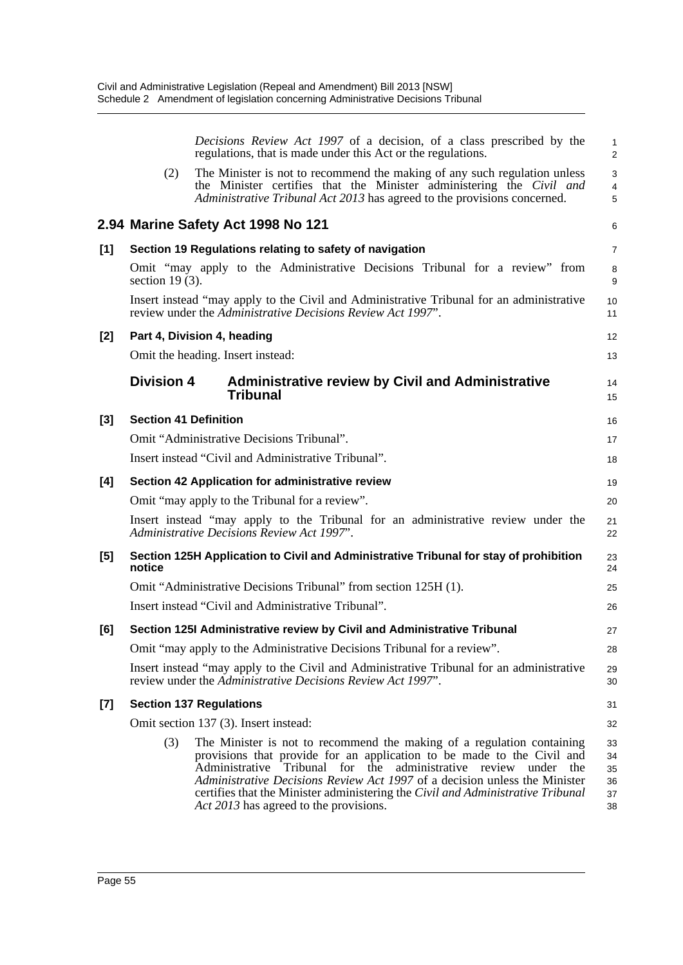|       |                                                                         | Decisions Review Act 1997 of a decision, of a class prescribed by the<br>regulations, that is made under this Act or the regulations.                                                                                                                                                                                                                                                                                             | $\mathbf{1}$<br>2                  |  |  |  |  |
|-------|-------------------------------------------------------------------------|-----------------------------------------------------------------------------------------------------------------------------------------------------------------------------------------------------------------------------------------------------------------------------------------------------------------------------------------------------------------------------------------------------------------------------------|------------------------------------|--|--|--|--|
|       | (2)                                                                     | The Minister is not to recommend the making of any such regulation unless<br>the Minister certifies that the Minister administering the Civil and<br>Administrative Tribunal Act 2013 has agreed to the provisions concerned.                                                                                                                                                                                                     | $\mathsf 3$<br>$\overline{4}$<br>5 |  |  |  |  |
|       |                                                                         | 2.94 Marine Safety Act 1998 No 121                                                                                                                                                                                                                                                                                                                                                                                                | 6                                  |  |  |  |  |
| [1]   |                                                                         | Section 19 Regulations relating to safety of navigation                                                                                                                                                                                                                                                                                                                                                                           | $\overline{7}$                     |  |  |  |  |
|       | section $19(3)$ .                                                       | Omit "may apply to the Administrative Decisions Tribunal for a review" from                                                                                                                                                                                                                                                                                                                                                       | 8<br>9                             |  |  |  |  |
|       |                                                                         | Insert instead "may apply to the Civil and Administrative Tribunal for an administrative<br>review under the Administrative Decisions Review Act 1997".                                                                                                                                                                                                                                                                           | 10<br>11                           |  |  |  |  |
| [2]   |                                                                         | Part 4, Division 4, heading                                                                                                                                                                                                                                                                                                                                                                                                       | 12                                 |  |  |  |  |
|       |                                                                         | Omit the heading. Insert instead:                                                                                                                                                                                                                                                                                                                                                                                                 | 13                                 |  |  |  |  |
|       | <b>Division 4</b>                                                       | <b>Administrative review by Civil and Administrative</b><br><b>Tribunal</b>                                                                                                                                                                                                                                                                                                                                                       | 14<br>15                           |  |  |  |  |
| $[3]$ | <b>Section 41 Definition</b>                                            |                                                                                                                                                                                                                                                                                                                                                                                                                                   | 16                                 |  |  |  |  |
|       |                                                                         | Omit "Administrative Decisions Tribunal".                                                                                                                                                                                                                                                                                                                                                                                         | 17                                 |  |  |  |  |
|       |                                                                         | Insert instead "Civil and Administrative Tribunal".                                                                                                                                                                                                                                                                                                                                                                               | 18                                 |  |  |  |  |
| [4]   | Section 42 Application for administrative review                        |                                                                                                                                                                                                                                                                                                                                                                                                                                   |                                    |  |  |  |  |
|       |                                                                         | Omit "may apply to the Tribunal for a review".                                                                                                                                                                                                                                                                                                                                                                                    | 20                                 |  |  |  |  |
|       |                                                                         | Insert instead "may apply to the Tribunal for an administrative review under the<br>Administrative Decisions Review Act 1997".                                                                                                                                                                                                                                                                                                    | 21<br>22                           |  |  |  |  |
| [5]   | notice                                                                  | Section 125H Application to Civil and Administrative Tribunal for stay of prohibition                                                                                                                                                                                                                                                                                                                                             | 23<br>24                           |  |  |  |  |
|       |                                                                         | Omit "Administrative Decisions Tribunal" from section 125H (1).                                                                                                                                                                                                                                                                                                                                                                   | 25                                 |  |  |  |  |
|       |                                                                         | Insert instead "Civil and Administrative Tribunal".                                                                                                                                                                                                                                                                                                                                                                               | 26                                 |  |  |  |  |
| [6]   |                                                                         | Section 125I Administrative review by Civil and Administrative Tribunal                                                                                                                                                                                                                                                                                                                                                           | 27                                 |  |  |  |  |
|       | Omit "may apply to the Administrative Decisions Tribunal for a review". |                                                                                                                                                                                                                                                                                                                                                                                                                                   |                                    |  |  |  |  |
|       |                                                                         | Insert instead "may apply to the Civil and Administrative Tribunal for an administrative<br>review under the Administrative Decisions Review Act 1997".                                                                                                                                                                                                                                                                           | 29<br>30                           |  |  |  |  |
| $[7]$ |                                                                         | <b>Section 137 Regulations</b>                                                                                                                                                                                                                                                                                                                                                                                                    | 31                                 |  |  |  |  |
|       |                                                                         | Omit section 137 (3). Insert instead:                                                                                                                                                                                                                                                                                                                                                                                             | 32                                 |  |  |  |  |
|       | (3)                                                                     | The Minister is not to recommend the making of a regulation containing<br>provisions that provide for an application to be made to the Civil and<br>Administrative Tribunal for the<br>administrative review under the<br>Administrative Decisions Review Act 1997 of a decision unless the Minister<br>certifies that the Minister administering the Civil and Administrative Tribunal<br>Act 2013 has agreed to the provisions. | 33<br>34<br>35<br>36<br>37<br>38   |  |  |  |  |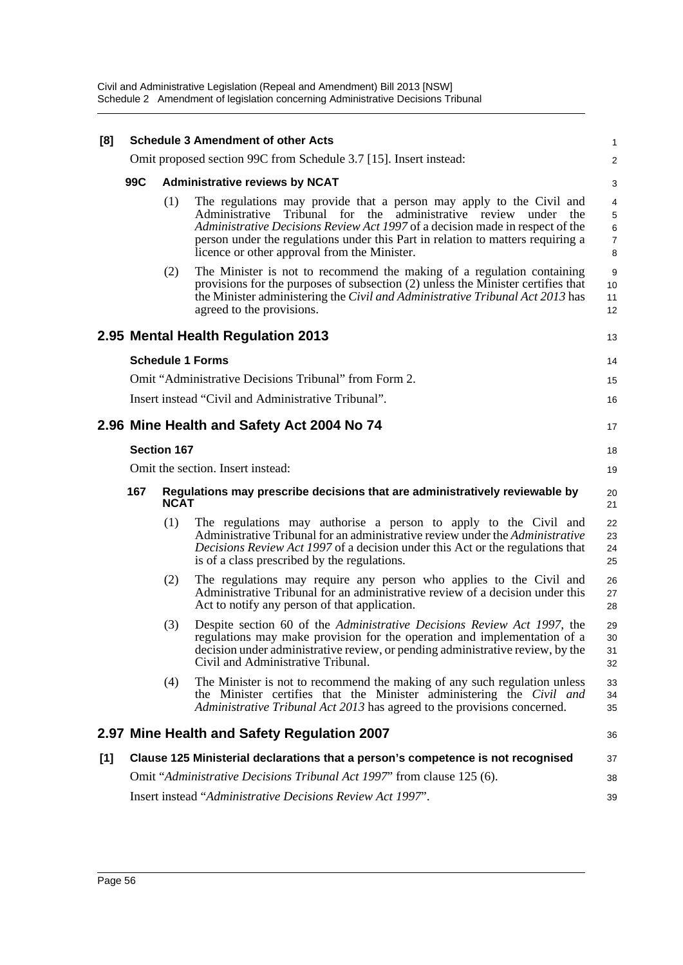| [8] |                    |                                   | <b>Schedule 3 Amendment of other Acts</b>                                                                                                                                                                                                                                                                                                                      | 1                     |  |  |
|-----|--------------------|-----------------------------------|----------------------------------------------------------------------------------------------------------------------------------------------------------------------------------------------------------------------------------------------------------------------------------------------------------------------------------------------------------------|-----------------------|--|--|
|     |                    |                                   | Omit proposed section 99C from Schedule 3.7 [15]. Insert instead:                                                                                                                                                                                                                                                                                              | $\overline{a}$        |  |  |
|     | 99C                |                                   | <b>Administrative reviews by NCAT</b>                                                                                                                                                                                                                                                                                                                          | 3                     |  |  |
|     |                    | (1)                               | The regulations may provide that a person may apply to the Civil and<br>Administrative Tribunal for the administrative review under<br>the<br>Administrative Decisions Review Act 1997 of a decision made in respect of the<br>person under the regulations under this Part in relation to matters requiring a<br>licence or other approval from the Minister. | 4<br>5<br>6<br>7<br>8 |  |  |
|     |                    | (2)                               | The Minister is not to recommend the making of a regulation containing<br>provisions for the purposes of subsection (2) unless the Minister certifies that<br>the Minister administering the Civil and Administrative Tribunal Act 2013 has<br>agreed to the provisions.                                                                                       | 9<br>10<br>11<br>12   |  |  |
|     |                    |                                   | 2.95 Mental Health Regulation 2013                                                                                                                                                                                                                                                                                                                             | 13                    |  |  |
|     |                    |                                   | <b>Schedule 1 Forms</b>                                                                                                                                                                                                                                                                                                                                        | 14                    |  |  |
|     |                    |                                   | Omit "Administrative Decisions Tribunal" from Form 2.                                                                                                                                                                                                                                                                                                          | 15                    |  |  |
|     |                    |                                   | Insert instead "Civil and Administrative Tribunal".                                                                                                                                                                                                                                                                                                            | 16                    |  |  |
|     |                    |                                   | 2.96 Mine Health and Safety Act 2004 No 74                                                                                                                                                                                                                                                                                                                     | 17                    |  |  |
|     |                    | <b>Section 167</b>                |                                                                                                                                                                                                                                                                                                                                                                | 18                    |  |  |
|     |                    | Omit the section. Insert instead: |                                                                                                                                                                                                                                                                                                                                                                |                       |  |  |
|     | 167<br><b>NCAT</b> |                                   | Regulations may prescribe decisions that are administratively reviewable by                                                                                                                                                                                                                                                                                    | 20<br>21              |  |  |
|     |                    | (1)                               | The regulations may authorise a person to apply to the Civil and<br>Administrative Tribunal for an administrative review under the Administrative<br>Decisions Review Act 1997 of a decision under this Act or the regulations that<br>is of a class prescribed by the regulations.                                                                            | 22<br>23<br>24<br>25  |  |  |
|     |                    | (2)                               | The regulations may require any person who applies to the Civil and<br>Administrative Tribunal for an administrative review of a decision under this<br>Act to notify any person of that application.                                                                                                                                                          | 26<br>27<br>28        |  |  |
|     |                    | (3)                               | Despite section 60 of the Administrative Decisions Review Act 1997, the<br>regulations may make provision for the operation and implementation of a<br>decision under administrative review, or pending administrative review, by the<br>Civil and Administrative Tribunal.                                                                                    | 29<br>30<br>31<br>32  |  |  |
|     |                    | (4)                               | The Minister is not to recommend the making of any such regulation unless<br>the Minister certifies that the Minister administering the Civil and<br>Administrative Tribunal Act 2013 has agreed to the provisions concerned.                                                                                                                                  | 33<br>34<br>35        |  |  |
|     |                    |                                   | 2.97 Mine Health and Safety Regulation 2007                                                                                                                                                                                                                                                                                                                    | 36                    |  |  |
| [1] |                    |                                   | Clause 125 Ministerial declarations that a person's competence is not recognised                                                                                                                                                                                                                                                                               | 37                    |  |  |
|     |                    |                                   | Omit "Administrative Decisions Tribunal Act 1997" from clause 125 (6).                                                                                                                                                                                                                                                                                         | 38                    |  |  |
|     |                    |                                   | Insert instead "Administrative Decisions Review Act 1997".                                                                                                                                                                                                                                                                                                     | 39                    |  |  |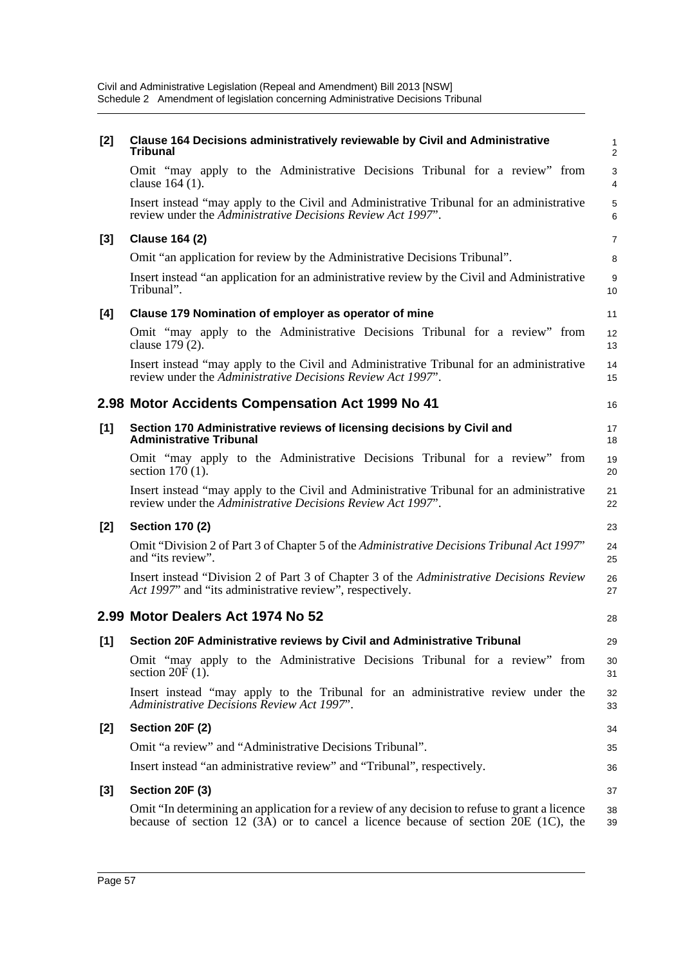| $[2]$ | Clause 164 Decisions administratively reviewable by Civil and Administrative<br><b>Tribunal</b>                                                                                          | 1<br>$\overline{a}$ |
|-------|------------------------------------------------------------------------------------------------------------------------------------------------------------------------------------------|---------------------|
|       | Omit "may apply to the Administrative Decisions Tribunal for a review" from<br>clause 164 (1).                                                                                           | 3<br>4              |
|       | Insert instead "may apply to the Civil and Administrative Tribunal for an administrative<br>review under the Administrative Decisions Review Act 1997".                                  | 5<br>6              |
| [3]   | <b>Clause 164 (2)</b>                                                                                                                                                                    | 7                   |
|       | Omit "an application for review by the Administrative Decisions Tribunal".                                                                                                               | 8                   |
|       | Insert instead "an application for an administrative review by the Civil and Administrative<br>Tribunal".                                                                                | 9<br>10             |
| [4]   | Clause 179 Nomination of employer as operator of mine                                                                                                                                    | 11                  |
|       | Omit "may apply to the Administrative Decisions Tribunal for a review" from<br>clause 179 (2).                                                                                           | 12<br>13            |
|       | Insert instead "may apply to the Civil and Administrative Tribunal for an administrative<br>review under the Administrative Decisions Review Act 1997".                                  | 14<br>15            |
|       | 2.98 Motor Accidents Compensation Act 1999 No 41                                                                                                                                         | 16                  |
| [1]   | Section 170 Administrative reviews of licensing decisions by Civil and<br><b>Administrative Tribunal</b>                                                                                 | 17<br>18            |
|       | Omit "may apply to the Administrative Decisions Tribunal for a review" from<br>section $170(1)$ .                                                                                        | 19<br>20            |
|       | Insert instead "may apply to the Civil and Administrative Tribunal for an administrative<br>review under the Administrative Decisions Review Act 1997".                                  | 21<br>22            |
| [2]   | <b>Section 170 (2)</b>                                                                                                                                                                   | 23                  |
|       | Omit "Division 2 of Part 3 of Chapter 5 of the Administrative Decisions Tribunal Act 1997"<br>and "its review".                                                                          | 24<br>25            |
|       | Insert instead "Division 2 of Part 3 of Chapter 3 of the Administrative Decisions Review<br>Act 1997" and "its administrative review", respectively.                                     | 26<br>27            |
|       | 2.99 Motor Dealers Act 1974 No 52                                                                                                                                                        | 28                  |
| $[1]$ | Section 20F Administrative reviews by Civil and Administrative Tribunal                                                                                                                  | 29                  |
|       | Omit "may apply to the Administrative Decisions Tribunal for a review" from<br>section $20F(1)$ .                                                                                        | 30<br>31            |
|       | Insert instead "may apply to the Tribunal for an administrative review under the<br>Administrative Decisions Review Act 1997".                                                           | 32<br>33            |
| [2]   | Section 20F (2)                                                                                                                                                                          | 34                  |
|       | Omit "a review" and "Administrative Decisions Tribunal".                                                                                                                                 | 35                  |
|       | Insert instead "an administrative review" and "Tribunal", respectively.                                                                                                                  | 36                  |
| [3]   | Section 20F (3)                                                                                                                                                                          | 37                  |
|       | Omit "In determining an application for a review of any decision to refuse to grant a licence<br>because of section 12 $(3A)$ or to cancel a licence because of section 20E $(1C)$ , the | 38<br>39            |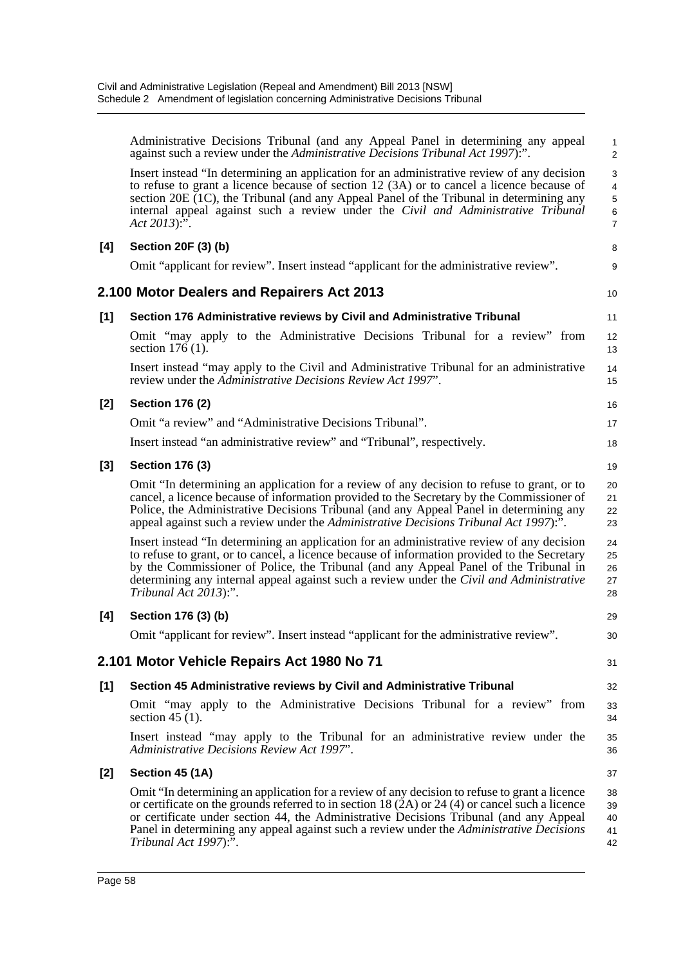|       | Administrative Decisions Tribunal (and any Appeal Panel in determining any appeal<br>against such a review under the Administrative Decisions Tribunal Act 1997).".                                                                                                                                                                                                                                                        | $\mathbf{1}$<br>$\overline{c}$                                                  |
|-------|----------------------------------------------------------------------------------------------------------------------------------------------------------------------------------------------------------------------------------------------------------------------------------------------------------------------------------------------------------------------------------------------------------------------------|---------------------------------------------------------------------------------|
|       | Insert instead "In determining an application for an administrative review of any decision<br>to refuse to grant a licence because of section 12 (3A) or to cancel a licence because of<br>section 20E (1C), the Tribunal (and any Appeal Panel of the Tribunal in determining any<br>internal appeal against such a review under the Civil and Administrative Tribunal<br>$Act 2013)$ :".                                 | $\sqrt{3}$<br>$\overline{\mathbf{4}}$<br>$\mathbf 5$<br>$\,6$<br>$\overline{7}$ |
| [4]   | Section 20F (3) (b)                                                                                                                                                                                                                                                                                                                                                                                                        | 8                                                                               |
|       | Omit "applicant for review". Insert instead "applicant for the administrative review".                                                                                                                                                                                                                                                                                                                                     | 9                                                                               |
|       | 2.100 Motor Dealers and Repairers Act 2013                                                                                                                                                                                                                                                                                                                                                                                 | 10                                                                              |
| [1]   | Section 176 Administrative reviews by Civil and Administrative Tribunal                                                                                                                                                                                                                                                                                                                                                    | 11                                                                              |
|       | Omit "may apply to the Administrative Decisions Tribunal for a review" from<br>section $176(1)$ .                                                                                                                                                                                                                                                                                                                          | 12<br>13                                                                        |
|       | Insert instead "may apply to the Civil and Administrative Tribunal for an administrative<br>review under the Administrative Decisions Review Act 1997".                                                                                                                                                                                                                                                                    | 14<br>15                                                                        |
| [2]   | <b>Section 176 (2)</b>                                                                                                                                                                                                                                                                                                                                                                                                     | 16                                                                              |
|       | Omit "a review" and "Administrative Decisions Tribunal".                                                                                                                                                                                                                                                                                                                                                                   | 17                                                                              |
|       | Insert instead "an administrative review" and "Tribunal", respectively.                                                                                                                                                                                                                                                                                                                                                    | 18                                                                              |
| [3]   | <b>Section 176 (3)</b>                                                                                                                                                                                                                                                                                                                                                                                                     | 19                                                                              |
|       | Omit "In determining an application for a review of any decision to refuse to grant, or to<br>cancel, a licence because of information provided to the Secretary by the Commissioner of<br>Police, the Administrative Decisions Tribunal (and any Appeal Panel in determining any<br>appeal against such a review under the Administrative Decisions Tribunal Act 1997):".                                                 | 20<br>21<br>22<br>23                                                            |
|       | Insert instead "In determining an application for an administrative review of any decision<br>to refuse to grant, or to cancel, a licence because of information provided to the Secretary<br>by the Commissioner of Police, the Tribunal (and any Appeal Panel of the Tribunal in<br>determining any internal appeal against such a review under the Civil and Administrative<br>Tribunal Act 2013):".                    | 24<br>25<br>26<br>27<br>28                                                      |
| [4]   | Section 176 (3) (b)                                                                                                                                                                                                                                                                                                                                                                                                        | 29                                                                              |
|       | Omit "applicant for review". Insert instead "applicant for the administrative review".                                                                                                                                                                                                                                                                                                                                     | 30                                                                              |
|       | 2.101 Motor Vehicle Repairs Act 1980 No 71                                                                                                                                                                                                                                                                                                                                                                                 | 31                                                                              |
| $[1]$ | Section 45 Administrative reviews by Civil and Administrative Tribunal                                                                                                                                                                                                                                                                                                                                                     | 32                                                                              |
|       | Omit "may apply to the Administrative Decisions Tribunal for a review" from<br>section 45 $(1)$ .                                                                                                                                                                                                                                                                                                                          | 33<br>34                                                                        |
|       | Insert instead "may apply to the Tribunal for an administrative review under the<br>Administrative Decisions Review Act 1997".                                                                                                                                                                                                                                                                                             | 35<br>36                                                                        |
| $[2]$ | Section 45 (1A)                                                                                                                                                                                                                                                                                                                                                                                                            | 37                                                                              |
|       | Omit "In determining an application for a review of any decision to refuse to grant a licence<br>or certificate on the grounds referred to in section 18 $(2A)$ or 24 $(4)$ or cancel such a licence<br>or certificate under section 44, the Administrative Decisions Tribunal (and any Appeal<br>Panel in determining any appeal against such a review under the <i>Administrative Decisions</i><br>Tribunal Act 1997):". | 38<br>39<br>40<br>41<br>42                                                      |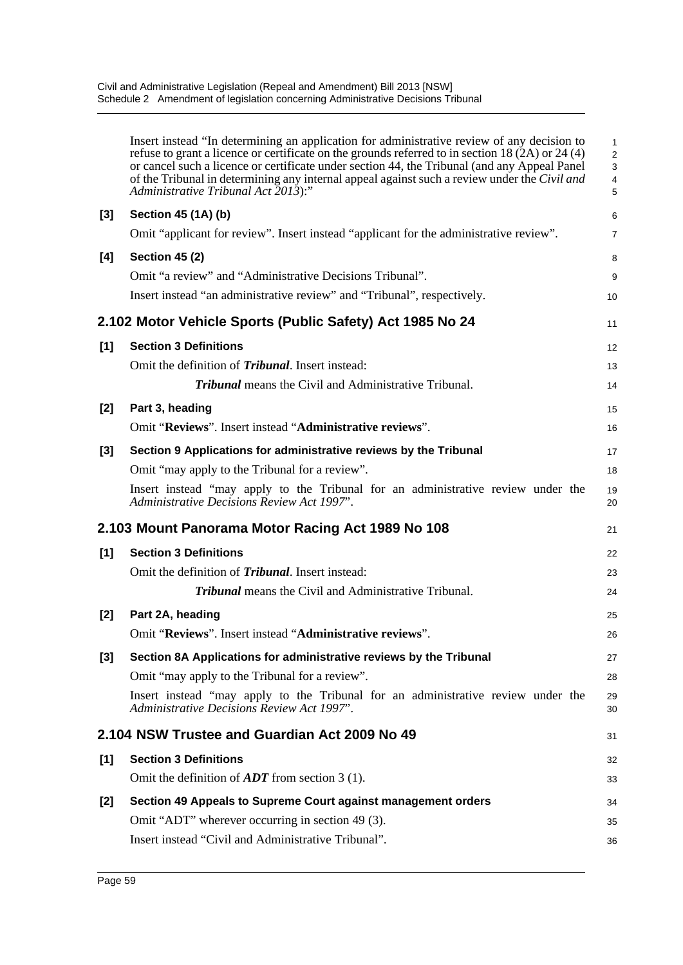|       | Insert instead "In determining an application for administrative review of any decision to<br>refuse to grant a licence or certificate on the grounds referred to in section 18 (2A) or 24 (4)<br>or cancel such a licence or certificate under section 44, the Tribunal (and any Appeal Panel<br>of the Tribunal in determining any internal appeal against such a review under the Civil and<br>Administrative Tribunal Act 2013):" | 1<br>$\overline{a}$<br>3<br>4<br>5 |
|-------|---------------------------------------------------------------------------------------------------------------------------------------------------------------------------------------------------------------------------------------------------------------------------------------------------------------------------------------------------------------------------------------------------------------------------------------|------------------------------------|
| $[3]$ | Section 45 (1A) (b)                                                                                                                                                                                                                                                                                                                                                                                                                   | 6                                  |
|       | Omit "applicant for review". Insert instead "applicant for the administrative review".                                                                                                                                                                                                                                                                                                                                                | 7                                  |
| [4]   | <b>Section 45 (2)</b>                                                                                                                                                                                                                                                                                                                                                                                                                 | 8                                  |
|       | Omit "a review" and "Administrative Decisions Tribunal".                                                                                                                                                                                                                                                                                                                                                                              | 9                                  |
|       | Insert instead "an administrative review" and "Tribunal", respectively.                                                                                                                                                                                                                                                                                                                                                               | 10                                 |
|       | 2.102 Motor Vehicle Sports (Public Safety) Act 1985 No 24                                                                                                                                                                                                                                                                                                                                                                             | 11                                 |
| [1]   | <b>Section 3 Definitions</b>                                                                                                                                                                                                                                                                                                                                                                                                          | 12                                 |
|       | Omit the definition of <i>Tribunal</i> . Insert instead:                                                                                                                                                                                                                                                                                                                                                                              | 13                                 |
|       | <b>Tribunal</b> means the Civil and Administrative Tribunal.                                                                                                                                                                                                                                                                                                                                                                          | 14                                 |
| $[2]$ | Part 3, heading                                                                                                                                                                                                                                                                                                                                                                                                                       | 15                                 |
|       | Omit "Reviews". Insert instead "Administrative reviews".                                                                                                                                                                                                                                                                                                                                                                              | 16                                 |
| $[3]$ | Section 9 Applications for administrative reviews by the Tribunal                                                                                                                                                                                                                                                                                                                                                                     | 17                                 |
|       | Omit "may apply to the Tribunal for a review".                                                                                                                                                                                                                                                                                                                                                                                        | 18                                 |
|       | Insert instead "may apply to the Tribunal for an administrative review under the<br>Administrative Decisions Review Act 1997".                                                                                                                                                                                                                                                                                                        | 19<br>20                           |
|       | 2.103 Mount Panorama Motor Racing Act 1989 No 108                                                                                                                                                                                                                                                                                                                                                                                     | 21                                 |
| [1]   | <b>Section 3 Definitions</b>                                                                                                                                                                                                                                                                                                                                                                                                          | 22                                 |
|       | Omit the definition of <i>Tribunal</i> . Insert instead:                                                                                                                                                                                                                                                                                                                                                                              | 23                                 |
|       | <b>Tribunal</b> means the Civil and Administrative Tribunal.                                                                                                                                                                                                                                                                                                                                                                          | 24                                 |
| $[2]$ | Part 2A, heading                                                                                                                                                                                                                                                                                                                                                                                                                      | 25                                 |
|       | Omit "Reviews". Insert instead "Administrative reviews".                                                                                                                                                                                                                                                                                                                                                                              | 26                                 |
| $[3]$ | Section 8A Applications for administrative reviews by the Tribunal                                                                                                                                                                                                                                                                                                                                                                    | 27                                 |
|       | Omit "may apply to the Tribunal for a review".                                                                                                                                                                                                                                                                                                                                                                                        | 28                                 |
|       | Insert instead "may apply to the Tribunal for an administrative review under the<br>Administrative Decisions Review Act 1997".                                                                                                                                                                                                                                                                                                        | 29<br>30                           |
|       | 2.104 NSW Trustee and Guardian Act 2009 No 49                                                                                                                                                                                                                                                                                                                                                                                         | 31                                 |
| [1]   | <b>Section 3 Definitions</b>                                                                                                                                                                                                                                                                                                                                                                                                          | 32                                 |
|       | Omit the definition of $ADT$ from section 3 (1).                                                                                                                                                                                                                                                                                                                                                                                      | 33                                 |
| $[2]$ | Section 49 Appeals to Supreme Court against management orders                                                                                                                                                                                                                                                                                                                                                                         | 34                                 |
|       | Omit "ADT" wherever occurring in section 49 (3).                                                                                                                                                                                                                                                                                                                                                                                      | 35                                 |
|       | Insert instead "Civil and Administrative Tribunal".                                                                                                                                                                                                                                                                                                                                                                                   | 36                                 |
|       |                                                                                                                                                                                                                                                                                                                                                                                                                                       |                                    |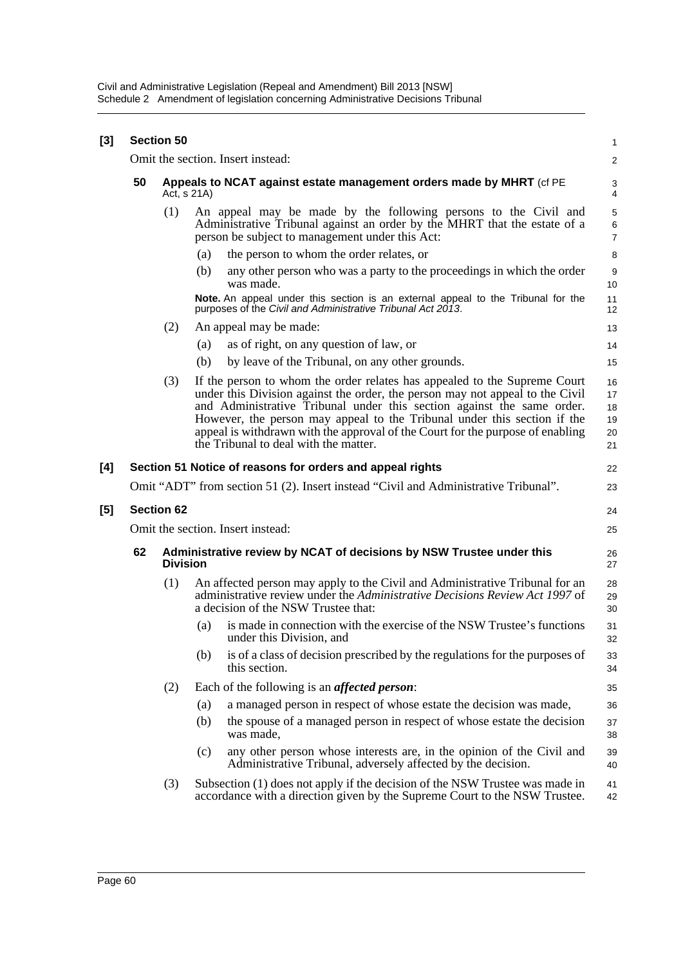| $[3]$ |    | <b>Section 50</b> |     |                                                                                                                                                                                                                                                                                                                                                                                                                                             | 1                                |
|-------|----|-------------------|-----|---------------------------------------------------------------------------------------------------------------------------------------------------------------------------------------------------------------------------------------------------------------------------------------------------------------------------------------------------------------------------------------------------------------------------------------------|----------------------------------|
|       |    |                   |     | Omit the section. Insert instead:                                                                                                                                                                                                                                                                                                                                                                                                           | $\overline{c}$                   |
|       | 50 | Act, s 21A)       |     | Appeals to NCAT against estate management orders made by MHRT (cf PE                                                                                                                                                                                                                                                                                                                                                                        | 3<br>$\overline{4}$              |
|       |    | (1)               |     | An appeal may be made by the following persons to the Civil and<br>Administrative Tribunal against an order by the MHRT that the estate of a<br>person be subject to management under this Act:                                                                                                                                                                                                                                             | 5<br>6<br>$\overline{7}$         |
|       |    |                   | (a) | the person to whom the order relates, or                                                                                                                                                                                                                                                                                                                                                                                                    | 8                                |
|       |    |                   | (b) | any other person who was a party to the proceedings in which the order<br>was made.                                                                                                                                                                                                                                                                                                                                                         | 9<br>10                          |
|       |    |                   |     | Note. An appeal under this section is an external appeal to the Tribunal for the<br>purposes of the Civil and Administrative Tribunal Act 2013.                                                                                                                                                                                                                                                                                             | 11<br>12                         |
|       |    | (2)               |     | An appeal may be made:                                                                                                                                                                                                                                                                                                                                                                                                                      | 13                               |
|       |    |                   | (a) | as of right, on any question of law, or                                                                                                                                                                                                                                                                                                                                                                                                     | 14                               |
|       |    |                   | (b) | by leave of the Tribunal, on any other grounds.                                                                                                                                                                                                                                                                                                                                                                                             | 15                               |
|       |    | (3)               |     | If the person to whom the order relates has appealed to the Supreme Court<br>under this Division against the order, the person may not appeal to the Civil<br>and Administrative Tribunal under this section against the same order.<br>However, the person may appeal to the Tribunal under this section if the<br>appeal is withdrawn with the approval of the Court for the purpose of enabling<br>the Tribunal to deal with the matter. | 16<br>17<br>18<br>19<br>20<br>21 |
| [4]   |    |                   |     | Section 51 Notice of reasons for orders and appeal rights                                                                                                                                                                                                                                                                                                                                                                                   | 22                               |
|       |    |                   |     | Omit "ADT" from section 51 (2). Insert instead "Civil and Administrative Tribunal".                                                                                                                                                                                                                                                                                                                                                         | 23                               |
| $[5]$ |    | <b>Section 62</b> |     |                                                                                                                                                                                                                                                                                                                                                                                                                                             | 24                               |
|       |    |                   |     | Omit the section. Insert instead:                                                                                                                                                                                                                                                                                                                                                                                                           | 25                               |
|       | 62 | <b>Division</b>   |     | Administrative review by NCAT of decisions by NSW Trustee under this                                                                                                                                                                                                                                                                                                                                                                        | 26<br>27                         |
|       |    | (1)               |     | An affected person may apply to the Civil and Administrative Tribunal for an<br>administrative review under the Administrative Decisions Review Act 1997 of<br>a decision of the NSW Trustee that:                                                                                                                                                                                                                                          | 28<br>29<br>30                   |
|       |    |                   | (a) | is made in connection with the exercise of the NSW Trustee's functions<br>under this Division, and                                                                                                                                                                                                                                                                                                                                          | 31<br>32                         |
|       |    |                   | (b) | is of a class of decision prescribed by the regulations for the purposes of<br>this section.                                                                                                                                                                                                                                                                                                                                                | 33<br>34                         |
|       |    | (2)               |     | Each of the following is an <i>affected person</i> :                                                                                                                                                                                                                                                                                                                                                                                        | 35                               |
|       |    |                   | (a) | a managed person in respect of whose estate the decision was made,                                                                                                                                                                                                                                                                                                                                                                          | 36                               |
|       |    |                   | (b) | the spouse of a managed person in respect of whose estate the decision<br>was made,                                                                                                                                                                                                                                                                                                                                                         | 37<br>38                         |
|       |    |                   | (c) | any other person whose interests are, in the opinion of the Civil and<br>Administrative Tribunal, adversely affected by the decision.                                                                                                                                                                                                                                                                                                       | 39<br>40                         |
|       |    | (3)               |     | Subsection (1) does not apply if the decision of the NSW Trustee was made in<br>accordance with a direction given by the Supreme Court to the NSW Trustee.                                                                                                                                                                                                                                                                                  | 41<br>42                         |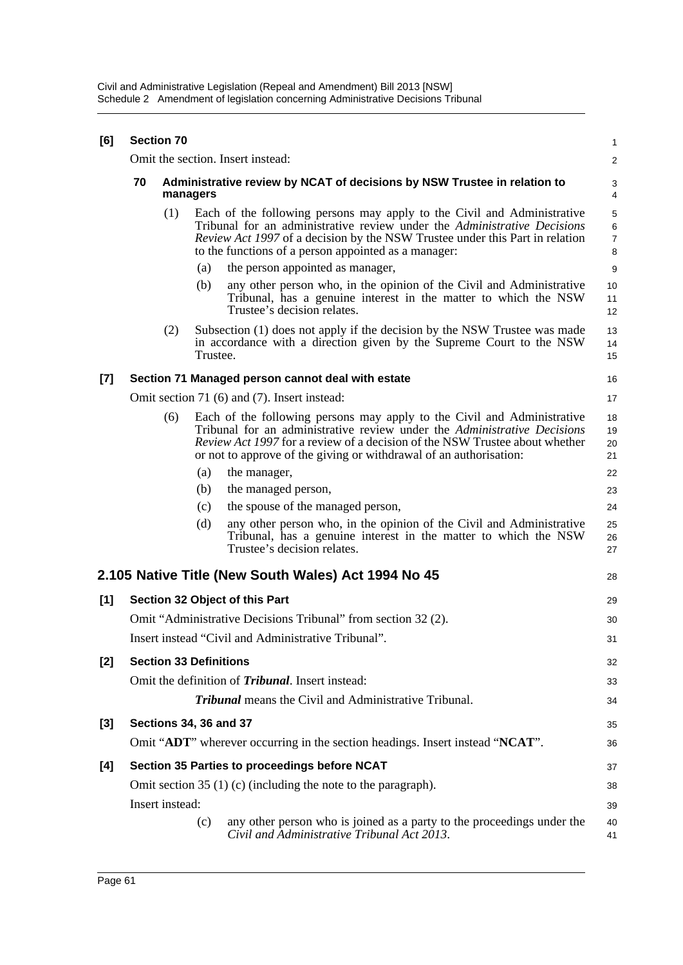| [6] |    | <b>Section 70</b>                                                                    |          |                                                                                                                                                                                                                                                                                                                 | $\mathbf{1}$                                    |  |  |
|-----|----|--------------------------------------------------------------------------------------|----------|-----------------------------------------------------------------------------------------------------------------------------------------------------------------------------------------------------------------------------------------------------------------------------------------------------------------|-------------------------------------------------|--|--|
|     |    |                                                                                      |          | Omit the section. Insert instead:                                                                                                                                                                                                                                                                               | 2                                               |  |  |
|     | 70 | Administrative review by NCAT of decisions by NSW Trustee in relation to<br>managers |          |                                                                                                                                                                                                                                                                                                                 |                                                 |  |  |
|     |    | (1)                                                                                  |          | Each of the following persons may apply to the Civil and Administrative<br>Tribunal for an administrative review under the Administrative Decisions<br><i>Review Act 1997</i> of a decision by the NSW Trustee under this Part in relation<br>to the functions of a person appointed as a manager:              | $\mathbf 5$<br>$\,6\,$<br>$\boldsymbol{7}$<br>8 |  |  |
|     |    |                                                                                      | (a)      | the person appointed as manager,                                                                                                                                                                                                                                                                                | 9                                               |  |  |
|     |    |                                                                                      | (b)      | any other person who, in the opinion of the Civil and Administrative<br>Tribunal, has a genuine interest in the matter to which the NSW<br>Trustee's decision relates.                                                                                                                                          | 10<br>11<br>12                                  |  |  |
|     |    | (2)                                                                                  | Trustee. | Subsection (1) does not apply if the decision by the NSW Trustee was made<br>in accordance with a direction given by the Supreme Court to the NSW                                                                                                                                                               | 13<br>14<br>15                                  |  |  |
| [7] |    |                                                                                      |          | Section 71 Managed person cannot deal with estate                                                                                                                                                                                                                                                               | 16                                              |  |  |
|     |    |                                                                                      |          | Omit section 71 (6) and (7). Insert instead:                                                                                                                                                                                                                                                                    | 17                                              |  |  |
|     |    | (6)                                                                                  |          | Each of the following persons may apply to the Civil and Administrative<br>Tribunal for an administrative review under the <i>Administrative Decisions</i><br>Review Act 1997 for a review of a decision of the NSW Trustee about whether<br>or not to approve of the giving or withdrawal of an authorisation: | 18<br>19<br>20<br>21                            |  |  |
|     |    |                                                                                      | (a)      | the manager,                                                                                                                                                                                                                                                                                                    | 22                                              |  |  |
|     |    |                                                                                      | (b)      | the managed person,                                                                                                                                                                                                                                                                                             | 23                                              |  |  |
|     |    |                                                                                      | (c)      | the spouse of the managed person,                                                                                                                                                                                                                                                                               | 24                                              |  |  |
|     |    |                                                                                      | (d)      | any other person who, in the opinion of the Civil and Administrative<br>Tribunal, has a genuine interest in the matter to which the NSW<br>Trustee's decision relates.                                                                                                                                          | 25<br>26<br>27                                  |  |  |
|     |    |                                                                                      |          | 2.105 Native Title (New South Wales) Act 1994 No 45                                                                                                                                                                                                                                                             | 28                                              |  |  |
| [1] |    |                                                                                      |          | Section 32 Object of this Part                                                                                                                                                                                                                                                                                  | 29                                              |  |  |
|     |    |                                                                                      |          | Omit "Administrative Decisions Tribunal" from section 32 (2).                                                                                                                                                                                                                                                   | 30                                              |  |  |
|     |    | Insert instead "Civil and Administrative Tribunal".                                  |          |                                                                                                                                                                                                                                                                                                                 |                                                 |  |  |
| [2] |    | <b>Section 33 Definitions</b>                                                        |          |                                                                                                                                                                                                                                                                                                                 | 32                                              |  |  |
|     |    |                                                                                      |          | Omit the definition of <i>Tribunal</i> . Insert instead:                                                                                                                                                                                                                                                        | 33                                              |  |  |
|     |    |                                                                                      |          | <b>Tribunal</b> means the Civil and Administrative Tribunal.                                                                                                                                                                                                                                                    | 34                                              |  |  |
| [3] |    |                                                                                      |          | <b>Sections 34, 36 and 37</b>                                                                                                                                                                                                                                                                                   | 35                                              |  |  |
|     |    |                                                                                      |          | Omit "ADT" wherever occurring in the section headings. Insert instead "NCAT".                                                                                                                                                                                                                                   | 36                                              |  |  |
|     |    |                                                                                      |          |                                                                                                                                                                                                                                                                                                                 |                                                 |  |  |
| [4] |    |                                                                                      |          | Section 35 Parties to proceedings before NCAT                                                                                                                                                                                                                                                                   | 37                                              |  |  |
|     |    | Insert instead:                                                                      |          | Omit section $35(1)(c)$ (including the note to the paragraph).                                                                                                                                                                                                                                                  | 38                                              |  |  |
|     |    |                                                                                      | (c)      | any other person who is joined as a party to the proceedings under the                                                                                                                                                                                                                                          | 39<br>40                                        |  |  |
|     |    |                                                                                      |          | Civil and Administrative Tribunal Act 2013.                                                                                                                                                                                                                                                                     | 41                                              |  |  |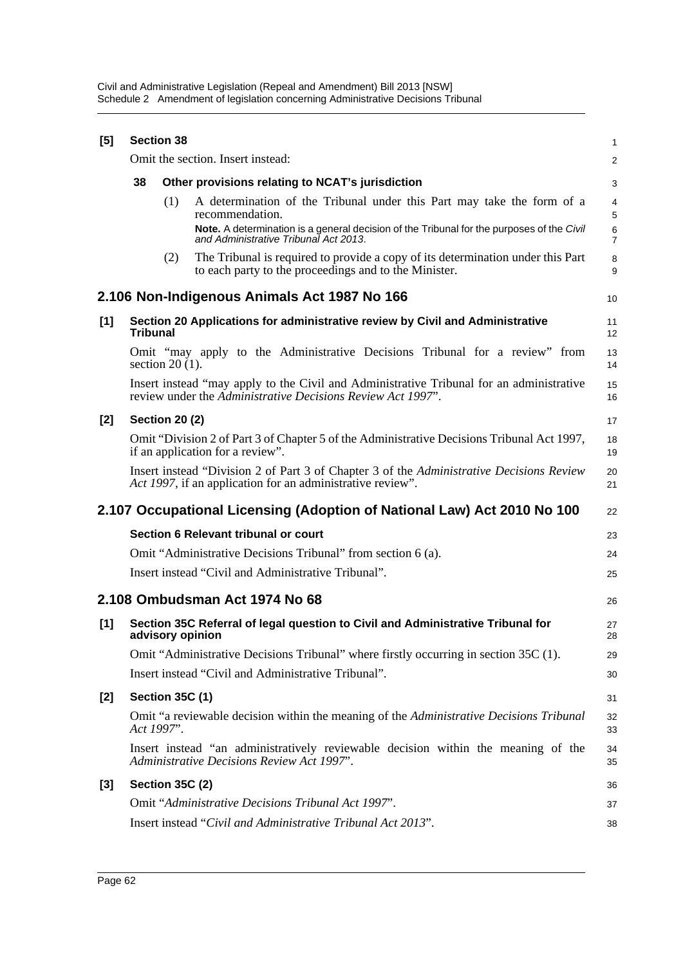| $[5]$ | <b>Section 38</b> |                        |                                                                                                                                                         |                     |  |  |
|-------|-------------------|------------------------|---------------------------------------------------------------------------------------------------------------------------------------------------------|---------------------|--|--|
|       |                   |                        | Omit the section. Insert instead:                                                                                                                       | 2                   |  |  |
|       | 38                |                        | Other provisions relating to NCAT's jurisdiction                                                                                                        | 3                   |  |  |
|       |                   | (1)                    | A determination of the Tribunal under this Part may take the form of a<br>recommendation.                                                               | 4<br>5              |  |  |
|       |                   |                        | Note. A determination is a general decision of the Tribunal for the purposes of the Civil<br>and Administrative Tribunal Act 2013.                      | 6<br>$\overline{7}$ |  |  |
|       |                   | (2)                    | The Tribunal is required to provide a copy of its determination under this Part<br>to each party to the proceedings and to the Minister.                | 8<br>9              |  |  |
|       |                   |                        | 2.106 Non-Indigenous Animals Act 1987 No 166                                                                                                            | 10                  |  |  |
| [1]   | <b>Tribunal</b>   |                        | Section 20 Applications for administrative review by Civil and Administrative                                                                           | 11<br>12            |  |  |
|       |                   | section $20(1)$ .      | Omit "may apply to the Administrative Decisions Tribunal for a review" from                                                                             | 13<br>14            |  |  |
|       |                   |                        | Insert instead "may apply to the Civil and Administrative Tribunal for an administrative<br>review under the Administrative Decisions Review Act 1997". | 15<br>16            |  |  |
| $[2]$ |                   | <b>Section 20 (2)</b>  |                                                                                                                                                         | 17                  |  |  |
|       |                   |                        | Omit "Division 2 of Part 3 of Chapter 5 of the Administrative Decisions Tribunal Act 1997,<br>if an application for a review".                          | 18<br>19            |  |  |
|       |                   |                        | Insert instead "Division 2 of Part 3 of Chapter 3 of the Administrative Decisions Review<br>Act 1997, if an application for an administrative review".  | 20<br>21            |  |  |
|       |                   |                        | 2.107 Occupational Licensing (Adoption of National Law) Act 2010 No 100                                                                                 | 22                  |  |  |
|       |                   |                        | Section 6 Relevant tribunal or court                                                                                                                    | 23                  |  |  |
|       |                   |                        | Omit "Administrative Decisions Tribunal" from section 6 (a).                                                                                            | 24                  |  |  |
|       |                   |                        | Insert instead "Civil and Administrative Tribunal".                                                                                                     | 25                  |  |  |
|       |                   |                        | 2.108 Ombudsman Act 1974 No 68                                                                                                                          | 26                  |  |  |
| [1]   |                   | advisory opinion       | Section 35C Referral of legal question to Civil and Administrative Tribunal for                                                                         | 27<br>28            |  |  |
|       |                   |                        | Omit "Administrative Decisions Tribunal" where firstly occurring in section 35C (1).                                                                    | 29                  |  |  |
|       |                   |                        | Insert instead "Civil and Administrative Tribunal".                                                                                                     | 30                  |  |  |
| [2]   |                   | <b>Section 35C (1)</b> |                                                                                                                                                         | 31                  |  |  |
|       | Act 1997".        |                        | Omit "a reviewable decision within the meaning of the Administrative Decisions Tribunal                                                                 | 32<br>33            |  |  |
|       |                   |                        | Insert instead "an administratively reviewable decision within the meaning of the<br>Administrative Decisions Review Act 1997".                         | 34<br>35            |  |  |
| $[3]$ |                   | Section 35C (2)        |                                                                                                                                                         | 36                  |  |  |
|       |                   |                        | Omit "Administrative Decisions Tribunal Act 1997".                                                                                                      | 37                  |  |  |
|       |                   |                        | Insert instead "Civil and Administrative Tribunal Act 2013".                                                                                            | 38                  |  |  |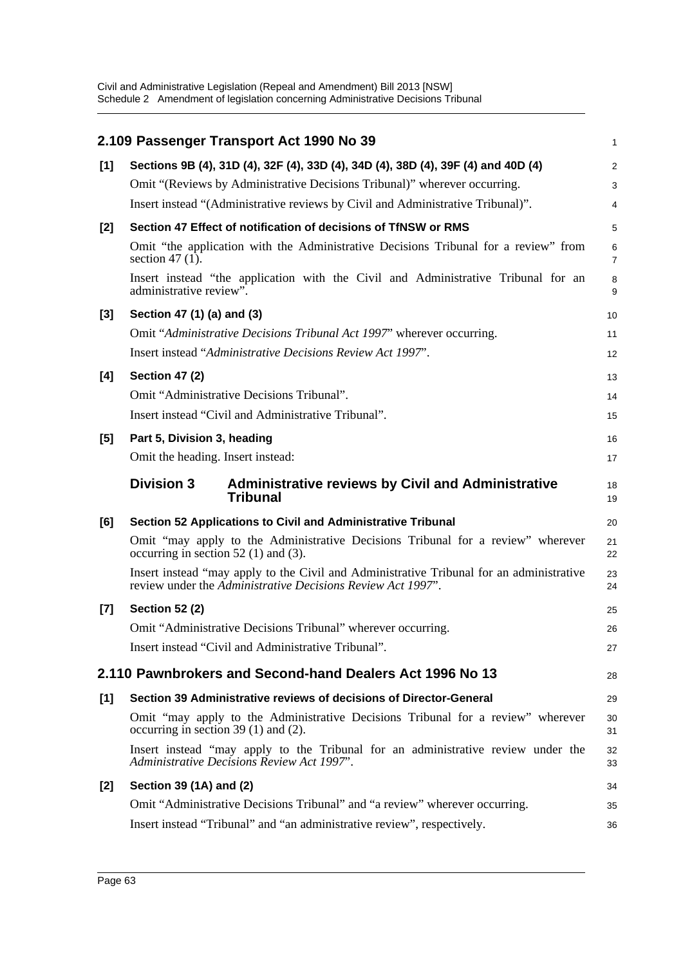|       | 2.109 Passenger Transport Act 1990 No 39                                                                                                                | 1                   |
|-------|---------------------------------------------------------------------------------------------------------------------------------------------------------|---------------------|
| [1]   | Sections 9B (4), 31D (4), 32F (4), 33D (4), 34D (4), 38D (4), 39F (4) and 40D (4)                                                                       | 2                   |
|       | Omit "(Reviews by Administrative Decisions Tribunal)" wherever occurring.                                                                               | 3                   |
|       | Insert instead "(Administrative reviews by Civil and Administrative Tribunal)".                                                                         | 4                   |
| [2]   | Section 47 Effect of notification of decisions of TfNSW or RMS                                                                                          | 5                   |
|       | Omit "the application with the Administrative Decisions Tribunal for a review" from<br>section 47 $(1)$ .                                               | 6<br>$\overline{7}$ |
|       | Insert instead "the application with the Civil and Administrative Tribunal for an<br>administrative review".                                            | 8<br>9              |
| [3]   | Section 47 (1) (a) and (3)                                                                                                                              | 10                  |
|       | Omit "Administrative Decisions Tribunal Act 1997" wherever occurring.                                                                                   | 11                  |
|       | Insert instead "Administrative Decisions Review Act 1997".                                                                                              | 12                  |
| [4]   | <b>Section 47 (2)</b>                                                                                                                                   | 13                  |
|       | Omit "Administrative Decisions Tribunal".                                                                                                               | 14                  |
|       | Insert instead "Civil and Administrative Tribunal".                                                                                                     | 15                  |
| [5]   | Part 5, Division 3, heading                                                                                                                             | 16                  |
|       | Omit the heading. Insert instead:                                                                                                                       | 17                  |
|       | <b>Division 3</b><br><b>Administrative reviews by Civil and Administrative</b><br><b>Tribunal</b>                                                       | 18<br>19            |
| [6]   | <b>Section 52 Applications to Civil and Administrative Tribunal</b>                                                                                     | 20                  |
|       | Omit "may apply to the Administrative Decisions Tribunal for a review" wherever<br>occurring in section 52 $(1)$ and $(3)$ .                            | 21<br>22            |
|       | Insert instead "may apply to the Civil and Administrative Tribunal for an administrative<br>review under the Administrative Decisions Review Act 1997". | 23<br>24            |
| $[7]$ | <b>Section 52 (2)</b>                                                                                                                                   | 25                  |
|       | Omit "Administrative Decisions Tribunal" wherever occurring.                                                                                            | 26                  |
|       | Insert instead "Civil and Administrative Tribunal".                                                                                                     | 27                  |
|       | 2.110 Pawnbrokers and Second-hand Dealers Act 1996 No 13                                                                                                | 28                  |
| [1]   | Section 39 Administrative reviews of decisions of Director-General                                                                                      | 29                  |
|       | Omit "may apply to the Administrative Decisions Tribunal for a review" wherever<br>occurring in section 39 $(1)$ and $(2)$ .                            | 30<br>31            |
|       | Insert instead "may apply to the Tribunal for an administrative review under the<br>Administrative Decisions Review Act 1997".                          | 32<br>33            |
| [2]   | Section 39 (1A) and (2)                                                                                                                                 | 34                  |
|       | Omit "Administrative Decisions Tribunal" and "a review" wherever occurring.                                                                             | 35                  |
|       | Insert instead "Tribunal" and "an administrative review", respectively.                                                                                 | 36                  |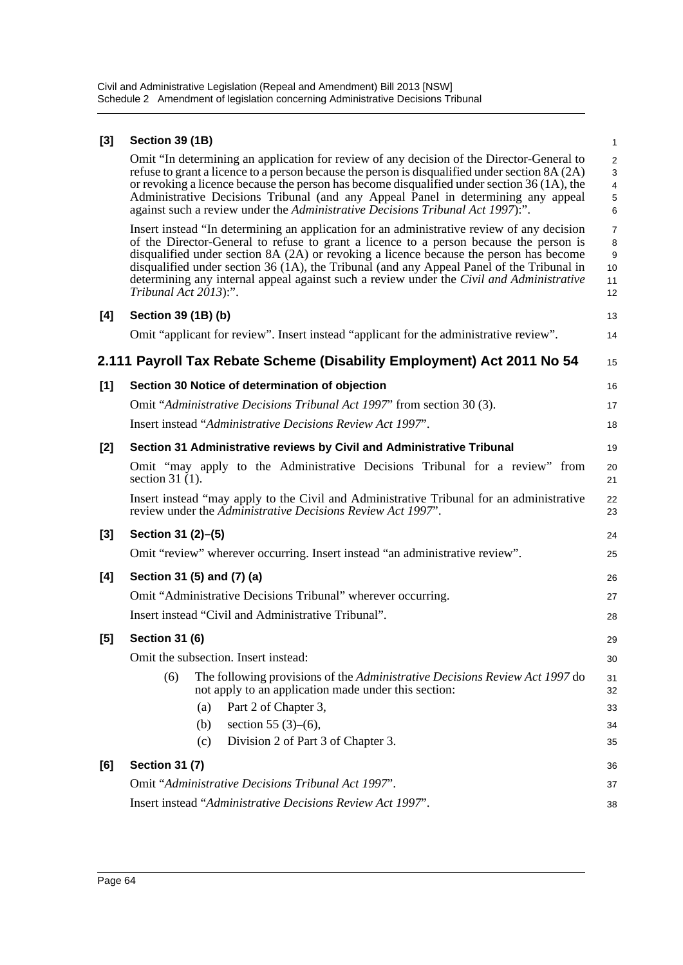## **[3] Section 39 (1B)**

Omit "In determining an application for review of any decision of the Director-General to refuse to grant a licence to a person because the person is disqualified under section 8A (2A) or revoking a licence because the person has become disqualified under section 36 (1A), the Administrative Decisions Tribunal (and any Appeal Panel in determining any appeal against such a review under the *Administrative Decisions Tribunal Act 1997*):".

Insert instead "In determining an application for an administrative review of any decision of the Director-General to refuse to grant a licence to a person because the person is disqualified under section 8A (2A) or revoking a licence because the person has become disqualified under section 36 (1A), the Tribunal (and any Appeal Panel of the Tribunal in determining any internal appeal against such a review under the *Civil and Administrative Tribunal Act 2013*):". 10 11 12

| [4]   | Section 39 (1B) (b)   |                                                                                                                                                         | 13       |
|-------|-----------------------|---------------------------------------------------------------------------------------------------------------------------------------------------------|----------|
|       |                       | Omit "applicant for review". Insert instead "applicant for the administrative review".                                                                  | 14       |
|       |                       | 2.111 Payroll Tax Rebate Scheme (Disability Employment) Act 2011 No 54                                                                                  | 15       |
| [1]   |                       | Section 30 Notice of determination of objection                                                                                                         | 16       |
|       |                       | Omit "Administrative Decisions Tribunal Act 1997" from section 30 (3).                                                                                  | 17       |
|       |                       | Insert instead "Administrative Decisions Review Act 1997".                                                                                              | 18       |
| $[2]$ |                       | Section 31 Administrative reviews by Civil and Administrative Tribunal                                                                                  | 19       |
|       | section 31 $(1)$ .    | Omit "may apply to the Administrative Decisions Tribunal for a review" from                                                                             | 20<br>21 |
|       |                       | Insert instead "may apply to the Civil and Administrative Tribunal for an administrative<br>review under the Administrative Decisions Review Act 1997". | 22<br>23 |
| $[3]$ | Section 31 (2)–(5)    |                                                                                                                                                         | 24       |
|       |                       | Omit "review" wherever occurring. Insert instead "an administrative review".                                                                            | 25       |
| [4]   |                       | Section 31 (5) and (7) (a)                                                                                                                              | 26       |
|       |                       | Omit "Administrative Decisions Tribunal" wherever occurring.                                                                                            | 27       |
|       |                       | Insert instead "Civil and Administrative Tribunal".                                                                                                     | 28       |
| [5]   | <b>Section 31 (6)</b> |                                                                                                                                                         | 29       |
|       |                       | Omit the subsection. Insert instead:                                                                                                                    | 30       |
|       | (6)                   | The following provisions of the Administrative Decisions Review Act 1997 do<br>not apply to an application made under this section:                     | 31<br>32 |
|       |                       | Part 2 of Chapter 3,<br>(a)                                                                                                                             | 33       |
|       |                       | section 55 $(3)-(6)$ ,<br>(b)                                                                                                                           | 34       |
|       |                       | Division 2 of Part 3 of Chapter 3.<br>(c)                                                                                                               | 35       |
| [6]   | <b>Section 31 (7)</b> |                                                                                                                                                         | 36       |
|       |                       | Omit "Administrative Decisions Tribunal Act 1997".                                                                                                      | 37       |
|       |                       | Insert instead "Administrative Decisions Review Act 1997".                                                                                              | 38       |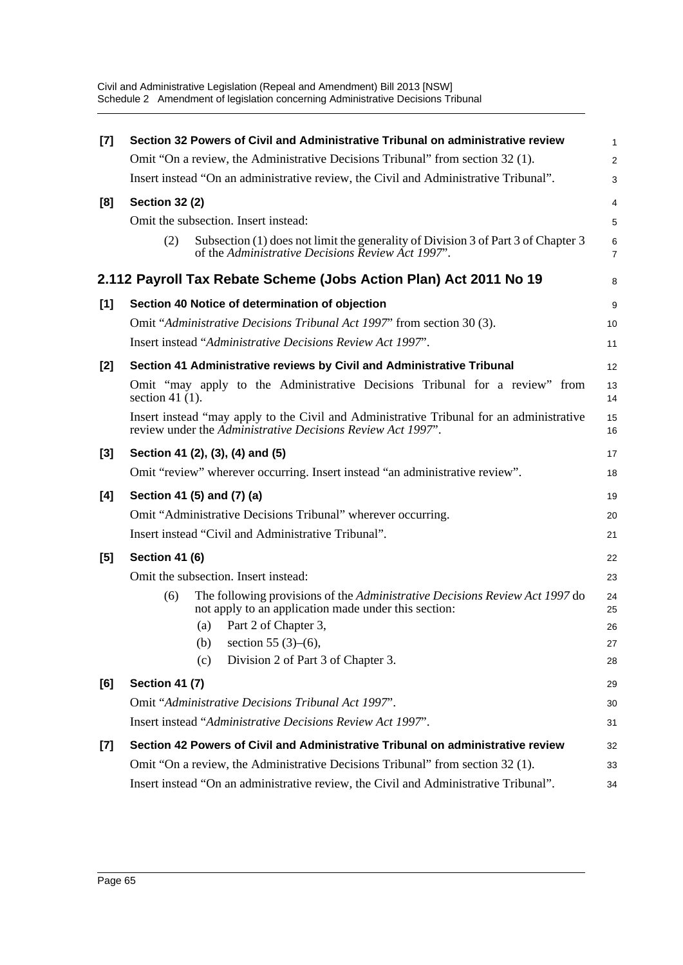| [7]   | Section 32 Powers of Civil and Administrative Tribunal on administrative review                                                                         | $\mathbf{1}$        |  |  |  |  |  |  |
|-------|---------------------------------------------------------------------------------------------------------------------------------------------------------|---------------------|--|--|--|--|--|--|
|       | Omit "On a review, the Administrative Decisions Tribunal" from section 32 (1).                                                                          | $\overline{2}$      |  |  |  |  |  |  |
|       | Insert instead "On an administrative review, the Civil and Administrative Tribunal".                                                                    |                     |  |  |  |  |  |  |
| [8]   | <b>Section 32 (2)</b>                                                                                                                                   | $\overline{4}$      |  |  |  |  |  |  |
|       | Omit the subsection. Insert instead:                                                                                                                    | 5                   |  |  |  |  |  |  |
|       | Subsection (1) does not limit the generality of Division 3 of Part 3 of Chapter 3<br>(2)<br>of the Administrative Decisions Review Act 1997".           | 6<br>$\overline{7}$ |  |  |  |  |  |  |
|       | 2.112 Payroll Tax Rebate Scheme (Jobs Action Plan) Act 2011 No 19                                                                                       | 8                   |  |  |  |  |  |  |
| [1]   | Section 40 Notice of determination of objection                                                                                                         | 9                   |  |  |  |  |  |  |
|       | Omit "Administrative Decisions Tribunal Act 1997" from section 30 (3).                                                                                  | 10                  |  |  |  |  |  |  |
|       | Insert instead "Administrative Decisions Review Act 1997".                                                                                              | 11                  |  |  |  |  |  |  |
| $[2]$ | Section 41 Administrative reviews by Civil and Administrative Tribunal                                                                                  | 12                  |  |  |  |  |  |  |
|       | Omit "may apply to the Administrative Decisions Tribunal for a review" from<br>section 41 $(1)$ .                                                       | 13<br>14            |  |  |  |  |  |  |
|       | Insert instead "may apply to the Civil and Administrative Tribunal for an administrative<br>review under the Administrative Decisions Review Act 1997". |                     |  |  |  |  |  |  |
| $[3]$ | Section 41 (2), (3), (4) and (5)                                                                                                                        | 17                  |  |  |  |  |  |  |
|       | Omit "review" wherever occurring. Insert instead "an administrative review".                                                                            | 18                  |  |  |  |  |  |  |
| [4]   | Section 41 (5) and (7) (a)                                                                                                                              | 19                  |  |  |  |  |  |  |
|       | Omit "Administrative Decisions Tribunal" wherever occurring.                                                                                            | 20                  |  |  |  |  |  |  |
|       | Insert instead "Civil and Administrative Tribunal".                                                                                                     |                     |  |  |  |  |  |  |
| [5]   | Section 41 (6)                                                                                                                                          | 22                  |  |  |  |  |  |  |
|       | Omit the subsection. Insert instead:                                                                                                                    | 23                  |  |  |  |  |  |  |
|       | The following provisions of the Administrative Decisions Review Act 1997 do<br>(6)<br>not apply to an application made under this section:              | 24<br>25            |  |  |  |  |  |  |
|       | Part 2 of Chapter 3,<br>(a)                                                                                                                             | 26                  |  |  |  |  |  |  |
|       | (b) section 55 (3)–(6),                                                                                                                                 | 27                  |  |  |  |  |  |  |
|       | Division 2 of Part 3 of Chapter 3.<br>(c)                                                                                                               | 28                  |  |  |  |  |  |  |
| [6]   | <b>Section 41 (7)</b>                                                                                                                                   | 29                  |  |  |  |  |  |  |
|       | Omit "Administrative Decisions Tribunal Act 1997".                                                                                                      | 30                  |  |  |  |  |  |  |
|       | Insert instead "Administrative Decisions Review Act 1997".                                                                                              | 31                  |  |  |  |  |  |  |
| $[7]$ | Section 42 Powers of Civil and Administrative Tribunal on administrative review                                                                         | 32                  |  |  |  |  |  |  |
|       | Omit "On a review, the Administrative Decisions Tribunal" from section 32 (1).                                                                          | 33                  |  |  |  |  |  |  |
|       | Insert instead "On an administrative review, the Civil and Administrative Tribunal".<br>34                                                              |                     |  |  |  |  |  |  |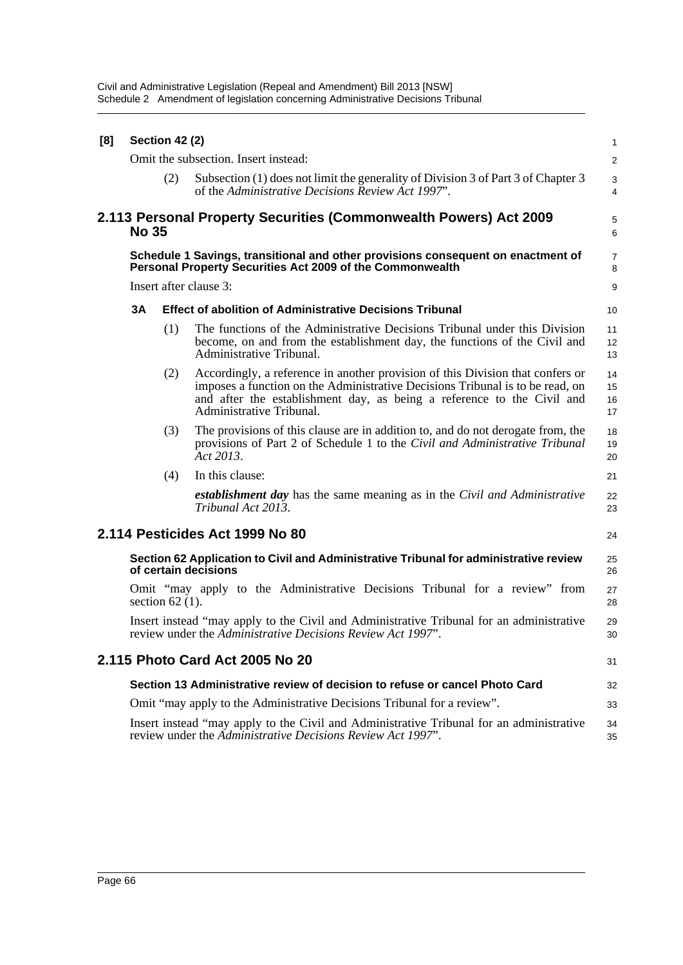| [8] |                                                                                                                                               | <b>Section 42 (2)</b> |                                                                                                                                                                                                                                                                       | 1                    |  |  |  |
|-----|-----------------------------------------------------------------------------------------------------------------------------------------------|-----------------------|-----------------------------------------------------------------------------------------------------------------------------------------------------------------------------------------------------------------------------------------------------------------------|----------------------|--|--|--|
|     |                                                                                                                                               |                       | Omit the subsection. Insert instead:                                                                                                                                                                                                                                  | $\overline{a}$       |  |  |  |
|     |                                                                                                                                               | (2)                   | Subsection (1) does not limit the generality of Division 3 of Part 3 of Chapter 3<br>of the Administrative Decisions Review Act 1997".                                                                                                                                | 3<br>4               |  |  |  |
|     | <b>No 35</b>                                                                                                                                  |                       | 2.113 Personal Property Securities (Commonwealth Powers) Act 2009                                                                                                                                                                                                     | 5<br>6               |  |  |  |
|     | Schedule 1 Savings, transitional and other provisions consequent on enactment of<br>Personal Property Securities Act 2009 of the Commonwealth |                       |                                                                                                                                                                                                                                                                       |                      |  |  |  |
|     |                                                                                                                                               |                       | Insert after clause 3:                                                                                                                                                                                                                                                | 9                    |  |  |  |
|     | 3A                                                                                                                                            |                       | <b>Effect of abolition of Administrative Decisions Tribunal</b>                                                                                                                                                                                                       | 10                   |  |  |  |
|     |                                                                                                                                               | (1)                   | The functions of the Administrative Decisions Tribunal under this Division<br>become, on and from the establishment day, the functions of the Civil and<br>Administrative Tribunal.                                                                                   | 11<br>12<br>13       |  |  |  |
|     |                                                                                                                                               | (2)                   | Accordingly, a reference in another provision of this Division that confers or<br>imposes a function on the Administrative Decisions Tribunal is to be read, on<br>and after the establishment day, as being a reference to the Civil and<br>Administrative Tribunal. | 14<br>15<br>16<br>17 |  |  |  |
|     |                                                                                                                                               | (3)                   | The provisions of this clause are in addition to, and do not derogate from, the<br>provisions of Part 2 of Schedule 1 to the Civil and Administrative Tribunal<br>Act 2013.                                                                                           | 18<br>19<br>20       |  |  |  |
|     |                                                                                                                                               | (4)                   | In this clause:                                                                                                                                                                                                                                                       | 21                   |  |  |  |
|     |                                                                                                                                               |                       | <b>establishment day</b> has the same meaning as in the Civil and Administrative<br>Tribunal Act 2013.                                                                                                                                                                | 22<br>23             |  |  |  |
|     |                                                                                                                                               |                       | 2.114 Pesticides Act 1999 No 80                                                                                                                                                                                                                                       | 24                   |  |  |  |
|     |                                                                                                                                               |                       | Section 62 Application to Civil and Administrative Tribunal for administrative review<br>of certain decisions                                                                                                                                                         | 25<br>26             |  |  |  |
|     |                                                                                                                                               | section $62(1)$ .     | Omit "may apply to the Administrative Decisions Tribunal for a review" from                                                                                                                                                                                           | 27<br>28             |  |  |  |
|     |                                                                                                                                               |                       | Insert instead "may apply to the Civil and Administrative Tribunal for an administrative<br>review under the Administrative Decisions Review Act 1997".                                                                                                               | 29<br>30             |  |  |  |
|     |                                                                                                                                               |                       | 2.115 Photo Card Act 2005 No 20                                                                                                                                                                                                                                       | 31                   |  |  |  |
|     |                                                                                                                                               |                       | Section 13 Administrative review of decision to refuse or cancel Photo Card                                                                                                                                                                                           | 32                   |  |  |  |
|     |                                                                                                                                               |                       | Omit "may apply to the Administrative Decisions Tribunal for a review".                                                                                                                                                                                               | 33                   |  |  |  |
|     |                                                                                                                                               |                       | Insert instead "may apply to the Civil and Administrative Tribunal for an administrative<br>review under the Administrative Decisions Review Act 1997".                                                                                                               | 34<br>35             |  |  |  |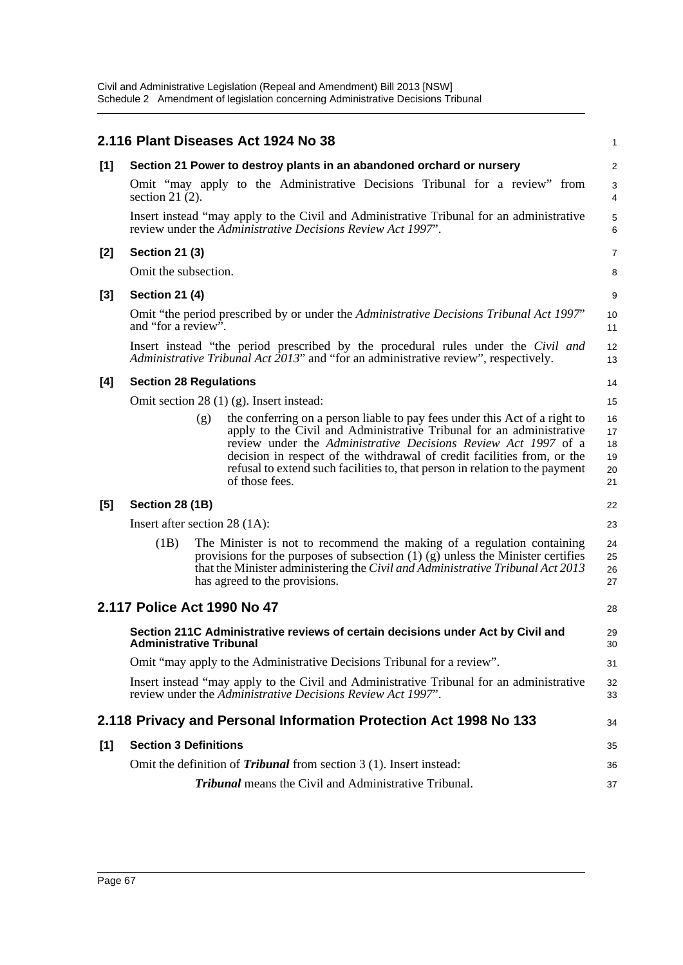|       |                                                                                                                                                                          | 2.116 Plant Diseases Act 1924 No 38                                                                                                                                                                                                                                                                                                                                                                      | 1                                |
|-------|--------------------------------------------------------------------------------------------------------------------------------------------------------------------------|----------------------------------------------------------------------------------------------------------------------------------------------------------------------------------------------------------------------------------------------------------------------------------------------------------------------------------------------------------------------------------------------------------|----------------------------------|
| $[1]$ | Section 21 Power to destroy plants in an abandoned orchard or nursery                                                                                                    |                                                                                                                                                                                                                                                                                                                                                                                                          |                                  |
|       | section 21 $(2)$ .                                                                                                                                                       | Omit "may apply to the Administrative Decisions Tribunal for a review" from                                                                                                                                                                                                                                                                                                                              | 3<br>4                           |
|       |                                                                                                                                                                          | Insert instead "may apply to the Civil and Administrative Tribunal for an administrative<br>review under the Administrative Decisions Review Act 1997".                                                                                                                                                                                                                                                  | $\mathbf 5$<br>6                 |
| $[2]$ | <b>Section 21 (3)</b>                                                                                                                                                    |                                                                                                                                                                                                                                                                                                                                                                                                          | 7                                |
|       | Omit the subsection.                                                                                                                                                     |                                                                                                                                                                                                                                                                                                                                                                                                          |                                  |
| $[3]$ | <b>Section 21 (4)</b>                                                                                                                                                    |                                                                                                                                                                                                                                                                                                                                                                                                          |                                  |
|       | Omit "the period prescribed by or under the Administrative Decisions Tribunal Act 1997"<br>and "for a review".                                                           |                                                                                                                                                                                                                                                                                                                                                                                                          |                                  |
|       | Insert instead "the period prescribed by the procedural rules under the Civil and<br>Administrative Tribunal Act 2013" and "for an administrative review", respectively. |                                                                                                                                                                                                                                                                                                                                                                                                          | 12<br>13                         |
| [4]   | <b>Section 28 Regulations</b>                                                                                                                                            |                                                                                                                                                                                                                                                                                                                                                                                                          |                                  |
|       | Omit section 28 $(1)$ (g). Insert instead:                                                                                                                               |                                                                                                                                                                                                                                                                                                                                                                                                          |                                  |
|       |                                                                                                                                                                          | the conferring on a person liable to pay fees under this Act of a right to<br>(g)<br>apply to the Civil and Administrative Tribunal for an administrative<br>review under the Administrative Decisions Review Act 1997 of a<br>decision in respect of the withdrawal of credit facilities from, or the<br>refusal to extend such facilities to, that person in relation to the payment<br>of those fees. | 16<br>17<br>18<br>19<br>20<br>21 |
| [5]   | Section 28 (1B)                                                                                                                                                          |                                                                                                                                                                                                                                                                                                                                                                                                          | 22                               |
|       | Insert after section $28(1A)$ :                                                                                                                                          |                                                                                                                                                                                                                                                                                                                                                                                                          | 23                               |
|       | (1B)                                                                                                                                                                     | The Minister is not to recommend the making of a regulation containing<br>provisions for the purposes of subsection $(1)$ $(g)$ unless the Minister certifies<br>that the Minister administering the Civil and Administrative Tribunal Act 2013<br>has agreed to the provisions.                                                                                                                         | 24<br>25<br>26<br>27             |
|       |                                                                                                                                                                          | 2.117 Police Act 1990 No 47                                                                                                                                                                                                                                                                                                                                                                              | 28                               |
|       | Section 211C Administrative reviews of certain decisions under Act by Civil and<br><b>Administrative Tribunal</b>                                                        |                                                                                                                                                                                                                                                                                                                                                                                                          | 29<br>30                         |
|       | Omit "may apply to the Administrative Decisions Tribunal for a review".                                                                                                  |                                                                                                                                                                                                                                                                                                                                                                                                          | 31                               |
|       |                                                                                                                                                                          | Insert instead "may apply to the Civil and Administrative Tribunal for an administrative<br>review under the Administrative Decisions Review Act 1997".                                                                                                                                                                                                                                                  | 32<br>33                         |
|       |                                                                                                                                                                          | 2.118 Privacy and Personal Information Protection Act 1998 No 133                                                                                                                                                                                                                                                                                                                                        | 34                               |
| [1]   | <b>Section 3 Definitions</b>                                                                                                                                             |                                                                                                                                                                                                                                                                                                                                                                                                          |                                  |
|       |                                                                                                                                                                          | Omit the definition of <i>Tribunal</i> from section 3 (1). Insert instead:                                                                                                                                                                                                                                                                                                                               | 36                               |
|       |                                                                                                                                                                          | <b>Tribunal</b> means the Civil and Administrative Tribunal.                                                                                                                                                                                                                                                                                                                                             | 37                               |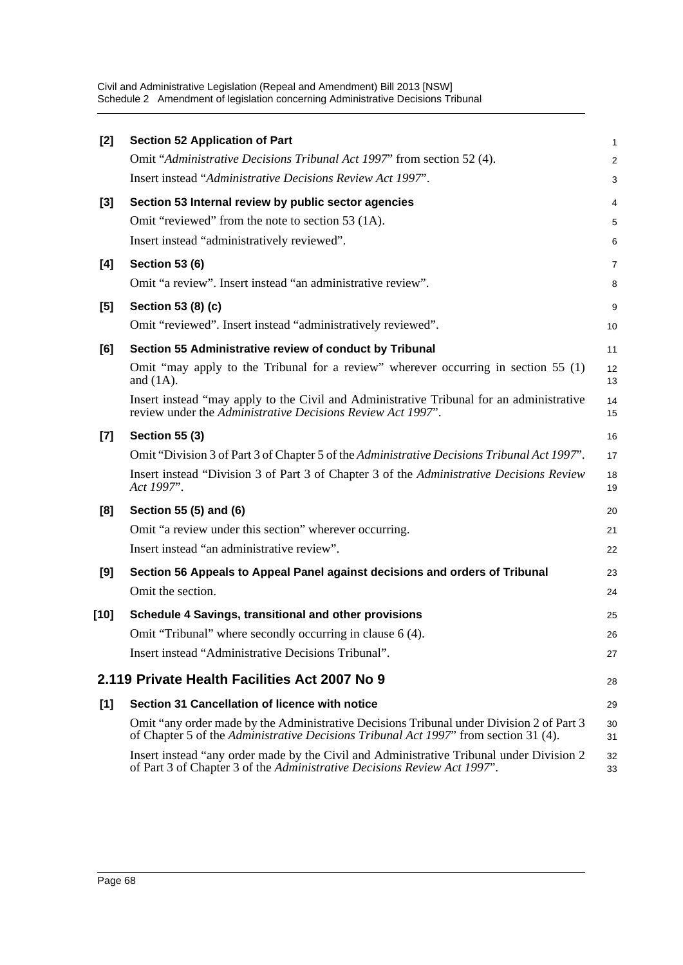| $[2]$ | <b>Section 52 Application of Part</b>                                                                                                                                            | 1              |
|-------|----------------------------------------------------------------------------------------------------------------------------------------------------------------------------------|----------------|
|       | Omit "Administrative Decisions Tribunal Act 1997" from section 52 (4).                                                                                                           | $\overline{2}$ |
|       | Insert instead "Administrative Decisions Review Act 1997".                                                                                                                       | 3              |
| $[3]$ | Section 53 Internal review by public sector agencies                                                                                                                             |                |
|       | Omit "reviewed" from the note to section 53 (1A).                                                                                                                                | 5              |
|       | Insert instead "administratively reviewed".                                                                                                                                      | 6              |
| [4]   | <b>Section 53 (6)</b>                                                                                                                                                            | 7              |
|       | Omit "a review". Insert instead "an administrative review".                                                                                                                      | 8              |
| [5]   | Section 53 (8) (c)                                                                                                                                                               | 9              |
|       | Omit "reviewed". Insert instead "administratively reviewed".                                                                                                                     | 10             |
| [6]   | Section 55 Administrative review of conduct by Tribunal                                                                                                                          | 11             |
|       | Omit "may apply to the Tribunal for a review" wherever occurring in section 55 $(1)$<br>and $(1A)$ .                                                                             | 12<br>13       |
|       | Insert instead "may apply to the Civil and Administrative Tribunal for an administrative<br>review under the Administrative Decisions Review Act 1997".                          | 14<br>15       |
| $[7]$ | <b>Section 55 (3)</b>                                                                                                                                                            |                |
|       | Omit "Division 3 of Part 3 of Chapter 5 of the Administrative Decisions Tribunal Act 1997".                                                                                      | 17             |
|       | Insert instead "Division 3 of Part 3 of Chapter 3 of the Administrative Decisions Review<br>Act 1997".                                                                           | 18<br>19       |
| [8]   | Section 55 (5) and (6)                                                                                                                                                           | 20             |
|       | Omit "a review under this section" wherever occurring.                                                                                                                           | 21             |
|       | Insert instead "an administrative review".                                                                                                                                       | 22             |
| [9]   | Section 56 Appeals to Appeal Panel against decisions and orders of Tribunal                                                                                                      | 23             |
|       | Omit the section.                                                                                                                                                                | 24             |
| [10]  | Schedule 4 Savings, transitional and other provisions                                                                                                                            | 25             |
|       | Omit "Tribunal" where secondly occurring in clause 6 (4).                                                                                                                        | 26             |
|       | Insert instead "Administrative Decisions Tribunal".                                                                                                                              | 27             |
|       | 2.119 Private Health Facilities Act 2007 No 9                                                                                                                                    | 28             |
| [1]   | Section 31 Cancellation of licence with notice                                                                                                                                   | 29             |
|       | Omit "any order made by the Administrative Decisions Tribunal under Division 2 of Part 3<br>of Chapter 5 of the Administrative Decisions Tribunal Act 1997" from section 31 (4). | 30<br>31       |
|       | Insert instead "any order made by the Civil and Administrative Tribunal under Division 2<br>of Part 3 of Chapter 3 of the Administrative Decisions Review Act 1997".             | 32<br>33       |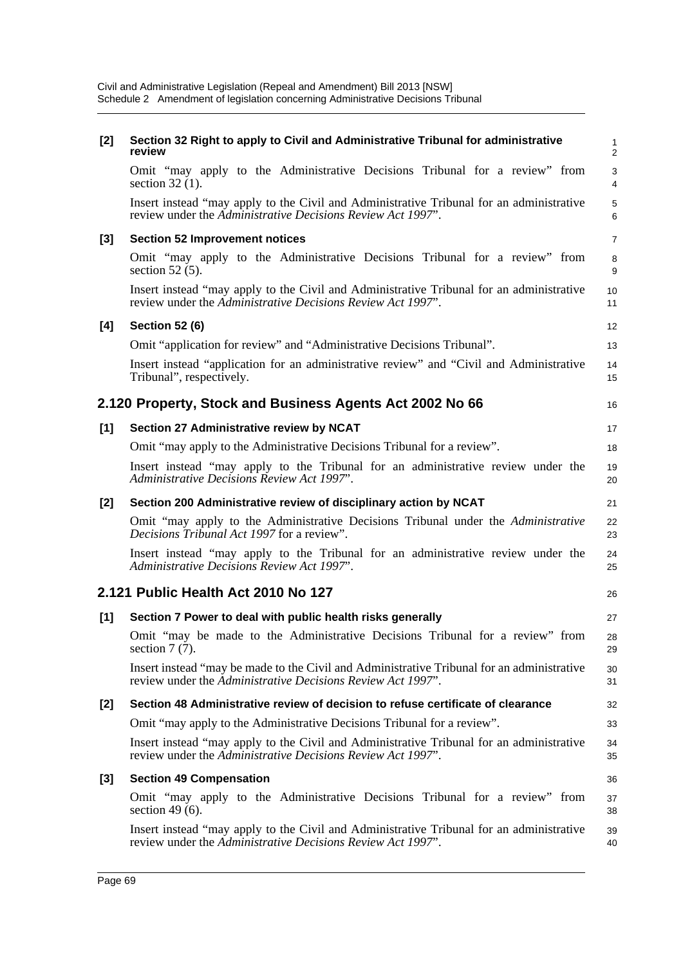| [2]   | Section 32 Right to apply to Civil and Administrative Tribunal for administrative<br>review                                                               | $\mathbf{1}$<br>2   |
|-------|-----------------------------------------------------------------------------------------------------------------------------------------------------------|---------------------|
|       | Omit "may apply to the Administrative Decisions Tribunal for a review" from<br>section $32(1)$ .                                                          | 3<br>$\overline{4}$ |
|       | Insert instead "may apply to the Civil and Administrative Tribunal for an administrative<br>review under the Administrative Decisions Review Act 1997".   | $\mathbf 5$<br>6    |
| $[3]$ | <b>Section 52 Improvement notices</b>                                                                                                                     | $\overline{7}$      |
|       | Omit "may apply to the Administrative Decisions Tribunal for a review" from<br>section $52(5)$ .                                                          | 8<br>9              |
|       | Insert instead "may apply to the Civil and Administrative Tribunal for an administrative<br>review under the Administrative Decisions Review Act 1997".   | 10<br>11            |
| [4]   | <b>Section 52 (6)</b>                                                                                                                                     | 12                  |
|       | Omit "application for review" and "Administrative Decisions Tribunal".                                                                                    | 13                  |
|       | Insert instead "application for an administrative review" and "Civil and Administrative<br>Tribunal", respectively.                                       | 14<br>15            |
|       | 2.120 Property, Stock and Business Agents Act 2002 No 66                                                                                                  | 16                  |
| [1]   | Section 27 Administrative review by NCAT                                                                                                                  | 17                  |
|       | Omit "may apply to the Administrative Decisions Tribunal for a review".                                                                                   | 18                  |
|       | Insert instead "may apply to the Tribunal for an administrative review under the<br>Administrative Decisions Review Act 1997".                            | 19<br>20            |
|       |                                                                                                                                                           |                     |
| $[2]$ | Section 200 Administrative review of disciplinary action by NCAT                                                                                          | 21                  |
|       | Omit "may apply to the Administrative Decisions Tribunal under the Administrative<br>Decisions Tribunal Act 1997 for a review".                           | 22<br>23            |
|       | Insert instead "may apply to the Tribunal for an administrative review under the<br>Administrative Decisions Review Act 1997".                            | 24<br>25            |
|       | 2.121 Public Health Act 2010 No 127                                                                                                                       | 26                  |
| [1]   | Section 7 Power to deal with public health risks generally                                                                                                | 27                  |
|       | Omit "may be made to the Administrative Decisions Tribunal for a review" from<br>section $7(7)$ .                                                         | 28<br>29            |
|       | Insert instead "may be made to the Civil and Administrative Tribunal for an administrative<br>review under the Administrative Decisions Review Act 1997". | 30<br>31            |
| [2]   | Section 48 Administrative review of decision to refuse certificate of clearance                                                                           | 32                  |
|       | Omit "may apply to the Administrative Decisions Tribunal for a review".                                                                                   | 33                  |
|       | Insert instead "may apply to the Civil and Administrative Tribunal for an administrative<br>review under the Administrative Decisions Review Act 1997".   | 34<br>35            |
| $[3]$ | <b>Section 49 Compensation</b>                                                                                                                            | 36                  |
|       | Omit "may apply to the Administrative Decisions Tribunal for a review" from<br>section 49 $(6)$ .                                                         | 37<br>38            |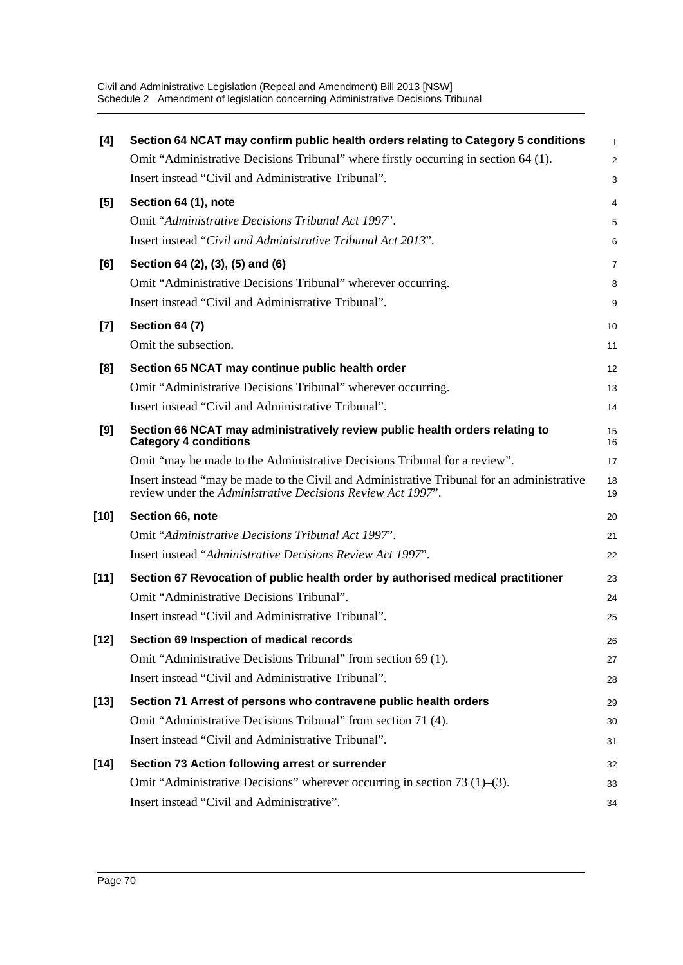| [4]    | Section 64 NCAT may confirm public health orders relating to Category 5 conditions                                                                        | 1              |
|--------|-----------------------------------------------------------------------------------------------------------------------------------------------------------|----------------|
|        | Omit "Administrative Decisions Tribunal" where firstly occurring in section 64 (1).                                                                       | $\overline{c}$ |
|        | Insert instead "Civil and Administrative Tribunal".                                                                                                       | 3              |
| [5]    | Section 64 (1), note                                                                                                                                      | 4              |
|        | Omit "Administrative Decisions Tribunal Act 1997".                                                                                                        | 5              |
|        | Insert instead "Civil and Administrative Tribunal Act 2013".                                                                                              | 6              |
| [6]    | Section 64 (2), (3), (5) and (6)                                                                                                                          | 7              |
|        | Omit "Administrative Decisions Tribunal" wherever occurring.                                                                                              | 8              |
|        | Insert instead "Civil and Administrative Tribunal".                                                                                                       | 9              |
| $[7]$  | <b>Section 64 (7)</b>                                                                                                                                     | 10             |
|        | Omit the subsection.                                                                                                                                      | 11             |
| [8]    | Section 65 NCAT may continue public health order                                                                                                          | 12             |
|        | Omit "Administrative Decisions Tribunal" wherever occurring.                                                                                              | 13             |
|        | Insert instead "Civil and Administrative Tribunal".                                                                                                       | 14             |
| [9]    | Section 66 NCAT may administratively review public health orders relating to<br><b>Category 4 conditions</b>                                              | 15<br>16       |
|        | Omit "may be made to the Administrative Decisions Tribunal for a review".                                                                                 | 17             |
|        | Insert instead "may be made to the Civil and Administrative Tribunal for an administrative<br>review under the Administrative Decisions Review Act 1997". | 18<br>19       |
| $[10]$ | Section 66, note                                                                                                                                          | 20             |
|        | Omit "Administrative Decisions Tribunal Act 1997".                                                                                                        | 21             |
|        | Insert instead "Administrative Decisions Review Act 1997".                                                                                                | 22             |
| $[11]$ | Section 67 Revocation of public health order by authorised medical practitioner                                                                           | 23             |
|        | Omit "Administrative Decisions Tribunal".                                                                                                                 | 24             |
|        | Insert instead "Civil and Administrative Tribunal".                                                                                                       | 25             |
| $[12]$ | Section 69 Inspection of medical records                                                                                                                  | 26             |
|        | Omit "Administrative Decisions Tribunal" from section 69 (1).                                                                                             | 27             |
|        | Insert instead "Civil and Administrative Tribunal".                                                                                                       | 28             |
| $[13]$ | Section 71 Arrest of persons who contravene public health orders                                                                                          | 29             |
|        | Omit "Administrative Decisions Tribunal" from section 71 (4).                                                                                             | 30             |
|        | Insert instead "Civil and Administrative Tribunal".                                                                                                       | 31             |
| [14]   | Section 73 Action following arrest or surrender                                                                                                           | 32             |
|        | Omit "Administrative Decisions" wherever occurring in section 73 (1)–(3).                                                                                 | 33             |
|        | Insert instead "Civil and Administrative".                                                                                                                | 34             |
|        |                                                                                                                                                           |                |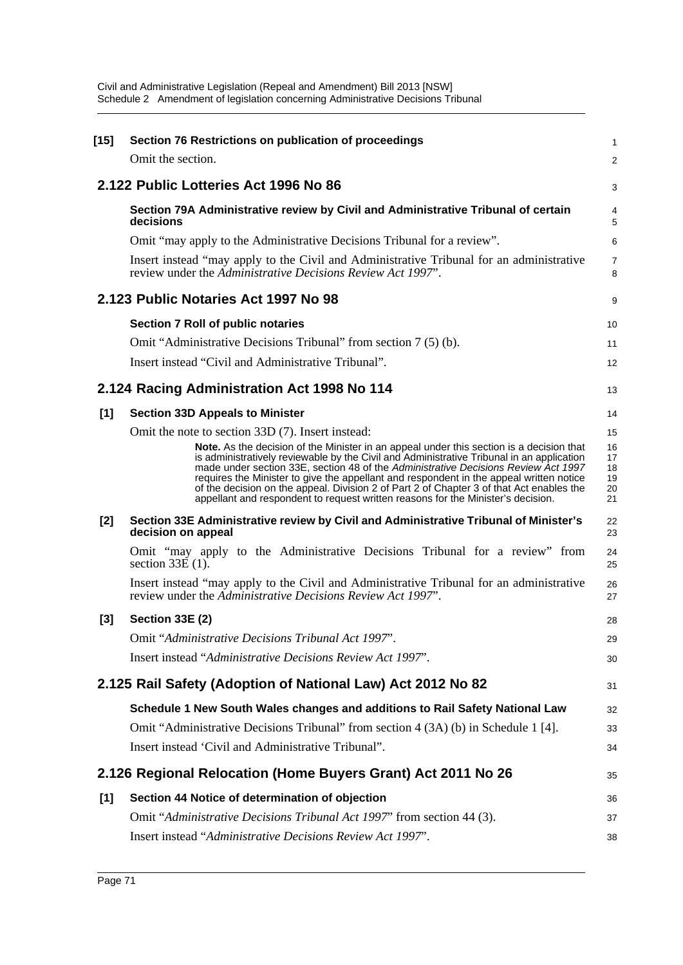| $[15]$ | Section 76 Restrictions on publication of proceedings                                                                                                                                                                                                                                                                                                                                                                                                                                                                                                                                                       | 1                                      |
|--------|-------------------------------------------------------------------------------------------------------------------------------------------------------------------------------------------------------------------------------------------------------------------------------------------------------------------------------------------------------------------------------------------------------------------------------------------------------------------------------------------------------------------------------------------------------------------------------------------------------------|----------------------------------------|
|        | Omit the section.                                                                                                                                                                                                                                                                                                                                                                                                                                                                                                                                                                                           | $\overline{c}$                         |
|        | 2.122 Public Lotteries Act 1996 No 86                                                                                                                                                                                                                                                                                                                                                                                                                                                                                                                                                                       | 3                                      |
|        | Section 79A Administrative review by Civil and Administrative Tribunal of certain<br>decisions                                                                                                                                                                                                                                                                                                                                                                                                                                                                                                              | 4<br>5                                 |
|        | Omit "may apply to the Administrative Decisions Tribunal for a review".                                                                                                                                                                                                                                                                                                                                                                                                                                                                                                                                     | 6                                      |
|        | Insert instead "may apply to the Civil and Administrative Tribunal for an administrative<br>review under the Administrative Decisions Review Act 1997".                                                                                                                                                                                                                                                                                                                                                                                                                                                     | 7<br>8                                 |
|        | 2.123 Public Notaries Act 1997 No 98                                                                                                                                                                                                                                                                                                                                                                                                                                                                                                                                                                        | 9                                      |
|        | Section 7 Roll of public notaries                                                                                                                                                                                                                                                                                                                                                                                                                                                                                                                                                                           | 10                                     |
|        | Omit "Administrative Decisions Tribunal" from section 7(5)(b).                                                                                                                                                                                                                                                                                                                                                                                                                                                                                                                                              | 11                                     |
|        | Insert instead "Civil and Administrative Tribunal".                                                                                                                                                                                                                                                                                                                                                                                                                                                                                                                                                         | 12                                     |
|        | 2.124 Racing Administration Act 1998 No 114                                                                                                                                                                                                                                                                                                                                                                                                                                                                                                                                                                 | 13                                     |
| [1]    | <b>Section 33D Appeals to Minister</b>                                                                                                                                                                                                                                                                                                                                                                                                                                                                                                                                                                      | 14                                     |
|        | Omit the note to section 33D (7). Insert instead:<br>Note. As the decision of the Minister in an appeal under this section is a decision that<br>is administratively reviewable by the Civil and Administrative Tribunal in an application<br>made under section 33E, section 48 of the Administrative Decisions Review Act 1997<br>requires the Minister to give the appellant and respondent in the appeal written notice<br>of the decision on the appeal. Division 2 of Part 2 of Chapter 3 of that Act enables the<br>appellant and respondent to request written reasons for the Minister's decision. | 15<br>16<br>17<br>18<br>19<br>20<br>21 |
| [2]    | Section 33E Administrative review by Civil and Administrative Tribunal of Minister's<br>decision on appeal                                                                                                                                                                                                                                                                                                                                                                                                                                                                                                  | 22<br>23                               |
|        | Omit "may apply to the Administrative Decisions Tribunal for a review" from<br>section $33E(1)$ .                                                                                                                                                                                                                                                                                                                                                                                                                                                                                                           | 24<br>25                               |
|        | Insert instead "may apply to the Civil and Administrative Tribunal for an administrative<br>review under the Administrative Decisions Review Act 1997".                                                                                                                                                                                                                                                                                                                                                                                                                                                     | 26<br>27                               |
| $[3]$  | <b>Section 33E (2)</b>                                                                                                                                                                                                                                                                                                                                                                                                                                                                                                                                                                                      | 28                                     |
|        | Omit "Administrative Decisions Tribunal Act 1997".                                                                                                                                                                                                                                                                                                                                                                                                                                                                                                                                                          | 29                                     |
|        | Insert instead "Administrative Decisions Review Act 1997".                                                                                                                                                                                                                                                                                                                                                                                                                                                                                                                                                  | 30                                     |
|        | 2.125 Rail Safety (Adoption of National Law) Act 2012 No 82                                                                                                                                                                                                                                                                                                                                                                                                                                                                                                                                                 | 31                                     |
|        | Schedule 1 New South Wales changes and additions to Rail Safety National Law                                                                                                                                                                                                                                                                                                                                                                                                                                                                                                                                | 32                                     |
|        | Omit "Administrative Decisions Tribunal" from section 4 (3A) (b) in Schedule 1 [4].                                                                                                                                                                                                                                                                                                                                                                                                                                                                                                                         | 33                                     |
|        | Insert instead 'Civil and Administrative Tribunal".                                                                                                                                                                                                                                                                                                                                                                                                                                                                                                                                                         | 34                                     |
|        | 2.126 Regional Relocation (Home Buyers Grant) Act 2011 No 26                                                                                                                                                                                                                                                                                                                                                                                                                                                                                                                                                | 35                                     |
| $[1]$  | Section 44 Notice of determination of objection                                                                                                                                                                                                                                                                                                                                                                                                                                                                                                                                                             | 36                                     |
|        | Omit "Administrative Decisions Tribunal Act 1997" from section 44 (3).                                                                                                                                                                                                                                                                                                                                                                                                                                                                                                                                      | 37                                     |
|        | Insert instead "Administrative Decisions Review Act 1997".                                                                                                                                                                                                                                                                                                                                                                                                                                                                                                                                                  | 38                                     |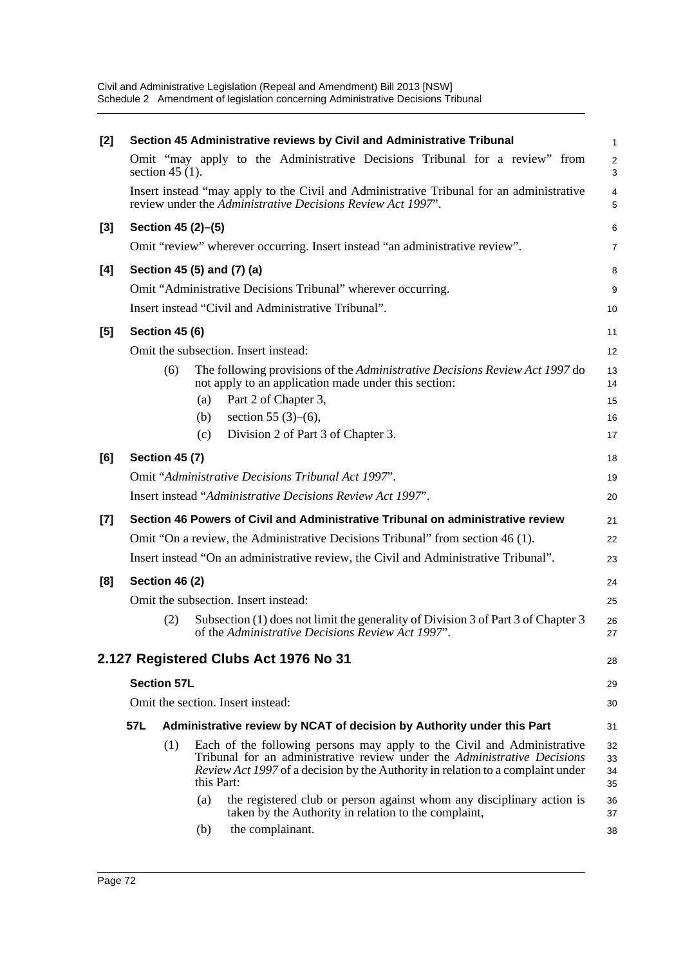| [2]   |     |                                   |                            | Section 45 Administrative reviews by Civil and Administrative Tribunal                                                                                                                                                                        | 1                            |  |  |
|-------|-----|-----------------------------------|----------------------------|-----------------------------------------------------------------------------------------------------------------------------------------------------------------------------------------------------------------------------------------------|------------------------------|--|--|
|       |     | section $45(1)$ .                 |                            | Omit "may apply to the Administrative Decisions Tribunal for a review" from                                                                                                                                                                   | $\overline{\mathbf{c}}$<br>3 |  |  |
|       |     |                                   |                            | Insert instead "may apply to the Civil and Administrative Tribunal for an administrative<br>review under the Administrative Decisions Review Act 1997".                                                                                       | 4<br>5                       |  |  |
| [3]   |     |                                   | Section 45 (2)-(5)         |                                                                                                                                                                                                                                               | 6                            |  |  |
|       |     |                                   |                            | Omit "review" wherever occurring. Insert instead "an administrative review".                                                                                                                                                                  | 7                            |  |  |
| [4]   |     |                                   | Section 45 (5) and (7) (a) |                                                                                                                                                                                                                                               | 8                            |  |  |
|       |     |                                   |                            | Omit "Administrative Decisions Tribunal" wherever occurring.                                                                                                                                                                                  | 9                            |  |  |
|       |     |                                   |                            | Insert instead "Civil and Administrative Tribunal".                                                                                                                                                                                           | 10                           |  |  |
| $[5]$ |     | <b>Section 45 (6)</b>             |                            |                                                                                                                                                                                                                                               | 11                           |  |  |
|       |     |                                   |                            | Omit the subsection. Insert instead:                                                                                                                                                                                                          | 12                           |  |  |
|       |     | (6)                               |                            | The following provisions of the Administrative Decisions Review Act 1997 do<br>not apply to an application made under this section:                                                                                                           | 13<br>14                     |  |  |
|       |     |                                   | (a)                        | Part 2 of Chapter 3,                                                                                                                                                                                                                          | 15                           |  |  |
|       |     |                                   | (b)                        | section 55 $(3)-(6)$ ,                                                                                                                                                                                                                        | 16                           |  |  |
|       |     |                                   | (c)                        | Division 2 of Part 3 of Chapter 3.                                                                                                                                                                                                            | 17                           |  |  |
| [6]   |     | <b>Section 45 (7)</b>             |                            |                                                                                                                                                                                                                                               | 18                           |  |  |
|       |     |                                   |                            | Omit "Administrative Decisions Tribunal Act 1997".                                                                                                                                                                                            | 19                           |  |  |
|       |     |                                   |                            | Insert instead "Administrative Decisions Review Act 1997".                                                                                                                                                                                    | 20                           |  |  |
| $[7]$ |     |                                   |                            | Section 46 Powers of Civil and Administrative Tribunal on administrative review                                                                                                                                                               | 21                           |  |  |
|       |     |                                   |                            | Omit "On a review, the Administrative Decisions Tribunal" from section 46 (1).                                                                                                                                                                | 22                           |  |  |
|       |     |                                   |                            | Insert instead "On an administrative review, the Civil and Administrative Tribunal".                                                                                                                                                          | 23                           |  |  |
| [8]   |     | Section 46 (2)                    |                            |                                                                                                                                                                                                                                               | 24                           |  |  |
|       |     |                                   |                            | Omit the subsection. Insert instead:                                                                                                                                                                                                          | 25                           |  |  |
|       |     | (2)                               |                            | Subsection (1) does not limit the generality of Division 3 of Part 3 of Chapter 3<br>of the Administrative Decisions Review Act 1997".                                                                                                        | 26<br>27                     |  |  |
|       |     |                                   |                            | 2.127 Registered Clubs Act 1976 No 31                                                                                                                                                                                                         | 28                           |  |  |
|       |     | <b>Section 57L</b>                |                            |                                                                                                                                                                                                                                               | 29                           |  |  |
|       |     | Omit the section. Insert instead: |                            |                                                                                                                                                                                                                                               |                              |  |  |
|       | 57L |                                   |                            | Administrative review by NCAT of decision by Authority under this Part                                                                                                                                                                        | 31                           |  |  |
|       |     | (1)                               | this Part:                 | Each of the following persons may apply to the Civil and Administrative<br>Tribunal for an administrative review under the Administrative Decisions<br><i>Review Act 1997</i> of a decision by the Authority in relation to a complaint under | 32<br>33<br>34<br>35         |  |  |
|       |     |                                   | (a)                        | the registered club or person against whom any disciplinary action is<br>taken by the Authority in relation to the complaint,                                                                                                                 | 36<br>37                     |  |  |
|       |     |                                   | (b)                        | the complainant.                                                                                                                                                                                                                              | 38                           |  |  |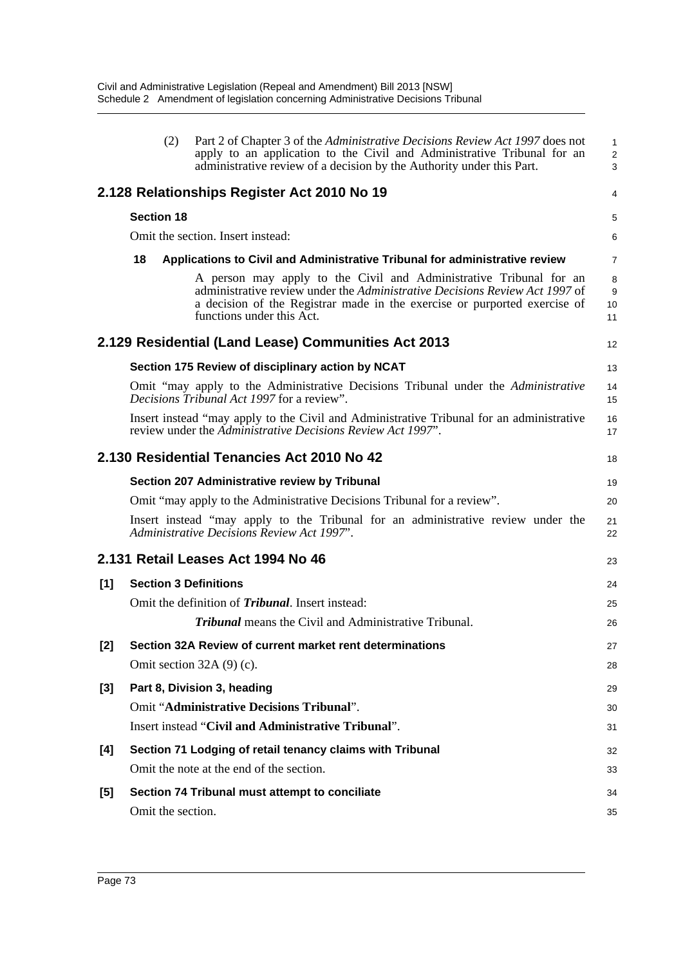|       | (2)                          | Part 2 of Chapter 3 of the Administrative Decisions Review Act 1997 does not<br>apply to an application to the Civil and Administrative Tribunal for an<br>administrative review of a decision by the Authority under this Part.                            | $\mathbf{1}$<br>$\overline{2}$<br>3 |
|-------|------------------------------|-------------------------------------------------------------------------------------------------------------------------------------------------------------------------------------------------------------------------------------------------------------|-------------------------------------|
|       |                              | 2.128 Relationships Register Act 2010 No 19                                                                                                                                                                                                                 | 4                                   |
|       | <b>Section 18</b>            |                                                                                                                                                                                                                                                             | 5                                   |
|       |                              | Omit the section. Insert instead:                                                                                                                                                                                                                           | 6                                   |
|       | 18                           | Applications to Civil and Administrative Tribunal for administrative review                                                                                                                                                                                 | $\overline{7}$                      |
|       |                              | A person may apply to the Civil and Administrative Tribunal for an<br>administrative review under the Administrative Decisions Review Act 1997 of<br>a decision of the Registrar made in the exercise or purported exercise of<br>functions under this Act. | 8<br>9<br>10<br>11                  |
|       |                              | 2.129 Residential (Land Lease) Communities Act 2013                                                                                                                                                                                                         | 12                                  |
|       |                              | Section 175 Review of disciplinary action by NCAT                                                                                                                                                                                                           | 13                                  |
|       |                              | Omit "may apply to the Administrative Decisions Tribunal under the Administrative<br><i>Decisions Tribunal Act 1997</i> for a review".                                                                                                                      | 14<br>15                            |
|       |                              | Insert instead "may apply to the Civil and Administrative Tribunal for an administrative<br>review under the Administrative Decisions Review Act 1997".                                                                                                     | 16<br>17                            |
|       |                              | 2.130 Residential Tenancies Act 2010 No 42                                                                                                                                                                                                                  | 18                                  |
|       |                              | Section 207 Administrative review by Tribunal                                                                                                                                                                                                               | 19                                  |
|       |                              | Omit "may apply to the Administrative Decisions Tribunal for a review".                                                                                                                                                                                     | 20                                  |
|       |                              | Insert instead "may apply to the Tribunal for an administrative review under the<br>Administrative Decisions Review Act 1997".                                                                                                                              | 21<br>22                            |
|       |                              | 2.131 Retail Leases Act 1994 No 46                                                                                                                                                                                                                          | 23                                  |
| [1]   | <b>Section 3 Definitions</b> |                                                                                                                                                                                                                                                             | 24                                  |
|       |                              | Omit the definition of <i>Tribunal</i> . Insert instead:                                                                                                                                                                                                    | 25                                  |
|       |                              | <b>Tribunal</b> means the Civil and Administrative Tribunal.                                                                                                                                                                                                | 26                                  |
| $[2]$ |                              | Section 32A Review of current market rent determinations                                                                                                                                                                                                    | 27                                  |
|       |                              | Omit section $32A(9)(c)$ .                                                                                                                                                                                                                                  | 28                                  |
| [3]   |                              | Part 8, Division 3, heading                                                                                                                                                                                                                                 | 29                                  |
|       |                              | Omit "Administrative Decisions Tribunal".                                                                                                                                                                                                                   | 30                                  |
|       |                              | Insert instead "Civil and Administrative Tribunal".                                                                                                                                                                                                         | 31                                  |
| [4]   |                              | Section 71 Lodging of retail tenancy claims with Tribunal                                                                                                                                                                                                   | 32                                  |
|       |                              | Omit the note at the end of the section.                                                                                                                                                                                                                    | 33                                  |
| [5]   |                              | Section 74 Tribunal must attempt to conciliate                                                                                                                                                                                                              | 34                                  |
|       | Omit the section.            |                                                                                                                                                                                                                                                             | 35                                  |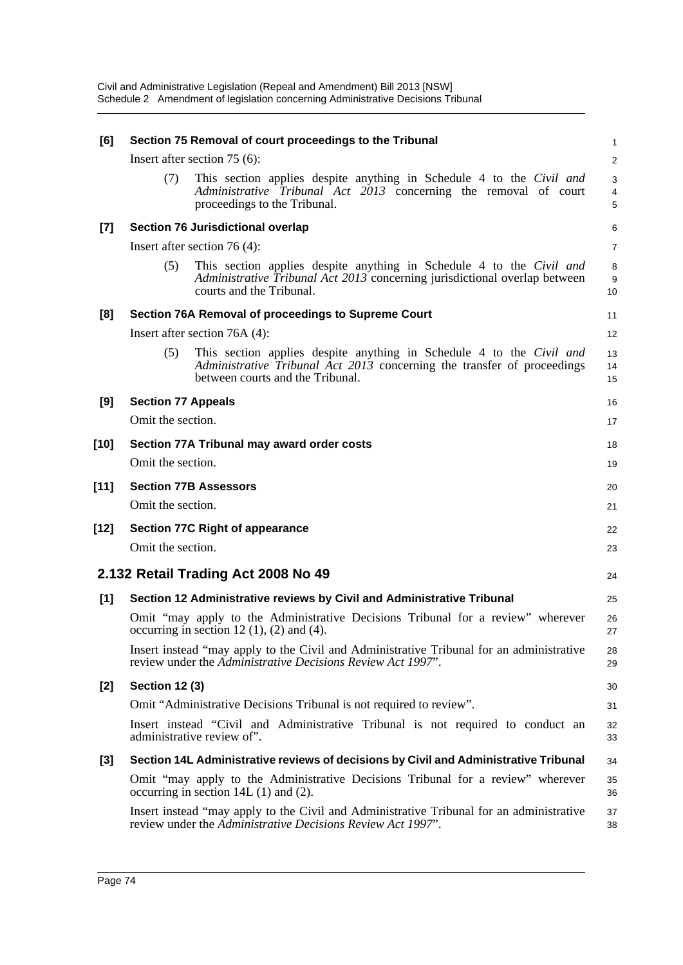| [6]    | Section 75 Removal of court proceedings to the Tribunal                                                                                                                                    | $\mathbf{1}$   |
|--------|--------------------------------------------------------------------------------------------------------------------------------------------------------------------------------------------|----------------|
|        | Insert after section $75(6)$ :                                                                                                                                                             | 2              |
|        | This section applies despite anything in Schedule 4 to the Civil and<br>(7)<br>Administrative Tribunal Act 2013 concerning the removal of court<br>proceedings to the Tribunal.            | 3<br>4<br>5    |
| $[7]$  | Section 76 Jurisdictional overlap                                                                                                                                                          | 6              |
|        | Insert after section 76 $(4)$ :                                                                                                                                                            | $\overline{7}$ |
|        | This section applies despite anything in Schedule 4 to the Civil and<br>(5)<br>Administrative Tribunal Act 2013 concerning jurisdictional overlap between<br>courts and the Tribunal.      | 8<br>9<br>10   |
| [8]    | Section 76A Removal of proceedings to Supreme Court                                                                                                                                        | 11             |
|        | Insert after section $76A(4)$ :                                                                                                                                                            | 12             |
|        | This section applies despite anything in Schedule 4 to the Civil and<br>(5)<br>Administrative Tribunal Act 2013 concerning the transfer of proceedings<br>between courts and the Tribunal. | 13<br>14<br>15 |
| [9]    | <b>Section 77 Appeals</b>                                                                                                                                                                  | 16             |
|        | Omit the section.                                                                                                                                                                          | 17             |
| $[10]$ | Section 77A Tribunal may award order costs                                                                                                                                                 | 18             |
|        | Omit the section.                                                                                                                                                                          | 19             |
| $[11]$ | <b>Section 77B Assessors</b>                                                                                                                                                               | 20             |
|        | Omit the section.                                                                                                                                                                          | 21             |
| [12]   | <b>Section 77C Right of appearance</b>                                                                                                                                                     | 22             |
|        | Omit the section.                                                                                                                                                                          | 23             |
|        | 2.132 Retail Trading Act 2008 No 49                                                                                                                                                        | 24             |
| [1]    | Section 12 Administrative reviews by Civil and Administrative Tribunal                                                                                                                     | 25             |
|        | Omit "may apply to the Administrative Decisions Tribunal for a review" wherever<br>occurring in section 12 $(1)$ , $(2)$ and $(4)$ .                                                       | 26<br>27       |
|        | Insert instead "may apply to the Civil and Administrative Tribunal for an administrative<br>review under the Administrative Decisions Review Act 1997".                                    | 28<br>29       |
| $[2]$  | <b>Section 12 (3)</b>                                                                                                                                                                      | 30             |
|        | Omit "Administrative Decisions Tribunal is not required to review".                                                                                                                        | 31             |
|        | Insert instead "Civil and Administrative Tribunal is not required to conduct an<br>administrative review of".                                                                              | 32<br>33       |
| $[3]$  | Section 14L Administrative reviews of decisions by Civil and Administrative Tribunal                                                                                                       | 34             |
|        | Omit "may apply to the Administrative Decisions Tribunal for a review" wherever<br>occurring in section $14L(1)$ and $(2)$ .                                                               | 35<br>36       |
|        | Insert instead "may apply to the Civil and Administrative Tribunal for an administrative<br>review under the Administrative Decisions Review Act 1997".                                    | 37<br>38       |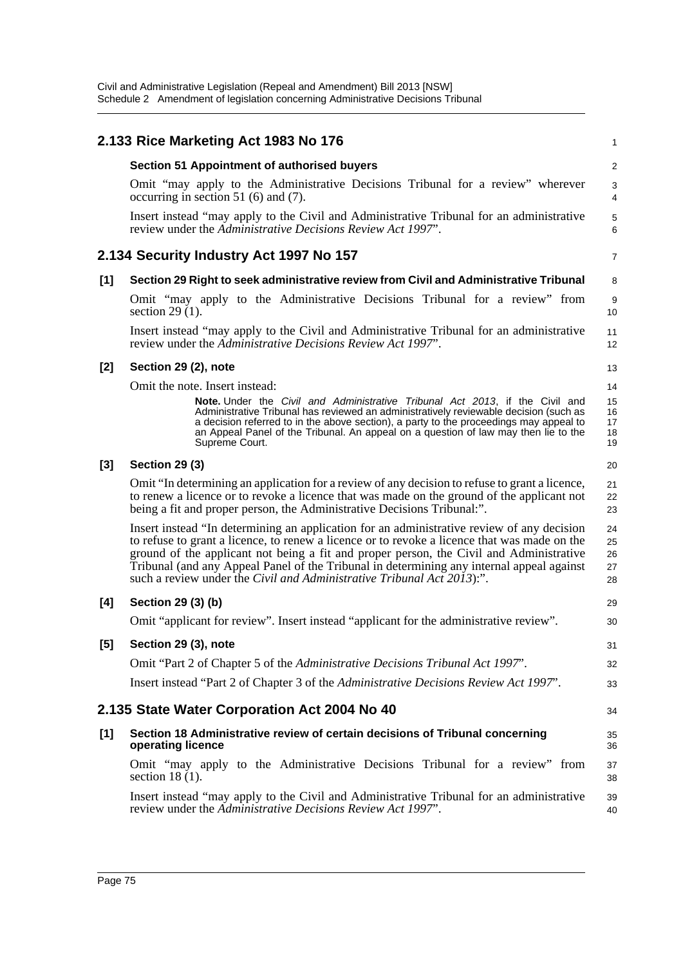|       | 2.133 Rice Marketing Act 1983 No 176                                                                                                                                                                                                                                                                                                                                                                                                                         | 1                          |
|-------|--------------------------------------------------------------------------------------------------------------------------------------------------------------------------------------------------------------------------------------------------------------------------------------------------------------------------------------------------------------------------------------------------------------------------------------------------------------|----------------------------|
|       | <b>Section 51 Appointment of authorised buyers</b>                                                                                                                                                                                                                                                                                                                                                                                                           | $\overline{\mathbf{c}}$    |
|       | Omit "may apply to the Administrative Decisions Tribunal for a review" wherever<br>occurring in section 51 (6) and $(7)$ .                                                                                                                                                                                                                                                                                                                                   | 3<br>4                     |
|       | Insert instead "may apply to the Civil and Administrative Tribunal for an administrative<br>review under the Administrative Decisions Review Act 1997".                                                                                                                                                                                                                                                                                                      | 5<br>6                     |
|       | 2.134 Security Industry Act 1997 No 157                                                                                                                                                                                                                                                                                                                                                                                                                      | $\overline{7}$             |
| [1]   | Section 29 Right to seek administrative review from Civil and Administrative Tribunal                                                                                                                                                                                                                                                                                                                                                                        | 8                          |
|       | Omit "may apply to the Administrative Decisions Tribunal for a review" from<br>section 29 $(1)$ .                                                                                                                                                                                                                                                                                                                                                            | 9<br>10                    |
|       | Insert instead "may apply to the Civil and Administrative Tribunal for an administrative<br>review under the Administrative Decisions Review Act 1997".                                                                                                                                                                                                                                                                                                      | 11<br>12                   |
| $[2]$ | Section 29 (2), note                                                                                                                                                                                                                                                                                                                                                                                                                                         | 13                         |
|       | Omit the note. Insert instead:                                                                                                                                                                                                                                                                                                                                                                                                                               | 14                         |
|       | <b>Note.</b> Under the Civil and Administrative Tribunal Act 2013, if the Civil and<br>Administrative Tribunal has reviewed an administratively reviewable decision (such as<br>a decision referred to in the above section), a party to the proceedings may appeal to<br>an Appeal Panel of the Tribunal. An appeal on a question of law may then lie to the<br>Supreme Court.                                                                              | 15<br>16<br>17<br>18<br>19 |
| $[3]$ | <b>Section 29 (3)</b>                                                                                                                                                                                                                                                                                                                                                                                                                                        | 20                         |
|       | Omit "In determining an application for a review of any decision to refuse to grant a licence,<br>to renew a licence or to revoke a licence that was made on the ground of the applicant not<br>being a fit and proper person, the Administrative Decisions Tribunal:".                                                                                                                                                                                      | 21<br>22<br>23             |
|       | Insert instead "In determining an application for an administrative review of any decision<br>to refuse to grant a licence, to renew a licence or to revoke a licence that was made on the<br>ground of the applicant not being a fit and proper person, the Civil and Administrative<br>Tribunal (and any Appeal Panel of the Tribunal in determining any internal appeal against<br>such a review under the Civil and Administrative Tribunal Act 2013):". | 24<br>25<br>26<br>27<br>28 |
| [4]   | Section 29 (3) (b)                                                                                                                                                                                                                                                                                                                                                                                                                                           | 29                         |
|       | Omit "applicant for review". Insert instead "applicant for the administrative review".                                                                                                                                                                                                                                                                                                                                                                       | 30                         |
| [5]   | Section 29 (3), note                                                                                                                                                                                                                                                                                                                                                                                                                                         | 31                         |
|       | Omit "Part 2 of Chapter 5 of the Administrative Decisions Tribunal Act 1997".                                                                                                                                                                                                                                                                                                                                                                                | 32                         |
|       | Insert instead "Part 2 of Chapter 3 of the Administrative Decisions Review Act 1997".                                                                                                                                                                                                                                                                                                                                                                        | 33                         |
|       | 2.135 State Water Corporation Act 2004 No 40                                                                                                                                                                                                                                                                                                                                                                                                                 | 34                         |
| [1]   | Section 18 Administrative review of certain decisions of Tribunal concerning<br>operating licence                                                                                                                                                                                                                                                                                                                                                            | 35<br>36                   |
|       | Omit "may apply to the Administrative Decisions Tribunal for a review" from<br>section $18(1)$ .                                                                                                                                                                                                                                                                                                                                                             | 37<br>38                   |
|       | Insert instead "may apply to the Civil and Administrative Tribunal for an administrative<br>review under the Administrative Decisions Review Act 1997".                                                                                                                                                                                                                                                                                                      | 39<br>40                   |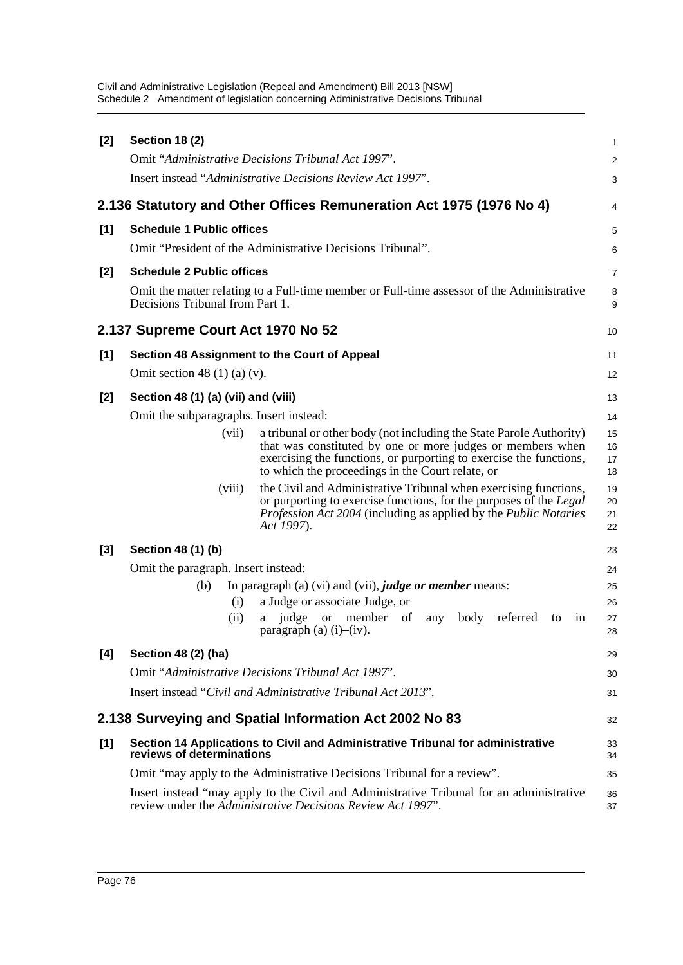| $[2]$ | <b>Section 18 (2)</b>                   |        |                                                                                                                                                                                                                                                             | 1                    |
|-------|-----------------------------------------|--------|-------------------------------------------------------------------------------------------------------------------------------------------------------------------------------------------------------------------------------------------------------------|----------------------|
|       |                                         |        | Omit "Administrative Decisions Tribunal Act 1997".                                                                                                                                                                                                          | $\overline{c}$       |
|       |                                         |        | Insert instead "Administrative Decisions Review Act 1997".                                                                                                                                                                                                  | 3                    |
|       |                                         |        | 2.136 Statutory and Other Offices Remuneration Act 1975 (1976 No 4)                                                                                                                                                                                         | 4                    |
| [1]   | <b>Schedule 1 Public offices</b>        |        |                                                                                                                                                                                                                                                             | 5                    |
|       |                                         |        | Omit "President of the Administrative Decisions Tribunal".                                                                                                                                                                                                  | 6                    |
| $[2]$ | <b>Schedule 2 Public offices</b>        |        |                                                                                                                                                                                                                                                             | 7                    |
|       | Decisions Tribunal from Part 1.         |        | Omit the matter relating to a Full-time member or Full-time assessor of the Administrative                                                                                                                                                                  | 8<br>9               |
|       | 2.137 Supreme Court Act 1970 No 52      |        |                                                                                                                                                                                                                                                             | 10                   |
| [1]   |                                         |        | Section 48 Assignment to the Court of Appeal                                                                                                                                                                                                                | 11                   |
|       | Omit section 48 $(1)$ (a) $(v)$ .       |        |                                                                                                                                                                                                                                                             | 12                   |
| $[2]$ | Section 48 (1) (a) (vii) and (viii)     |        |                                                                                                                                                                                                                                                             | 13                   |
|       | Omit the subparagraphs. Insert instead: |        |                                                                                                                                                                                                                                                             | 14                   |
|       |                                         | (vii)  | a tribunal or other body (not including the State Parole Authority)<br>that was constituted by one or more judges or members when<br>exercising the functions, or purporting to exercise the functions,<br>to which the proceedings in the Court relate, or | 15<br>16<br>17<br>18 |
|       |                                         | (viii) | the Civil and Administrative Tribunal when exercising functions,<br>or purporting to exercise functions, for the purposes of the Legal<br><i>Profession Act 2004</i> (including as applied by the <i>Public Notaries</i><br>Act 1997).                      | 19<br>20<br>21<br>22 |
| $[3]$ | Section 48 (1) (b)                      |        |                                                                                                                                                                                                                                                             | 23                   |
|       | Omit the paragraph. Insert instead:     |        |                                                                                                                                                                                                                                                             | 24                   |
|       | (b)                                     |        | In paragraph (a) (vi) and (vii), <i>judge or member</i> means:                                                                                                                                                                                              | 25                   |
|       |                                         | (i)    | a Judge or associate Judge, or                                                                                                                                                                                                                              | 26                   |
|       |                                         | (ii)   | judge<br>member<br>of<br>body<br>referred<br><b>or</b><br>any<br>1n<br>to<br>a<br>paragraph (a) $(i)$ – $(iv)$ .                                                                                                                                            | 27<br>28             |
| [4]   | Section 48 (2) (ha)                     |        |                                                                                                                                                                                                                                                             | 29                   |
|       |                                         |        | Omit "Administrative Decisions Tribunal Act 1997".                                                                                                                                                                                                          | 30                   |
|       |                                         |        | Insert instead "Civil and Administrative Tribunal Act 2013".                                                                                                                                                                                                | 31                   |
|       |                                         |        | 2.138 Surveying and Spatial Information Act 2002 No 83                                                                                                                                                                                                      | 32                   |
| [1]   | reviews of determinations               |        | Section 14 Applications to Civil and Administrative Tribunal for administrative                                                                                                                                                                             | 33<br>34             |
|       |                                         |        | Omit "may apply to the Administrative Decisions Tribunal for a review".                                                                                                                                                                                     | 35                   |
|       |                                         |        | Insert instead "may apply to the Civil and Administrative Tribunal for an administrative<br>review under the Administrative Decisions Review Act 1997".                                                                                                     | 36<br>37             |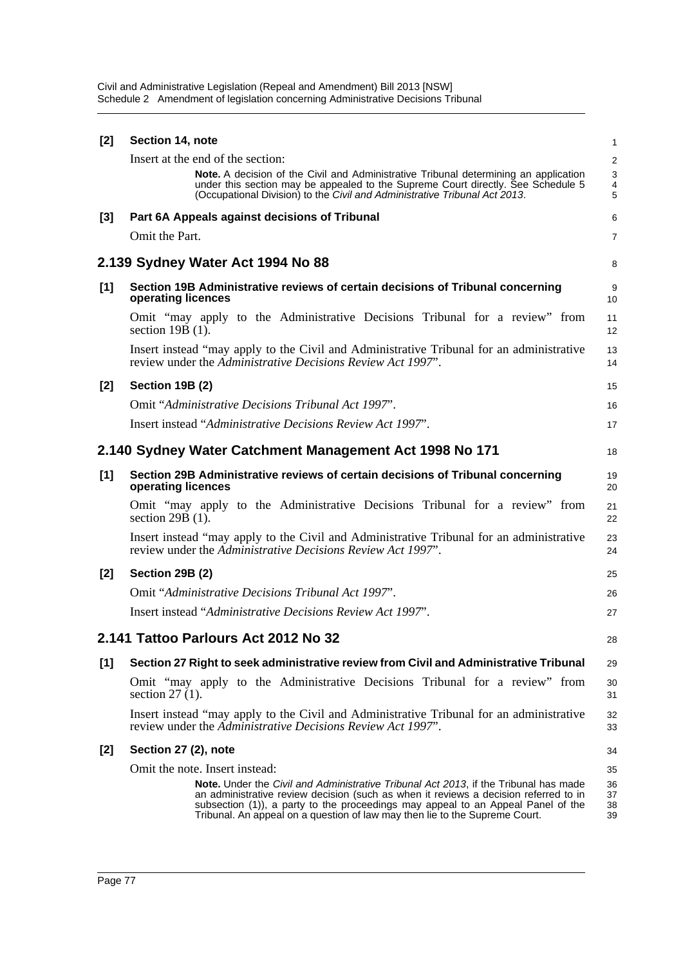| [2]   | Section 14, note                                                                                                                                                                                                                                                                                                                                               | 1                       |
|-------|----------------------------------------------------------------------------------------------------------------------------------------------------------------------------------------------------------------------------------------------------------------------------------------------------------------------------------------------------------------|-------------------------|
|       | Insert at the end of the section:                                                                                                                                                                                                                                                                                                                              | $\overline{\mathbf{c}}$ |
|       | <b>Note.</b> A decision of the Civil and Administrative Tribunal determining an application<br>under this section may be appealed to the Supreme Court directly. See Schedule 5<br>(Occupational Division) to the Civil and Administrative Tribunal Act 2013.                                                                                                  | 3<br>4<br>5             |
| [3]   | Part 6A Appeals against decisions of Tribunal                                                                                                                                                                                                                                                                                                                  | 6                       |
|       | Omit the Part.                                                                                                                                                                                                                                                                                                                                                 | 7                       |
|       | 2.139 Sydney Water Act 1994 No 88                                                                                                                                                                                                                                                                                                                              | 8                       |
| [1]   | Section 19B Administrative reviews of certain decisions of Tribunal concerning<br>operating licences                                                                                                                                                                                                                                                           | 9<br>10                 |
|       | Omit "may apply to the Administrative Decisions Tribunal for a review" from<br>section $19B(1)$ .                                                                                                                                                                                                                                                              | 11<br>12                |
|       | Insert instead "may apply to the Civil and Administrative Tribunal for an administrative<br>review under the Administrative Decisions Review Act 1997".                                                                                                                                                                                                        | 13<br>14                |
| $[2]$ | <b>Section 19B (2)</b>                                                                                                                                                                                                                                                                                                                                         | 15                      |
|       | Omit "Administrative Decisions Tribunal Act 1997".                                                                                                                                                                                                                                                                                                             | 16                      |
|       | Insert instead "Administrative Decisions Review Act 1997".                                                                                                                                                                                                                                                                                                     | 17                      |
|       | 2.140 Sydney Water Catchment Management Act 1998 No 171                                                                                                                                                                                                                                                                                                        | 18                      |
| [1]   | Section 29B Administrative reviews of certain decisions of Tribunal concerning<br>operating licences                                                                                                                                                                                                                                                           | 19<br>20                |
|       | Omit "may apply to the Administrative Decisions Tribunal for a review" from<br>section $29B(1)$ .                                                                                                                                                                                                                                                              | 21<br>22                |
|       | Insert instead "may apply to the Civil and Administrative Tribunal for an administrative<br>review under the Administrative Decisions Review Act 1997".                                                                                                                                                                                                        | 23<br>24                |
| $[2]$ | Section 29B (2)                                                                                                                                                                                                                                                                                                                                                | 25                      |
|       | Omit "Administrative Decisions Tribunal Act 1997".                                                                                                                                                                                                                                                                                                             | 26                      |
|       | Insert instead "Administrative Decisions Review Act 1997".                                                                                                                                                                                                                                                                                                     | 27                      |
|       | 2.141 Tattoo Parlours Act 2012 No 32                                                                                                                                                                                                                                                                                                                           | 28                      |
| [1]   | Section 27 Right to seek administrative review from Civil and Administrative Tribunal                                                                                                                                                                                                                                                                          | 29                      |
|       | Omit "may apply to the Administrative Decisions Tribunal for a review" from<br>section $27(1)$ .                                                                                                                                                                                                                                                               | 30<br>31                |
|       | Insert instead "may apply to the Civil and Administrative Tribunal for an administrative<br>review under the Administrative Decisions Review Act 1997".                                                                                                                                                                                                        | 32<br>33                |
| $[2]$ | Section 27 (2), note                                                                                                                                                                                                                                                                                                                                           | 34                      |
|       | Omit the note. Insert instead:                                                                                                                                                                                                                                                                                                                                 | 35                      |
|       | <b>Note.</b> Under the <i>Civil and Administrative Tribunal Act 2013</i> , if the Tribunal has made<br>an administrative review decision (such as when it reviews a decision referred to in<br>subsection (1)), a party to the proceedings may appeal to an Appeal Panel of the<br>Tribunal. An appeal on a question of law may then lie to the Supreme Court. | 36<br>37<br>38<br>39    |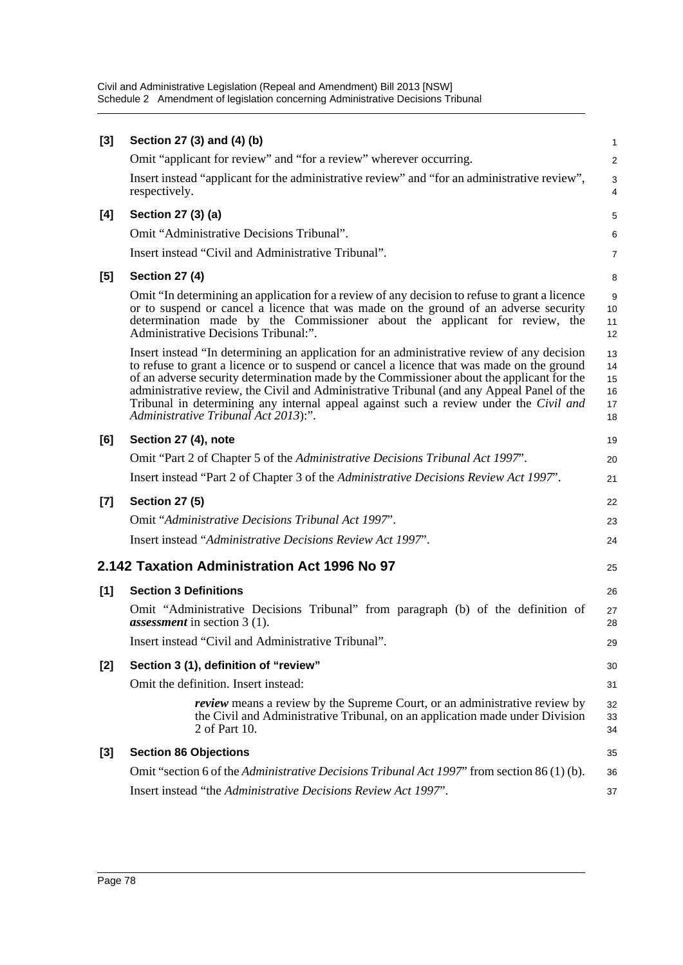| $[3]$ | Section 27 (3) and (4) (b)                                                                                                                                                                                                                                                                                                                                                                                                                                                                                          | 1                                |
|-------|---------------------------------------------------------------------------------------------------------------------------------------------------------------------------------------------------------------------------------------------------------------------------------------------------------------------------------------------------------------------------------------------------------------------------------------------------------------------------------------------------------------------|----------------------------------|
|       | Omit "applicant for review" and "for a review" wherever occurring.                                                                                                                                                                                                                                                                                                                                                                                                                                                  | 2                                |
|       | Insert instead "applicant for the administrative review" and "for an administrative review",<br>respectively.                                                                                                                                                                                                                                                                                                                                                                                                       | $\sqrt{3}$<br>4                  |
| [4]   | Section 27 (3) (a)                                                                                                                                                                                                                                                                                                                                                                                                                                                                                                  | 5                                |
|       | Omit "Administrative Decisions Tribunal".                                                                                                                                                                                                                                                                                                                                                                                                                                                                           | 6                                |
|       | Insert instead "Civil and Administrative Tribunal".                                                                                                                                                                                                                                                                                                                                                                                                                                                                 | 7                                |
| [5]   | <b>Section 27 (4)</b>                                                                                                                                                                                                                                                                                                                                                                                                                                                                                               | 8                                |
|       | Omit "In determining an application for a review of any decision to refuse to grant a licence<br>or to suspend or cancel a licence that was made on the ground of an adverse security<br>determination made by the Commissioner about the applicant for review, the<br>Administrative Decisions Tribunal:".                                                                                                                                                                                                         | 9<br>10<br>11<br>12              |
|       | Insert instead "In determining an application for an administrative review of any decision<br>to refuse to grant a licence or to suspend or cancel a licence that was made on the ground<br>of an adverse security determination made by the Commissioner about the applicant for the<br>administrative review, the Civil and Administrative Tribunal (and any Appeal Panel of the<br>Tribunal in determining any internal appeal against such a review under the Civil and<br>Administrative Tribunal Act 2013):". | 13<br>14<br>15<br>16<br>17<br>18 |
| [6]   | Section 27 (4), note                                                                                                                                                                                                                                                                                                                                                                                                                                                                                                | 19                               |
|       | Omit "Part 2 of Chapter 5 of the Administrative Decisions Tribunal Act 1997".                                                                                                                                                                                                                                                                                                                                                                                                                                       | 20                               |
|       | Insert instead "Part 2 of Chapter 3 of the Administrative Decisions Review Act 1997".                                                                                                                                                                                                                                                                                                                                                                                                                               | 21                               |
| $[7]$ | <b>Section 27 (5)</b>                                                                                                                                                                                                                                                                                                                                                                                                                                                                                               | 22                               |
|       | Omit "Administrative Decisions Tribunal Act 1997".                                                                                                                                                                                                                                                                                                                                                                                                                                                                  | 23                               |
|       | Insert instead "Administrative Decisions Review Act 1997".                                                                                                                                                                                                                                                                                                                                                                                                                                                          | 24                               |
|       | 2.142 Taxation Administration Act 1996 No 97                                                                                                                                                                                                                                                                                                                                                                                                                                                                        | 25                               |
| [1]   | <b>Section 3 Definitions</b>                                                                                                                                                                                                                                                                                                                                                                                                                                                                                        | 26                               |
|       | Omit "Administrative Decisions Tribunal" from paragraph (b) of the definition of<br><i>assessment</i> in section $3(1)$ .                                                                                                                                                                                                                                                                                                                                                                                           | 27<br>28                         |
|       | Insert instead "Civil and Administrative Tribunal".                                                                                                                                                                                                                                                                                                                                                                                                                                                                 | 29                               |
| $[2]$ | Section 3 (1), definition of "review"                                                                                                                                                                                                                                                                                                                                                                                                                                                                               | 30                               |
|       | Omit the definition. Insert instead:                                                                                                                                                                                                                                                                                                                                                                                                                                                                                | 31                               |
|       | <i>review</i> means a review by the Supreme Court, or an administrative review by<br>the Civil and Administrative Tribunal, on an application made under Division<br>2 of Part 10.                                                                                                                                                                                                                                                                                                                                  | 32<br>33<br>34                   |
| $[3]$ | <b>Section 86 Objections</b>                                                                                                                                                                                                                                                                                                                                                                                                                                                                                        | 35                               |
|       | Omit "section 6 of the Administrative Decisions Tribunal Act 1997" from section 86(1)(b).                                                                                                                                                                                                                                                                                                                                                                                                                           | 36                               |
|       | Insert instead "the Administrative Decisions Review Act 1997".                                                                                                                                                                                                                                                                                                                                                                                                                                                      | 37                               |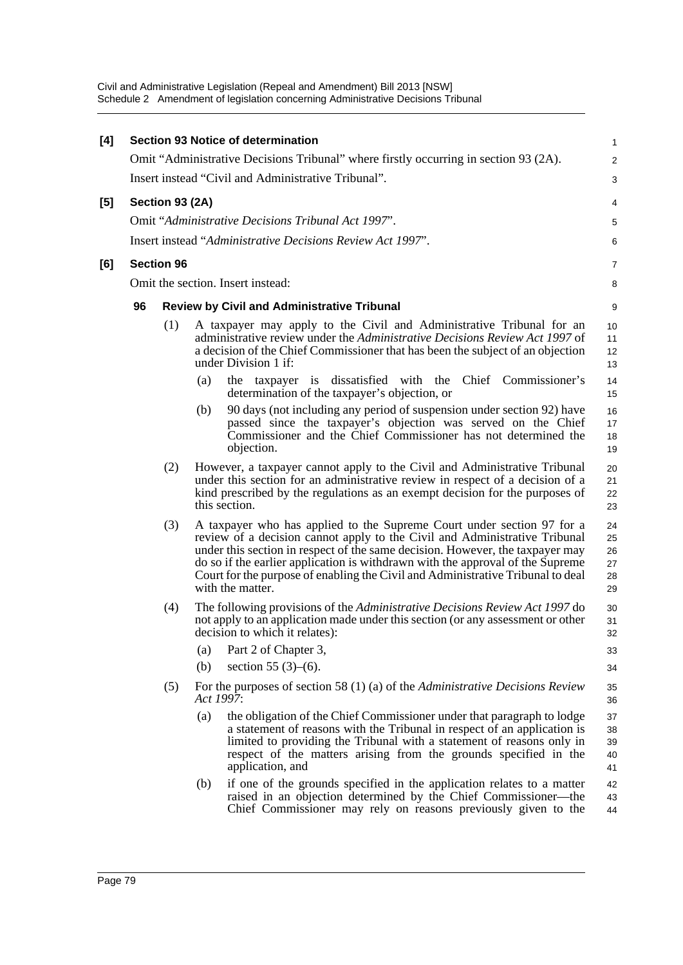| [4] |    |                   |           | <b>Section 93 Notice of determination</b>                                                                                                                                                                                                                                                                                                                                                                                      | 1                                |
|-----|----|-------------------|-----------|--------------------------------------------------------------------------------------------------------------------------------------------------------------------------------------------------------------------------------------------------------------------------------------------------------------------------------------------------------------------------------------------------------------------------------|----------------------------------|
|     |    |                   |           | Omit "Administrative Decisions Tribunal" where firstly occurring in section 93 (2A).                                                                                                                                                                                                                                                                                                                                           | $\overline{c}$                   |
|     |    |                   |           | Insert instead "Civil and Administrative Tribunal".                                                                                                                                                                                                                                                                                                                                                                            | 3                                |
| [5] |    | Section 93 (2A)   |           |                                                                                                                                                                                                                                                                                                                                                                                                                                | 4                                |
|     |    |                   |           | Omit "Administrative Decisions Tribunal Act 1997".                                                                                                                                                                                                                                                                                                                                                                             | 5                                |
|     |    |                   |           | Insert instead "Administrative Decisions Review Act 1997".                                                                                                                                                                                                                                                                                                                                                                     | 6                                |
| [6] |    | <b>Section 96</b> |           |                                                                                                                                                                                                                                                                                                                                                                                                                                | 7                                |
|     |    |                   |           | Omit the section. Insert instead:                                                                                                                                                                                                                                                                                                                                                                                              | 8                                |
|     | 96 |                   |           | <b>Review by Civil and Administrative Tribunal</b>                                                                                                                                                                                                                                                                                                                                                                             | 9                                |
|     |    | (1)               |           | A taxpayer may apply to the Civil and Administrative Tribunal for an<br>administrative review under the <i>Administrative Decisions Review Act 1997</i> of<br>a decision of the Chief Commissioner that has been the subject of an objection<br>under Division 1 if:                                                                                                                                                           | 10<br>11<br>12<br>13             |
|     |    |                   | (a)       | taxpayer is dissatisfied with the Chief Commissioner's<br>the<br>determination of the taxpayer's objection, or                                                                                                                                                                                                                                                                                                                 | 14<br>15                         |
|     |    |                   | (b)       | 90 days (not including any period of suspension under section 92) have<br>passed since the taxpayer's objection was served on the Chief<br>Commissioner and the Chief Commissioner has not determined the<br>objection.                                                                                                                                                                                                        | 16<br>17<br>18<br>19             |
|     |    | (2)               |           | However, a taxpayer cannot apply to the Civil and Administrative Tribunal<br>under this section for an administrative review in respect of a decision of a<br>kind prescribed by the regulations as an exempt decision for the purposes of<br>this section.                                                                                                                                                                    | 20<br>21<br>22<br>23             |
|     |    | (3)               |           | A taxpayer who has applied to the Supreme Court under section 97 for a<br>review of a decision cannot apply to the Civil and Administrative Tribunal<br>under this section in respect of the same decision. However, the taxpayer may<br>do so if the earlier application is withdrawn with the approval of the Supreme<br>Court for the purpose of enabling the Civil and Administrative Tribunal to deal<br>with the matter. | 24<br>25<br>26<br>27<br>28<br>29 |
|     |    | (4)               |           | The following provisions of the Administrative Decisions Review Act 1997 do<br>not apply to an application made under this section (or any assessment or other<br>decision to which it relates):                                                                                                                                                                                                                               | 30<br>31<br>32                   |
|     |    |                   | (a)       | Part 2 of Chapter 3,                                                                                                                                                                                                                                                                                                                                                                                                           | 33                               |
|     |    |                   | (b)       | section 55 $(3)–(6)$ .                                                                                                                                                                                                                                                                                                                                                                                                         | 34                               |
|     |    | (5)               | Act 1997: | For the purposes of section 58 $(1)$ (a) of the <i>Administrative Decisions Review</i>                                                                                                                                                                                                                                                                                                                                         | 35<br>36                         |
|     |    |                   | (a)       | the obligation of the Chief Commissioner under that paragraph to lodge<br>a statement of reasons with the Tribunal in respect of an application is<br>limited to providing the Tribunal with a statement of reasons only in<br>respect of the matters arising from the grounds specified in the<br>application, and                                                                                                            | 37<br>38<br>39<br>40<br>41       |
|     |    |                   | (b)       | if one of the grounds specified in the application relates to a matter<br>raised in an objection determined by the Chief Commissioner—the<br>Chief Commissioner may rely on reasons previously given to the                                                                                                                                                                                                                    | 42<br>43<br>44                   |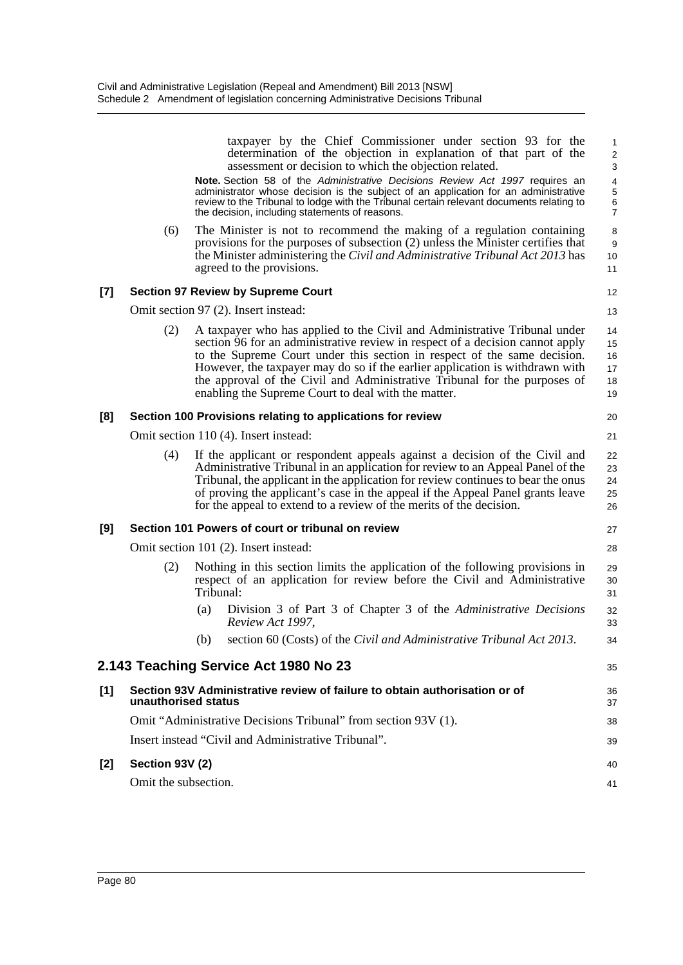|       |                                       | taxpayer by the Chief Commissioner under section 93 for the<br>determination of the objection in explanation of that part of the<br>assessment or decision to which the objection related.                                                                                                                                                                                                                                                                 | $\mathbf{1}$<br>$\overline{\mathbf{c}}$<br>3 |  |  |  |  |
|-------|---------------------------------------|------------------------------------------------------------------------------------------------------------------------------------------------------------------------------------------------------------------------------------------------------------------------------------------------------------------------------------------------------------------------------------------------------------------------------------------------------------|----------------------------------------------|--|--|--|--|
|       |                                       | Note. Section 58 of the Administrative Decisions Review Act 1997 requires an<br>administrator whose decision is the subject of an application for an administrative<br>review to the Tribunal to lodge with the Tribunal certain relevant documents relating to<br>the decision, including statements of reasons.                                                                                                                                          | 4<br>5<br>6<br>$\overline{7}$                |  |  |  |  |
|       | (6)                                   | The Minister is not to recommend the making of a regulation containing<br>provisions for the purposes of subsection (2) unless the Minister certifies that<br>the Minister administering the Civil and Administrative Tribunal Act 2013 has<br>agreed to the provisions.                                                                                                                                                                                   | 8<br>9<br>10<br>11                           |  |  |  |  |
| [7]   |                                       | <b>Section 97 Review by Supreme Court</b>                                                                                                                                                                                                                                                                                                                                                                                                                  | 12                                           |  |  |  |  |
|       |                                       | Omit section 97 (2). Insert instead:                                                                                                                                                                                                                                                                                                                                                                                                                       | 13                                           |  |  |  |  |
|       | (2)                                   | A taxpayer who has applied to the Civil and Administrative Tribunal under<br>section 96 for an administrative review in respect of a decision cannot apply<br>to the Supreme Court under this section in respect of the same decision.<br>However, the taxpayer may do so if the earlier application is withdrawn with<br>the approval of the Civil and Administrative Tribunal for the purposes of<br>enabling the Supreme Court to deal with the matter. | 14<br>15<br>16<br>17<br>18<br>19             |  |  |  |  |
| [8]   |                                       | Section 100 Provisions relating to applications for review                                                                                                                                                                                                                                                                                                                                                                                                 | 20                                           |  |  |  |  |
|       | Omit section 110 (4). Insert instead: |                                                                                                                                                                                                                                                                                                                                                                                                                                                            |                                              |  |  |  |  |
|       | (4)                                   | If the applicant or respondent appeals against a decision of the Civil and<br>Administrative Tribunal in an application for review to an Appeal Panel of the<br>Tribunal, the applicant in the application for review continues to bear the onus<br>of proving the applicant's case in the appeal if the Appeal Panel grants leave<br>for the appeal to extend to a review of the merits of the decision.                                                  | 22<br>23<br>24<br>25<br>26                   |  |  |  |  |
| [9]   |                                       | Section 101 Powers of court or tribunal on review                                                                                                                                                                                                                                                                                                                                                                                                          | 27                                           |  |  |  |  |
|       |                                       | Omit section 101 (2). Insert instead:                                                                                                                                                                                                                                                                                                                                                                                                                      | 28                                           |  |  |  |  |
|       | (2)                                   | Nothing in this section limits the application of the following provisions in<br>respect of an application for review before the Civil and Administrative<br>Tribunal:                                                                                                                                                                                                                                                                                     | 29<br>30<br>31                               |  |  |  |  |
|       |                                       | Division 3 of Part 3 of Chapter 3 of the Administrative Decisions<br>(a)<br>Review Act 1997,                                                                                                                                                                                                                                                                                                                                                               | 32<br>33                                     |  |  |  |  |
|       |                                       | (b) section 60 (Costs) of the Civil and Administrative Tribunal Act 2013.                                                                                                                                                                                                                                                                                                                                                                                  | 34                                           |  |  |  |  |
|       |                                       | 2.143 Teaching Service Act 1980 No 23                                                                                                                                                                                                                                                                                                                                                                                                                      | 35                                           |  |  |  |  |
| $[1]$ | unauthorised status                   | Section 93V Administrative review of failure to obtain authorisation or of                                                                                                                                                                                                                                                                                                                                                                                 | 36<br>37                                     |  |  |  |  |
|       |                                       | Omit "Administrative Decisions Tribunal" from section 93V (1).                                                                                                                                                                                                                                                                                                                                                                                             | 38                                           |  |  |  |  |
|       |                                       | Insert instead "Civil and Administrative Tribunal".                                                                                                                                                                                                                                                                                                                                                                                                        | 39                                           |  |  |  |  |
| [2]   | Section 93V (2)                       |                                                                                                                                                                                                                                                                                                                                                                                                                                                            | 40                                           |  |  |  |  |
|       | Omit the subsection.                  |                                                                                                                                                                                                                                                                                                                                                                                                                                                            | 41                                           |  |  |  |  |
|       |                                       |                                                                                                                                                                                                                                                                                                                                                                                                                                                            |                                              |  |  |  |  |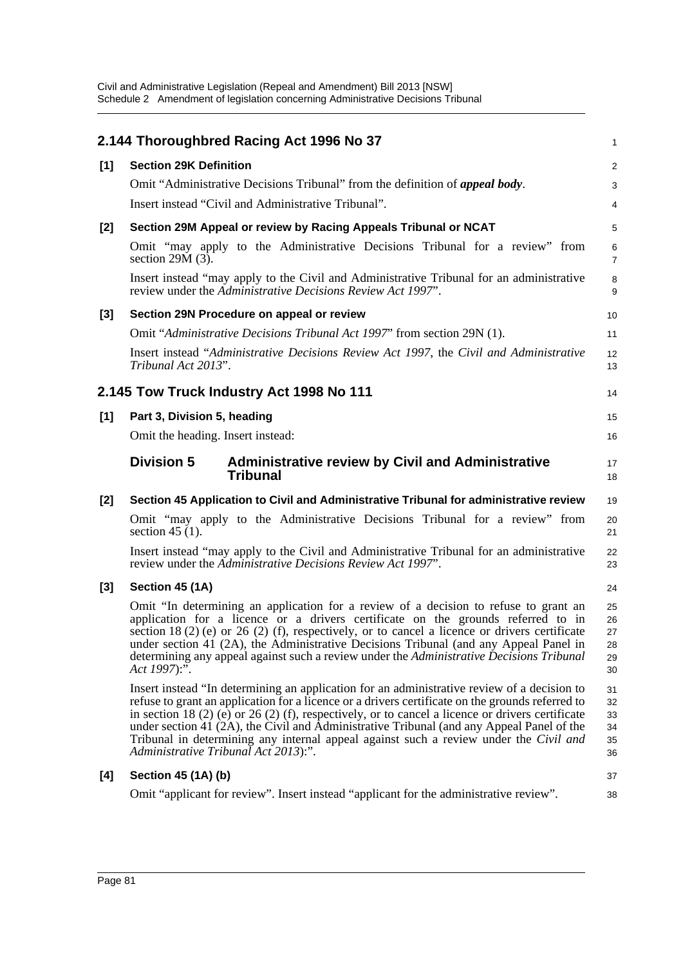|       | 2.144 Thoroughbred Racing Act 1996 No 37                                                                                                                                                                                                                                                                                                                                                                                                                                                                                          | 1                                |
|-------|-----------------------------------------------------------------------------------------------------------------------------------------------------------------------------------------------------------------------------------------------------------------------------------------------------------------------------------------------------------------------------------------------------------------------------------------------------------------------------------------------------------------------------------|----------------------------------|
| $[1]$ | <b>Section 29K Definition</b>                                                                                                                                                                                                                                                                                                                                                                                                                                                                                                     | 2                                |
|       | Omit "Administrative Decisions Tribunal" from the definition of appeal body.                                                                                                                                                                                                                                                                                                                                                                                                                                                      | 3                                |
|       | Insert instead "Civil and Administrative Tribunal".                                                                                                                                                                                                                                                                                                                                                                                                                                                                               | 4                                |
| $[2]$ | Section 29M Appeal or review by Racing Appeals Tribunal or NCAT                                                                                                                                                                                                                                                                                                                                                                                                                                                                   | 5                                |
|       | Omit "may apply to the Administrative Decisions Tribunal for a review" from<br>section $29M(3)$ .                                                                                                                                                                                                                                                                                                                                                                                                                                 | 6<br>$\overline{7}$              |
|       | Insert instead "may apply to the Civil and Administrative Tribunal for an administrative<br>review under the Administrative Decisions Review Act 1997".                                                                                                                                                                                                                                                                                                                                                                           | 8<br>9                           |
| $[3]$ | Section 29N Procedure on appeal or review                                                                                                                                                                                                                                                                                                                                                                                                                                                                                         | 10                               |
|       | Omit "Administrative Decisions Tribunal Act 1997" from section 29N (1).                                                                                                                                                                                                                                                                                                                                                                                                                                                           | 11                               |
|       | Insert instead "Administrative Decisions Review Act 1997, the Civil and Administrative<br>Tribunal Act 2013".                                                                                                                                                                                                                                                                                                                                                                                                                     | 12<br>13                         |
|       | 2.145 Tow Truck Industry Act 1998 No 111                                                                                                                                                                                                                                                                                                                                                                                                                                                                                          | 14                               |
| $[1]$ | Part 3, Division 5, heading                                                                                                                                                                                                                                                                                                                                                                                                                                                                                                       | 15                               |
|       | Omit the heading. Insert instead:                                                                                                                                                                                                                                                                                                                                                                                                                                                                                                 | 16                               |
|       | <b>Division 5</b><br><b>Administrative review by Civil and Administrative</b><br><b>Tribunal</b>                                                                                                                                                                                                                                                                                                                                                                                                                                  | 17<br>18                         |
| [2]   | Section 45 Application to Civil and Administrative Tribunal for administrative review                                                                                                                                                                                                                                                                                                                                                                                                                                             | 19                               |
|       | Omit "may apply to the Administrative Decisions Tribunal for a review" from<br>section 45 $(1)$ .                                                                                                                                                                                                                                                                                                                                                                                                                                 | 20<br>21                         |
|       | Insert instead "may apply to the Civil and Administrative Tribunal for an administrative<br>review under the Administrative Decisions Review Act 1997".                                                                                                                                                                                                                                                                                                                                                                           | 22<br>23                         |
| $[3]$ | Section 45 (1A)                                                                                                                                                                                                                                                                                                                                                                                                                                                                                                                   | 24                               |
|       | Omit "In determining an application for a review of a decision to refuse to grant an<br>application for a licence or a drivers certificate on the grounds referred to in<br>section 18 (2) (e) or 26 (2) (f), respectively, or to cancel a licence or drivers certificate<br>under section 41 (2A), the Administrative Decisions Tribunal (and any Appeal Panel in<br>determining any appeal against such a review under the Administrative Decisions Tribunal<br>Act 1997):".                                                    | 25<br>26<br>27<br>28<br>29<br>30 |
|       | Insert instead "In determining an application for an administrative review of a decision to<br>refuse to grant an application for a licence or a drivers certificate on the grounds referred to<br>in section 18 (2) (e) or 26 (2) (f), respectively, or to cancel a licence or drivers certificate<br>under section 41 (2A), the Civil and Administrative Tribunal (and any Appeal Panel of the<br>Tribunal in determining any internal appeal against such a review under the Civil and<br>Administrative Tribunal Act 2013):". | 31<br>32<br>33<br>34<br>35<br>36 |
| [4]   | Section 45 (1A) (b)                                                                                                                                                                                                                                                                                                                                                                                                                                                                                                               | 37                               |
|       | Omit "applicant for review". Insert instead "applicant for the administrative review".                                                                                                                                                                                                                                                                                                                                                                                                                                            | 38                               |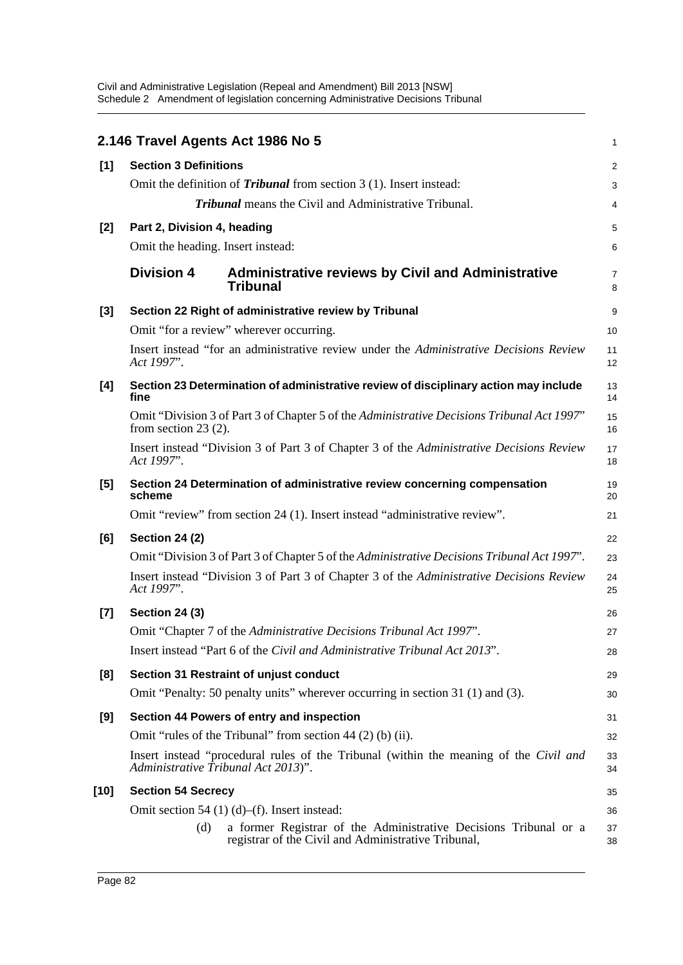|       |                                     | 2.146 Travel Agents Act 1986 No 5                                                                                       | 1              |
|-------|-------------------------------------|-------------------------------------------------------------------------------------------------------------------------|----------------|
| [1]   | <b>Section 3 Definitions</b>        |                                                                                                                         | $\overline{c}$ |
|       |                                     | Omit the definition of <i>Tribunal</i> from section 3 (1). Insert instead:                                              | 3              |
|       |                                     | <b>Tribunal</b> means the Civil and Administrative Tribunal.                                                            | 4              |
| $[2]$ | Part 2, Division 4, heading         |                                                                                                                         | 5              |
|       | Omit the heading. Insert instead:   |                                                                                                                         | 6              |
|       | <b>Division 4</b>                   | <b>Administrative reviews by Civil and Administrative</b><br><b>Tribunal</b>                                            | 7<br>8         |
| $[3]$ |                                     | Section 22 Right of administrative review by Tribunal                                                                   | 9              |
|       |                                     | Omit "for a review" wherever occurring.                                                                                 | 10             |
|       | Act 1997".                          | Insert instead "for an administrative review under the Administrative Decisions Review                                  | 11<br>12       |
| [4]   | fine                                | Section 23 Determination of administrative review of disciplinary action may include                                    | 13<br>14       |
|       | from section $23(2)$ .              | Omit "Division 3 of Part 3 of Chapter 5 of the Administrative Decisions Tribunal Act 1997"                              | 15<br>16       |
|       | Act 1997".                          | Insert instead "Division 3 of Part 3 of Chapter 3 of the Administrative Decisions Review                                | 17<br>18       |
| [5]   | scheme                              | Section 24 Determination of administrative review concerning compensation                                               | 19<br>20       |
|       |                                     | Omit "review" from section 24 (1). Insert instead "administrative review".                                              | 21             |
| [6]   | <b>Section 24 (2)</b>               |                                                                                                                         | 22             |
|       |                                     | Omit "Division 3 of Part 3 of Chapter 5 of the Administrative Decisions Tribunal Act 1997".                             | 23             |
|       | Act 1997".                          | Insert instead "Division 3 of Part 3 of Chapter 3 of the Administrative Decisions Review                                | 24<br>25       |
| $[7]$ | <b>Section 24 (3)</b>               |                                                                                                                         | 26             |
|       |                                     | Omit "Chapter 7 of the Administrative Decisions Tribunal Act 1997".                                                     | 27             |
|       |                                     | Insert instead "Part 6 of the Civil and Administrative Tribunal Act 2013".                                              | 28             |
| [8]   |                                     | Section 31 Restraint of unjust conduct                                                                                  | 29             |
|       |                                     | Omit "Penalty: 50 penalty units" wherever occurring in section 31 (1) and (3).                                          | 30             |
| [9]   |                                     | Section 44 Powers of entry and inspection                                                                               | 31             |
|       |                                     | Omit "rules of the Tribunal" from section 44 (2) (b) (ii).                                                              | 32             |
|       | Administrative Tribunal Act 2013)". | Insert instead "procedural rules of the Tribunal (within the meaning of the Civil and                                   | 33<br>34       |
| [10]  | <b>Section 54 Secrecy</b>           |                                                                                                                         | 35             |
|       |                                     | Omit section 54 $(1)$ (d)–(f). Insert instead:                                                                          | 36             |
|       | (d)                                 | a former Registrar of the Administrative Decisions Tribunal or a<br>registrar of the Civil and Administrative Tribunal, | 37<br>38       |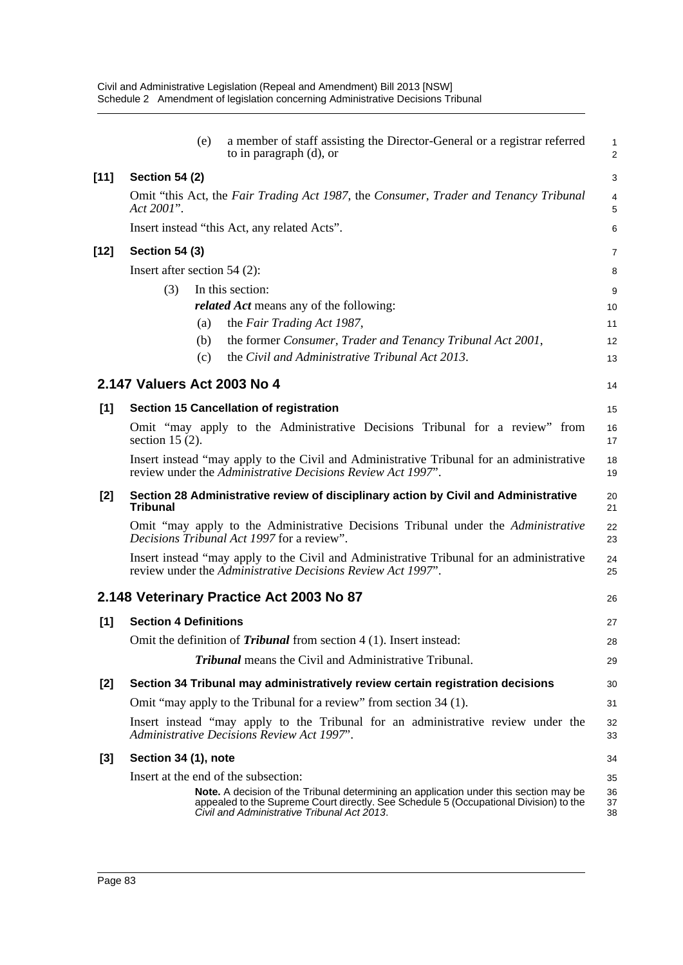|        | (e)                                  | a member of staff assisting the Director-General or a registrar referred<br>to in paragraph (d), or                                                                                                                           | $\mathbf{1}$<br>$\overline{2}$ |
|--------|--------------------------------------|-------------------------------------------------------------------------------------------------------------------------------------------------------------------------------------------------------------------------------|--------------------------------|
| $[11]$ | <b>Section 54 (2)</b>                |                                                                                                                                                                                                                               | 3                              |
|        | Act 2001".                           | Omit "this Act, the Fair Trading Act 1987, the Consumer, Trader and Tenancy Tribunal                                                                                                                                          | 4<br>5                         |
|        |                                      | Insert instead "this Act, any related Acts".                                                                                                                                                                                  | 6                              |
| [12]   | <b>Section 54 (3)</b>                |                                                                                                                                                                                                                               | $\overline{7}$                 |
|        | Insert after section $54$ (2):       |                                                                                                                                                                                                                               | 8                              |
|        | (3)                                  | In this section:                                                                                                                                                                                                              | 9                              |
|        |                                      | <i>related Act</i> means any of the following:                                                                                                                                                                                | 10                             |
|        | (a)                                  | the Fair Trading Act 1987,                                                                                                                                                                                                    | 11                             |
|        | (b)                                  | the former Consumer, Trader and Tenancy Tribunal Act 2001,                                                                                                                                                                    | 12                             |
|        | (c)                                  | the Civil and Administrative Tribunal Act 2013.                                                                                                                                                                               | 13                             |
|        | 2.147 Valuers Act 2003 No 4          |                                                                                                                                                                                                                               | 14                             |
| [1]    |                                      | Section 15 Cancellation of registration                                                                                                                                                                                       | 15                             |
|        | section 15 $(2)$ .                   | Omit "may apply to the Administrative Decisions Tribunal for a review" from                                                                                                                                                   | 16<br>17                       |
|        |                                      | Insert instead "may apply to the Civil and Administrative Tribunal for an administrative<br>review under the Administrative Decisions Review Act 1997".                                                                       | 18<br>19                       |
| $[2]$  | <b>Tribunal</b>                      | Section 28 Administrative review of disciplinary action by Civil and Administrative                                                                                                                                           | 20<br>21                       |
|        |                                      | Omit "may apply to the Administrative Decisions Tribunal under the Administrative<br>Decisions Tribunal Act 1997 for a review".                                                                                               | 22<br>23                       |
|        |                                      | Insert instead "may apply to the Civil and Administrative Tribunal for an administrative<br>review under the Administrative Decisions Review Act 1997".                                                                       | 24<br>25                       |
|        |                                      | 2.148 Veterinary Practice Act 2003 No 87                                                                                                                                                                                      | 26                             |
| [1]    | <b>Section 4 Definitions</b>         |                                                                                                                                                                                                                               | 27                             |
|        |                                      | Omit the definition of <b>Tribunal</b> from section $4(1)$ . Insert instead:                                                                                                                                                  | 28                             |
|        |                                      | <b>Tribunal</b> means the Civil and Administrative Tribunal.                                                                                                                                                                  | 29                             |
| $[2]$  |                                      | Section 34 Tribunal may administratively review certain registration decisions                                                                                                                                                | 30                             |
|        |                                      | Omit "may apply to the Tribunal for a review" from section 34 (1).                                                                                                                                                            | 31                             |
|        |                                      | Insert instead "may apply to the Tribunal for an administrative review under the<br>Administrative Decisions Review Act 1997".                                                                                                | 32<br>33                       |
| $[3]$  | Section 34 (1), note                 |                                                                                                                                                                                                                               | 34                             |
|        | Insert at the end of the subsection: | Note. A decision of the Tribunal determining an application under this section may be<br>appealed to the Supreme Court directly. See Schedule 5 (Occupational Division) to the<br>Civil and Administrative Tribunal Act 2013. | 35<br>36<br>37<br>38           |
|        |                                      |                                                                                                                                                                                                                               |                                |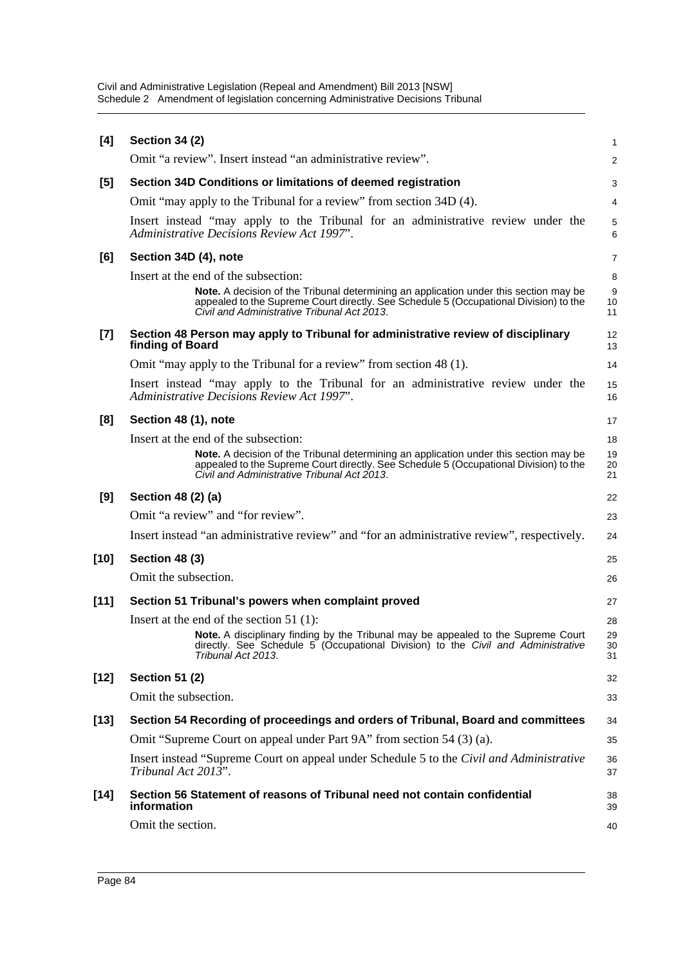| [4]<br>[5]<br>[6] | <b>Section 34 (2)</b><br>Omit "a review". Insert instead "an administrative review".<br>Section 34D Conditions or limitations of deemed registration<br>Omit "may apply to the Tribunal for a review" from section 34D (4).<br>Insert instead "may apply to the Tribunal for an administrative review under the<br><b>Administrative Decisions Review Act 1997'.</b> | 1<br>2<br>3<br>4<br>5        |
|-------------------|----------------------------------------------------------------------------------------------------------------------------------------------------------------------------------------------------------------------------------------------------------------------------------------------------------------------------------------------------------------------|------------------------------|
|                   |                                                                                                                                                                                                                                                                                                                                                                      |                              |
|                   |                                                                                                                                                                                                                                                                                                                                                                      |                              |
|                   |                                                                                                                                                                                                                                                                                                                                                                      |                              |
|                   |                                                                                                                                                                                                                                                                                                                                                                      |                              |
|                   |                                                                                                                                                                                                                                                                                                                                                                      | 6                            |
|                   | Section 34D (4), note                                                                                                                                                                                                                                                                                                                                                | 7                            |
|                   | Insert at the end of the subsection:                                                                                                                                                                                                                                                                                                                                 | 8                            |
|                   | <b>Note.</b> A decision of the Tribunal determining an application under this section may be<br>appealed to the Supreme Court directly. See Schedule 5 (Occupational Division) to the<br>Civil and Administrative Tribunal Act 2013.                                                                                                                                 | $\boldsymbol{9}$<br>10<br>11 |
| $[7]$             | Section 48 Person may apply to Tribunal for administrative review of disciplinary<br>finding of Board                                                                                                                                                                                                                                                                | 12<br>13                     |
|                   | Omit "may apply to the Tribunal for a review" from section 48 (1).                                                                                                                                                                                                                                                                                                   | 14                           |
|                   | Insert instead "may apply to the Tribunal for an administrative review under the<br>Administrative Decisions Review Act 1997".                                                                                                                                                                                                                                       | 15<br>16                     |
| [8]               | Section 48 (1), note                                                                                                                                                                                                                                                                                                                                                 | 17                           |
|                   | Insert at the end of the subsection:                                                                                                                                                                                                                                                                                                                                 | 18                           |
|                   | Note. A decision of the Tribunal determining an application under this section may be<br>appealed to the Supreme Court directly. See Schedule 5 (Occupational Division) to the<br>Civil and Administrative Tribunal Act 2013.                                                                                                                                        | 19<br>20<br>21               |
| [9]               | Section 48 (2) (a)                                                                                                                                                                                                                                                                                                                                                   | 22                           |
|                   | Omit "a review" and "for review".                                                                                                                                                                                                                                                                                                                                    | 23                           |
|                   | Insert instead "an administrative review" and "for an administrative review", respectively.                                                                                                                                                                                                                                                                          | 24                           |
| [10]              | <b>Section 48 (3)</b>                                                                                                                                                                                                                                                                                                                                                | 25                           |
|                   | Omit the subsection.                                                                                                                                                                                                                                                                                                                                                 | 26                           |
| $[11]$            | Section 51 Tribunal's powers when complaint proved                                                                                                                                                                                                                                                                                                                   |                              |
|                   |                                                                                                                                                                                                                                                                                                                                                                      | 27                           |
|                   | Insert at the end of the section $51$ (1):                                                                                                                                                                                                                                                                                                                           | 28                           |
|                   | Note. A disciplinary finding by the Tribunal may be appealed to the Supreme Court directly. See Schedule 5 (Occupational Division) to the Civil and Administrative<br>Tribunal Act 2013.                                                                                                                                                                             | 29<br>30<br>31               |
| $[12]$            | <b>Section 51 (2)</b>                                                                                                                                                                                                                                                                                                                                                | 32                           |
|                   | Omit the subsection.                                                                                                                                                                                                                                                                                                                                                 | 33                           |
| [13]              | Section 54 Recording of proceedings and orders of Tribunal, Board and committees                                                                                                                                                                                                                                                                                     | 34                           |
|                   | Omit "Supreme Court on appeal under Part 9A" from section 54 (3) (a).                                                                                                                                                                                                                                                                                                | 35                           |
|                   | Insert instead "Supreme Court on appeal under Schedule 5 to the Civil and Administrative<br>Tribunal Act $201\overline{3}$ ".                                                                                                                                                                                                                                        | 36<br>37                     |
| $[14]$            | Section 56 Statement of reasons of Tribunal need not contain confidential<br>information                                                                                                                                                                                                                                                                             | 38<br>39                     |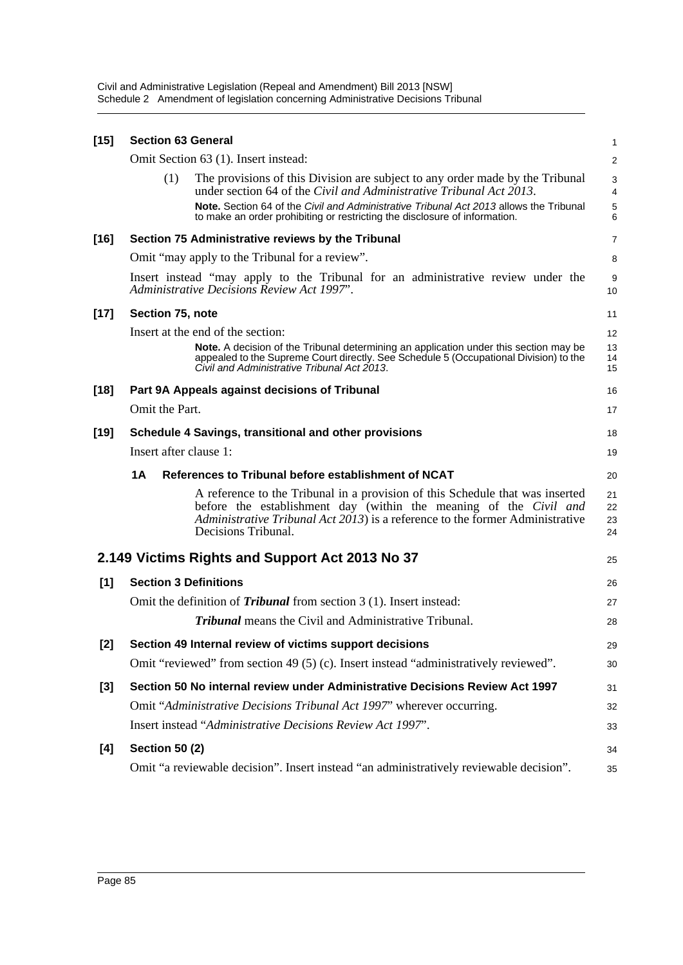| $[15]$ | <b>Section 63 General</b>                                                                                                                                                                                                                                  | 1                       |
|--------|------------------------------------------------------------------------------------------------------------------------------------------------------------------------------------------------------------------------------------------------------------|-------------------------|
|        | Omit Section 63 (1). Insert instead:                                                                                                                                                                                                                       | $\overline{\mathbf{c}}$ |
|        | The provisions of this Division are subject to any order made by the Tribunal<br>(1)<br>under section 64 of the Civil and Administrative Tribunal Act 2013.                                                                                                | 3<br>4                  |
|        | Note. Section 64 of the Civil and Administrative Tribunal Act 2013 allows the Tribunal                                                                                                                                                                     | 5                       |
|        | to make an order prohibiting or restricting the disclosure of information.                                                                                                                                                                                 | 6                       |
| $[16]$ | Section 75 Administrative reviews by the Tribunal                                                                                                                                                                                                          | 7                       |
|        | Omit "may apply to the Tribunal for a review".                                                                                                                                                                                                             | 8                       |
|        | Insert instead "may apply to the Tribunal for an administrative review under the<br>Administrative Decisions Review Act 1997".                                                                                                                             | 9<br>10                 |
| $[17]$ | Section 75, note                                                                                                                                                                                                                                           | 11                      |
|        | Insert at the end of the section:                                                                                                                                                                                                                          | 12                      |
|        | Note. A decision of the Tribunal determining an application under this section may be<br>appealed to the Supreme Court directly. See Schedule 5 (Occupational Division) to the<br>Civil and Administrative Tribunal Act 2013.                              | 13<br>14<br>15          |
| $[18]$ | Part 9A Appeals against decisions of Tribunal                                                                                                                                                                                                              | 16                      |
|        | Omit the Part.                                                                                                                                                                                                                                             | 17                      |
| $[19]$ | Schedule 4 Savings, transitional and other provisions                                                                                                                                                                                                      | 18                      |
|        | Insert after clause 1:                                                                                                                                                                                                                                     | 19                      |
|        | References to Tribunal before establishment of NCAT<br>1A                                                                                                                                                                                                  | 20                      |
|        | A reference to the Tribunal in a provision of this Schedule that was inserted<br>before the establishment day (within the meaning of the Civil and<br>Administrative Tribunal Act 2013) is a reference to the former Administrative<br>Decisions Tribunal. | 21<br>22<br>23<br>24    |
|        | 2.149 Victims Rights and Support Act 2013 No 37                                                                                                                                                                                                            | 25                      |
| [1]    | <b>Section 3 Definitions</b>                                                                                                                                                                                                                               | 26                      |
|        | Omit the definition of <i>Tribunal</i> from section 3 (1). Insert instead:                                                                                                                                                                                 | 27                      |
|        | <b>Tribunal</b> means the Civil and Administrative Tribunal.                                                                                                                                                                                               | 28                      |
| $[2]$  | Section 49 Internal review of victims support decisions                                                                                                                                                                                                    | 29                      |
|        | Omit "reviewed" from section 49 (5) (c). Insert instead "administratively reviewed".                                                                                                                                                                       | 30                      |
| [3]    | Section 50 No internal review under Administrative Decisions Review Act 1997                                                                                                                                                                               | 31                      |
|        | Omit "Administrative Decisions Tribunal Act 1997" wherever occurring.                                                                                                                                                                                      | 32                      |
|        | Insert instead "Administrative Decisions Review Act 1997".                                                                                                                                                                                                 | 33                      |
| [4]    | <b>Section 50 (2)</b>                                                                                                                                                                                                                                      | 34                      |
|        | Omit "a reviewable decision". Insert instead "an administratively reviewable decision".                                                                                                                                                                    | 35                      |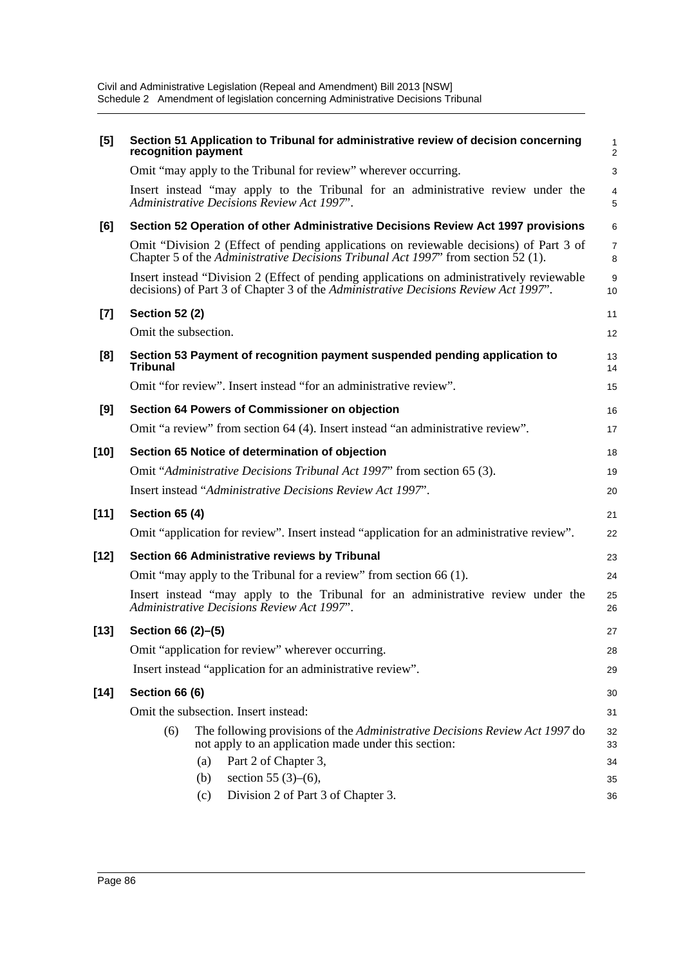| [5]    | Section 51 Application to Tribunal for administrative review of decision concerning<br>recognition payment                                                                       | 1<br>2                 |
|--------|----------------------------------------------------------------------------------------------------------------------------------------------------------------------------------|------------------------|
|        | Omit "may apply to the Tribunal for review" wherever occurring.                                                                                                                  | $\mathsf 3$            |
|        | Insert instead "may apply to the Tribunal for an administrative review under the<br>Administrative Decisions Review Act 1997".                                                   | 4<br>5                 |
| [6]    | Section 52 Operation of other Administrative Decisions Review Act 1997 provisions                                                                                                | 6                      |
|        | Omit "Division 2 (Effect of pending applications on reviewable decisions) of Part 3 of<br>Chapter 5 of the Administrative Decisions Tribunal Act 1997' from section 52 (1).      | $\overline{7}$<br>8    |
|        | Insert instead "Division 2 (Effect of pending applications on administratively reviewable<br>decisions) of Part 3 of Chapter 3 of the Administrative Decisions Review Act 1997". | $\boldsymbol{9}$<br>10 |
| $[7]$  | <b>Section 52 (2)</b>                                                                                                                                                            | 11                     |
|        | Omit the subsection.                                                                                                                                                             | 12                     |
| [8]    | Section 53 Payment of recognition payment suspended pending application to<br><b>Tribunal</b>                                                                                    | 13<br>14               |
|        | Omit "for review". Insert instead "for an administrative review".                                                                                                                | 15                     |
| [9]    | Section 64 Powers of Commissioner on objection                                                                                                                                   | 16                     |
|        | Omit "a review" from section 64 (4). Insert instead "an administrative review".                                                                                                  | 17                     |
| $[10]$ | Section 65 Notice of determination of objection                                                                                                                                  | 18                     |
|        | Omit "Administrative Decisions Tribunal Act 1997" from section 65 (3).                                                                                                           | 19                     |
|        | Insert instead "Administrative Decisions Review Act 1997".                                                                                                                       | 20                     |
| $[11]$ | <b>Section 65 (4)</b>                                                                                                                                                            | 21                     |
|        | Omit "application for review". Insert instead "application for an administrative review".                                                                                        | 22                     |
| $[12]$ | Section 66 Administrative reviews by Tribunal                                                                                                                                    | 23                     |
|        | Omit "may apply to the Tribunal for a review" from section 66 (1).                                                                                                               | 24                     |
|        | Insert instead "may apply to the Tribunal for an administrative review under the<br>Administrative Decisions Review Act 1997".                                                   | 25<br>26               |
| $[13]$ | Section 66 (2)-(5)                                                                                                                                                               | 27                     |
|        | Omit "application for review" wherever occurring.                                                                                                                                | 28                     |
|        | Insert instead "application for an administrative review".                                                                                                                       | 29                     |
| $[14]$ | Section 66 (6)                                                                                                                                                                   | 30                     |
|        | Omit the subsection. Insert instead:                                                                                                                                             | 31                     |
|        | The following provisions of the Administrative Decisions Review Act 1997 do<br>(6)<br>not apply to an application made under this section:                                       | 32<br>33               |
|        | Part 2 of Chapter 3,<br>(a)                                                                                                                                                      | 34                     |
|        | section 55 $(3)-(6)$ ,<br>(b)                                                                                                                                                    | 35                     |
|        | Division 2 of Part 3 of Chapter 3.<br>(c)                                                                                                                                        | 36                     |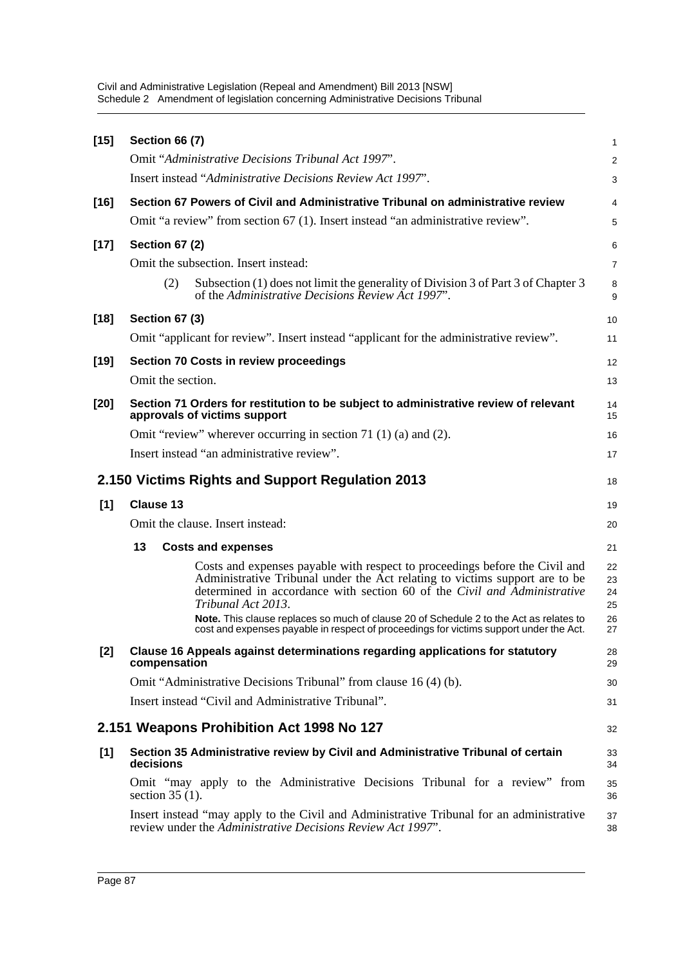| $[15]$ | <b>Section 66 (7)</b>                                                                                                                                                                                                                                                                                                                                                                                                                            | 1                                |
|--------|--------------------------------------------------------------------------------------------------------------------------------------------------------------------------------------------------------------------------------------------------------------------------------------------------------------------------------------------------------------------------------------------------------------------------------------------------|----------------------------------|
|        | Omit "Administrative Decisions Tribunal Act 1997".                                                                                                                                                                                                                                                                                                                                                                                               | $\overline{c}$                   |
|        | Insert instead "Administrative Decisions Review Act 1997".                                                                                                                                                                                                                                                                                                                                                                                       | 3                                |
| $[16]$ | Section 67 Powers of Civil and Administrative Tribunal on administrative review                                                                                                                                                                                                                                                                                                                                                                  | 4                                |
|        | Omit "a review" from section 67 (1). Insert instead "an administrative review".                                                                                                                                                                                                                                                                                                                                                                  | 5                                |
| $[17]$ | <b>Section 67 (2)</b>                                                                                                                                                                                                                                                                                                                                                                                                                            | 6                                |
|        | Omit the subsection. Insert instead:                                                                                                                                                                                                                                                                                                                                                                                                             | 7                                |
|        | Subsection (1) does not limit the generality of Division 3 of Part 3 of Chapter 3<br>(2)<br>of the Administrative Decisions Review Act 1997".                                                                                                                                                                                                                                                                                                    | 8<br>9                           |
| $[18]$ | <b>Section 67 (3)</b>                                                                                                                                                                                                                                                                                                                                                                                                                            | 10                               |
|        | Omit "applicant for review". Insert instead "applicant for the administrative review".                                                                                                                                                                                                                                                                                                                                                           | 11                               |
| $[19]$ | <b>Section 70 Costs in review proceedings</b>                                                                                                                                                                                                                                                                                                                                                                                                    | 12                               |
|        | Omit the section.                                                                                                                                                                                                                                                                                                                                                                                                                                | 13                               |
| $[20]$ | Section 71 Orders for restitution to be subject to administrative review of relevant<br>approvals of victims support                                                                                                                                                                                                                                                                                                                             | 14<br>15                         |
|        | Omit "review" wherever occurring in section 71 $(1)$ (a) and $(2)$ .                                                                                                                                                                                                                                                                                                                                                                             | 16                               |
|        | Insert instead "an administrative review".                                                                                                                                                                                                                                                                                                                                                                                                       | 17                               |
|        | 2.150 Victims Rights and Support Regulation 2013                                                                                                                                                                                                                                                                                                                                                                                                 | 18                               |
| [1]    | <b>Clause 13</b>                                                                                                                                                                                                                                                                                                                                                                                                                                 | 19                               |
|        | Omit the clause. Insert instead:                                                                                                                                                                                                                                                                                                                                                                                                                 | 20                               |
|        | 13<br><b>Costs and expenses</b>                                                                                                                                                                                                                                                                                                                                                                                                                  | 21                               |
|        | Costs and expenses payable with respect to proceedings before the Civil and<br>Administrative Tribunal under the Act relating to victims support are to be<br>determined in accordance with section 60 of the Civil and Administrative<br>Tribunal Act 2013.<br>Note. This clause replaces so much of clause 20 of Schedule 2 to the Act as relates to<br>cost and expenses payable in respect of proceedings for victims support under the Act. | 22<br>23<br>24<br>25<br>26<br>27 |
| $[2]$  | Clause 16 Appeals against determinations regarding applications for statutory<br>compensation                                                                                                                                                                                                                                                                                                                                                    | 28<br>29                         |
|        | Omit "Administrative Decisions Tribunal" from clause 16 (4) (b).                                                                                                                                                                                                                                                                                                                                                                                 | 30                               |
|        | Insert instead "Civil and Administrative Tribunal".                                                                                                                                                                                                                                                                                                                                                                                              | 31                               |
|        | 2.151 Weapons Prohibition Act 1998 No 127                                                                                                                                                                                                                                                                                                                                                                                                        | 32                               |
| [1]    | Section 35 Administrative review by Civil and Administrative Tribunal of certain<br>decisions                                                                                                                                                                                                                                                                                                                                                    | 33<br>34                         |
|        | Omit "may apply to the Administrative Decisions Tribunal for a review" from<br>section $35(1)$ .                                                                                                                                                                                                                                                                                                                                                 | 35<br>36                         |
|        | Insert instead "may apply to the Civil and Administrative Tribunal for an administrative<br>review under the Administrative Decisions Review Act 1997".                                                                                                                                                                                                                                                                                          | 37<br>38                         |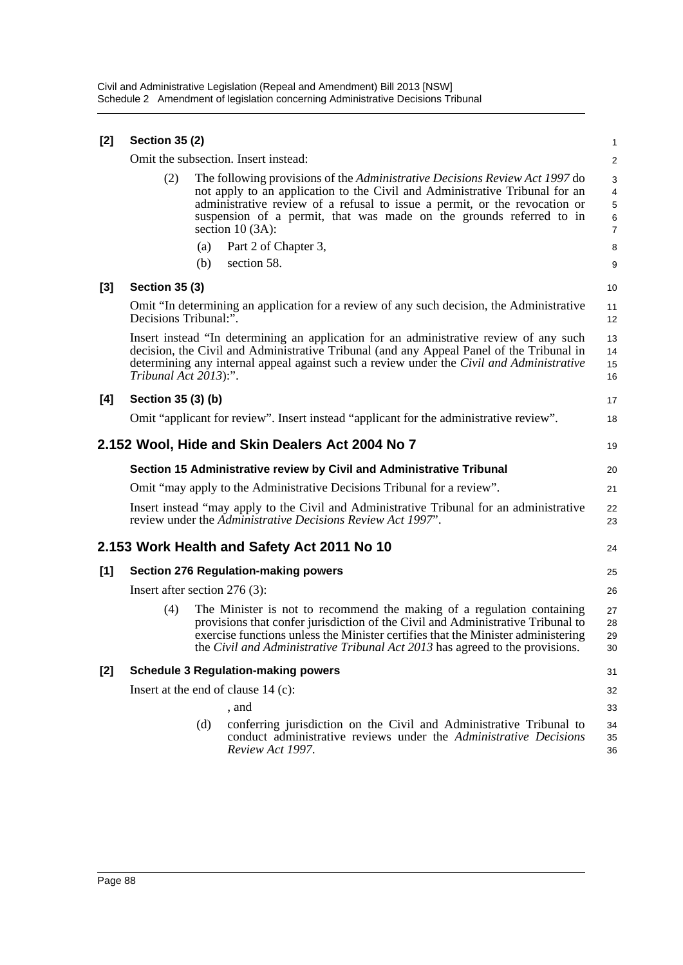| $[2]$ | <b>Section 35 (2)</b>                      |     |                                                                                                                                                                                                                                                                                                                                              |                                    |  |  |
|-------|--------------------------------------------|-----|----------------------------------------------------------------------------------------------------------------------------------------------------------------------------------------------------------------------------------------------------------------------------------------------------------------------------------------------|------------------------------------|--|--|
|       |                                            |     | Omit the subsection. Insert instead:                                                                                                                                                                                                                                                                                                         | $\overline{\mathbf{c}}$            |  |  |
|       | (2)                                        |     | The following provisions of the <i>Administrative Decisions Review Act 1997</i> do<br>not apply to an application to the Civil and Administrative Tribunal for an<br>administrative review of a refusal to issue a permit, or the revocation or<br>suspension of a permit, that was made on the grounds referred to in<br>section $10(3A)$ : | 3<br>4<br>5<br>6<br>$\overline{7}$ |  |  |
|       |                                            | (a) | Part 2 of Chapter 3,                                                                                                                                                                                                                                                                                                                         | 8                                  |  |  |
|       |                                            | (b) | section 58.                                                                                                                                                                                                                                                                                                                                  | 9                                  |  |  |
| $[3]$ | <b>Section 35 (3)</b>                      |     |                                                                                                                                                                                                                                                                                                                                              | 10                                 |  |  |
|       | Decisions Tribunal:".                      |     | Omit "In determining an application for a review of any such decision, the Administrative                                                                                                                                                                                                                                                    | 11<br>12                           |  |  |
|       | Tribunal Act 2013):".                      |     | Insert instead "In determining an application for an administrative review of any such<br>decision, the Civil and Administrative Tribunal (and any Appeal Panel of the Tribunal in<br>determining any internal appeal against such a review under the Civil and Administrative                                                               | 13<br>14<br>15<br>16               |  |  |
| [4]   | Section 35 (3) (b)                         |     |                                                                                                                                                                                                                                                                                                                                              | 17                                 |  |  |
|       |                                            |     | Omit "applicant for review". Insert instead "applicant for the administrative review".                                                                                                                                                                                                                                                       | 18                                 |  |  |
|       |                                            |     | 2.152 Wool, Hide and Skin Dealers Act 2004 No 7                                                                                                                                                                                                                                                                                              | 19                                 |  |  |
|       |                                            |     | Section 15 Administrative review by Civil and Administrative Tribunal                                                                                                                                                                                                                                                                        | 20                                 |  |  |
|       |                                            |     | Omit "may apply to the Administrative Decisions Tribunal for a review".                                                                                                                                                                                                                                                                      | 21                                 |  |  |
|       |                                            |     | Insert instead "may apply to the Civil and Administrative Tribunal for an administrative<br>review under the Administrative Decisions Review Act 1997".                                                                                                                                                                                      | 22<br>23                           |  |  |
|       |                                            |     | 2.153 Work Health and Safety Act 2011 No 10                                                                                                                                                                                                                                                                                                  | 24                                 |  |  |
| [1]   |                                            |     | <b>Section 276 Regulation-making powers</b>                                                                                                                                                                                                                                                                                                  | 25                                 |  |  |
|       | Insert after section $276(3)$ :            |     |                                                                                                                                                                                                                                                                                                                                              | 26                                 |  |  |
|       | (4)                                        |     | The Minister is not to recommend the making of a regulation containing<br>provisions that confer jurisdiction of the Civil and Administrative Tribunal to<br>exercise functions unless the Minister certifies that the Minister administering<br>the Civil and Administrative Tribunal Act 2013 has agreed to the provisions.                | 27<br>28<br>29<br>30               |  |  |
| [2]   | <b>Schedule 3 Regulation-making powers</b> |     |                                                                                                                                                                                                                                                                                                                                              |                                    |  |  |
|       | Insert at the end of clause $14$ (c):      |     |                                                                                                                                                                                                                                                                                                                                              |                                    |  |  |
|       |                                            |     | , and                                                                                                                                                                                                                                                                                                                                        | 33                                 |  |  |
|       |                                            | (d) | conferring jurisdiction on the Civil and Administrative Tribunal to<br>conduct administrative reviews under the Administrative Decisions<br>Review Act 1997.                                                                                                                                                                                 | 34<br>35<br>36                     |  |  |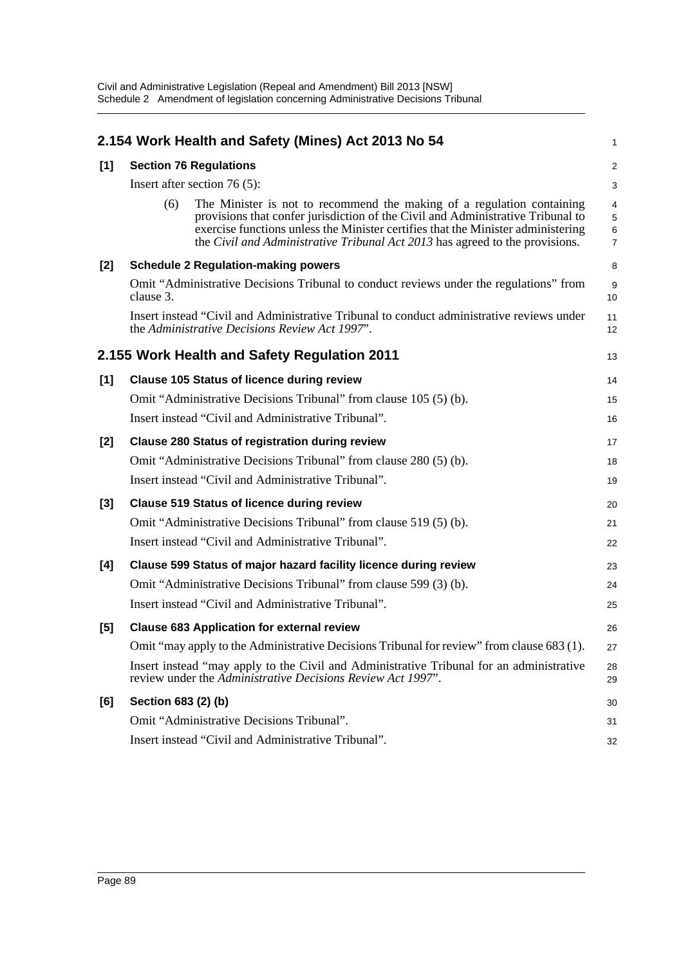|           |                                                                                                                                                                                                                                                                                                                               | 1                                                                                                                                                                                                                                                                                                                                                                                                                                                                                                                                                                                                                                                                                                                                                                                                                                                                                                                                                                                                                                                                                                                                                                                                                                                                                                                                                                                                                                                                                                                                                                                                                                                             |
|-----------|-------------------------------------------------------------------------------------------------------------------------------------------------------------------------------------------------------------------------------------------------------------------------------------------------------------------------------|---------------------------------------------------------------------------------------------------------------------------------------------------------------------------------------------------------------------------------------------------------------------------------------------------------------------------------------------------------------------------------------------------------------------------------------------------------------------------------------------------------------------------------------------------------------------------------------------------------------------------------------------------------------------------------------------------------------------------------------------------------------------------------------------------------------------------------------------------------------------------------------------------------------------------------------------------------------------------------------------------------------------------------------------------------------------------------------------------------------------------------------------------------------------------------------------------------------------------------------------------------------------------------------------------------------------------------------------------------------------------------------------------------------------------------------------------------------------------------------------------------------------------------------------------------------------------------------------------------------------------------------------------------------|
|           |                                                                                                                                                                                                                                                                                                                               | $\overline{c}$                                                                                                                                                                                                                                                                                                                                                                                                                                                                                                                                                                                                                                                                                                                                                                                                                                                                                                                                                                                                                                                                                                                                                                                                                                                                                                                                                                                                                                                                                                                                                                                                                                                |
|           |                                                                                                                                                                                                                                                                                                                               | 3                                                                                                                                                                                                                                                                                                                                                                                                                                                                                                                                                                                                                                                                                                                                                                                                                                                                                                                                                                                                                                                                                                                                                                                                                                                                                                                                                                                                                                                                                                                                                                                                                                                             |
| (6)       | The Minister is not to recommend the making of a regulation containing<br>provisions that confer jurisdiction of the Civil and Administrative Tribunal to<br>exercise functions unless the Minister certifies that the Minister administering<br>the Civil and Administrative Tribunal Act 2013 has agreed to the provisions. | 4<br>$\sqrt{5}$<br>6<br>$\overline{7}$                                                                                                                                                                                                                                                                                                                                                                                                                                                                                                                                                                                                                                                                                                                                                                                                                                                                                                                                                                                                                                                                                                                                                                                                                                                                                                                                                                                                                                                                                                                                                                                                                        |
|           |                                                                                                                                                                                                                                                                                                                               | 8                                                                                                                                                                                                                                                                                                                                                                                                                                                                                                                                                                                                                                                                                                                                                                                                                                                                                                                                                                                                                                                                                                                                                                                                                                                                                                                                                                                                                                                                                                                                                                                                                                                             |
| clause 3. |                                                                                                                                                                                                                                                                                                                               | 9<br>10                                                                                                                                                                                                                                                                                                                                                                                                                                                                                                                                                                                                                                                                                                                                                                                                                                                                                                                                                                                                                                                                                                                                                                                                                                                                                                                                                                                                                                                                                                                                                                                                                                                       |
|           |                                                                                                                                                                                                                                                                                                                               | 11<br>12                                                                                                                                                                                                                                                                                                                                                                                                                                                                                                                                                                                                                                                                                                                                                                                                                                                                                                                                                                                                                                                                                                                                                                                                                                                                                                                                                                                                                                                                                                                                                                                                                                                      |
|           |                                                                                                                                                                                                                                                                                                                               | 13                                                                                                                                                                                                                                                                                                                                                                                                                                                                                                                                                                                                                                                                                                                                                                                                                                                                                                                                                                                                                                                                                                                                                                                                                                                                                                                                                                                                                                                                                                                                                                                                                                                            |
|           |                                                                                                                                                                                                                                                                                                                               | 14                                                                                                                                                                                                                                                                                                                                                                                                                                                                                                                                                                                                                                                                                                                                                                                                                                                                                                                                                                                                                                                                                                                                                                                                                                                                                                                                                                                                                                                                                                                                                                                                                                                            |
|           |                                                                                                                                                                                                                                                                                                                               | 15                                                                                                                                                                                                                                                                                                                                                                                                                                                                                                                                                                                                                                                                                                                                                                                                                                                                                                                                                                                                                                                                                                                                                                                                                                                                                                                                                                                                                                                                                                                                                                                                                                                            |
|           |                                                                                                                                                                                                                                                                                                                               | 16                                                                                                                                                                                                                                                                                                                                                                                                                                                                                                                                                                                                                                                                                                                                                                                                                                                                                                                                                                                                                                                                                                                                                                                                                                                                                                                                                                                                                                                                                                                                                                                                                                                            |
|           |                                                                                                                                                                                                                                                                                                                               | 17                                                                                                                                                                                                                                                                                                                                                                                                                                                                                                                                                                                                                                                                                                                                                                                                                                                                                                                                                                                                                                                                                                                                                                                                                                                                                                                                                                                                                                                                                                                                                                                                                                                            |
|           |                                                                                                                                                                                                                                                                                                                               | 18                                                                                                                                                                                                                                                                                                                                                                                                                                                                                                                                                                                                                                                                                                                                                                                                                                                                                                                                                                                                                                                                                                                                                                                                                                                                                                                                                                                                                                                                                                                                                                                                                                                            |
|           |                                                                                                                                                                                                                                                                                                                               | 19                                                                                                                                                                                                                                                                                                                                                                                                                                                                                                                                                                                                                                                                                                                                                                                                                                                                                                                                                                                                                                                                                                                                                                                                                                                                                                                                                                                                                                                                                                                                                                                                                                                            |
|           |                                                                                                                                                                                                                                                                                                                               | 20                                                                                                                                                                                                                                                                                                                                                                                                                                                                                                                                                                                                                                                                                                                                                                                                                                                                                                                                                                                                                                                                                                                                                                                                                                                                                                                                                                                                                                                                                                                                                                                                                                                            |
|           |                                                                                                                                                                                                                                                                                                                               | 21                                                                                                                                                                                                                                                                                                                                                                                                                                                                                                                                                                                                                                                                                                                                                                                                                                                                                                                                                                                                                                                                                                                                                                                                                                                                                                                                                                                                                                                                                                                                                                                                                                                            |
|           |                                                                                                                                                                                                                                                                                                                               | 22                                                                                                                                                                                                                                                                                                                                                                                                                                                                                                                                                                                                                                                                                                                                                                                                                                                                                                                                                                                                                                                                                                                                                                                                                                                                                                                                                                                                                                                                                                                                                                                                                                                            |
|           |                                                                                                                                                                                                                                                                                                                               | 23                                                                                                                                                                                                                                                                                                                                                                                                                                                                                                                                                                                                                                                                                                                                                                                                                                                                                                                                                                                                                                                                                                                                                                                                                                                                                                                                                                                                                                                                                                                                                                                                                                                            |
|           |                                                                                                                                                                                                                                                                                                                               | 24                                                                                                                                                                                                                                                                                                                                                                                                                                                                                                                                                                                                                                                                                                                                                                                                                                                                                                                                                                                                                                                                                                                                                                                                                                                                                                                                                                                                                                                                                                                                                                                                                                                            |
|           |                                                                                                                                                                                                                                                                                                                               | 25                                                                                                                                                                                                                                                                                                                                                                                                                                                                                                                                                                                                                                                                                                                                                                                                                                                                                                                                                                                                                                                                                                                                                                                                                                                                                                                                                                                                                                                                                                                                                                                                                                                            |
|           |                                                                                                                                                                                                                                                                                                                               | 26                                                                                                                                                                                                                                                                                                                                                                                                                                                                                                                                                                                                                                                                                                                                                                                                                                                                                                                                                                                                                                                                                                                                                                                                                                                                                                                                                                                                                                                                                                                                                                                                                                                            |
|           |                                                                                                                                                                                                                                                                                                                               | 27                                                                                                                                                                                                                                                                                                                                                                                                                                                                                                                                                                                                                                                                                                                                                                                                                                                                                                                                                                                                                                                                                                                                                                                                                                                                                                                                                                                                                                                                                                                                                                                                                                                            |
|           |                                                                                                                                                                                                                                                                                                                               | 28<br>29                                                                                                                                                                                                                                                                                                                                                                                                                                                                                                                                                                                                                                                                                                                                                                                                                                                                                                                                                                                                                                                                                                                                                                                                                                                                                                                                                                                                                                                                                                                                                                                                                                                      |
|           |                                                                                                                                                                                                                                                                                                                               | 30                                                                                                                                                                                                                                                                                                                                                                                                                                                                                                                                                                                                                                                                                                                                                                                                                                                                                                                                                                                                                                                                                                                                                                                                                                                                                                                                                                                                                                                                                                                                                                                                                                                            |
|           |                                                                                                                                                                                                                                                                                                                               | 31                                                                                                                                                                                                                                                                                                                                                                                                                                                                                                                                                                                                                                                                                                                                                                                                                                                                                                                                                                                                                                                                                                                                                                                                                                                                                                                                                                                                                                                                                                                                                                                                                                                            |
|           |                                                                                                                                                                                                                                                                                                                               | 32                                                                                                                                                                                                                                                                                                                                                                                                                                                                                                                                                                                                                                                                                                                                                                                                                                                                                                                                                                                                                                                                                                                                                                                                                                                                                                                                                                                                                                                                                                                                                                                                                                                            |
|           |                                                                                                                                                                                                                                                                                                                               | 2.154 Work Health and Safety (Mines) Act 2013 No 54<br><b>Section 76 Regulations</b><br>Insert after section $76(5)$ :<br><b>Schedule 2 Regulation-making powers</b><br>Omit "Administrative Decisions Tribunal to conduct reviews under the regulations" from<br>Insert instead "Civil and Administrative Tribunal to conduct administrative reviews under<br>the Administrative Decisions Review Act 1997".<br>2.155 Work Health and Safety Regulation 2011<br><b>Clause 105 Status of licence during review</b><br>Omit "Administrative Decisions Tribunal" from clause 105 (5) (b).<br>Insert instead "Civil and Administrative Tribunal".<br><b>Clause 280 Status of registration during review</b><br>Omit "Administrative Decisions Tribunal" from clause 280 (5) (b).<br>Insert instead "Civil and Administrative Tribunal".<br><b>Clause 519 Status of licence during review</b><br>Omit "Administrative Decisions Tribunal" from clause 519 (5) (b).<br>Insert instead "Civil and Administrative Tribunal".<br>Clause 599 Status of major hazard facility licence during review<br>Omit "Administrative Decisions Tribunal" from clause 599 (3) (b).<br>Insert instead "Civil and Administrative Tribunal".<br><b>Clause 683 Application for external review</b><br>Omit "may apply to the Administrative Decisions Tribunal for review" from clause 683 (1).<br>Insert instead "may apply to the Civil and Administrative Tribunal for an administrative<br>review under the Administrative Decisions Review Act 1997".<br>Section 683 (2) (b)<br>Omit "Administrative Decisions Tribunal".<br>Insert instead "Civil and Administrative Tribunal". |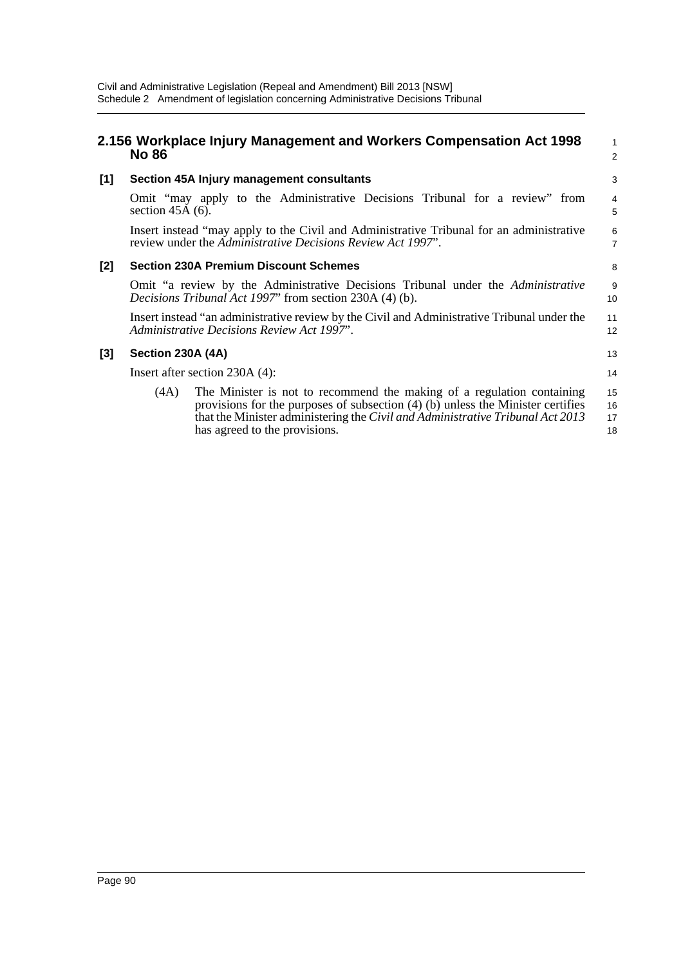|       | <b>No 86</b>                                                                                                                                | 2.156 Workplace Injury Management and Workers Compensation Act 1998                                                                                                                                                                                                            | $\mathbf{1}$<br>$\overline{2}$ |  |  |  |
|-------|---------------------------------------------------------------------------------------------------------------------------------------------|--------------------------------------------------------------------------------------------------------------------------------------------------------------------------------------------------------------------------------------------------------------------------------|--------------------------------|--|--|--|
| [1]   |                                                                                                                                             | Section 45A Injury management consultants                                                                                                                                                                                                                                      | 3                              |  |  |  |
|       | section $45A(6)$ .                                                                                                                          | Omit "may apply to the Administrative Decisions Tribunal for a review" from                                                                                                                                                                                                    | 4<br>5                         |  |  |  |
|       |                                                                                                                                             | Insert instead "may apply to the Civil and Administrative Tribunal for an administrative<br>review under the Administrative Decisions Review Act 1997".                                                                                                                        | 6<br>$\overline{7}$            |  |  |  |
| $[2]$ | <b>Section 230A Premium Discount Schemes</b>                                                                                                |                                                                                                                                                                                                                                                                                |                                |  |  |  |
|       | Omit "a review by the Administrative Decisions Tribunal under the Administrative<br>Decisions Tribunal Act 1997" from section 230A (4) (b). |                                                                                                                                                                                                                                                                                |                                |  |  |  |
|       | Insert instead "an administrative review by the Civil and Administrative Tribunal under the<br>Administrative Decisions Review Act 1997".   |                                                                                                                                                                                                                                                                                |                                |  |  |  |
| [3]   | Section 230A (4A)                                                                                                                           |                                                                                                                                                                                                                                                                                | 13                             |  |  |  |
|       |                                                                                                                                             | Insert after section 230A (4):                                                                                                                                                                                                                                                 | 14                             |  |  |  |
|       | (4A)                                                                                                                                        | The Minister is not to recommend the making of a regulation containing<br>provisions for the purposes of subsection $(4)$ (b) unless the Minister certifies<br>that the Minister administering the Civil and Administrative Tribunal Act 2013<br>has agreed to the provisions. | 15<br>16<br>17<br>18           |  |  |  |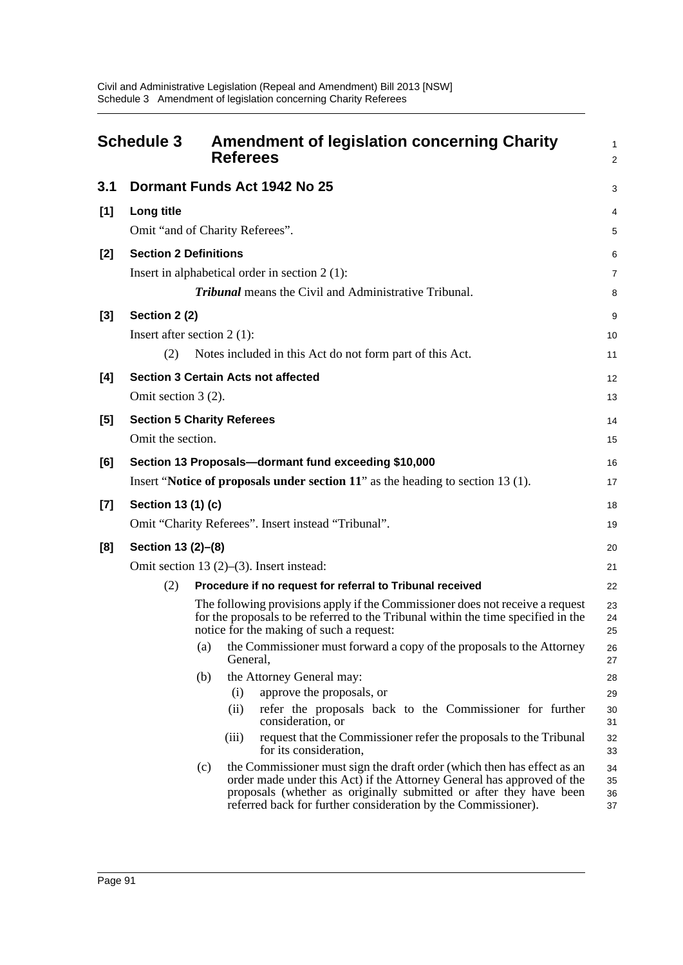|       | <b>Schedule 3</b>                 |     | <b>Referees</b> | <b>Amendment of legislation concerning Charity</b>                                                                                                                                                                                                                                       | 1<br>$\overline{2}$  |
|-------|-----------------------------------|-----|-----------------|------------------------------------------------------------------------------------------------------------------------------------------------------------------------------------------------------------------------------------------------------------------------------------------|----------------------|
| 3.1   |                                   |     |                 | Dormant Funds Act 1942 No 25                                                                                                                                                                                                                                                             | 3                    |
| [1]   | Long title                        |     |                 |                                                                                                                                                                                                                                                                                          | 4                    |
|       | Omit "and of Charity Referees".   |     |                 |                                                                                                                                                                                                                                                                                          | 5                    |
| $[2]$ | <b>Section 2 Definitions</b>      |     |                 |                                                                                                                                                                                                                                                                                          | 6                    |
|       |                                   |     |                 | Insert in alphabetical order in section $2(1)$ :                                                                                                                                                                                                                                         | 7                    |
|       |                                   |     |                 | <b>Tribunal</b> means the Civil and Administrative Tribunal.                                                                                                                                                                                                                             | 8                    |
| $[3]$ | Section 2 (2)                     |     |                 |                                                                                                                                                                                                                                                                                          | 9                    |
|       | Insert after section $2(1)$ :     |     |                 |                                                                                                                                                                                                                                                                                          | 10                   |
|       | (2)                               |     |                 | Notes included in this Act do not form part of this Act.                                                                                                                                                                                                                                 | 11                   |
| [4]   |                                   |     |                 | <b>Section 3 Certain Acts not affected</b>                                                                                                                                                                                                                                               | 12                   |
|       | Omit section 3 (2).               |     |                 |                                                                                                                                                                                                                                                                                          | 13                   |
| [5]   | <b>Section 5 Charity Referees</b> |     |                 |                                                                                                                                                                                                                                                                                          | 14                   |
|       | Omit the section.                 |     |                 |                                                                                                                                                                                                                                                                                          | 15                   |
| [6]   |                                   |     |                 | Section 13 Proposals-dormant fund exceeding \$10,000                                                                                                                                                                                                                                     | 16                   |
|       |                                   |     |                 | Insert "Notice of proposals under section $11$ " as the heading to section 13 (1).                                                                                                                                                                                                       | 17                   |
| $[7]$ | Section 13 (1) (c)                |     |                 |                                                                                                                                                                                                                                                                                          | 18                   |
|       |                                   |     |                 | Omit "Charity Referees". Insert instead "Tribunal".                                                                                                                                                                                                                                      | 19                   |
| [8]   | Section 13 (2)-(8)                |     |                 |                                                                                                                                                                                                                                                                                          | 20                   |
|       |                                   |     |                 | Omit section 13 $(2)$ – $(3)$ . Insert instead:                                                                                                                                                                                                                                          | 21                   |
|       | (2)                               |     |                 | Procedure if no request for referral to Tribunal received                                                                                                                                                                                                                                | 22                   |
|       |                                   |     |                 | The following provisions apply if the Commissioner does not receive a request<br>for the proposals to be referred to the Tribunal within the time specified in the<br>notice for the making of such a request:                                                                           | 23<br>24<br>25       |
|       |                                   | (a) | General,        | the Commissioner must forward a copy of the proposals to the Attorney                                                                                                                                                                                                                    | 26<br>27             |
|       |                                   | (b) |                 | the Attorney General may:                                                                                                                                                                                                                                                                | 28                   |
|       |                                   |     | (i)             | approve the proposals, or                                                                                                                                                                                                                                                                | 29                   |
|       |                                   |     | (ii)            | refer the proposals back to the Commissioner for further<br>consideration, or                                                                                                                                                                                                            | 30<br>31             |
|       |                                   |     | (iii)           | request that the Commissioner refer the proposals to the Tribunal<br>for its consideration,                                                                                                                                                                                              | 32<br>33             |
|       |                                   | (c) |                 | the Commissioner must sign the draft order (which then has effect as an<br>order made under this Act) if the Attorney General has approved of the<br>proposals (whether as originally submitted or after they have been<br>referred back for further consideration by the Commissioner). | 34<br>35<br>36<br>37 |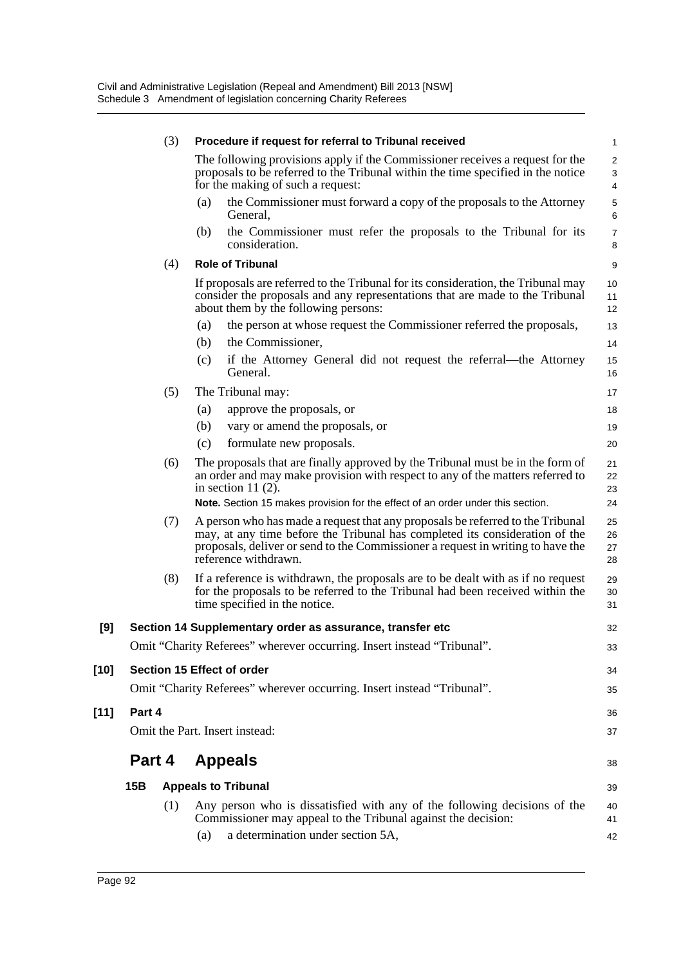|        | (3)                            |     |     | Procedure if request for referral to Tribunal received                                                                                                                                                                                                                       | 1                        |
|--------|--------------------------------|-----|-----|------------------------------------------------------------------------------------------------------------------------------------------------------------------------------------------------------------------------------------------------------------------------------|--------------------------|
|        |                                |     |     | The following provisions apply if the Commissioner receives a request for the<br>proposals to be referred to the Tribunal within the time specified in the notice<br>for the making of such a request:                                                                       | $\overline{2}$<br>3<br>4 |
|        |                                |     | (a) | the Commissioner must forward a copy of the proposals to the Attorney<br>General,                                                                                                                                                                                            | $\mathbf 5$<br>6         |
|        |                                |     | (b) | the Commissioner must refer the proposals to the Tribunal for its<br>consideration.                                                                                                                                                                                          | $\overline{7}$<br>8      |
|        |                                | (4) |     | <b>Role of Tribunal</b>                                                                                                                                                                                                                                                      | 9                        |
|        |                                |     |     | If proposals are referred to the Tribunal for its consideration, the Tribunal may<br>consider the proposals and any representations that are made to the Tribunal<br>about them by the following persons:                                                                    | 10<br>11<br>12           |
|        |                                |     | (a) | the person at whose request the Commissioner referred the proposals,                                                                                                                                                                                                         | 13                       |
|        |                                |     | (b) | the Commissioner,                                                                                                                                                                                                                                                            | 14                       |
|        |                                |     | (c) | if the Attorney General did not request the referral—the Attorney<br>General.                                                                                                                                                                                                | 15<br>16                 |
|        |                                | (5) |     | The Tribunal may:                                                                                                                                                                                                                                                            | 17                       |
|        |                                |     | (a) | approve the proposals, or                                                                                                                                                                                                                                                    | 18                       |
|        |                                |     | (b) | vary or amend the proposals, or                                                                                                                                                                                                                                              | 19                       |
|        |                                |     | (c) | formulate new proposals.                                                                                                                                                                                                                                                     | 20                       |
|        |                                | (6) |     | The proposals that are finally approved by the Tribunal must be in the form of<br>an order and may make provision with respect to any of the matters referred to<br>in section 11 $(2)$ .<br>Note. Section 15 makes provision for the effect of an order under this section. | 21<br>22<br>23<br>24     |
|        |                                |     |     |                                                                                                                                                                                                                                                                              |                          |
|        |                                | (7) |     | A person who has made a request that any proposals be referred to the Tribunal<br>may, at any time before the Tribunal has completed its consideration of the<br>proposals, deliver or send to the Commissioner a request in writing to have the<br>reference withdrawn.     | 25<br>26<br>27<br>28     |
|        |                                | (8) |     | If a reference is withdrawn, the proposals are to be dealt with as if no request<br>for the proposals to be referred to the Tribunal had been received within the<br>time specified in the notice.                                                                           | 29<br>30<br>31           |
| [9]    |                                |     |     | Section 14 Supplementary order as assurance, transfer etc                                                                                                                                                                                                                    | 32                       |
|        |                                |     |     | Omit "Charity Referees" wherever occurring. Insert instead "Tribunal".                                                                                                                                                                                                       | 33                       |
| $[10]$ |                                |     |     | Section 15 Effect of order                                                                                                                                                                                                                                                   | 34                       |
|        |                                |     |     | Omit "Charity Referees" wherever occurring. Insert instead "Tribunal".                                                                                                                                                                                                       | 35                       |
| $[11]$ | Part 4                         |     |     |                                                                                                                                                                                                                                                                              | 36                       |
|        | Omit the Part. Insert instead: |     |     |                                                                                                                                                                                                                                                                              | 37                       |
|        | Part 4<br><b>Appeals</b>       |     |     |                                                                                                                                                                                                                                                                              | 38                       |
|        | 15B                            |     |     | <b>Appeals to Tribunal</b>                                                                                                                                                                                                                                                   | 39                       |
|        |                                | (1) |     | Any person who is dissatisfied with any of the following decisions of the                                                                                                                                                                                                    | 40                       |
|        |                                |     |     | Commissioner may appeal to the Tribunal against the decision:                                                                                                                                                                                                                | 41                       |
|        |                                |     | (a) | a determination under section 5A,                                                                                                                                                                                                                                            | 42                       |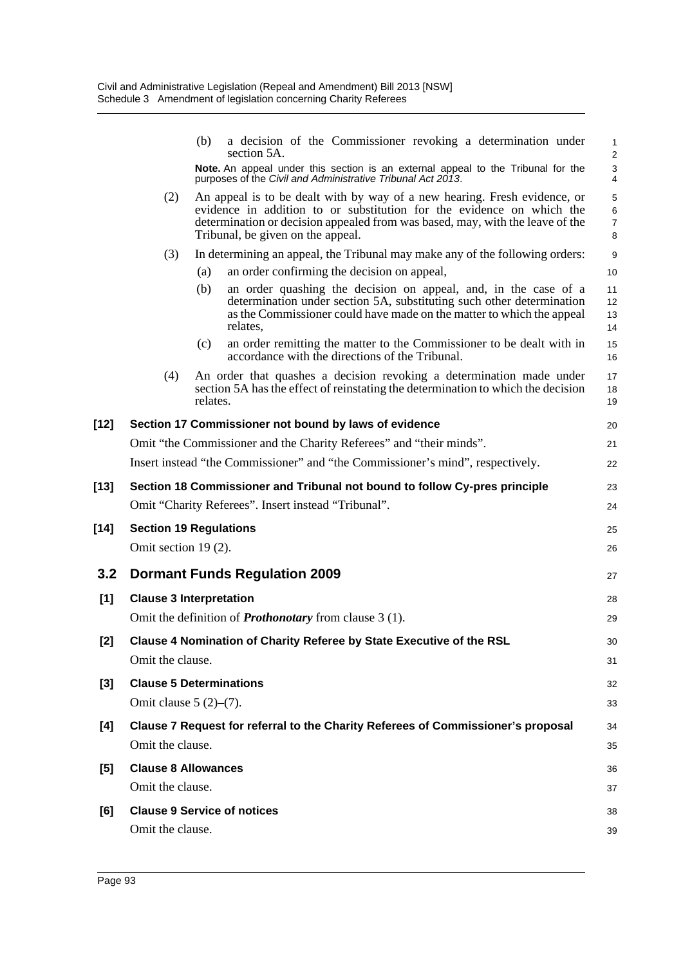|        |                                    | (b)      | a decision of the Commissioner revoking a determination under<br>section 5A.                                                                                                                                                                                             | $\mathbf{1}$<br>$\overline{c}$ |
|--------|------------------------------------|----------|--------------------------------------------------------------------------------------------------------------------------------------------------------------------------------------------------------------------------------------------------------------------------|--------------------------------|
|        |                                    |          | Note. An appeal under this section is an external appeal to the Tribunal for the<br>purposes of the Civil and Administrative Tribunal Act 2013.                                                                                                                          | $\mathsf 3$<br>$\overline{4}$  |
|        | (2)                                |          | An appeal is to be dealt with by way of a new hearing. Fresh evidence, or<br>evidence in addition to or substitution for the evidence on which the<br>determination or decision appealed from was based, may, with the leave of the<br>Tribunal, be given on the appeal. | 5<br>6<br>$\overline{7}$<br>8  |
|        | (3)                                |          | In determining an appeal, the Tribunal may make any of the following orders:                                                                                                                                                                                             | 9                              |
|        |                                    | (a)      | an order confirming the decision on appeal,                                                                                                                                                                                                                              | 10                             |
|        |                                    | (b)      | an order quashing the decision on appeal, and, in the case of a<br>determination under section 5A, substituting such other determination<br>as the Commissioner could have made on the matter to which the appeal<br>relates,                                            | 11<br>12<br>13<br>14           |
|        |                                    | (c)      | an order remitting the matter to the Commissioner to be dealt with in<br>accordance with the directions of the Tribunal.                                                                                                                                                 | 15<br>16                       |
|        | (4)                                | relates. | An order that quashes a decision revoking a determination made under<br>section 5A has the effect of reinstating the determination to which the decision                                                                                                                 | 17<br>18<br>19                 |
| $[12]$ |                                    |          | Section 17 Commissioner not bound by laws of evidence                                                                                                                                                                                                                    | 20                             |
|        |                                    |          | Omit "the Commissioner and the Charity Referees" and "their minds".                                                                                                                                                                                                      | 21                             |
|        |                                    |          | Insert instead "the Commissioner" and "the Commissioner's mind", respectively.                                                                                                                                                                                           | 22                             |
| [13]   |                                    |          | Section 18 Commissioner and Tribunal not bound to follow Cy-pres principle                                                                                                                                                                                               | 23                             |
|        |                                    |          | Omit "Charity Referees". Insert instead "Tribunal".                                                                                                                                                                                                                      | 24                             |
| $[14]$ | <b>Section 19 Regulations</b>      |          |                                                                                                                                                                                                                                                                          | 25                             |
|        | Omit section 19 (2).               |          |                                                                                                                                                                                                                                                                          | 26                             |
| 3.2    |                                    |          | <b>Dormant Funds Regulation 2009</b>                                                                                                                                                                                                                                     | 27                             |
| [1]    | <b>Clause 3 Interpretation</b>     |          |                                                                                                                                                                                                                                                                          | 28                             |
|        |                                    |          | Omit the definition of <b>Prothonotary</b> from clause $3(1)$ .                                                                                                                                                                                                          | 29                             |
| $[2]$  |                                    |          | Clause 4 Nomination of Charity Referee by State Executive of the RSL                                                                                                                                                                                                     | 30                             |
|        | Omit the clause.                   |          |                                                                                                                                                                                                                                                                          | 31                             |
| $[3]$  | <b>Clause 5 Determinations</b>     |          |                                                                                                                                                                                                                                                                          | 32                             |
|        | Omit clause $5(2)-(7)$ .           |          |                                                                                                                                                                                                                                                                          | 33                             |
| [4]    |                                    |          | Clause 7 Request for referral to the Charity Referees of Commissioner's proposal                                                                                                                                                                                         | 34                             |
|        | Omit the clause.                   |          |                                                                                                                                                                                                                                                                          | 35                             |
| [5]    | <b>Clause 8 Allowances</b>         |          |                                                                                                                                                                                                                                                                          | 36                             |
|        | Omit the clause.                   |          |                                                                                                                                                                                                                                                                          | 37                             |
| [6]    | <b>Clause 9 Service of notices</b> |          |                                                                                                                                                                                                                                                                          | 38                             |
|        | Omit the clause.                   |          |                                                                                                                                                                                                                                                                          | 39                             |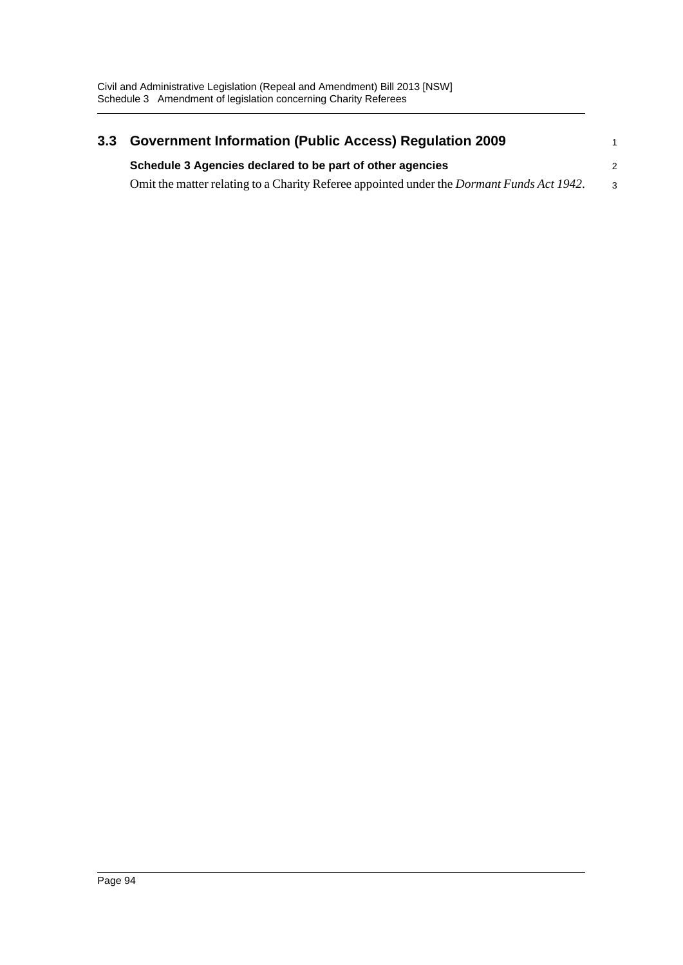| 3.3 | <b>Government Information (Public Access) Regulation 2009</b>                                     |              |  |  |
|-----|---------------------------------------------------------------------------------------------------|--------------|--|--|
|     | Schedule 3 Agencies declared to be part of other agencies                                         |              |  |  |
|     | Omit the matter relating to a Charity Referee appointed under the <i>Dormant Funds Act 1942</i> . | $\mathbf{3}$ |  |  |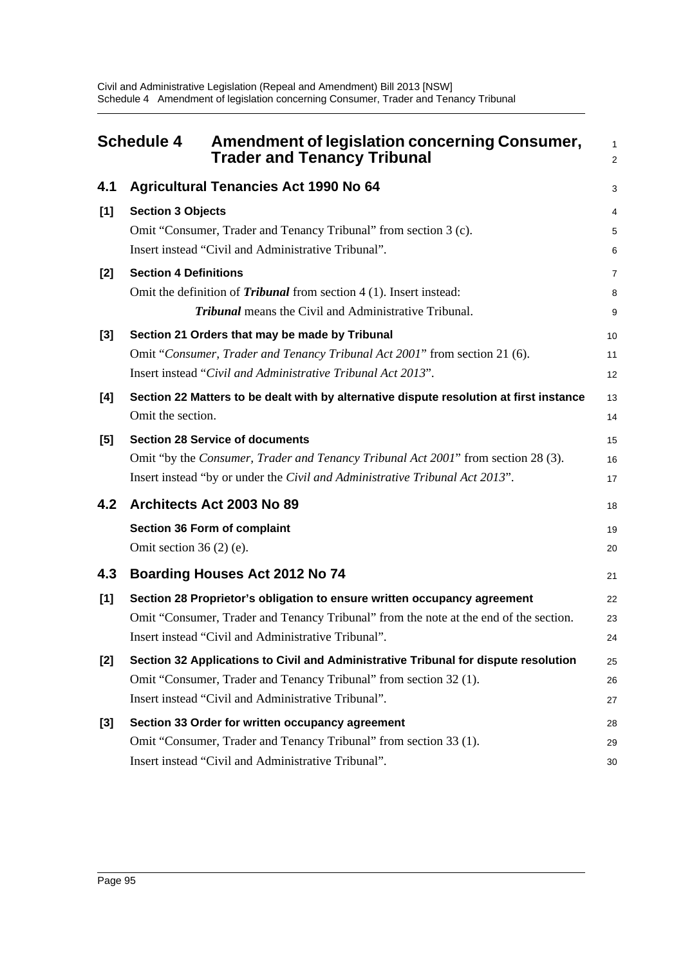|     | Amendment of legislation concerning Consumer,<br><b>Schedule 4</b><br><b>Trader and Tenancy Tribunal</b>                                                                                                                 | $\mathbf{1}$<br>$\overline{c}$ |
|-----|--------------------------------------------------------------------------------------------------------------------------------------------------------------------------------------------------------------------------|--------------------------------|
| 4.1 | <b>Agricultural Tenancies Act 1990 No 64</b>                                                                                                                                                                             | 3                              |
| [1] | <b>Section 3 Objects</b><br>Omit "Consumer, Trader and Tenancy Tribunal" from section 3 (c).<br>Insert instead "Civil and Administrative Tribunal".                                                                      | 4<br>5<br>6                    |
| [2] | <b>Section 4 Definitions</b><br>Omit the definition of <i>Tribunal</i> from section 4 (1). Insert instead:<br><b>Tribunal</b> means the Civil and Administrative Tribunal.                                               | $\overline{7}$<br>8<br>9       |
| [3] | Section 21 Orders that may be made by Tribunal<br>Omit "Consumer, Trader and Tenancy Tribunal Act 2001" from section 21 (6).<br>Insert instead "Civil and Administrative Tribunal Act 2013".                             | 10<br>11<br>12                 |
| [4] | Section 22 Matters to be dealt with by alternative dispute resolution at first instance<br>Omit the section.                                                                                                             | 13<br>14                       |
| [5] | <b>Section 28 Service of documents</b><br>Omit "by the Consumer, Trader and Tenancy Tribunal Act 2001" from section 28 (3).<br>Insert instead "by or under the Civil and Administrative Tribunal Act 2013".              | 15<br>16<br>17                 |
| 4.2 | Architects Act 2003 No 89                                                                                                                                                                                                | 18                             |
|     | Section 36 Form of complaint<br>Omit section $36(2)$ (e).                                                                                                                                                                | 19<br>20                       |
| 4.3 | <b>Boarding Houses Act 2012 No 74</b>                                                                                                                                                                                    | 21                             |
| [1] | Section 28 Proprietor's obligation to ensure written occupancy agreement<br>Omit "Consumer, Trader and Tenancy Tribunal" from the note at the end of the section.<br>Insert instead "Civil and Administrative Tribunal". | 22<br>23<br>24                 |
| [2] | Section 32 Applications to Civil and Administrative Tribunal for dispute resolution<br>Omit "Consumer, Trader and Tenancy Tribunal" from section 32(1).<br>Insert instead "Civil and Administrative Tribunal".           | 25<br>26<br>27                 |
| [3] | Section 33 Order for written occupancy agreement<br>Omit "Consumer, Trader and Tenancy Tribunal" from section 33 (1).<br>Insert instead "Civil and Administrative Tribunal".                                             | 28<br>29<br>30                 |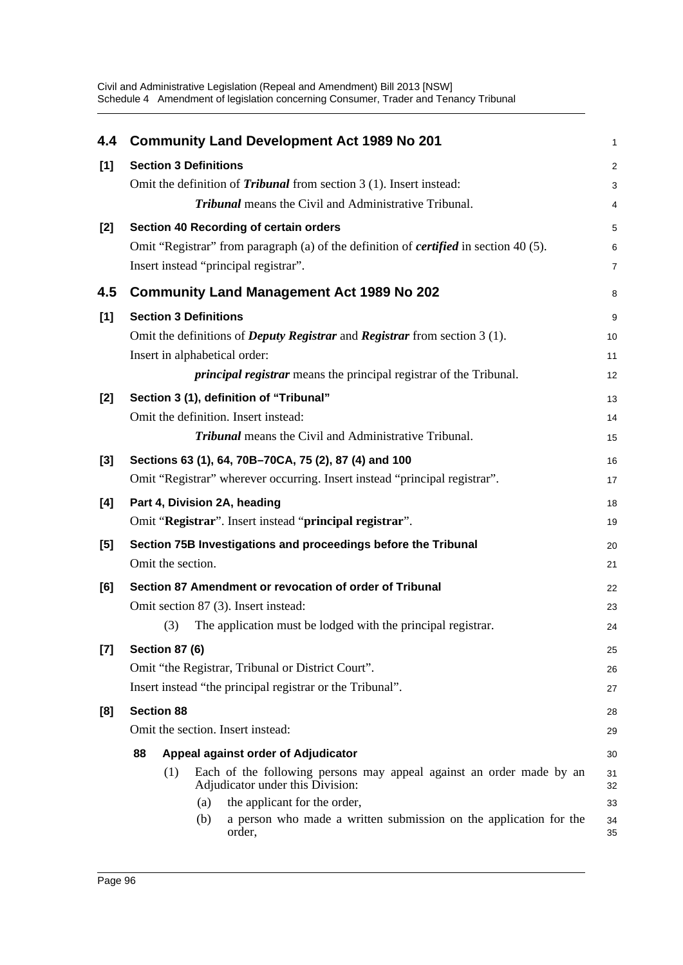| 4.4   | <b>Community Land Development Act 1989 No 201</b>                                                               | 1              |
|-------|-----------------------------------------------------------------------------------------------------------------|----------------|
| [1]   | <b>Section 3 Definitions</b>                                                                                    | $\overline{2}$ |
|       | Omit the definition of <i>Tribunal</i> from section $3(1)$ . Insert instead:                                    | 3              |
|       | <b>Tribunal</b> means the Civil and Administrative Tribunal.                                                    | $\overline{4}$ |
| [2]   | Section 40 Recording of certain orders                                                                          | 5              |
|       | Omit "Registrar" from paragraph (a) of the definition of <i>certified</i> in section 40 (5).                    | 6              |
|       | Insert instead "principal registrar".                                                                           | $\overline{7}$ |
| 4.5   | <b>Community Land Management Act 1989 No 202</b>                                                                | 8              |
| [1]   | <b>Section 3 Definitions</b>                                                                                    | 9              |
|       | Omit the definitions of <i>Deputy Registrar</i> and <i>Registrar</i> from section 3 (1).                        | 10             |
|       | Insert in alphabetical order:                                                                                   | 11             |
|       | <i>principal registrar</i> means the principal registrar of the Tribunal.                                       | 12             |
| [2]   | Section 3 (1), definition of "Tribunal"                                                                         | 13             |
|       | Omit the definition. Insert instead:                                                                            | 14             |
|       | <b>Tribunal</b> means the Civil and Administrative Tribunal.                                                    | 15             |
| $[3]$ | Sections 63 (1), 64, 70B-70CA, 75 (2), 87 (4) and 100                                                           | 16             |
|       | Omit "Registrar" wherever occurring. Insert instead "principal registrar".                                      | 17             |
| [4]   | Part 4, Division 2A, heading                                                                                    | 18             |
|       | Omit "Registrar". Insert instead "principal registrar".                                                         | 19             |
| [5]   | Section 75B Investigations and proceedings before the Tribunal                                                  | 20             |
|       | Omit the section.                                                                                               | 21             |
| [6]   | Section 87 Amendment or revocation of order of Tribunal                                                         | 22             |
|       | Omit section 87 (3). Insert instead:                                                                            | 23             |
|       | The application must be lodged with the principal registrar.<br>(3)                                             | 24             |
| [7]   | <b>Section 87 (6)</b>                                                                                           | 25             |
|       | Omit "the Registrar, Tribunal or District Court".                                                               | 26             |
|       | Insert instead "the principal registrar or the Tribunal".                                                       | 27             |
| [8]   | <b>Section 88</b>                                                                                               | 28             |
|       | Omit the section. Insert instead:                                                                               | 29             |
|       | 88<br>Appeal against order of Adjudicator                                                                       | 30             |
|       | Each of the following persons may appeal against an order made by an<br>(1)<br>Adjudicator under this Division: | 31<br>32       |
|       | the applicant for the order,<br>(a)                                                                             | 33             |
|       | a person who made a written submission on the application for the<br>(b)<br>order,                              | 34<br>35       |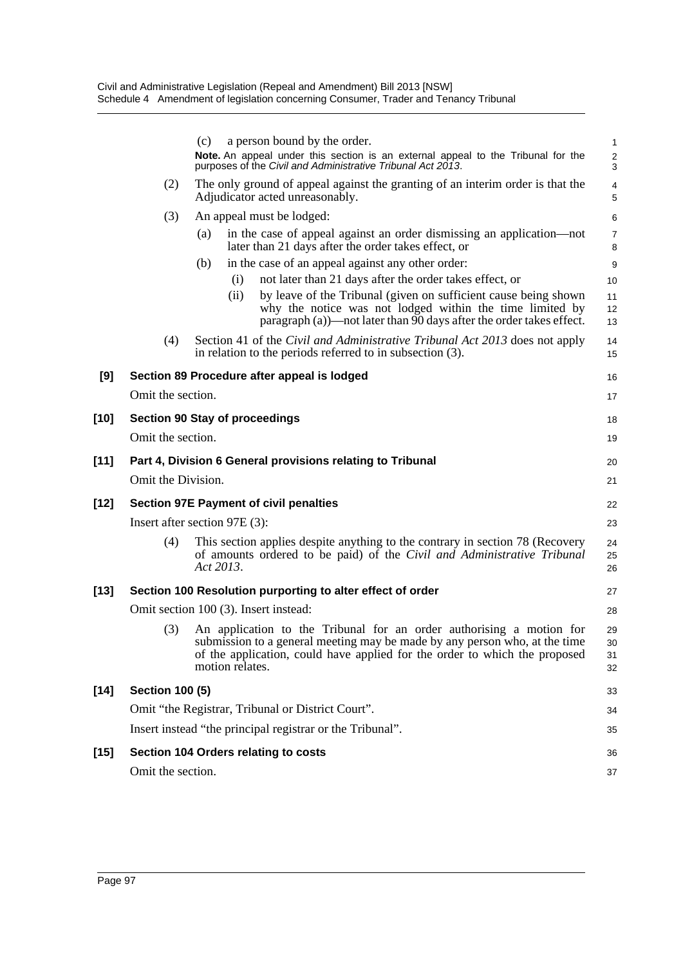|        |                        | a person bound by the order.<br>(c)                                                                                                                                                                                                                 | 1                    |  |
|--------|------------------------|-----------------------------------------------------------------------------------------------------------------------------------------------------------------------------------------------------------------------------------------------------|----------------------|--|
|        |                        | Note. An appeal under this section is an external appeal to the Tribunal for the<br>purposes of the Civil and Administrative Tribunal Act 2013.                                                                                                     | $\frac{2}{3}$        |  |
|        | (2)                    | The only ground of appeal against the granting of an interim order is that the<br>Adjudicator acted unreasonably.                                                                                                                                   | 4<br>5               |  |
|        | (3)                    | An appeal must be lodged:                                                                                                                                                                                                                           | 6                    |  |
|        |                        | in the case of appeal against an order dismissing an application—not<br>(a)<br>later than 21 days after the order takes effect, or                                                                                                                  | 7<br>8               |  |
|        |                        | in the case of an appeal against any other order:<br>(b)                                                                                                                                                                                            | 9                    |  |
|        |                        | not later than 21 days after the order takes effect, or<br>(i)                                                                                                                                                                                      | 10                   |  |
|        |                        | by leave of the Tribunal (given on sufficient cause being shown<br>(ii)<br>why the notice was not lodged within the time limited by<br>paragraph (a))—not later than 90 days after the order takes effect.                                          | 11<br>12<br>13       |  |
|        | (4)                    | Section 41 of the Civil and Administrative Tribunal Act 2013 does not apply<br>in relation to the periods referred to in subsection (3).                                                                                                            | 14<br>15             |  |
| [9]    |                        | Section 89 Procedure after appeal is lodged                                                                                                                                                                                                         | 16                   |  |
|        | Omit the section.      |                                                                                                                                                                                                                                                     | 17                   |  |
| $[10]$ |                        | <b>Section 90 Stay of proceedings</b>                                                                                                                                                                                                               | 18                   |  |
|        | Omit the section.      |                                                                                                                                                                                                                                                     | 19                   |  |
| $[11]$ |                        | Part 4, Division 6 General provisions relating to Tribunal                                                                                                                                                                                          | 20                   |  |
|        | Omit the Division.     |                                                                                                                                                                                                                                                     | 21                   |  |
| [12]   |                        | <b>Section 97E Payment of civil penalties</b>                                                                                                                                                                                                       | 22                   |  |
|        |                        | Insert after section 97E (3):                                                                                                                                                                                                                       | 23                   |  |
|        | (4)                    | This section applies despite anything to the contrary in section 78 (Recovery<br>of amounts ordered to be paid) of the Civil and Administrative Tribunal<br>Act 2013.                                                                               | 24<br>25<br>26       |  |
| $[13]$ |                        | Section 100 Resolution purporting to alter effect of order                                                                                                                                                                                          | 27                   |  |
|        |                        | Omit section 100 (3). Insert instead:                                                                                                                                                                                                               | 28                   |  |
|        | (3)                    | An application to the Tribunal for an order authorising a motion for<br>submission to a general meeting may be made by any person who, at the time<br>of the application, could have applied for the order to which the proposed<br>motion relates. | 29<br>30<br>31<br>32 |  |
| $[14]$ | <b>Section 100 (5)</b> |                                                                                                                                                                                                                                                     |                      |  |
|        |                        | Omit "the Registrar, Tribunal or District Court".                                                                                                                                                                                                   | 34                   |  |
|        |                        | Insert instead "the principal registrar or the Tribunal".                                                                                                                                                                                           | 35                   |  |
| [15]   |                        | Section 104 Orders relating to costs                                                                                                                                                                                                                | 36                   |  |
|        | Omit the section.      |                                                                                                                                                                                                                                                     | 37                   |  |
|        |                        |                                                                                                                                                                                                                                                     |                      |  |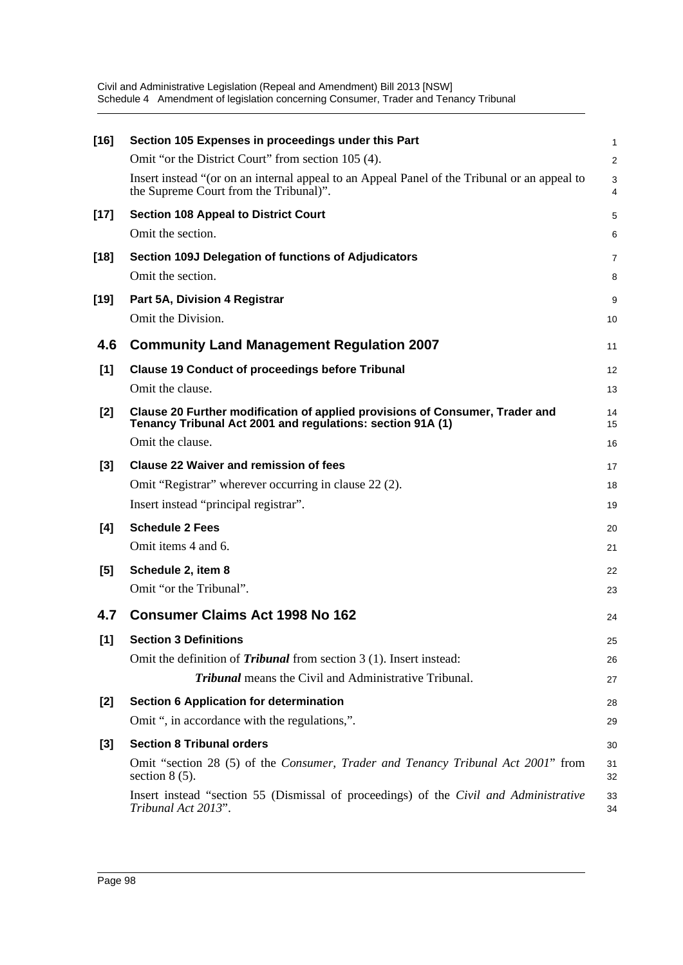| $[16]$ | Section 105 Expenses in proceedings under this Part                                                                                        | 1        |
|--------|--------------------------------------------------------------------------------------------------------------------------------------------|----------|
|        | Omit "or the District Court" from section 105 (4).                                                                                         | 2        |
|        | Insert instead "(or on an internal appeal to an Appeal Panel of the Tribunal or an appeal to<br>the Supreme Court from the Tribunal)".     | 3<br>4   |
| $[17]$ | <b>Section 108 Appeal to District Court</b>                                                                                                | 5        |
|        | Omit the section.                                                                                                                          | 6        |
| $[18]$ | Section 109J Delegation of functions of Adjudicators                                                                                       | 7        |
|        | Omit the section.                                                                                                                          | 8        |
| $[19]$ | Part 5A, Division 4 Registrar                                                                                                              | 9        |
|        | Omit the Division.                                                                                                                         | 10       |
| 4.6    | <b>Community Land Management Regulation 2007</b>                                                                                           | 11       |
| [1]    | <b>Clause 19 Conduct of proceedings before Tribunal</b>                                                                                    | 12       |
|        | Omit the clause.                                                                                                                           | 13       |
| [2]    | Clause 20 Further modification of applied provisions of Consumer, Trader and<br>Tenancy Tribunal Act 2001 and regulations: section 91A (1) | 14<br>15 |
|        | Omit the clause.                                                                                                                           | 16       |
| $[3]$  | <b>Clause 22 Waiver and remission of fees</b>                                                                                              | 17       |
|        | Omit "Registrar" wherever occurring in clause 22 (2).                                                                                      | 18       |
|        | Insert instead "principal registrar".                                                                                                      | 19       |
| [4]    | <b>Schedule 2 Fees</b>                                                                                                                     | 20       |
|        | Omit items 4 and 6.                                                                                                                        | 21       |
| [5]    | Schedule 2, item 8                                                                                                                         | 22       |
|        | Omit "or the Tribunal".                                                                                                                    | 23       |
| 4.7    | <b>Consumer Claims Act 1998 No 162</b>                                                                                                     | 24       |
|        |                                                                                                                                            |          |
| $[1]$  | <b>Section 3 Definitions</b>                                                                                                               | 25       |
|        | Omit the definition of <i>Tribunal</i> from section 3 (1). Insert instead:<br><b>Tribunal</b> means the Civil and Administrative Tribunal. | 26       |
|        |                                                                                                                                            | 27       |
| $[2]$  | <b>Section 6 Application for determination</b>                                                                                             | 28       |
|        | Omit ", in accordance with the regulations,".                                                                                              | 29       |
| $[3]$  | <b>Section 8 Tribunal orders</b>                                                                                                           | 30       |
|        | Omit "section 28 (5) of the Consumer, Trader and Tenancy Tribunal Act 2001" from<br>section $8(5)$ .                                       | 31<br>32 |
|        | Insert instead "section 55 (Dismissal of proceedings) of the Civil and Administrative<br>Tribunal Act 2013".                               | 33<br>34 |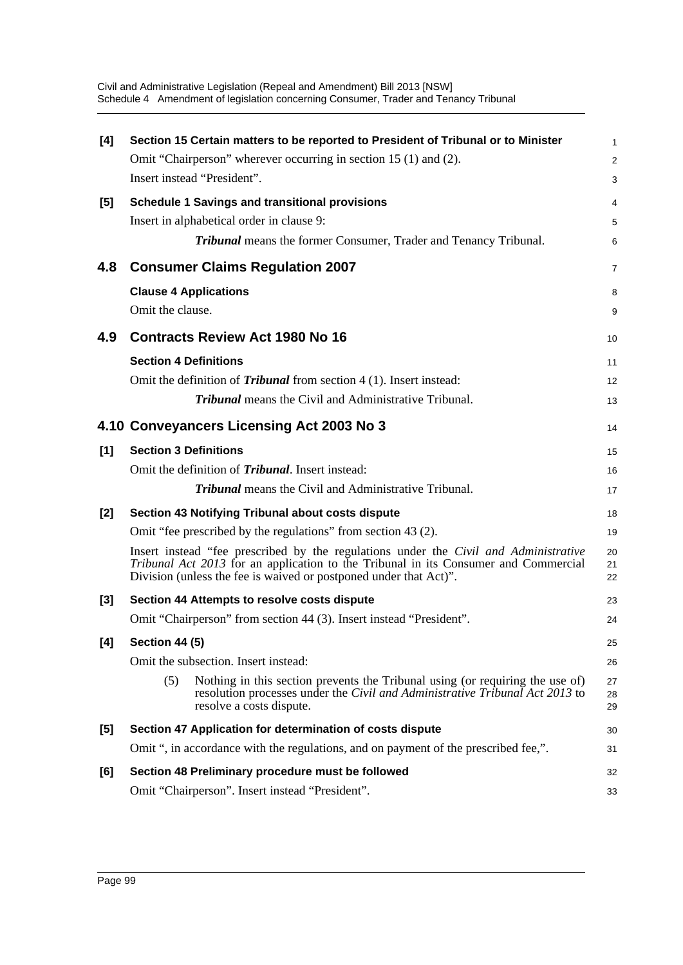|                                                                                                                                                                                                  | $\mathbf{1}$                                                                                                                                                                                                                                                                                                                                                                                                                                                                                                                                                                                                                                                                                                                                                                                                                                                                                                                                                                                                                                                                                                                                                                                                                                                                                                                                                                                                                                                                                                            |
|--------------------------------------------------------------------------------------------------------------------------------------------------------------------------------------------------|-------------------------------------------------------------------------------------------------------------------------------------------------------------------------------------------------------------------------------------------------------------------------------------------------------------------------------------------------------------------------------------------------------------------------------------------------------------------------------------------------------------------------------------------------------------------------------------------------------------------------------------------------------------------------------------------------------------------------------------------------------------------------------------------------------------------------------------------------------------------------------------------------------------------------------------------------------------------------------------------------------------------------------------------------------------------------------------------------------------------------------------------------------------------------------------------------------------------------------------------------------------------------------------------------------------------------------------------------------------------------------------------------------------------------------------------------------------------------------------------------------------------------|
|                                                                                                                                                                                                  | 2                                                                                                                                                                                                                                                                                                                                                                                                                                                                                                                                                                                                                                                                                                                                                                                                                                                                                                                                                                                                                                                                                                                                                                                                                                                                                                                                                                                                                                                                                                                       |
|                                                                                                                                                                                                  | 3                                                                                                                                                                                                                                                                                                                                                                                                                                                                                                                                                                                                                                                                                                                                                                                                                                                                                                                                                                                                                                                                                                                                                                                                                                                                                                                                                                                                                                                                                                                       |
|                                                                                                                                                                                                  | 4                                                                                                                                                                                                                                                                                                                                                                                                                                                                                                                                                                                                                                                                                                                                                                                                                                                                                                                                                                                                                                                                                                                                                                                                                                                                                                                                                                                                                                                                                                                       |
|                                                                                                                                                                                                  | 5                                                                                                                                                                                                                                                                                                                                                                                                                                                                                                                                                                                                                                                                                                                                                                                                                                                                                                                                                                                                                                                                                                                                                                                                                                                                                                                                                                                                                                                                                                                       |
| <b>Tribunal</b> means the former Consumer, Trader and Tenancy Tribunal.                                                                                                                          | 6                                                                                                                                                                                                                                                                                                                                                                                                                                                                                                                                                                                                                                                                                                                                                                                                                                                                                                                                                                                                                                                                                                                                                                                                                                                                                                                                                                                                                                                                                                                       |
|                                                                                                                                                                                                  | 7                                                                                                                                                                                                                                                                                                                                                                                                                                                                                                                                                                                                                                                                                                                                                                                                                                                                                                                                                                                                                                                                                                                                                                                                                                                                                                                                                                                                                                                                                                                       |
|                                                                                                                                                                                                  | 8                                                                                                                                                                                                                                                                                                                                                                                                                                                                                                                                                                                                                                                                                                                                                                                                                                                                                                                                                                                                                                                                                                                                                                                                                                                                                                                                                                                                                                                                                                                       |
|                                                                                                                                                                                                  | 9                                                                                                                                                                                                                                                                                                                                                                                                                                                                                                                                                                                                                                                                                                                                                                                                                                                                                                                                                                                                                                                                                                                                                                                                                                                                                                                                                                                                                                                                                                                       |
|                                                                                                                                                                                                  | 10                                                                                                                                                                                                                                                                                                                                                                                                                                                                                                                                                                                                                                                                                                                                                                                                                                                                                                                                                                                                                                                                                                                                                                                                                                                                                                                                                                                                                                                                                                                      |
|                                                                                                                                                                                                  | 11                                                                                                                                                                                                                                                                                                                                                                                                                                                                                                                                                                                                                                                                                                                                                                                                                                                                                                                                                                                                                                                                                                                                                                                                                                                                                                                                                                                                                                                                                                                      |
|                                                                                                                                                                                                  | 12                                                                                                                                                                                                                                                                                                                                                                                                                                                                                                                                                                                                                                                                                                                                                                                                                                                                                                                                                                                                                                                                                                                                                                                                                                                                                                                                                                                                                                                                                                                      |
| <b>Tribunal</b> means the Civil and Administrative Tribunal.                                                                                                                                     | 13                                                                                                                                                                                                                                                                                                                                                                                                                                                                                                                                                                                                                                                                                                                                                                                                                                                                                                                                                                                                                                                                                                                                                                                                                                                                                                                                                                                                                                                                                                                      |
|                                                                                                                                                                                                  | 14                                                                                                                                                                                                                                                                                                                                                                                                                                                                                                                                                                                                                                                                                                                                                                                                                                                                                                                                                                                                                                                                                                                                                                                                                                                                                                                                                                                                                                                                                                                      |
|                                                                                                                                                                                                  | 15                                                                                                                                                                                                                                                                                                                                                                                                                                                                                                                                                                                                                                                                                                                                                                                                                                                                                                                                                                                                                                                                                                                                                                                                                                                                                                                                                                                                                                                                                                                      |
|                                                                                                                                                                                                  | 16                                                                                                                                                                                                                                                                                                                                                                                                                                                                                                                                                                                                                                                                                                                                                                                                                                                                                                                                                                                                                                                                                                                                                                                                                                                                                                                                                                                                                                                                                                                      |
| <b>Tribunal</b> means the Civil and Administrative Tribunal.                                                                                                                                     | 17                                                                                                                                                                                                                                                                                                                                                                                                                                                                                                                                                                                                                                                                                                                                                                                                                                                                                                                                                                                                                                                                                                                                                                                                                                                                                                                                                                                                                                                                                                                      |
|                                                                                                                                                                                                  | 18                                                                                                                                                                                                                                                                                                                                                                                                                                                                                                                                                                                                                                                                                                                                                                                                                                                                                                                                                                                                                                                                                                                                                                                                                                                                                                                                                                                                                                                                                                                      |
|                                                                                                                                                                                                  | 19                                                                                                                                                                                                                                                                                                                                                                                                                                                                                                                                                                                                                                                                                                                                                                                                                                                                                                                                                                                                                                                                                                                                                                                                                                                                                                                                                                                                                                                                                                                      |
|                                                                                                                                                                                                  | 20<br>21<br>22                                                                                                                                                                                                                                                                                                                                                                                                                                                                                                                                                                                                                                                                                                                                                                                                                                                                                                                                                                                                                                                                                                                                                                                                                                                                                                                                                                                                                                                                                                          |
|                                                                                                                                                                                                  | 23                                                                                                                                                                                                                                                                                                                                                                                                                                                                                                                                                                                                                                                                                                                                                                                                                                                                                                                                                                                                                                                                                                                                                                                                                                                                                                                                                                                                                                                                                                                      |
|                                                                                                                                                                                                  | 24                                                                                                                                                                                                                                                                                                                                                                                                                                                                                                                                                                                                                                                                                                                                                                                                                                                                                                                                                                                                                                                                                                                                                                                                                                                                                                                                                                                                                                                                                                                      |
|                                                                                                                                                                                                  | 25                                                                                                                                                                                                                                                                                                                                                                                                                                                                                                                                                                                                                                                                                                                                                                                                                                                                                                                                                                                                                                                                                                                                                                                                                                                                                                                                                                                                                                                                                                                      |
|                                                                                                                                                                                                  | 26                                                                                                                                                                                                                                                                                                                                                                                                                                                                                                                                                                                                                                                                                                                                                                                                                                                                                                                                                                                                                                                                                                                                                                                                                                                                                                                                                                                                                                                                                                                      |
| Nothing in this section prevents the Tribunal using (or requiring the use of)<br>(5)<br>resolution processes under the Civil and Administrative Tribunal Act 2013 to<br>resolve a costs dispute. | 27<br>28<br>29                                                                                                                                                                                                                                                                                                                                                                                                                                                                                                                                                                                                                                                                                                                                                                                                                                                                                                                                                                                                                                                                                                                                                                                                                                                                                                                                                                                                                                                                                                          |
|                                                                                                                                                                                                  | 30                                                                                                                                                                                                                                                                                                                                                                                                                                                                                                                                                                                                                                                                                                                                                                                                                                                                                                                                                                                                                                                                                                                                                                                                                                                                                                                                                                                                                                                                                                                      |
|                                                                                                                                                                                                  | 31                                                                                                                                                                                                                                                                                                                                                                                                                                                                                                                                                                                                                                                                                                                                                                                                                                                                                                                                                                                                                                                                                                                                                                                                                                                                                                                                                                                                                                                                                                                      |
|                                                                                                                                                                                                  | 32                                                                                                                                                                                                                                                                                                                                                                                                                                                                                                                                                                                                                                                                                                                                                                                                                                                                                                                                                                                                                                                                                                                                                                                                                                                                                                                                                                                                                                                                                                                      |
|                                                                                                                                                                                                  | 33                                                                                                                                                                                                                                                                                                                                                                                                                                                                                                                                                                                                                                                                                                                                                                                                                                                                                                                                                                                                                                                                                                                                                                                                                                                                                                                                                                                                                                                                                                                      |
|                                                                                                                                                                                                  | Section 15 Certain matters to be reported to President of Tribunal or to Minister<br>Omit "Chairperson" wherever occurring in section 15 (1) and (2).<br>Insert instead "President".<br><b>Schedule 1 Savings and transitional provisions</b><br>Insert in alphabetical order in clause 9:<br><b>Consumer Claims Regulation 2007</b><br><b>Clause 4 Applications</b><br>Omit the clause.<br><b>Contracts Review Act 1980 No 16</b><br><b>Section 4 Definitions</b><br>Omit the definition of <i>Tribunal</i> from section 4 (1). Insert instead:<br>4.10 Conveyancers Licensing Act 2003 No 3<br><b>Section 3 Definitions</b><br>Omit the definition of <i>Tribunal</i> . Insert instead:<br>Section 43 Notifying Tribunal about costs dispute<br>Omit "fee prescribed by the regulations" from section 43 (2).<br>Insert instead "fee prescribed by the regulations under the Civil and Administrative<br>Tribunal Act 2013 for an application to the Tribunal in its Consumer and Commercial<br>Division (unless the fee is waived or postponed under that Act)".<br>Section 44 Attempts to resolve costs dispute<br>Omit "Chairperson" from section 44 (3). Insert instead "President".<br><b>Section 44 (5)</b><br>Omit the subsection. Insert instead:<br>Section 47 Application for determination of costs dispute<br>Omit ", in accordance with the regulations, and on payment of the prescribed fee,".<br>Section 48 Preliminary procedure must be followed<br>Omit "Chairperson". Insert instead "President". |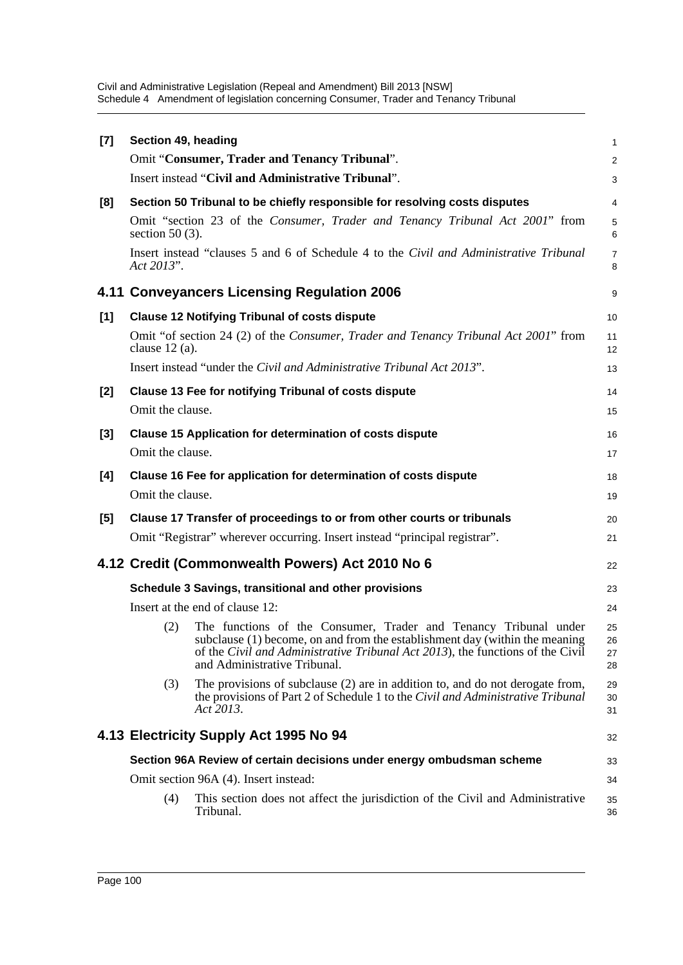| $[7]$ | Section 49, heading                                   |                                                                                                                                                                                                                                                                   | 1                    |  |  |
|-------|-------------------------------------------------------|-------------------------------------------------------------------------------------------------------------------------------------------------------------------------------------------------------------------------------------------------------------------|----------------------|--|--|
|       |                                                       | Omit "Consumer, Trader and Tenancy Tribunal".                                                                                                                                                                                                                     | 2                    |  |  |
|       |                                                       | Insert instead "Civil and Administrative Tribunal".                                                                                                                                                                                                               | 3                    |  |  |
| [8]   |                                                       | Section 50 Tribunal to be chiefly responsible for resolving costs disputes                                                                                                                                                                                        | $\overline{4}$       |  |  |
|       | section 50 $(3)$ .                                    | Omit "section 23 of the Consumer, Trader and Tenancy Tribunal Act 2001" from                                                                                                                                                                                      | 5<br>6               |  |  |
|       | Act 2013".                                            | Insert instead "clauses 5 and 6 of Schedule 4 to the Civil and Administrative Tribunal                                                                                                                                                                            | $\overline{7}$<br>8  |  |  |
|       |                                                       | 4.11 Conveyancers Licensing Regulation 2006                                                                                                                                                                                                                       | 9                    |  |  |
| [1]   |                                                       | <b>Clause 12 Notifying Tribunal of costs dispute</b>                                                                                                                                                                                                              | 10                   |  |  |
|       | clause $12$ (a).                                      | Omit "of section 24 (2) of the Consumer, Trader and Tenancy Tribunal Act 2001" from                                                                                                                                                                               | 11<br>12             |  |  |
|       |                                                       | Insert instead "under the Civil and Administrative Tribunal Act 2013".                                                                                                                                                                                            | 13                   |  |  |
| [2]   |                                                       | <b>Clause 13 Fee for notifying Tribunal of costs dispute</b>                                                                                                                                                                                                      | 14                   |  |  |
|       | Omit the clause.                                      |                                                                                                                                                                                                                                                                   | 15                   |  |  |
| $[3]$ |                                                       | <b>Clause 15 Application for determination of costs dispute</b>                                                                                                                                                                                                   | 16                   |  |  |
|       | Omit the clause.                                      |                                                                                                                                                                                                                                                                   | 17                   |  |  |
| [4]   |                                                       | Clause 16 Fee for application for determination of costs dispute                                                                                                                                                                                                  | 18                   |  |  |
|       | Omit the clause.                                      |                                                                                                                                                                                                                                                                   | 19                   |  |  |
| [5]   |                                                       | Clause 17 Transfer of proceedings to or from other courts or tribunals                                                                                                                                                                                            | 20                   |  |  |
|       |                                                       | Omit "Registrar" wherever occurring. Insert instead "principal registrar".                                                                                                                                                                                        | 21                   |  |  |
|       |                                                       | 4.12 Credit (Commonwealth Powers) Act 2010 No 6                                                                                                                                                                                                                   | 22                   |  |  |
|       | Schedule 3 Savings, transitional and other provisions |                                                                                                                                                                                                                                                                   |                      |  |  |
|       |                                                       | Insert at the end of clause 12:                                                                                                                                                                                                                                   | 24                   |  |  |
|       | (2)                                                   | The functions of the Consumer, Trader and Tenancy Tribunal under<br>subclause (1) become, on and from the establishment day (within the meaning<br>of the Civil and Administrative Tribunal Act 2013), the functions of the Civil<br>and Administrative Tribunal. | 25<br>26<br>27<br>28 |  |  |
|       | (3)                                                   | The provisions of subclause (2) are in addition to, and do not derogate from,<br>the provisions of Part 2 of Schedule 1 to the Civil and Administrative Tribunal<br>Act 2013.                                                                                     | 29<br>30<br>31       |  |  |
|       |                                                       | 4.13 Electricity Supply Act 1995 No 94                                                                                                                                                                                                                            | 32                   |  |  |
|       |                                                       | Section 96A Review of certain decisions under energy ombudsman scheme                                                                                                                                                                                             | 33                   |  |  |
|       |                                                       | Omit section 96A (4). Insert instead:                                                                                                                                                                                                                             | 34                   |  |  |
|       | (4)                                                   | This section does not affect the jurisdiction of the Civil and Administrative<br>Tribunal.                                                                                                                                                                        | 35<br>36             |  |  |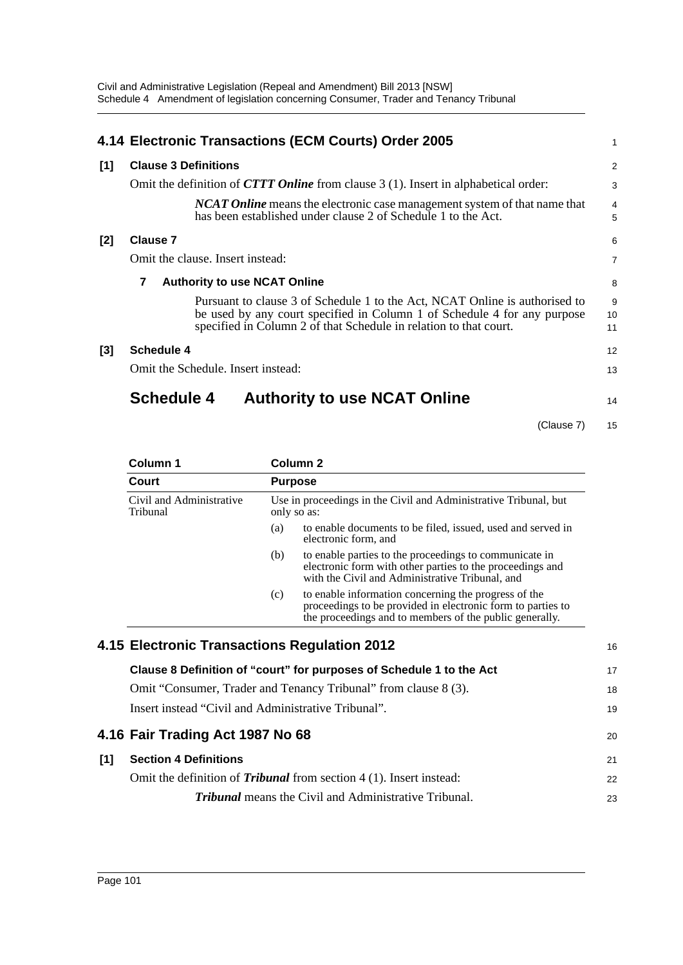|       | 4.14 Electronic Transactions (ECM Courts) Order 2005                                                                                                                                                                         | 1                   |  |
|-------|------------------------------------------------------------------------------------------------------------------------------------------------------------------------------------------------------------------------------|---------------------|--|
| [1]   | <b>Clause 3 Definitions</b>                                                                                                                                                                                                  | $\overline{2}$      |  |
|       | Omit the definition of <b>CTTT Online</b> from clause 3 (1). Insert in alphabetical order:                                                                                                                                   | 3                   |  |
|       | <b>NCAT Online</b> means the electronic case management system of that name that<br>has been established under clause 2 of Schedule 1 to the Act.                                                                            | $\overline{4}$<br>5 |  |
| $[2]$ | <b>Clause 7</b>                                                                                                                                                                                                              | 6                   |  |
|       | Omit the clause. Insert instead:                                                                                                                                                                                             | $\overline{7}$      |  |
|       | <b>Authority to use NCAT Online</b><br>7                                                                                                                                                                                     |                     |  |
|       | Pursuant to clause 3 of Schedule 1 to the Act, NCAT Online is authorised to<br>be used by any court specified in Column 1 of Schedule 4 for any purpose<br>specified in Column 2 of that Schedule in relation to that court. | 9<br>10<br>11       |  |
| $[3]$ | Schedule 4                                                                                                                                                                                                                   | 12                  |  |
|       | Omit the Schedule. Insert instead:                                                                                                                                                                                           | 13                  |  |
|       | <b>Schedule 4</b><br><b>Authority to use NCAT Online</b>                                                                                                                                                                     | 14                  |  |

(Clause 7) 15

| Court                                |     | <b>Purpose</b>                                                                                                                                                                 |
|--------------------------------------|-----|--------------------------------------------------------------------------------------------------------------------------------------------------------------------------------|
| Civil and Administrative<br>Tribunal |     | Use in proceedings in the Civil and Administrative Tribunal, but<br>only so as:                                                                                                |
|                                      | (a) | to enable documents to be filed, issued, used and served in<br>electronic form, and                                                                                            |
|                                      | (b) | to enable parties to the proceedings to communicate in<br>electronic form with other parties to the proceedings and<br>with the Civil and Administrative Tribunal, and         |
|                                      | (c) | to enable information concerning the progress of the<br>proceedings to be provided in electronic form to parties to<br>the proceedings and to members of the public generally. |

|     | 4.15 Electronic Transactions Regulation 2012                               | 16 |
|-----|----------------------------------------------------------------------------|----|
|     | Clause 8 Definition of "court" for purposes of Schedule 1 to the Act       | 17 |
|     | Omit "Consumer, Trader and Tenancy Tribunal" from clause 8 (3).            | 18 |
|     | Insert instead "Civil and Administrative Tribunal".                        | 19 |
|     | 4.16 Fair Trading Act 1987 No 68                                           | 20 |
| [1] | <b>Section 4 Definitions</b>                                               | 21 |
|     | Omit the definition of <i>Tribunal</i> from section 4 (1). Insert instead: | 22 |
|     | <b>Tribunal</b> means the Civil and Administrative Tribunal.               | 23 |
|     |                                                                            |    |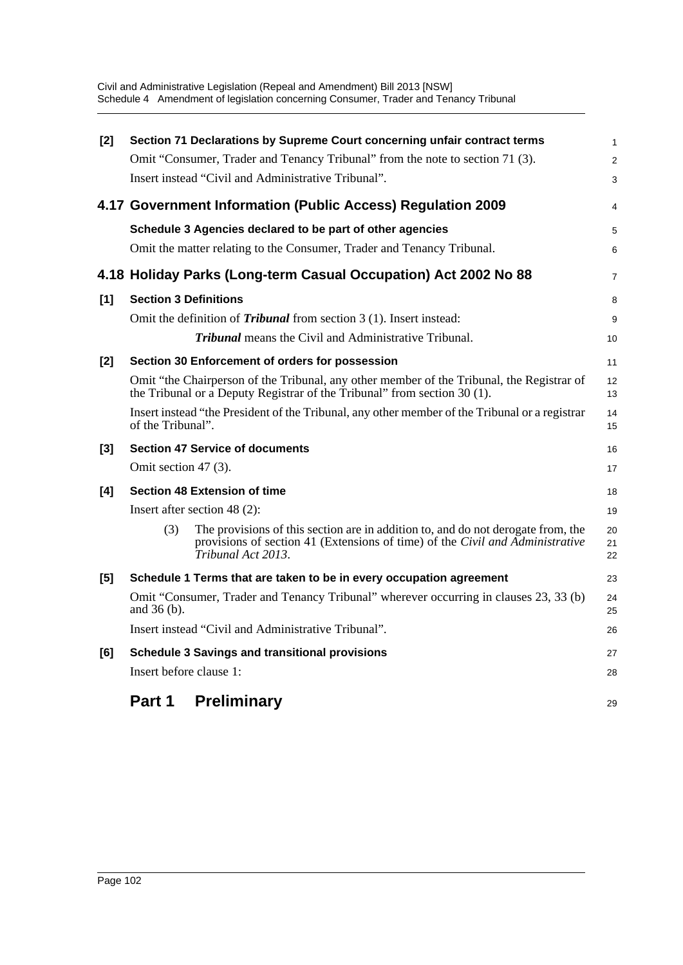| [2] |                              | Section 71 Declarations by Supreme Court concerning unfair contract terms                                                                                                               | $\mathbf{1}$   |
|-----|------------------------------|-----------------------------------------------------------------------------------------------------------------------------------------------------------------------------------------|----------------|
|     |                              | Omit "Consumer, Trader and Tenancy Tribunal" from the note to section 71 (3).                                                                                                           | 2              |
|     |                              | Insert instead "Civil and Administrative Tribunal".                                                                                                                                     | 3              |
|     |                              | 4.17 Government Information (Public Access) Regulation 2009                                                                                                                             | $\overline{4}$ |
|     |                              | Schedule 3 Agencies declared to be part of other agencies                                                                                                                               | 5              |
|     |                              | Omit the matter relating to the Consumer, Trader and Tenancy Tribunal.                                                                                                                  | 6              |
|     |                              | 4.18 Holiday Parks (Long-term Casual Occupation) Act 2002 No 88                                                                                                                         | $\overline{7}$ |
| [1] | <b>Section 3 Definitions</b> |                                                                                                                                                                                         | 8              |
|     |                              | Omit the definition of <i>Tribunal</i> from section 3 (1). Insert instead:                                                                                                              | 9              |
|     |                              | <b>Tribunal</b> means the Civil and Administrative Tribunal.                                                                                                                            | 10             |
| [2] |                              | Section 30 Enforcement of orders for possession                                                                                                                                         | 11             |
|     |                              | Omit "the Chairperson of the Tribunal, any other member of the Tribunal, the Registrar of<br>the Tribunal or a Deputy Registrar of the Tribunal" from section 30 (1).                   | 12<br>13       |
|     | of the Tribunal".            | Insert instead "the President of the Tribunal, any other member of the Tribunal or a registrar                                                                                          | 14<br>15       |
| [3] |                              | <b>Section 47 Service of documents</b>                                                                                                                                                  | 16             |
|     | Omit section $47(3)$ .       |                                                                                                                                                                                         | 17             |
| [4] |                              | <b>Section 48 Extension of time</b>                                                                                                                                                     | 18             |
|     |                              | Insert after section 48 $(2)$ :                                                                                                                                                         | 19             |
|     | (3)                          | The provisions of this section are in addition to, and do not derogate from, the<br>provisions of section 41 (Extensions of time) of the Civil and Administrative<br>Tribunal Act 2013. | 20<br>21<br>22 |
| [5] |                              | Schedule 1 Terms that are taken to be in every occupation agreement                                                                                                                     | 23             |
|     | and 36 (b).                  | Omit "Consumer, Trader and Tenancy Tribunal" wherever occurring in clauses 23, 33 (b)                                                                                                   | 24<br>25       |
|     |                              | Insert instead "Civil and Administrative Tribunal".                                                                                                                                     | 26             |
| [6] |                              | <b>Schedule 3 Savings and transitional provisions</b>                                                                                                                                   | 27             |
|     | Insert before clause 1:      |                                                                                                                                                                                         | 28             |
|     | Part 1                       | <b>Preliminary</b>                                                                                                                                                                      | 29             |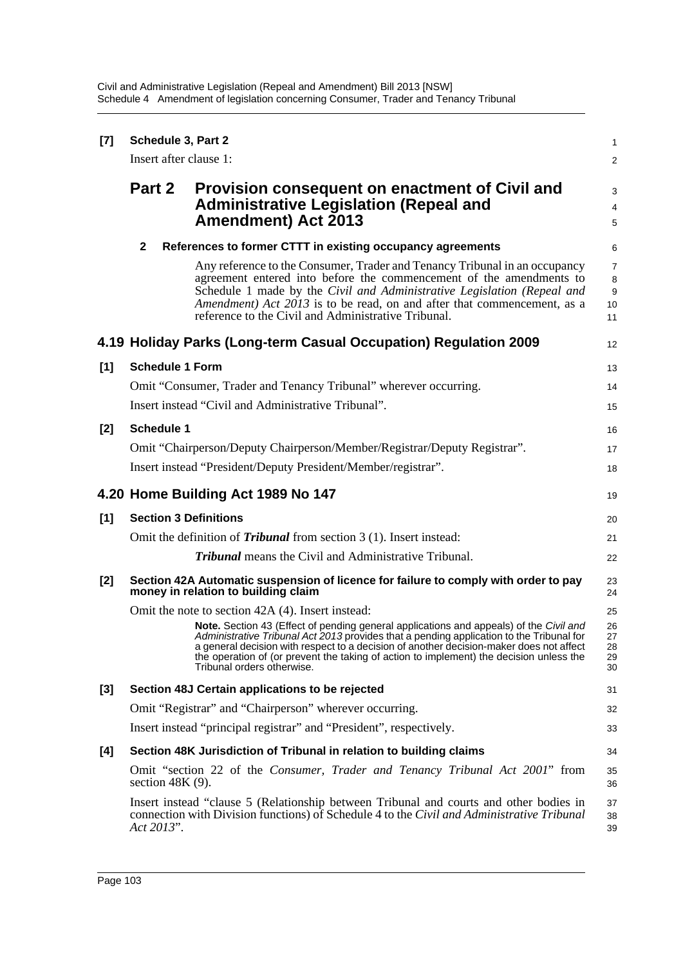| $[7]$ | Schedule 3, Part 2<br>Insert after clause 1:                                                                                                                                                       |                                                                                                                                                                                                                                                                                                                                                                                                                                                             |                                      |  |  |
|-------|----------------------------------------------------------------------------------------------------------------------------------------------------------------------------------------------------|-------------------------------------------------------------------------------------------------------------------------------------------------------------------------------------------------------------------------------------------------------------------------------------------------------------------------------------------------------------------------------------------------------------------------------------------------------------|--------------------------------------|--|--|
|       |                                                                                                                                                                                                    |                                                                                                                                                                                                                                                                                                                                                                                                                                                             |                                      |  |  |
|       | Part 2                                                                                                                                                                                             | Provision consequent on enactment of Civil and<br><b>Administrative Legislation (Repeal and</b><br><b>Amendment) Act 2013</b>                                                                                                                                                                                                                                                                                                                               | 3<br>4<br>5                          |  |  |
|       | $\mathbf{2}$                                                                                                                                                                                       | References to former CTTT in existing occupancy agreements                                                                                                                                                                                                                                                                                                                                                                                                  | 6                                    |  |  |
|       |                                                                                                                                                                                                    | Any reference to the Consumer, Trader and Tenancy Tribunal in an occupancy<br>agreement entered into before the commencement of the amendments to<br>Schedule 1 made by the Civil and Administrative Legislation (Repeal and<br>Amendment) Act 2013 is to be read, on and after that commencement, as a<br>reference to the Civil and Administrative Tribunal.                                                                                              | $\overline{7}$<br>8<br>9<br>10<br>11 |  |  |
|       |                                                                                                                                                                                                    | 4.19 Holiday Parks (Long-term Casual Occupation) Regulation 2009                                                                                                                                                                                                                                                                                                                                                                                            | 12                                   |  |  |
| [1]   | <b>Schedule 1 Form</b>                                                                                                                                                                             |                                                                                                                                                                                                                                                                                                                                                                                                                                                             |                                      |  |  |
|       | Omit "Consumer, Trader and Tenancy Tribunal" wherever occurring.<br>Insert instead "Civil and Administrative Tribunal".                                                                            |                                                                                                                                                                                                                                                                                                                                                                                                                                                             |                                      |  |  |
|       |                                                                                                                                                                                                    |                                                                                                                                                                                                                                                                                                                                                                                                                                                             |                                      |  |  |
| $[2]$ | <b>Schedule 1</b><br>Omit "Chairperson/Deputy Chairperson/Member/Registrar/Deputy Registrar".                                                                                                      |                                                                                                                                                                                                                                                                                                                                                                                                                                                             |                                      |  |  |
|       | Insert instead "President/Deputy President/Member/registrar".                                                                                                                                      |                                                                                                                                                                                                                                                                                                                                                                                                                                                             |                                      |  |  |
|       |                                                                                                                                                                                                    |                                                                                                                                                                                                                                                                                                                                                                                                                                                             | 18                                   |  |  |
|       |                                                                                                                                                                                                    | 4.20 Home Building Act 1989 No 147                                                                                                                                                                                                                                                                                                                                                                                                                          | 19                                   |  |  |
| [1]   | <b>Section 3 Definitions</b>                                                                                                                                                                       |                                                                                                                                                                                                                                                                                                                                                                                                                                                             |                                      |  |  |
|       | Omit the definition of <i>Tribunal</i> from section 3 (1). Insert instead:                                                                                                                         |                                                                                                                                                                                                                                                                                                                                                                                                                                                             |                                      |  |  |
|       |                                                                                                                                                                                                    | <b>Tribunal</b> means the Civil and Administrative Tribunal.                                                                                                                                                                                                                                                                                                                                                                                                | 22                                   |  |  |
| [2]   | Section 42A Automatic suspension of licence for failure to comply with order to pay<br>money in relation to building claim                                                                         |                                                                                                                                                                                                                                                                                                                                                                                                                                                             |                                      |  |  |
|       |                                                                                                                                                                                                    | Omit the note to section 42A (4). Insert instead:<br>Note. Section 43 (Effect of pending general applications and appeals) of the Civil and<br>Administrative Tribunal Act 2013 provides that a pending application to the Tribunal for<br>a general decision with respect to a decision of another decision-maker does not affect<br>the operation of (or prevent the taking of action to implement) the decision unless the<br>Tribunal orders otherwise. | 25<br>26<br>27<br>28<br>29<br>30     |  |  |
| $[3]$ | Section 48J Certain applications to be rejected                                                                                                                                                    |                                                                                                                                                                                                                                                                                                                                                                                                                                                             |                                      |  |  |
|       | Omit "Registrar" and "Chairperson" wherever occurring.                                                                                                                                             |                                                                                                                                                                                                                                                                                                                                                                                                                                                             |                                      |  |  |
|       | Insert instead "principal registrar" and "President", respectively.                                                                                                                                |                                                                                                                                                                                                                                                                                                                                                                                                                                                             |                                      |  |  |
| [4]   | Section 48K Jurisdiction of Tribunal in relation to building claims                                                                                                                                |                                                                                                                                                                                                                                                                                                                                                                                                                                                             |                                      |  |  |
|       | Omit "section 22 of the Consumer, Trader and Tenancy Tribunal Act 2001" from<br>section $48K(9)$ .                                                                                                 |                                                                                                                                                                                                                                                                                                                                                                                                                                                             |                                      |  |  |
|       | Insert instead "clause 5 (Relationship between Tribunal and courts and other bodies in<br>connection with Division functions) of Schedule 4 to the Civil and Administrative Tribunal<br>Act 2013". |                                                                                                                                                                                                                                                                                                                                                                                                                                                             |                                      |  |  |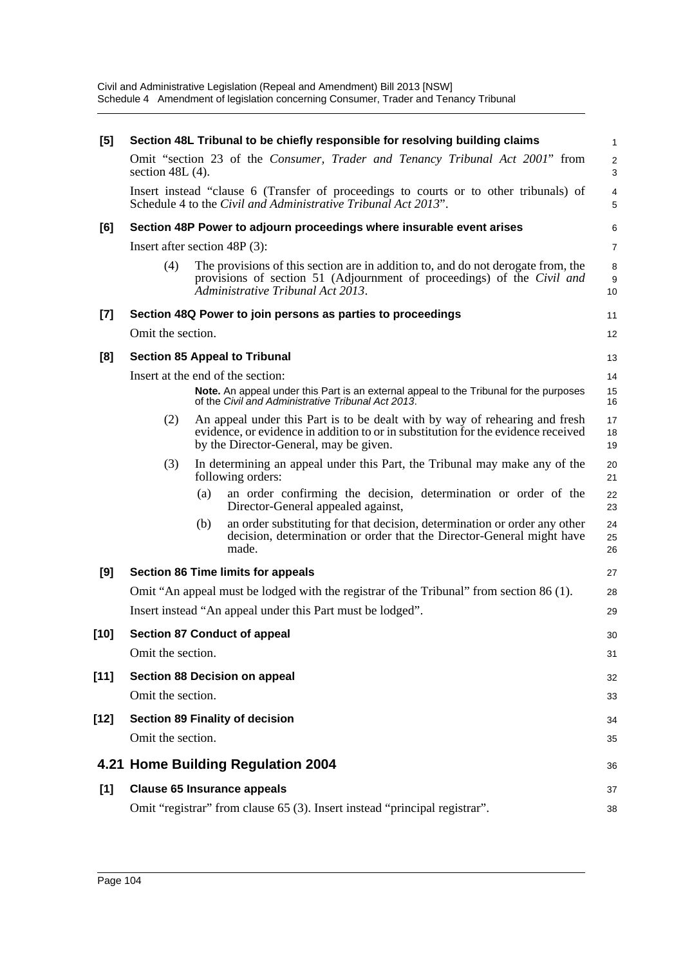| [5]    | Section 48L Tribunal to be chiefly responsible for resolving building claims                       |     |                                                                                                                                                                                                            |                             |  |
|--------|----------------------------------------------------------------------------------------------------|-----|------------------------------------------------------------------------------------------------------------------------------------------------------------------------------------------------------------|-----------------------------|--|
|        | Omit "section 23 of the Consumer, Trader and Tenancy Tribunal Act 2001" from<br>section $48L(4)$ . |     |                                                                                                                                                                                                            |                             |  |
|        |                                                                                                    |     | Insert instead "clause 6 (Transfer of proceedings to courts or to other tribunals) of<br>Schedule 4 to the Civil and Administrative Tribunal Act 2013".                                                    | $\overline{4}$<br>5         |  |
| [6]    | Section 48P Power to adjourn proceedings where insurable event arises                              |     |                                                                                                                                                                                                            |                             |  |
|        | Insert after section 48P (3):                                                                      |     |                                                                                                                                                                                                            |                             |  |
|        | (4)                                                                                                |     | The provisions of this section are in addition to, and do not derogate from, the<br>provisions of section 51 (Adjournment of proceedings) of the Civil and<br>Administrative Tribunal Act 2013.            | 8<br>$\boldsymbol{9}$<br>10 |  |
| [7]    | Section 48Q Power to join persons as parties to proceedings                                        |     |                                                                                                                                                                                                            |                             |  |
|        | Omit the section.                                                                                  |     |                                                                                                                                                                                                            |                             |  |
| [8]    | <b>Section 85 Appeal to Tribunal</b>                                                               |     |                                                                                                                                                                                                            |                             |  |
|        | Insert at the end of the section:                                                                  |     |                                                                                                                                                                                                            |                             |  |
|        |                                                                                                    |     | Note. An appeal under this Part is an external appeal to the Tribunal for the purposes<br>of the Civil and Administrative Tribunal Act 2013.                                                               | 15<br>16                    |  |
|        | (2)                                                                                                |     | An appeal under this Part is to be dealt with by way of rehearing and fresh<br>evidence, or evidence in addition to or in substitution for the evidence received<br>by the Director-General, may be given. | 17<br>18<br>19              |  |
|        | (3)                                                                                                |     | In determining an appeal under this Part, the Tribunal may make any of the<br>following orders:                                                                                                            | 20<br>21                    |  |
|        |                                                                                                    | (a) | an order confirming the decision, determination or order of the<br>Director-General appealed against,                                                                                                      | 22<br>23                    |  |
|        |                                                                                                    | (b) | an order substituting for that decision, determination or order any other<br>decision, determination or order that the Director-General might have<br>made.                                                | 24<br>25<br>26              |  |
| [9]    | <b>Section 86 Time limits for appeals</b>                                                          |     |                                                                                                                                                                                                            |                             |  |
|        | Omit "An appeal must be lodged with the registrar of the Tribunal" from section 86 (1).            |     |                                                                                                                                                                                                            |                             |  |
|        | Insert instead "An appeal under this Part must be lodged".                                         |     |                                                                                                                                                                                                            |                             |  |
| $[10]$ | <b>Section 87 Conduct of appeal</b>                                                                |     |                                                                                                                                                                                                            |                             |  |
|        | Omit the section.                                                                                  |     |                                                                                                                                                                                                            | 31                          |  |
| $[11]$ | <b>Section 88 Decision on appeal</b>                                                               |     |                                                                                                                                                                                                            |                             |  |
|        | Omit the section.                                                                                  |     |                                                                                                                                                                                                            | 33                          |  |
| $[12]$ | <b>Section 89 Finality of decision</b>                                                             |     |                                                                                                                                                                                                            |                             |  |
|        | Omit the section.                                                                                  |     |                                                                                                                                                                                                            | 35                          |  |
|        |                                                                                                    |     | 4.21 Home Building Regulation 2004                                                                                                                                                                         | 36                          |  |
| [1]    | <b>Clause 65 Insurance appeals</b>                                                                 |     |                                                                                                                                                                                                            |                             |  |
|        | Omit "registrar" from clause 65 (3). Insert instead "principal registrar".                         |     |                                                                                                                                                                                                            |                             |  |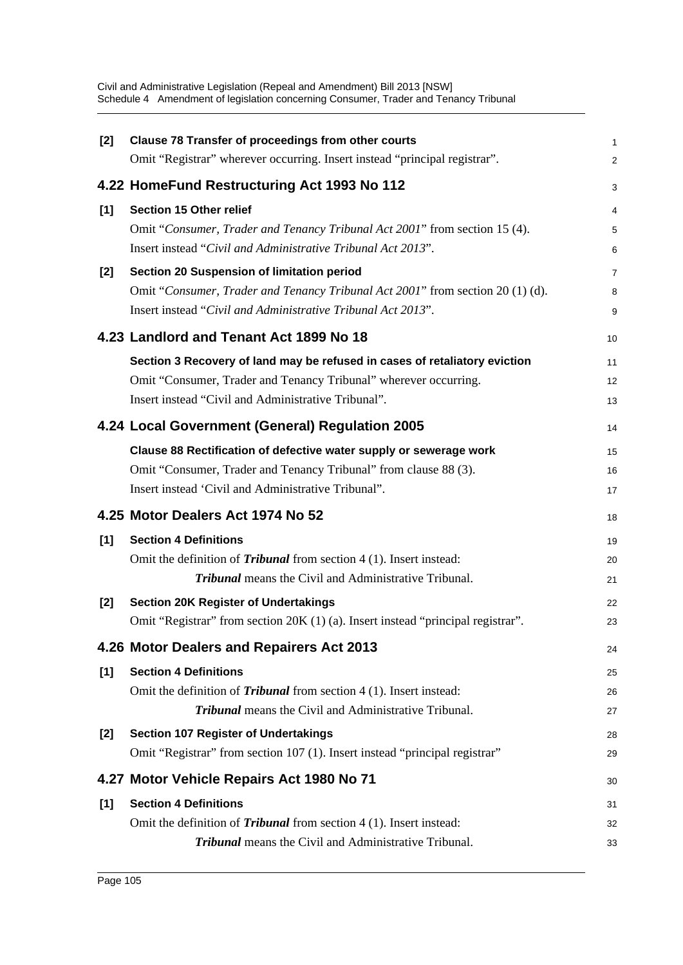| [2]   | Clause 78 Transfer of proceedings from other courts                              | $\mathbf{1}$   |
|-------|----------------------------------------------------------------------------------|----------------|
|       | Omit "Registrar" wherever occurring. Insert instead "principal registrar".       | 2              |
|       | 4.22 HomeFund Restructuring Act 1993 No 112                                      | 3              |
| [1]   | <b>Section 15 Other relief</b>                                                   | 4              |
|       | Omit "Consumer, Trader and Tenancy Tribunal Act 2001" from section 15 (4).       | 5              |
|       | Insert instead "Civil and Administrative Tribunal Act 2013".                     | 6              |
| [2]   | Section 20 Suspension of limitation period                                       | $\overline{7}$ |
|       | Omit "Consumer, Trader and Tenancy Tribunal Act 2001" from section 20 (1) (d).   | 8              |
|       | Insert instead "Civil and Administrative Tribunal Act 2013".                     | 9              |
|       | 4.23 Landlord and Tenant Act 1899 No 18                                          | 10             |
|       | Section 3 Recovery of land may be refused in cases of retaliatory eviction       | 11             |
|       | Omit "Consumer, Trader and Tenancy Tribunal" wherever occurring.                 | 12             |
|       | Insert instead "Civil and Administrative Tribunal".                              | 13             |
|       | 4.24 Local Government (General) Regulation 2005                                  | 14             |
|       | Clause 88 Rectification of defective water supply or sewerage work               | 15             |
|       | Omit "Consumer, Trader and Tenancy Tribunal" from clause 88 (3).                 | 16             |
|       | Insert instead 'Civil and Administrative Tribunal".                              | 17             |
|       | 4.25 Motor Dealers Act 1974 No 52                                                | 18             |
| [1]   | <b>Section 4 Definitions</b>                                                     | 19             |
|       | Omit the definition of <i>Tribunal</i> from section $4(1)$ . Insert instead:     | 20             |
|       | <b>Tribunal</b> means the Civil and Administrative Tribunal.                     | 21             |
| [2]   | <b>Section 20K Register of Undertakings</b>                                      | 22             |
|       | Omit "Registrar" from section 20K (1) (a). Insert instead "principal registrar". | 23             |
|       | 4.26 Motor Dealers and Repairers Act 2013                                        | 24             |
| [1]   | <b>Section 4 Definitions</b>                                                     | 25             |
|       | Omit the definition of <i>Tribunal</i> from section 4 (1). Insert instead:       | 26             |
|       | <b>Tribunal</b> means the Civil and Administrative Tribunal.                     | 27             |
| $[2]$ | <b>Section 107 Register of Undertakings</b>                                      | 28             |
|       | Omit "Registrar" from section 107 (1). Insert instead "principal registrar"      | 29             |
|       | 4.27 Motor Vehicle Repairs Act 1980 No 71                                        | 30             |
| [1]   | <b>Section 4 Definitions</b>                                                     | 31             |
|       | Omit the definition of <i>Tribunal</i> from section $4(1)$ . Insert instead:     | 32             |
|       | <b>Tribunal</b> means the Civil and Administrative Tribunal.                     | 33             |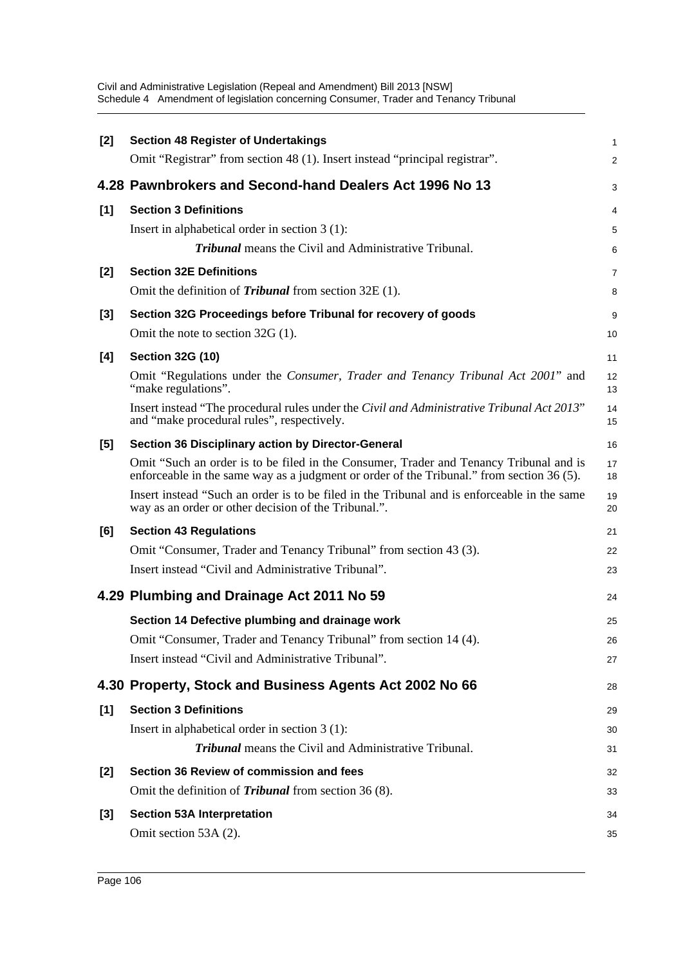| <b>Section 48 Register of Undertakings</b>                                                                                                                                          | 1                                                                                                                                                               |
|-------------------------------------------------------------------------------------------------------------------------------------------------------------------------------------|-----------------------------------------------------------------------------------------------------------------------------------------------------------------|
| Omit "Registrar" from section 48 (1). Insert instead "principal registrar".                                                                                                         | 2                                                                                                                                                               |
|                                                                                                                                                                                     | 3                                                                                                                                                               |
| <b>Section 3 Definitions</b>                                                                                                                                                        | 4                                                                                                                                                               |
| Insert in alphabetical order in section $3(1)$ :                                                                                                                                    | 5                                                                                                                                                               |
| <b>Tribunal</b> means the Civil and Administrative Tribunal.                                                                                                                        | 6                                                                                                                                                               |
| <b>Section 32E Definitions</b>                                                                                                                                                      | 7                                                                                                                                                               |
| Omit the definition of <i>Tribunal</i> from section $32E(1)$ .                                                                                                                      | 8                                                                                                                                                               |
| Section 32G Proceedings before Tribunal for recovery of goods                                                                                                                       | 9                                                                                                                                                               |
| Omit the note to section $32G(1)$ .                                                                                                                                                 | 10                                                                                                                                                              |
| <b>Section 32G (10)</b>                                                                                                                                                             | 11                                                                                                                                                              |
| Omit "Regulations under the Consumer, Trader and Tenancy Tribunal Act 2001" and<br>"make regulations".                                                                              | 12<br>13                                                                                                                                                        |
| Insert instead "The procedural rules under the Civil and Administrative Tribunal Act 2013"<br>and "make procedural rules", respectively.                                            | 14<br>15                                                                                                                                                        |
| <b>Section 36 Disciplinary action by Director-General</b>                                                                                                                           | 16                                                                                                                                                              |
| Omit "Such an order is to be filed in the Consumer, Trader and Tenancy Tribunal and is<br>enforceable in the same way as a judgment or order of the Tribunal." from section 36 (5). | 17<br>18                                                                                                                                                        |
| Insert instead "Such an order is to be filed in the Tribunal and is enforceable in the same<br>way as an order or other decision of the Tribunal.".                                 | 19<br>20                                                                                                                                                        |
| <b>Section 43 Regulations</b>                                                                                                                                                       | 21                                                                                                                                                              |
| Omit "Consumer, Trader and Tenancy Tribunal" from section 43 (3).                                                                                                                   | 22                                                                                                                                                              |
| Insert instead "Civil and Administrative Tribunal".                                                                                                                                 | 23                                                                                                                                                              |
|                                                                                                                                                                                     | 24                                                                                                                                                              |
| Section 14 Defective plumbing and drainage work                                                                                                                                     | 25                                                                                                                                                              |
| Omit "Consumer, Trader and Tenancy Tribunal" from section 14 (4).                                                                                                                   | 26                                                                                                                                                              |
| Insert instead "Civil and Administrative Tribunal".                                                                                                                                 | 27                                                                                                                                                              |
|                                                                                                                                                                                     | 28                                                                                                                                                              |
| <b>Section 3 Definitions</b>                                                                                                                                                        | 29                                                                                                                                                              |
| Insert in alphabetical order in section $3(1)$ :                                                                                                                                    | 30                                                                                                                                                              |
| Tribunal means the Civil and Administrative Tribunal.                                                                                                                               | 31                                                                                                                                                              |
|                                                                                                                                                                                     |                                                                                                                                                                 |
| Section 36 Review of commission and fees                                                                                                                                            | 32                                                                                                                                                              |
| Omit the definition of <i>Tribunal</i> from section 36 (8).                                                                                                                         | 33                                                                                                                                                              |
| <b>Section 53A Interpretation</b>                                                                                                                                                   | 34                                                                                                                                                              |
|                                                                                                                                                                                     | 4.28 Pawnbrokers and Second-hand Dealers Act 1996 No 13<br>4.29 Plumbing and Drainage Act 2011 No 59<br>4.30 Property, Stock and Business Agents Act 2002 No 66 |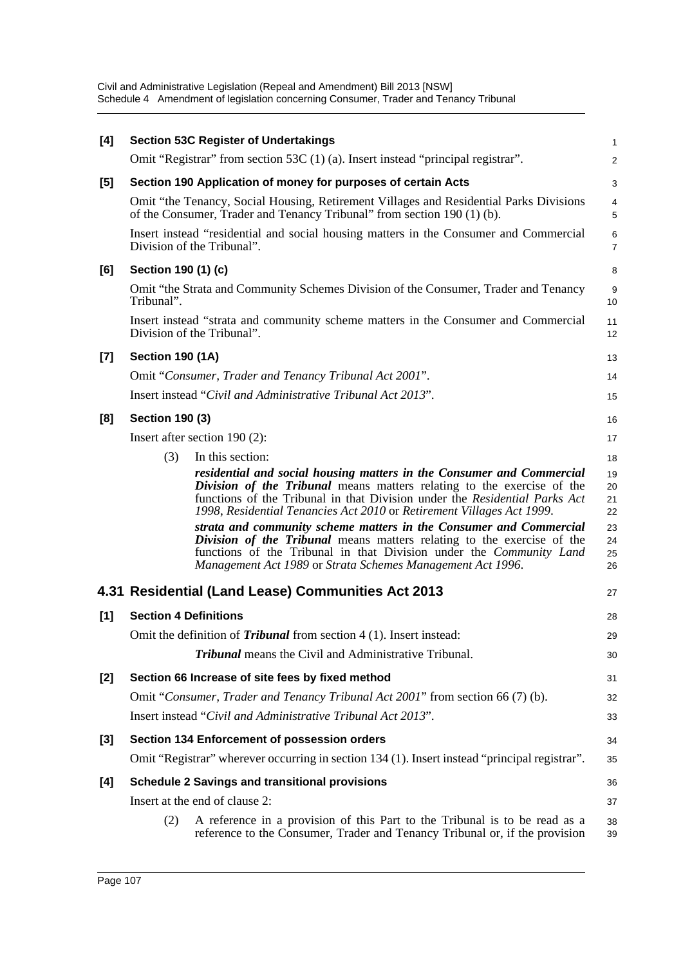| [4]   |                              | <b>Section 53C Register of Undertakings</b>                                                                                                                                                                                                                                                            | 1                    |
|-------|------------------------------|--------------------------------------------------------------------------------------------------------------------------------------------------------------------------------------------------------------------------------------------------------------------------------------------------------|----------------------|
|       |                              | Omit "Registrar" from section 53C (1) (a). Insert instead "principal registrar".                                                                                                                                                                                                                       | $\overline{c}$       |
| [5]   |                              | Section 190 Application of money for purposes of certain Acts                                                                                                                                                                                                                                          | 3                    |
|       |                              | Omit "the Tenancy, Social Housing, Retirement Villages and Residential Parks Divisions<br>of the Consumer, Trader and Tenancy Tribunal" from section 190 (1) (b).                                                                                                                                      | 4<br>5               |
|       |                              | Insert instead "residential and social housing matters in the Consumer and Commercial<br>Division of the Tribunal".                                                                                                                                                                                    | 6<br>7               |
| [6]   | Section 190 (1) (c)          |                                                                                                                                                                                                                                                                                                        | 8                    |
|       | Tribunal".                   | Omit "the Strata and Community Schemes Division of the Consumer, Trader and Tenancy                                                                                                                                                                                                                    | 9<br>10              |
|       |                              | Insert instead "strata and community scheme matters in the Consumer and Commercial<br>Division of the Tribunal".                                                                                                                                                                                       | 11<br>12             |
| $[7]$ | <b>Section 190 (1A)</b>      |                                                                                                                                                                                                                                                                                                        | 13                   |
|       |                              | Omit "Consumer, Trader and Tenancy Tribunal Act 2001".                                                                                                                                                                                                                                                 | 14                   |
|       |                              | Insert instead "Civil and Administrative Tribunal Act 2013".                                                                                                                                                                                                                                           | 15                   |
| [8]   | <b>Section 190 (3)</b>       |                                                                                                                                                                                                                                                                                                        | 16                   |
|       |                              | Insert after section 190 (2):                                                                                                                                                                                                                                                                          | 17                   |
|       | (3)                          | In this section:                                                                                                                                                                                                                                                                                       | 18                   |
|       |                              | residential and social housing matters in the Consumer and Commercial<br>Division of the Tribunal means matters relating to the exercise of the<br>functions of the Tribunal in that Division under the Residential Parks Act<br>1998, Residential Tenancies Act 2010 or Retirement Villages Act 1999. | 19<br>20<br>21<br>22 |
|       |                              | strata and community scheme matters in the Consumer and Commercial<br>Division of the Tribunal means matters relating to the exercise of the<br>functions of the Tribunal in that Division under the Community Land<br>Management Act 1989 or Strata Schemes Management Act 1996.                      | 23<br>24<br>25<br>26 |
|       |                              | 4.31 Residential (Land Lease) Communities Act 2013                                                                                                                                                                                                                                                     | 27                   |
| [1]   | <b>Section 4 Definitions</b> |                                                                                                                                                                                                                                                                                                        | 28                   |
|       |                              | Omit the definition of <i>Tribunal</i> from section 4 (1). Insert instead:                                                                                                                                                                                                                             | 29                   |
|       |                              | <b>Tribunal</b> means the Civil and Administrative Tribunal.                                                                                                                                                                                                                                           | 30                   |
| [2]   |                              | Section 66 Increase of site fees by fixed method                                                                                                                                                                                                                                                       | 31                   |
|       |                              | Omit "Consumer, Trader and Tenancy Tribunal Act 2001" from section 66 (7) (b).                                                                                                                                                                                                                         | 32                   |
|       |                              | Insert instead "Civil and Administrative Tribunal Act 2013".                                                                                                                                                                                                                                           | 33                   |
| [3]   |                              | Section 134 Enforcement of possession orders                                                                                                                                                                                                                                                           | 34                   |
|       |                              | Omit "Registrar" wherever occurring in section 134 (1). Insert instead "principal registrar".                                                                                                                                                                                                          | 35                   |
| [4]   |                              | <b>Schedule 2 Savings and transitional provisions</b>                                                                                                                                                                                                                                                  | 36                   |
|       |                              | Insert at the end of clause 2:                                                                                                                                                                                                                                                                         | 37                   |
|       | (2)                          | A reference in a provision of this Part to the Tribunal is to be read as a<br>reference to the Consumer, Trader and Tenancy Tribunal or, if the provision                                                                                                                                              | 38<br>39             |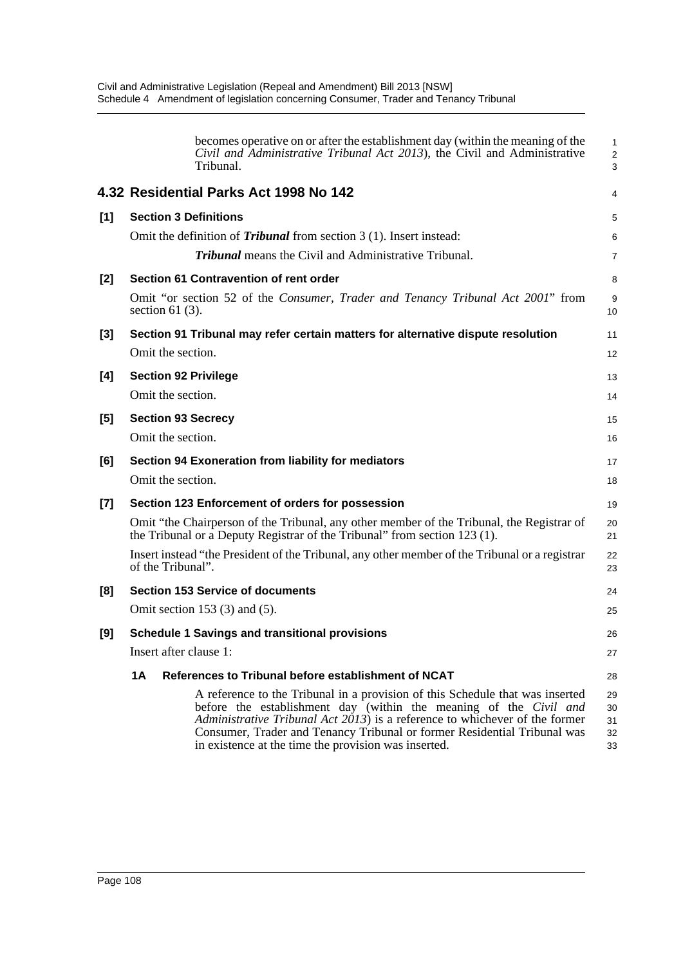|       | becomes operative on or after the establishment day (within the meaning of the<br>Civil and Administrative Tribunal Act 2013), the Civil and Administrative<br>Tribunal.                                                                                                                                                                                              | $\mathbf{1}$<br>$\overline{2}$<br>3 |
|-------|-----------------------------------------------------------------------------------------------------------------------------------------------------------------------------------------------------------------------------------------------------------------------------------------------------------------------------------------------------------------------|-------------------------------------|
|       | 4.32 Residential Parks Act 1998 No 142                                                                                                                                                                                                                                                                                                                                | 4                                   |
| [1]   | <b>Section 3 Definitions</b>                                                                                                                                                                                                                                                                                                                                          | 5                                   |
|       | Omit the definition of <i>Tribunal</i> from section $3(1)$ . Insert instead:                                                                                                                                                                                                                                                                                          | 6                                   |
|       | <b>Tribunal</b> means the Civil and Administrative Tribunal.                                                                                                                                                                                                                                                                                                          | $\overline{7}$                      |
| [2]   | Section 61 Contravention of rent order                                                                                                                                                                                                                                                                                                                                | 8                                   |
|       | Omit "or section 52 of the Consumer, Trader and Tenancy Tribunal Act 2001" from<br>section 61 $(3)$ .                                                                                                                                                                                                                                                                 | 9<br>10                             |
| $[3]$ | Section 91 Tribunal may refer certain matters for alternative dispute resolution                                                                                                                                                                                                                                                                                      | 11                                  |
|       | Omit the section.                                                                                                                                                                                                                                                                                                                                                     | 12                                  |
| [4]   | <b>Section 92 Privilege</b>                                                                                                                                                                                                                                                                                                                                           | 13                                  |
|       | Omit the section.                                                                                                                                                                                                                                                                                                                                                     | 14                                  |
| [5]   | <b>Section 93 Secrecy</b>                                                                                                                                                                                                                                                                                                                                             | 15                                  |
|       | Omit the section.                                                                                                                                                                                                                                                                                                                                                     | 16                                  |
| [6]   | Section 94 Exoneration from liability for mediators                                                                                                                                                                                                                                                                                                                   | 17                                  |
|       | Omit the section.                                                                                                                                                                                                                                                                                                                                                     | 18                                  |
| [7]   | Section 123 Enforcement of orders for possession                                                                                                                                                                                                                                                                                                                      | 19                                  |
|       | Omit "the Chairperson of the Tribunal, any other member of the Tribunal, the Registrar of<br>the Tribunal or a Deputy Registrar of the Tribunal" from section 123 (1).                                                                                                                                                                                                | 20<br>21                            |
|       | Insert instead "the President of the Tribunal, any other member of the Tribunal or a registrar<br>of the Tribunal".                                                                                                                                                                                                                                                   | 22<br>23                            |
| [8]   | <b>Section 153 Service of documents</b>                                                                                                                                                                                                                                                                                                                               | 24                                  |
|       | Omit section 153 $(3)$ and $(5)$ .                                                                                                                                                                                                                                                                                                                                    | 25                                  |
| [9]   | <b>Schedule 1 Savings and transitional provisions</b>                                                                                                                                                                                                                                                                                                                 | 26                                  |
|       | Insert after clause 1:                                                                                                                                                                                                                                                                                                                                                | 27                                  |
|       | 1A<br>References to Tribunal before establishment of NCAT                                                                                                                                                                                                                                                                                                             | 28                                  |
|       | A reference to the Tribunal in a provision of this Schedule that was inserted<br>before the establishment day (within the meaning of the Civil and<br>Administrative Tribunal Act 2013) is a reference to whichever of the former<br>Consumer, Trader and Tenancy Tribunal or former Residential Tribunal was<br>in existence at the time the provision was inserted. | 29<br>30<br>31<br>32<br>33          |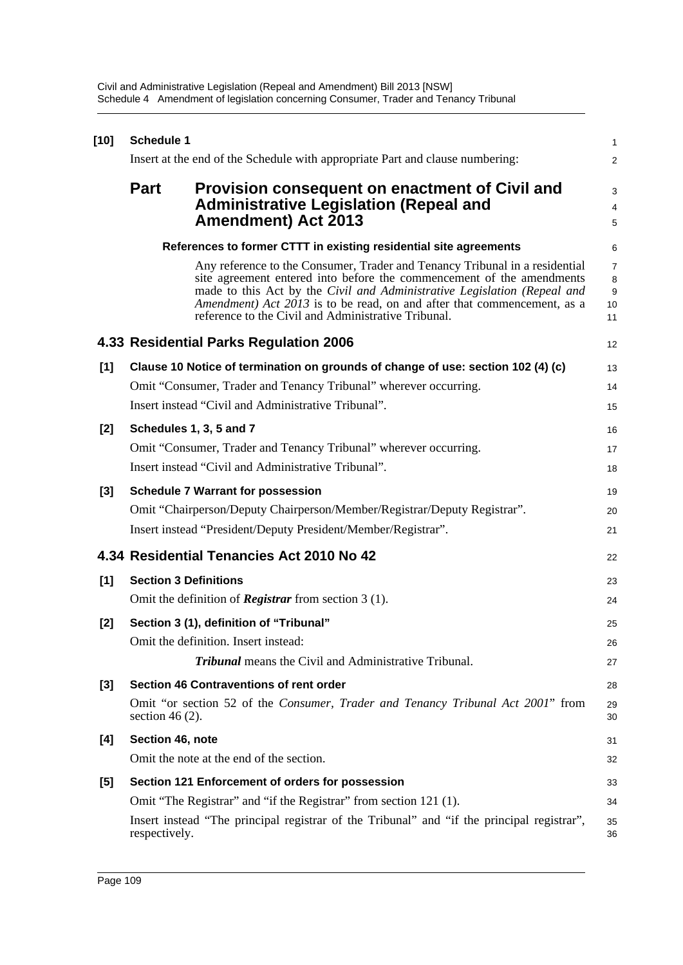| $[10]$ | Schedule 1                   |                                                                                                                                                                                                                                                                                                                                                                    | 1                                    |
|--------|------------------------------|--------------------------------------------------------------------------------------------------------------------------------------------------------------------------------------------------------------------------------------------------------------------------------------------------------------------------------------------------------------------|--------------------------------------|
|        |                              | Insert at the end of the Schedule with appropriate Part and clause numbering:                                                                                                                                                                                                                                                                                      | 2                                    |
|        | <b>Part</b>                  | <b>Provision consequent on enactment of Civil and</b><br><b>Administrative Legislation (Repeal and</b><br><b>Amendment) Act 2013</b>                                                                                                                                                                                                                               | 3<br>4<br>5                          |
|        |                              | References to former CTTT in existing residential site agreements                                                                                                                                                                                                                                                                                                  | 6                                    |
|        |                              | Any reference to the Consumer, Trader and Tenancy Tribunal in a residential<br>site agreement entered into before the commencement of the amendments<br>made to this Act by the Civil and Administrative Legislation (Repeal and<br>Amendment) Act 2013 is to be read, on and after that commencement, as a<br>reference to the Civil and Administrative Tribunal. | $\overline{7}$<br>8<br>9<br>10<br>11 |
|        |                              | 4.33 Residential Parks Regulation 2006                                                                                                                                                                                                                                                                                                                             | 12                                   |
| [1]    |                              | Clause 10 Notice of termination on grounds of change of use: section 102 (4) (c)                                                                                                                                                                                                                                                                                   | 13                                   |
|        |                              | Omit "Consumer, Trader and Tenancy Tribunal" wherever occurring.                                                                                                                                                                                                                                                                                                   | 14                                   |
|        |                              | Insert instead "Civil and Administrative Tribunal".                                                                                                                                                                                                                                                                                                                | 15                                   |
| $[2]$  |                              | Schedules 1, 3, 5 and 7                                                                                                                                                                                                                                                                                                                                            | 16                                   |
|        |                              | Omit "Consumer, Trader and Tenancy Tribunal" wherever occurring.                                                                                                                                                                                                                                                                                                   | 17                                   |
|        |                              | Insert instead "Civil and Administrative Tribunal".                                                                                                                                                                                                                                                                                                                | 18                                   |
| $[3]$  |                              | <b>Schedule 7 Warrant for possession</b>                                                                                                                                                                                                                                                                                                                           | 19                                   |
|        |                              | Omit "Chairperson/Deputy Chairperson/Member/Registrar/Deputy Registrar".                                                                                                                                                                                                                                                                                           | 20                                   |
|        |                              | Insert instead "President/Deputy President/Member/Registrar".                                                                                                                                                                                                                                                                                                      | 21                                   |
|        |                              | 4.34 Residential Tenancies Act 2010 No 42                                                                                                                                                                                                                                                                                                                          | 22                                   |
| [1]    | <b>Section 3 Definitions</b> |                                                                                                                                                                                                                                                                                                                                                                    | 23                                   |
|        |                              | Omit the definition of <b>Registrar</b> from section $3(1)$ .                                                                                                                                                                                                                                                                                                      | 24                                   |
| $[2]$  |                              | Section 3 (1), definition of "Tribunal"                                                                                                                                                                                                                                                                                                                            | 25                                   |
|        |                              | Omit the definition. Insert instead:                                                                                                                                                                                                                                                                                                                               | 26                                   |
|        |                              | <b>Tribunal</b> means the Civil and Administrative Tribunal.                                                                                                                                                                                                                                                                                                       | 27                                   |
| $[3]$  |                              | Section 46 Contraventions of rent order                                                                                                                                                                                                                                                                                                                            | 28                                   |
|        | section 46 $(2)$ .           | Omit "or section 52 of the Consumer, Trader and Tenancy Tribunal Act 2001" from                                                                                                                                                                                                                                                                                    | 29<br>30                             |
| [4]    | Section 46, note             |                                                                                                                                                                                                                                                                                                                                                                    | 31                                   |
|        |                              | Omit the note at the end of the section.                                                                                                                                                                                                                                                                                                                           | 32                                   |
| $[5]$  |                              | Section 121 Enforcement of orders for possession                                                                                                                                                                                                                                                                                                                   | 33                                   |
|        |                              | Omit "The Registrar" and "if the Registrar" from section 121 (1).                                                                                                                                                                                                                                                                                                  | 34                                   |
|        | respectively.                | Insert instead "The principal registrar of the Tribunal" and "if the principal registrar",                                                                                                                                                                                                                                                                         | 35<br>36                             |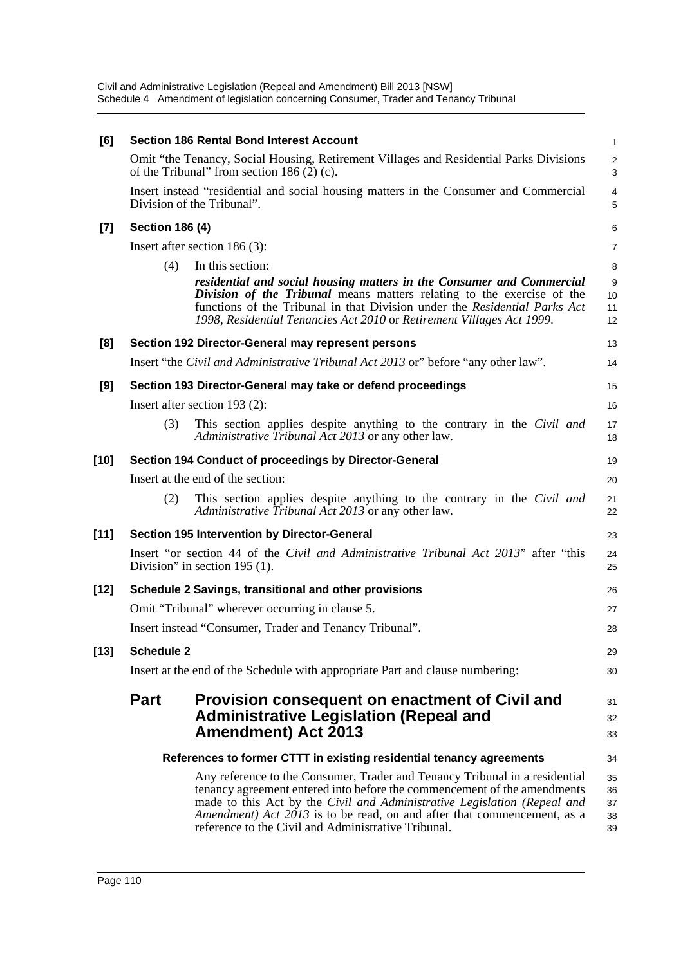| [6]    |                        | <b>Section 186 Rental Bond Interest Account</b>                                                                                                                                                                                                                                                                                                                       | $\mathbf{1}$               |
|--------|------------------------|-----------------------------------------------------------------------------------------------------------------------------------------------------------------------------------------------------------------------------------------------------------------------------------------------------------------------------------------------------------------------|----------------------------|
|        |                        | Omit "the Tenancy, Social Housing, Retirement Villages and Residential Parks Divisions<br>of the Tribunal" from section $186(2)$ (c).                                                                                                                                                                                                                                 | $\sqrt{2}$<br>3            |
|        |                        | Insert instead "residential and social housing matters in the Consumer and Commercial<br>Division of the Tribunal".                                                                                                                                                                                                                                                   | $\overline{4}$<br>5        |
| $[7]$  | <b>Section 186 (4)</b> |                                                                                                                                                                                                                                                                                                                                                                       | 6                          |
|        |                        | Insert after section $186(3)$ :                                                                                                                                                                                                                                                                                                                                       | 7                          |
|        | (4)                    | In this section:                                                                                                                                                                                                                                                                                                                                                      | 8                          |
|        |                        | residential and social housing matters in the Consumer and Commercial<br>Division of the Tribunal means matters relating to the exercise of the<br>functions of the Tribunal in that Division under the Residential Parks Act<br>1998, Residential Tenancies Act 2010 or Retirement Villages Act 1999.                                                                | 9<br>10<br>11<br>12        |
| [8]    |                        | Section 192 Director-General may represent persons                                                                                                                                                                                                                                                                                                                    | 13                         |
|        |                        | Insert "the Civil and Administrative Tribunal Act 2013 or" before "any other law".                                                                                                                                                                                                                                                                                    | 14                         |
| [9]    |                        | Section 193 Director-General may take or defend proceedings                                                                                                                                                                                                                                                                                                           | 15                         |
|        |                        | Insert after section 193 (2):                                                                                                                                                                                                                                                                                                                                         | 16                         |
|        | (3)                    | This section applies despite anything to the contrary in the Civil and<br>Administrative Tribunal Act 2013 or any other law.                                                                                                                                                                                                                                          | 17<br>18                   |
| $[10]$ |                        | Section 194 Conduct of proceedings by Director-General                                                                                                                                                                                                                                                                                                                | 19                         |
|        |                        | Insert at the end of the section:                                                                                                                                                                                                                                                                                                                                     | 20                         |
|        | (2)                    | This section applies despite anything to the contrary in the Civil and<br>Administrative Tribunal Act 2013 or any other law.                                                                                                                                                                                                                                          | 21<br>22                   |
| $[11]$ |                        | Section 195 Intervention by Director-General                                                                                                                                                                                                                                                                                                                          | 23                         |
|        |                        | Insert "or section 44 of the <i>Civil and Administrative Tribunal Act 2013</i> " after "this<br>Division" in section $195$ (1).                                                                                                                                                                                                                                       | 24<br>25                   |
| [12]   |                        | Schedule 2 Savings, transitional and other provisions                                                                                                                                                                                                                                                                                                                 | 26                         |
|        |                        | Omit "Tribunal" wherever occurring in clause 5.                                                                                                                                                                                                                                                                                                                       | 27                         |
|        |                        | Insert instead "Consumer, Trader and Tenancy Tribunal".                                                                                                                                                                                                                                                                                                               | 28                         |
| $[13]$ | <b>Schedule 2</b>      |                                                                                                                                                                                                                                                                                                                                                                       | 29                         |
|        |                        | Insert at the end of the Schedule with appropriate Part and clause numbering:                                                                                                                                                                                                                                                                                         | 30                         |
|        | <b>Part</b>            | Provision consequent on enactment of Civil and<br><b>Administrative Legislation (Repeal and</b><br><b>Amendment) Act 2013</b>                                                                                                                                                                                                                                         | 31<br>32<br>33             |
|        |                        | References to former CTTT in existing residential tenancy agreements                                                                                                                                                                                                                                                                                                  | 34                         |
|        |                        | Any reference to the Consumer, Trader and Tenancy Tribunal in a residential<br>tenancy agreement entered into before the commencement of the amendments<br>made to this Act by the Civil and Administrative Legislation (Repeal and<br>Amendment) Act 2013 is to be read, on and after that commencement, as a<br>reference to the Civil and Administrative Tribunal. | 35<br>36<br>37<br>38<br>39 |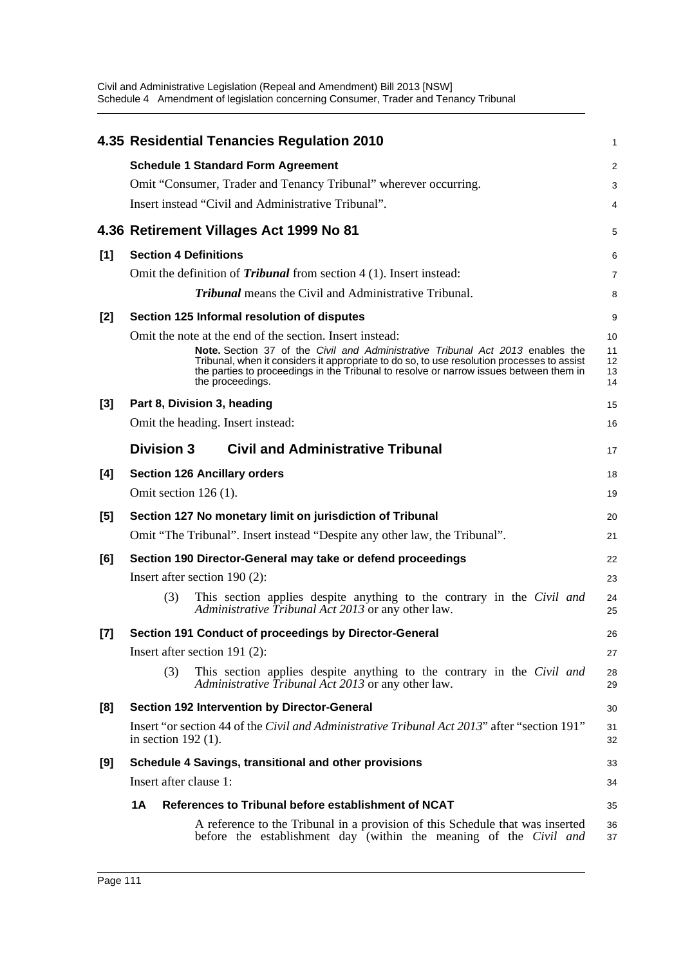|       | 4.35 Residential Tenancies Regulation 2010                                                                                                                                                                                                                                                 | 1                    |
|-------|--------------------------------------------------------------------------------------------------------------------------------------------------------------------------------------------------------------------------------------------------------------------------------------------|----------------------|
|       | <b>Schedule 1 Standard Form Agreement</b>                                                                                                                                                                                                                                                  | $\overline{c}$       |
|       | Omit "Consumer, Trader and Tenancy Tribunal" wherever occurring.                                                                                                                                                                                                                           | 3                    |
|       | Insert instead "Civil and Administrative Tribunal".                                                                                                                                                                                                                                        | 4                    |
|       | 4.36 Retirement Villages Act 1999 No 81                                                                                                                                                                                                                                                    | 5                    |
| [1]   | <b>Section 4 Definitions</b>                                                                                                                                                                                                                                                               | 6                    |
|       | Omit the definition of <i>Tribunal</i> from section 4 (1). Insert instead:                                                                                                                                                                                                                 | 7                    |
|       | <b>Tribunal</b> means the Civil and Administrative Tribunal.                                                                                                                                                                                                                               | 8                    |
| [2]   | Section 125 Informal resolution of disputes                                                                                                                                                                                                                                                | 9                    |
|       | Omit the note at the end of the section. Insert instead:                                                                                                                                                                                                                                   | 10                   |
|       | Note. Section 37 of the Civil and Administrative Tribunal Act 2013 enables the<br>Tribunal, when it considers it appropriate to do so, to use resolution processes to assist<br>the parties to proceedings in the Tribunal to resolve or narrow issues between them in<br>the proceedings. | 11<br>12<br>13<br>14 |
| $[3]$ | Part 8, Division 3, heading                                                                                                                                                                                                                                                                | 15                   |
|       | Omit the heading. Insert instead:                                                                                                                                                                                                                                                          | 16                   |
|       | <b>Division 3</b><br><b>Civil and Administrative Tribunal</b>                                                                                                                                                                                                                              | 17                   |
| [4]   | <b>Section 126 Ancillary orders</b>                                                                                                                                                                                                                                                        | 18                   |
|       | Omit section $126(1)$ .                                                                                                                                                                                                                                                                    | 19                   |
| [5]   | Section 127 No monetary limit on jurisdiction of Tribunal                                                                                                                                                                                                                                  | 20                   |
|       | Omit "The Tribunal". Insert instead "Despite any other law, the Tribunal".                                                                                                                                                                                                                 | 21                   |
| [6]   | Section 190 Director-General may take or defend proceedings                                                                                                                                                                                                                                | 22                   |
|       | Insert after section $190(2)$ :                                                                                                                                                                                                                                                            | 23                   |
|       | (3)<br>This section applies despite anything to the contrary in the Civil and<br>Administrative Tribunal Act 2013 or any other law.                                                                                                                                                        | 24<br>25             |
| [7]   | Section 191 Conduct of proceedings by Director-General                                                                                                                                                                                                                                     | 26                   |
|       | Insert after section 191 (2):                                                                                                                                                                                                                                                              | 27                   |
|       | This section applies despite anything to the contrary in the Civil and<br>(3)<br>Administrative Tribunal Act 2013 or any other law.                                                                                                                                                        | 28<br>29             |
| [8]   | Section 192 Intervention by Director-General                                                                                                                                                                                                                                               | 30                   |
|       | Insert "or section 44 of the Civil and Administrative Tribunal Act 2013" after "section 191"<br>in section $192(1)$ .                                                                                                                                                                      | 31<br>32             |
| [9]   | Schedule 4 Savings, transitional and other provisions                                                                                                                                                                                                                                      | 33                   |
|       | Insert after clause 1:                                                                                                                                                                                                                                                                     | 34                   |
|       | 1A<br>References to Tribunal before establishment of NCAT                                                                                                                                                                                                                                  | 35                   |
|       | A reference to the Tribunal in a provision of this Schedule that was inserted<br>before the establishment day (within the meaning of the Civil and                                                                                                                                         | 36<br>37             |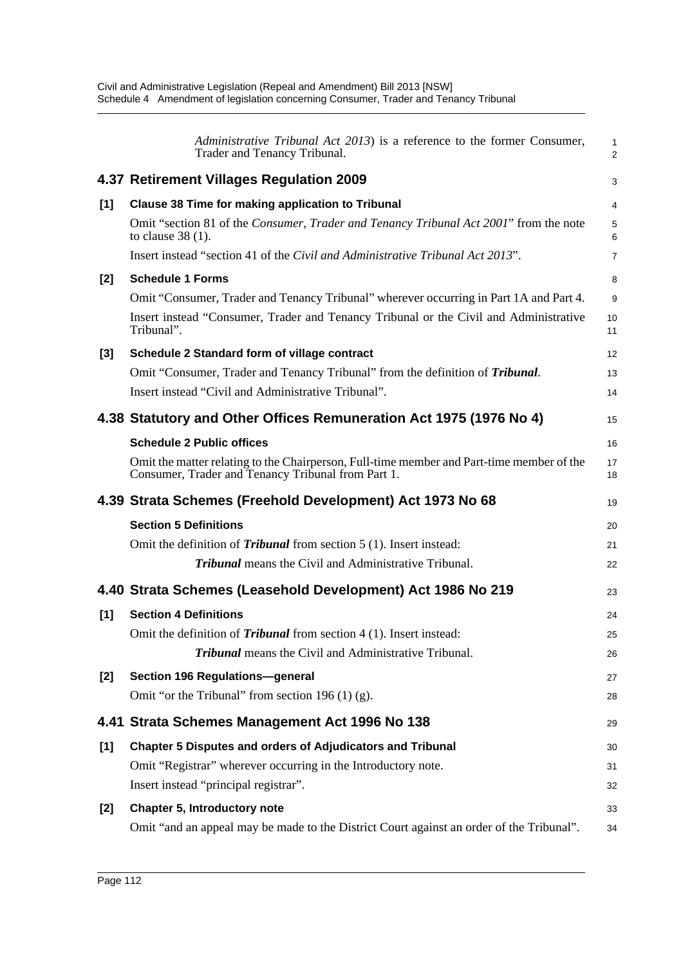|       | Administrative Tribunal Act 2013) is a reference to the former Consumer,<br>Trader and Tenancy Tribunal.                                        | $\mathbf{1}$<br>$\overline{2}$ |
|-------|-------------------------------------------------------------------------------------------------------------------------------------------------|--------------------------------|
|       | 4.37 Retirement Villages Regulation 2009                                                                                                        | 3                              |
| [1]   | <b>Clause 38 Time for making application to Tribunal</b>                                                                                        | 4                              |
|       | Omit "section 81 of the Consumer, Trader and Tenancy Tribunal Act 2001" from the note<br>to clause $38(1)$ .                                    | 5<br>6                         |
|       | Insert instead "section 41 of the Civil and Administrative Tribunal Act 2013".                                                                  | $\overline{7}$                 |
| $[2]$ | <b>Schedule 1 Forms</b>                                                                                                                         | 8                              |
|       | Omit "Consumer, Trader and Tenancy Tribunal" wherever occurring in Part 1A and Part 4.                                                          | 9                              |
|       | Insert instead "Consumer, Trader and Tenancy Tribunal or the Civil and Administrative<br>Tribunal".                                             | 10<br>11                       |
| $[3]$ | Schedule 2 Standard form of village contract                                                                                                    | 12                             |
|       | Omit "Consumer, Trader and Tenancy Tribunal" from the definition of <b>Tribunal</b> .                                                           | 13                             |
|       | Insert instead "Civil and Administrative Tribunal".                                                                                             | 14                             |
|       | 4.38 Statutory and Other Offices Remuneration Act 1975 (1976 No 4)                                                                              | 15                             |
|       | <b>Schedule 2 Public offices</b>                                                                                                                | 16                             |
|       | Omit the matter relating to the Chairperson, Full-time member and Part-time member of the<br>Consumer, Trader and Tenancy Tribunal from Part 1. | 17<br>18                       |
|       |                                                                                                                                                 |                                |
|       | 4.39 Strata Schemes (Freehold Development) Act 1973 No 68                                                                                       | 19                             |
|       | <b>Section 5 Definitions</b>                                                                                                                    | 20                             |
|       | Omit the definition of <i>Tribunal</i> from section 5 (1). Insert instead:                                                                      | 21                             |
|       | <b>Tribunal</b> means the Civil and Administrative Tribunal.                                                                                    | 22                             |
|       | 4.40 Strata Schemes (Leasehold Development) Act 1986 No 219                                                                                     | 23                             |
| [1]   | <b>Section 4 Definitions</b>                                                                                                                    | 24                             |
|       | Omit the definition of <i>Tribunal</i> from section 4 (1). Insert instead:                                                                      | 25                             |
|       | Tribunal means the Civil and Administrative Tribunal.                                                                                           | 26                             |
| $[2]$ | Section 196 Regulations-general                                                                                                                 | 27                             |
|       | Omit "or the Tribunal" from section 196 $(1)$ (g).                                                                                              | 28                             |
|       | 4.41 Strata Schemes Management Act 1996 No 138                                                                                                  | 29                             |
| [1]   | Chapter 5 Disputes and orders of Adjudicators and Tribunal                                                                                      | 30                             |
|       | Omit "Registrar" wherever occurring in the Introductory note.                                                                                   | 31                             |
|       | Insert instead "principal registrar".                                                                                                           | 32                             |
| $[2]$ | <b>Chapter 5, Introductory note</b>                                                                                                             | 33                             |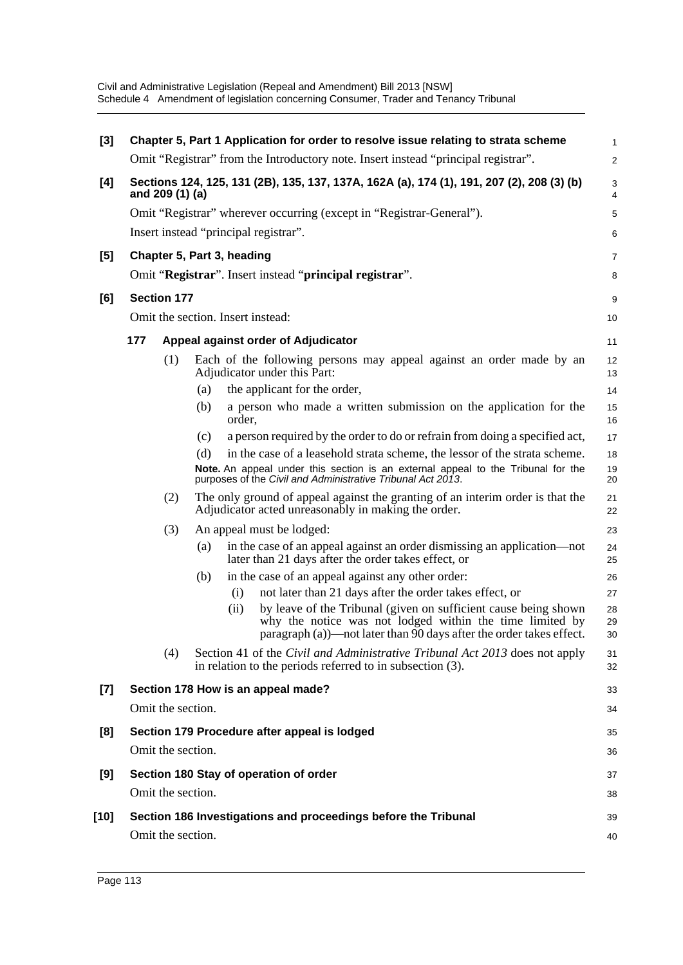| $[3]$                                                                                                               |                                       |                    |                   |        | Chapter 5, Part 1 Application for order to resolve issue relating to strata scheme                                                                                                                 | 1              |  |  |  |
|---------------------------------------------------------------------------------------------------------------------|---------------------------------------|--------------------|-------------------|--------|----------------------------------------------------------------------------------------------------------------------------------------------------------------------------------------------------|----------------|--|--|--|
|                                                                                                                     |                                       |                    |                   |        | Omit "Registrar" from the Introductory note. Insert instead "principal registrar".                                                                                                                 | $\overline{c}$ |  |  |  |
| Sections 124, 125, 131 (2B), 135, 137, 137A, 162A (a), 174 (1), 191, 207 (2), 208 (3) (b)<br>[4]<br>and 209 (1) (a) |                                       |                    |                   |        |                                                                                                                                                                                                    |                |  |  |  |
|                                                                                                                     |                                       |                    |                   |        | Omit "Registrar" wherever occurring (except in "Registrar-General").                                                                                                                               | 5              |  |  |  |
|                                                                                                                     | Insert instead "principal registrar". |                    |                   |        |                                                                                                                                                                                                    |                |  |  |  |
| [5]                                                                                                                 | Chapter 5, Part 3, heading            |                    |                   |        |                                                                                                                                                                                                    |                |  |  |  |
|                                                                                                                     |                                       |                    |                   |        | Omit "Registrar". Insert instead "principal registrar".                                                                                                                                            | 8              |  |  |  |
| [6]                                                                                                                 |                                       | <b>Section 177</b> |                   |        |                                                                                                                                                                                                    | 9              |  |  |  |
|                                                                                                                     |                                       |                    |                   |        | Omit the section. Insert instead:                                                                                                                                                                  | 10             |  |  |  |
|                                                                                                                     | 177                                   |                    |                   |        | Appeal against order of Adjudicator                                                                                                                                                                | 11             |  |  |  |
|                                                                                                                     |                                       | (1)                |                   |        | Each of the following persons may appeal against an order made by an<br>Adjudicator under this Part:                                                                                               | 12<br>13       |  |  |  |
|                                                                                                                     |                                       |                    | (a)               |        | the applicant for the order,                                                                                                                                                                       | 14             |  |  |  |
|                                                                                                                     |                                       |                    | (b)               | order, | a person who made a written submission on the application for the                                                                                                                                  | 15<br>16       |  |  |  |
|                                                                                                                     |                                       |                    | (c)               |        | a person required by the order to do or refrain from doing a specified act,                                                                                                                        | 17             |  |  |  |
|                                                                                                                     |                                       |                    | (d)               |        | in the case of a leasehold strata scheme, the lessor of the strata scheme.                                                                                                                         | 18             |  |  |  |
|                                                                                                                     |                                       |                    |                   |        | Note. An appeal under this section is an external appeal to the Tribunal for the<br>purposes of the Civil and Administrative Tribunal Act 2013.                                                    | 19<br>20       |  |  |  |
|                                                                                                                     |                                       | (2)                |                   |        | The only ground of appeal against the granting of an interim order is that the<br>Adjudicator acted unreasonably in making the order.                                                              | 21<br>22       |  |  |  |
|                                                                                                                     |                                       | (3)                |                   |        | An appeal must be lodged:                                                                                                                                                                          | 23             |  |  |  |
|                                                                                                                     |                                       |                    | (a)               |        | in the case of an appeal against an order dismissing an application—not<br>later than 21 days after the order takes effect, or                                                                     | 24<br>25       |  |  |  |
|                                                                                                                     |                                       |                    | (b)               |        | in the case of an appeal against any other order:                                                                                                                                                  | 26             |  |  |  |
|                                                                                                                     |                                       |                    |                   | (i)    | not later than 21 days after the order takes effect, or                                                                                                                                            | 27             |  |  |  |
|                                                                                                                     |                                       |                    |                   | (ii)   | by leave of the Tribunal (given on sufficient cause being shown<br>why the notice was not lodged within the time limited by<br>paragraph (a))—not later than 90 days after the order takes effect. | 28<br>29<br>30 |  |  |  |
|                                                                                                                     |                                       | (4)                |                   |        | Section 41 of the Civil and Administrative Tribunal Act 2013 does not apply<br>in relation to the periods referred to in subsection (3).                                                           | 31<br>32       |  |  |  |
| $[7]$                                                                                                               |                                       |                    |                   |        | Section 178 How is an appeal made?                                                                                                                                                                 | 33             |  |  |  |
|                                                                                                                     |                                       | Omit the section.  |                   |        |                                                                                                                                                                                                    | 34             |  |  |  |
| [8]                                                                                                                 |                                       |                    |                   |        | Section 179 Procedure after appeal is lodged                                                                                                                                                       | 35             |  |  |  |
|                                                                                                                     |                                       | Omit the section.  |                   |        |                                                                                                                                                                                                    | 36             |  |  |  |
| [9]                                                                                                                 |                                       |                    |                   |        | Section 180 Stay of operation of order                                                                                                                                                             | 37             |  |  |  |
|                                                                                                                     |                                       |                    | Omit the section. |        |                                                                                                                                                                                                    | 38             |  |  |  |
| $[10]$                                                                                                              |                                       |                    |                   |        | Section 186 Investigations and proceedings before the Tribunal                                                                                                                                     | 39             |  |  |  |
|                                                                                                                     |                                       | Omit the section.  |                   |        |                                                                                                                                                                                                    | 40             |  |  |  |
|                                                                                                                     |                                       |                    |                   |        |                                                                                                                                                                                                    |                |  |  |  |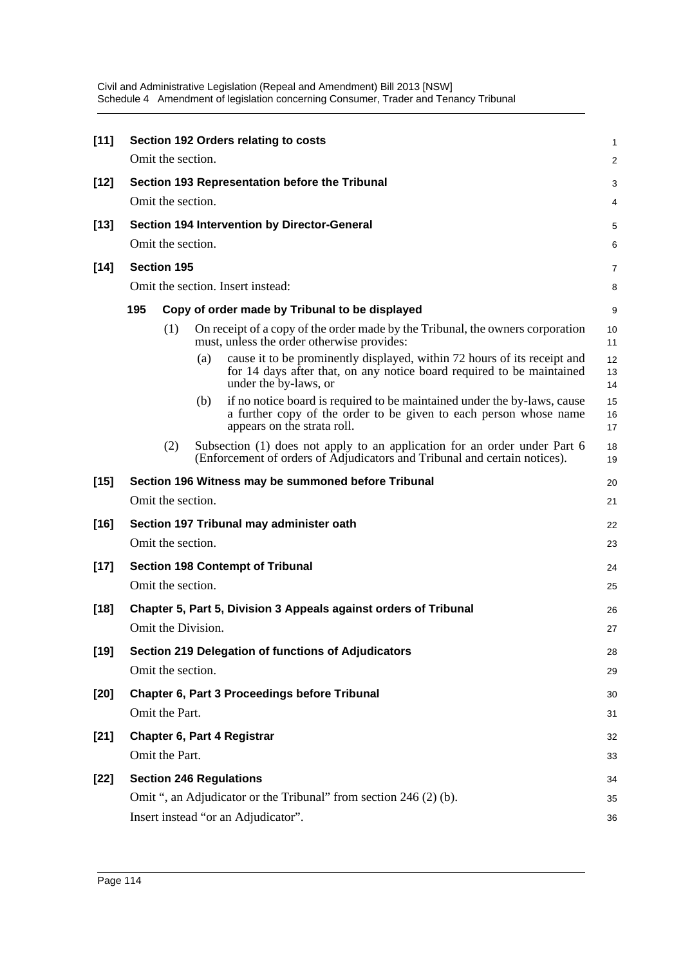| $[11]$ | Section 192 Orders relating to costs           |                    |                    |                                                                                                                                                                              |                |  |  |  |  |
|--------|------------------------------------------------|--------------------|--------------------|------------------------------------------------------------------------------------------------------------------------------------------------------------------------------|----------------|--|--|--|--|
|        | Omit the section.                              |                    |                    |                                                                                                                                                                              |                |  |  |  |  |
| $[12]$ | Section 193 Representation before the Tribunal |                    |                    |                                                                                                                                                                              |                |  |  |  |  |
|        |                                                | Omit the section.  |                    |                                                                                                                                                                              | 4              |  |  |  |  |
| $[13]$ | Section 194 Intervention by Director-General   |                    |                    |                                                                                                                                                                              |                |  |  |  |  |
|        | Omit the section.                              |                    |                    |                                                                                                                                                                              |                |  |  |  |  |
| $[14]$ |                                                | <b>Section 195</b> |                    |                                                                                                                                                                              | 7              |  |  |  |  |
|        |                                                |                    |                    | Omit the section. Insert instead:                                                                                                                                            | 8              |  |  |  |  |
|        | 195                                            |                    |                    | Copy of order made by Tribunal to be displayed                                                                                                                               | 9              |  |  |  |  |
|        |                                                | (1)                |                    | On receipt of a copy of the order made by the Tribunal, the owners corporation<br>must, unless the order otherwise provides:                                                 | 10<br>11       |  |  |  |  |
|        |                                                |                    | (a)                | cause it to be prominently displayed, within 72 hours of its receipt and<br>for 14 days after that, on any notice board required to be maintained<br>under the by-laws, or   | 12<br>13<br>14 |  |  |  |  |
|        |                                                |                    | (b)                | if no notice board is required to be maintained under the by-laws, cause<br>a further copy of the order to be given to each person whose name<br>appears on the strata roll. | 15<br>16<br>17 |  |  |  |  |
|        |                                                | (2)                |                    | Subsection (1) does not apply to an application for an order under Part 6<br>(Enforcement of orders of Adjudicators and Tribunal and certain notices).                       | 18<br>19       |  |  |  |  |
| $[15]$ |                                                |                    |                    | Section 196 Witness may be summoned before Tribunal                                                                                                                          | 20             |  |  |  |  |
|        |                                                | Omit the section.  |                    |                                                                                                                                                                              | 21             |  |  |  |  |
| $[16]$ |                                                |                    |                    | Section 197 Tribunal may administer oath                                                                                                                                     | 22             |  |  |  |  |
|        |                                                | Omit the section.  |                    |                                                                                                                                                                              | 23             |  |  |  |  |
| $[17]$ |                                                |                    |                    | <b>Section 198 Contempt of Tribunal</b>                                                                                                                                      | 24             |  |  |  |  |
|        |                                                | Omit the section.  |                    |                                                                                                                                                                              | 25             |  |  |  |  |
| $[18]$ |                                                |                    |                    | Chapter 5, Part 5, Division 3 Appeals against orders of Tribunal                                                                                                             | 26             |  |  |  |  |
|        |                                                |                    | Omit the Division. |                                                                                                                                                                              | 27             |  |  |  |  |
| $[19]$ |                                                |                    |                    | Section 219 Delegation of functions of Adjudicators                                                                                                                          | 28             |  |  |  |  |
|        |                                                | Omit the section.  |                    |                                                                                                                                                                              | 29             |  |  |  |  |
| $[20]$ |                                                |                    |                    | Chapter 6, Part 3 Proceedings before Tribunal                                                                                                                                | 30             |  |  |  |  |
|        |                                                | Omit the Part.     |                    |                                                                                                                                                                              | 31             |  |  |  |  |
| $[21]$ |                                                |                    |                    | Chapter 6, Part 4 Registrar                                                                                                                                                  | 32             |  |  |  |  |
|        |                                                | Omit the Part.     |                    |                                                                                                                                                                              | 33             |  |  |  |  |
| $[22]$ |                                                |                    |                    | <b>Section 246 Regulations</b>                                                                                                                                               | 34             |  |  |  |  |
|        |                                                |                    |                    | Omit ", an Adjudicator or the Tribunal" from section 246 (2) (b).                                                                                                            | 35             |  |  |  |  |
|        | Insert instead "or an Adjudicator".<br>36      |                    |                    |                                                                                                                                                                              |                |  |  |  |  |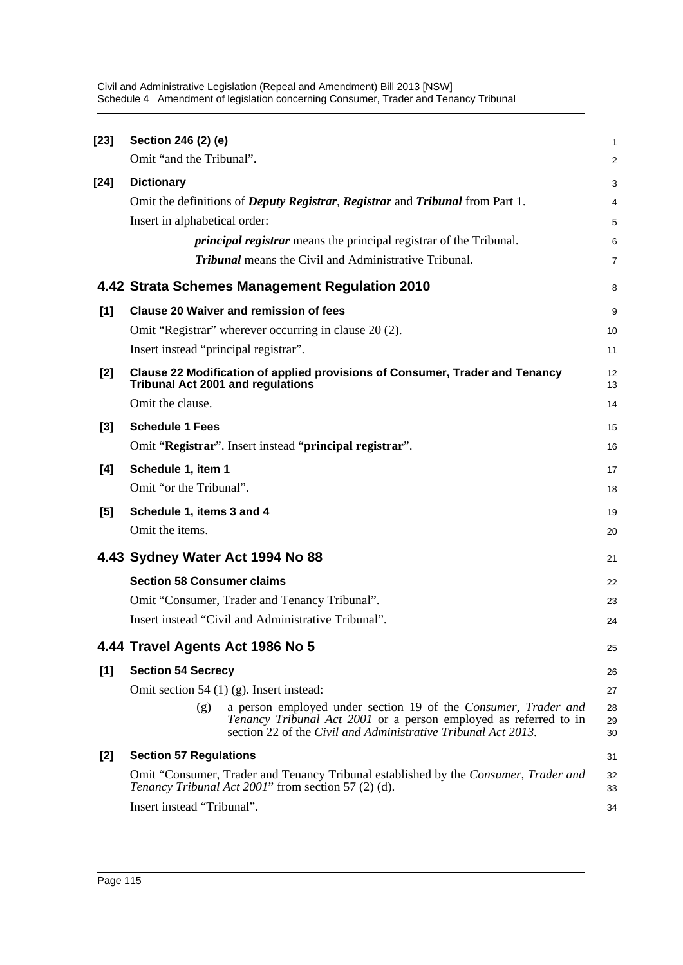| $[23]$ | Section 246 (2) (e)                                                                                                                                                                                        | 1              |
|--------|------------------------------------------------------------------------------------------------------------------------------------------------------------------------------------------------------------|----------------|
|        | Omit "and the Tribunal".                                                                                                                                                                                   | 2              |
| $[24]$ | <b>Dictionary</b>                                                                                                                                                                                          | 3              |
|        | Omit the definitions of <i>Deputy Registrar</i> , <i>Registrar</i> and <i>Tribunal</i> from Part 1.                                                                                                        | 4              |
|        | Insert in alphabetical order:                                                                                                                                                                              | 5              |
|        | <i>principal registrar</i> means the principal registrar of the Tribunal.                                                                                                                                  | 6              |
|        | <b>Tribunal</b> means the Civil and Administrative Tribunal.                                                                                                                                               | 7              |
|        | 4.42 Strata Schemes Management Regulation 2010                                                                                                                                                             | 8              |
| [1]    | <b>Clause 20 Waiver and remission of fees</b>                                                                                                                                                              | 9              |
|        | Omit "Registrar" wherever occurring in clause 20 (2).                                                                                                                                                      | 10             |
|        | Insert instead "principal registrar".                                                                                                                                                                      | 11             |
| [2]    | Clause 22 Modification of applied provisions of Consumer, Trader and Tenancy<br><b>Tribunal Act 2001 and regulations</b>                                                                                   | 12<br>13       |
|        | Omit the clause.                                                                                                                                                                                           | 14             |
| $[3]$  | <b>Schedule 1 Fees</b>                                                                                                                                                                                     | 15             |
|        | Omit "Registrar". Insert instead "principal registrar".                                                                                                                                                    | 16             |
| [4]    | Schedule 1, item 1                                                                                                                                                                                         | 17             |
|        | Omit "or the Tribunal".                                                                                                                                                                                    | 18             |
| [5]    | Schedule 1, items 3 and 4                                                                                                                                                                                  | 19             |
|        | Omit the items.                                                                                                                                                                                            | 20             |
|        | 4.43 Sydney Water Act 1994 No 88                                                                                                                                                                           | 21             |
|        | <b>Section 58 Consumer claims</b>                                                                                                                                                                          | 22             |
|        | Omit "Consumer, Trader and Tenancy Tribunal".                                                                                                                                                              | 23             |
|        | Insert instead "Civil and Administrative Tribunal".                                                                                                                                                        | 24             |
|        | 4.44 Travel Agents Act 1986 No 5                                                                                                                                                                           | 25             |
| [1]    | <b>Section 54 Secrecy</b>                                                                                                                                                                                  | 26             |
|        | Omit section 54 $(1)$ (g). Insert instead:                                                                                                                                                                 | 27             |
|        | a person employed under section 19 of the Consumer, Trader and<br>(g)<br>Tenancy Tribunal Act 2001 or a person employed as referred to in<br>section 22 of the Civil and Administrative Tribunal Act 2013. | 28<br>29<br>30 |
| $[2]$  | <b>Section 57 Regulations</b>                                                                                                                                                                              | 31             |
|        | Omit "Consumer, Trader and Tenancy Tribunal established by the Consumer, Trader and<br>Tenancy Tribunal Act 2001" from section 57 (2) (d).                                                                 | 32<br>33       |
|        | Insert instead "Tribunal".                                                                                                                                                                                 | 34             |
|        |                                                                                                                                                                                                            |                |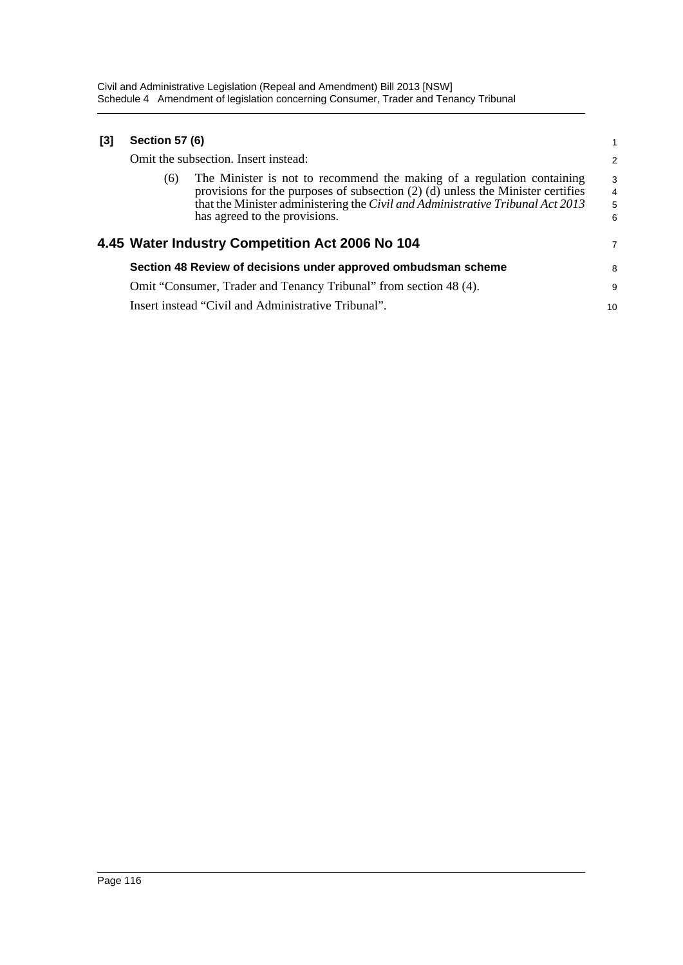| $[3]$ | <b>Section 57 (6)</b><br>Omit the subsection. Insert instead: |                                                                                                                                                                                                                                                                                |                                                 |  |  |
|-------|---------------------------------------------------------------|--------------------------------------------------------------------------------------------------------------------------------------------------------------------------------------------------------------------------------------------------------------------------------|-------------------------------------------------|--|--|
|       |                                                               |                                                                                                                                                                                                                                                                                |                                                 |  |  |
|       | (6)                                                           | The Minister is not to recommend the making of a regulation containing<br>provisions for the purposes of subsection $(2)$ (d) unless the Minister certifies<br>that the Minister administering the Civil and Administrative Tribunal Act 2013<br>has agreed to the provisions. | $\begin{array}{c} 3 \\ 4 \\ 5 \end{array}$<br>6 |  |  |
|       |                                                               | 4.45 Water Industry Competition Act 2006 No 104                                                                                                                                                                                                                                | 7                                               |  |  |
|       |                                                               | Section 48 Review of decisions under approved ombudsman scheme                                                                                                                                                                                                                 | 8                                               |  |  |
|       |                                                               | Omit "Consumer, Trader and Tenancy Tribunal" from section 48 (4).                                                                                                                                                                                                              | 9                                               |  |  |
|       |                                                               | Insert instead "Civil and Administrative Tribunal".                                                                                                                                                                                                                            | 10                                              |  |  |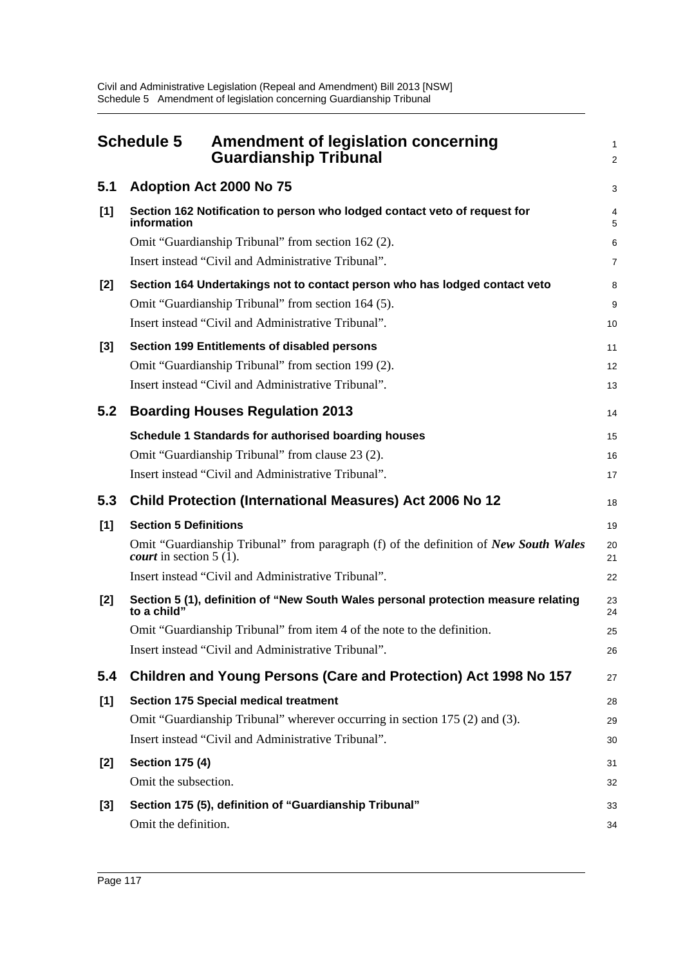|     | <b>Schedule 5</b><br><b>Amendment of legislation concerning</b><br><b>Guardianship Tribunal</b>                                     | 1<br>$\overline{a}$ |
|-----|-------------------------------------------------------------------------------------------------------------------------------------|---------------------|
| 5.1 | <b>Adoption Act 2000 No 75</b>                                                                                                      | 3                   |
| [1] | Section 162 Notification to person who lodged contact veto of request for<br>information                                            | 4<br>5              |
|     | Omit "Guardianship Tribunal" from section 162 (2).                                                                                  | 6                   |
|     | Insert instead "Civil and Administrative Tribunal".                                                                                 | 7                   |
| [2] | Section 164 Undertakings not to contact person who has lodged contact veto                                                          | 8                   |
|     | Omit "Guardianship Tribunal" from section 164 (5).                                                                                  | 9                   |
|     | Insert instead "Civil and Administrative Tribunal".                                                                                 | 10                  |
| [3] | Section 199 Entitlements of disabled persons                                                                                        | 11                  |
|     | Omit "Guardianship Tribunal" from section 199 (2).                                                                                  | 12                  |
|     | Insert instead "Civil and Administrative Tribunal".                                                                                 | 13                  |
| 5.2 | <b>Boarding Houses Regulation 2013</b>                                                                                              | 14                  |
|     | Schedule 1 Standards for authorised boarding houses                                                                                 | 15                  |
|     | Omit "Guardianship Tribunal" from clause 23 (2).                                                                                    | 16                  |
|     | Insert instead "Civil and Administrative Tribunal".                                                                                 | 17                  |
| 5.3 | <b>Child Protection (International Measures) Act 2006 No 12</b>                                                                     | 18                  |
| [1] | <b>Section 5 Definitions</b>                                                                                                        | 19                  |
|     | Omit "Guardianship Tribunal" from paragraph (f) of the definition of New South Wales<br><i>court</i> in section $5(\overline{1})$ . | 20<br>21            |
|     | Insert instead "Civil and Administrative Tribunal".                                                                                 | 22                  |
| [2] | Section 5 (1), definition of "New South Wales personal protection measure relating<br>to a child"                                   | 23<br>24            |
|     | Omit "Guardianship Tribunal" from item 4 of the note to the definition.                                                             | 25                  |
|     | Insert instead "Civil and Administrative Tribunal".                                                                                 | 26                  |
| 5.4 | Children and Young Persons (Care and Protection) Act 1998 No 157                                                                    | 27                  |
| [1] | <b>Section 175 Special medical treatment</b>                                                                                        | 28                  |
|     | Omit "Guardianship Tribunal" wherever occurring in section 175 (2) and (3).                                                         | 29                  |
|     | Insert instead "Civil and Administrative Tribunal".                                                                                 | 30                  |
| [2] | <b>Section 175 (4)</b>                                                                                                              | 31                  |
|     | Omit the subsection.                                                                                                                | 32                  |
| [3] | Section 175 (5), definition of "Guardianship Tribunal"                                                                              | 33                  |
|     | Omit the definition.                                                                                                                | 34                  |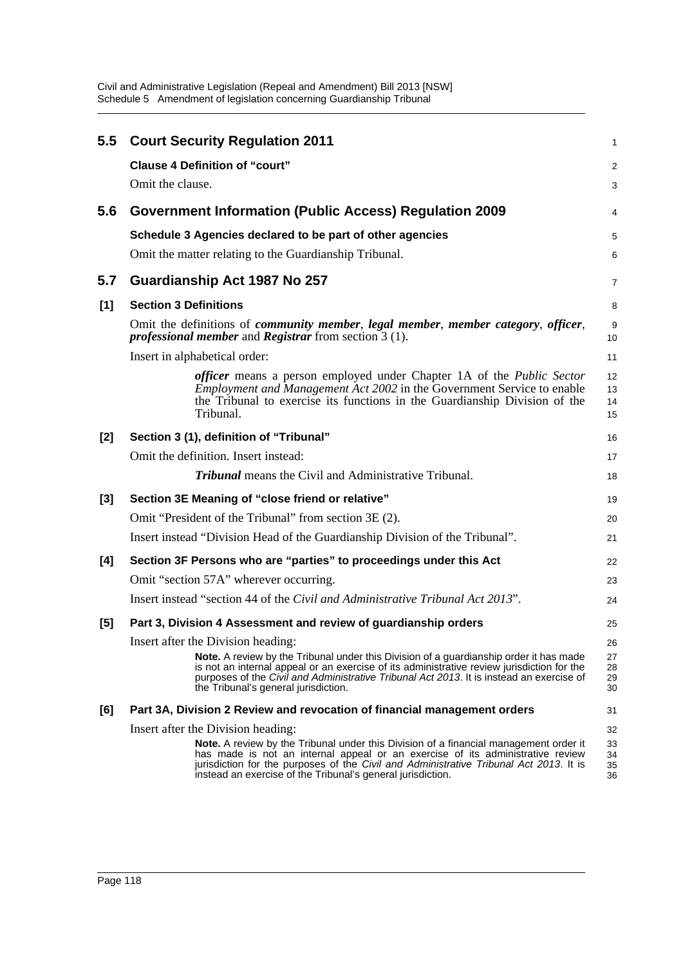| $5.5\,$ | <b>Court Security Regulation 2011</b>                                                                                                                                                                                                                                                                                                   | 1                    |
|---------|-----------------------------------------------------------------------------------------------------------------------------------------------------------------------------------------------------------------------------------------------------------------------------------------------------------------------------------------|----------------------|
|         | <b>Clause 4 Definition of "court"</b>                                                                                                                                                                                                                                                                                                   | $\overline{c}$       |
|         | Omit the clause.                                                                                                                                                                                                                                                                                                                        | 3                    |
| 5.6     | <b>Government Information (Public Access) Regulation 2009</b>                                                                                                                                                                                                                                                                           | 4                    |
|         | Schedule 3 Agencies declared to be part of other agencies                                                                                                                                                                                                                                                                               | 5                    |
|         | Omit the matter relating to the Guardianship Tribunal.                                                                                                                                                                                                                                                                                  | 6                    |
| 5.7     | Guardianship Act 1987 No 257                                                                                                                                                                                                                                                                                                            | 7                    |
| $[1]$   | <b>Section 3 Definitions</b>                                                                                                                                                                                                                                                                                                            | 8                    |
|         | Omit the definitions of <i>community member</i> , <i>legal member</i> , <i>member category</i> , <i>officer</i> ,<br><i>professional member</i> and <i>Registrar</i> from section $3(1)$ .                                                                                                                                              | 9<br>10              |
|         | Insert in alphabetical order:                                                                                                                                                                                                                                                                                                           | 11                   |
|         | <i>officer</i> means a person employed under Chapter 1A of the <i>Public Sector</i><br><i>Employment and Management Act 2002</i> in the Government Service to enable<br>the Tribunal to exercise its functions in the Guardianship Division of the<br>Tribunal.                                                                         | 12<br>13<br>14<br>15 |
| [2]     | Section 3 (1), definition of "Tribunal"                                                                                                                                                                                                                                                                                                 | 16                   |
|         | Omit the definition. Insert instead:                                                                                                                                                                                                                                                                                                    | 17                   |
|         | <b>Tribunal</b> means the Civil and Administrative Tribunal.                                                                                                                                                                                                                                                                            | 18                   |
| $[3]$   | Section 3E Meaning of "close friend or relative"                                                                                                                                                                                                                                                                                        | 19                   |
|         | Omit "President of the Tribunal" from section 3E (2).                                                                                                                                                                                                                                                                                   | 20                   |
|         | Insert instead "Division Head of the Guardianship Division of the Tribunal".                                                                                                                                                                                                                                                            | 21                   |
| [4]     | Section 3F Persons who are "parties" to proceedings under this Act                                                                                                                                                                                                                                                                      | 22                   |
|         | Omit "section 57A" wherever occurring.                                                                                                                                                                                                                                                                                                  | 23                   |
|         | Insert instead "section 44 of the Civil and Administrative Tribunal Act 2013".                                                                                                                                                                                                                                                          | 24                   |
| [5]     | Part 3, Division 4 Assessment and review of guardianship orders                                                                                                                                                                                                                                                                         | 25                   |
|         | Insert after the Division heading:                                                                                                                                                                                                                                                                                                      | 26                   |
|         | <b>Note.</b> A review by the Tribunal under this Division of a guardianship order it has made<br>is not an internal appeal or an exercise of its administrative review jurisdiction for the<br>purposes of the Civil and Administrative Tribunal Act 2013. It is instead an exercise of<br>the Tribunal's general jurisdiction.         | 27<br>28<br>29<br>30 |
| [6]     | Part 3A, Division 2 Review and revocation of financial management orders                                                                                                                                                                                                                                                                | 31                   |
|         | Insert after the Division heading:                                                                                                                                                                                                                                                                                                      | 32                   |
|         | <b>Note.</b> A review by the Tribunal under this Division of a financial management order it<br>has made is not an internal appeal or an exercise of its administrative review<br>jurisdiction for the purposes of the Civil and Administrative Tribunal Act 2013. It is<br>instead an exercise of the Tribunal's general jurisdiction. | 33<br>34<br>35<br>36 |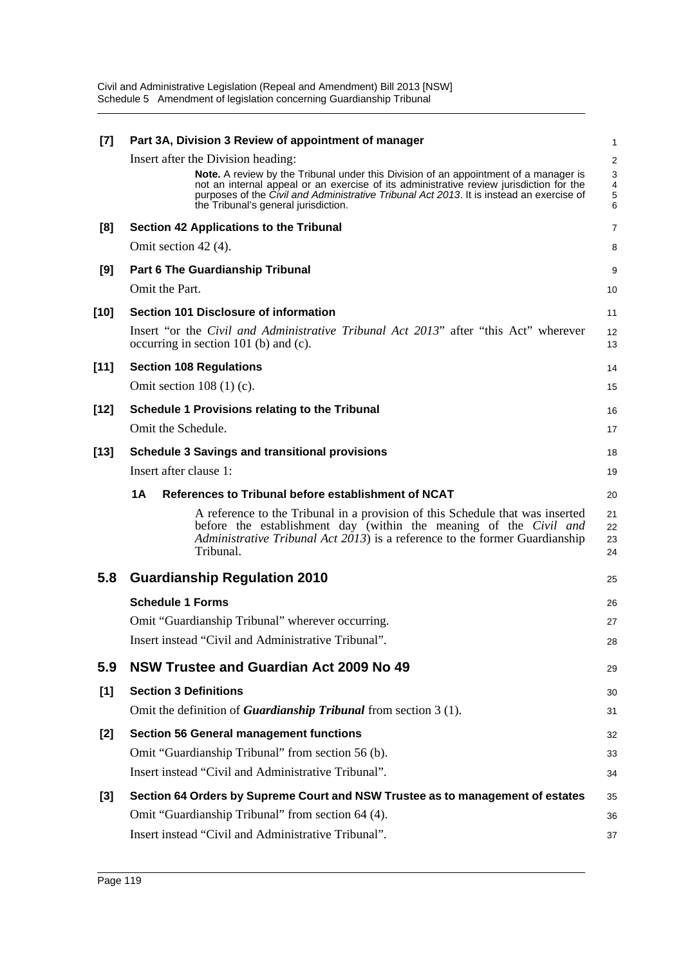| $[7]$  | Part 3A, Division 3 Review of appointment of manager                                                                                                                                                                                                                                                                       | 1                       |
|--------|----------------------------------------------------------------------------------------------------------------------------------------------------------------------------------------------------------------------------------------------------------------------------------------------------------------------------|-------------------------|
|        | Insert after the Division heading:                                                                                                                                                                                                                                                                                         | $\overline{\mathbf{c}}$ |
|        | <b>Note.</b> A review by the Tribunal under this Division of an appointment of a manager is<br>not an internal appeal or an exercise of its administrative review jurisdiction for the<br>purposes of the Civil and Administrative Tribunal Act 2013. It is instead an exercise of<br>the Tribunal's general jurisdiction. | 3<br>4<br>5<br>6        |
| [8]    | Section 42 Applications to the Tribunal                                                                                                                                                                                                                                                                                    | 7                       |
|        | Omit section 42 (4).                                                                                                                                                                                                                                                                                                       | 8                       |
| [9]    | Part 6 The Guardianship Tribunal                                                                                                                                                                                                                                                                                           | 9                       |
|        | Omit the Part.                                                                                                                                                                                                                                                                                                             | 10                      |
| $[10]$ | Section 101 Disclosure of information                                                                                                                                                                                                                                                                                      | 11                      |
|        | Insert "or the <i>Civil and Administrative Tribunal Act 2013</i> " after "this Act" wherever<br>occurring in section 101 (b) and (c).                                                                                                                                                                                      | 12<br>13                |
| $[11]$ | <b>Section 108 Regulations</b>                                                                                                                                                                                                                                                                                             | 14                      |
|        | Omit section $108(1)(c)$ .                                                                                                                                                                                                                                                                                                 | 15                      |
| $[12]$ | <b>Schedule 1 Provisions relating to the Tribunal</b>                                                                                                                                                                                                                                                                      | 16                      |
|        | Omit the Schedule.                                                                                                                                                                                                                                                                                                         | 17                      |
| $[13]$ | <b>Schedule 3 Savings and transitional provisions</b>                                                                                                                                                                                                                                                                      | 18                      |
|        | Insert after clause 1:                                                                                                                                                                                                                                                                                                     | 19                      |
|        | <b>1A</b><br>References to Tribunal before establishment of NCAT                                                                                                                                                                                                                                                           | 20                      |
|        | A reference to the Tribunal in a provision of this Schedule that was inserted<br>before the establishment day (within the meaning of the Civil and<br><i>Administrative Tribunal Act 2013</i> ) is a reference to the former Guardianship<br>Tribunal.                                                                     | 21<br>22<br>23<br>24    |
| 5.8    | <b>Guardianship Regulation 2010</b>                                                                                                                                                                                                                                                                                        | 25                      |
|        | <b>Schedule 1 Forms</b>                                                                                                                                                                                                                                                                                                    | 26                      |
|        | Omit "Guardianship Tribunal" wherever occurring.                                                                                                                                                                                                                                                                           | 27                      |
|        | Insert instead "Civil and Administrative Tribunal".                                                                                                                                                                                                                                                                        | 28                      |
| 5.9    |                                                                                                                                                                                                                                                                                                                            |                         |
|        | NSW Trustee and Guardian Act 2009 No 49                                                                                                                                                                                                                                                                                    | 29                      |
| [1]    | <b>Section 3 Definitions</b>                                                                                                                                                                                                                                                                                               | 30                      |
|        | Omit the definition of <b>Guardianship Tribunal</b> from section $3(1)$ .                                                                                                                                                                                                                                                  | 31                      |
| $[2]$  | <b>Section 56 General management functions</b>                                                                                                                                                                                                                                                                             | 32                      |
|        | Omit "Guardianship Tribunal" from section 56 (b).                                                                                                                                                                                                                                                                          | 33                      |
|        | Insert instead "Civil and Administrative Tribunal".                                                                                                                                                                                                                                                                        | 34                      |
| $[3]$  | Section 64 Orders by Supreme Court and NSW Trustee as to management of estates                                                                                                                                                                                                                                             | 35                      |
|        | Omit "Guardianship Tribunal" from section 64 (4).<br>Insert instead "Civil and Administrative Tribunal".                                                                                                                                                                                                                   | 36                      |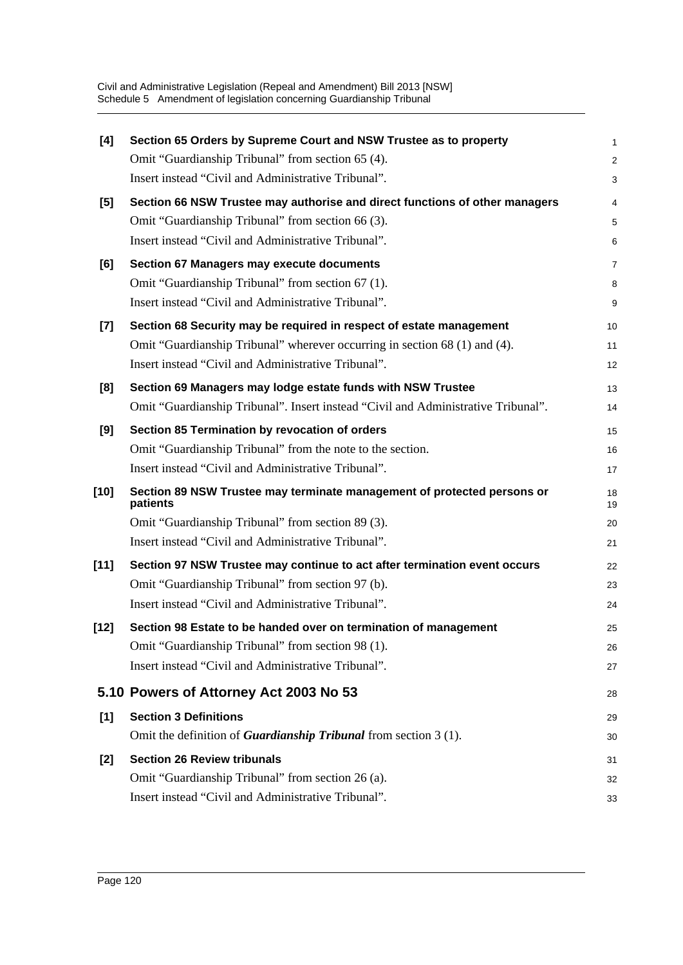| [4]    | Section 65 Orders by Supreme Court and NSW Trustee as to property                   | 1              |
|--------|-------------------------------------------------------------------------------------|----------------|
|        | Omit "Guardianship Tribunal" from section 65 (4).                                   | $\overline{c}$ |
|        | Insert instead "Civil and Administrative Tribunal".                                 | 3              |
| [5]    | Section 66 NSW Trustee may authorise and direct functions of other managers         | 4              |
|        | Omit "Guardianship Tribunal" from section 66 (3).                                   | 5              |
|        | Insert instead "Civil and Administrative Tribunal".                                 | 6              |
| [6]    | Section 67 Managers may execute documents                                           | $\overline{7}$ |
|        | Omit "Guardianship Tribunal" from section 67 (1).                                   | 8              |
|        | Insert instead "Civil and Administrative Tribunal".                                 | 9              |
| $[7]$  | Section 68 Security may be required in respect of estate management                 | 10             |
|        | Omit "Guardianship Tribunal" wherever occurring in section 68 (1) and (4).          | 11             |
|        | Insert instead "Civil and Administrative Tribunal".                                 | 12             |
| [8]    | Section 69 Managers may lodge estate funds with NSW Trustee                         | 13             |
|        | Omit "Guardianship Tribunal". Insert instead "Civil and Administrative Tribunal".   | 14             |
| [9]    | Section 85 Termination by revocation of orders                                      | 15             |
|        | Omit "Guardianship Tribunal" from the note to the section.                          | 16             |
|        | Insert instead "Civil and Administrative Tribunal".                                 | 17             |
| $[10]$ | Section 89 NSW Trustee may terminate management of protected persons or<br>patients | 18<br>19       |
|        | Omit "Guardianship Tribunal" from section 89 (3).                                   | 20             |
|        | Insert instead "Civil and Administrative Tribunal".                                 | 21             |
| $[11]$ | Section 97 NSW Trustee may continue to act after termination event occurs           | 22             |
|        | Omit "Guardianship Tribunal" from section 97 (b).                                   | 23             |
|        | Insert instead "Civil and Administrative Tribunal".                                 | 24             |
| $[12]$ | Section 98 Estate to be handed over on termination of management                    | 25             |
|        | Omit "Guardianship Tribunal" from section 98 (1).                                   | 26             |
|        | Insert instead "Civil and Administrative Tribunal".                                 | 27             |
|        | 5.10 Powers of Attorney Act 2003 No 53                                              | 28             |
| [1]    | <b>Section 3 Definitions</b>                                                        | 29             |
|        | Omit the definition of <b>Guardianship Tribunal</b> from section $3(1)$ .           | 30             |
| [2]    | <b>Section 26 Review tribunals</b>                                                  | 31             |
|        | Omit "Guardianship Tribunal" from section 26 (a).                                   | 32             |
|        | Insert instead "Civil and Administrative Tribunal".                                 | 33             |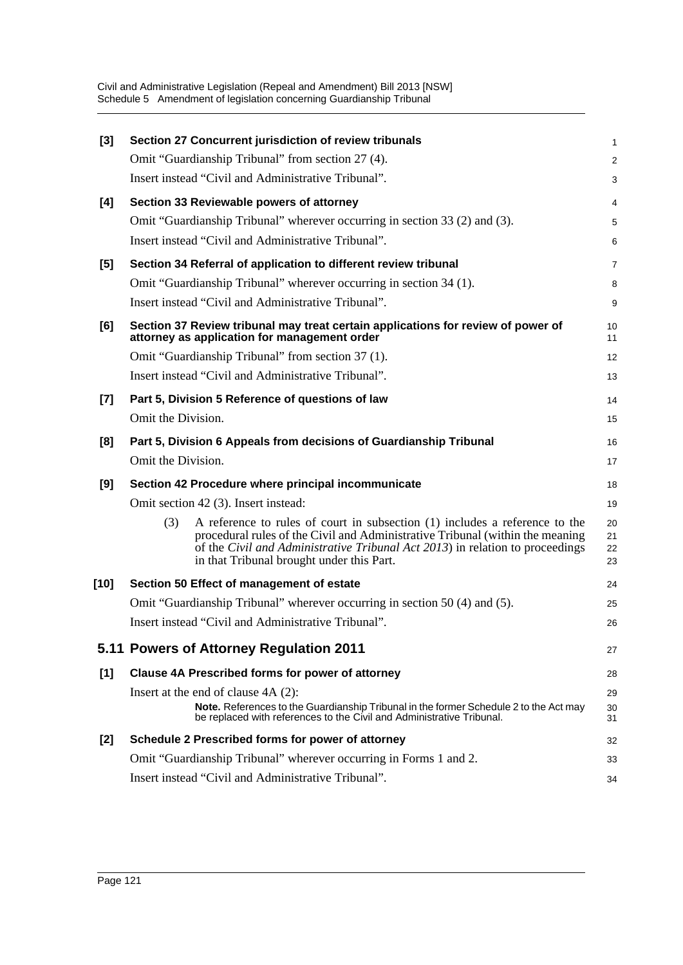| $[3]$  |                    | Section 27 Concurrent jurisdiction of review tribunals                                                                                                                                                                                                                                     | 1                    |
|--------|--------------------|--------------------------------------------------------------------------------------------------------------------------------------------------------------------------------------------------------------------------------------------------------------------------------------------|----------------------|
|        |                    | Omit "Guardianship Tribunal" from section 27 (4).                                                                                                                                                                                                                                          | 2                    |
|        |                    | Insert instead "Civil and Administrative Tribunal".                                                                                                                                                                                                                                        | 3                    |
| [4]    |                    | Section 33 Reviewable powers of attorney                                                                                                                                                                                                                                                   | 4                    |
|        |                    | Omit "Guardianship Tribunal" wherever occurring in section 33 (2) and (3).                                                                                                                                                                                                                 | 5                    |
|        |                    | Insert instead "Civil and Administrative Tribunal".                                                                                                                                                                                                                                        | 6                    |
| [5]    |                    | Section 34 Referral of application to different review tribunal                                                                                                                                                                                                                            | 7                    |
|        |                    | Omit "Guardianship Tribunal" wherever occurring in section 34 (1).                                                                                                                                                                                                                         | 8                    |
|        |                    | Insert instead "Civil and Administrative Tribunal".                                                                                                                                                                                                                                        | 9                    |
| [6]    |                    | Section 37 Review tribunal may treat certain applications for review of power of<br>attorney as application for management order                                                                                                                                                           | 10<br>11             |
|        |                    | Omit "Guardianship Tribunal" from section 37 (1).                                                                                                                                                                                                                                          | 12                   |
|        |                    | Insert instead "Civil and Administrative Tribunal".                                                                                                                                                                                                                                        | 13                   |
| $[7]$  |                    | Part 5, Division 5 Reference of questions of law                                                                                                                                                                                                                                           | 14                   |
|        | Omit the Division. |                                                                                                                                                                                                                                                                                            | 15                   |
| [8]    |                    | Part 5, Division 6 Appeals from decisions of Guardianship Tribunal                                                                                                                                                                                                                         | 16                   |
|        | Omit the Division. |                                                                                                                                                                                                                                                                                            | 17                   |
| [9]    |                    | Section 42 Procedure where principal incommunicate                                                                                                                                                                                                                                         | 18                   |
|        |                    | Omit section 42 (3). Insert instead:                                                                                                                                                                                                                                                       | 19                   |
|        | (3)                | A reference to rules of court in subsection (1) includes a reference to the<br>procedural rules of the Civil and Administrative Tribunal (within the meaning<br>of the Civil and Administrative Tribunal Act 2013) in relation to proceedings<br>in that Tribunal brought under this Part. | 20<br>21<br>22<br>23 |
| $[10]$ |                    | Section 50 Effect of management of estate                                                                                                                                                                                                                                                  | 24                   |
|        |                    | Omit "Guardianship Tribunal" wherever occurring in section 50 (4) and (5).                                                                                                                                                                                                                 | 25                   |
|        |                    | Insert instead "Civil and Administrative Tribunal".                                                                                                                                                                                                                                        | 26                   |
|        |                    | 5.11 Powers of Attorney Regulation 2011                                                                                                                                                                                                                                                    | 27                   |
| [1]    |                    | <b>Clause 4A Prescribed forms for power of attorney</b>                                                                                                                                                                                                                                    | 28                   |
|        |                    | Insert at the end of clause $4A(2)$ :<br>Note. References to the Guardianship Tribunal in the former Schedule 2 to the Act may<br>be replaced with references to the Civil and Administrative Tribunal.                                                                                    | 29<br>30<br>31       |
| [2]    |                    | Schedule 2 Prescribed forms for power of attorney                                                                                                                                                                                                                                          | 32                   |
|        |                    | Omit "Guardianship Tribunal" wherever occurring in Forms 1 and 2.                                                                                                                                                                                                                          | 33                   |
|        |                    | Insert instead "Civil and Administrative Tribunal".                                                                                                                                                                                                                                        | 34                   |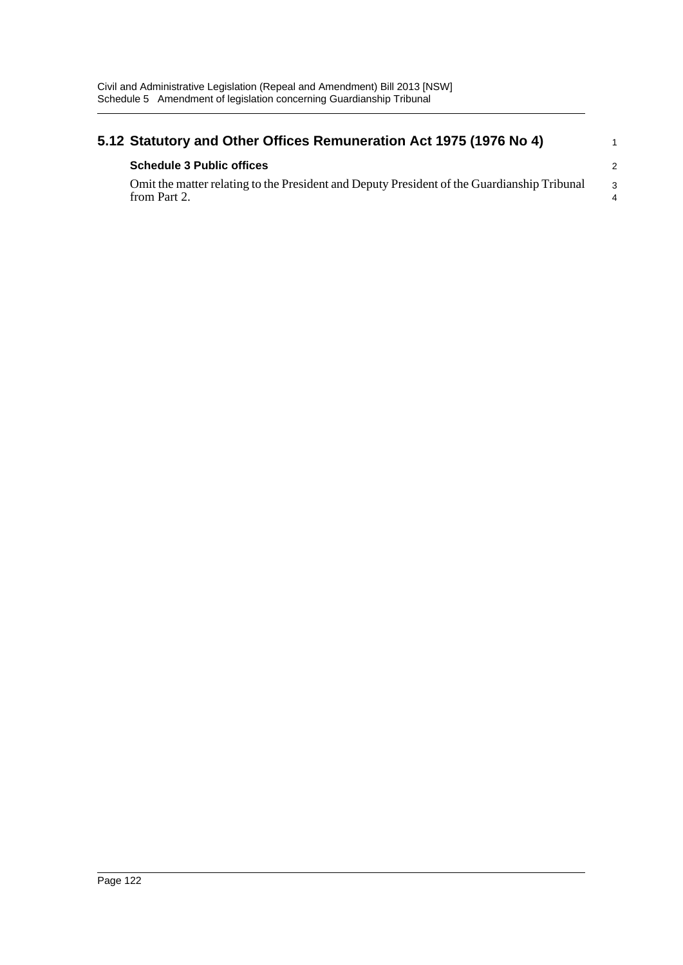| 5.12 Statutory and Other Offices Remuneration Act 1975 (1976 No 4)                                          |               |  |
|-------------------------------------------------------------------------------------------------------------|---------------|--|
| <b>Schedule 3 Public offices</b>                                                                            | $\mathcal{P}$ |  |
| Omit the matter relating to the President and Deputy President of the Guardianship Tribunal<br>from Part 2. | $\mathcal{R}$ |  |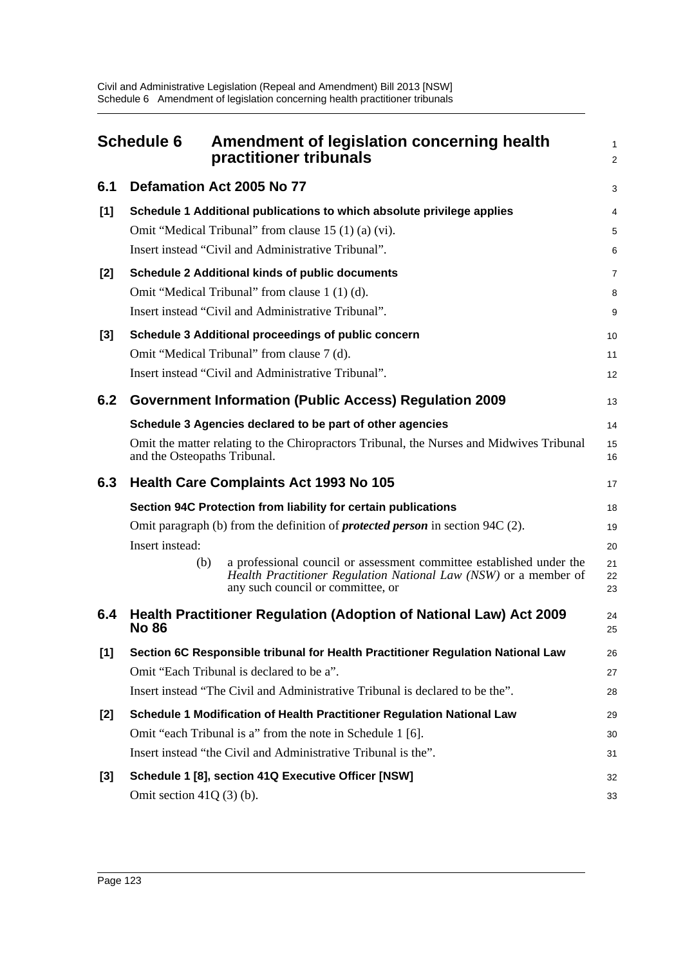|       | <b>Schedule 6</b>            | Amendment of legislation concerning health<br>practitioner tribunals                                                                                                                                                                                                   | 1<br>$\overline{a}$        |
|-------|------------------------------|------------------------------------------------------------------------------------------------------------------------------------------------------------------------------------------------------------------------------------------------------------------------|----------------------------|
| 6.1   |                              | Defamation Act 2005 No 77                                                                                                                                                                                                                                              | 3                          |
| [1]   |                              | Schedule 1 Additional publications to which absolute privilege applies<br>Omit "Medical Tribunal" from clause 15 (1) (a) (vi).<br>Insert instead "Civil and Administrative Tribunal".                                                                                  | 4<br>5<br>6                |
| [2]   |                              | <b>Schedule 2 Additional kinds of public documents</b><br>Omit "Medical Tribunal" from clause 1 (1) (d).<br>Insert instead "Civil and Administrative Tribunal".                                                                                                        | 7<br>8<br>9                |
| $[3]$ |                              | Schedule 3 Additional proceedings of public concern<br>Omit "Medical Tribunal" from clause 7 (d).<br>Insert instead "Civil and Administrative Tribunal".                                                                                                               | 10<br>11<br>12             |
| 6.2   |                              | <b>Government Information (Public Access) Regulation 2009</b>                                                                                                                                                                                                          | 13                         |
|       | and the Osteopaths Tribunal. | Schedule 3 Agencies declared to be part of other agencies<br>Omit the matter relating to the Chiropractors Tribunal, the Nurses and Midwives Tribunal                                                                                                                  | 14<br>15<br>16             |
| 6.3   |                              | <b>Health Care Complaints Act 1993 No 105</b>                                                                                                                                                                                                                          | 17                         |
|       |                              | Section 94C Protection from liability for certain publications                                                                                                                                                                                                         | 18                         |
|       | Insert instead:<br>(b)       | Omit paragraph (b) from the definition of <b>protected person</b> in section 94C (2).<br>a professional council or assessment committee established under the<br>Health Practitioner Regulation National Law (NSW) or a member of<br>any such council or committee, or | 19<br>20<br>21<br>22<br>23 |
| 6.4   | <b>No 86</b>                 | <b>Health Practitioner Regulation (Adoption of National Law) Act 2009</b>                                                                                                                                                                                              | 24<br>25                   |
| [1]   |                              | Section 6C Responsible tribunal for Health Practitioner Regulation National Law<br>Omit "Each Tribunal is declared to be a".<br>Insert instead "The Civil and Administrative Tribunal is declared to be the".                                                          | 26<br>27<br>28             |
| $[2]$ |                              | Schedule 1 Modification of Health Practitioner Regulation National Law<br>Omit "each Tribunal is a" from the note in Schedule 1 [6].<br>Insert instead "the Civil and Administrative Tribunal is the".                                                                 | 29<br>30<br>31             |
| $[3]$ | Omit section $41Q(3)$ (b).   | Schedule 1 [8], section 41Q Executive Officer [NSW]                                                                                                                                                                                                                    | 32<br>33                   |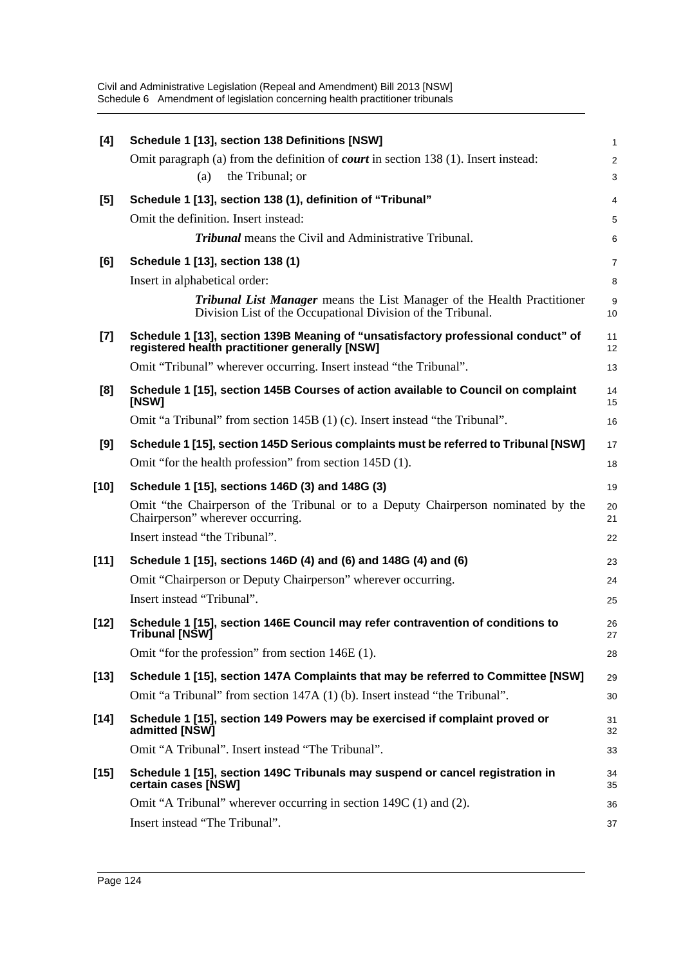| [4]    | Schedule 1 [13], section 138 Definitions [NSW]                                                                                                | 1              |
|--------|-----------------------------------------------------------------------------------------------------------------------------------------------|----------------|
|        | Omit paragraph (a) from the definition of <b><i>court</i></b> in section 138 (1). Insert instead:                                             | $\overline{c}$ |
|        | the Tribunal; or<br>(a)                                                                                                                       | 3              |
| [5]    | Schedule 1 [13], section 138 (1), definition of "Tribunal"                                                                                    | 4              |
|        | Omit the definition. Insert instead:                                                                                                          | 5              |
|        | <b>Tribunal</b> means the Civil and Administrative Tribunal.                                                                                  | 6              |
| [6]    | Schedule 1 [13], section 138 (1)                                                                                                              | 7              |
|        | Insert in alphabetical order:                                                                                                                 | 8              |
|        | <b>Tribunal List Manager</b> means the List Manager of the Health Practitioner<br>Division List of the Occupational Division of the Tribunal. | 9<br>10        |
| $[7]$  | Schedule 1 [13], section 139B Meaning of "unsatisfactory professional conduct" of<br>registered health practitioner generally [NSW]           | 11<br>12       |
|        | Omit "Tribunal" wherever occurring. Insert instead "the Tribunal".                                                                            | 13             |
| [8]    | Schedule 1 [15], section 145B Courses of action available to Council on complaint<br>[NSW]                                                    | 14<br>15       |
|        | Omit "a Tribunal" from section 145B (1) (c). Insert instead "the Tribunal".                                                                   | 16             |
| [9]    | Schedule 1 [15], section 145D Serious complaints must be referred to Tribunal [NSW]                                                           | 17             |
|        | Omit "for the health profession" from section 145D (1).                                                                                       | 18             |
| $[10]$ | Schedule 1 [15], sections 146D (3) and 148G (3)                                                                                               | 19             |
|        | Omit "the Chairperson of the Tribunal or to a Deputy Chairperson nominated by the<br>Chairperson" wherever occurring.                         | 20<br>21       |
|        | Insert instead "the Tribunal".                                                                                                                | 22             |
| $[11]$ | Schedule 1 [15], sections 146D (4) and (6) and 148G (4) and (6)                                                                               | 23             |
|        | Omit "Chairperson or Deputy Chairperson" wherever occurring.                                                                                  | 24             |
|        | Insert instead "Tribunal".                                                                                                                    | 25             |
| $[12]$ | Schedule 1 [15], section 146E Council may refer contravention of conditions to<br>Tribunal [NSW]                                              | 26<br>27       |
|        | Omit "for the profession" from section 146E (1).                                                                                              | 28             |
| $[13]$ | Schedule 1 [15], section 147A Complaints that may be referred to Committee [NSW]                                                              | 29             |
|        | Omit "a Tribunal" from section 147A (1) (b). Insert instead "the Tribunal".                                                                   | 30             |
| $[14]$ | Schedule 1 [15], section 149 Powers may be exercised if complaint proved or<br>admitted [NSW]                                                 | 31<br>32       |
|        | Omit "A Tribunal". Insert instead "The Tribunal".                                                                                             | 33             |
| $[15]$ | Schedule 1 [15], section 149C Tribunals may suspend or cancel registration in<br>certain cases [NSW]                                          | 34<br>35       |
|        | Omit "A Tribunal" wherever occurring in section 149C (1) and (2).                                                                             | 36             |
|        | Insert instead "The Tribunal".                                                                                                                | 37             |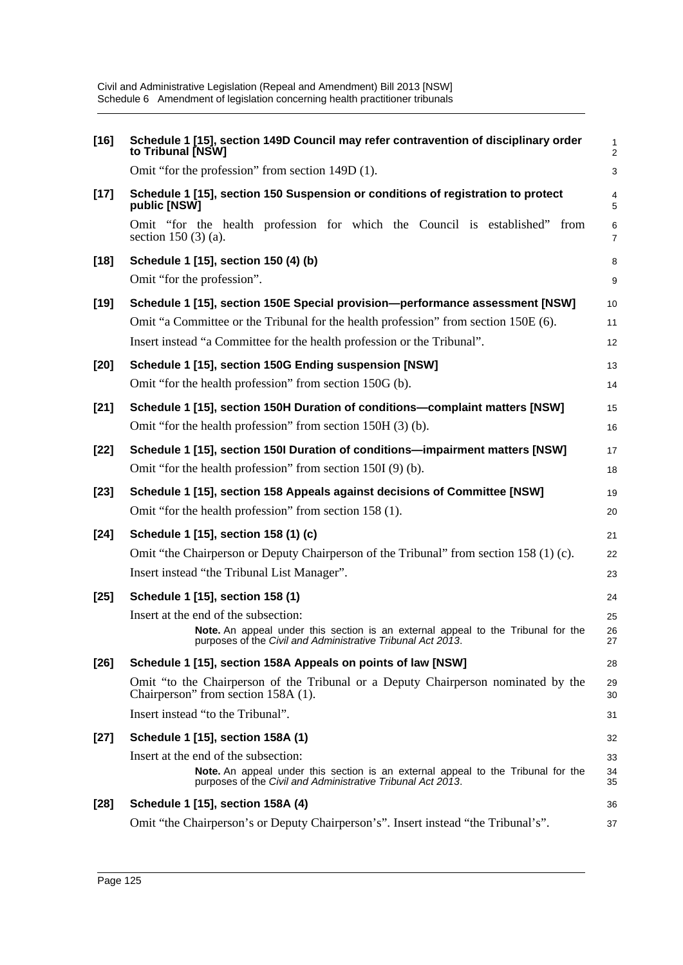| $[16]$ | Schedule 1 [15], section 149D Council may refer contravention of disciplinary order<br>to Tribunal [NSW]                                                                                | 1<br>2                    |
|--------|-----------------------------------------------------------------------------------------------------------------------------------------------------------------------------------------|---------------------------|
|        | Omit "for the profession" from section 149D (1).                                                                                                                                        | $\ensuremath{\mathsf{3}}$ |
| $[17]$ | Schedule 1 [15], section 150 Suspension or conditions of registration to protect<br>public [NSW]                                                                                        | 4<br>5                    |
|        | Omit "for the health profession for which the Council is established" from<br>section 150 $(3)$ (a).                                                                                    | 6<br>$\overline{7}$       |
| $[18]$ | Schedule 1 [15], section 150 (4) (b)<br>Omit "for the profession".                                                                                                                      | 8<br>$\boldsymbol{9}$     |
| $[19]$ | Schedule 1 [15], section 150E Special provision-performance assessment [NSW]                                                                                                            | 10                        |
|        | Omit "a Committee or the Tribunal for the health profession" from section 150E (6).                                                                                                     | 11                        |
|        | Insert instead "a Committee for the health profession or the Tribunal".                                                                                                                 | 12                        |
| $[20]$ | Schedule 1 [15], section 150G Ending suspension [NSW]                                                                                                                                   | 13                        |
|        | Omit "for the health profession" from section 150G (b).                                                                                                                                 | 14                        |
| $[21]$ | Schedule 1 [15], section 150H Duration of conditions-complaint matters [NSW]                                                                                                            | 15                        |
|        | Omit "for the health profession" from section 150H (3) (b).                                                                                                                             | 16                        |
| $[22]$ | Schedule 1 [15], section 150I Duration of conditions-impairment matters [NSW]                                                                                                           | 17                        |
|        | Omit "for the health profession" from section 150I (9) (b).                                                                                                                             | 18                        |
| $[23]$ | Schedule 1 [15], section 158 Appeals against decisions of Committee [NSW]                                                                                                               | 19                        |
|        | Omit "for the health profession" from section 158 (1).                                                                                                                                  | 20                        |
| $[24]$ | Schedule 1 [15], section 158 (1) (c)                                                                                                                                                    | 21                        |
|        | Omit "the Chairperson or Deputy Chairperson of the Tribunal" from section 158 (1) (c).                                                                                                  | 22                        |
|        | Insert instead "the Tribunal List Manager".                                                                                                                                             | 23                        |
| $[25]$ | Schedule 1 [15], section 158 (1)                                                                                                                                                        | 24                        |
|        | Insert at the end of the subsection:                                                                                                                                                    | 25                        |
|        | Note. An appeal under this section is an external appeal to the Tribunal for the<br>purposes of the Civil and Administrative Tribunal Act 2013.                                         | 26<br>27                  |
| $[26]$ | Schedule 1 [15], section 158A Appeals on points of law [NSW]                                                                                                                            | 28                        |
|        | Omit "to the Chairperson of the Tribunal or a Deputy Chairperson nominated by the<br>Chairperson" from section 158A (1).                                                                | 29<br>30                  |
|        |                                                                                                                                                                                         |                           |
|        | Insert instead "to the Tribunal".                                                                                                                                                       | 31                        |
| $[27]$ | Schedule 1 [15], section 158A (1)                                                                                                                                                       | 32                        |
|        | Insert at the end of the subsection:<br>Note. An appeal under this section is an external appeal to the Tribunal for the<br>purposes of the Civil and Administrative Tribunal Act 2013. | 33<br>34<br>35            |
| $[28]$ | Schedule 1 [15], section 158A (4)                                                                                                                                                       | 36                        |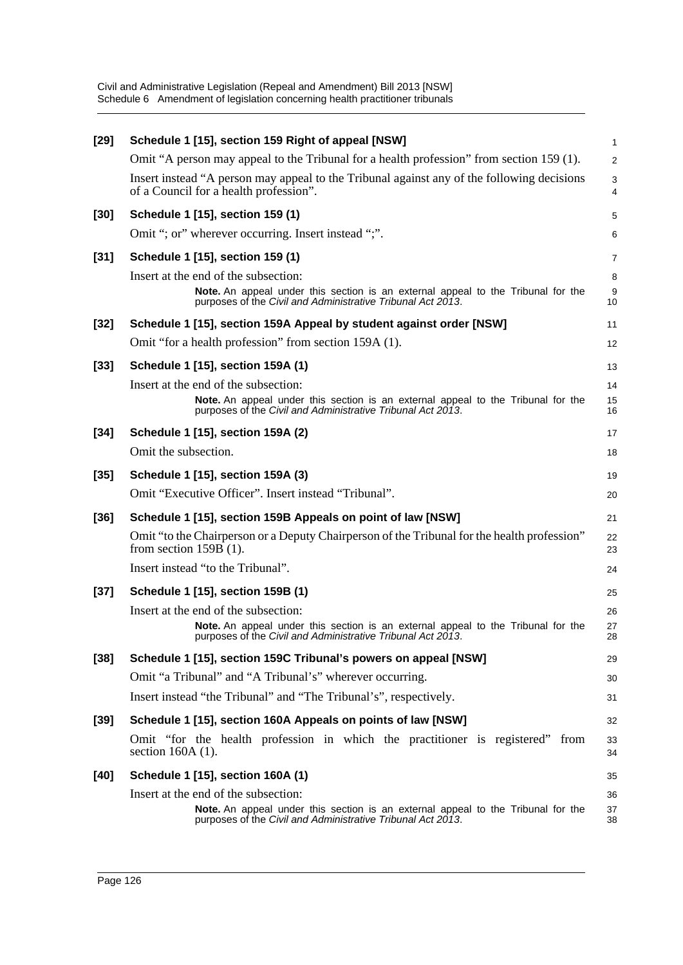| $[29]$ | Schedule 1 [15], section 159 Right of appeal [NSW]                                                                                                     | 1              |
|--------|--------------------------------------------------------------------------------------------------------------------------------------------------------|----------------|
|        | Omit "A person may appeal to the Tribunal for a health profession" from section 159 (1).                                                               | $\overline{a}$ |
|        | Insert instead "A person may appeal to the Tribunal against any of the following decisions<br>of a Council for a health profession".                   | 3<br>4         |
| $[30]$ | Schedule 1 [15], section 159 (1)                                                                                                                       | 5              |
|        | Omit "; or" wherever occurring. Insert instead ";".                                                                                                    | 6              |
| $[31]$ | Schedule 1 [15], section 159 (1)                                                                                                                       | 7              |
|        | Insert at the end of the subsection:                                                                                                                   | 8              |
|        | <b>Note.</b> An appeal under this section is an external appeal to the Tribunal for the<br>purposes of the Civil and Administrative Tribunal Act 2013. | g<br>10        |
| $[32]$ | Schedule 1 [15], section 159A Appeal by student against order [NSW]                                                                                    | 11             |
|        | Omit "for a health profession" from section 159A (1).                                                                                                  | 12             |
| $[33]$ | Schedule 1 [15], section 159A (1)                                                                                                                      | 13             |
|        | Insert at the end of the subsection:                                                                                                                   | 14             |
|        | Note. An appeal under this section is an external appeal to the Tribunal for the<br>purposes of the Civil and Administrative Tribunal Act 2013.        | 15<br>16       |
| $[34]$ | Schedule 1 [15], section 159A (2)                                                                                                                      | 17             |
|        | Omit the subsection.                                                                                                                                   | 18             |
| $[35]$ | Schedule 1 [15], section 159A (3)                                                                                                                      | 19             |
|        | Omit "Executive Officer". Insert instead "Tribunal".                                                                                                   | 20             |
| $[36]$ | Schedule 1 [15], section 159B Appeals on point of law [NSW]                                                                                            | 21             |
|        | Omit "to the Chairperson or a Deputy Chairperson of the Tribunal for the health profession"<br>from section $159B(1)$ .                                | 22<br>23       |
|        | Insert instead "to the Tribunal".                                                                                                                      | 24             |
| $[37]$ | Schedule 1 [15], section 159B (1)                                                                                                                      | 25             |
|        | Insert at the end of the subsection:                                                                                                                   | 26             |
|        | Note. An appeal under this section is an external appeal to the Tribunal for the<br>purposes of the Civil and Administrative Tribunal Act 2013.        | 27<br>28       |
| $[38]$ | Schedule 1 [15], section 159C Tribunal's powers on appeal [NSW]                                                                                        | 29             |
|        | Omit "a Tribunal" and "A Tribunal's" wherever occurring.                                                                                               | 30             |
|        | Insert instead "the Tribunal" and "The Tribunal's", respectively.                                                                                      | 31             |
| $[39]$ | Schedule 1 [15], section 160A Appeals on points of law [NSW]                                                                                           | 32             |
|        | Omit "for the health profession in which the practitioner is registered" from<br>section $160A(1)$ .                                                   | 33<br>34       |
| $[40]$ | Schedule 1 [15], section 160A (1)                                                                                                                      | 35             |
|        | Insert at the end of the subsection:                                                                                                                   | 36             |
|        | Note. An appeal under this section is an external appeal to the Tribunal for the<br>purposes of the Civil and Administrative Tribunal Act 2013.        | 37<br>38       |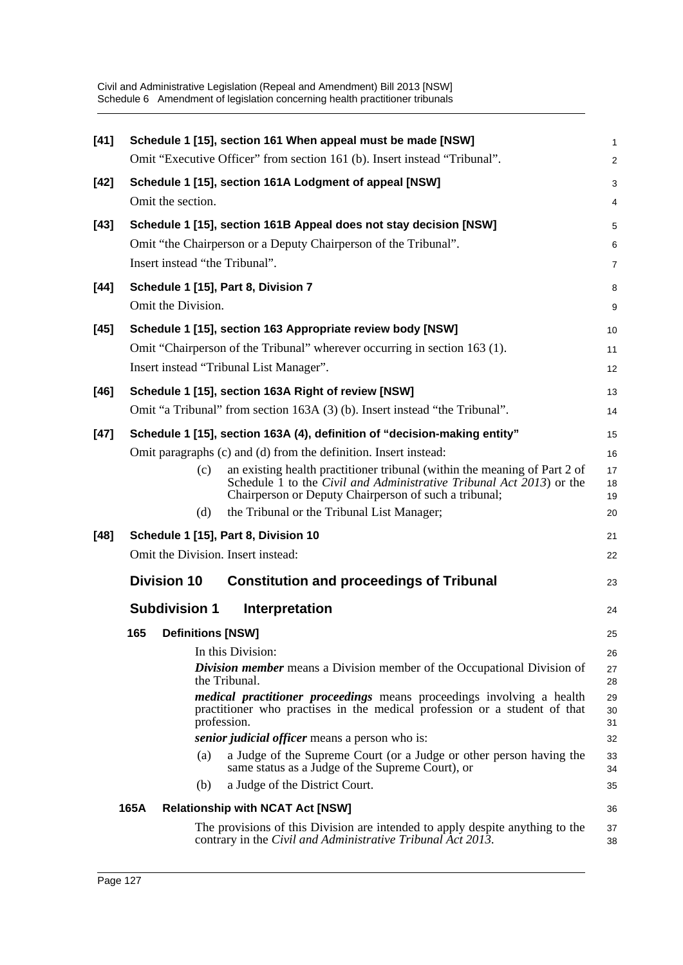| $[41]$ | Schedule 1 [15], section 161 When appeal must be made [NSW]                                                                                                                                                              | $\mathbf{1}$   |
|--------|--------------------------------------------------------------------------------------------------------------------------------------------------------------------------------------------------------------------------|----------------|
|        | Omit "Executive Officer" from section 161 (b). Insert instead "Tribunal".                                                                                                                                                | $\overline{2}$ |
| $[42]$ | Schedule 1 [15], section 161A Lodgment of appeal [NSW]                                                                                                                                                                   | 3              |
|        | Omit the section.                                                                                                                                                                                                        | 4              |
| $[43]$ | Schedule 1 [15], section 161B Appeal does not stay decision [NSW]                                                                                                                                                        | 5              |
|        | Omit "the Chairperson or a Deputy Chairperson of the Tribunal".                                                                                                                                                          | 6              |
|        | Insert instead "the Tribunal".                                                                                                                                                                                           | $\overline{7}$ |
| [44]   | Schedule 1 [15], Part 8, Division 7                                                                                                                                                                                      | 8              |
|        | Omit the Division.                                                                                                                                                                                                       | 9              |
| $[45]$ | Schedule 1 [15], section 163 Appropriate review body [NSW]                                                                                                                                                               | 10             |
|        | Omit "Chairperson of the Tribunal" wherever occurring in section 163 (1).                                                                                                                                                | 11             |
|        | Insert instead "Tribunal List Manager".                                                                                                                                                                                  | 12             |
| $[46]$ | Schedule 1 [15], section 163A Right of review [NSW]                                                                                                                                                                      | 13             |
|        | Omit "a Tribunal" from section 163A (3) (b). Insert instead "the Tribunal".                                                                                                                                              | 14             |
| [47]   | Schedule 1 [15], section 163A (4), definition of "decision-making entity"                                                                                                                                                | 15             |
|        | Omit paragraphs (c) and (d) from the definition. Insert instead:                                                                                                                                                         | 16             |
|        | an existing health practitioner tribunal (within the meaning of Part 2 of<br>(c)<br>Schedule 1 to the <i>Civil and Administrative Tribunal Act</i> 2013) or the<br>Chairperson or Deputy Chairperson of such a tribunal; | 17<br>18<br>19 |
|        | the Tribunal or the Tribunal List Manager;<br>(d)                                                                                                                                                                        | 20             |
| $[48]$ | Schedule 1 [15], Part 8, Division 10                                                                                                                                                                                     | 21             |
|        | Omit the Division. Insert instead:                                                                                                                                                                                       | 22             |
|        | <b>Division 10</b><br><b>Constitution and proceedings of Tribunal</b>                                                                                                                                                    | 23             |
|        | <b>Subdivision 1</b><br>Interpretation                                                                                                                                                                                   | 24             |
|        | 165<br><b>Definitions [NSW]</b>                                                                                                                                                                                          | 25             |
|        | In this Division:                                                                                                                                                                                                        | 26             |
|        | Division member means a Division member of the Occupational Division of<br>the Tribunal.                                                                                                                                 | 27<br>28       |
|        | medical practitioner proceedings means proceedings involving a health<br>practitioner who practises in the medical profession or a student of that<br>profession.                                                        | 29<br>30<br>31 |
|        | senior judicial officer means a person who is:                                                                                                                                                                           | 32             |
|        | a Judge of the Supreme Court (or a Judge or other person having the<br>(a)<br>same status as a Judge of the Supreme Court), or                                                                                           | 33<br>34       |
|        | a Judge of the District Court.<br>(b)                                                                                                                                                                                    | 35             |
|        | 165A<br><b>Relationship with NCAT Act [NSW]</b>                                                                                                                                                                          | 36             |
|        | The provisions of this Division are intended to apply despite anything to the<br>contrary in the Civil and Administrative Tribunal Act 2013.                                                                             | 37<br>38       |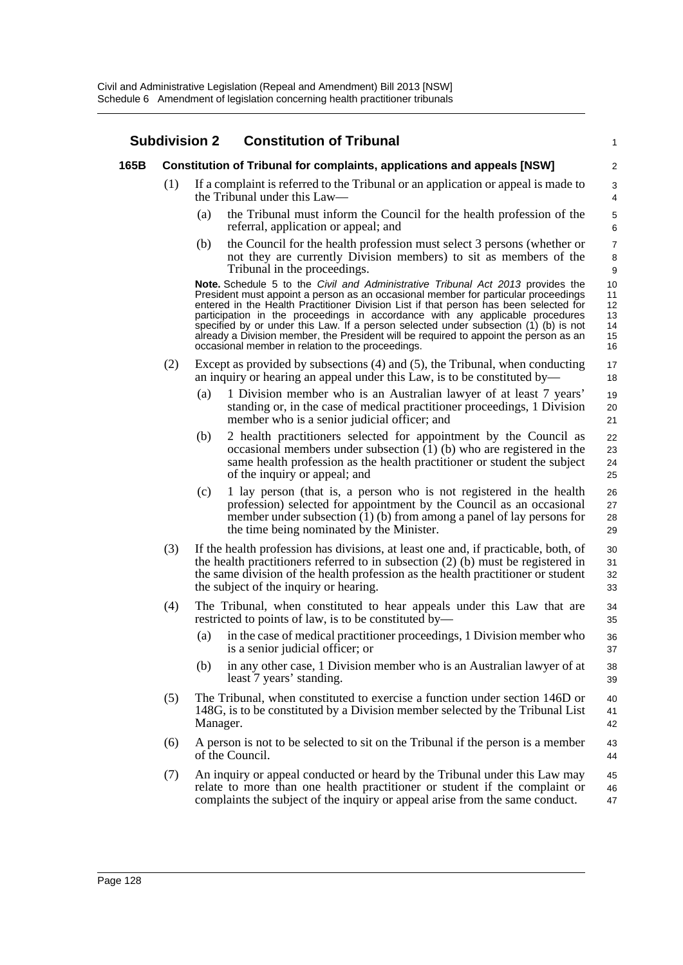## **Subdivision 2 Constitution of Tribunal**

## **165B Constitution of Tribunal for complaints, applications and appeals [NSW]**

- (1) If a complaint is referred to the Tribunal or an application or appeal is made to the Tribunal under this Law—
	- (a) the Tribunal must inform the Council for the health profession of the referral, application or appeal; and

1

(b) the Council for the health profession must select 3 persons (whether or not they are currently Division members) to sit as members of the Tribunal in the proceedings.

**Note.** Schedule 5 to the *Civil and Administrative Tribunal Act 2013* provides the President must appoint a person as an occasional member for particular proceedings entered in the Health Practitioner Division List if that person has been selected for participation in the proceedings in accordance with any applicable procedures specified by or under this Law. If a person selected under subsection (1) (b) is not already a Division member, the President will be required to appoint the person as an occasional member in relation to the proceedings.

- (2) Except as provided by subsections (4) and (5), the Tribunal, when conducting an inquiry or hearing an appeal under this Law, is to be constituted by—
	- (a) 1 Division member who is an Australian lawyer of at least 7 years' standing or, in the case of medical practitioner proceedings, 1 Division member who is a senior judicial officer; and
	- (b) 2 health practitioners selected for appointment by the Council as occasional members under subsection  $(1)$  (b) who are registered in the same health profession as the health practitioner or student the subject of the inquiry or appeal; and
	- (c) 1 lay person (that is, a person who is not registered in the health profession) selected for appointment by the Council as an occasional member under subsection (1) (b) from among a panel of lay persons for the time being nominated by the Minister.
- (3) If the health profession has divisions, at least one and, if practicable, both, of the health practitioners referred to in subsection (2) (b) must be registered in the same division of the health profession as the health practitioner or student the subject of the inquiry or hearing. 30 31 32 33
- (4) The Tribunal, when constituted to hear appeals under this Law that are restricted to points of law, is to be constituted by—
	- (a) in the case of medical practitioner proceedings, 1 Division member who is a senior judicial officer; or
	- (b) in any other case, 1 Division member who is an Australian lawyer of at least 7 years' standing.
- (5) The Tribunal, when constituted to exercise a function under section 146D or 148G, is to be constituted by a Division member selected by the Tribunal List Manager. 40 41 42
- (6) A person is not to be selected to sit on the Tribunal if the person is a member of the Council. 43 44
- (7) An inquiry or appeal conducted or heard by the Tribunal under this Law may relate to more than one health practitioner or student if the complaint or complaints the subject of the inquiry or appeal arise from the same conduct. 45 46 47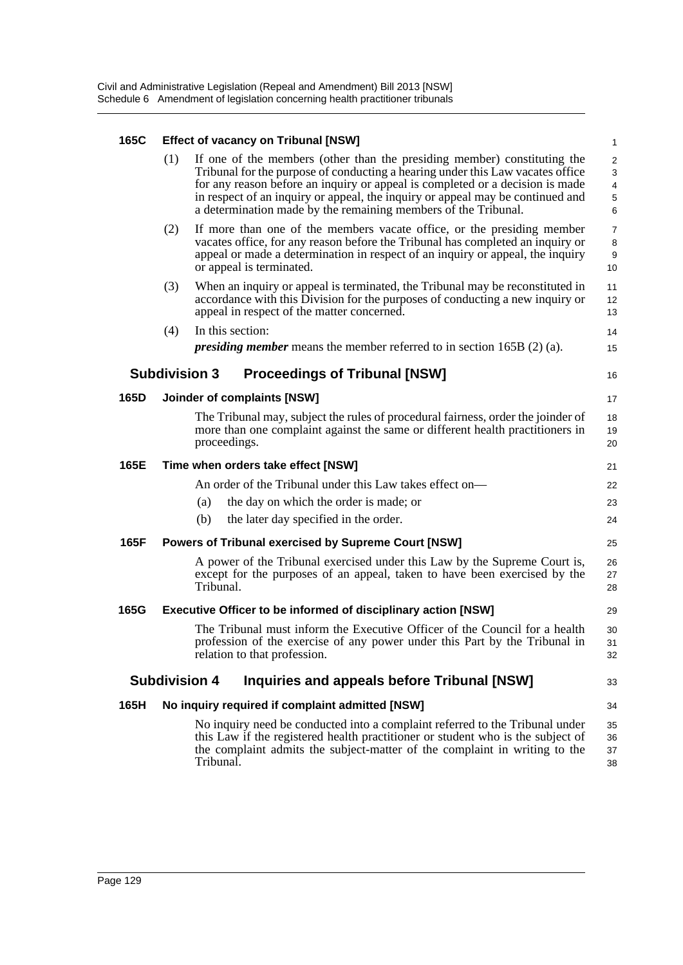## **165C Effect of vacancy on Tribunal [NSW]**

| 165C |     | Effect of vacancy on Tribunal [NSW]                                                                                                                                                                                                                                                                                                                                                             | $\mathbf{1}$                                    |
|------|-----|-------------------------------------------------------------------------------------------------------------------------------------------------------------------------------------------------------------------------------------------------------------------------------------------------------------------------------------------------------------------------------------------------|-------------------------------------------------|
|      | (1) | If one of the members (other than the presiding member) constituting the<br>Tribunal for the purpose of conducting a hearing under this Law vacates office<br>for any reason before an inquiry or appeal is completed or a decision is made<br>in respect of an inquiry or appeal, the inquiry or appeal may be continued and<br>a determination made by the remaining members of the Tribunal. | $\overline{2}$<br>3<br>$\overline{4}$<br>5<br>6 |
|      | (2) | If more than one of the members vacate office, or the presiding member<br>vacates office, for any reason before the Tribunal has completed an inquiry or<br>appeal or made a determination in respect of an inquiry or appeal, the inquiry<br>or appeal is terminated.                                                                                                                          | $\overline{7}$<br>8<br>9<br>10                  |
|      | (3) | When an inquiry or appeal is terminated, the Tribunal may be reconstituted in<br>accordance with this Division for the purposes of conducting a new inquiry or<br>appeal in respect of the matter concerned.                                                                                                                                                                                    | 11<br>12<br>13                                  |
|      | (4) | In this section:                                                                                                                                                                                                                                                                                                                                                                                | 14                                              |
|      |     | <i>presiding member</i> means the member referred to in section 165B $(2)$ (a).                                                                                                                                                                                                                                                                                                                 | 15                                              |
|      |     | <b>Subdivision 3</b><br><b>Proceedings of Tribunal [NSW]</b>                                                                                                                                                                                                                                                                                                                                    | 16                                              |
| 165D |     | Joinder of complaints [NSW]                                                                                                                                                                                                                                                                                                                                                                     | 17                                              |
|      |     | The Tribunal may, subject the rules of procedural fairness, order the joinder of<br>more than one complaint against the same or different health practitioners in<br>proceedings.                                                                                                                                                                                                               | 18<br>19<br>20                                  |
| 165E |     | Time when orders take effect [NSW]                                                                                                                                                                                                                                                                                                                                                              | 21                                              |
|      |     | An order of the Tribunal under this Law takes effect on—                                                                                                                                                                                                                                                                                                                                        | 22                                              |
|      |     | the day on which the order is made; or<br>(a)                                                                                                                                                                                                                                                                                                                                                   | 23                                              |
|      |     | the later day specified in the order.<br>(b)                                                                                                                                                                                                                                                                                                                                                    | 24                                              |
| 165F |     | <b>Powers of Tribunal exercised by Supreme Court [NSW]</b>                                                                                                                                                                                                                                                                                                                                      | 25                                              |
|      |     | A power of the Tribunal exercised under this Law by the Supreme Court is,<br>except for the purposes of an appeal, taken to have been exercised by the<br>Tribunal.                                                                                                                                                                                                                             | 26<br>27<br>28                                  |
| 165G |     | <b>Executive Officer to be informed of disciplinary action [NSW]</b>                                                                                                                                                                                                                                                                                                                            | 29                                              |
|      |     | The Tribunal must inform the Executive Officer of the Council for a health<br>profession of the exercise of any power under this Part by the Tribunal in<br>relation to that profession.                                                                                                                                                                                                        | 30<br>31<br>32                                  |
|      |     | <b>Subdivision 4</b><br>Inquiries and appeals before Tribunal [NSW]                                                                                                                                                                                                                                                                                                                             | 33                                              |
| 165H |     | No inquiry required if complaint admitted [NSW]                                                                                                                                                                                                                                                                                                                                                 | 34                                              |
|      |     | No inquiry need be conducted into a complaint referred to the Tribunal under<br>this Law if the registered health practitioner or student who is the subject of<br>the complaint admits the subject-matter of the complaint in writing to the<br>Tribunal.                                                                                                                                      | 35<br>36<br>37<br>38                            |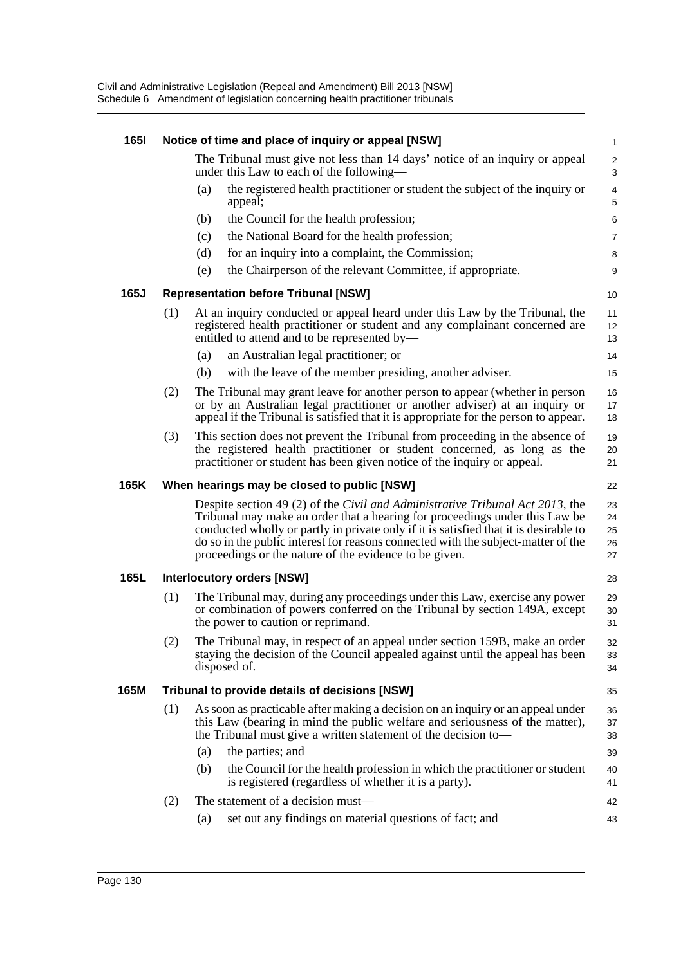| <b>1651</b> |     | Notice of time and place of inquiry or appeal [NSW]                                                                                                                                                                                                                                                                                                                                                  | $\mathbf{1}$               |
|-------------|-----|------------------------------------------------------------------------------------------------------------------------------------------------------------------------------------------------------------------------------------------------------------------------------------------------------------------------------------------------------------------------------------------------------|----------------------------|
|             |     | The Tribunal must give not less than 14 days' notice of an inquiry or appeal<br>under this Law to each of the following—                                                                                                                                                                                                                                                                             | $\overline{c}$<br>3        |
|             |     | the registered health practitioner or student the subject of the inquiry or<br>(a)<br>appeal;                                                                                                                                                                                                                                                                                                        | $\overline{4}$<br>5        |
|             |     | the Council for the health profession;<br>(b)                                                                                                                                                                                                                                                                                                                                                        | 6                          |
|             |     | the National Board for the health profession;<br>(c)                                                                                                                                                                                                                                                                                                                                                 | 7                          |
|             |     | for an inquiry into a complaint, the Commission;<br>(d)                                                                                                                                                                                                                                                                                                                                              | 8                          |
|             |     | the Chairperson of the relevant Committee, if appropriate.<br>(e)                                                                                                                                                                                                                                                                                                                                    | 9                          |
| 165J        |     | <b>Representation before Tribunal [NSW]</b>                                                                                                                                                                                                                                                                                                                                                          | 10                         |
|             | (1) | At an inquiry conducted or appeal heard under this Law by the Tribunal, the<br>registered health practitioner or student and any complainant concerned are<br>entitled to attend and to be represented by-                                                                                                                                                                                           | 11<br>12<br>13             |
|             |     | an Australian legal practitioner; or<br>(a)                                                                                                                                                                                                                                                                                                                                                          | 14                         |
|             |     | with the leave of the member presiding, another adviser.<br>(b)                                                                                                                                                                                                                                                                                                                                      | 15                         |
|             | (2) | The Tribunal may grant leave for another person to appear (whether in person<br>or by an Australian legal practitioner or another adviser) at an inquiry or<br>appeal if the Tribunal is satisfied that it is appropriate for the person to appear.                                                                                                                                                  | 16<br>17<br>18             |
|             | (3) | This section does not prevent the Tribunal from proceeding in the absence of<br>the registered health practitioner or student concerned, as long as the<br>practitioner or student has been given notice of the inquiry or appeal.                                                                                                                                                                   | 19<br>20<br>21             |
| 165K        |     | When hearings may be closed to public [NSW]                                                                                                                                                                                                                                                                                                                                                          | 22                         |
|             |     | Despite section 49 (2) of the Civil and Administrative Tribunal Act 2013, the<br>Tribunal may make an order that a hearing for proceedings under this Law be<br>conducted wholly or partly in private only if it is satisfied that it is desirable to<br>do so in the public interest for reasons connected with the subject-matter of the<br>proceedings or the nature of the evidence to be given. | 23<br>24<br>25<br>26<br>27 |
| 165L        |     | <b>Interlocutory orders [NSW]</b>                                                                                                                                                                                                                                                                                                                                                                    | 28                         |
|             | (1) | The Tribunal may, during any proceedings under this Law, exercise any power<br>or combination of powers conferred on the Tribunal by section 149A, except<br>the power to caution or reprimand.                                                                                                                                                                                                      | 29<br>30<br>31             |
|             | (2) | The Tribunal may, in respect of an appeal under section 159B, make an order<br>staying the decision of the Council appealed against until the appeal has been<br>disposed of.                                                                                                                                                                                                                        | 32<br>33<br>34             |
| 165M        |     | Tribunal to provide details of decisions [NSW]                                                                                                                                                                                                                                                                                                                                                       | 35                         |
|             | (1) | As soon as practicable after making a decision on an inquiry or an appeal under<br>this Law (bearing in mind the public welfare and seriousness of the matter),<br>the Tribunal must give a written statement of the decision to-                                                                                                                                                                    | 36<br>37<br>38             |
|             |     | the parties; and<br>(a)                                                                                                                                                                                                                                                                                                                                                                              | 39                         |
|             |     | (b)<br>the Council for the health profession in which the practitioner or student<br>is registered (regardless of whether it is a party).                                                                                                                                                                                                                                                            | 40<br>41                   |
|             | (2) | The statement of a decision must—                                                                                                                                                                                                                                                                                                                                                                    | 42                         |
|             |     | set out any findings on material questions of fact; and<br>(a)                                                                                                                                                                                                                                                                                                                                       | 43                         |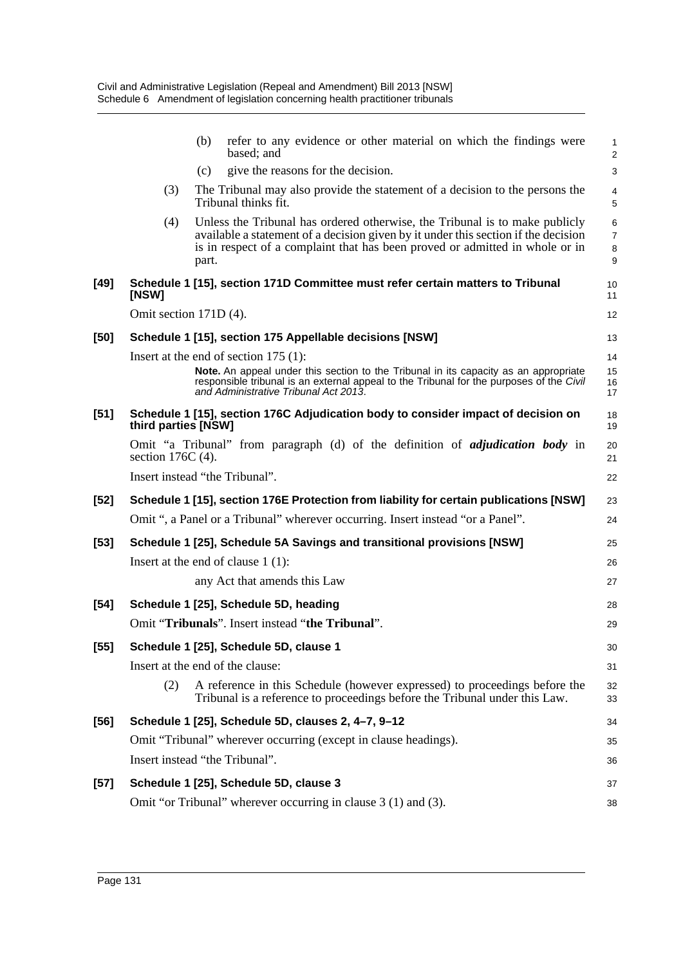|        | refer to any evidence or other material on which the findings were<br>(b)<br>based: and                                                                                                                                                                           | 1<br>$\overline{a}$ |
|--------|-------------------------------------------------------------------------------------------------------------------------------------------------------------------------------------------------------------------------------------------------------------------|---------------------|
|        | give the reasons for the decision.<br>(c)                                                                                                                                                                                                                         | 3                   |
|        | (3)<br>The Tribunal may also provide the statement of a decision to the persons the<br>Tribunal thinks fit.                                                                                                                                                       | 4<br>5              |
|        | Unless the Tribunal has ordered otherwise, the Tribunal is to make publicly<br>(4)<br>available a statement of a decision given by it under this section if the decision<br>is in respect of a complaint that has been proved or admitted in whole or in<br>part. | 6<br>7<br>8<br>9    |
| $[49]$ | Schedule 1 [15], section 171D Committee must refer certain matters to Tribunal<br>[NSW]                                                                                                                                                                           | 10<br>11            |
|        | Omit section 171D (4).                                                                                                                                                                                                                                            | 12                  |
| [50]   | Schedule 1 [15], section 175 Appellable decisions [NSW]                                                                                                                                                                                                           | 13                  |
|        | Insert at the end of section $175(1)$ :                                                                                                                                                                                                                           | 14                  |
|        | Note. An appeal under this section to the Tribunal in its capacity as an appropriate<br>responsible tribunal is an external appeal to the Tribunal for the purposes of the Civil<br>and Administrative Tribunal Act 2013.                                         | 15<br>16<br>17      |
| $[51]$ | Schedule 1 [15], section 176C Adjudication body to consider impact of decision on<br>third parties [NSW]                                                                                                                                                          | 18<br>19            |
|        | Omit "a Tribunal" from paragraph (d) of the definition of <i>adjudication body</i> in<br>section $176C(4)$ .                                                                                                                                                      | 20<br>21            |
|        | Insert instead "the Tribunal".                                                                                                                                                                                                                                    | 22                  |
| $[52]$ | Schedule 1 [15], section 176E Protection from liability for certain publications [NSW]                                                                                                                                                                            | 23                  |
|        | Omit ", a Panel or a Tribunal" wherever occurring. Insert instead "or a Panel".                                                                                                                                                                                   | 24                  |
| $[53]$ | Schedule 1 [25], Schedule 5A Savings and transitional provisions [NSW]                                                                                                                                                                                            | 25                  |
|        | Insert at the end of clause $1(1)$ :                                                                                                                                                                                                                              | 26                  |
|        | any Act that amends this Law                                                                                                                                                                                                                                      | 27                  |
| $[54]$ | Schedule 1 [25], Schedule 5D, heading                                                                                                                                                                                                                             | 28                  |
|        | Omit "Tribunals". Insert instead "the Tribunal".                                                                                                                                                                                                                  | 29                  |
| $[55]$ | Schedule 1 [25], Schedule 5D, clause 1                                                                                                                                                                                                                            | 30                  |
|        | Insert at the end of the clause:                                                                                                                                                                                                                                  | 31                  |
|        | (2)<br>A reference in this Schedule (however expressed) to proceedings before the<br>Tribunal is a reference to proceedings before the Tribunal under this Law.                                                                                                   | 32<br>33            |
| $[56]$ | Schedule 1 [25], Schedule 5D, clauses 2, 4-7, 9-12                                                                                                                                                                                                                | 34                  |
|        | Omit "Tribunal" wherever occurring (except in clause headings).                                                                                                                                                                                                   | 35                  |
|        | Insert instead "the Tribunal".                                                                                                                                                                                                                                    | 36                  |
| $[57]$ | Schedule 1 [25], Schedule 5D, clause 3                                                                                                                                                                                                                            | 37                  |
|        | Omit "or Tribunal" wherever occurring in clause 3 (1) and (3).                                                                                                                                                                                                    | 38                  |
|        |                                                                                                                                                                                                                                                                   |                     |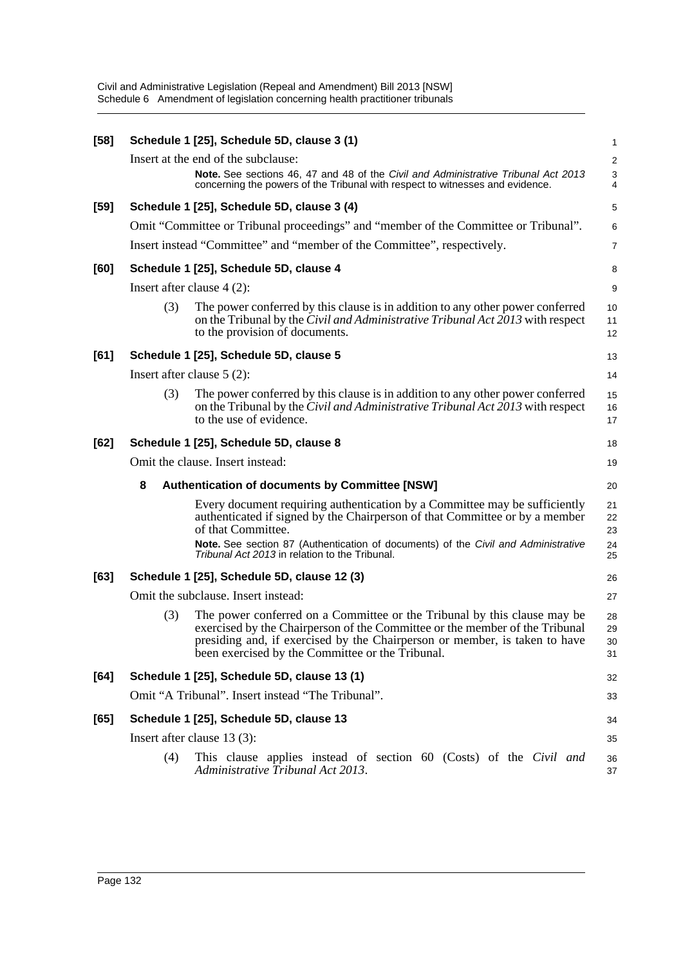| $[58]$ |     | Schedule 1 [25], Schedule 5D, clause 3 (1)                                                                                                                                                                                                                                                | 1                       |
|--------|-----|-------------------------------------------------------------------------------------------------------------------------------------------------------------------------------------------------------------------------------------------------------------------------------------------|-------------------------|
|        |     | Insert at the end of the subclause:                                                                                                                                                                                                                                                       | $\overline{\mathbf{c}}$ |
|        |     | Note. See sections 46, 47 and 48 of the Civil and Administrative Tribunal Act 2013<br>concerning the powers of the Tribunal with respect to witnesses and evidence.                                                                                                                       | 3<br>4                  |
| $[59]$ |     | Schedule 1 [25], Schedule 5D, clause 3 (4)                                                                                                                                                                                                                                                | 5                       |
|        |     | Omit "Committee or Tribunal proceedings" and "member of the Committee or Tribunal".                                                                                                                                                                                                       | 6                       |
|        |     | Insert instead "Committee" and "member of the Committee", respectively.                                                                                                                                                                                                                   | 7                       |
| [60]   |     | Schedule 1 [25], Schedule 5D, clause 4                                                                                                                                                                                                                                                    | 8                       |
|        |     | Insert after clause $4(2)$ :                                                                                                                                                                                                                                                              | 9                       |
|        | (3) | The power conferred by this clause is in addition to any other power conferred<br>on the Tribunal by the Civil and Administrative Tribunal Act 2013 with respect<br>to the provision of documents.                                                                                        | 10<br>11<br>12          |
| [61]   |     | Schedule 1 [25], Schedule 5D, clause 5                                                                                                                                                                                                                                                    | 13                      |
|        |     | Insert after clause $5(2)$ :                                                                                                                                                                                                                                                              | 14                      |
|        | (3) | The power conferred by this clause is in addition to any other power conferred<br>on the Tribunal by the <i>Civil and Administrative Tribunal Act 2013</i> with respect<br>to the use of evidence.                                                                                        | 15<br>16<br>17          |
| [62]   |     | Schedule 1 [25], Schedule 5D, clause 8                                                                                                                                                                                                                                                    | 18                      |
|        |     | Omit the clause. Insert instead:                                                                                                                                                                                                                                                          | 19                      |
|        | 8   | <b>Authentication of documents by Committee [NSW]</b>                                                                                                                                                                                                                                     | 20                      |
|        |     | Every document requiring authentication by a Committee may be sufficiently<br>authenticated if signed by the Chairperson of that Committee or by a member<br>of that Committee.                                                                                                           | 21<br>22<br>23          |
|        |     | Note. See section 87 (Authentication of documents) of the Civil and Administrative<br>Tribunal Act 2013 in relation to the Tribunal.                                                                                                                                                      | 24<br>25                |
| [63]   |     | Schedule 1 [25], Schedule 5D, clause 12 (3)                                                                                                                                                                                                                                               | 26                      |
|        |     | Omit the subclause. Insert instead:                                                                                                                                                                                                                                                       | 27                      |
|        | (3) | The power conferred on a Committee or the Tribunal by this clause may be<br>exercised by the Chairperson of the Committee or the member of the Tribunal<br>presiding and, if exercised by the Chairperson or member, is taken to have<br>been exercised by the Committee or the Tribunal. | 28<br>29<br>30<br>31    |
| [64]   |     | Schedule 1 [25], Schedule 5D, clause 13 (1)                                                                                                                                                                                                                                               | 32                      |
|        |     | Omit "A Tribunal". Insert instead "The Tribunal".                                                                                                                                                                                                                                         | 33                      |
| [65]   |     | Schedule 1 [25], Schedule 5D, clause 13                                                                                                                                                                                                                                                   | 34                      |
|        |     | Insert after clause 13 (3):                                                                                                                                                                                                                                                               | 35                      |
|        | (4) | This clause applies instead of section 60 (Costs) of the Civil and<br>Administrative Tribunal Act 2013.                                                                                                                                                                                   | 36<br>37                |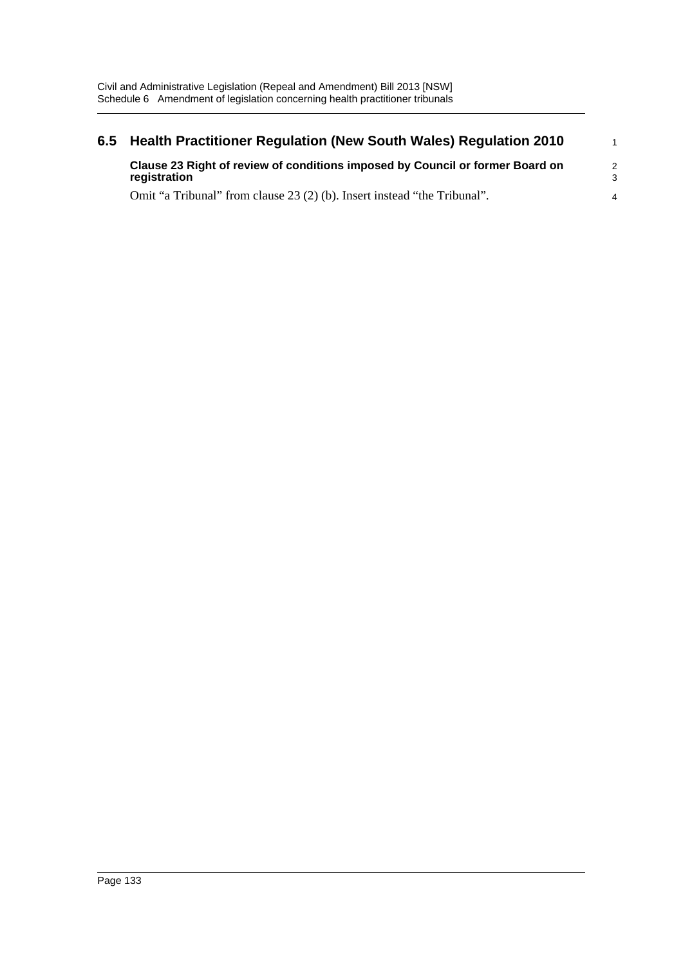| 6.5 | Health Practitioner Regulation (New South Wales) Regulation 2010                              |                    |  |
|-----|-----------------------------------------------------------------------------------------------|--------------------|--|
|     | Clause 23 Right of review of conditions imposed by Council or former Board on<br>registration | $\mathcal{P}$<br>3 |  |
|     | Omit "a Tribunal" from clause 23 (2) (b). Insert instead "the Tribunal".                      | 4                  |  |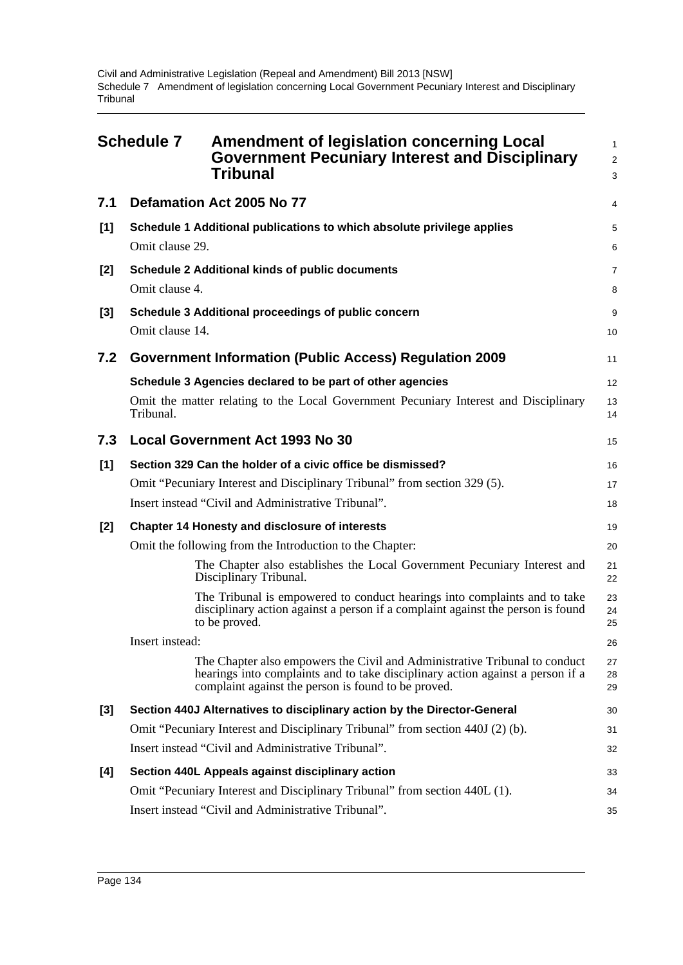|       | <b>Schedule 7</b> | <b>Amendment of legislation concerning Local</b><br><b>Government Pecuniary Interest and Disciplinary</b><br><b>Tribunal</b>                                                                                        | $\mathbf{1}$<br>$\overline{2}$<br>3 |
|-------|-------------------|---------------------------------------------------------------------------------------------------------------------------------------------------------------------------------------------------------------------|-------------------------------------|
| 7.1   |                   | Defamation Act 2005 No 77                                                                                                                                                                                           | 4                                   |
| [1]   | Omit clause 29.   | Schedule 1 Additional publications to which absolute privilege applies                                                                                                                                              | 5<br>6                              |
| $[2]$ | Omit clause 4.    | Schedule 2 Additional kinds of public documents                                                                                                                                                                     | 7<br>8                              |
| $[3]$ | Omit clause 14.   | Schedule 3 Additional proceedings of public concern                                                                                                                                                                 | 9<br>10                             |
| 7.2   |                   | <b>Government Information (Public Access) Regulation 2009</b>                                                                                                                                                       | 11                                  |
|       |                   | Schedule 3 Agencies declared to be part of other agencies                                                                                                                                                           | 12                                  |
|       | Tribunal.         | Omit the matter relating to the Local Government Pecuniary Interest and Disciplinary                                                                                                                                | 13<br>14                            |
| 7.3   |                   | <b>Local Government Act 1993 No 30</b>                                                                                                                                                                              | 15                                  |
| [1]   |                   | Section 329 Can the holder of a civic office be dismissed?                                                                                                                                                          | 16                                  |
|       |                   | Omit "Pecuniary Interest and Disciplinary Tribunal" from section 329 (5).                                                                                                                                           | 17                                  |
|       |                   | Insert instead "Civil and Administrative Tribunal".                                                                                                                                                                 | 18                                  |
| $[2]$ |                   | <b>Chapter 14 Honesty and disclosure of interests</b>                                                                                                                                                               | 19                                  |
|       |                   | Omit the following from the Introduction to the Chapter:                                                                                                                                                            | 20                                  |
|       |                   | The Chapter also establishes the Local Government Pecuniary Interest and<br>Disciplinary Tribunal.                                                                                                                  | 21<br>22                            |
|       |                   | The Tribunal is empowered to conduct hearings into complaints and to take<br>disciplinary action against a person if a complaint against the person is found<br>to be proved.                                       | 23<br>24<br>25                      |
|       | Insert instead:   |                                                                                                                                                                                                                     | 26                                  |
|       |                   | The Chapter also empowers the Civil and Administrative Tribunal to conduct<br>hearings into complaints and to take disciplinary action against a person if a<br>complaint against the person is found to be proved. | 27<br>28<br>29                      |
| $[3]$ |                   | Section 440J Alternatives to disciplinary action by the Director-General                                                                                                                                            | 30                                  |
|       |                   | Omit "Pecuniary Interest and Disciplinary Tribunal" from section 440J (2) (b).                                                                                                                                      | 31                                  |
|       |                   | Insert instead "Civil and Administrative Tribunal".                                                                                                                                                                 | 32                                  |
| [4]   |                   | Section 440L Appeals against disciplinary action                                                                                                                                                                    | 33                                  |
|       |                   | Omit "Pecuniary Interest and Disciplinary Tribunal" from section 440L (1).                                                                                                                                          | 34                                  |
|       |                   | Insert instead "Civil and Administrative Tribunal".                                                                                                                                                                 | 35                                  |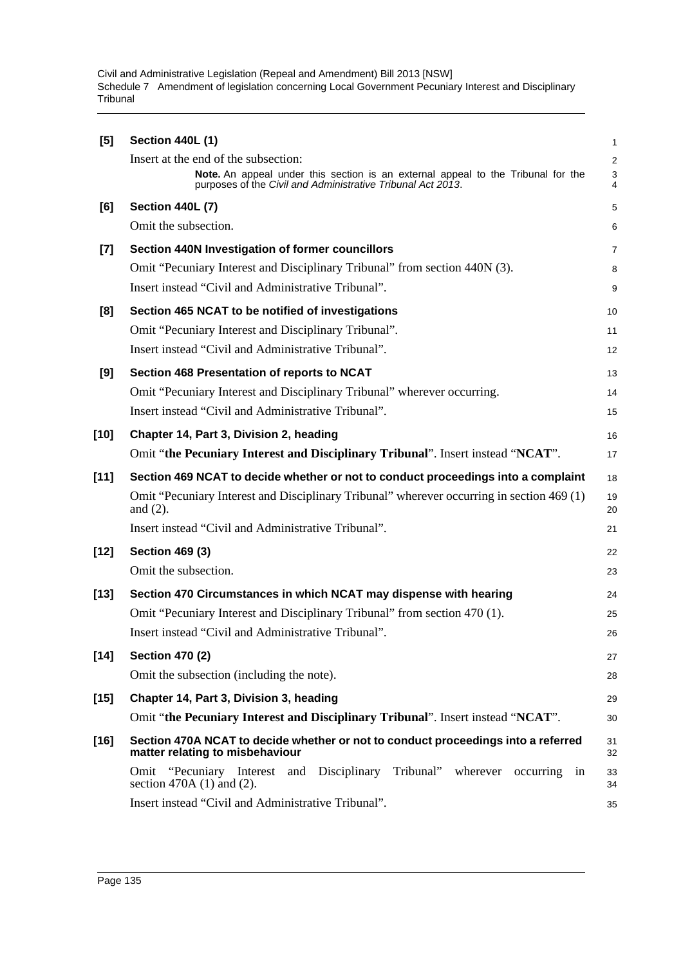| [5]    | <b>Section 440L (1)</b>                                                                                                                         | 1                |
|--------|-------------------------------------------------------------------------------------------------------------------------------------------------|------------------|
|        | Insert at the end of the subsection:                                                                                                            | $\sqrt{2}$       |
|        | Note. An appeal under this section is an external appeal to the Tribunal for the<br>purposes of the Civil and Administrative Tribunal Act 2013. | $\mathsf 3$<br>4 |
| [6]    | <b>Section 440L (7)</b>                                                                                                                         | 5                |
|        | Omit the subsection.                                                                                                                            | 6                |
| $[7]$  | Section 440N Investigation of former councillors                                                                                                | $\overline{7}$   |
|        | Omit "Pecuniary Interest and Disciplinary Tribunal" from section 440N (3).                                                                      | 8                |
|        | Insert instead "Civil and Administrative Tribunal".                                                                                             | 9                |
| [8]    | Section 465 NCAT to be notified of investigations                                                                                               | 10               |
|        | Omit "Pecuniary Interest and Disciplinary Tribunal".                                                                                            | 11               |
|        | Insert instead "Civil and Administrative Tribunal".                                                                                             | 12               |
| [9]    | Section 468 Presentation of reports to NCAT                                                                                                     | 13               |
|        | Omit "Pecuniary Interest and Disciplinary Tribunal" wherever occurring.                                                                         | 14               |
|        | Insert instead "Civil and Administrative Tribunal".                                                                                             | 15               |
| $[10]$ | Chapter 14, Part 3, Division 2, heading                                                                                                         | 16               |
|        | Omit "the Pecuniary Interest and Disciplinary Tribunal". Insert instead "NCAT".                                                                 | 17               |
| $[11]$ | Section 469 NCAT to decide whether or not to conduct proceedings into a complaint                                                               | 18               |
|        | Omit "Pecuniary Interest and Disciplinary Tribunal" wherever occurring in section 469 (1)<br>and $(2)$ .                                        | 19<br>20         |
|        | Insert instead "Civil and Administrative Tribunal".                                                                                             | 21               |
| $[12]$ | <b>Section 469 (3)</b>                                                                                                                          | 22               |
|        | Omit the subsection.                                                                                                                            | 23               |
| [13]   | Section 470 Circumstances in which NCAT may dispense with hearing                                                                               | 24               |
|        | Omit "Pecuniary Interest and Disciplinary Tribunal" from section 470 (1).                                                                       | 25               |
|        | Insert instead "Civil and Administrative Tribunal".                                                                                             | 26               |
| $[14]$ | <b>Section 470 (2)</b>                                                                                                                          | 27               |
|        | Omit the subsection (including the note).                                                                                                       | 28               |
| $[15]$ | Chapter 14, Part 3, Division 3, heading                                                                                                         | 29               |
|        | Omit "the Pecuniary Interest and Disciplinary Tribunal". Insert instead "NCAT".                                                                 | 30               |
| $[16]$ | Section 470A NCAT to decide whether or not to conduct proceedings into a referred<br>matter relating to misbehaviour                            | 31<br>32         |
|        | Omit "Pecuniary Interest and Disciplinary<br>Tribunal" wherever<br>occurring<br>in<br>section 470A $(1)$ and $(2)$ .                            | 33<br>34         |
|        | Insert instead "Civil and Administrative Tribunal".                                                                                             | 35               |
|        |                                                                                                                                                 |                  |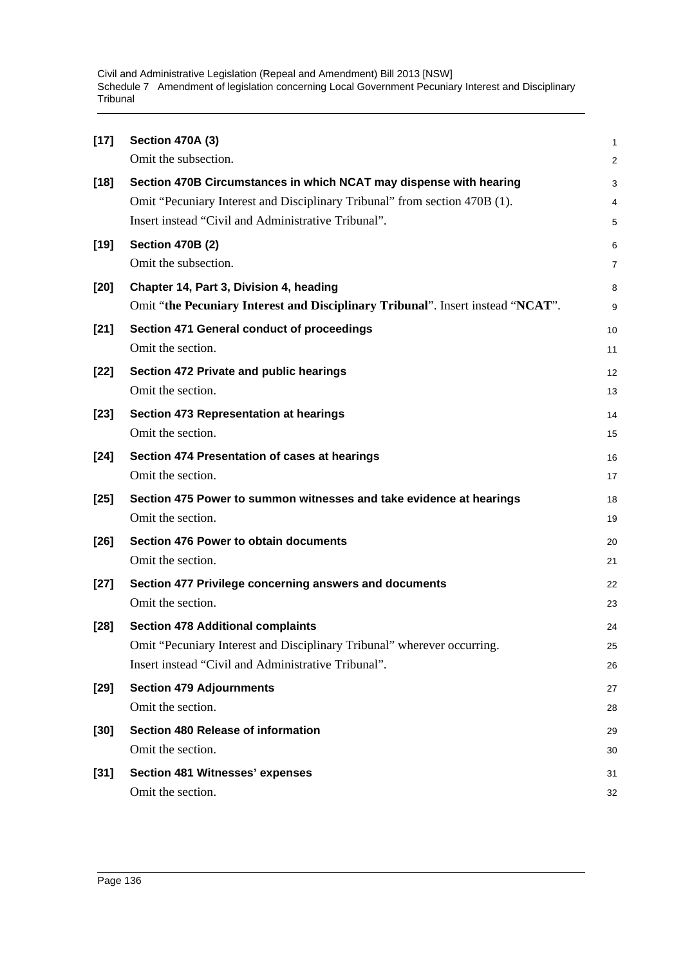| $[17]$ | <b>Section 470A (3)</b>                                                         | 1              |
|--------|---------------------------------------------------------------------------------|----------------|
|        | Omit the subsection.                                                            | $\overline{c}$ |
| $[18]$ | Section 470B Circumstances in which NCAT may dispense with hearing              | 3              |
|        | Omit "Pecuniary Interest and Disciplinary Tribunal" from section 470B (1).      | 4              |
|        | Insert instead "Civil and Administrative Tribunal".                             | 5              |
| $[19]$ | <b>Section 470B (2)</b>                                                         | 6              |
|        | Omit the subsection.                                                            | 7              |
| $[20]$ | Chapter 14, Part 3, Division 4, heading                                         | 8              |
|        | Omit "the Pecuniary Interest and Disciplinary Tribunal". Insert instead "NCAT". | 9              |
| $[21]$ | Section 471 General conduct of proceedings                                      | 10             |
|        | Omit the section.                                                               | 11             |
| $[22]$ | Section 472 Private and public hearings                                         | 12             |
|        | Omit the section.                                                               | 13             |
| $[23]$ | <b>Section 473 Representation at hearings</b>                                   | 14             |
|        | Omit the section.                                                               | 15             |
| $[24]$ | Section 474 Presentation of cases at hearings                                   | 16             |
|        | Omit the section.                                                               | 17             |
| $[25]$ | Section 475 Power to summon witnesses and take evidence at hearings             | 18             |
|        | Omit the section.                                                               | 19             |
| $[26]$ | <b>Section 476 Power to obtain documents</b>                                    | 20             |
|        | Omit the section.                                                               | 21             |
| $[27]$ | Section 477 Privilege concerning answers and documents                          | 22             |
|        | Omit the section.                                                               | 23             |
| $[28]$ | <b>Section 478 Additional complaints</b>                                        | 24             |
|        | Omit "Pecuniary Interest and Disciplinary Tribunal" wherever occurring.         | 25             |
|        | Insert instead "Civil and Administrative Tribunal".                             | 26             |
| $[29]$ | <b>Section 479 Adjournments</b>                                                 | 27             |
|        | Omit the section.                                                               | 28             |
| $[30]$ | Section 480 Release of information                                              | 29             |
|        | Omit the section.                                                               | 30             |
| $[31]$ | <b>Section 481 Witnesses' expenses</b>                                          | 31             |
|        | Omit the section.                                                               | 32             |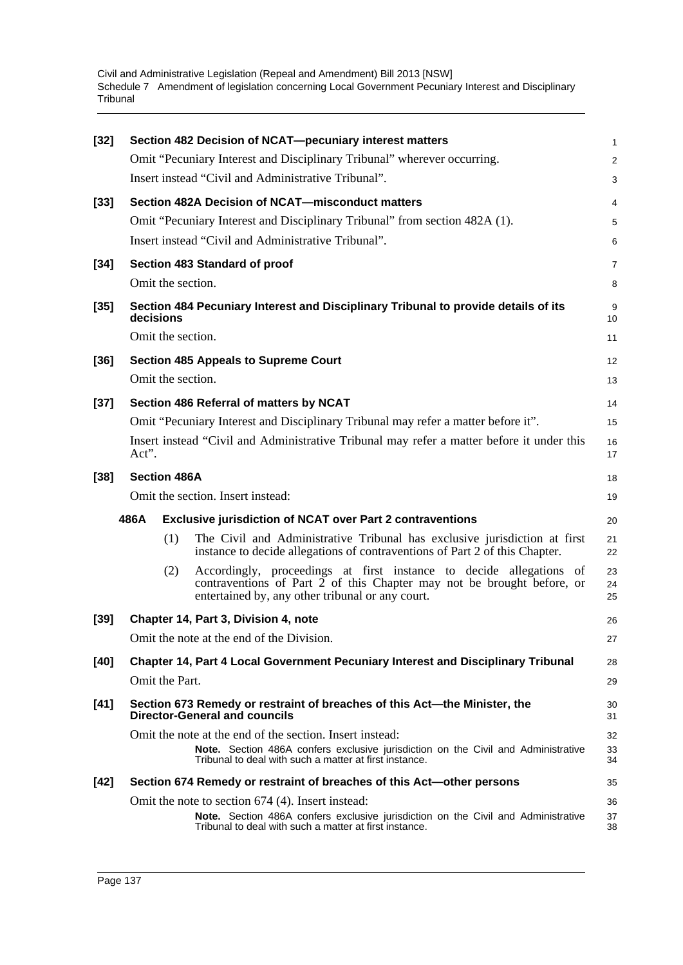| $[32]$ |                     | Section 482 Decision of NCAT-pecuniary interest matters                                                                                                                                           | 1              |
|--------|---------------------|---------------------------------------------------------------------------------------------------------------------------------------------------------------------------------------------------|----------------|
|        |                     | Omit "Pecuniary Interest and Disciplinary Tribunal" wherever occurring.                                                                                                                           | $\overline{c}$ |
|        |                     | Insert instead "Civil and Administrative Tribunal".                                                                                                                                               | 3              |
| $[33]$ |                     | Section 482A Decision of NCAT-misconduct matters                                                                                                                                                  | 4              |
|        |                     | Omit "Pecuniary Interest and Disciplinary Tribunal" from section 482A (1).                                                                                                                        | 5              |
|        |                     | Insert instead "Civil and Administrative Tribunal".                                                                                                                                               | 6              |
| $[34]$ |                     | Section 483 Standard of proof                                                                                                                                                                     | 7              |
|        |                     | Omit the section.                                                                                                                                                                                 | 8              |
| $[35]$ | decisions           | Section 484 Pecuniary Interest and Disciplinary Tribunal to provide details of its                                                                                                                | 9<br>10        |
|        | Omit the section.   |                                                                                                                                                                                                   | 11             |
| $[36]$ |                     | <b>Section 485 Appeals to Supreme Court</b>                                                                                                                                                       | 12             |
|        |                     | Omit the section.                                                                                                                                                                                 | 13             |
| $[37]$ |                     | Section 486 Referral of matters by NCAT                                                                                                                                                           | 14             |
|        |                     | Omit "Pecuniary Interest and Disciplinary Tribunal may refer a matter before it".                                                                                                                 | 15             |
|        | Act".               | Insert instead "Civil and Administrative Tribunal may refer a matter before it under this                                                                                                         | 16<br>17       |
| $[38]$ | <b>Section 486A</b> |                                                                                                                                                                                                   | 18             |
|        |                     | Omit the section. Insert instead:                                                                                                                                                                 | 19             |
|        | 486A                | <b>Exclusive jurisdiction of NCAT over Part 2 contraventions</b>                                                                                                                                  | 20             |
|        | (1)                 | The Civil and Administrative Tribunal has exclusive jurisdiction at first<br>instance to decide allegations of contraventions of Part 2 of this Chapter.                                          | 21<br>22       |
|        | (2)                 | Accordingly, proceedings at first instance to decide allegations of<br>contraventions of Part 2 of this Chapter may not be brought before, or<br>entertained by, any other tribunal or any court. | 23<br>24<br>25 |
| $[39]$ |                     | Chapter 14, Part 3, Division 4, note                                                                                                                                                              | 26             |
|        |                     | Omit the note at the end of the Division.                                                                                                                                                         | 27             |
| $[40]$ |                     | <b>Chapter 14, Part 4 Local Government Pecuniary Interest and Disciplinary Tribunal</b>                                                                                                           | 28             |
|        | Omit the Part.      |                                                                                                                                                                                                   | 29             |
| $[41]$ |                     | Section 673 Remedy or restraint of breaches of this Act-the Minister, the<br><b>Director-General and councils</b>                                                                                 | 30<br>31       |
|        |                     | Omit the note at the end of the section. Insert instead:                                                                                                                                          | 32             |
|        |                     | Note. Section 486A confers exclusive jurisdiction on the Civil and Administrative<br>Tribunal to deal with such a matter at first instance.                                                       | 33<br>34       |
| $[42]$ |                     | Section 674 Remedy or restraint of breaches of this Act-other persons                                                                                                                             | 35             |
|        |                     | Omit the note to section 674 (4). Insert instead:                                                                                                                                                 | 36             |
|        |                     | Note. Section 486A confers exclusive jurisdiction on the Civil and Administrative<br>Tribunal to deal with such a matter at first instance.                                                       | 37<br>38       |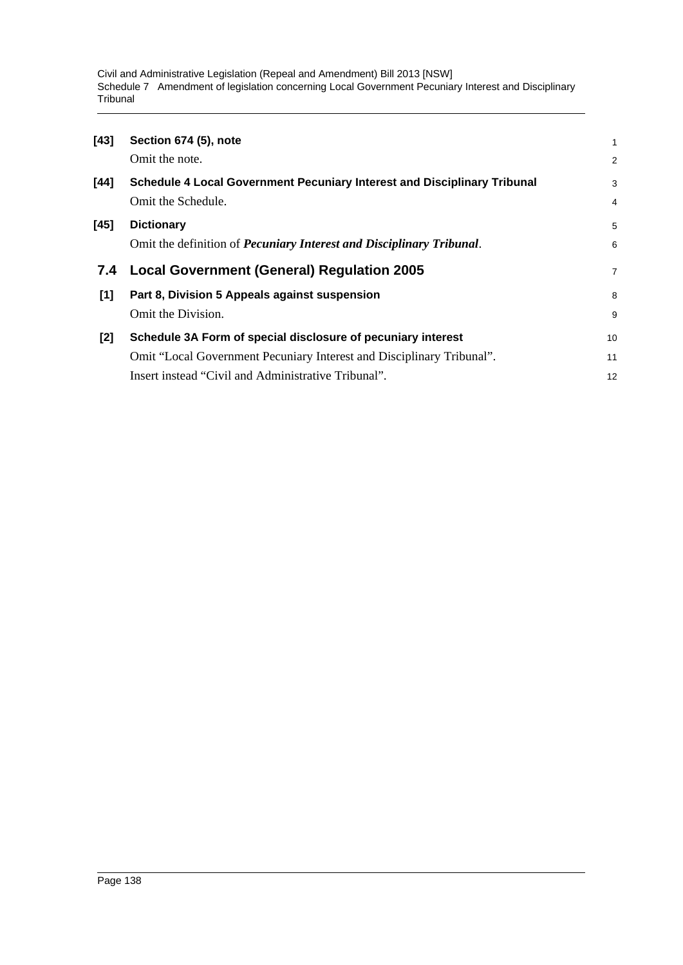| $[43]$ | Section 674 (5), note                                                           | $\mathbf{1}$   |
|--------|---------------------------------------------------------------------------------|----------------|
|        | Omit the note.                                                                  | 2              |
| [44]   | <b>Schedule 4 Local Government Pecuniary Interest and Disciplinary Tribunal</b> | 3              |
|        | Omit the Schedule.                                                              | $\overline{4}$ |
| $[45]$ | <b>Dictionary</b>                                                               | 5              |
|        | Omit the definition of <i>Pecuniary Interest and Disciplinary Tribunal</i> .    | 6              |
|        |                                                                                 |                |
| 7.4    | <b>Local Government (General) Regulation 2005</b>                               | $\overline{7}$ |
| [1]    | Part 8, Division 5 Appeals against suspension                                   | 8              |
|        | Omit the Division.                                                              | 9              |
| $[2]$  | Schedule 3A Form of special disclosure of pecuniary interest                    | 10             |
|        | Omit "Local Government Pecuniary Interest and Disciplinary Tribunal".           | 11             |
|        | Insert instead "Civil and Administrative Tribunal".                             | 12             |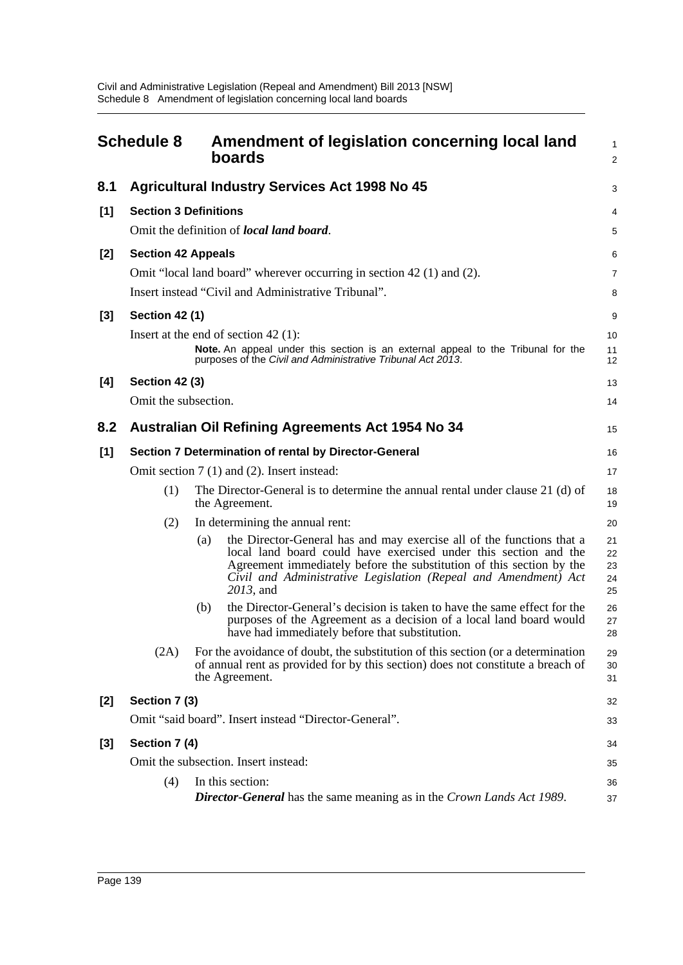|       | <b>Schedule 8</b>                                     | Amendment of legislation concerning local land<br>boards                                                                                                                                                                                                                                                 | $\mathbf{1}$<br>$\overline{2}$ |  |  |
|-------|-------------------------------------------------------|----------------------------------------------------------------------------------------------------------------------------------------------------------------------------------------------------------------------------------------------------------------------------------------------------------|--------------------------------|--|--|
| 8.1   |                                                       | <b>Agricultural Industry Services Act 1998 No 45</b>                                                                                                                                                                                                                                                     | 3                              |  |  |
| [1]   | <b>Section 3 Definitions</b>                          |                                                                                                                                                                                                                                                                                                          | 4                              |  |  |
|       |                                                       | Omit the definition of <i>local land board</i> .                                                                                                                                                                                                                                                         | 5                              |  |  |
| [2]   | <b>Section 42 Appeals</b>                             | Omit "local land board" wherever occurring in section 42 (1) and (2).<br>Insert instead "Civil and Administrative Tribunal".                                                                                                                                                                             | 6<br>7<br>8                    |  |  |
| $[3]$ | <b>Section 42 (1)</b>                                 |                                                                                                                                                                                                                                                                                                          | 9                              |  |  |
|       |                                                       | Insert at the end of section $42$ (1):<br>Note. An appeal under this section is an external appeal to the Tribunal for the<br>purposes of the Civil and Administrative Tribunal Act 2013.                                                                                                                | 10<br>11<br>12                 |  |  |
| [4]   | <b>Section 42 (3)</b>                                 |                                                                                                                                                                                                                                                                                                          | 13                             |  |  |
|       | Omit the subsection.                                  |                                                                                                                                                                                                                                                                                                          | 14                             |  |  |
| 8.2   |                                                       | <b>Australian Oil Refining Agreements Act 1954 No 34</b>                                                                                                                                                                                                                                                 | 15                             |  |  |
| $[1]$ | Section 7 Determination of rental by Director-General |                                                                                                                                                                                                                                                                                                          |                                |  |  |
|       |                                                       | Omit section 7 (1) and (2). Insert instead:                                                                                                                                                                                                                                                              | 17                             |  |  |
|       | (1)                                                   | The Director-General is to determine the annual rental under clause 21 (d) of<br>the Agreement.                                                                                                                                                                                                          | 18<br>19                       |  |  |
|       | (2)                                                   | In determining the annual rent:                                                                                                                                                                                                                                                                          | 20                             |  |  |
|       |                                                       | the Director-General has and may exercise all of the functions that a<br>(a)<br>local land board could have exercised under this section and the<br>Agreement immediately before the substitution of this section by the<br>Civil and Administrative Legislation (Repeal and Amendment) Act<br>2013, and | 21<br>22<br>23<br>24<br>25     |  |  |
|       |                                                       | the Director-General's decision is taken to have the same effect for the<br>(b)<br>purposes of the Agreement as a decision of a local land board would<br>have had immediately before that substitution.                                                                                                 | 26<br>27<br>28                 |  |  |
|       | (2A)                                                  | For the avoidance of doubt, the substitution of this section (or a determination<br>of annual rent as provided for by this section) does not constitute a breach of<br>the Agreement.                                                                                                                    | 29<br>30<br>31                 |  |  |
| [2]   | Section 7 (3)                                         |                                                                                                                                                                                                                                                                                                          | 32                             |  |  |
|       | Omit "said board". Insert instead "Director-General". |                                                                                                                                                                                                                                                                                                          |                                |  |  |
| $[3]$ | Section 7 (4)                                         |                                                                                                                                                                                                                                                                                                          | 34                             |  |  |
|       |                                                       | Omit the subsection. Insert instead:                                                                                                                                                                                                                                                                     | 35                             |  |  |
|       | (4)                                                   | In this section:<br><b>Director-General</b> has the same meaning as in the Crown Lands Act 1989.                                                                                                                                                                                                         | 36<br>37                       |  |  |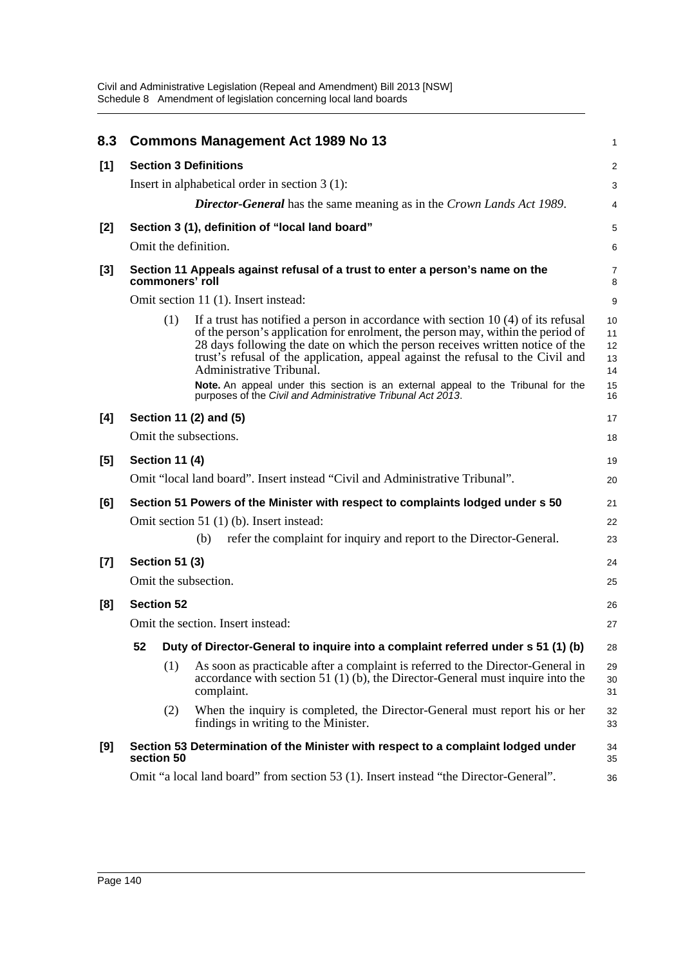| 8.3   |                                                                                       |                                   | <b>Commons Management Act 1989 No 13</b>                                                                                                                                                                                                                                                                                                                                                                                                                  | 1                                |  |
|-------|---------------------------------------------------------------------------------------|-----------------------------------|-----------------------------------------------------------------------------------------------------------------------------------------------------------------------------------------------------------------------------------------------------------------------------------------------------------------------------------------------------------------------------------------------------------------------------------------------------------|----------------------------------|--|
| [1]   |                                                                                       |                                   | <b>Section 3 Definitions</b>                                                                                                                                                                                                                                                                                                                                                                                                                              | $\overline{c}$                   |  |
|       |                                                                                       |                                   | Insert in alphabetical order in section $3(1)$ :                                                                                                                                                                                                                                                                                                                                                                                                          | 3                                |  |
|       |                                                                                       |                                   | <b>Director-General</b> has the same meaning as in the Crown Lands Act 1989.                                                                                                                                                                                                                                                                                                                                                                              | 4                                |  |
| [2]   |                                                                                       |                                   | Section 3 (1), definition of "local land board"                                                                                                                                                                                                                                                                                                                                                                                                           | 5                                |  |
|       |                                                                                       |                                   | Omit the definition.                                                                                                                                                                                                                                                                                                                                                                                                                                      | 6                                |  |
| $[3]$ |                                                                                       | commoners' roll                   | Section 11 Appeals against refusal of a trust to enter a person's name on the                                                                                                                                                                                                                                                                                                                                                                             | 7<br>8                           |  |
|       |                                                                                       |                                   | Omit section 11 (1). Insert instead:                                                                                                                                                                                                                                                                                                                                                                                                                      | 9                                |  |
|       |                                                                                       | (1)                               | If a trust has notified a person in accordance with section $10(4)$ of its refusal<br>of the person's application for enrolment, the person may, within the period of<br>28 days following the date on which the person receives written notice of the<br>trust's refusal of the application, appeal against the refusal to the Civil and<br>Administrative Tribunal.<br>Note. An appeal under this section is an external appeal to the Tribunal for the | 10<br>11<br>12<br>13<br>14<br>15 |  |
|       |                                                                                       |                                   | purposes of the Civil and Administrative Tribunal Act 2013.                                                                                                                                                                                                                                                                                                                                                                                               | 16                               |  |
| [4]   |                                                                                       |                                   | Section 11 (2) and (5)                                                                                                                                                                                                                                                                                                                                                                                                                                    | 17                               |  |
|       |                                                                                       |                                   | Omit the subsections.                                                                                                                                                                                                                                                                                                                                                                                                                                     | 18                               |  |
| [5]   |                                                                                       | <b>Section 11 (4)</b>             |                                                                                                                                                                                                                                                                                                                                                                                                                                                           | 19                               |  |
|       |                                                                                       |                                   | Omit "local land board". Insert instead "Civil and Administrative Tribunal".                                                                                                                                                                                                                                                                                                                                                                              | 20                               |  |
| [6]   | Section 51 Powers of the Minister with respect to complaints lodged under s 50        |                                   |                                                                                                                                                                                                                                                                                                                                                                                                                                                           | 21                               |  |
|       |                                                                                       |                                   | Omit section 51 (1) (b). Insert instead:                                                                                                                                                                                                                                                                                                                                                                                                                  | 22                               |  |
|       |                                                                                       |                                   | refer the complaint for inquiry and report to the Director-General.<br>(b)                                                                                                                                                                                                                                                                                                                                                                                | 23                               |  |
| $[7]$ |                                                                                       | <b>Section 51 (3)</b>             |                                                                                                                                                                                                                                                                                                                                                                                                                                                           |                                  |  |
|       |                                                                                       |                                   | Omit the subsection.                                                                                                                                                                                                                                                                                                                                                                                                                                      | 25                               |  |
| [8]   | <b>Section 52</b>                                                                     |                                   |                                                                                                                                                                                                                                                                                                                                                                                                                                                           |                                  |  |
|       |                                                                                       | Omit the section. Insert instead: |                                                                                                                                                                                                                                                                                                                                                                                                                                                           |                                  |  |
|       | 52                                                                                    |                                   | Duty of Director-General to inquire into a complaint referred under s 51 (1) (b)                                                                                                                                                                                                                                                                                                                                                                          | 28                               |  |
|       |                                                                                       | (1)                               | As soon as practicable after a complaint is referred to the Director-General in<br>accordance with section 51 (1) (b), the Director-General must inquire into the<br>complaint.                                                                                                                                                                                                                                                                           | 29<br>30<br>31                   |  |
|       |                                                                                       | (2)                               | When the inquiry is completed, the Director-General must report his or her<br>findings in writing to the Minister.                                                                                                                                                                                                                                                                                                                                        | 32<br>33                         |  |
| [9]   |                                                                                       | section 50                        | Section 53 Determination of the Minister with respect to a complaint lodged under                                                                                                                                                                                                                                                                                                                                                                         | 34<br>35                         |  |
|       | Omit "a local land board" from section 53 (1). Insert instead "the Director-General". |                                   |                                                                                                                                                                                                                                                                                                                                                                                                                                                           |                                  |  |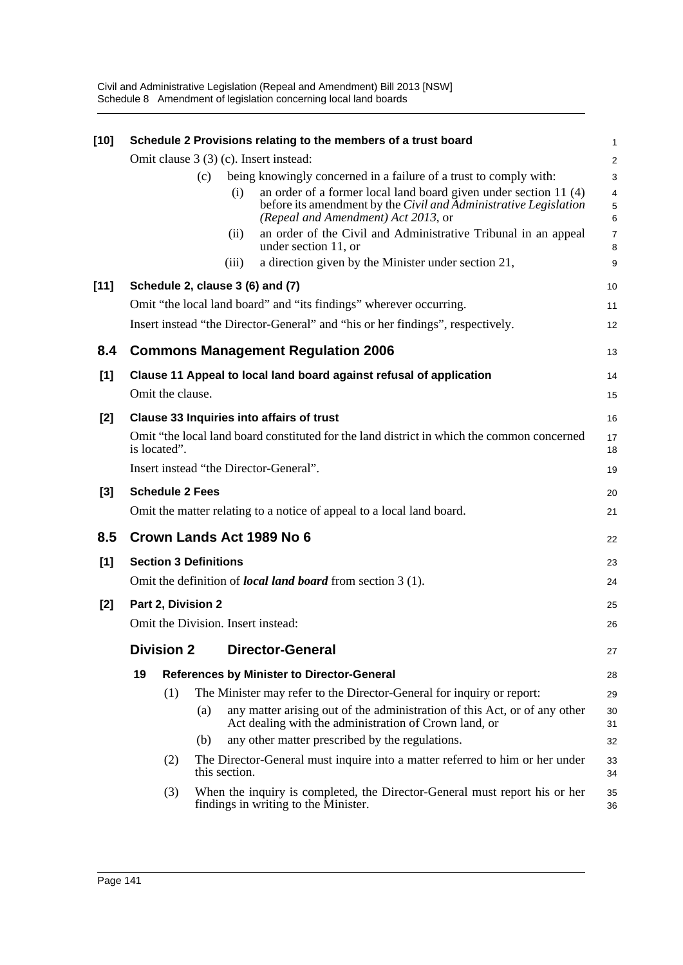| $[10]$ |                                        |                              |     |               | Schedule 2 Provisions relating to the members of a trust board                                                                                                              | 1                                  |  |
|--------|----------------------------------------|------------------------------|-----|---------------|-----------------------------------------------------------------------------------------------------------------------------------------------------------------------------|------------------------------------|--|
|        | Omit clause 3 (3) (c). Insert instead: |                              |     |               |                                                                                                                                                                             |                                    |  |
|        |                                        |                              | (c) |               | being knowingly concerned in a failure of a trust to comply with:                                                                                                           | 3                                  |  |
|        |                                        |                              |     | (i)           | an order of a former local land board given under section 11 (4)<br>before its amendment by the Civil and Administrative Legislation<br>(Repeal and Amendment) Act 2013, or | $\overline{4}$<br>$\mathbf 5$<br>6 |  |
|        |                                        |                              |     | (ii)          | an order of the Civil and Administrative Tribunal in an appeal<br>under section 11, or                                                                                      | $\overline{7}$<br>8                |  |
|        |                                        |                              |     | (iii)         | a direction given by the Minister under section 21,                                                                                                                         | 9                                  |  |
| $[11]$ |                                        |                              |     |               | Schedule 2, clause 3 (6) and (7)                                                                                                                                            | 10                                 |  |
|        |                                        |                              |     |               | Omit "the local land board" and "its findings" wherever occurring.                                                                                                          | 11                                 |  |
|        |                                        |                              |     |               | Insert instead "the Director-General" and "his or her findings", respectively.                                                                                              | 12                                 |  |
| 8.4    |                                        |                              |     |               | <b>Commons Management Regulation 2006</b>                                                                                                                                   | 13                                 |  |
| [1]    |                                        |                              |     |               | Clause 11 Appeal to local land board against refusal of application                                                                                                         | 14                                 |  |
|        |                                        | Omit the clause.             |     |               |                                                                                                                                                                             | 15                                 |  |
| [2]    |                                        |                              |     |               | <b>Clause 33 Inquiries into affairs of trust</b>                                                                                                                            | 16                                 |  |
|        |                                        | is located".                 |     |               | Omit "the local land board constituted for the land district in which the common concerned                                                                                  | 17<br>18                           |  |
|        |                                        |                              |     |               | Insert instead "the Director-General".                                                                                                                                      | 19                                 |  |
| $[3]$  |                                        | <b>Schedule 2 Fees</b>       |     |               |                                                                                                                                                                             | 20                                 |  |
|        |                                        |                              |     |               | Omit the matter relating to a notice of appeal to a local land board.                                                                                                       | 21                                 |  |
| 8.5    |                                        |                              |     |               | Crown Lands Act 1989 No 6                                                                                                                                                   | 22                                 |  |
| [1]    |                                        | <b>Section 3 Definitions</b> |     |               |                                                                                                                                                                             | 23                                 |  |
|        |                                        |                              |     |               | Omit the definition of <i>local land board</i> from section 3 (1).                                                                                                          | 24                                 |  |
| $[2]$  | Part 2, Division 2                     |                              |     |               |                                                                                                                                                                             | 25                                 |  |
|        |                                        |                              |     |               | Omit the Division. Insert instead:                                                                                                                                          | 26                                 |  |
|        |                                        | <b>Division 2</b>            |     |               | <b>Director-General</b>                                                                                                                                                     | 27                                 |  |
|        | 19                                     |                              |     |               | <b>References by Minister to Director-General</b>                                                                                                                           | 28                                 |  |
|        |                                        | (1)                          |     |               | The Minister may refer to the Director-General for inquiry or report:                                                                                                       | 29                                 |  |
|        |                                        |                              | (a) |               | any matter arising out of the administration of this Act, or of any other<br>Act dealing with the administration of Crown land, or                                          | 30<br>31                           |  |
|        |                                        |                              | (b) |               | any other matter prescribed by the regulations.                                                                                                                             | 32                                 |  |
|        |                                        | (2)                          |     | this section. | The Director-General must inquire into a matter referred to him or her under                                                                                                | 33<br>34                           |  |
|        |                                        | (3)                          |     |               | When the inquiry is completed, the Director-General must report his or her<br>findings in writing to the Minister.                                                          | 35<br>36                           |  |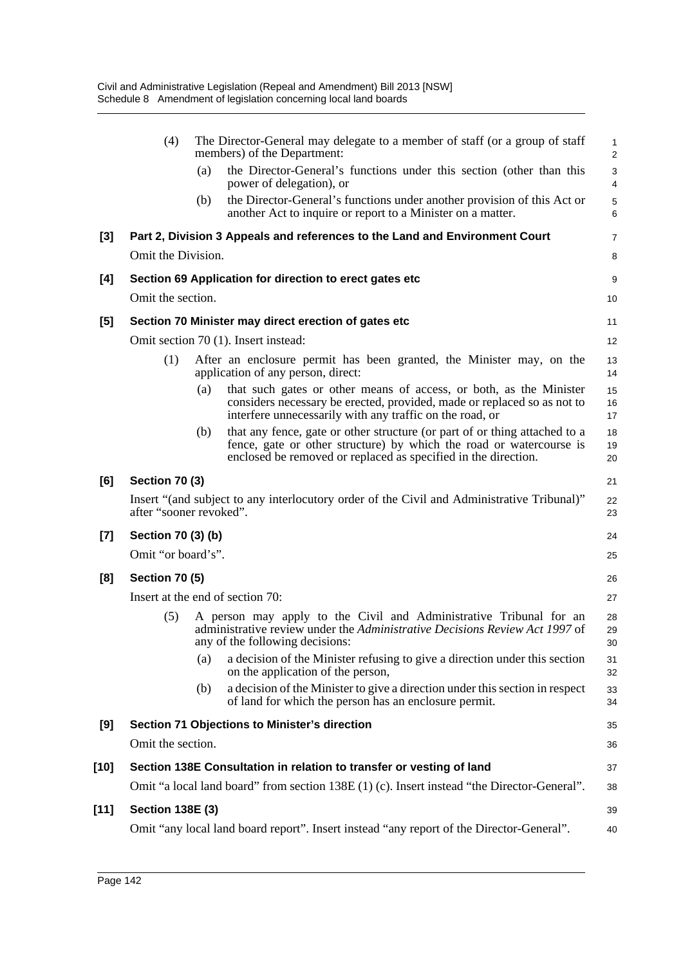|        | (4)                     |     | The Director-General may delegate to a member of staff (or a group of staff<br>members) of the Department:                                                                                                          | 1<br>$\overline{\mathbf{c}}$ |  |
|--------|-------------------------|-----|---------------------------------------------------------------------------------------------------------------------------------------------------------------------------------------------------------------------|------------------------------|--|
|        |                         | (a) | the Director-General's functions under this section (other than this<br>power of delegation), or                                                                                                                    | 3<br>4                       |  |
|        |                         | (b) | the Director-General's functions under another provision of this Act or<br>another Act to inquire or report to a Minister on a matter.                                                                              | 5<br>6                       |  |
| $[3]$  |                         |     | Part 2, Division 3 Appeals and references to the Land and Environment Court                                                                                                                                         | 7                            |  |
|        | Omit the Division.      |     |                                                                                                                                                                                                                     |                              |  |
| [4]    |                         |     | Section 69 Application for direction to erect gates etc                                                                                                                                                             | 9                            |  |
|        | Omit the section.       |     |                                                                                                                                                                                                                     | 10                           |  |
| [5]    |                         |     | Section 70 Minister may direct erection of gates etc                                                                                                                                                                | 11                           |  |
|        |                         |     | Omit section 70 (1). Insert instead:                                                                                                                                                                                | 12                           |  |
|        | (1)                     |     | After an enclosure permit has been granted, the Minister may, on the<br>application of any person, direct:                                                                                                          | 13<br>14                     |  |
|        |                         | (a) | that such gates or other means of access, or both, as the Minister<br>considers necessary be erected, provided, made or replaced so as not to<br>interfere unnecessarily with any traffic on the road, or           | 15<br>16<br>17               |  |
|        |                         | (b) | that any fence, gate or other structure (or part of or thing attached to a<br>fence, gate or other structure) by which the road or watercourse is<br>enclosed be removed or replaced as specified in the direction. | 18<br>19<br>20               |  |
| [6]    | <b>Section 70 (3)</b>   |     |                                                                                                                                                                                                                     | 21                           |  |
|        | after "sooner revoked". |     | Insert "(and subject to any interlocutory order of the Civil and Administrative Tribunal)"                                                                                                                          | 22<br>23                     |  |
| $[7]$  | Section 70 (3) (b)      |     |                                                                                                                                                                                                                     | 24                           |  |
|        | Omit "or board's".      |     |                                                                                                                                                                                                                     | 25                           |  |
| [8]    | <b>Section 70 (5)</b>   |     |                                                                                                                                                                                                                     | 26                           |  |
|        |                         |     | Insert at the end of section 70:                                                                                                                                                                                    | 27                           |  |
|        | (5)                     |     | A person may apply to the Civil and Administrative Tribunal for an<br>administrative review under the Administrative Decisions Review Act 1997 of<br>any of the following decisions:                                | 28<br>29<br>30               |  |
|        |                         | (a) | a decision of the Minister refusing to give a direction under this section<br>on the application of the person,                                                                                                     | 31<br>32                     |  |
|        |                         | (b) | a decision of the Minister to give a direction under this section in respect<br>of land for which the person has an enclosure permit.                                                                               | 33<br>34                     |  |
| [9]    |                         |     | <b>Section 71 Objections to Minister's direction</b>                                                                                                                                                                | 35                           |  |
|        | Omit the section.       |     |                                                                                                                                                                                                                     | 36                           |  |
| [10]   |                         |     | Section 138E Consultation in relation to transfer or vesting of land                                                                                                                                                | 37                           |  |
|        |                         |     | Omit "a local land board" from section 138E (1) (c). Insert instead "the Director-General".                                                                                                                         | 38                           |  |
| $[11]$ | <b>Section 138E (3)</b> |     |                                                                                                                                                                                                                     | 39                           |  |
|        |                         |     | Omit "any local land board report". Insert instead "any report of the Director-General".                                                                                                                            | 40                           |  |
|        |                         |     |                                                                                                                                                                                                                     |                              |  |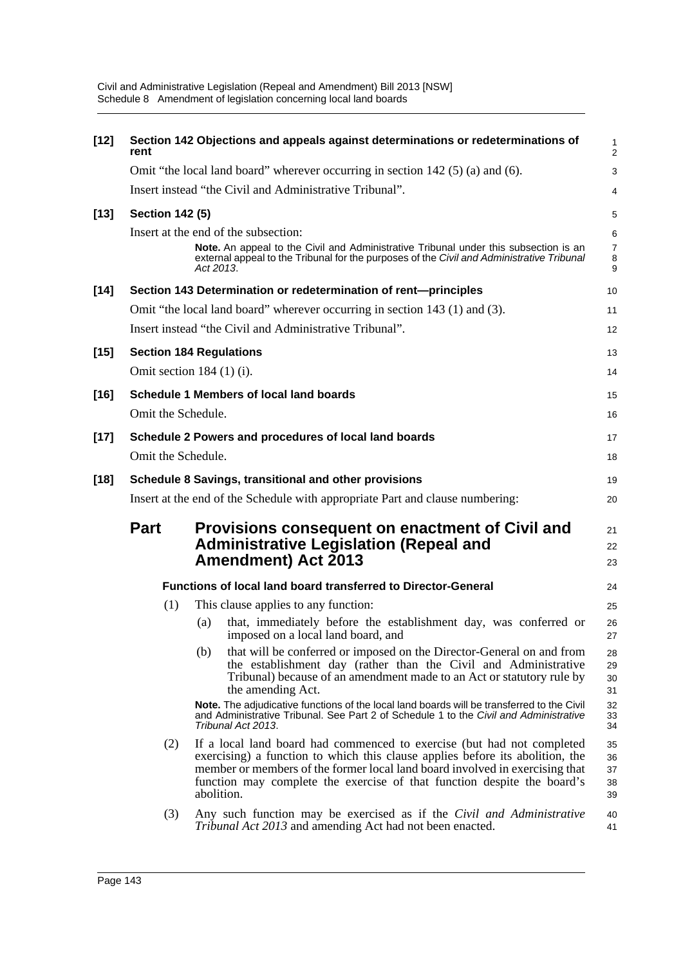| $[12]$ | Section 142 Objections and appeals against determinations or redeterminations of<br>rent |                                                                                                                                                                                                                                                                                                                                  |                               |  |  |  |
|--------|------------------------------------------------------------------------------------------|----------------------------------------------------------------------------------------------------------------------------------------------------------------------------------------------------------------------------------------------------------------------------------------------------------------------------------|-------------------------------|--|--|--|
|        |                                                                                          | Omit "the local land board" wherever occurring in section 142 (5) (a) and (6).                                                                                                                                                                                                                                                   | 3                             |  |  |  |
|        |                                                                                          | Insert instead "the Civil and Administrative Tribunal".                                                                                                                                                                                                                                                                          | 4                             |  |  |  |
| $[13]$ | <b>Section 142 (5)</b>                                                                   |                                                                                                                                                                                                                                                                                                                                  | 5                             |  |  |  |
|        |                                                                                          | Insert at the end of the subsection:<br>Note. An appeal to the Civil and Administrative Tribunal under this subsection is an<br>external appeal to the Tribunal for the purposes of the Civil and Administrative Tribunal<br>Act 2013.                                                                                           | 6<br>$\overline{7}$<br>8<br>9 |  |  |  |
| $[14]$ |                                                                                          | Section 143 Determination or redetermination of rent-principles                                                                                                                                                                                                                                                                  | 10                            |  |  |  |
|        |                                                                                          | Omit "the local land board" wherever occurring in section 143 (1) and (3).                                                                                                                                                                                                                                                       | 11                            |  |  |  |
|        |                                                                                          | Insert instead "the Civil and Administrative Tribunal".                                                                                                                                                                                                                                                                          | 12                            |  |  |  |
| $[15]$ |                                                                                          | <b>Section 184 Regulations</b>                                                                                                                                                                                                                                                                                                   | 13                            |  |  |  |
|        |                                                                                          | Omit section $184$ (1) (i).                                                                                                                                                                                                                                                                                                      | 14                            |  |  |  |
| $[16]$ |                                                                                          | Schedule 1 Members of local land boards                                                                                                                                                                                                                                                                                          | 15                            |  |  |  |
|        | Omit the Schedule.                                                                       |                                                                                                                                                                                                                                                                                                                                  | 16                            |  |  |  |
| $[17]$ |                                                                                          | Schedule 2 Powers and procedures of local land boards                                                                                                                                                                                                                                                                            | 17                            |  |  |  |
|        | Omit the Schedule.                                                                       |                                                                                                                                                                                                                                                                                                                                  | 18                            |  |  |  |
| $[18]$ | Schedule 8 Savings, transitional and other provisions                                    |                                                                                                                                                                                                                                                                                                                                  |                               |  |  |  |
|        | Insert at the end of the Schedule with appropriate Part and clause numbering:<br>20      |                                                                                                                                                                                                                                                                                                                                  |                               |  |  |  |
|        | <b>Part</b>                                                                              | Provisions consequent on enactment of Civil and<br><b>Administrative Legislation (Repeal and</b><br><b>Amendment) Act 2013</b>                                                                                                                                                                                                   | 21<br>22<br>23                |  |  |  |
|        |                                                                                          | Functions of local land board transferred to Director-General                                                                                                                                                                                                                                                                    | 24                            |  |  |  |
|        | (1)                                                                                      | This clause applies to any function:                                                                                                                                                                                                                                                                                             | 25                            |  |  |  |
|        |                                                                                          | that, immediately before the establishment day, was conferred or<br>(a)<br>imposed on a local land board, and                                                                                                                                                                                                                    | 26<br>27                      |  |  |  |
|        |                                                                                          | that will be conferred or imposed on the Director-General on and from<br>(b)<br>the establishment day (rather than the Civil and Administrative<br>Tribunal) because of an amendment made to an Act or statutory rule by<br>the amending Act.                                                                                    | 28<br>29<br>30<br>31          |  |  |  |
|        |                                                                                          | Note. The adjudicative functions of the local land boards will be transferred to the Civil<br>and Administrative Tribunal. See Part 2 of Schedule 1 to the Civil and Administrative<br>Tribunal Act 2013.                                                                                                                        | 32<br>33<br>34                |  |  |  |
|        | (2)                                                                                      | If a local land board had commenced to exercise (but had not completed<br>exercising) a function to which this clause applies before its abolition, the<br>member or members of the former local land board involved in exercising that<br>function may complete the exercise of that function despite the board's<br>abolition. | 35<br>36<br>37<br>38<br>39    |  |  |  |
|        | (3)                                                                                      | Any such function may be exercised as if the Civil and Administrative<br><i>Tribunal Act 2013</i> and amending Act had not been enacted.                                                                                                                                                                                         | 40<br>41                      |  |  |  |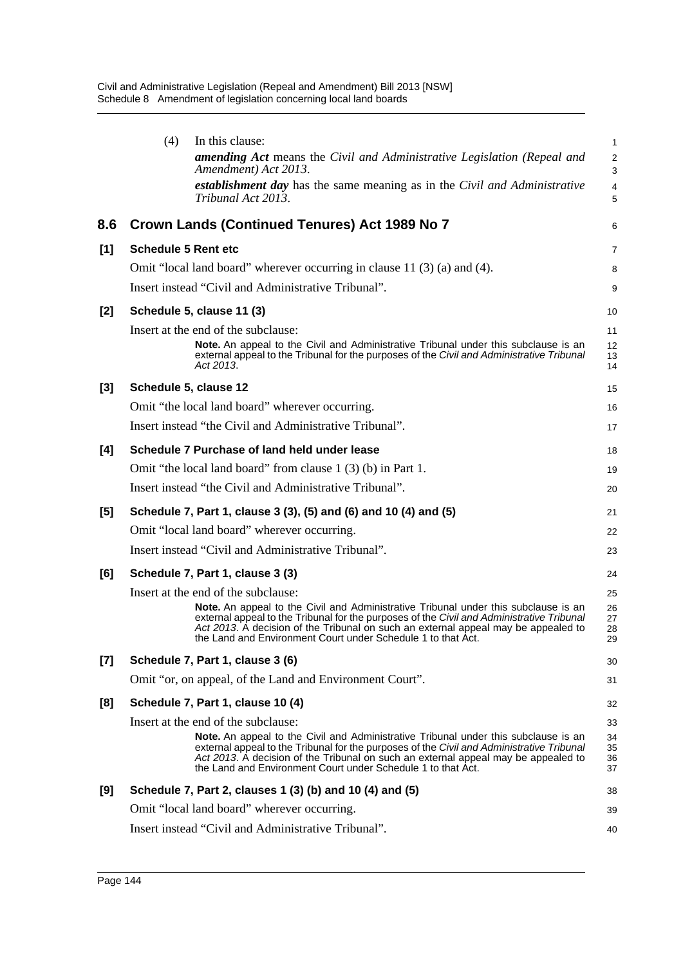|       | (4)                        | In this clause:<br><b>amending Act</b> means the Civil and Administrative Legislation (Repeal and<br>Amendment) Act 2013.<br>establishment day has the same meaning as in the Civil and Administrative<br>Tribunal Act 2013.                                                                                                                  | 1<br>$\overline{2}$<br>3<br>$\overline{4}$<br>5 |
|-------|----------------------------|-----------------------------------------------------------------------------------------------------------------------------------------------------------------------------------------------------------------------------------------------------------------------------------------------------------------------------------------------|-------------------------------------------------|
| 8.6   |                            | Crown Lands (Continued Tenures) Act 1989 No 7                                                                                                                                                                                                                                                                                                 | 6                                               |
| $[1]$ | <b>Schedule 5 Rent etc</b> |                                                                                                                                                                                                                                                                                                                                               | 7                                               |
|       |                            | Omit "local land board" wherever occurring in clause 11 (3) (a) and (4).                                                                                                                                                                                                                                                                      | 8                                               |
|       |                            | Insert instead "Civil and Administrative Tribunal".                                                                                                                                                                                                                                                                                           | 9                                               |
| $[2]$ |                            | Schedule 5, clause 11 (3)                                                                                                                                                                                                                                                                                                                     | 10                                              |
|       |                            | Insert at the end of the subclause:<br><b>Note.</b> An appeal to the Civil and Administrative Tribunal under this subclause is an<br>external appeal to the Tribunal for the purposes of the Civil and Administrative Tribunal<br>Act 2013.                                                                                                   | 11<br>12<br>13<br>14                            |
| $[3]$ |                            | Schedule 5, clause 12                                                                                                                                                                                                                                                                                                                         | 15                                              |
|       |                            | Omit "the local land board" wherever occurring.                                                                                                                                                                                                                                                                                               | 16                                              |
|       |                            | Insert instead "the Civil and Administrative Tribunal".                                                                                                                                                                                                                                                                                       | 17                                              |
| [4]   |                            | Schedule 7 Purchase of land held under lease                                                                                                                                                                                                                                                                                                  | 18                                              |
|       |                            | Omit "the local land board" from clause 1 (3) (b) in Part 1.                                                                                                                                                                                                                                                                                  | 19                                              |
|       |                            | Insert instead "the Civil and Administrative Tribunal".                                                                                                                                                                                                                                                                                       | 20                                              |
| [5]   |                            | Schedule 7, Part 1, clause 3 (3), (5) and (6) and 10 (4) and (5)                                                                                                                                                                                                                                                                              | 21                                              |
|       |                            | Omit "local land board" wherever occurring.                                                                                                                                                                                                                                                                                                   | 22                                              |
|       |                            | Insert instead "Civil and Administrative Tribunal".                                                                                                                                                                                                                                                                                           | 23                                              |
| [6]   |                            | Schedule 7, Part 1, clause 3 (3)                                                                                                                                                                                                                                                                                                              | 24                                              |
|       |                            | Insert at the end of the subclause:                                                                                                                                                                                                                                                                                                           | 25                                              |
|       |                            | Note. An appeal to the Civil and Administrative Tribunal under this subclause is an<br>external appeal to the Tribunal for the purposes of the Civil and Administrative Tribunal<br>Act 2013. A decision of the Tribunal on such an external appeal may be appealed to<br>the Land and Environment Court under Schedule 1 to that Act.        | 26<br>27<br>28<br>29                            |
| $[7]$ |                            | Schedule 7, Part 1, clause 3 (6)                                                                                                                                                                                                                                                                                                              | 30                                              |
|       |                            | Omit "or, on appeal, of the Land and Environment Court".                                                                                                                                                                                                                                                                                      | 31                                              |
| [8]   |                            | Schedule 7, Part 1, clause 10 (4)                                                                                                                                                                                                                                                                                                             | 32                                              |
|       |                            | Insert at the end of the subclause:                                                                                                                                                                                                                                                                                                           | 33                                              |
|       |                            | <b>Note.</b> An appeal to the Civil and Administrative Tribunal under this subclause is an<br>external appeal to the Tribunal for the purposes of the Civil and Administrative Tribunal<br>Act 2013. A decision of the Tribunal on such an external appeal may be appealed to<br>the Land and Environment Court under Schedule 1 to that Act. | 34<br>35<br>36<br>37                            |
| [9]   |                            | Schedule 7, Part 2, clauses 1 (3) (b) and 10 (4) and (5)                                                                                                                                                                                                                                                                                      | 38                                              |
|       |                            | Omit "local land board" wherever occurring.                                                                                                                                                                                                                                                                                                   | 39                                              |
|       |                            | Insert instead "Civil and Administrative Tribunal".                                                                                                                                                                                                                                                                                           | 40                                              |
|       |                            |                                                                                                                                                                                                                                                                                                                                               |                                                 |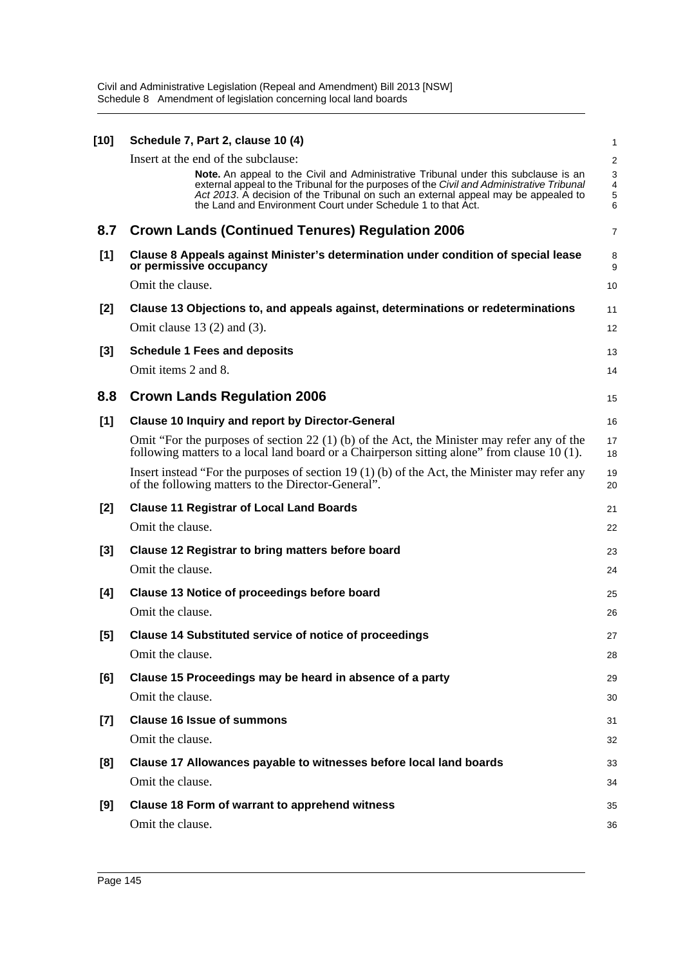| [10]  | Schedule 7, Part 2, clause 10 (4)                                                                                                                                                                                                                                                                                                             | 1                |
|-------|-----------------------------------------------------------------------------------------------------------------------------------------------------------------------------------------------------------------------------------------------------------------------------------------------------------------------------------------------|------------------|
|       | Insert at the end of the subclause:                                                                                                                                                                                                                                                                                                           | $\overline{a}$   |
|       | <b>Note.</b> An appeal to the Civil and Administrative Tribunal under this subclause is an<br>external appeal to the Tribunal for the purposes of the Civil and Administrative Tribunal<br>Act 2013. A decision of the Tribunal on such an external appeal may be appealed to<br>the Land and Environment Court under Schedule 1 to that Act. | 3<br>4<br>5<br>6 |
| 8.7   | <b>Crown Lands (Continued Tenures) Regulation 2006</b>                                                                                                                                                                                                                                                                                        | 7                |
| [1]   | Clause 8 Appeals against Minister's determination under condition of special lease<br>or permissive occupancy                                                                                                                                                                                                                                 | 8<br>9           |
|       | Omit the clause.                                                                                                                                                                                                                                                                                                                              | 10               |
| $[2]$ | Clause 13 Objections to, and appeals against, determinations or redeterminations                                                                                                                                                                                                                                                              | 11               |
|       | Omit clause $13(2)$ and $(3)$ .                                                                                                                                                                                                                                                                                                               | 12               |
| $[3]$ | <b>Schedule 1 Fees and deposits</b>                                                                                                                                                                                                                                                                                                           | 13               |
|       | Omit items 2 and 8.                                                                                                                                                                                                                                                                                                                           | 14               |
| 8.8   | <b>Crown Lands Regulation 2006</b>                                                                                                                                                                                                                                                                                                            | 15               |
| [1]   | <b>Clause 10 Inquiry and report by Director-General</b>                                                                                                                                                                                                                                                                                       | 16               |
|       | Omit "For the purposes of section 22 (1) (b) of the Act, the Minister may refer any of the<br>following matters to a local land board or a Chairperson sitting alone" from clause 10 (1).                                                                                                                                                     | 17<br>18         |
|       | Insert instead "For the purposes of section 19 $(1)$ (b) of the Act, the Minister may refer any<br>of the following matters to the Director-General".                                                                                                                                                                                         | 19<br>20         |
| $[2]$ | <b>Clause 11 Registrar of Local Land Boards</b>                                                                                                                                                                                                                                                                                               | 21               |
|       | Omit the clause.                                                                                                                                                                                                                                                                                                                              | 22               |
| $[3]$ | <b>Clause 12 Registrar to bring matters before board</b>                                                                                                                                                                                                                                                                                      | 23               |
|       | Omit the clause.                                                                                                                                                                                                                                                                                                                              | 24               |
| [4]   | <b>Clause 13 Notice of proceedings before board</b>                                                                                                                                                                                                                                                                                           | 25               |
|       | Omit the clause.                                                                                                                                                                                                                                                                                                                              | 26               |
| [5]   | <b>Clause 14 Substituted service of notice of proceedings</b>                                                                                                                                                                                                                                                                                 | 27               |
|       | Omit the clause.                                                                                                                                                                                                                                                                                                                              | 28               |
| [6]   | Clause 15 Proceedings may be heard in absence of a party                                                                                                                                                                                                                                                                                      | 29               |
|       | Omit the clause.                                                                                                                                                                                                                                                                                                                              | 30               |
| [7]   | <b>Clause 16 Issue of summons</b>                                                                                                                                                                                                                                                                                                             | 31               |
|       | Omit the clause.                                                                                                                                                                                                                                                                                                                              | 32               |
| [8]   | Clause 17 Allowances payable to witnesses before local land boards                                                                                                                                                                                                                                                                            | 33               |
|       | Omit the clause.                                                                                                                                                                                                                                                                                                                              | 34               |
| [9]   | Clause 18 Form of warrant to apprehend witness                                                                                                                                                                                                                                                                                                | 35               |
|       | Omit the clause.                                                                                                                                                                                                                                                                                                                              | 36               |
|       |                                                                                                                                                                                                                                                                                                                                               |                  |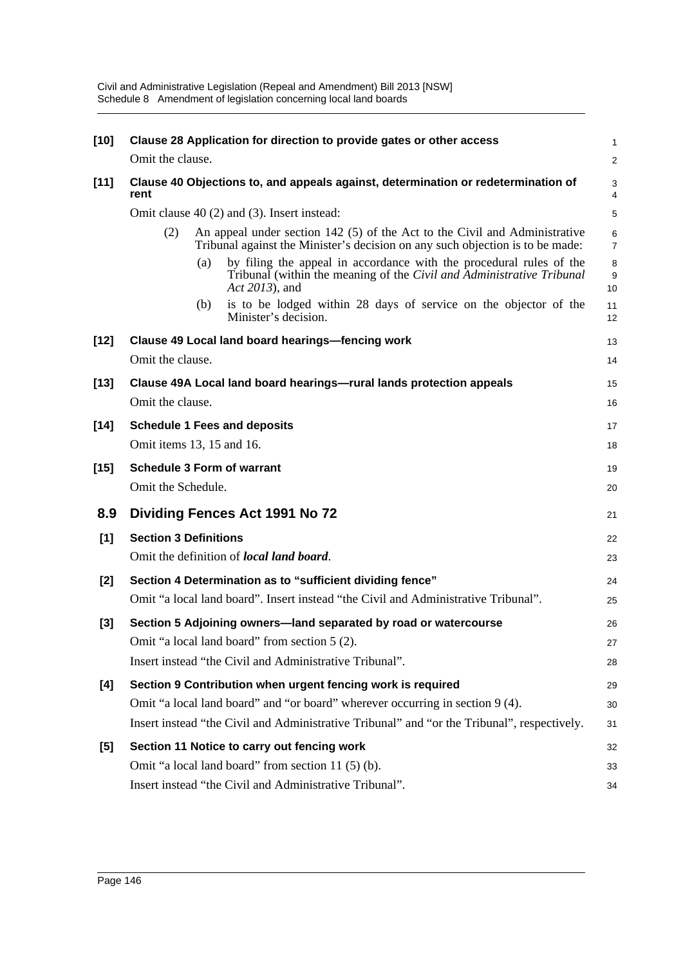| $[10]$ | Clause 28 Application for direction to provide gates or other access                                                                                                  | 1                   |  |  |  |
|--------|-----------------------------------------------------------------------------------------------------------------------------------------------------------------------|---------------------|--|--|--|
|        | Omit the clause.                                                                                                                                                      | $\overline{2}$      |  |  |  |
| $[11]$ | Clause 40 Objections to, and appeals against, determination or redetermination of<br>rent                                                                             |                     |  |  |  |
|        | Omit clause 40 (2) and (3). Insert instead:                                                                                                                           |                     |  |  |  |
|        | An appeal under section 142 (5) of the Act to the Civil and Administrative<br>(2)<br>Tribunal against the Minister's decision on any such objection is to be made:    | 6<br>$\overline{7}$ |  |  |  |
|        | by filing the appeal in accordance with the procedural rules of the<br>(a)<br>Tribunal (within the meaning of the Civil and Administrative Tribunal<br>Act 2013), and | 8<br>9<br>10        |  |  |  |
|        | is to be lodged within 28 days of service on the objector of the<br>(b)<br>Minister's decision.                                                                       | 11<br>12            |  |  |  |
| $[12]$ | Clause 49 Local land board hearings-fencing work                                                                                                                      | 13                  |  |  |  |
|        | Omit the clause.                                                                                                                                                      | 14                  |  |  |  |
| [13]   | Clause 49A Local land board hearings-rural lands protection appeals                                                                                                   | 15                  |  |  |  |
|        | Omit the clause.                                                                                                                                                      | 16                  |  |  |  |
| $[14]$ | <b>Schedule 1 Fees and deposits</b>                                                                                                                                   | 17                  |  |  |  |
|        | Omit items 13, 15 and 16.                                                                                                                                             | 18                  |  |  |  |
| $[15]$ | <b>Schedule 3 Form of warrant</b>                                                                                                                                     | 19                  |  |  |  |
|        | Omit the Schedule.                                                                                                                                                    | 20                  |  |  |  |
| 8.9    | Dividing Fences Act 1991 No 72                                                                                                                                        | 21                  |  |  |  |
| [1]    | <b>Section 3 Definitions</b>                                                                                                                                          | 22                  |  |  |  |
|        | Omit the definition of <i>local land board</i> .                                                                                                                      | 23                  |  |  |  |
| [2]    | Section 4 Determination as to "sufficient dividing fence"                                                                                                             | 24                  |  |  |  |
|        | Omit "a local land board". Insert instead "the Civil and Administrative Tribunal".                                                                                    | 25                  |  |  |  |
| $[3]$  | Section 5 Adjoining owners—land separated by road or watercourse                                                                                                      | 26                  |  |  |  |
|        | Omit "a local land board" from section 5 (2).                                                                                                                         | 27                  |  |  |  |
|        | Insert instead "the Civil and Administrative Tribunal".                                                                                                               | 28                  |  |  |  |
| [4]    | Section 9 Contribution when urgent fencing work is required                                                                                                           | 29                  |  |  |  |
|        | Omit "a local land board" and "or board" wherever occurring in section 9 (4).                                                                                         | 30                  |  |  |  |
|        | Insert instead "the Civil and Administrative Tribunal" and "or the Tribunal", respectively.                                                                           | 31                  |  |  |  |
| $[5]$  | Section 11 Notice to carry out fencing work                                                                                                                           | 32                  |  |  |  |
|        | Omit "a local land board" from section 11 (5) (b).                                                                                                                    | 33                  |  |  |  |
|        | Insert instead "the Civil and Administrative Tribunal".                                                                                                               | 34                  |  |  |  |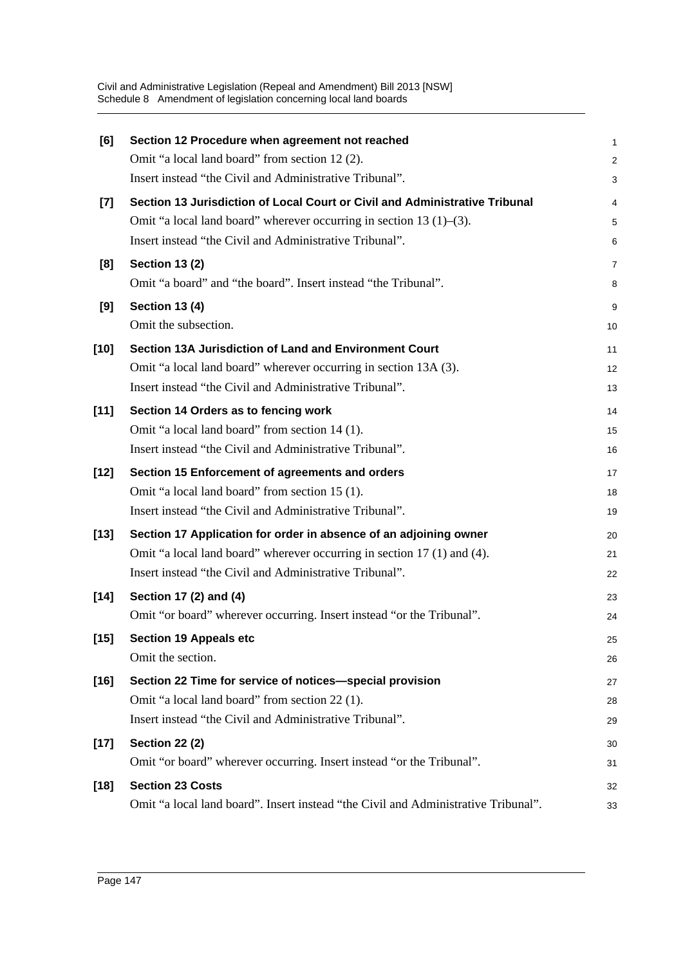| [6]    | Section 12 Procedure when agreement not reached                                    | $\mathbf{1}$   |
|--------|------------------------------------------------------------------------------------|----------------|
|        | Omit "a local land board" from section 12 (2).                                     | $\overline{c}$ |
|        | Insert instead "the Civil and Administrative Tribunal".                            | 3              |
| $[7]$  | Section 13 Jurisdiction of Local Court or Civil and Administrative Tribunal        | 4              |
|        | Omit "a local land board" wherever occurring in section 13 $(1)$ – $(3)$ .         | 5              |
|        | Insert instead "the Civil and Administrative Tribunal".                            | 6              |
| [8]    | <b>Section 13 (2)</b>                                                              | 7              |
|        | Omit "a board" and "the board". Insert instead "the Tribunal".                     | 8              |
| [9]    | <b>Section 13 (4)</b>                                                              | 9              |
|        | Omit the subsection.                                                               | 10             |
| $[10]$ | Section 13A Jurisdiction of Land and Environment Court                             | 11             |
|        | Omit "a local land board" wherever occurring in section 13A (3).                   | 12             |
|        | Insert instead "the Civil and Administrative Tribunal".                            | 13             |
| $[11]$ | Section 14 Orders as to fencing work                                               | 14             |
|        | Omit "a local land board" from section 14 (1).                                     | 15             |
|        | Insert instead "the Civil and Administrative Tribunal".                            | 16             |
| $[12]$ | Section 15 Enforcement of agreements and orders                                    | 17             |
|        | Omit "a local land board" from section 15 (1).                                     | 18             |
|        | Insert instead "the Civil and Administrative Tribunal".                            | 19             |
| $[13]$ | Section 17 Application for order in absence of an adjoining owner                  | 20             |
|        | Omit "a local land board" wherever occurring in section 17 (1) and (4).            | 21             |
|        | Insert instead "the Civil and Administrative Tribunal".                            | 22             |
| $[14]$ | Section 17 (2) and (4)                                                             | 23             |
|        | Omit "or board" wherever occurring. Insert instead "or the Tribunal".              | 24             |
| $[15]$ | <b>Section 19 Appeals etc</b>                                                      | 25             |
|        | Omit the section.                                                                  | 26             |
| $[16]$ | Section 22 Time for service of notices-special provision                           | 27             |
|        | Omit "a local land board" from section 22 (1).                                     | 28             |
|        | Insert instead "the Civil and Administrative Tribunal".                            | 29             |
| $[17]$ | <b>Section 22 (2)</b>                                                              | 30             |
|        | Omit "or board" wherever occurring. Insert instead "or the Tribunal".              | 31             |
| $[18]$ | <b>Section 23 Costs</b>                                                            | 32             |
|        | Omit "a local land board". Insert instead "the Civil and Administrative Tribunal". | 33             |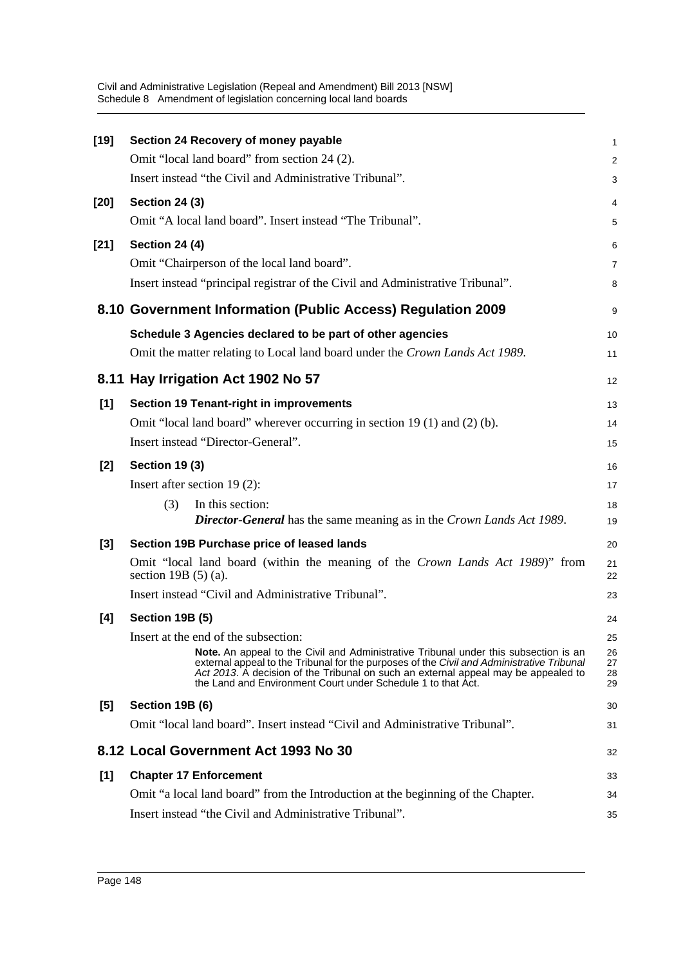| [19]   | Section 24 Recovery of money payable                                                                                                                                                                                                                                                                                                           | 1                    |
|--------|------------------------------------------------------------------------------------------------------------------------------------------------------------------------------------------------------------------------------------------------------------------------------------------------------------------------------------------------|----------------------|
|        | Omit "local land board" from section 24 (2).                                                                                                                                                                                                                                                                                                   | $\overline{c}$       |
|        | Insert instead "the Civil and Administrative Tribunal".                                                                                                                                                                                                                                                                                        | 3                    |
| [20]   | <b>Section 24 (3)</b>                                                                                                                                                                                                                                                                                                                          | 4                    |
|        | Omit "A local land board". Insert instead "The Tribunal".                                                                                                                                                                                                                                                                                      | 5                    |
| $[21]$ | <b>Section 24 (4)</b>                                                                                                                                                                                                                                                                                                                          | 6                    |
|        | Omit "Chairperson of the local land board".                                                                                                                                                                                                                                                                                                    | 7                    |
|        | Insert instead "principal registrar of the Civil and Administrative Tribunal".                                                                                                                                                                                                                                                                 | 8                    |
|        | 8.10 Government Information (Public Access) Regulation 2009                                                                                                                                                                                                                                                                                    | 9                    |
|        | Schedule 3 Agencies declared to be part of other agencies                                                                                                                                                                                                                                                                                      | 10                   |
|        | Omit the matter relating to Local land board under the Crown Lands Act 1989.                                                                                                                                                                                                                                                                   | 11                   |
|        | 8.11 Hay Irrigation Act 1902 No 57                                                                                                                                                                                                                                                                                                             | 12                   |
| [1]    | <b>Section 19 Tenant-right in improvements</b>                                                                                                                                                                                                                                                                                                 | 13                   |
|        | Omit "local land board" wherever occurring in section 19 (1) and (2) (b).                                                                                                                                                                                                                                                                      | 14                   |
|        | Insert instead "Director-General".                                                                                                                                                                                                                                                                                                             | 15                   |
| $[2]$  | <b>Section 19 (3)</b>                                                                                                                                                                                                                                                                                                                          | 16                   |
|        | Insert after section $19(2)$ :                                                                                                                                                                                                                                                                                                                 | 17                   |
|        | In this section:<br>(3)                                                                                                                                                                                                                                                                                                                        | 18                   |
|        | <b>Director-General</b> has the same meaning as in the Crown Lands Act 1989.                                                                                                                                                                                                                                                                   | 19                   |
| $[3]$  | Section 19B Purchase price of leased lands                                                                                                                                                                                                                                                                                                     | 20                   |
|        | Omit "local land board (within the meaning of the Crown Lands Act 1989)" from<br>section 19B $(5)$ (a).                                                                                                                                                                                                                                        | 21<br>22             |
|        | Insert instead "Civil and Administrative Tribunal".                                                                                                                                                                                                                                                                                            | 23                   |
| [4]    | Section 19B (5)                                                                                                                                                                                                                                                                                                                                | 24                   |
|        | Insert at the end of the subsection:                                                                                                                                                                                                                                                                                                           | 25                   |
|        | <b>Note.</b> An appeal to the Civil and Administrative Tribunal under this subsection is an<br>external appeal to the Tribunal for the purposes of the Civil and Administrative Tribunal<br>Act 2013. A decision of the Tribunal on such an external appeal may be appealed to<br>the Land and Environment Court under Schedule 1 to that Act. | 26<br>27<br>28<br>29 |
| [5]    | Section 19B (6)                                                                                                                                                                                                                                                                                                                                | 30                   |
|        | Omit "local land board". Insert instead "Civil and Administrative Tribunal".                                                                                                                                                                                                                                                                   | 31                   |
|        | 8.12 Local Government Act 1993 No 30                                                                                                                                                                                                                                                                                                           | 32                   |
| [1]    | <b>Chapter 17 Enforcement</b>                                                                                                                                                                                                                                                                                                                  | 33                   |
|        | Omit "a local land board" from the Introduction at the beginning of the Chapter.                                                                                                                                                                                                                                                               | 34                   |
|        | Insert instead "the Civil and Administrative Tribunal".                                                                                                                                                                                                                                                                                        | 35                   |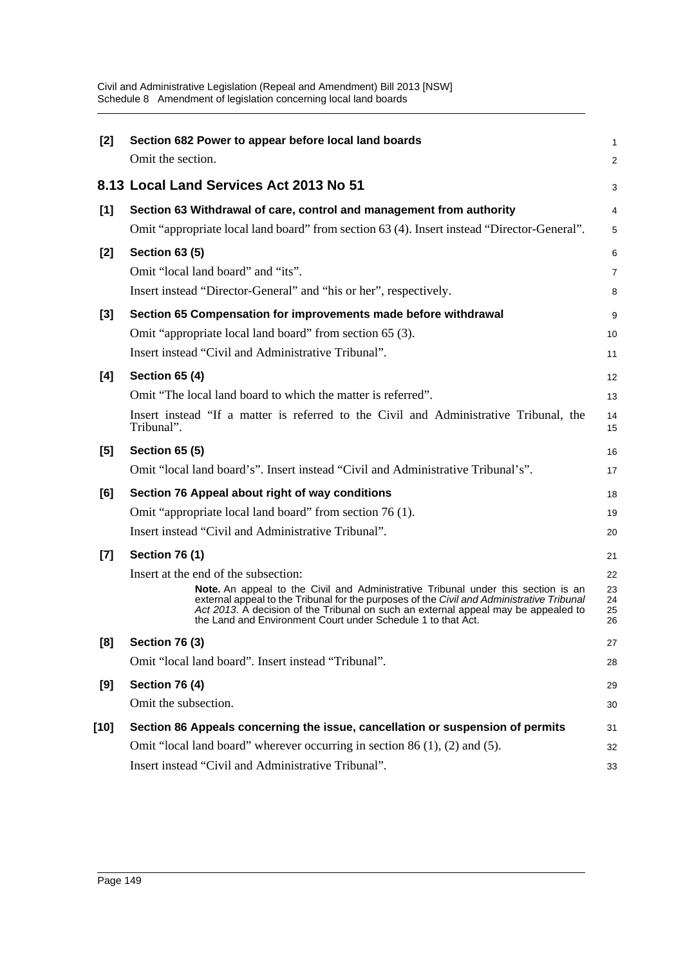| $[2]$ | Section 682 Power to appear before local land boards<br>Omit the section.                                                                                                                                                                                                                                                            | 1<br>2               |
|-------|--------------------------------------------------------------------------------------------------------------------------------------------------------------------------------------------------------------------------------------------------------------------------------------------------------------------------------------|----------------------|
|       | 8.13 Local Land Services Act 2013 No 51                                                                                                                                                                                                                                                                                              | 3                    |
| [1]   | Section 63 Withdrawal of care, control and management from authority                                                                                                                                                                                                                                                                 | 4                    |
|       | Omit "appropriate local land board" from section 63 (4). Insert instead "Director-General".                                                                                                                                                                                                                                          | 5                    |
| [2]   | <b>Section 63 (5)</b>                                                                                                                                                                                                                                                                                                                | 6                    |
|       | Omit "local land board" and "its".                                                                                                                                                                                                                                                                                                   | $\overline{7}$       |
|       | Insert instead "Director-General" and "his or her", respectively.                                                                                                                                                                                                                                                                    | 8                    |
| $[3]$ | Section 65 Compensation for improvements made before withdrawal                                                                                                                                                                                                                                                                      | 9                    |
|       | Omit "appropriate local land board" from section 65 (3).                                                                                                                                                                                                                                                                             | 10                   |
|       | Insert instead "Civil and Administrative Tribunal".                                                                                                                                                                                                                                                                                  | 11                   |
| [4]   | <b>Section 65 (4)</b>                                                                                                                                                                                                                                                                                                                | 12                   |
|       | Omit "The local land board to which the matter is referred".                                                                                                                                                                                                                                                                         | 13                   |
|       | Insert instead "If a matter is referred to the Civil and Administrative Tribunal, the<br>Tribunal".                                                                                                                                                                                                                                  | 14<br>15             |
| [5]   | <b>Section 65 (5)</b>                                                                                                                                                                                                                                                                                                                | 16                   |
|       | Omit "local land board's". Insert instead "Civil and Administrative Tribunal's".                                                                                                                                                                                                                                                     | 17                   |
| [6]   | Section 76 Appeal about right of way conditions                                                                                                                                                                                                                                                                                      | 18                   |
|       | Omit "appropriate local land board" from section 76 (1).                                                                                                                                                                                                                                                                             | 19                   |
|       | Insert instead "Civil and Administrative Tribunal".                                                                                                                                                                                                                                                                                  | 20                   |
| $[7]$ | <b>Section 76 (1)</b>                                                                                                                                                                                                                                                                                                                | 21                   |
|       | Insert at the end of the subsection:                                                                                                                                                                                                                                                                                                 | 22                   |
|       | Note. An appeal to the Civil and Administrative Tribunal under this section is an<br>external appeal to the Tribunal for the purposes of the Civil and Administrative Tribunal<br>Act 2013. A decision of the Tribunal on such an external appeal may be appealed to<br>the Land and Environment Court under Schedule 1 to that Act. | 23<br>24<br>25<br>26 |
| [8]   | <b>Section 76 (3)</b>                                                                                                                                                                                                                                                                                                                | 27                   |
|       | Omit "local land board". Insert instead "Tribunal".                                                                                                                                                                                                                                                                                  | 28                   |
| [9]   | <b>Section 76 (4)</b>                                                                                                                                                                                                                                                                                                                | 29                   |
|       | Omit the subsection.                                                                                                                                                                                                                                                                                                                 | 30                   |
| [10]  | Section 86 Appeals concerning the issue, cancellation or suspension of permits                                                                                                                                                                                                                                                       | 31                   |
|       | Omit "local land board" wherever occurring in section $86(1)$ , $(2)$ and $(5)$ .                                                                                                                                                                                                                                                    | 32                   |
|       | Insert instead "Civil and Administrative Tribunal".                                                                                                                                                                                                                                                                                  | 33                   |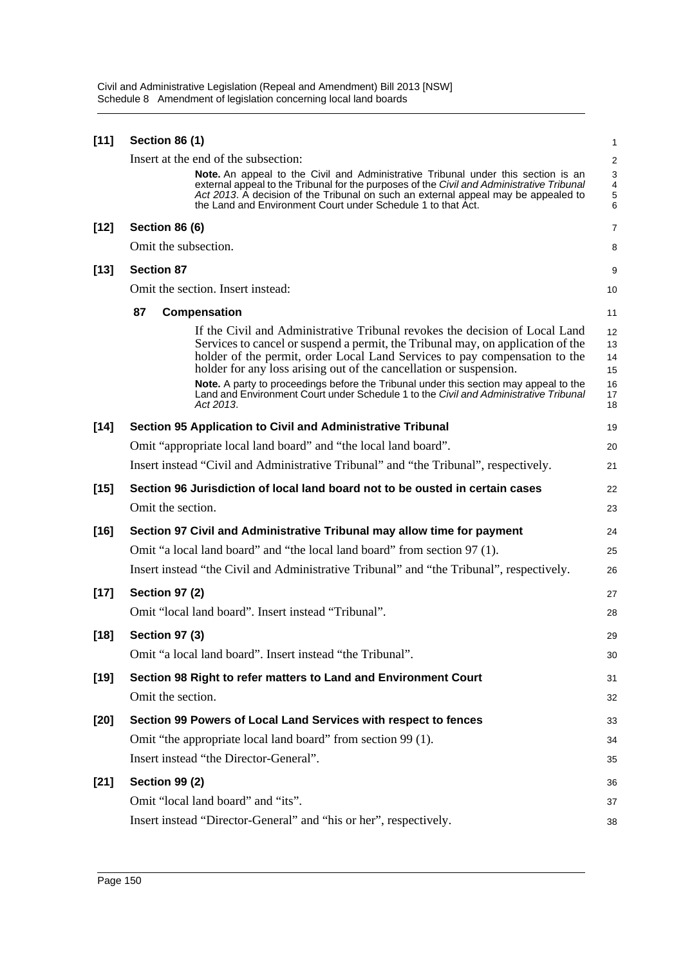| $[11]$ | <b>Section 86 (1)</b> |                                                                                                                                                                                                                                                                                                                                                                                                                                                                                                                  | 1                                       |
|--------|-----------------------|------------------------------------------------------------------------------------------------------------------------------------------------------------------------------------------------------------------------------------------------------------------------------------------------------------------------------------------------------------------------------------------------------------------------------------------------------------------------------------------------------------------|-----------------------------------------|
|        |                       | Insert at the end of the subsection:                                                                                                                                                                                                                                                                                                                                                                                                                                                                             | 2                                       |
|        |                       | <b>Note.</b> An appeal to the Civil and Administrative Tribunal under this section is an<br>external appeal to the Tribunal for the purposes of the Civil and Administrative Tribunal<br>Act 2013. A decision of the Tribunal on such an external appeal may be appealed to<br>the Land and Environment Court under Schedule 1 to that Act.                                                                                                                                                                      | 3<br>$\overline{4}$<br>$\mathbf 5$<br>6 |
| $[12]$ | <b>Section 86 (6)</b> |                                                                                                                                                                                                                                                                                                                                                                                                                                                                                                                  | 7                                       |
|        | Omit the subsection.  |                                                                                                                                                                                                                                                                                                                                                                                                                                                                                                                  | 8                                       |
| $[13]$ | <b>Section 87</b>     |                                                                                                                                                                                                                                                                                                                                                                                                                                                                                                                  | 9                                       |
|        |                       | Omit the section. Insert instead:                                                                                                                                                                                                                                                                                                                                                                                                                                                                                | 10                                      |
|        | 87                    | Compensation                                                                                                                                                                                                                                                                                                                                                                                                                                                                                                     | 11                                      |
|        |                       | If the Civil and Administrative Tribunal revokes the decision of Local Land<br>Services to cancel or suspend a permit, the Tribunal may, on application of the<br>holder of the permit, order Local Land Services to pay compensation to the<br>holder for any loss arising out of the cancellation or suspension.<br>Note. A party to proceedings before the Tribunal under this section may appeal to the<br>Land and Environment Court under Schedule 1 to the Civil and Administrative Tribunal<br>Act 2013. | 12<br>13<br>14<br>15<br>16<br>17<br>18  |
| $[14]$ |                       | Section 95 Application to Civil and Administrative Tribunal                                                                                                                                                                                                                                                                                                                                                                                                                                                      | 19                                      |
|        |                       | Omit "appropriate local land board" and "the local land board".                                                                                                                                                                                                                                                                                                                                                                                                                                                  | 20                                      |
|        |                       | Insert instead "Civil and Administrative Tribunal" and "the Tribunal", respectively.                                                                                                                                                                                                                                                                                                                                                                                                                             | 21                                      |
| $[15]$ |                       | Section 96 Jurisdiction of local land board not to be ousted in certain cases                                                                                                                                                                                                                                                                                                                                                                                                                                    | 22                                      |
|        | Omit the section.     |                                                                                                                                                                                                                                                                                                                                                                                                                                                                                                                  | 23                                      |
| $[16]$ |                       | Section 97 Civil and Administrative Tribunal may allow time for payment                                                                                                                                                                                                                                                                                                                                                                                                                                          | 24                                      |
|        |                       | Omit "a local land board" and "the local land board" from section 97 (1).                                                                                                                                                                                                                                                                                                                                                                                                                                        | 25                                      |
|        |                       | Insert instead "the Civil and Administrative Tribunal" and "the Tribunal", respectively.                                                                                                                                                                                                                                                                                                                                                                                                                         | 26                                      |
| $[17]$ | <b>Section 97 (2)</b> |                                                                                                                                                                                                                                                                                                                                                                                                                                                                                                                  | 27                                      |
|        |                       | Omit "local land board". Insert instead "Tribunal".                                                                                                                                                                                                                                                                                                                                                                                                                                                              | 28                                      |
| $[18]$ | <b>Section 97 (3)</b> |                                                                                                                                                                                                                                                                                                                                                                                                                                                                                                                  | 29                                      |
|        |                       | Omit "a local land board". Insert instead "the Tribunal".                                                                                                                                                                                                                                                                                                                                                                                                                                                        | 30                                      |
| $[19]$ |                       | Section 98 Right to refer matters to Land and Environment Court                                                                                                                                                                                                                                                                                                                                                                                                                                                  | 31                                      |
|        | Omit the section.     |                                                                                                                                                                                                                                                                                                                                                                                                                                                                                                                  | 32                                      |
| $[20]$ |                       | Section 99 Powers of Local Land Services with respect to fences                                                                                                                                                                                                                                                                                                                                                                                                                                                  | 33                                      |
|        |                       | Omit "the appropriate local land board" from section 99 (1).                                                                                                                                                                                                                                                                                                                                                                                                                                                     | 34                                      |
|        |                       | Insert instead "the Director-General".                                                                                                                                                                                                                                                                                                                                                                                                                                                                           | 35                                      |
| $[21]$ | <b>Section 99 (2)</b> |                                                                                                                                                                                                                                                                                                                                                                                                                                                                                                                  | 36                                      |
|        |                       | Omit "local land board" and "its".                                                                                                                                                                                                                                                                                                                                                                                                                                                                               | 37                                      |
|        |                       | Insert instead "Director-General" and "his or her", respectively.                                                                                                                                                                                                                                                                                                                                                                                                                                                | 38                                      |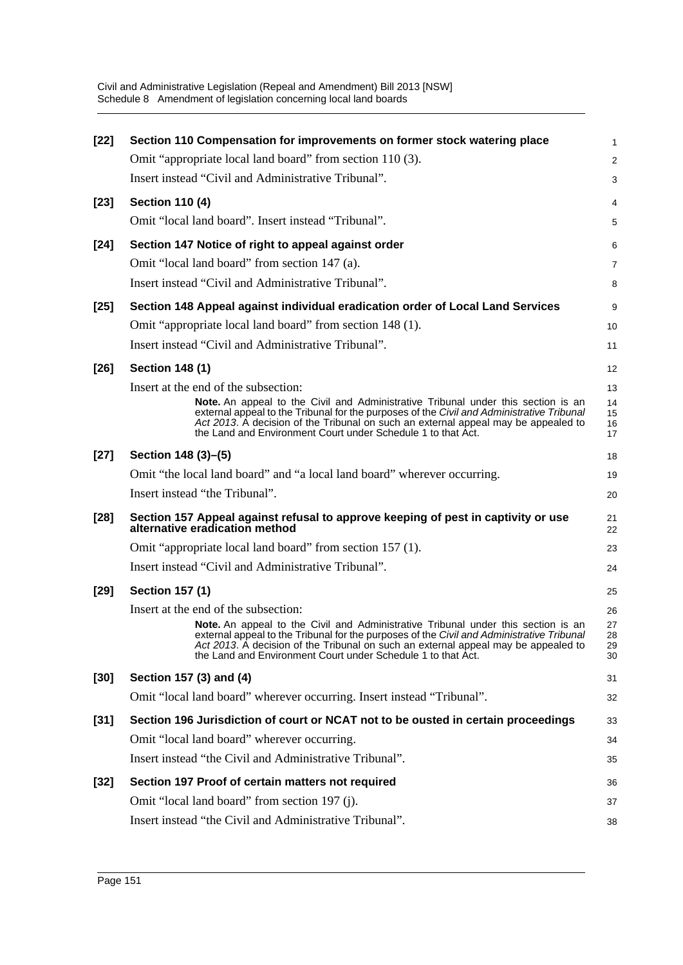| $[22]$ | Section 110 Compensation for improvements on former stock watering place                                                                                                                                                                                                                                                                    | $\mathbf{1}$         |
|--------|---------------------------------------------------------------------------------------------------------------------------------------------------------------------------------------------------------------------------------------------------------------------------------------------------------------------------------------------|----------------------|
|        | Omit "appropriate local land board" from section 110 (3).                                                                                                                                                                                                                                                                                   | 2                    |
|        | Insert instead "Civil and Administrative Tribunal".                                                                                                                                                                                                                                                                                         | 3                    |
| $[23]$ | <b>Section 110 (4)</b>                                                                                                                                                                                                                                                                                                                      | 4                    |
|        | Omit "local land board". Insert instead "Tribunal".                                                                                                                                                                                                                                                                                         | 5                    |
| $[24]$ | Section 147 Notice of right to appeal against order                                                                                                                                                                                                                                                                                         | 6                    |
|        | Omit "local land board" from section 147 (a).                                                                                                                                                                                                                                                                                               | 7                    |
|        | Insert instead "Civil and Administrative Tribunal".                                                                                                                                                                                                                                                                                         | 8                    |
| $[25]$ | Section 148 Appeal against individual eradication order of Local Land Services                                                                                                                                                                                                                                                              | 9                    |
|        | Omit "appropriate local land board" from section 148 (1).                                                                                                                                                                                                                                                                                   | 10                   |
|        | Insert instead "Civil and Administrative Tribunal".                                                                                                                                                                                                                                                                                         | 11                   |
| $[26]$ | <b>Section 148 (1)</b>                                                                                                                                                                                                                                                                                                                      | 12                   |
|        | Insert at the end of the subsection:                                                                                                                                                                                                                                                                                                        | 13                   |
|        | <b>Note.</b> An appeal to the Civil and Administrative Tribunal under this section is an<br>external appeal to the Tribunal for the purposes of the Civil and Administrative Tribunal<br>Act 2013. A decision of the Tribunal on such an external appeal may be appealed to<br>the Land and Environment Court under Schedule 1 to that Act. | 14<br>15<br>16<br>17 |
| $[27]$ | Section 148 (3)–(5)                                                                                                                                                                                                                                                                                                                         | 18                   |
|        | Omit "the local land board" and "a local land board" wherever occurring.                                                                                                                                                                                                                                                                    | 19                   |
|        | Insert instead "the Tribunal".                                                                                                                                                                                                                                                                                                              | 20                   |
| [28]   | Section 157 Appeal against refusal to approve keeping of pest in captivity or use<br>alternative eradication method                                                                                                                                                                                                                         | 21<br>22             |
|        | Omit "appropriate local land board" from section 157 (1).                                                                                                                                                                                                                                                                                   | 23                   |
|        | Insert instead "Civil and Administrative Tribunal".                                                                                                                                                                                                                                                                                         | 24                   |
| $[29]$ | <b>Section 157 (1)</b>                                                                                                                                                                                                                                                                                                                      | 25                   |
|        | Insert at the end of the subsection:                                                                                                                                                                                                                                                                                                        | 26                   |
|        | <b>Note.</b> An appeal to the Civil and Administrative Tribunal under this section is an<br>external appeal to the Tribunal for the purposes of the Civil and Administrative Tribunal<br>Act 2013. A decision of the Tribunal on such an external appeal may be appealed to<br>the Land and Environment Court under Schedule 1 to that Act. | 27<br>28<br>29<br>30 |
| $[30]$ | Section 157 (3) and (4)                                                                                                                                                                                                                                                                                                                     | 31                   |
|        | Omit "local land board" wherever occurring. Insert instead "Tribunal".                                                                                                                                                                                                                                                                      | 32                   |
| $[31]$ | Section 196 Jurisdiction of court or NCAT not to be ousted in certain proceedings                                                                                                                                                                                                                                                           | 33                   |
|        | Omit "local land board" wherever occurring.                                                                                                                                                                                                                                                                                                 | 34                   |
|        | Insert instead "the Civil and Administrative Tribunal".                                                                                                                                                                                                                                                                                     | 35                   |
| $[32]$ | Section 197 Proof of certain matters not required                                                                                                                                                                                                                                                                                           | 36                   |
|        | Omit "local land board" from section 197 (j).                                                                                                                                                                                                                                                                                               | 37                   |
|        | Insert instead "the Civil and Administrative Tribunal".                                                                                                                                                                                                                                                                                     | 38                   |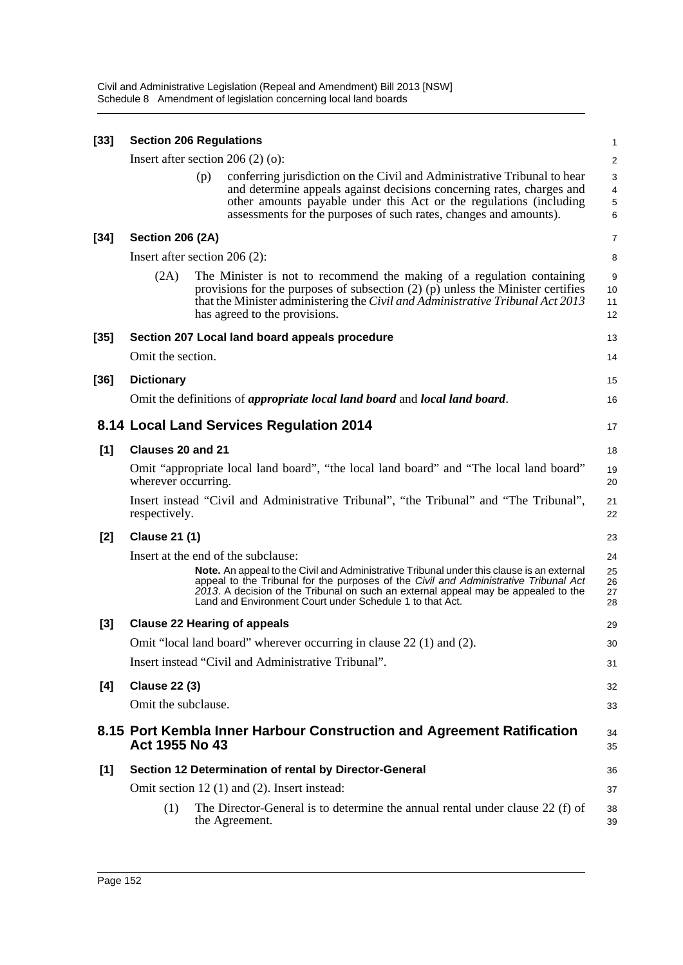| $[33]$ | <b>Section 206 Regulations</b>  |     |                                                                                                                                                                                                                                                                                                                                            |                                        |  |
|--------|---------------------------------|-----|--------------------------------------------------------------------------------------------------------------------------------------------------------------------------------------------------------------------------------------------------------------------------------------------------------------------------------------------|----------------------------------------|--|
|        |                                 |     | Insert after section $206(2)(o)$ :                                                                                                                                                                                                                                                                                                         | 2                                      |  |
|        |                                 | (p) | conferring jurisdiction on the Civil and Administrative Tribunal to hear<br>and determine appeals against decisions concerning rates, charges and<br>other amounts payable under this Act or the regulations (including<br>assessments for the purposes of such rates, changes and amounts).                                               | 3<br>$\overline{4}$<br>$\sqrt{5}$<br>6 |  |
| [34]   | <b>Section 206 (2A)</b>         |     |                                                                                                                                                                                                                                                                                                                                            | 7                                      |  |
|        | Insert after section $206(2)$ : |     |                                                                                                                                                                                                                                                                                                                                            | 8                                      |  |
|        | (2A)                            |     | The Minister is not to recommend the making of a regulation containing<br>provisions for the purposes of subsection $(2)$ (p) unless the Minister certifies<br>that the Minister administering the Civil and Administrative Tribunal Act 2013<br>has agreed to the provisions.                                                             | 9<br>10<br>11<br>12                    |  |
| [35]   |                                 |     | Section 207 Local land board appeals procedure                                                                                                                                                                                                                                                                                             | 13                                     |  |
|        | Omit the section.               |     |                                                                                                                                                                                                                                                                                                                                            | 14                                     |  |
| [36]   | <b>Dictionary</b>               |     |                                                                                                                                                                                                                                                                                                                                            | 15                                     |  |
|        |                                 |     | Omit the definitions of <i>appropriate local land board</i> and <i>local land board</i> .                                                                                                                                                                                                                                                  | 16                                     |  |
|        |                                 |     | 8.14 Local Land Services Regulation 2014                                                                                                                                                                                                                                                                                                   | 17                                     |  |
| [1]    | Clauses 20 and 21               |     |                                                                                                                                                                                                                                                                                                                                            | 18                                     |  |
|        | wherever occurring.             |     | Omit "appropriate local land board", "the local land board" and "The local land board"                                                                                                                                                                                                                                                     | 19<br>20                               |  |
|        | respectively.                   |     | Insert instead "Civil and Administrative Tribunal", "the Tribunal" and "The Tribunal",                                                                                                                                                                                                                                                     | 21<br>22                               |  |
| $[2]$  | <b>Clause 21 (1)</b>            |     |                                                                                                                                                                                                                                                                                                                                            | 23                                     |  |
|        |                                 |     | Insert at the end of the subclause:                                                                                                                                                                                                                                                                                                        | 24                                     |  |
|        |                                 |     | <b>Note.</b> An appeal to the Civil and Administrative Tribunal under this clause is an external<br>appeal to the Tribunal for the purposes of the Civil and Administrative Tribunal Act<br>2013. A decision of the Tribunal on such an external appeal may be appealed to the<br>Land and Environment Court under Schedule 1 to that Act. | 25<br>26<br>27<br>28                   |  |
| $[3]$  |                                 |     | <b>Clause 22 Hearing of appeals</b>                                                                                                                                                                                                                                                                                                        | 29                                     |  |
|        |                                 |     | Omit "local land board" wherever occurring in clause 22 (1) and (2).                                                                                                                                                                                                                                                                       | 30                                     |  |
|        |                                 |     | Insert instead "Civil and Administrative Tribunal".                                                                                                                                                                                                                                                                                        | 31                                     |  |
| [4]    | <b>Clause 22 (3)</b>            |     |                                                                                                                                                                                                                                                                                                                                            | 32                                     |  |
|        | Omit the subclause.             |     |                                                                                                                                                                                                                                                                                                                                            | 33                                     |  |
|        | Act 1955 No 43                  |     | 8.15 Port Kembla Inner Harbour Construction and Agreement Ratification                                                                                                                                                                                                                                                                     | 34<br>35                               |  |
| $[1]$  |                                 |     | Section 12 Determination of rental by Director-General                                                                                                                                                                                                                                                                                     | 36                                     |  |
|        |                                 |     | Omit section 12 (1) and (2). Insert instead:                                                                                                                                                                                                                                                                                               | 37                                     |  |
|        | (1)                             |     | The Director-General is to determine the annual rental under clause 22 (f) of<br>the Agreement.                                                                                                                                                                                                                                            | 38<br>39                               |  |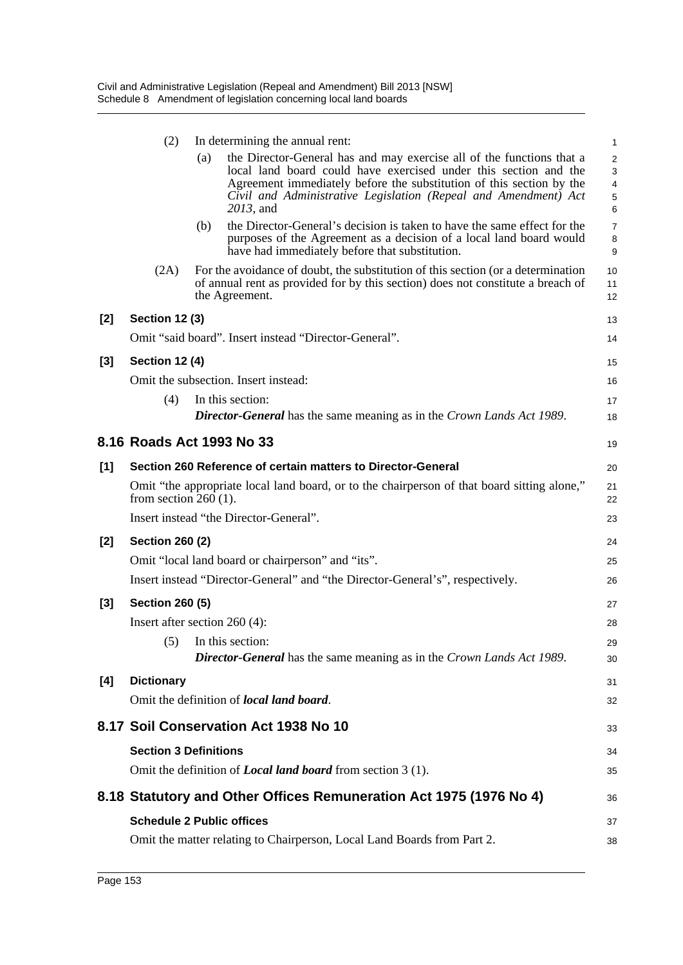|       | (2)                              |     | In determining the annual rent:                                                                                                                                                                                                                                                                   | 1                                  |
|-------|----------------------------------|-----|---------------------------------------------------------------------------------------------------------------------------------------------------------------------------------------------------------------------------------------------------------------------------------------------------|------------------------------------|
|       |                                  | (a) | the Director-General has and may exercise all of the functions that a<br>local land board could have exercised under this section and the<br>Agreement immediately before the substitution of this section by the<br>Civil and Administrative Legislation (Repeal and Amendment) Act<br>2013, and | $\overline{a}$<br>3<br>4<br>5<br>6 |
|       |                                  | (b) | the Director-General's decision is taken to have the same effect for the<br>purposes of the Agreement as a decision of a local land board would<br>have had immediately before that substitution.                                                                                                 | $\overline{7}$<br>8<br>9           |
|       | (2A)                             |     | For the avoidance of doubt, the substitution of this section (or a determination<br>of annual rent as provided for by this section) does not constitute a breach of<br>the Agreement.                                                                                                             | 10<br>11<br>12                     |
| [2]   | <b>Section 12 (3)</b>            |     |                                                                                                                                                                                                                                                                                                   | 13                                 |
|       |                                  |     | Omit "said board". Insert instead "Director-General".                                                                                                                                                                                                                                             | 14                                 |
| [3]   | <b>Section 12 (4)</b>            |     |                                                                                                                                                                                                                                                                                                   | 15                                 |
|       |                                  |     | Omit the subsection. Insert instead:                                                                                                                                                                                                                                                              | 16                                 |
|       | (4)                              |     | In this section:<br><b>Director-General</b> has the same meaning as in the Crown Lands Act 1989.                                                                                                                                                                                                  | 17<br>18                           |
|       | 8.16 Roads Act 1993 No 33        |     |                                                                                                                                                                                                                                                                                                   | 19                                 |
| [1]   |                                  |     | Section 260 Reference of certain matters to Director-General                                                                                                                                                                                                                                      | 20                                 |
|       | from section $260(1)$ .          |     | Omit "the appropriate local land board, or to the chairperson of that board sitting alone,"                                                                                                                                                                                                       | 21<br>22                           |
|       |                                  |     | Insert instead "the Director-General".                                                                                                                                                                                                                                                            | 23                                 |
| [2]   | <b>Section 260 (2)</b>           |     |                                                                                                                                                                                                                                                                                                   | 24                                 |
|       |                                  |     | Omit "local land board or chairperson" and "its".                                                                                                                                                                                                                                                 | 25                                 |
|       |                                  |     | Insert instead "Director-General" and "the Director-General's", respectively.                                                                                                                                                                                                                     | 26                                 |
| $[3]$ | <b>Section 260 (5)</b>           |     |                                                                                                                                                                                                                                                                                                   | 27                                 |
|       | Insert after section $260(4)$ :  |     |                                                                                                                                                                                                                                                                                                   | 28                                 |
|       |                                  |     | (5) In this section:<br><b>Director-General</b> has the same meaning as in the Crown Lands Act 1989.                                                                                                                                                                                              | 29<br>30                           |
| [4]   | <b>Dictionary</b>                |     |                                                                                                                                                                                                                                                                                                   | 31                                 |
|       |                                  |     | Omit the definition of local land board.                                                                                                                                                                                                                                                          | 32                                 |
|       |                                  |     | 8.17 Soil Conservation Act 1938 No 10                                                                                                                                                                                                                                                             | 33                                 |
|       | <b>Section 3 Definitions</b>     |     |                                                                                                                                                                                                                                                                                                   | 34                                 |
|       |                                  |     | Omit the definition of <i>Local land board</i> from section 3 (1).                                                                                                                                                                                                                                | 35                                 |
|       |                                  |     | 8.18 Statutory and Other Offices Remuneration Act 1975 (1976 No 4)                                                                                                                                                                                                                                | 36                                 |
|       | <b>Schedule 2 Public offices</b> |     |                                                                                                                                                                                                                                                                                                   | 37                                 |
|       |                                  |     | Omit the matter relating to Chairperson, Local Land Boards from Part 2.                                                                                                                                                                                                                           | 38                                 |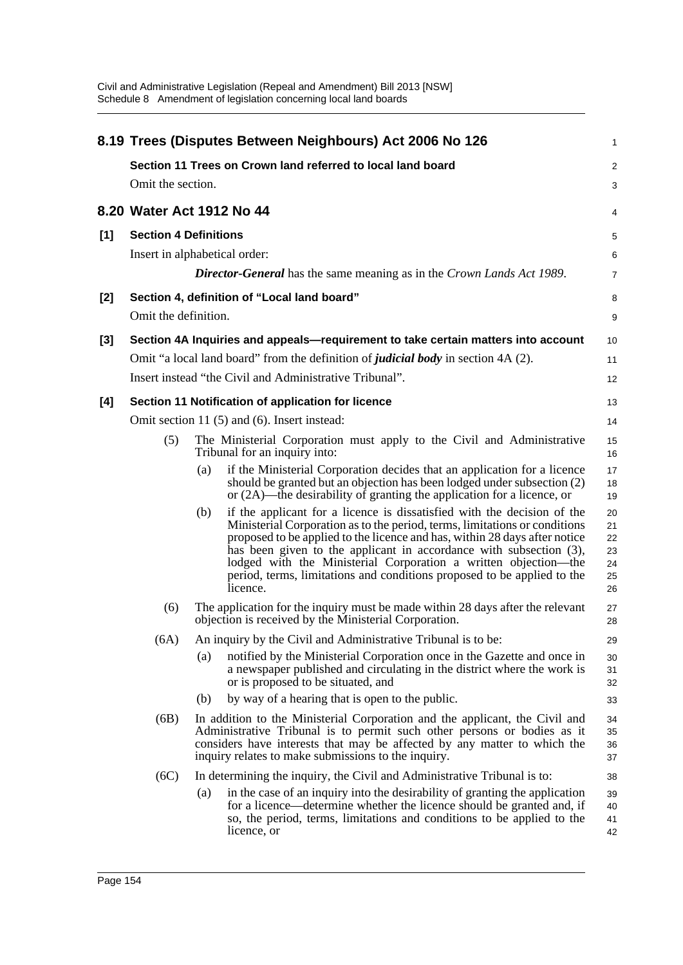|       |                               |     | 8.19 Trees (Disputes Between Neighbours) Act 2006 No 126                                                                                                                                                                                                                                                                                                                                                                                                            | 1                                      |
|-------|-------------------------------|-----|---------------------------------------------------------------------------------------------------------------------------------------------------------------------------------------------------------------------------------------------------------------------------------------------------------------------------------------------------------------------------------------------------------------------------------------------------------------------|----------------------------------------|
|       |                               |     | Section 11 Trees on Crown land referred to local land board                                                                                                                                                                                                                                                                                                                                                                                                         | $\overline{c}$                         |
|       | Omit the section.             |     |                                                                                                                                                                                                                                                                                                                                                                                                                                                                     | 3                                      |
|       | 8.20 Water Act 1912 No 44     |     |                                                                                                                                                                                                                                                                                                                                                                                                                                                                     | 4                                      |
| [1]   | <b>Section 4 Definitions</b>  |     |                                                                                                                                                                                                                                                                                                                                                                                                                                                                     | 5                                      |
|       | Insert in alphabetical order: |     |                                                                                                                                                                                                                                                                                                                                                                                                                                                                     | 6                                      |
|       |                               |     | <b>Director-General</b> has the same meaning as in the Crown Lands Act 1989.                                                                                                                                                                                                                                                                                                                                                                                        | 7                                      |
| $[2]$ | Omit the definition.          |     | Section 4, definition of "Local land board"                                                                                                                                                                                                                                                                                                                                                                                                                         | 8                                      |
|       |                               |     |                                                                                                                                                                                                                                                                                                                                                                                                                                                                     | 9                                      |
| $[3]$ |                               |     | Section 4A Inquiries and appeals—requirement to take certain matters into account                                                                                                                                                                                                                                                                                                                                                                                   | 10                                     |
|       |                               |     | Omit "a local land board" from the definition of <i>judicial body</i> in section 4A (2).                                                                                                                                                                                                                                                                                                                                                                            | 11                                     |
|       |                               |     | Insert instead "the Civil and Administrative Tribunal".                                                                                                                                                                                                                                                                                                                                                                                                             | 12                                     |
| [4]   |                               |     | Section 11 Notification of application for licence                                                                                                                                                                                                                                                                                                                                                                                                                  | 13                                     |
|       |                               |     | Omit section 11 (5) and (6). Insert instead:                                                                                                                                                                                                                                                                                                                                                                                                                        | 14                                     |
|       | (5)                           |     | The Ministerial Corporation must apply to the Civil and Administrative<br>Tribunal for an inquiry into:                                                                                                                                                                                                                                                                                                                                                             | 15<br>16                               |
|       |                               | (a) | if the Ministerial Corporation decides that an application for a licence<br>should be granted but an objection has been lodged under subsection (2)<br>or $(2A)$ —the desirability of granting the application for a licence, or                                                                                                                                                                                                                                    | 17<br>18<br>19                         |
|       |                               | (b) | if the applicant for a licence is dissatisfied with the decision of the<br>Ministerial Corporation as to the period, terms, limitations or conditions<br>proposed to be applied to the licence and has, within 28 days after notice<br>has been given to the applicant in accordance with subsection (3),<br>lodged with the Ministerial Corporation a written objection-the<br>period, terms, limitations and conditions proposed to be applied to the<br>licence. | 20<br>21<br>22<br>23<br>24<br>25<br>26 |
|       | (6)                           |     | The application for the inquiry must be made within 28 days after the relevant<br>objection is received by the Ministerial Corporation.                                                                                                                                                                                                                                                                                                                             | 27<br>28                               |
|       | (6A)                          |     | An inquiry by the Civil and Administrative Tribunal is to be:                                                                                                                                                                                                                                                                                                                                                                                                       | 29                                     |
|       |                               | (a) | notified by the Ministerial Corporation once in the Gazette and once in<br>a newspaper published and circulating in the district where the work is<br>or is proposed to be situated, and                                                                                                                                                                                                                                                                            | 30<br>31<br>32                         |
|       |                               | (b) | by way of a hearing that is open to the public.                                                                                                                                                                                                                                                                                                                                                                                                                     | 33                                     |
|       | (6B)                          |     | In addition to the Ministerial Corporation and the applicant, the Civil and<br>Administrative Tribunal is to permit such other persons or bodies as it<br>considers have interests that may be affected by any matter to which the<br>inquiry relates to make submissions to the inquiry.                                                                                                                                                                           | 34<br>35<br>36<br>37                   |
|       | (6C)                          |     | In determining the inquiry, the Civil and Administrative Tribunal is to:                                                                                                                                                                                                                                                                                                                                                                                            | 38                                     |
|       |                               | (a) | in the case of an inquiry into the desirability of granting the application<br>for a licence—determine whether the licence should be granted and, if<br>so, the period, terms, limitations and conditions to be applied to the<br>licence, or                                                                                                                                                                                                                       | 39<br>40<br>41<br>42                   |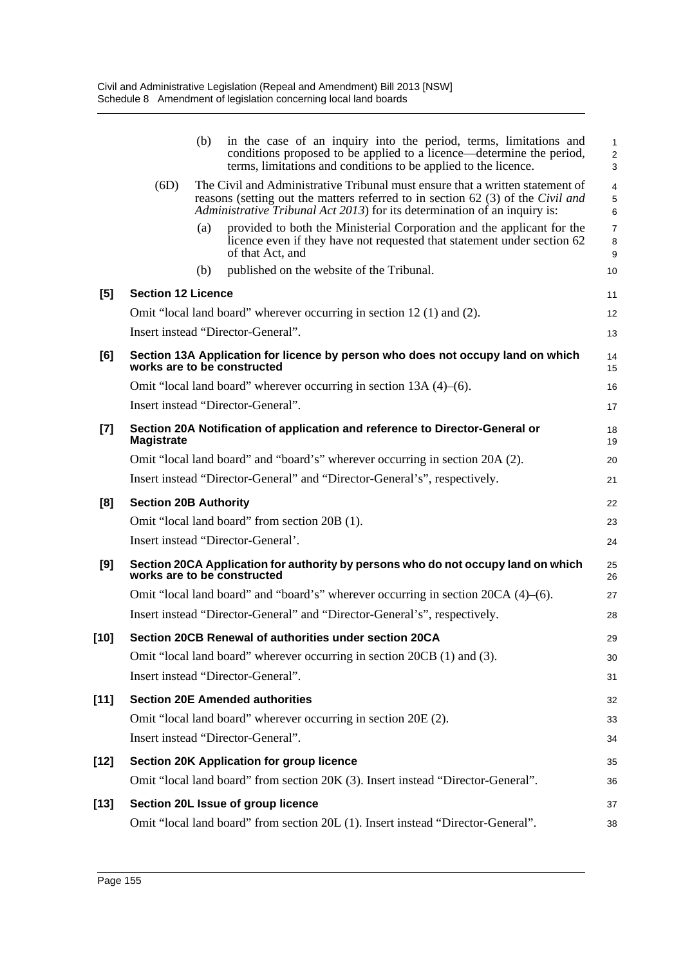|        |                           | in the case of an inquiry into the period, terms, limitations and<br>(b)<br>conditions proposed to be applied to a licence—determine the period,<br>terms, limitations and conditions to be applied to the licence.                           | 1<br>$\overline{\mathbf{c}}$<br>3 |
|--------|---------------------------|-----------------------------------------------------------------------------------------------------------------------------------------------------------------------------------------------------------------------------------------------|-----------------------------------|
|        | (6D)                      | The Civil and Administrative Tribunal must ensure that a written statement of<br>reasons (setting out the matters referred to in section 62 (3) of the Civil and<br>Administrative Tribunal Act 2013) for its determination of an inquiry is: | 4<br>5<br>6                       |
|        |                           | provided to both the Ministerial Corporation and the applicant for the<br>(a)<br>licence even if they have not requested that statement under section 62<br>of that Act, and                                                                  | 7<br>8<br>9                       |
|        |                           | published on the website of the Tribunal.<br>(b)                                                                                                                                                                                              | 10                                |
| [5]    | <b>Section 12 Licence</b> |                                                                                                                                                                                                                                               | 11                                |
|        |                           | Omit "local land board" wherever occurring in section 12 (1) and (2).                                                                                                                                                                         | 12                                |
|        |                           | Insert instead "Director-General".                                                                                                                                                                                                            | 13                                |
| [6]    |                           | Section 13A Application for licence by person who does not occupy land on which<br>works are to be constructed                                                                                                                                | 14<br>15                          |
|        |                           | Omit "local land board" wherever occurring in section $13A(4)$ –(6).                                                                                                                                                                          | 16                                |
|        |                           | Insert instead "Director-General".                                                                                                                                                                                                            | 17                                |
| $[7]$  | <b>Magistrate</b>         | Section 20A Notification of application and reference to Director-General or                                                                                                                                                                  | 18<br>19                          |
|        |                           | Omit "local land board" and "board's" wherever occurring in section 20A (2).                                                                                                                                                                  | 20                                |
|        |                           | Insert instead "Director-General" and "Director-General's", respectively.                                                                                                                                                                     | 21                                |
| [8]    |                           | <b>Section 20B Authority</b>                                                                                                                                                                                                                  | 22                                |
|        |                           | Omit "local land board" from section 20B (1).                                                                                                                                                                                                 | 23                                |
|        |                           | Insert instead "Director-General".                                                                                                                                                                                                            | 24                                |
| [9]    |                           | Section 20CA Application for authority by persons who do not occupy land on which<br>works are to be constructed                                                                                                                              | 25<br>26                          |
|        |                           | Omit "local land board" and "board's" wherever occurring in section $20CA(4)$ –(6).                                                                                                                                                           | 27                                |
|        |                           | Insert instead "Director-General" and "Director-General's", respectively.                                                                                                                                                                     | 28                                |
| $[10]$ |                           | Section 20CB Renewal of authorities under section 20CA                                                                                                                                                                                        | 29                                |
|        |                           | Omit "local land board" wherever occurring in section 20CB (1) and (3).                                                                                                                                                                       | 30                                |
|        |                           | Insert instead "Director-General".                                                                                                                                                                                                            | 31                                |
| $[11]$ |                           | <b>Section 20E Amended authorities</b>                                                                                                                                                                                                        | 32                                |
|        |                           | Omit "local land board" wherever occurring in section 20E (2).                                                                                                                                                                                | 33                                |
|        |                           | Insert instead "Director-General".                                                                                                                                                                                                            | 34                                |
| [12]   |                           | <b>Section 20K Application for group licence</b>                                                                                                                                                                                              | 35                                |
|        |                           | Omit "local land board" from section 20K (3). Insert instead "Director-General".                                                                                                                                                              | 36                                |
| [13]   |                           | Section 20L Issue of group licence                                                                                                                                                                                                            | 37                                |
|        |                           | Omit "local land board" from section 20L (1). Insert instead "Director-General".                                                                                                                                                              | 38                                |
|        |                           |                                                                                                                                                                                                                                               |                                   |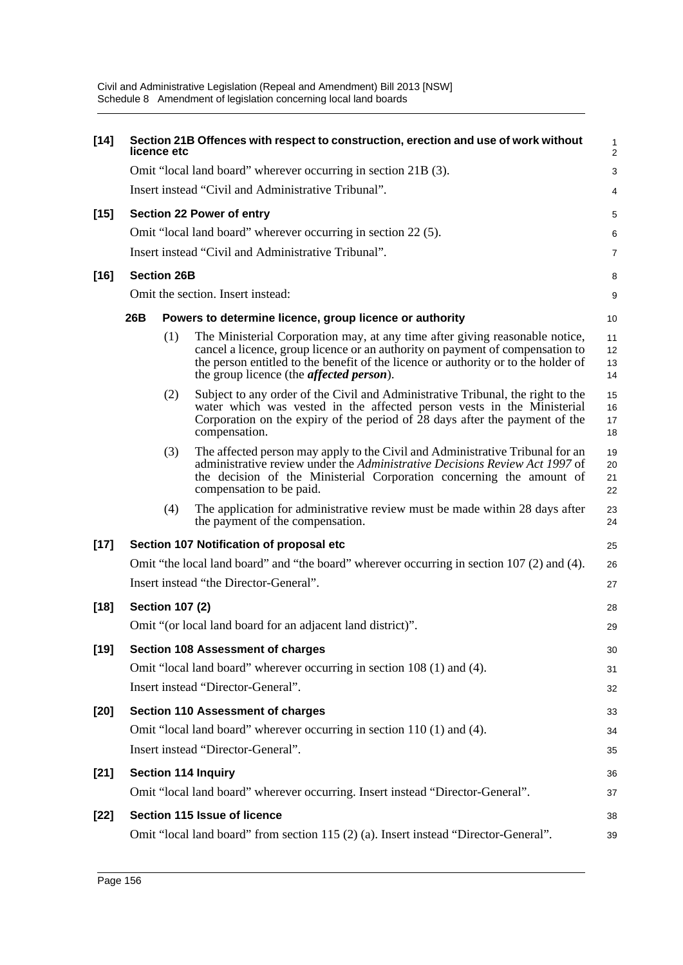| $[14]$ |     | licence etc            | Section 21B Offences with respect to construction, erection and use of work without                                                                                                                                                                                                                     | $\mathbf{1}$<br>$\overline{2}$ |
|--------|-----|------------------------|---------------------------------------------------------------------------------------------------------------------------------------------------------------------------------------------------------------------------------------------------------------------------------------------------------|--------------------------------|
|        |     |                        | Omit "local land board" wherever occurring in section 21B (3).                                                                                                                                                                                                                                          | 3                              |
|        |     |                        | Insert instead "Civil and Administrative Tribunal".                                                                                                                                                                                                                                                     | 4                              |
| $[15]$ |     |                        | <b>Section 22 Power of entry</b>                                                                                                                                                                                                                                                                        | 5                              |
|        |     |                        | Omit "local land board" wherever occurring in section 22(5).                                                                                                                                                                                                                                            | 6                              |
|        |     |                        | Insert instead "Civil and Administrative Tribunal".                                                                                                                                                                                                                                                     | $\overline{7}$                 |
| $[16]$ |     | <b>Section 26B</b>     |                                                                                                                                                                                                                                                                                                         | 8                              |
|        |     |                        | Omit the section. Insert instead:                                                                                                                                                                                                                                                                       | 9                              |
|        | 26B |                        | Powers to determine licence, group licence or authority                                                                                                                                                                                                                                                 | 10                             |
|        |     | (1)                    | The Ministerial Corporation may, at any time after giving reasonable notice,<br>cancel a licence, group licence or an authority on payment of compensation to<br>the person entitled to the benefit of the licence or authority or to the holder of<br>the group licence (the <i>affected person</i> ). | 11<br>12<br>13<br>14           |
|        |     | (2)                    | Subject to any order of the Civil and Administrative Tribunal, the right to the<br>water which was vested in the affected person vests in the Ministerial<br>Corporation on the expiry of the period of $\tilde{2}8$ days after the payment of the<br>compensation.                                     | 15<br>16<br>17<br>18           |
|        |     | (3)                    | The affected person may apply to the Civil and Administrative Tribunal for an<br>administrative review under the Administrative Decisions Review Act 1997 of<br>the decision of the Ministerial Corporation concerning the amount of<br>compensation to be paid.                                        | 19<br>20<br>21<br>22           |
|        |     | (4)                    | The application for administrative review must be made within 28 days after<br>the payment of the compensation.                                                                                                                                                                                         | 23<br>24                       |
| $[17]$ |     |                        | Section 107 Notification of proposal etc                                                                                                                                                                                                                                                                | 25                             |
|        |     |                        | Omit "the local land board" and "the board" wherever occurring in section 107 (2) and (4).                                                                                                                                                                                                              | 26                             |
|        |     |                        | Insert instead "the Director-General".                                                                                                                                                                                                                                                                  | 27                             |
| $[18]$ |     | <b>Section 107 (2)</b> |                                                                                                                                                                                                                                                                                                         | 28                             |
|        |     |                        | Omit "(or local land board for an adjacent land district)".                                                                                                                                                                                                                                             | 29                             |
| $[19]$ |     |                        | <b>Section 108 Assessment of charges</b>                                                                                                                                                                                                                                                                | 30                             |
|        |     |                        | Omit "local land board" wherever occurring in section 108 (1) and (4).                                                                                                                                                                                                                                  | 31                             |
|        |     |                        | Insert instead "Director-General".                                                                                                                                                                                                                                                                      | 32                             |
| $[20]$ |     |                        | <b>Section 110 Assessment of charges</b>                                                                                                                                                                                                                                                                | 33                             |
|        |     |                        | Omit "local land board" wherever occurring in section 110 (1) and (4).                                                                                                                                                                                                                                  | 34                             |
|        |     |                        | Insert instead "Director-General".                                                                                                                                                                                                                                                                      | 35                             |
| $[21]$ |     |                        | <b>Section 114 Inquiry</b>                                                                                                                                                                                                                                                                              | 36                             |
|        |     |                        | Omit "local land board" wherever occurring. Insert instead "Director-General".                                                                                                                                                                                                                          | 37                             |
| $[22]$ |     |                        | Section 115 Issue of licence                                                                                                                                                                                                                                                                            | 38                             |
|        |     |                        | Omit "local land board" from section 115 (2) (a). Insert instead "Director-General".                                                                                                                                                                                                                    | 39                             |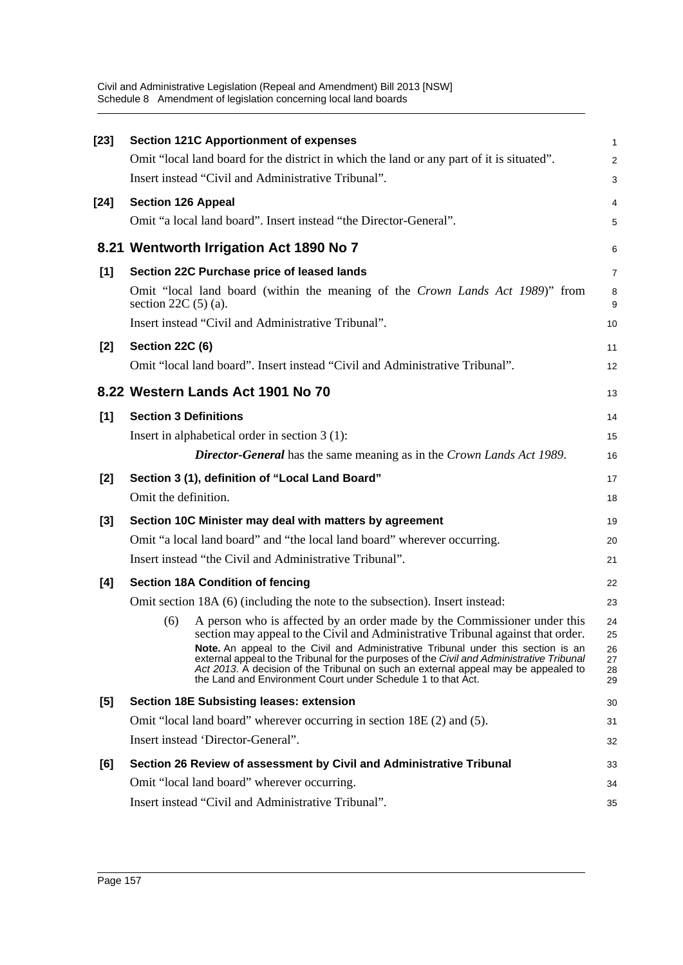| $[23]$ | <b>Section 121C Apportionment of expenses</b>                                                                                                                                                                                                                                                                                        | 1                    |
|--------|--------------------------------------------------------------------------------------------------------------------------------------------------------------------------------------------------------------------------------------------------------------------------------------------------------------------------------------|----------------------|
|        | Omit "local land board for the district in which the land or any part of it is situated".                                                                                                                                                                                                                                            | $\overline{c}$       |
|        | Insert instead "Civil and Administrative Tribunal".                                                                                                                                                                                                                                                                                  | 3                    |
| $[24]$ | <b>Section 126 Appeal</b>                                                                                                                                                                                                                                                                                                            | 4                    |
|        | Omit "a local land board". Insert instead "the Director-General".                                                                                                                                                                                                                                                                    | 5                    |
|        | 8.21 Wentworth Irrigation Act 1890 No 7                                                                                                                                                                                                                                                                                              | 6                    |
| [1]    | Section 22C Purchase price of leased lands                                                                                                                                                                                                                                                                                           | 7                    |
|        | Omit "local land board (within the meaning of the Crown Lands Act 1989)" from<br>section $22C(5)$ (a).                                                                                                                                                                                                                               | 8<br>9               |
|        | Insert instead "Civil and Administrative Tribunal".                                                                                                                                                                                                                                                                                  | 10                   |
| [2]    | <b>Section 22C (6)</b>                                                                                                                                                                                                                                                                                                               | 11                   |
|        | Omit "local land board". Insert instead "Civil and Administrative Tribunal".                                                                                                                                                                                                                                                         | 12                   |
|        | 8.22 Western Lands Act 1901 No 70                                                                                                                                                                                                                                                                                                    | 13                   |
| [1]    | <b>Section 3 Definitions</b>                                                                                                                                                                                                                                                                                                         | 14                   |
|        | Insert in alphabetical order in section $3(1)$ :                                                                                                                                                                                                                                                                                     | 15                   |
|        | <b>Director-General</b> has the same meaning as in the Crown Lands Act 1989.                                                                                                                                                                                                                                                         | 16                   |
| $[2]$  | Section 3 (1), definition of "Local Land Board"                                                                                                                                                                                                                                                                                      | 17                   |
|        | Omit the definition.                                                                                                                                                                                                                                                                                                                 | 18                   |
| $[3]$  | Section 10C Minister may deal with matters by agreement                                                                                                                                                                                                                                                                              | 19                   |
|        | Omit "a local land board" and "the local land board" wherever occurring.                                                                                                                                                                                                                                                             | 20                   |
|        | Insert instead "the Civil and Administrative Tribunal".                                                                                                                                                                                                                                                                              | 21                   |
| [4]    | <b>Section 18A Condition of fencing</b>                                                                                                                                                                                                                                                                                              | 22                   |
|        | Omit section 18A (6) (including the note to the subsection). Insert instead:                                                                                                                                                                                                                                                         | 23                   |
|        | A person who is affected by an order made by the Commissioner under this<br>(6)<br>section may appeal to the Civil and Administrative Tribunal against that order.                                                                                                                                                                   | 24<br>25             |
|        | Note. An appeal to the Civil and Administrative Tribunal under this section is an<br>external appeal to the Tribunal for the purposes of the Civil and Administrative Tribunal<br>Act 2013. A decision of the Tribunal on such an external appeal may be appealed to<br>the Land and Environment Court under Schedule 1 to that Act. | 26<br>27<br>28<br>29 |
| [5]    | <b>Section 18E Subsisting leases: extension</b>                                                                                                                                                                                                                                                                                      | 30                   |
|        | Omit "local land board" wherever occurring in section 18E (2) and (5).                                                                                                                                                                                                                                                               | 31                   |
|        | Insert instead 'Director-General".                                                                                                                                                                                                                                                                                                   | 32                   |
| [6]    | Section 26 Review of assessment by Civil and Administrative Tribunal                                                                                                                                                                                                                                                                 | 33                   |
|        | Omit "local land board" wherever occurring.                                                                                                                                                                                                                                                                                          | 34                   |
|        | Insert instead "Civil and Administrative Tribunal".                                                                                                                                                                                                                                                                                  | 35                   |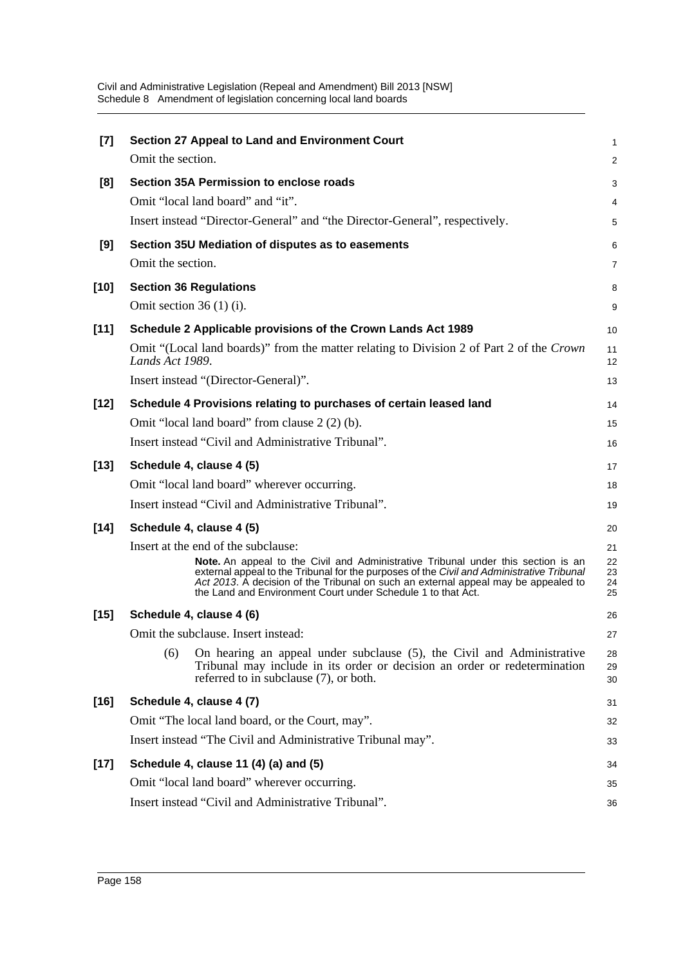| $[7]$  | Section 27 Appeal to Land and Environment Court                                                                                                                                                                                                                                                                                      | $\mathbf{1}$         |
|--------|--------------------------------------------------------------------------------------------------------------------------------------------------------------------------------------------------------------------------------------------------------------------------------------------------------------------------------------|----------------------|
|        | Omit the section.                                                                                                                                                                                                                                                                                                                    | 2                    |
| [8]    | Section 35A Permission to enclose roads                                                                                                                                                                                                                                                                                              | 3                    |
|        | Omit "local land board" and "it".                                                                                                                                                                                                                                                                                                    | 4                    |
|        | Insert instead "Director-General" and "the Director-General", respectively.                                                                                                                                                                                                                                                          | 5                    |
| [9]    | Section 35U Mediation of disputes as to easements                                                                                                                                                                                                                                                                                    | 6                    |
|        | Omit the section.                                                                                                                                                                                                                                                                                                                    | 7                    |
| $[10]$ | <b>Section 36 Regulations</b>                                                                                                                                                                                                                                                                                                        | 8                    |
|        | Omit section $36(1)(i)$ .                                                                                                                                                                                                                                                                                                            | 9                    |
| $[11]$ | Schedule 2 Applicable provisions of the Crown Lands Act 1989                                                                                                                                                                                                                                                                         | 10                   |
|        | Omit "(Local land boards)" from the matter relating to Division 2 of Part 2 of the Crown<br>Lands Act 1989.                                                                                                                                                                                                                          | 11<br>12             |
|        | Insert instead "(Director-General)".                                                                                                                                                                                                                                                                                                 | 13                   |
| $[12]$ | Schedule 4 Provisions relating to purchases of certain leased land                                                                                                                                                                                                                                                                   | 14                   |
|        | Omit "local land board" from clause 2 (2) (b).                                                                                                                                                                                                                                                                                       | 15                   |
|        | Insert instead "Civil and Administrative Tribunal".                                                                                                                                                                                                                                                                                  | 16                   |
| $[13]$ | Schedule 4, clause 4 (5)                                                                                                                                                                                                                                                                                                             | 17                   |
|        | Omit "local land board" wherever occurring.                                                                                                                                                                                                                                                                                          | 18                   |
|        | Insert instead "Civil and Administrative Tribunal".                                                                                                                                                                                                                                                                                  | 19                   |
| $[14]$ | Schedule 4, clause 4 (5)                                                                                                                                                                                                                                                                                                             | 20                   |
|        | Insert at the end of the subclause:                                                                                                                                                                                                                                                                                                  | 21                   |
|        | Note. An appeal to the Civil and Administrative Tribunal under this section is an<br>external appeal to the Tribunal for the purposes of the Civil and Administrative Tribunal<br>Act 2013. A decision of the Tribunal on such an external appeal may be appealed to<br>the Land and Environment Court under Schedule 1 to that Act. | 22<br>23<br>24<br>25 |
| $[15]$ | Schedule 4, clause 4 (6)                                                                                                                                                                                                                                                                                                             | 26                   |
|        | Omit the subclause. Insert instead:                                                                                                                                                                                                                                                                                                  | 27                   |
|        | (6)<br>On hearing an appeal under subclause (5), the Civil and Administrative<br>Tribunal may include in its order or decision an order or redetermination<br>referred to in subclause (7), or both.                                                                                                                                 | 28<br>29<br>30       |
| $[16]$ | Schedule 4, clause 4 (7)                                                                                                                                                                                                                                                                                                             | 31                   |
|        | Omit "The local land board, or the Court, may".                                                                                                                                                                                                                                                                                      | 32                   |
|        | Insert instead "The Civil and Administrative Tribunal may".                                                                                                                                                                                                                                                                          | 33                   |
| $[17]$ | Schedule 4, clause 11 (4) (a) and (5)                                                                                                                                                                                                                                                                                                | 34                   |
|        | Omit "local land board" wherever occurring.                                                                                                                                                                                                                                                                                          | 35                   |
|        | Insert instead "Civil and Administrative Tribunal".                                                                                                                                                                                                                                                                                  | 36                   |
|        |                                                                                                                                                                                                                                                                                                                                      |                      |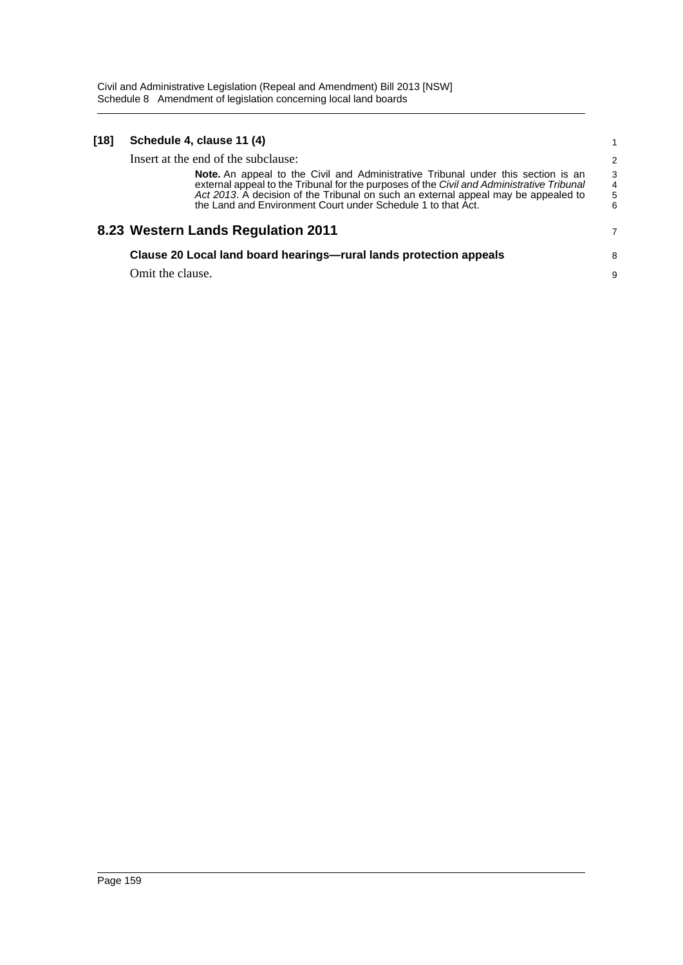| [18] | Schedule 4, clause 11 (4)                                                                                                                                                                                                                                                                                                            |                  |
|------|--------------------------------------------------------------------------------------------------------------------------------------------------------------------------------------------------------------------------------------------------------------------------------------------------------------------------------------|------------------|
|      | Insert at the end of the subclause:                                                                                                                                                                                                                                                                                                  | 2                |
|      | Note. An appeal to the Civil and Administrative Tribunal under this section is an<br>external appeal to the Tribunal for the purposes of the Civil and Administrative Tribunal<br>Act 2013. A decision of the Tribunal on such an external appeal may be appealed to<br>the Land and Environment Court under Schedule 1 to that Act. | 3<br>4<br>5<br>6 |
|      | 8.23 Western Lands Regulation 2011                                                                                                                                                                                                                                                                                                   | 7                |
|      | Clause 20 Local land board hearings-rural lands protection appeals                                                                                                                                                                                                                                                                   | 8                |
|      | Omit the clause.                                                                                                                                                                                                                                                                                                                     | 9                |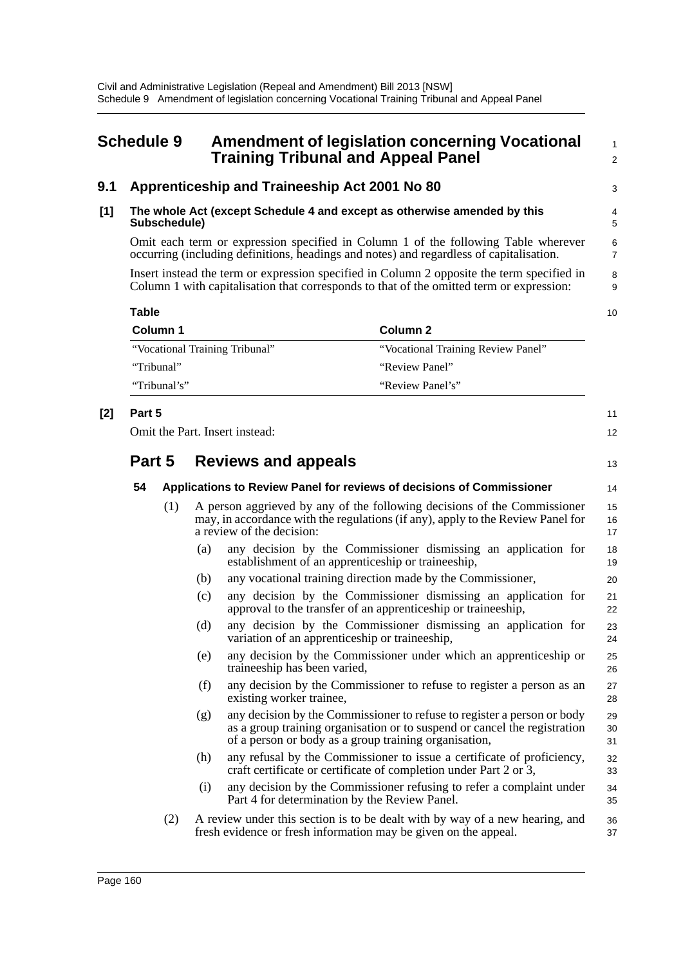# **Schedule 9 Amendment of legislation concerning Vocational Training Tribunal and Appeal Panel**

### **9.1 Apprenticeship and Traineeship Act 2001 No 80**

#### **[1] The whole Act (except Schedule 4 and except as otherwise amended by this Subschedule)**

Omit each term or expression specified in Column 1 of the following Table wherever occurring (including definitions, headings and notes) and regardless of capitalisation.

Insert instead the term or expression specified in Column 2 opposite the term specified in Column 1 with capitalisation that corresponds to that of the omitted term or expression:

| Table                          |                                    |  |  |  |  |
|--------------------------------|------------------------------------|--|--|--|--|
| Column 1                       | Column 2                           |  |  |  |  |
| "Vocational Training Tribunal" | "Vocational Training Review Panel" |  |  |  |  |
| "Tribunal"                     | "Review Panel"                     |  |  |  |  |
| "Tribunal's"                   | "Review Panel's"                   |  |  |  |  |

### **[2] Part 5**

Omit the Part. Insert instead:

## **Part 5 Reviews and appeals**

# 13

34 35

11 12

1  $\mathcal{L}$ 

3

#### **54 Applications to Review Panel for reviews of decisions of Commissioner** (1) A person aggrieved by any of the following decisions of the Commissioner may, in accordance with the regulations (if any), apply to the Review Panel for a review of the decision: 14 15 16 17 18

- (a) any decision by the Commissioner dismissing an application for establishment of an apprenticeship or traineeship,
- (b) any vocational training direction made by the Commissioner,
- (c) any decision by the Commissioner dismissing an application for approval to the transfer of an apprenticeship or traineeship,
- (d) any decision by the Commissioner dismissing an application for variation of an apprenticeship or traineeship,
- (e) any decision by the Commissioner under which an apprenticeship or traineeship has been varied,
- (f) any decision by the Commissioner to refuse to register a person as an existing worker trainee,
- (g) any decision by the Commissioner to refuse to register a person or body as a group training organisation or to suspend or cancel the registration of a person or body as a group training organisation, 29 30 31
- (h) any refusal by the Commissioner to issue a certificate of proficiency, craft certificate or certificate of completion under Part 2 or 3, 32 33
- (i) any decision by the Commissioner refusing to refer a complaint under Part 4 for determination by the Review Panel.
- (2) A review under this section is to be dealt with by way of a new hearing, and fresh evidence or fresh information may be given on the appeal. 36 37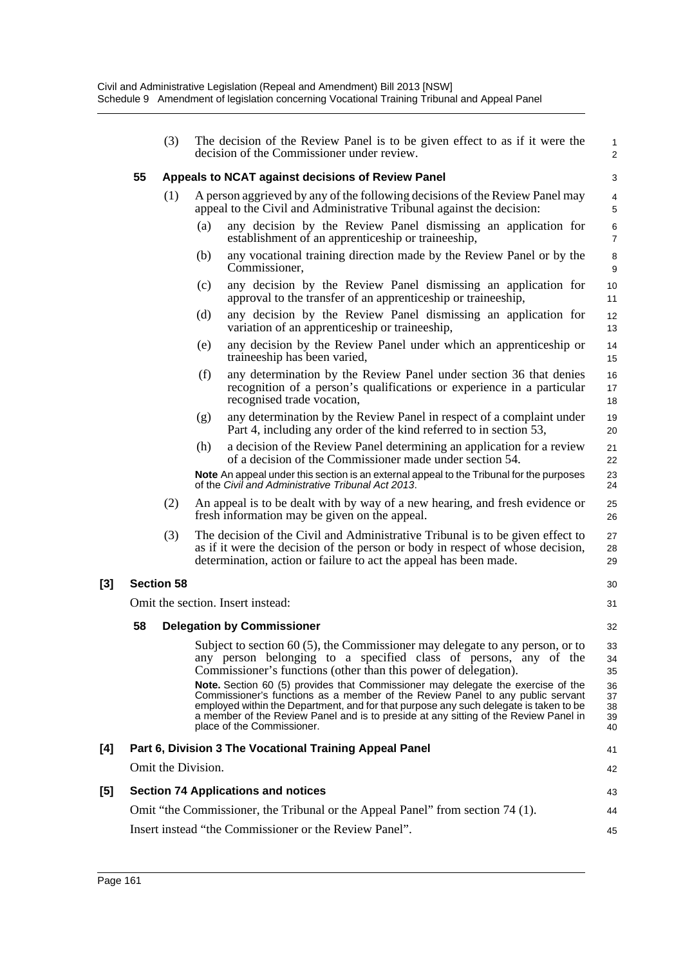|     |    | (3)                |     | The decision of the Review Panel is to be given effect to as if it were the<br>decision of the Commissioner under review.                                                                                                                                                                                                                                                         | $\mathbf{1}$<br>2          |
|-----|----|--------------------|-----|-----------------------------------------------------------------------------------------------------------------------------------------------------------------------------------------------------------------------------------------------------------------------------------------------------------------------------------------------------------------------------------|----------------------------|
|     | 55 |                    |     | Appeals to NCAT against decisions of Review Panel                                                                                                                                                                                                                                                                                                                                 | 3                          |
|     |    | (1)                |     | A person aggrieved by any of the following decisions of the Review Panel may<br>appeal to the Civil and Administrative Tribunal against the decision:                                                                                                                                                                                                                             | 4<br>5                     |
|     |    |                    | (a) | any decision by the Review Panel dismissing an application for<br>establishment of an apprenticeship or traineeship,                                                                                                                                                                                                                                                              | 6<br>$\overline{7}$        |
|     |    |                    | (b) | any vocational training direction made by the Review Panel or by the<br>Commissioner,                                                                                                                                                                                                                                                                                             | 8<br>$\boldsymbol{9}$      |
|     |    |                    | (c) | any decision by the Review Panel dismissing an application for<br>approval to the transfer of an apprenticeship or traineeship,                                                                                                                                                                                                                                                   | 10<br>11                   |
|     |    |                    | (d) | any decision by the Review Panel dismissing an application for<br>variation of an apprenticeship or traineeship,                                                                                                                                                                                                                                                                  | 12<br>13                   |
|     |    |                    | (e) | any decision by the Review Panel under which an apprenticeship or<br>traineeship has been varied,                                                                                                                                                                                                                                                                                 | 14<br>15                   |
|     |    |                    | (f) | any determination by the Review Panel under section 36 that denies<br>recognition of a person's qualifications or experience in a particular<br>recognised trade vocation,                                                                                                                                                                                                        | 16<br>17<br>18             |
|     |    |                    | (g) | any determination by the Review Panel in respect of a complaint under<br>Part 4, including any order of the kind referred to in section 53,                                                                                                                                                                                                                                       | 19<br>20                   |
|     |    |                    | (h) | a decision of the Review Panel determining an application for a review<br>of a decision of the Commissioner made under section 54.                                                                                                                                                                                                                                                | 21<br>22                   |
|     |    |                    |     | Note An appeal under this section is an external appeal to the Tribunal for the purposes<br>of the Civil and Administrative Tribunal Act 2013.                                                                                                                                                                                                                                    | 23<br>24                   |
|     |    | (2)                |     | An appeal is to be dealt with by way of a new hearing, and fresh evidence or<br>fresh information may be given on the appeal.                                                                                                                                                                                                                                                     | 25<br>26                   |
|     |    | (3)                |     | The decision of the Civil and Administrative Tribunal is to be given effect to<br>as if it were the decision of the person or body in respect of whose decision,<br>determination, action or failure to act the appeal has been made.                                                                                                                                             | 27<br>28<br>29             |
| [3] |    | <b>Section 58</b>  |     |                                                                                                                                                                                                                                                                                                                                                                                   | 30                         |
|     |    |                    |     | Omit the section. Insert instead:                                                                                                                                                                                                                                                                                                                                                 | 31                         |
|     | 58 |                    |     | <b>Delegation by Commissioner</b>                                                                                                                                                                                                                                                                                                                                                 | 32                         |
|     |    |                    |     | Subject to section $60(5)$ , the Commissioner may delegate to any person, or to<br>any person belonging to a specified class of persons, any of the<br>Commissioner's functions (other than this power of delegation).                                                                                                                                                            | 33<br>34<br>35             |
|     |    |                    |     | Note. Section 60 (5) provides that Commissioner may delegate the exercise of the<br>Commissioner's functions as a member of the Review Panel to any public servant<br>employed within the Department, and for that purpose any such delegate is taken to be<br>a member of the Review Panel and is to preside at any sitting of the Review Panel in<br>place of the Commissioner. | 36<br>37<br>38<br>39<br>40 |
| [4] |    |                    |     | Part 6, Division 3 The Vocational Training Appeal Panel                                                                                                                                                                                                                                                                                                                           | 41                         |
|     |    | Omit the Division. |     |                                                                                                                                                                                                                                                                                                                                                                                   | 42                         |
| [5] |    |                    |     | <b>Section 74 Applications and notices</b>                                                                                                                                                                                                                                                                                                                                        | 43                         |
|     |    |                    |     | Omit "the Commissioner, the Tribunal or the Appeal Panel" from section 74 (1).                                                                                                                                                                                                                                                                                                    | 44                         |

45

[3]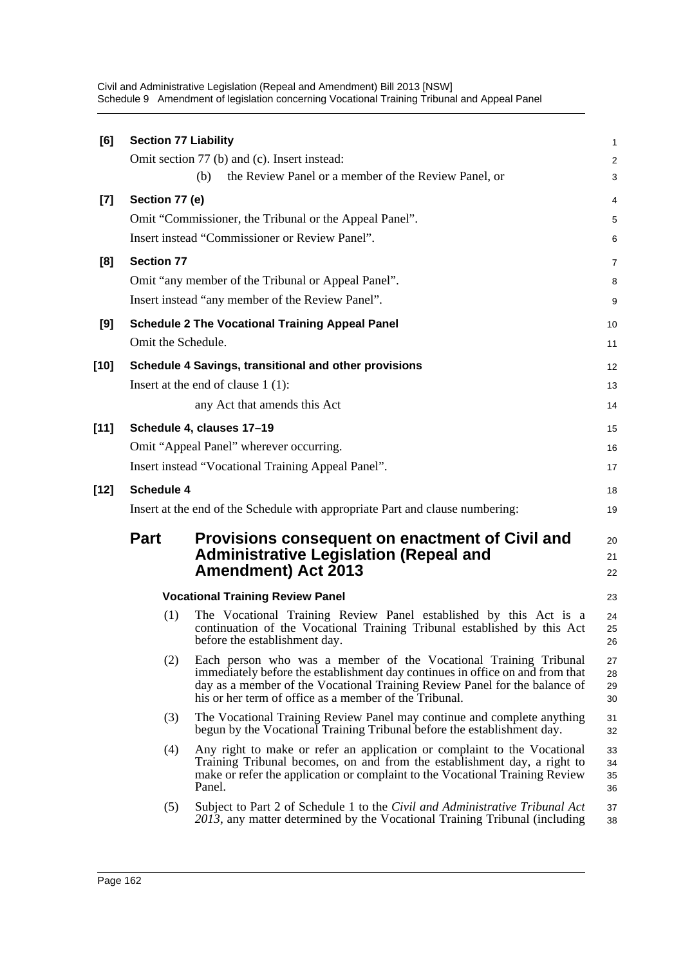Civil and Administrative Legislation (Repeal and Amendment) Bill 2013 [NSW] Schedule 9 Amendment of legislation concerning Vocational Training Tribunal and Appeal Panel

| [6]    | <b>Section 77 Liability</b>                                                   |                                                                                                                                                                                                                                                                                           | 1                    |  |  |
|--------|-------------------------------------------------------------------------------|-------------------------------------------------------------------------------------------------------------------------------------------------------------------------------------------------------------------------------------------------------------------------------------------|----------------------|--|--|
|        |                                                                               | Omit section 77 (b) and (c). Insert instead:                                                                                                                                                                                                                                              | $\overline{2}$       |  |  |
|        |                                                                               | (b)<br>the Review Panel or a member of the Review Panel, or                                                                                                                                                                                                                               | 3                    |  |  |
| $[7]$  | Section 77 (e)                                                                |                                                                                                                                                                                                                                                                                           | 4                    |  |  |
|        |                                                                               | Omit "Commissioner, the Tribunal or the Appeal Panel".                                                                                                                                                                                                                                    | 5                    |  |  |
|        |                                                                               | Insert instead "Commissioner or Review Panel".                                                                                                                                                                                                                                            | 6                    |  |  |
| [8]    | <b>Section 77</b>                                                             |                                                                                                                                                                                                                                                                                           | $\overline{7}$       |  |  |
|        |                                                                               | Omit "any member of the Tribunal or Appeal Panel".                                                                                                                                                                                                                                        | 8                    |  |  |
|        |                                                                               | Insert instead "any member of the Review Panel".                                                                                                                                                                                                                                          | 9                    |  |  |
| [9]    |                                                                               | <b>Schedule 2 The Vocational Training Appeal Panel</b>                                                                                                                                                                                                                                    | 10                   |  |  |
|        | Omit the Schedule.                                                            |                                                                                                                                                                                                                                                                                           | 11                   |  |  |
| $[10]$ |                                                                               | Schedule 4 Savings, transitional and other provisions                                                                                                                                                                                                                                     | 12                   |  |  |
|        |                                                                               | Insert at the end of clause $1(1)$ :                                                                                                                                                                                                                                                      | 13                   |  |  |
|        |                                                                               | any Act that amends this Act                                                                                                                                                                                                                                                              | 14                   |  |  |
| $[11]$ |                                                                               | Schedule 4, clauses 17-19                                                                                                                                                                                                                                                                 | 15                   |  |  |
|        |                                                                               | Omit "Appeal Panel" wherever occurring.                                                                                                                                                                                                                                                   | 16                   |  |  |
|        |                                                                               | Insert instead "Vocational Training Appeal Panel".                                                                                                                                                                                                                                        | 17                   |  |  |
| $[12]$ | <b>Schedule 4</b>                                                             |                                                                                                                                                                                                                                                                                           | 18                   |  |  |
|        | Insert at the end of the Schedule with appropriate Part and clause numbering: |                                                                                                                                                                                                                                                                                           |                      |  |  |
|        | <b>Part</b>                                                                   | Provisions consequent on enactment of Civil and<br><b>Administrative Legislation (Repeal and</b><br><b>Amendment) Act 2013</b>                                                                                                                                                            | 20<br>21<br>22       |  |  |
|        |                                                                               | <b>Vocational Training Review Panel</b>                                                                                                                                                                                                                                                   | 23                   |  |  |
|        | (1)                                                                           | The Vocational Training Review Panel established by this Act is a<br>continuation of the Vocational Training Tribunal established by this Act<br>before the establishment day.                                                                                                            | 24<br>25<br>26       |  |  |
|        | (2)                                                                           | Each person who was a member of the Vocational Training Tribunal<br>immediately before the establishment day continues in office on and from that<br>day as a member of the Vocational Training Review Panel for the balance of<br>his or her term of office as a member of the Tribunal. | 27<br>28<br>29<br>30 |  |  |
|        | (3)                                                                           | The Vocational Training Review Panel may continue and complete anything<br>begun by the Vocational Training Tribunal before the establishment day.                                                                                                                                        | 31<br>32             |  |  |
|        | (4)                                                                           | Any right to make or refer an application or complaint to the Vocational<br>Training Tribunal becomes, on and from the establishment day, a right to<br>make or refer the application or complaint to the Vocational Training Review<br>Panel.                                            | 33<br>34<br>35<br>36 |  |  |
|        | (5)                                                                           | Subject to Part 2 of Schedule 1 to the Civil and Administrative Tribunal Act<br>2013, any matter determined by the Vocational Training Tribunal (including                                                                                                                                | 37<br>38             |  |  |
|        |                                                                               |                                                                                                                                                                                                                                                                                           |                      |  |  |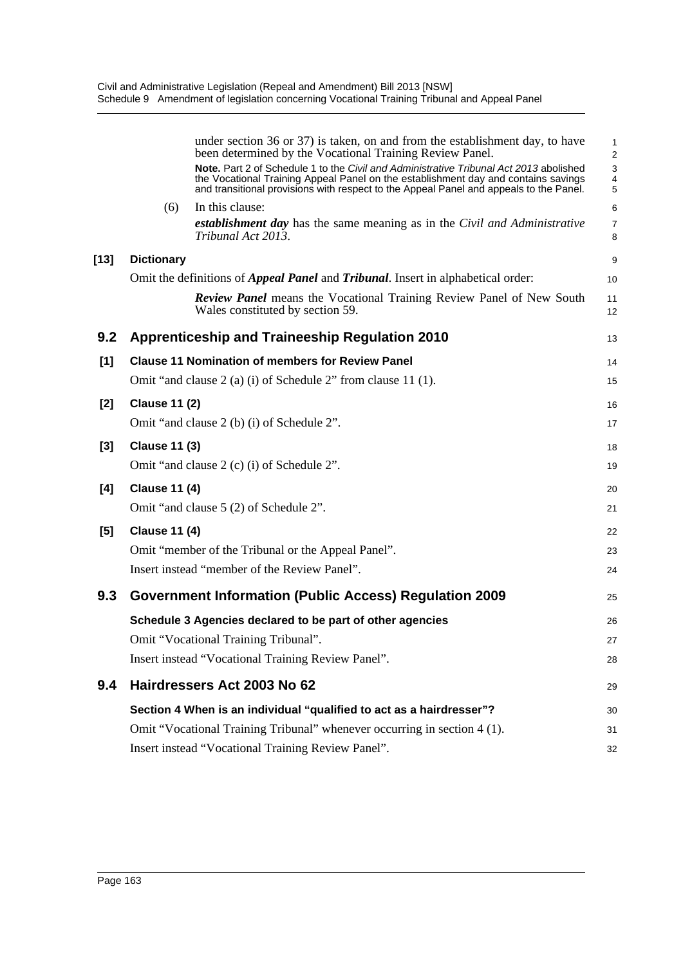|        |                      | under section 36 or 37) is taken, on and from the establishment day, to have<br>been determined by the Vocational Training Review Panel.                                                                                                                               | 1<br>$\overline{c}$ |
|--------|----------------------|------------------------------------------------------------------------------------------------------------------------------------------------------------------------------------------------------------------------------------------------------------------------|---------------------|
|        |                      | Note. Part 2 of Schedule 1 to the Civil and Administrative Tribunal Act 2013 abolished<br>the Vocational Training Appeal Panel on the establishment day and contains savings<br>and transitional provisions with respect to the Appeal Panel and appeals to the Panel. | 3<br>4<br>5         |
|        | (6)                  | In this clause:                                                                                                                                                                                                                                                        | 6                   |
|        |                      | <b>establishment day</b> has the same meaning as in the Civil and Administrative<br>Tribunal Act 2013.                                                                                                                                                                 | $\overline{7}$<br>8 |
| $[13]$ | <b>Dictionary</b>    |                                                                                                                                                                                                                                                                        | 9                   |
|        |                      | Omit the definitions of <i>Appeal Panel</i> and <i>Tribunal</i> . Insert in alphabetical order:                                                                                                                                                                        | 10                  |
|        |                      | <b>Review Panel</b> means the Vocational Training Review Panel of New South<br>Wales constituted by section 59.                                                                                                                                                        | 11<br>12            |
| 9.2    |                      | <b>Apprenticeship and Traineeship Regulation 2010</b>                                                                                                                                                                                                                  | 13                  |
| [1]    |                      | <b>Clause 11 Nomination of members for Review Panel</b>                                                                                                                                                                                                                | 14                  |
|        |                      | Omit "and clause 2 (a) (i) of Schedule 2" from clause 11 (1).                                                                                                                                                                                                          | 15                  |
| [2]    | <b>Clause 11 (2)</b> |                                                                                                                                                                                                                                                                        | 16                  |
|        |                      | Omit "and clause 2 (b) (i) of Schedule 2".                                                                                                                                                                                                                             | 17                  |
| [3]    | <b>Clause 11 (3)</b> |                                                                                                                                                                                                                                                                        | 18                  |
|        |                      | Omit "and clause 2 (c) (i) of Schedule 2".                                                                                                                                                                                                                             | 19                  |
| [4]    | <b>Clause 11 (4)</b> |                                                                                                                                                                                                                                                                        | 20                  |
|        |                      | Omit "and clause 5 (2) of Schedule 2".                                                                                                                                                                                                                                 | 21                  |
| [5]    | <b>Clause 11 (4)</b> |                                                                                                                                                                                                                                                                        | 22                  |
|        |                      | Omit "member of the Tribunal or the Appeal Panel".                                                                                                                                                                                                                     | 23                  |
|        |                      | Insert instead "member of the Review Panel".                                                                                                                                                                                                                           | 24                  |
| 9.3    |                      | <b>Government Information (Public Access) Regulation 2009</b>                                                                                                                                                                                                          | 25                  |
|        |                      | Schedule 3 Agencies declared to be part of other agencies                                                                                                                                                                                                              | 26                  |
|        |                      | Omit "Vocational Training Tribunal".                                                                                                                                                                                                                                   | 27                  |
|        |                      | Insert instead "Vocational Training Review Panel".                                                                                                                                                                                                                     | 28                  |
| 9.4    |                      | Hairdressers Act 2003 No 62                                                                                                                                                                                                                                            | 29                  |
|        |                      | Section 4 When is an individual "qualified to act as a hairdresser"?                                                                                                                                                                                                   | 30                  |
|        |                      | Omit "Vocational Training Tribunal" whenever occurring in section 4 (1).                                                                                                                                                                                               | 31                  |
|        |                      | Insert instead "Vocational Training Review Panel".                                                                                                                                                                                                                     | 32                  |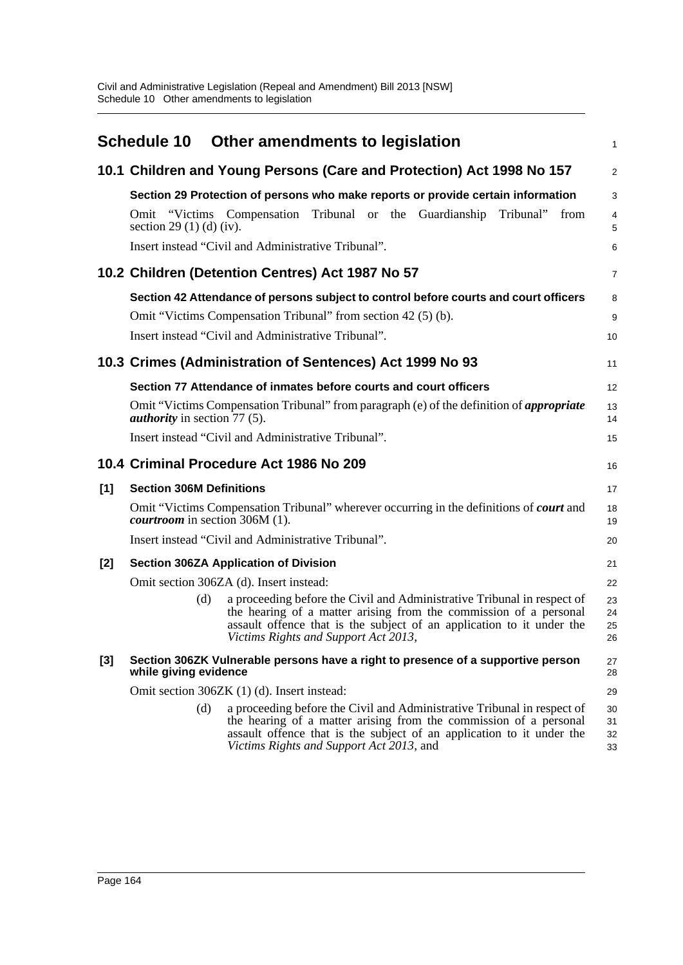|       |                                       | Schedule 10 Other amendments to legislation                                                                                                                                                                                                                       | 1                    |
|-------|---------------------------------------|-------------------------------------------------------------------------------------------------------------------------------------------------------------------------------------------------------------------------------------------------------------------|----------------------|
|       |                                       | 10.1 Children and Young Persons (Care and Protection) Act 1998 No 157                                                                                                                                                                                             | $\overline{2}$       |
|       |                                       | Section 29 Protection of persons who make reports or provide certain information                                                                                                                                                                                  | 3                    |
|       | section 29 (1) (d) (iv).              | Omit "Victims Compensation Tribunal or the<br>Guardianship<br>Tribunal"<br>from                                                                                                                                                                                   | 4<br>5               |
|       |                                       | Insert instead "Civil and Administrative Tribunal".                                                                                                                                                                                                               | 6                    |
|       |                                       | 10.2 Children (Detention Centres) Act 1987 No 57                                                                                                                                                                                                                  | 7                    |
|       |                                       | Section 42 Attendance of persons subject to control before courts and court officers<br>Omit "Victims Compensation Tribunal" from section 42 (5) (b).<br>Insert instead "Civil and Administrative Tribunal".                                                      | 8<br>9<br>10         |
|       |                                       | 10.3 Crimes (Administration of Sentences) Act 1999 No 93                                                                                                                                                                                                          | 11                   |
|       |                                       | Section 77 Attendance of inmates before courts and court officers                                                                                                                                                                                                 | 12                   |
|       | <i>authority</i> in section 77 (5).   | Omit "Victims Compensation Tribunal" from paragraph (e) of the definition of <i>appropriate</i>                                                                                                                                                                   | 13<br>14             |
|       |                                       | Insert instead "Civil and Administrative Tribunal".                                                                                                                                                                                                               | 15                   |
|       |                                       | 10.4 Criminal Procedure Act 1986 No 209                                                                                                                                                                                                                           | 16                   |
| [1]   | <b>Section 306M Definitions</b>       |                                                                                                                                                                                                                                                                   | 17                   |
|       | <i>courtroom</i> in section 306M (1). | Omit "Victims Compensation Tribunal" wherever occurring in the definitions of <b>court</b> and                                                                                                                                                                    | 18<br>19             |
|       |                                       | Insert instead "Civil and Administrative Tribunal".                                                                                                                                                                                                               | 20                   |
| [2]   |                                       | <b>Section 306ZA Application of Division</b>                                                                                                                                                                                                                      | 21                   |
|       |                                       | Omit section 306ZA (d). Insert instead:                                                                                                                                                                                                                           | 22                   |
|       | (d)                                   | a proceeding before the Civil and Administrative Tribunal in respect of<br>the hearing of a matter arising from the commission of a personal<br>assault offence that is the subject of an application to it under the<br>Victims Rights and Support Act 2013,     | 23<br>24<br>25<br>26 |
| $[3]$ | while giving evidence                 | Section 306ZK Vulnerable persons have a right to presence of a supportive person                                                                                                                                                                                  | 27<br>28             |
|       |                                       | Omit section 306ZK (1) (d). Insert instead:                                                                                                                                                                                                                       | 29                   |
|       | (d)                                   | a proceeding before the Civil and Administrative Tribunal in respect of<br>the hearing of a matter arising from the commission of a personal<br>assault offence that is the subject of an application to it under the<br>Victims Rights and Support Act 2013, and | 30<br>31<br>32<br>33 |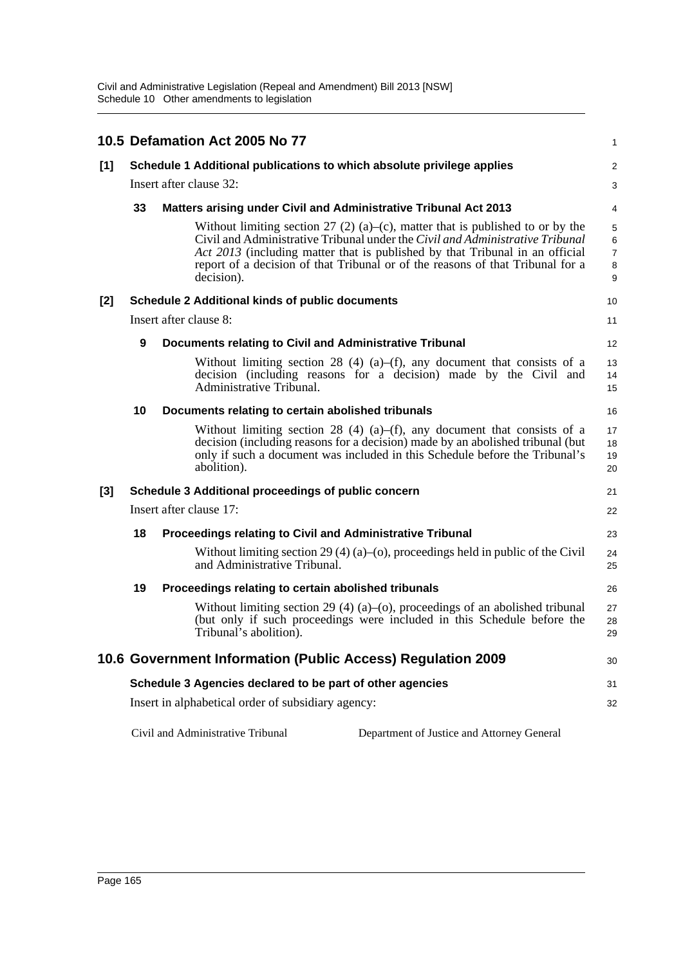Civil and Administrative Legislation (Repeal and Amendment) Bill 2013 [NSW] Schedule 10 Other amendments to legislation

|       |                                                                        | 10.5 Defamation Act 2005 No 77                                                                                                                                                                                                                                                                                                                  | 1                                  |  |
|-------|------------------------------------------------------------------------|-------------------------------------------------------------------------------------------------------------------------------------------------------------------------------------------------------------------------------------------------------------------------------------------------------------------------------------------------|------------------------------------|--|
| $[1]$ | Schedule 1 Additional publications to which absolute privilege applies |                                                                                                                                                                                                                                                                                                                                                 |                                    |  |
|       | Insert after clause 32:                                                |                                                                                                                                                                                                                                                                                                                                                 |                                    |  |
|       | 33                                                                     | <b>Matters arising under Civil and Administrative Tribunal Act 2013</b>                                                                                                                                                                                                                                                                         | 4                                  |  |
|       |                                                                        | Without limiting section 27 (2) (a)–(c), matter that is published to or by the<br>Civil and Administrative Tribunal under the Civil and Administrative Tribunal<br>Act 2013 (including matter that is published by that Tribunal in an official<br>report of a decision of that Tribunal or of the reasons of that Tribunal for a<br>decision). | 5<br>6<br>$\overline{7}$<br>8<br>9 |  |
| [2]   | <b>Schedule 2 Additional kinds of public documents</b>                 |                                                                                                                                                                                                                                                                                                                                                 |                                    |  |
|       | Insert after clause 8:                                                 |                                                                                                                                                                                                                                                                                                                                                 |                                    |  |
|       | 9                                                                      | Documents relating to Civil and Administrative Tribunal                                                                                                                                                                                                                                                                                         | 12                                 |  |
|       |                                                                        | Without limiting section 28 (4) (a)–(f), any document that consists of a<br>decision (including reasons for a decision) made by the Civil and<br>Administrative Tribunal.                                                                                                                                                                       | 13<br>14<br>15                     |  |
|       | 10                                                                     | Documents relating to certain abolished tribunals                                                                                                                                                                                                                                                                                               | 16                                 |  |
|       |                                                                        | Without limiting section 28 (4) (a)–(f), any document that consists of a<br>decision (including reasons for a decision) made by an abolished tribunal (but<br>only if such a document was included in this Schedule before the Tribunal's<br>abolition).                                                                                        | 17<br>18<br>19<br>20               |  |
| [3]   | Schedule 3 Additional proceedings of public concern                    |                                                                                                                                                                                                                                                                                                                                                 |                                    |  |
|       |                                                                        | Insert after clause 17:                                                                                                                                                                                                                                                                                                                         | 22                                 |  |
|       | 18                                                                     | Proceedings relating to Civil and Administrative Tribunal                                                                                                                                                                                                                                                                                       | 23                                 |  |
|       |                                                                        | Without limiting section 29 (4) (a)–(o), proceedings held in public of the Civil<br>and Administrative Tribunal.                                                                                                                                                                                                                                | 24<br>25                           |  |
|       | 19                                                                     | Proceedings relating to certain abolished tribunals                                                                                                                                                                                                                                                                                             | 26                                 |  |
|       |                                                                        | Without limiting section 29 (4) (a)–(o), proceedings of an abolished tribunal<br>(but only if such proceedings were included in this Schedule before the<br>Tribunal's abolition).                                                                                                                                                              | 27<br>28<br>29                     |  |
|       | 10.6 Government Information (Public Access) Regulation 2009            |                                                                                                                                                                                                                                                                                                                                                 |                                    |  |
|       | Schedule 3 Agencies declared to be part of other agencies              |                                                                                                                                                                                                                                                                                                                                                 |                                    |  |
|       |                                                                        | Insert in alphabetical order of subsidiary agency:                                                                                                                                                                                                                                                                                              | 32                                 |  |
|       |                                                                        | Civil and Administrative Tribunal<br>Department of Justice and Attorney General                                                                                                                                                                                                                                                                 |                                    |  |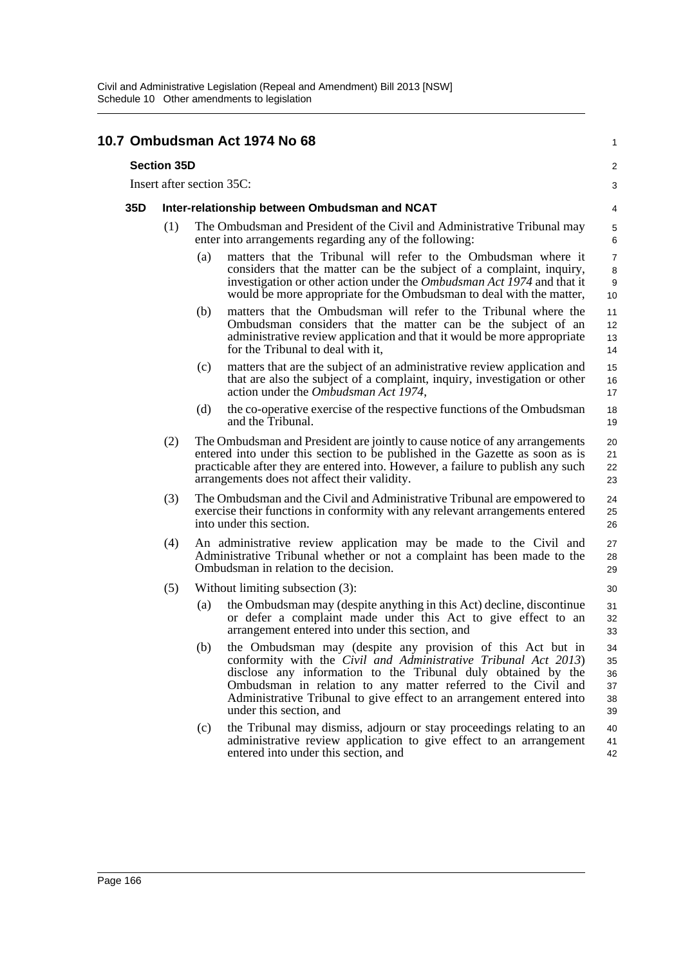#### **10.7 Ombudsman Act 1974 No 68 Section 35D** Insert after section 35C: **35D Inter-relationship between Ombudsman and NCAT** (1) The Ombudsman and President of the Civil and Administrative Tribunal may enter into arrangements regarding any of the following: (a) matters that the Tribunal will refer to the Ombudsman where it considers that the matter can be the subject of a complaint, inquiry, investigation or other action under the *Ombudsman Act 1974* and that it would be more appropriate for the Ombudsman to deal with the matter, (b) matters that the Ombudsman will refer to the Tribunal where the Ombudsman considers that the matter can be the subject of an administrative review application and that it would be more appropriate for the Tribunal to deal with it, (c) matters that are the subject of an administrative review application and that are also the subject of a complaint, inquiry, investigation or other action under the *Ombudsman Act 1974*, (d) the co-operative exercise of the respective functions of the Ombudsman and the Tribunal. (2) The Ombudsman and President are jointly to cause notice of any arrangements entered into under this section to be published in the Gazette as soon as is practicable after they are entered into. However, a failure to publish any such arrangements does not affect their validity. (3) The Ombudsman and the Civil and Administrative Tribunal are empowered to exercise their functions in conformity with any relevant arrangements entered into under this section. (4) An administrative review application may be made to the Civil and Administrative Tribunal whether or not a complaint has been made to the Ombudsman in relation to the decision. (5) Without limiting subsection (3): (a) the Ombudsman may (despite anything in this Act) decline, discontinue or defer a complaint made under this Act to give effect to an arrangement entered into under this section, and (b) the Ombudsman may (despite any provision of this Act but in conformity with the *Civil and Administrative Tribunal Act 2013*) disclose any information to the Tribunal duly obtained by the Ombudsman in relation to any matter referred to the Civil and Administrative Tribunal to give effect to an arrangement entered into under this section, and (c) the Tribunal may dismiss, adjourn or stay proceedings relating to an administrative review application to give effect to an arrangement entered into under this section, and 1  $\mathfrak{p}$ 3 4 5 6 7 8 9 10 11 12 13 14 15 16 17 18 19  $20$ 21 22  $23$ 24 25 26 27 28 29 30 31 32 33  $34$ 35 36 37 38 39 40 41 42